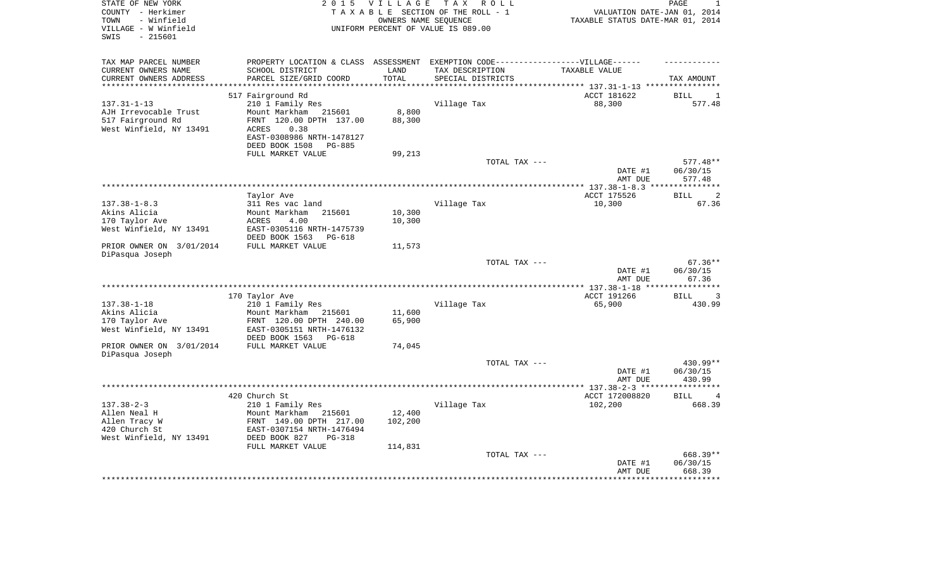| STATE OF NEW YORK        | 2 0 1 5                                                                           | V I L L A G E        | T A X<br>R O L L                   |                                  | PAGE             |
|--------------------------|-----------------------------------------------------------------------------------|----------------------|------------------------------------|----------------------------------|------------------|
| COUNTY - Herkimer        |                                                                                   |                      | TAXABLE SECTION OF THE ROLL - 1    | VALUATION DATE-JAN 01, 2014      |                  |
| TOWN<br>- Winfield       |                                                                                   | OWNERS NAME SEQUENCE |                                    | TAXABLE STATUS DATE-MAR 01, 2014 |                  |
| VILLAGE - W Winfield     |                                                                                   |                      | UNIFORM PERCENT OF VALUE IS 089.00 |                                  |                  |
| SWIS<br>$-215601$        |                                                                                   |                      |                                    |                                  |                  |
|                          |                                                                                   |                      |                                    |                                  |                  |
| TAX MAP PARCEL NUMBER    | PROPERTY LOCATION & CLASS ASSESSMENT EXEMPTION CODE-----------------VILLAGE------ |                      |                                    |                                  |                  |
| CURRENT OWNERS NAME      | SCHOOL DISTRICT                                                                   | LAND                 | TAX DESCRIPTION                    | TAXABLE VALUE                    |                  |
| CURRENT OWNERS ADDRESS   | PARCEL SIZE/GRID COORD                                                            | TOTAL                | SPECIAL DISTRICTS                  |                                  | TAX AMOUNT       |
| *********************    | ***********************                                                           | ***********          |                                    |                                  |                  |
|                          | 517 Fairground Rd                                                                 |                      |                                    | ACCT 181622                      | <b>BILL</b><br>1 |
| $137.31 - 1 - 13$        | 210 1 Family Res                                                                  |                      | Village Tax                        | 88,300                           | 577.48           |
| AJH Irrevocable Trust    | Mount Markham<br>215601                                                           | 8,800                |                                    |                                  |                  |
| 517 Fairground Rd        | FRNT 120.00 DPTH 137.00                                                           | 88,300               |                                    |                                  |                  |
| West Winfield, NY 13491  | ACRES<br>0.38                                                                     |                      |                                    |                                  |                  |
|                          | EAST-0308986 NRTH-1478127                                                         |                      |                                    |                                  |                  |
|                          | DEED BOOK 1508<br><b>PG-885</b>                                                   |                      |                                    |                                  |                  |
|                          | FULL MARKET VALUE                                                                 | 99,213               |                                    |                                  |                  |
|                          |                                                                                   |                      | TOTAL TAX ---                      |                                  | 577.48**         |
|                          |                                                                                   |                      |                                    | DATE #1                          | 06/30/15         |
|                          |                                                                                   |                      |                                    | AMT DUE                          | 577.48           |
|                          |                                                                                   |                      |                                    |                                  | *********        |
|                          | Taylor Ave                                                                        |                      |                                    | ACCT 175526                      | 2<br><b>BILL</b> |
| $137.38 - 1 - 8.3$       | 311 Res vac land                                                                  |                      | Village Tax                        | 10,300                           | 67.36            |
| Akins Alicia             | Mount Markham<br>215601                                                           | 10,300               |                                    |                                  |                  |
| 170 Taylor Ave           | ACRES<br>4.00                                                                     | 10,300               |                                    |                                  |                  |
| West Winfield, NY 13491  | EAST-0305116 NRTH-1475739                                                         |                      |                                    |                                  |                  |
|                          | DEED BOOK 1563<br>PG-618                                                          |                      |                                    |                                  |                  |
| PRIOR OWNER ON 3/01/2014 | FULL MARKET VALUE                                                                 | 11,573               |                                    |                                  |                  |
| DiPasqua Joseph          |                                                                                   |                      |                                    |                                  |                  |
|                          |                                                                                   |                      | TOTAL TAX ---                      |                                  | $67.36**$        |
|                          |                                                                                   |                      |                                    | DATE #1                          | 06/30/15         |
|                          |                                                                                   |                      |                                    | AMT DUE                          | 67.36            |
|                          |                                                                                   |                      |                                    |                                  | **********       |
|                          | 170 Taylor Ave                                                                    |                      |                                    | ACCT 191266                      | <b>BILL</b><br>3 |
| $137.38 - 1 - 18$        | 210 1 Family Res                                                                  |                      | Village Tax                        | 65,900                           | 430.99           |
| Akins Alicia             | Mount Markham<br>215601                                                           | 11,600               |                                    |                                  |                  |
| 170 Taylor Ave           | FRNT 120.00 DPTH 240.00                                                           | 65,900               |                                    |                                  |                  |
| West Winfield, NY 13491  | EAST-0305151 NRTH-1476132                                                         |                      |                                    |                                  |                  |
|                          | DEED BOOK 1563<br>PG-618                                                          |                      |                                    |                                  |                  |
| PRIOR OWNER ON 3/01/2014 | FULL MARKET VALUE                                                                 | 74,045               |                                    |                                  |                  |
| DiPasqua Joseph          |                                                                                   |                      |                                    |                                  |                  |
|                          |                                                                                   |                      | TOTAL TAX ---                      |                                  | 430.99**         |
|                          |                                                                                   |                      |                                    | DATE #1                          | 06/30/15         |
|                          |                                                                                   |                      |                                    | AMT DUE                          | 430.99           |
|                          |                                                                                   |                      |                                    |                                  | ***********      |
|                          | 420 Church St                                                                     |                      |                                    | ACCT 172008820                   | <b>BILL</b><br>4 |
| $137.38 - 2 - 3$         | 210 1 Family Res                                                                  |                      | Village Tax                        | 102,200                          | 668.39           |
| Allen Neal H             | Mount Markham<br>215601                                                           | 12,400               |                                    |                                  |                  |
| Allen Tracy W            | FRNT 149.00 DPTH 217.00                                                           | 102,200              |                                    |                                  |                  |
| 420 Church St            | EAST-0307154 NRTH-1476494                                                         |                      |                                    |                                  |                  |
| West Winfield, NY 13491  | DEED BOOK 827<br><b>PG-318</b>                                                    |                      |                                    |                                  |                  |
|                          | FULL MARKET VALUE                                                                 | 114,831              |                                    |                                  |                  |
|                          |                                                                                   |                      | TOTAL TAX ---                      |                                  | 668.39**         |
|                          |                                                                                   |                      |                                    | DATE #1                          | 06/30/15         |
|                          |                                                                                   |                      |                                    | AMT DUE                          | 668.39           |
|                          |                                                                                   |                      |                                    |                                  |                  |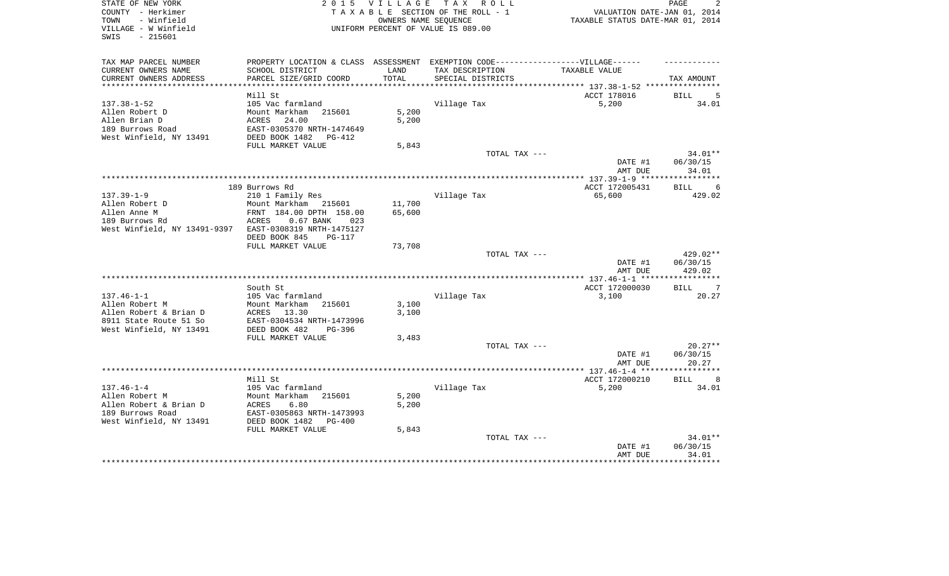| STATE OF NEW YORK<br>COUNTY - Herkimer<br>- Winfield<br>TOWN | 2 0 1 5                                                                                              | <b>VILLAGE</b> | TAX ROLL<br>TAXABLE SECTION OF THE ROLL - 1<br>OWNERS NAME SEQUENCE | VALUATION DATE-JAN 01, 2014<br>TAXABLE STATUS DATE-MAR 01, 2014 | PAGE<br>2         |
|--------------------------------------------------------------|------------------------------------------------------------------------------------------------------|----------------|---------------------------------------------------------------------|-----------------------------------------------------------------|-------------------|
| VILLAGE - W Winfield<br>$-215601$<br>SWIS                    |                                                                                                      |                | UNIFORM PERCENT OF VALUE IS 089.00                                  |                                                                 |                   |
| TAX MAP PARCEL NUMBER<br>CURRENT OWNERS NAME                 | PROPERTY LOCATION & CLASS ASSESSMENT EXEMPTION CODE-----------------VILLAGE------<br>SCHOOL DISTRICT | LAND           | TAX DESCRIPTION                                                     | TAXABLE VALUE                                                   |                   |
| CURRENT OWNERS ADDRESS                                       | PARCEL SIZE/GRID COORD                                                                               | TOTAL          | SPECIAL DISTRICTS                                                   |                                                                 | TAX AMOUNT        |
|                                                              |                                                                                                      |                |                                                                     |                                                                 |                   |
|                                                              | Mill St                                                                                              |                |                                                                     | ACCT 178016                                                     | BILL<br>5         |
| $137.38 - 1 - 52$                                            | 105 Vac farmland                                                                                     |                | Village Tax                                                         | 5,200                                                           | 34.01             |
| Allen Robert D                                               | Mount Markham 215601                                                                                 | 5,200          |                                                                     |                                                                 |                   |
| Allen Brian D                                                | ACRES<br>24.00                                                                                       | 5,200          |                                                                     |                                                                 |                   |
| 189 Burrows Road<br>West Winfield, NY 13491                  | EAST-0305370 NRTH-1474649<br>DEED BOOK 1482<br>PG-412                                                |                |                                                                     |                                                                 |                   |
|                                                              | FULL MARKET VALUE                                                                                    | 5,843          |                                                                     |                                                                 |                   |
|                                                              |                                                                                                      |                | TOTAL TAX ---                                                       |                                                                 | 34.01**           |
|                                                              |                                                                                                      |                |                                                                     | DATE #1                                                         | 06/30/15          |
|                                                              |                                                                                                      |                |                                                                     | AMT DUE                                                         | 34.01             |
|                                                              |                                                                                                      |                |                                                                     |                                                                 |                   |
|                                                              | 189 Burrows Rd                                                                                       |                |                                                                     | ACCT 172005431                                                  | <b>BILL</b><br>6  |
| $137.39 - 1 - 9$                                             | 210 1 Family Res                                                                                     |                | Village Tax                                                         | 65,600                                                          | 429.02            |
| Allen Robert D                                               | Mount Markham<br>215601                                                                              | 11,700         |                                                                     |                                                                 |                   |
| Allen Anne M                                                 | FRNT 184.00 DPTH 158.00                                                                              | 65,600         |                                                                     |                                                                 |                   |
| 189 Burrows Rd<br>West Winfield, NY 13491-9397               | $0.67$ BANK<br>ACRES<br>023<br>EAST-0308319 NRTH-1475127                                             |                |                                                                     |                                                                 |                   |
|                                                              | DEED BOOK 845<br><b>PG-117</b>                                                                       |                |                                                                     |                                                                 |                   |
|                                                              | FULL MARKET VALUE                                                                                    | 73,708         |                                                                     |                                                                 |                   |
|                                                              |                                                                                                      |                | TOTAL TAX ---                                                       |                                                                 | 429.02**          |
|                                                              |                                                                                                      |                |                                                                     | DATE #1                                                         | 06/30/15          |
|                                                              |                                                                                                      |                |                                                                     | AMT DUE                                                         | 429.02            |
|                                                              |                                                                                                      |                |                                                                     |                                                                 |                   |
|                                                              | South St                                                                                             |                |                                                                     | ACCT 172000030                                                  | <b>BILL</b><br>-7 |
| $137.46 - 1 - 1$                                             | 105 Vac farmland                                                                                     |                | Village Tax                                                         | 3,100                                                           | 20.27             |
| Allen Robert M<br>Allen Robert & Brian D                     | Mount Markham<br>215601                                                                              | 3,100          |                                                                     |                                                                 |                   |
| 8911 State Route 51 So                                       | ACRES<br>13.30<br>EAST-0304534 NRTH-1473996                                                          | 3,100          |                                                                     |                                                                 |                   |
| West Winfield, NY 13491                                      | DEED BOOK 482<br>PG-396                                                                              |                |                                                                     |                                                                 |                   |
|                                                              | FULL MARKET VALUE                                                                                    | 3,483          |                                                                     |                                                                 |                   |
|                                                              |                                                                                                      |                | TOTAL TAX ---                                                       |                                                                 | $20.27**$         |
|                                                              |                                                                                                      |                |                                                                     | DATE #1                                                         | 06/30/15          |
|                                                              |                                                                                                      |                |                                                                     | AMT DUE                                                         | 20.27             |
|                                                              |                                                                                                      |                |                                                                     | **************** 137.46-1-4 ****                                | ********          |
|                                                              | Mill St                                                                                              |                |                                                                     | ACCT 172000210                                                  | BILL<br>8         |
| $137.46 - 1 - 4$                                             | 105 Vac farmland                                                                                     |                | Village Tax                                                         | 5,200                                                           | 34.01             |
| Allen Robert M                                               | Mount Markham<br>215601                                                                              | 5,200          |                                                                     |                                                                 |                   |
| Allen Robert & Brian D<br>189 Burrows Road                   | ACRES<br>6.80<br>EAST-0305863 NRTH-1473993                                                           | 5,200          |                                                                     |                                                                 |                   |
| West Winfield, NY 13491                                      | DEED BOOK 1482<br>$PG-400$                                                                           |                |                                                                     |                                                                 |                   |
|                                                              | FULL MARKET VALUE                                                                                    | 5,843          |                                                                     |                                                                 |                   |
|                                                              |                                                                                                      |                | TOTAL TAX ---                                                       |                                                                 | 34.01**           |
|                                                              |                                                                                                      |                |                                                                     | DATE #1                                                         | 06/30/15          |
|                                                              |                                                                                                      |                |                                                                     | AMT DUE                                                         | 34.01             |
|                                                              |                                                                                                      |                |                                                                     |                                                                 |                   |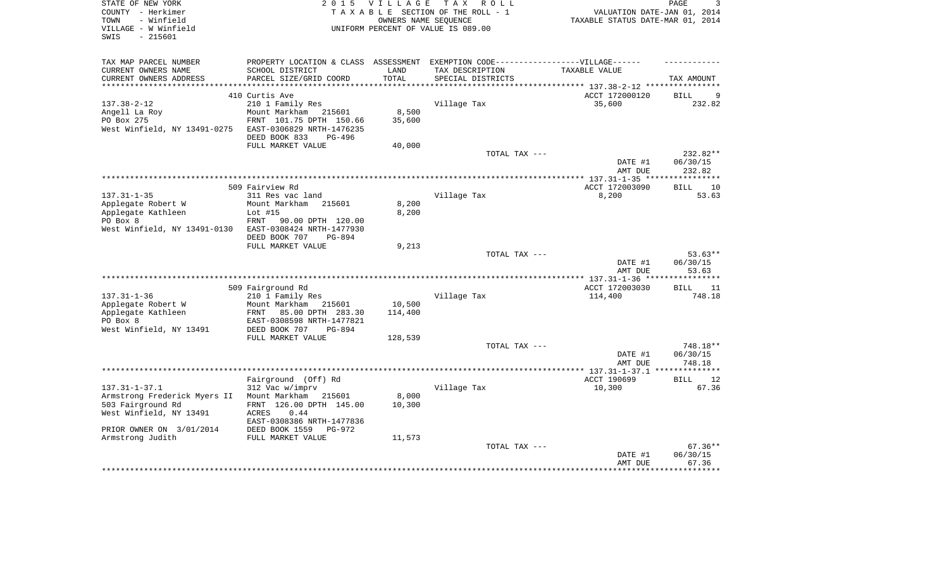| STATE OF NEW YORK<br>COUNTY - Herkimer<br>- Winfield<br>TOWN<br>VILLAGE - W Winfield<br>$-215601$<br>SWIS | T A X<br>2 0 1 5<br><b>VILLAGE</b><br>R O L L<br>TAXABLE SECTION OF THE ROLL - 1<br>OWNERS NAME SEQUENCE<br>UNIFORM PERCENT OF VALUE IS 089.00 |               |                        | PAGE<br>3<br>VALUATION DATE-JAN 01, 2014<br>TAXABLE STATUS DATE-MAR 01, 2014 |                      |  |
|-----------------------------------------------------------------------------------------------------------|------------------------------------------------------------------------------------------------------------------------------------------------|---------------|------------------------|------------------------------------------------------------------------------|----------------------|--|
| TAX MAP PARCEL NUMBER                                                                                     | PROPERTY LOCATION & CLASS ASSESSMENT EXEMPTION CODE-----------------VILLAGE------                                                              |               |                        |                                                                              |                      |  |
| CURRENT OWNERS NAME                                                                                       | SCHOOL DISTRICT                                                                                                                                | LAND<br>TOTAL | TAX DESCRIPTION        | TAXABLE VALUE                                                                |                      |  |
| CURRENT OWNERS ADDRESS                                                                                    | PARCEL SIZE/GRID COORD                                                                                                                         |               | SPECIAL DISTRICTS      |                                                                              | TAX AMOUNT           |  |
|                                                                                                           | 410 Curtis Ave                                                                                                                                 |               |                        | ACCT 172000120                                                               | <b>BILL</b><br>9     |  |
| $137.38 - 2 - 12$                                                                                         | 210 1 Family Res                                                                                                                               |               | Village Tax            | 35,600                                                                       | 232.82               |  |
| Angell La Roy                                                                                             | Mount Markham<br>215601                                                                                                                        | 8,500         |                        |                                                                              |                      |  |
| PO Box 275                                                                                                | FRNT 101.75 DPTH 150.66                                                                                                                        | 35,600        |                        |                                                                              |                      |  |
| West Winfield, NY 13491-0275                                                                              | EAST-0306829 NRTH-1476235                                                                                                                      |               |                        |                                                                              |                      |  |
|                                                                                                           | DEED BOOK 833<br>$PG-496$                                                                                                                      |               |                        |                                                                              |                      |  |
|                                                                                                           | FULL MARKET VALUE                                                                                                                              | 40,000        | TOTAL TAX ---          |                                                                              | 232.82**             |  |
|                                                                                                           |                                                                                                                                                |               |                        | DATE #1                                                                      | 06/30/15             |  |
|                                                                                                           |                                                                                                                                                |               |                        | AMT DUE                                                                      | 232.82               |  |
|                                                                                                           |                                                                                                                                                |               |                        |                                                                              |                      |  |
|                                                                                                           | 509 Fairview Rd                                                                                                                                |               |                        | ACCT 172003090                                                               | <b>BILL</b><br>10    |  |
| $137.31 - 1 - 35$                                                                                         | 311 Res vac land                                                                                                                               |               | Village Tax            | 8,200                                                                        | 53.63                |  |
| Applegate Robert W                                                                                        | Mount Markham<br>215601                                                                                                                        | 8,200         |                        |                                                                              |                      |  |
| Applegate Kathleen<br>PO Box 8                                                                            | Lot $#15$<br><b>FRNT</b><br>90.00 DPTH 120.00                                                                                                  | 8,200         |                        |                                                                              |                      |  |
| West Winfield, NY 13491-0130                                                                              | EAST-0308424 NRTH-1477930                                                                                                                      |               |                        |                                                                              |                      |  |
|                                                                                                           | DEED BOOK 707<br>PG-894                                                                                                                        |               |                        |                                                                              |                      |  |
|                                                                                                           | FULL MARKET VALUE                                                                                                                              | 9,213         |                        |                                                                              |                      |  |
|                                                                                                           |                                                                                                                                                |               | TOTAL TAX ---          |                                                                              | $53.63**$            |  |
|                                                                                                           |                                                                                                                                                |               |                        | DATE #1                                                                      | 06/30/15             |  |
|                                                                                                           |                                                                                                                                                |               |                        | AMT DUE                                                                      | 53.63                |  |
|                                                                                                           | 509 Fairground Rd                                                                                                                              |               |                        | ACCT 172003030                                                               | <b>BILL</b><br>11    |  |
| $137.31 - 1 - 36$                                                                                         | 210 1 Family Res                                                                                                                               |               | Village Tax            | 114,400                                                                      | 748.18               |  |
| Applegate Robert W                                                                                        | Mount Markham<br>215601                                                                                                                        | 10,500        |                        |                                                                              |                      |  |
| Applegate Kathleen                                                                                        | FRNT<br>85.00 DPTH 283.30                                                                                                                      | 114,400       |                        |                                                                              |                      |  |
| PO Box 8                                                                                                  | EAST-0308598 NRTH-1477821                                                                                                                      |               |                        |                                                                              |                      |  |
| West Winfield, NY 13491                                                                                   | DEED BOOK 707<br><b>PG-894</b>                                                                                                                 |               |                        |                                                                              |                      |  |
|                                                                                                           | FULL MARKET VALUE                                                                                                                              | 128,539       |                        |                                                                              |                      |  |
|                                                                                                           |                                                                                                                                                |               | TOTAL TAX ---          | DATE #1                                                                      | 748.18**<br>06/30/15 |  |
|                                                                                                           |                                                                                                                                                |               |                        | AMT DUE                                                                      | 748.18               |  |
|                                                                                                           |                                                                                                                                                |               | ********************** | ** 137.31-1-37.1                                                             |                      |  |
|                                                                                                           | Fairground (Off) Rd                                                                                                                            |               |                        | ACCT 190699                                                                  | <b>BILL</b><br>12    |  |
| $137.31 - 1 - 37.1$                                                                                       | 312 Vac w/imprv                                                                                                                                |               | Village Tax            | 10,300                                                                       | 67.36                |  |
| Armstrong Frederick Myers II                                                                              | Mount Markham<br>215601                                                                                                                        | 8,000         |                        |                                                                              |                      |  |
| 503 Fairground Rd                                                                                         | FRNT 126.00 DPTH 145.00                                                                                                                        | 10,300        |                        |                                                                              |                      |  |
| West Winfield, NY 13491                                                                                   | <b>ACRES</b><br>0.44<br>EAST-0308386 NRTH-1477836                                                                                              |               |                        |                                                                              |                      |  |
| PRIOR OWNER ON 3/01/2014                                                                                  | DEED BOOK 1559<br>PG-972                                                                                                                       |               |                        |                                                                              |                      |  |
| Armstrong Judith                                                                                          | FULL MARKET VALUE                                                                                                                              | 11,573        |                        |                                                                              |                      |  |
|                                                                                                           |                                                                                                                                                |               | TOTAL TAX ---          |                                                                              | $67.36**$            |  |
|                                                                                                           |                                                                                                                                                |               |                        | DATE #1                                                                      | 06/30/15             |  |
|                                                                                                           |                                                                                                                                                |               |                        | AMT DUE                                                                      | 67.36                |  |
|                                                                                                           |                                                                                                                                                |               |                        |                                                                              | *******              |  |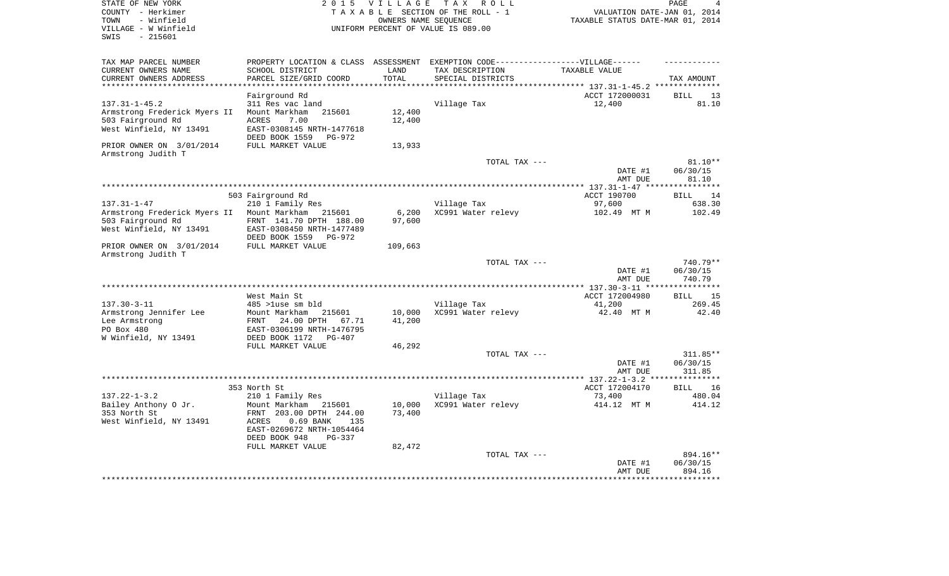| STATE OF NEW YORK<br>COUNTY - Herkimer         | 2 0 1 5                                                 | <b>VILLAGE</b>                   | T A X<br>R O L L<br>TAXABLE SECTION OF THE ROLL - 1                               | VALUATION DATE-JAN 01, 2014 | PAGE<br>4            |
|------------------------------------------------|---------------------------------------------------------|----------------------------------|-----------------------------------------------------------------------------------|-----------------------------|----------------------|
| - Winfield<br>TOWN<br>VILLAGE - W Winfield     | UNIFORM PERCENT OF VALUE IS 089.00                      | TAXABLE STATUS DATE-MAR 01, 2014 |                                                                                   |                             |                      |
| $-215601$<br>SWIS                              |                                                         |                                  |                                                                                   |                             |                      |
| TAX MAP PARCEL NUMBER                          |                                                         |                                  | PROPERTY LOCATION & CLASS ASSESSMENT EXEMPTION CODE-----------------VILLAGE------ |                             |                      |
| CURRENT OWNERS NAME                            | SCHOOL DISTRICT                                         | LAND                             | TAX DESCRIPTION                                                                   | TAXABLE VALUE               |                      |
| CURRENT OWNERS ADDRESS                         | PARCEL SIZE/GRID COORD                                  | TOTAL                            | SPECIAL DISTRICTS                                                                 |                             | TAX AMOUNT           |
|                                                | Fairground Rd                                           |                                  |                                                                                   | ACCT 172000031              | <b>BILL</b><br>13    |
| $137.31 - 1 - 45.2$                            | 311 Res vac land                                        |                                  | Village Tax                                                                       | 12,400                      | 81.10                |
| Armstrong Frederick Myers II                   | Mount Markham<br>215601                                 | 12,400                           |                                                                                   |                             |                      |
| 503 Fairground Rd                              | ACRES<br>7.00                                           | 12,400                           |                                                                                   |                             |                      |
| West Winfield, NY 13491                        | EAST-0308145 NRTH-1477618                               |                                  |                                                                                   |                             |                      |
|                                                | DEED BOOK 1559<br>PG-972                                |                                  |                                                                                   |                             |                      |
| PRIOR OWNER ON 3/01/2014<br>Armstrong Judith T | FULL MARKET VALUE                                       | 13,933                           |                                                                                   |                             |                      |
|                                                |                                                         |                                  | TOTAL TAX ---                                                                     |                             | $81.10**$            |
|                                                |                                                         |                                  |                                                                                   | DATE #1                     | 06/30/15             |
|                                                |                                                         |                                  |                                                                                   | AMT DUE                     | 81.10<br>*********** |
|                                                | 503 Fairground Rd                                       |                                  |                                                                                   | ACCT 190700                 | <b>BILL</b><br>14    |
| $137.31 - 1 - 47$                              | 210 1 Family Res                                        |                                  | Village Tax                                                                       | 97,600                      | 638.30               |
| Armstrong Frederick Myers II                   | Mount Markham 215601                                    | 6,200                            | XC991 Water relevy                                                                | 102.49 MT M                 | 102.49               |
| 503 Fairground Rd                              | FRNT 141.70 DPTH 188.00                                 | 97,600                           |                                                                                   |                             |                      |
| West Winfield, NY 13491                        | EAST-0308450 NRTH-1477489                               |                                  |                                                                                   |                             |                      |
|                                                | DEED BOOK 1559<br>PG-972                                |                                  |                                                                                   |                             |                      |
| PRIOR OWNER ON 3/01/2014                       | FULL MARKET VALUE                                       | 109,663                          |                                                                                   |                             |                      |
| Armstrong Judith T                             |                                                         |                                  | TOTAL TAX ---                                                                     |                             | 740.79**             |
|                                                |                                                         |                                  |                                                                                   | DATE #1                     | 06/30/15             |
|                                                |                                                         |                                  |                                                                                   | AMT DUE                     | 740.79               |
|                                                |                                                         |                                  |                                                                                   |                             |                      |
|                                                | West Main St                                            |                                  |                                                                                   | ACCT 172004980              | <b>BILL</b><br>15    |
| $137.30 - 3 - 11$                              | 485 >luse sm bld                                        |                                  | Village Tax                                                                       | 41,200                      | 269.45               |
| Armstrong Jennifer Lee                         | Mount Markham<br>215601                                 | 10,000                           | XC991 Water relevy                                                                | 42.40 MT M                  | 42.40                |
| Lee Armstrong<br>PO Box 480                    | FRNT<br>24.00 DPTH<br>67.71                             | 41,200                           |                                                                                   |                             |                      |
| W Winfield, NY 13491                           | EAST-0306199 NRTH-1476795<br>DEED BOOK 1172<br>$PG-407$ |                                  |                                                                                   |                             |                      |
|                                                | FULL MARKET VALUE                                       | 46,292                           |                                                                                   |                             |                      |
|                                                |                                                         |                                  | TOTAL TAX ---                                                                     |                             | 311.85**             |
|                                                |                                                         |                                  |                                                                                   | DATE #1                     | 06/30/15             |
|                                                |                                                         |                                  |                                                                                   | AMT DUE                     | 311.85               |
|                                                |                                                         |                                  |                                                                                   |                             |                      |
|                                                | 353 North St                                            |                                  |                                                                                   | ACCT 172004170              | 16<br>BILL           |
| $137.22 - 1 - 3.2$                             | 210 1 Family Res                                        |                                  | Village Tax<br>XC991 Water relevy                                                 | 73,400                      | 480.04<br>414.12     |
| Bailey Anthony O Jr.<br>353 North St           | Mount Markham<br>215601<br>FRNT 203.00 DPTH 244.00      | 10,000<br>73,400                 |                                                                                   | 414.12 MT M                 |                      |
| West Winfield, NY 13491                        | ACRES<br>$0.69$ BANK<br>135                             |                                  |                                                                                   |                             |                      |
|                                                | EAST-0269672 NRTH-1054464                               |                                  |                                                                                   |                             |                      |
|                                                | DEED BOOK 948<br>PG-337                                 |                                  |                                                                                   |                             |                      |
|                                                | FULL MARKET VALUE                                       | 82,472                           |                                                                                   |                             |                      |
|                                                |                                                         |                                  | TOTAL TAX ---                                                                     |                             | 894.16**             |
|                                                |                                                         |                                  |                                                                                   | DATE #1                     | 06/30/15             |
|                                                |                                                         |                                  |                                                                                   | AMT DUE                     | 894.16               |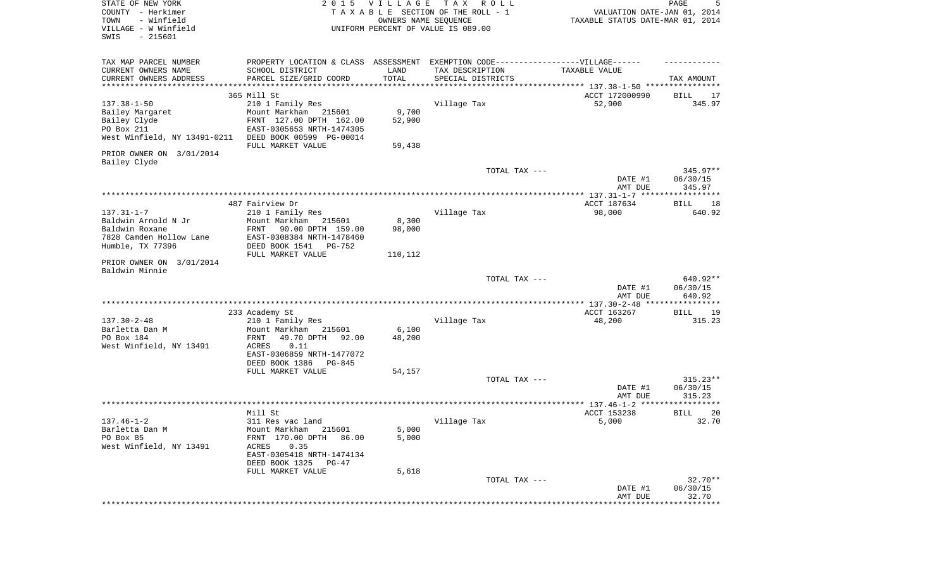| STATE OF NEW YORK<br>COUNTY - Herkimer<br>- Winfield<br>TOWN<br>VILLAGE - W Winfield<br>SWIS<br>$-215601$ | 2 0 1 5                                                                          | VILLAGE<br>OWNERS NAME SEQUENCE | T A X<br>R O L L<br>TAXABLE SECTION OF THE ROLL - 1<br>UNIFORM PERCENT OF VALUE IS 089.00 | VALUATION DATE-JAN 01, 2014<br>TAXABLE STATUS DATE-MAR 01, 2014 | PAGE<br>5            |
|-----------------------------------------------------------------------------------------------------------|----------------------------------------------------------------------------------|---------------------------------|-------------------------------------------------------------------------------------------|-----------------------------------------------------------------|----------------------|
| TAX MAP PARCEL NUMBER                                                                                     | PROPERTY LOCATION & CLASS ASSESSMENT EXEMPTION CODE----------------VILLAGE------ |                                 |                                                                                           |                                                                 |                      |
| CURRENT OWNERS NAME<br>CURRENT OWNERS ADDRESS                                                             | SCHOOL DISTRICT<br>PARCEL SIZE/GRID COORD                                        | LAND<br>TOTAL                   | TAX DESCRIPTION<br>SPECIAL DISTRICTS                                                      | TAXABLE VALUE                                                   | TAX AMOUNT           |
| ************************                                                                                  | *********************************                                                |                                 |                                                                                           |                                                                 |                      |
|                                                                                                           | 365 Mill St                                                                      |                                 |                                                                                           | ACCT 172000990                                                  | BILL<br>17           |
| $137.38 - 1 - 50$                                                                                         | 210 1 Family Res                                                                 |                                 | Village Tax                                                                               | 52,900                                                          | 345.97               |
| Bailey Margaret                                                                                           | Mount Markham 215601                                                             | 9,700                           |                                                                                           |                                                                 |                      |
| Bailey Clyde<br>PO Box 211                                                                                | FRNT 127.00 DPTH 162.00<br>EAST-0305653 NRTH-1474305                             | 52,900                          |                                                                                           |                                                                 |                      |
| West Winfield, NY 13491-0211                                                                              | DEED BOOK 00599 PG-00014                                                         |                                 |                                                                                           |                                                                 |                      |
|                                                                                                           | FULL MARKET VALUE                                                                | 59,438                          |                                                                                           |                                                                 |                      |
| PRIOR OWNER ON 3/01/2014<br>Bailey Clyde                                                                  |                                                                                  |                                 |                                                                                           |                                                                 |                      |
|                                                                                                           |                                                                                  |                                 | TOTAL TAX ---                                                                             |                                                                 | 345.97**             |
|                                                                                                           |                                                                                  |                                 |                                                                                           | DATE #1<br>AMT DUE                                              | 06/30/15<br>345.97   |
|                                                                                                           |                                                                                  |                                 |                                                                                           |                                                                 |                      |
|                                                                                                           | 487 Fairview Dr                                                                  |                                 |                                                                                           | ACCT 187634                                                     | BILL<br>18           |
| $137.31 - 1 - 7$                                                                                          | 210 1 Family Res                                                                 |                                 | Village Tax                                                                               | 98,000                                                          | 640.92               |
| Baldwin Arnold N Jr                                                                                       | Mount Markham<br>215601                                                          | 8,300                           |                                                                                           |                                                                 |                      |
| Baldwin Roxane<br>7828 Camden Hollow Lane                                                                 | FRNT<br>90.00 DPTH 159.00<br>EAST-0308384 NRTH-1478460                           | 98,000                          |                                                                                           |                                                                 |                      |
| Humble, TX 77396                                                                                          | DEED BOOK 1541 PG-752                                                            |                                 |                                                                                           |                                                                 |                      |
|                                                                                                           | FULL MARKET VALUE                                                                | 110,112                         |                                                                                           |                                                                 |                      |
| PRIOR OWNER ON 3/01/2014<br>Baldwin Minnie                                                                |                                                                                  |                                 |                                                                                           |                                                                 |                      |
|                                                                                                           |                                                                                  |                                 | TOTAL TAX ---                                                                             |                                                                 | 640.92**             |
|                                                                                                           |                                                                                  |                                 |                                                                                           | DATE #1<br>AMT DUE                                              | 06/30/15<br>640.92   |
|                                                                                                           |                                                                                  |                                 |                                                                                           |                                                                 |                      |
|                                                                                                           | 233 Academy St                                                                   |                                 |                                                                                           | ACCT 163267                                                     | BILL<br>19           |
| $137.30 - 2 - 48$                                                                                         | 210 1 Family Res                                                                 |                                 | Village Tax                                                                               | 48,200                                                          | 315.23               |
| Barletta Dan M<br>PO Box 184                                                                              | Mount Markham<br>215601<br>FRNT<br>49.70 DPTH<br>92.00                           | 6,100<br>48,200                 |                                                                                           |                                                                 |                      |
| West Winfield, NY 13491                                                                                   | ACRES<br>0.11                                                                    |                                 |                                                                                           |                                                                 |                      |
|                                                                                                           | EAST-0306859 NRTH-1477072                                                        |                                 |                                                                                           |                                                                 |                      |
|                                                                                                           | DEED BOOK 1386<br>PG-845                                                         |                                 |                                                                                           |                                                                 |                      |
|                                                                                                           | FULL MARKET VALUE                                                                | 54,157                          |                                                                                           |                                                                 |                      |
|                                                                                                           |                                                                                  |                                 | TOTAL TAX ---                                                                             | DATE #1                                                         | 315.23**<br>06/30/15 |
|                                                                                                           |                                                                                  |                                 |                                                                                           | AMT DUE                                                         | 315.23               |
|                                                                                                           |                                                                                  |                                 |                                                                                           |                                                                 | ******               |
|                                                                                                           | Mill St                                                                          |                                 |                                                                                           | ACCT 153238                                                     | 20<br>BILL           |
| $137.46 - 1 - 2$<br>Barletta Dan M                                                                        | 311 Res vac land                                                                 |                                 | Village Tax                                                                               | 5,000                                                           | 32.70                |
| PO Box 85                                                                                                 | Mount Markham 215601<br>FRNT 170.00 DPTH<br>86.00                                | 5,000<br>5,000                  |                                                                                           |                                                                 |                      |
| West Winfield, NY 13491                                                                                   | 0.35<br>ACRES                                                                    |                                 |                                                                                           |                                                                 |                      |
|                                                                                                           | EAST-0305418 NRTH-1474134                                                        |                                 |                                                                                           |                                                                 |                      |
|                                                                                                           | DEED BOOK 1325 PG-47                                                             |                                 |                                                                                           |                                                                 |                      |
|                                                                                                           | FULL MARKET VALUE                                                                | 5,618                           | TOTAL TAX ---                                                                             |                                                                 | $32.70**$            |
|                                                                                                           |                                                                                  |                                 |                                                                                           | DATE #1                                                         | 06/30/15             |
|                                                                                                           |                                                                                  |                                 |                                                                                           | AMT DUE                                                         | 32.70                |
|                                                                                                           |                                                                                  |                                 |                                                                                           |                                                                 | ***********          |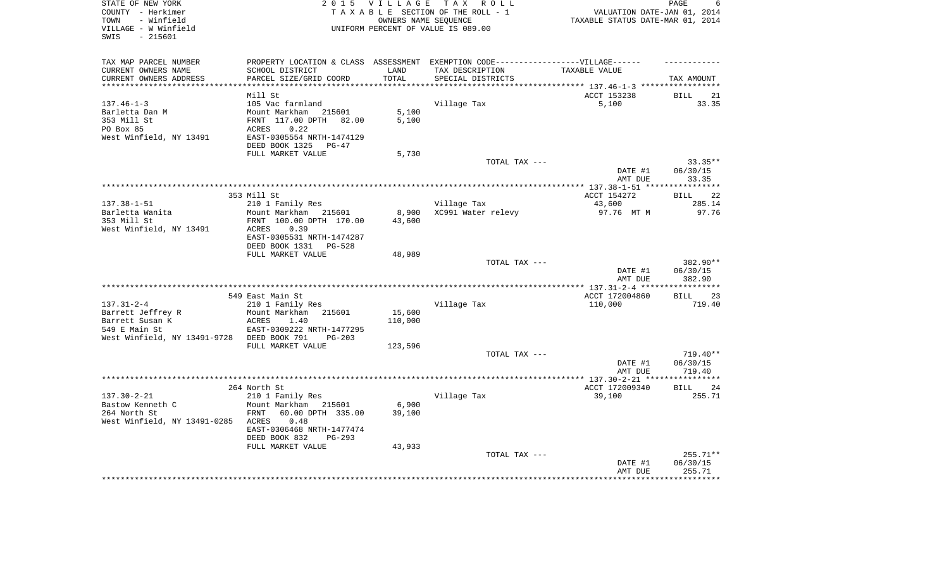| STATE OF NEW YORK<br>COUNTY - Herkimer     |                                                                                   |             | 2015 VILLAGE TAX ROLL<br>TAXABLE SECTION OF THE ROLL - 1 | VALUATION DATE-JAN 01, 2014                                       | PAGE<br>6         |
|--------------------------------------------|-----------------------------------------------------------------------------------|-------------|----------------------------------------------------------|-------------------------------------------------------------------|-------------------|
| TOWN<br>- Winfield                         |                                                                                   |             | OWNERS NAME SEQUENCE                                     | TAXABLE STATUS DATE-MAR 01, 2014                                  |                   |
| VILLAGE - W Winfield<br>SWIS<br>- 215601   |                                                                                   |             | UNIFORM PERCENT OF VALUE IS 089.00                       |                                                                   |                   |
| TAX MAP PARCEL NUMBER                      | PROPERTY LOCATION & CLASS ASSESSMENT EXEMPTION CODE-----------------VILLAGE------ |             |                                                          |                                                                   |                   |
| CURRENT OWNERS NAME                        | SCHOOL DISTRICT                                                                   | LAND        | TAX DESCRIPTION                                          | TAXABLE VALUE                                                     |                   |
| CURRENT OWNERS ADDRESS                     | PARCEL SIZE/GRID COORD                                                            | TOTAL       | SPECIAL DISTRICTS                                        |                                                                   | TAX AMOUNT        |
|                                            |                                                                                   | *********** |                                                          | ************************************ 137.46-1-3 ***************** |                   |
|                                            | Mill St                                                                           |             |                                                          | ACCT 153238                                                       | <b>BILL</b><br>21 |
| $137.46 - 1 - 3$<br>Barletta Dan M         | 105 Vac farmland<br>Mount Markham 215601                                          | 5,100       | Village Tax                                              | 5,100                                                             | 33.35             |
| 353 Mill St                                | FRNT 117.00 DPTH 82.00                                                            | 5,100       |                                                          |                                                                   |                   |
| PO Box 85                                  | 0.22<br>ACRES                                                                     |             |                                                          |                                                                   |                   |
| West Winfield, NY 13491                    | EAST-0305554 NRTH-1474129                                                         |             |                                                          |                                                                   |                   |
|                                            | DEED BOOK 1325<br>PG-47                                                           |             |                                                          |                                                                   |                   |
|                                            | FULL MARKET VALUE                                                                 | 5,730       |                                                          |                                                                   |                   |
|                                            |                                                                                   |             | TOTAL TAX ---                                            |                                                                   | $33.35**$         |
|                                            |                                                                                   |             |                                                          | DATE #1                                                           | 06/30/15          |
|                                            |                                                                                   |             |                                                          | AMT DUE                                                           | 33.35             |
|                                            | 353 Mill St                                                                       |             |                                                          | ACCT 154272                                                       | BILL 22           |
| $137.38 - 1 - 51$                          | 210 1 Family Res                                                                  |             | Village Tax                                              | 43,600                                                            | 285.14            |
| Barletta Wanita                            | Mount Markham 215601                                                              | 8,900       | XC991 Water relevy                                       | 97.76 MT M                                                        | 97.76             |
| 353 Mill St                                | FRNT 100.00 DPTH 170.00                                                           | 43,600      |                                                          |                                                                   |                   |
| West Winfield, NY 13491                    | ACRES<br>0.39                                                                     |             |                                                          |                                                                   |                   |
|                                            | EAST-0305531 NRTH-1474287                                                         |             |                                                          |                                                                   |                   |
|                                            | DEED BOOK 1331 PG-528                                                             |             |                                                          |                                                                   |                   |
|                                            | FULL MARKET VALUE                                                                 | 48,989      | TOTAL TAX ---                                            |                                                                   | 382.90**          |
|                                            |                                                                                   |             |                                                          | DATE #1                                                           | 06/30/15          |
|                                            |                                                                                   |             |                                                          | AMT DUE                                                           | 382.90            |
|                                            |                                                                                   |             |                                                          |                                                                   |                   |
|                                            | 549 East Main St                                                                  |             |                                                          | ACCT 172004860                                                    | BILL 23           |
| $137.31 - 2 - 4$                           | 210 1 Family Res                                                                  |             | Village Tax                                              | 110,000                                                           | 719.40            |
| Barrett Jeffrey R                          | Mount Markham 215601                                                              | 15,600      |                                                          |                                                                   |                   |
| Barrett Susan K<br>549 E Main St           | <b>ACRES</b><br>1.40<br>EAST-0309222 NRTH-1477295                                 | 110,000     |                                                          |                                                                   |                   |
| West Winfield, NY 13491-9728 DEED BOOK 791 | $PG-203$                                                                          |             |                                                          |                                                                   |                   |
|                                            | FULL MARKET VALUE                                                                 | 123,596     |                                                          |                                                                   |                   |
|                                            |                                                                                   |             | TOTAL TAX ---                                            |                                                                   | 719.40**          |
|                                            |                                                                                   |             |                                                          | DATE #1                                                           | 06/30/15          |
|                                            |                                                                                   |             |                                                          | AMT DUE                                                           | 719.40            |
|                                            |                                                                                   |             |                                                          |                                                                   |                   |
| $137.30 - 2 - 21$                          | 264 North St                                                                      |             |                                                          | ACCT 172009340                                                    | BILL 24           |
| Bastow Kenneth C                           | 210 1 Family Res<br>Mount Markham 215601                                          | 6,900       | Village Tax                                              | 39,100                                                            | 255.71            |
| 264 North St                               | FRNT<br>60.00 DPTH 335.00                                                         | 39,100      |                                                          |                                                                   |                   |
| West Winfield, NY 13491-0285 ACRES         | 0.48                                                                              |             |                                                          |                                                                   |                   |
|                                            | EAST-0306468 NRTH-1477474                                                         |             |                                                          |                                                                   |                   |
|                                            | DEED BOOK 832<br>PG-293                                                           |             |                                                          |                                                                   |                   |
|                                            | FULL MARKET VALUE                                                                 | 43,933      |                                                          |                                                                   |                   |
|                                            |                                                                                   |             | TOTAL TAX ---                                            |                                                                   | 255.71**          |
|                                            |                                                                                   |             |                                                          | DATE #1                                                           | 06/30/15          |
|                                            |                                                                                   |             |                                                          | AMT DUE                                                           | 255.71            |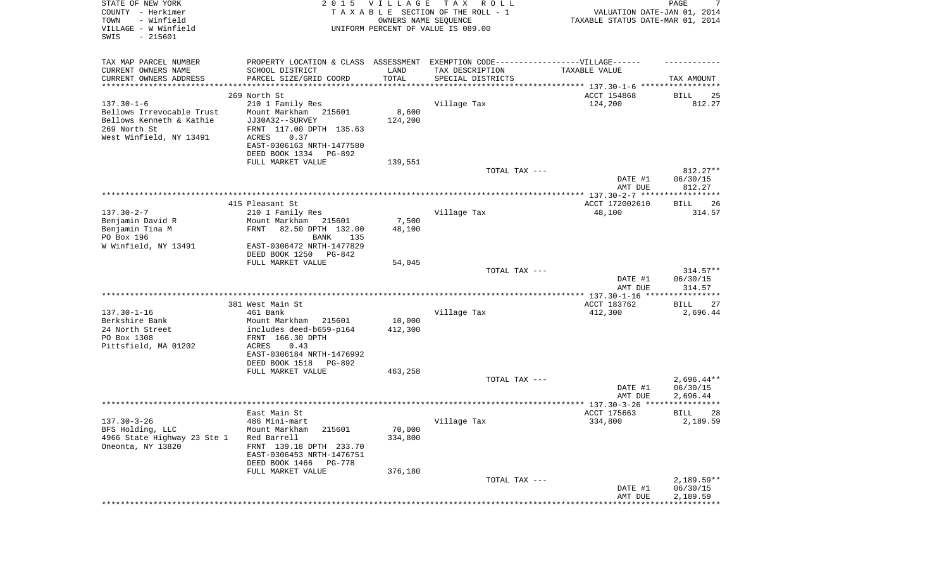| STATE OF NEW YORK<br>COUNTY - Herkimer<br>TOWN<br>- Winfield<br>VILLAGE - W Winfield<br>SWIS<br>$-215601$ |                                                                                   | 2015 VILLAGE<br>OWNERS NAME SEQUENCE | T A X<br>R O L L<br>TAXABLE SECTION OF THE ROLL - 1<br>UNIFORM PERCENT OF VALUE IS 089.00 | VALUATION DATE-JAN 01, 2014<br>TAXABLE STATUS DATE-MAR 01, 2014    | PAGE<br>7                |
|-----------------------------------------------------------------------------------------------------------|-----------------------------------------------------------------------------------|--------------------------------------|-------------------------------------------------------------------------------------------|--------------------------------------------------------------------|--------------------------|
| TAX MAP PARCEL NUMBER                                                                                     | PROPERTY LOCATION & CLASS ASSESSMENT EXEMPTION CODE-----------------VILLAGE------ |                                      |                                                                                           |                                                                    |                          |
| CURRENT OWNERS NAME                                                                                       | SCHOOL DISTRICT                                                                   | LAND                                 | TAX DESCRIPTION                                                                           | TAXABLE VALUE                                                      |                          |
| CURRENT OWNERS ADDRESS<br>**********************                                                          | PARCEL SIZE/GRID COORD                                                            | TOTAL<br>* * * * * * * * * * *       | SPECIAL DISTRICTS                                                                         | ************************************* 137.30-1-6 ***************** | TAX AMOUNT               |
|                                                                                                           | 269 North St                                                                      |                                      |                                                                                           | ACCT 154868                                                        | 25<br>BILL               |
| $137.30 - 1 - 6$                                                                                          | 210 1 Family Res                                                                  |                                      | Village Tax                                                                               | 124,200                                                            | 812.27                   |
| Bellows Irrevocable Trust                                                                                 | Mount Markham<br>215601                                                           | 8,600                                |                                                                                           |                                                                    |                          |
| Bellows Kenneth & Kathie                                                                                  | JJ30A32--SURVEY                                                                   | 124,200                              |                                                                                           |                                                                    |                          |
| 269 North St                                                                                              | FRNT 117.00 DPTH 135.63                                                           |                                      |                                                                                           |                                                                    |                          |
| West Winfield, NY 13491                                                                                   | 0.37<br>ACRES                                                                     |                                      |                                                                                           |                                                                    |                          |
|                                                                                                           | EAST-0306163 NRTH-1477580                                                         |                                      |                                                                                           |                                                                    |                          |
|                                                                                                           | DEED BOOK 1334<br>PG-892<br>FULL MARKET VALUE                                     | 139,551                              |                                                                                           |                                                                    |                          |
|                                                                                                           |                                                                                   |                                      | TOTAL TAX ---                                                                             |                                                                    | 812.27**                 |
|                                                                                                           |                                                                                   |                                      |                                                                                           | DATE #1                                                            | 06/30/15                 |
|                                                                                                           |                                                                                   |                                      |                                                                                           | AMT DUE                                                            | 812.27                   |
|                                                                                                           |                                                                                   |                                      |                                                                                           |                                                                    |                          |
|                                                                                                           | 415 Pleasant St                                                                   |                                      |                                                                                           | ACCT 172002610                                                     | BILL<br>26               |
| $137.30 - 2 - 7$<br>Benjamin David R                                                                      | 210 1 Family Res<br>Mount Markham<br>215601                                       | 7,500                                | Village Tax                                                                               | 48,100                                                             | 314.57                   |
| Benjamin Tina M                                                                                           | 82.50 DPTH 132.00<br>FRNT                                                         | 48,100                               |                                                                                           |                                                                    |                          |
| PO Box 196                                                                                                | 135<br>BANK                                                                       |                                      |                                                                                           |                                                                    |                          |
| W Winfield, NY 13491                                                                                      | EAST-0306472 NRTH-1477829                                                         |                                      |                                                                                           |                                                                    |                          |
|                                                                                                           | DEED BOOK 1250<br>PG-842                                                          |                                      |                                                                                           |                                                                    |                          |
|                                                                                                           | FULL MARKET VALUE                                                                 | 54,045                               |                                                                                           |                                                                    |                          |
|                                                                                                           |                                                                                   |                                      | TOTAL TAX ---                                                                             | DATE #1                                                            | $314.57**$<br>06/30/15   |
|                                                                                                           |                                                                                   |                                      |                                                                                           | AMT DUE                                                            | 314.57                   |
|                                                                                                           |                                                                                   |                                      |                                                                                           | ************* 137.30-1-16 *****************                        |                          |
|                                                                                                           | 381 West Main St                                                                  |                                      |                                                                                           | ACCT 183762                                                        | BILL<br>27               |
| $137.30 - 1 - 16$                                                                                         | 461 Bank                                                                          |                                      | Village Tax                                                                               | 412,300                                                            | 2,696.44                 |
| Berkshire Bank<br>24 North Street                                                                         | Mount Markham<br>215601<br>includes deed-b659-p164                                | 10,000<br>412,300                    |                                                                                           |                                                                    |                          |
| PO Box 1308                                                                                               | FRNT 166.30 DPTH                                                                  |                                      |                                                                                           |                                                                    |                          |
| Pittsfield, MA 01202                                                                                      | ACRES<br>0.43                                                                     |                                      |                                                                                           |                                                                    |                          |
|                                                                                                           | EAST-0306184 NRTH-1476992                                                         |                                      |                                                                                           |                                                                    |                          |
|                                                                                                           | DEED BOOK 1518<br>PG-892                                                          |                                      |                                                                                           |                                                                    |                          |
|                                                                                                           | FULL MARKET VALUE                                                                 | 463,258                              |                                                                                           |                                                                    |                          |
|                                                                                                           |                                                                                   |                                      | TOTAL TAX ---                                                                             | DATE #1                                                            | $2,696.44**$<br>06/30/15 |
|                                                                                                           |                                                                                   |                                      |                                                                                           | AMT DUE                                                            | 2,696.44                 |
|                                                                                                           |                                                                                   |                                      |                                                                                           |                                                                    |                          |
|                                                                                                           | East Main St                                                                      |                                      |                                                                                           | ACCT 175663                                                        | 28<br>BILL               |
| $137.30 - 3 - 26$                                                                                         | 486 Mini-mart                                                                     |                                      | Village Tax                                                                               | 334,800                                                            | 2,189.59                 |
| BFS Holding, LLC                                                                                          | Mount Markham<br>215601                                                           | 70,000                               |                                                                                           |                                                                    |                          |
| 4966 State Highway 23 Ste 1                                                                               | Red Barrell                                                                       | 334,800                              |                                                                                           |                                                                    |                          |
| Oneonta, NY 13820                                                                                         | FRNT 139.18 DPTH 233.70<br>EAST-0306453 NRTH-1476751                              |                                      |                                                                                           |                                                                    |                          |
|                                                                                                           | DEED BOOK 1466<br>PG-778                                                          |                                      |                                                                                           |                                                                    |                          |
|                                                                                                           | FULL MARKET VALUE                                                                 | 376,180                              |                                                                                           |                                                                    |                          |
|                                                                                                           |                                                                                   |                                      | TOTAL TAX ---                                                                             |                                                                    | $2,189.59**$             |
|                                                                                                           |                                                                                   |                                      |                                                                                           | DATE #1                                                            | 06/30/15                 |
|                                                                                                           |                                                                                   |                                      |                                                                                           | AMT DUE                                                            | 2,189.59                 |
|                                                                                                           |                                                                                   |                                      |                                                                                           |                                                                    |                          |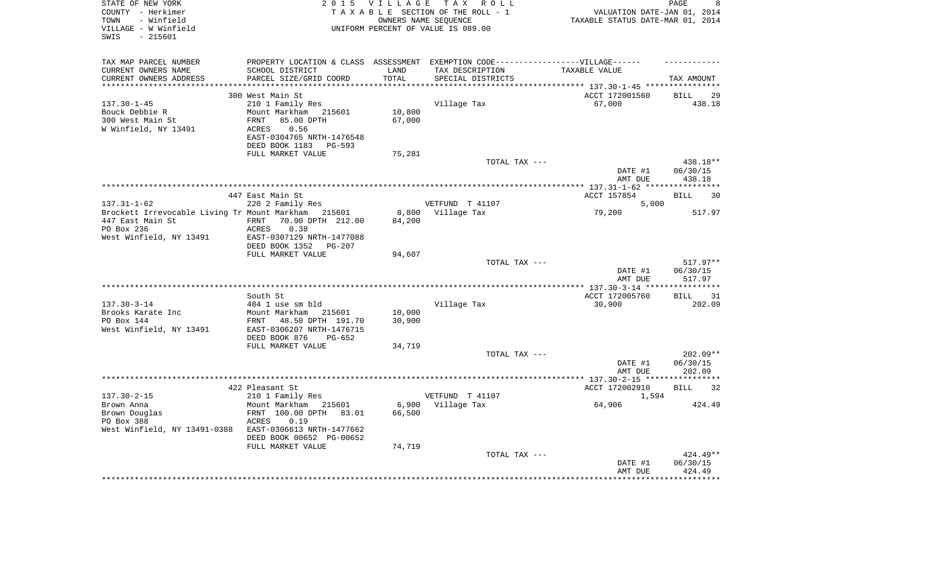| STATE OF NEW YORK<br>COUNTY - Herkimer<br>- Winfield<br>TOWN<br>VILLAGE - W Winfield<br>$-215601$<br>SWIS        | 2 0 1 5                                                                                                                                                                        |                            | VILLAGE TAX ROLL<br>TAXABLE SECTION OF THE ROLL - 1<br>OWNERS NAME SEOUENCE<br>UNIFORM PERCENT OF VALUE IS 089.00        | VALUATION DATE-JAN 01, 2014<br>TAXABLE STATUS DATE-MAR 01, 2014 | PAGE<br>8                        |
|------------------------------------------------------------------------------------------------------------------|--------------------------------------------------------------------------------------------------------------------------------------------------------------------------------|----------------------------|--------------------------------------------------------------------------------------------------------------------------|-----------------------------------------------------------------|----------------------------------|
| TAX MAP PARCEL NUMBER<br>CURRENT OWNERS NAME<br>CURRENT OWNERS ADDRESS                                           | SCHOOL DISTRICT<br>PARCEL SIZE/GRID COORD                                                                                                                                      | LAND<br>TOTAL<br>******    | PROPERTY LOCATION & CLASS ASSESSMENT EXEMPTION CODE----------------VILLAGE------<br>TAX DESCRIPTION<br>SPECIAL DISTRICTS | TAXABLE VALUE<br>********** 137.30-1-45 *****************       | TAX AMOUNT                       |
| $137.30 - 1 - 45$<br>Bouck Debbie R<br>300 West Main St<br>W Winfield, NY 13491                                  | 300 West Main St<br>210 1 Family Res<br>Mount Markham 215601<br>85.00 DPTH<br>FRNT<br>ACRES<br>0.56<br>EAST-0304765 NRTH-1476548<br>DEED BOOK 1183 PG-593<br>FULL MARKET VALUE | 10,800<br>67,000<br>75,281 | Village Tax                                                                                                              | ACCT 172001560<br>67,000                                        | <b>BILL</b><br>29<br>438.18      |
|                                                                                                                  |                                                                                                                                                                                |                            | TOTAL TAX ---                                                                                                            | DATE #1<br>AMT DUE                                              | 438.18**<br>06/30/15<br>438.18   |
|                                                                                                                  |                                                                                                                                                                                |                            | **************************************                                                                                   | ************** 137.31-1-62 **                                   | ***********                      |
| $137.31 - 1 - 62$                                                                                                | 447 East Main St<br>220 2 Family Res                                                                                                                                           |                            | VETFUND T 41107                                                                                                          | ACCT 157854<br>5,000                                            | BILL<br>30                       |
| Brockett Irrevocable Living Tr Mount Markham 215601<br>447 East Main St<br>PO Box 236<br>West Winfield, NY 13491 | 70.90 DPTH 212.00<br>FRNT<br>ACRES<br>0.38<br>EAST-0307129 NRTH-1477088<br>DEED BOOK 1352 PG-207                                                                               | 8,800<br>84,200            | Village Tax                                                                                                              | 79,200                                                          | 517.97                           |
|                                                                                                                  | FULL MARKET VALUE                                                                                                                                                              | 94,607                     |                                                                                                                          |                                                                 |                                  |
|                                                                                                                  |                                                                                                                                                                                |                            | TOTAL TAX ---                                                                                                            | DATE #1<br>AMT DUE                                              | $517.97**$<br>06/30/15<br>517.97 |
|                                                                                                                  | South St                                                                                                                                                                       |                            |                                                                                                                          | ACCT 172005760                                                  | <b>BILL</b><br>31                |
| $137.30 - 3 - 14$                                                                                                | 484 1 use sm bld                                                                                                                                                               |                            | Village Tax                                                                                                              | 30,900                                                          | 202.09                           |
| Brooks Karate Inc<br>PO Box 144<br>West Winfield, NY 13491                                                       | Mount Markham 215601<br>FRNT<br>48.50 DPTH 191.70<br>EAST-0306207 NRTH-1476715<br>DEED BOOK 876<br>PG-652                                                                      | 10,000<br>30,900           |                                                                                                                          |                                                                 |                                  |
|                                                                                                                  | FULL MARKET VALUE                                                                                                                                                              | 34,719                     |                                                                                                                          |                                                                 |                                  |
|                                                                                                                  |                                                                                                                                                                                |                            | TOTAL TAX ---<br>************************                                                                                | DATE #1<br>AMT DUE                                              | $202.09**$<br>06/30/15<br>202.09 |
|                                                                                                                  | 422 Pleasant St                                                                                                                                                                |                            |                                                                                                                          | *********** 137.30-2-15 *****************<br>ACCT 172002910     | <b>BILL</b><br>32                |
| $137.30 - 2 - 15$<br>Brown Anna<br>Brown Douglas<br>PO Box 388<br>West Winfield, NY 13491-0388                   | 210 1 Family Res<br>Mount Markham 215601<br>FRNT 100.00 DPTH 83.01<br>ACRES<br>0.19<br>EAST-0306613 NRTH-1477662<br>DEED BOOK 00652 PG-00652                                   | 66,500                     | VETFUND T 41107<br>6,900 Village Tax                                                                                     | 1,594<br>64,906                                                 | 424.49                           |
|                                                                                                                  | FULL MARKET VALUE                                                                                                                                                              | 74,719                     | TOTAL TAX ---                                                                                                            |                                                                 | $424.49**$                       |
|                                                                                                                  |                                                                                                                                                                                |                            |                                                                                                                          | DATE #1<br>AMT DUE                                              | 06/30/15<br>424.49               |
|                                                                                                                  |                                                                                                                                                                                |                            |                                                                                                                          |                                                                 |                                  |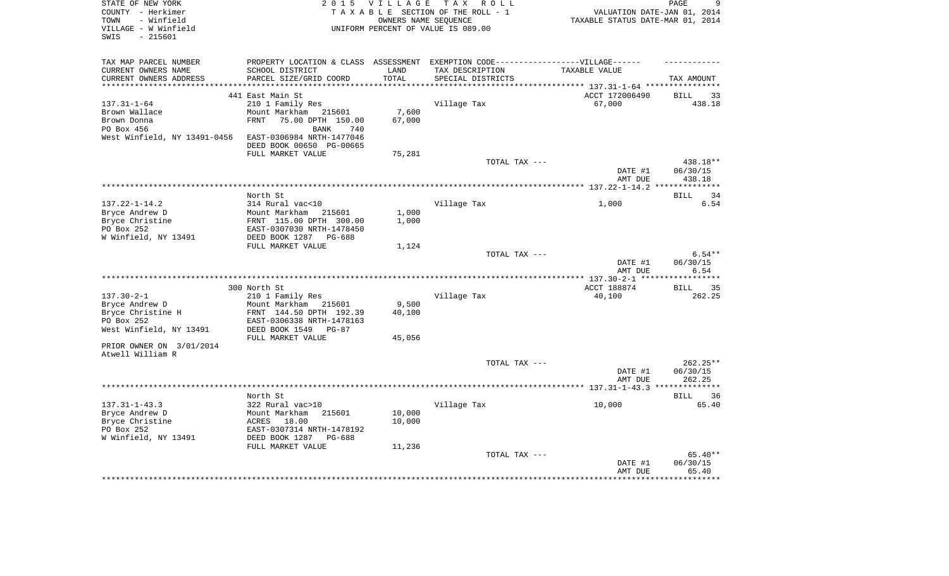| STATE OF NEW YORK                                | 2 0 1 5                                  | <b>VILLAGE</b>        | T A X<br>R O L L                              |                                  | PAGE<br>9                   |
|--------------------------------------------------|------------------------------------------|-----------------------|-----------------------------------------------|----------------------------------|-----------------------------|
| COUNTY - Herkimer                                |                                          |                       | TAXABLE SECTION OF THE ROLL - 1               | VALUATION DATE-JAN 01, 2014      |                             |
| TOWN<br>- Winfield                               |                                          |                       | OWNERS NAME SEQUENCE                          | TAXABLE STATUS DATE-MAR 01, 2014 |                             |
| VILLAGE - W Winfield                             |                                          |                       | UNIFORM PERCENT OF VALUE IS 089.00            |                                  |                             |
| SWIS<br>$-215601$                                |                                          |                       |                                               |                                  |                             |
|                                                  |                                          |                       |                                               |                                  |                             |
| TAX MAP PARCEL NUMBER                            | PROPERTY LOCATION & CLASS ASSESSMENT     |                       | EXEMPTION CODE------------------VILLAGE------ |                                  |                             |
| CURRENT OWNERS NAME                              | SCHOOL DISTRICT                          | LAND                  | TAX DESCRIPTION                               | TAXABLE VALUE                    |                             |
| CURRENT OWNERS ADDRESS<br>********************** | PARCEL SIZE/GRID COORD                   | TOTAL<br>************ | SPECIAL DISTRICTS                             |                                  | TAX AMOUNT                  |
|                                                  |                                          |                       |                                               |                                  |                             |
|                                                  | 441 East Main St                         |                       |                                               | ACCT 172006490                   | <b>BILL</b><br>33           |
| $137.31 - 1 - 64$                                | 210 1 Family Res<br>Mount Markham 215601 | 7,600                 | Village Tax                                   | 67,000                           | 438.18                      |
| Brown Wallace<br>Brown Donna                     | 75.00 DPTH 150.00<br><b>FRNT</b>         | 67,000                |                                               |                                  |                             |
| PO Box 456                                       | BANK<br>740                              |                       |                                               |                                  |                             |
| West Winfield, NY 13491-0456                     | EAST-0306984 NRTH-1477046                |                       |                                               |                                  |                             |
|                                                  | DEED BOOK 00650 PG-00665                 |                       |                                               |                                  |                             |
|                                                  | FULL MARKET VALUE                        | 75,281                |                                               |                                  |                             |
|                                                  |                                          |                       | TOTAL TAX ---                                 |                                  | 438.18**                    |
|                                                  |                                          |                       |                                               | DATE #1                          | 06/30/15                    |
|                                                  |                                          |                       |                                               | AMT DUE                          | 438.18                      |
|                                                  |                                          |                       |                                               |                                  |                             |
|                                                  | North St                                 |                       |                                               |                                  | 34<br><b>BILL</b>           |
| $137.22 - 1 - 14.2$                              | 314 Rural vac<10                         |                       | Village Tax                                   | 1,000                            | 6.54                        |
| Bryce Andrew D                                   | Mount Markham<br>215601                  | 1,000                 |                                               |                                  |                             |
| Bryce Christine                                  | FRNT 115.00 DPTH 300.00                  | 1,000                 |                                               |                                  |                             |
| PO Box 252                                       | EAST-0307030 NRTH-1478450                |                       |                                               |                                  |                             |
| W Winfield, NY 13491                             | DEED BOOK 1287<br>PG-688                 |                       |                                               |                                  |                             |
|                                                  | FULL MARKET VALUE                        | 1,124                 |                                               |                                  |                             |
|                                                  |                                          |                       | TOTAL TAX ---                                 |                                  | $6.54**$                    |
|                                                  |                                          |                       |                                               | DATE #1                          | 06/30/15                    |
|                                                  |                                          |                       |                                               | AMT DUE                          | 6.54                        |
|                                                  |                                          |                       |                                               |                                  |                             |
| $137.30 - 2 - 1$                                 | 300 North St<br>210 1 Family Res         |                       | Village Tax                                   | ACCT 188874<br>40,100            | <b>BILL</b><br>35<br>262.25 |
| Bryce Andrew D                                   | Mount Markham 215601                     | 9,500                 |                                               |                                  |                             |
| Bryce Christine H                                | FRNT 144.50 DPTH 192.39                  | 40,100                |                                               |                                  |                             |
| PO Box 252                                       | EAST-0306338 NRTH-1478163                |                       |                                               |                                  |                             |
| West Winfield, NY 13491                          | DEED BOOK 1549<br>PG-87                  |                       |                                               |                                  |                             |
|                                                  | FULL MARKET VALUE                        | 45,056                |                                               |                                  |                             |
| PRIOR OWNER ON 3/01/2014                         |                                          |                       |                                               |                                  |                             |
| Atwell William R                                 |                                          |                       |                                               |                                  |                             |
|                                                  |                                          |                       | TOTAL TAX ---                                 |                                  | 262.25**                    |
|                                                  |                                          |                       |                                               | DATE #1                          | 06/30/15                    |
|                                                  |                                          |                       |                                               | AMT DUE                          | 262.25                      |
|                                                  |                                          |                       |                                               |                                  | **********                  |
|                                                  | North St                                 |                       |                                               |                                  | 36<br>BILL                  |
| $137.31 - 1 - 43.3$                              | 322 Rural vac>10                         |                       | Village Tax                                   | 10,000                           | 65.40                       |
| Bryce Andrew D                                   | Mount Markham<br>215601                  | 10,000                |                                               |                                  |                             |
| Bryce Christine                                  | 18.00<br>ACRES                           | 10,000                |                                               |                                  |                             |
| PO Box 252                                       | EAST-0307314 NRTH-1478192                |                       |                                               |                                  |                             |
| W Winfield, NY 13491                             | DEED BOOK 1287<br>PG-688                 |                       |                                               |                                  |                             |
|                                                  | FULL MARKET VALUE                        | 11,236                | TOTAL TAX ---                                 |                                  | 65.40**                     |
|                                                  |                                          |                       |                                               | DATE #1                          | 06/30/15                    |
|                                                  |                                          |                       |                                               | AMT DUE                          | 65.40                       |
|                                                  |                                          |                       |                                               |                                  | ********                    |
|                                                  |                                          |                       |                                               |                                  |                             |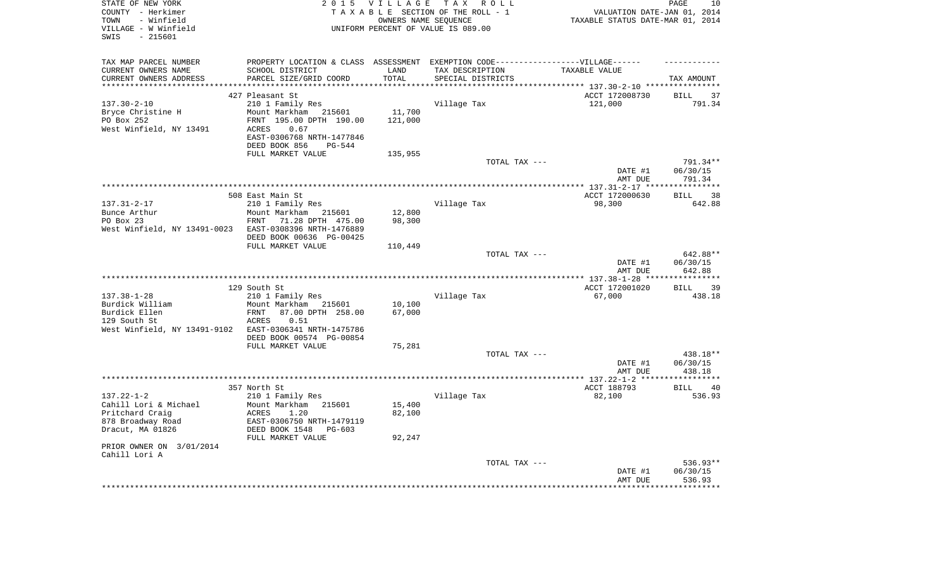| STATE OF NEW YORK<br>COUNTY - Herkimer<br>- Winfield<br>TOWN<br>VILLAGE - W Winfield<br>$-215601$<br>SWIS | 2 0 1 5                                               | <b>VILLAGE</b>     | TAX ROLL<br>TAXABLE SECTION OF THE ROLL - 1<br>OWNERS NAME SEQUENCE<br>UNIFORM PERCENT OF VALUE IS 089.00 | VALUATION DATE-JAN 01, 2014<br>TAXABLE STATUS DATE-MAR 01, 2014 | PAGE<br>10           |
|-----------------------------------------------------------------------------------------------------------|-------------------------------------------------------|--------------------|-----------------------------------------------------------------------------------------------------------|-----------------------------------------------------------------|----------------------|
| TAX MAP PARCEL NUMBER                                                                                     |                                                       |                    | PROPERTY LOCATION & CLASS ASSESSMENT EXEMPTION CODE-----------------VILLAGE------                         |                                                                 |                      |
| CURRENT OWNERS NAME                                                                                       | SCHOOL DISTRICT                                       | LAND               | TAX DESCRIPTION                                                                                           | TAXABLE VALUE                                                   |                      |
| CURRENT OWNERS ADDRESS<br>*********************                                                           | PARCEL SIZE/GRID COORD<br>*************************** | TOTAL<br>********* | SPECIAL DISTRICTS                                                                                         |                                                                 | TAX AMOUNT           |
|                                                                                                           | 427 Pleasant St                                       |                    | ************************************** 137.30-2-10 *****************                                      | ACCT 172008730                                                  | <b>BILL</b><br>37    |
| $137.30 - 2 - 10$                                                                                         | 210 1 Family Res                                      |                    | Village Tax                                                                                               | 121,000                                                         | 791.34               |
| Bryce Christine H                                                                                         | Mount Markham<br>215601                               | 11,700             |                                                                                                           |                                                                 |                      |
| PO Box 252                                                                                                | FRNT 195.00 DPTH 190.00                               | 121,000            |                                                                                                           |                                                                 |                      |
| West Winfield, NY 13491                                                                                   | 0.67<br>ACRES                                         |                    |                                                                                                           |                                                                 |                      |
|                                                                                                           | EAST-0306768 NRTH-1477846                             |                    |                                                                                                           |                                                                 |                      |
|                                                                                                           | DEED BOOK 856<br>$PG-544$                             |                    |                                                                                                           |                                                                 |                      |
|                                                                                                           | FULL MARKET VALUE                                     | 135,955            |                                                                                                           |                                                                 |                      |
|                                                                                                           |                                                       |                    | TOTAL TAX ---                                                                                             |                                                                 | 791.34**             |
|                                                                                                           |                                                       |                    |                                                                                                           | DATE #1                                                         | 06/30/15             |
|                                                                                                           |                                                       |                    |                                                                                                           | AMT DUE                                                         | 791.34               |
|                                                                                                           |                                                       |                    |                                                                                                           | ************ 137.31-2-17 *****************                      |                      |
|                                                                                                           | 508 East Main St                                      |                    |                                                                                                           | ACCT 172000630                                                  | 38<br><b>BILL</b>    |
| $137.31 - 2 - 17$<br>Bunce Arthur                                                                         | 210 1 Family Res<br>Mount Markham                     | 12,800             | Village Tax                                                                                               | 98,300                                                          | 642.88               |
| PO Box 23                                                                                                 | 215601<br>71.28 DPTH 475.00<br>FRNT                   | 98,300             |                                                                                                           |                                                                 |                      |
| West Winfield, NY 13491-0023                                                                              | EAST-0308396 NRTH-1476889                             |                    |                                                                                                           |                                                                 |                      |
|                                                                                                           | DEED BOOK 00636 PG-00425                              |                    |                                                                                                           |                                                                 |                      |
|                                                                                                           | FULL MARKET VALUE                                     | 110,449            |                                                                                                           |                                                                 |                      |
|                                                                                                           |                                                       |                    | TOTAL TAX ---                                                                                             |                                                                 | 642.88**             |
|                                                                                                           |                                                       |                    |                                                                                                           | DATE #1                                                         | 06/30/15             |
|                                                                                                           |                                                       |                    |                                                                                                           | AMT DUE                                                         | 642.88               |
|                                                                                                           |                                                       |                    |                                                                                                           | ************ 137.38-1-28 ****                                   | ************         |
|                                                                                                           | 129 South St                                          |                    |                                                                                                           | ACCT 172001020                                                  | 39<br><b>BILL</b>    |
| $137.38 - 1 - 28$<br>Burdick William                                                                      | 210 1 Family Res<br>Mount Markham<br>215601           | 10,100             | Village Tax                                                                                               | 67,000                                                          | 438.18               |
| Burdick Ellen                                                                                             | 87.00 DPTH 258.00<br>FRNT                             | 67,000             |                                                                                                           |                                                                 |                      |
| 129 South St                                                                                              | <b>ACRES</b><br>0.51                                  |                    |                                                                                                           |                                                                 |                      |
| West Winfield, NY 13491-9102                                                                              | EAST-0306341 NRTH-1475786                             |                    |                                                                                                           |                                                                 |                      |
|                                                                                                           | DEED BOOK 00574 PG-00854                              |                    |                                                                                                           |                                                                 |                      |
|                                                                                                           | FULL MARKET VALUE                                     | 75,281             |                                                                                                           |                                                                 |                      |
|                                                                                                           |                                                       |                    | TOTAL TAX ---                                                                                             |                                                                 | 438.18**             |
|                                                                                                           |                                                       |                    |                                                                                                           | DATE #1                                                         | 06/30/15             |
|                                                                                                           |                                                       |                    | ***********************                                                                                   | AMT DUE                                                         | 438.18               |
|                                                                                                           |                                                       |                    |                                                                                                           | *** 137.22-1-2 ****                                             |                      |
| $137.22 - 1 - 2$                                                                                          | 357 North St<br>210 1 Family Res                      |                    | Village Tax                                                                                               | ACCT 188793<br>82,100                                           | 40<br>BILL<br>536.93 |
| Cahill Lori & Michael                                                                                     | Mount Markham 215601                                  | 15,400             |                                                                                                           |                                                                 |                      |
| Pritchard Craig                                                                                           | <b>ACRES</b><br>1.20                                  | 82,100             |                                                                                                           |                                                                 |                      |
| 878 Broadway Road                                                                                         | EAST-0306750 NRTH-1479119                             |                    |                                                                                                           |                                                                 |                      |
| Dracut, MA 01826                                                                                          | DEED BOOK 1548<br>PG-603                              |                    |                                                                                                           |                                                                 |                      |
|                                                                                                           | FULL MARKET VALUE                                     | 92,247             |                                                                                                           |                                                                 |                      |
| PRIOR OWNER ON 3/01/2014                                                                                  |                                                       |                    |                                                                                                           |                                                                 |                      |
| Cahill Lori A                                                                                             |                                                       |                    |                                                                                                           |                                                                 |                      |
|                                                                                                           |                                                       |                    | TOTAL TAX ---                                                                                             |                                                                 | 536.93**             |
|                                                                                                           |                                                       |                    |                                                                                                           | DATE #1                                                         | 06/30/15             |
|                                                                                                           |                                                       |                    |                                                                                                           | AMT DUE                                                         | 536.93               |
|                                                                                                           |                                                       |                    |                                                                                                           |                                                                 |                      |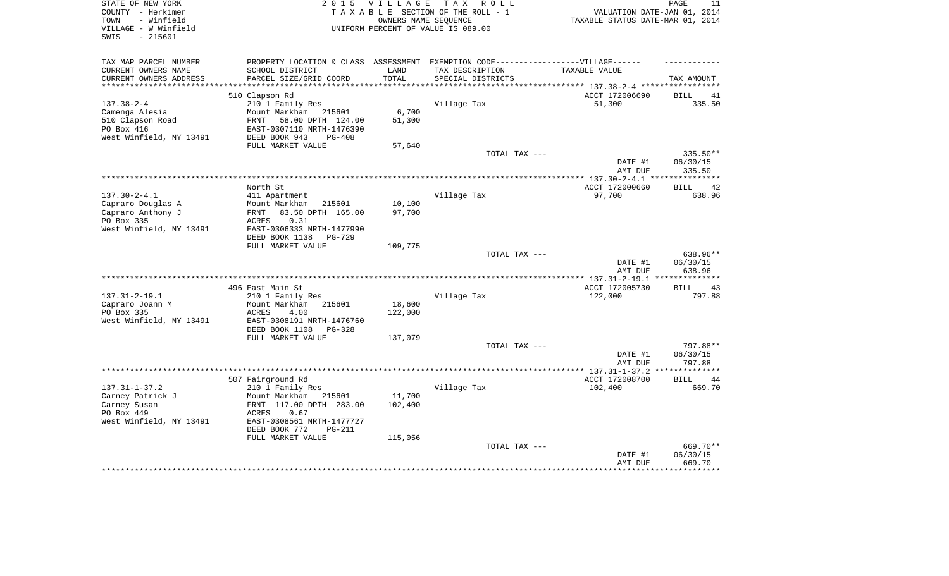| STATE OF NEW YORK<br>COUNTY - Herkimer<br>- Winfield<br>TOWN<br>VILLAGE - W Winfield | 2 0 1 5<br>T A X<br><b>VILLAGE</b><br>R O L L<br>TAXABLE SECTION OF THE ROLL - 1<br>OWNERS NAME SEOUENCE<br>UNIFORM PERCENT OF VALUE IS 089.00 |                  |                                               | PAGE<br>11<br>VALUATION DATE-JAN 01, 2014<br>TAXABLE STATUS DATE-MAR 01, 2014 |                    |
|--------------------------------------------------------------------------------------|------------------------------------------------------------------------------------------------------------------------------------------------|------------------|-----------------------------------------------|-------------------------------------------------------------------------------|--------------------|
| SWIS<br>$-215601$                                                                    |                                                                                                                                                |                  |                                               |                                                                               |                    |
| TAX MAP PARCEL NUMBER                                                                | PROPERTY LOCATION & CLASS                                                                                                                      | ASSESSMENT       | EXEMPTION CODE------------------VILLAGE------ |                                                                               |                    |
| CURRENT OWNERS NAME                                                                  | SCHOOL DISTRICT                                                                                                                                | LAND             | TAX DESCRIPTION                               | TAXABLE VALUE                                                                 |                    |
| CURRENT OWNERS ADDRESS                                                               | PARCEL SIZE/GRID COORD                                                                                                                         | TOTAL            | SPECIAL DISTRICTS                             |                                                                               | TAX AMOUNT         |
| ***********************                                                              |                                                                                                                                                |                  |                                               |                                                                               |                    |
|                                                                                      | 510 Clapson Rd                                                                                                                                 |                  |                                               | ACCT 172006690                                                                | 41<br>BILL         |
| $137.38 - 2 - 4$                                                                     | 210 1 Family Res                                                                                                                               |                  | Village Tax                                   | 51,300                                                                        | 335.50             |
| Camenga Alesia<br>510 Clapson Road                                                   | Mount Markham<br>215601<br>FRNT                                                                                                                | 6,700<br>51,300  |                                               |                                                                               |                    |
| PO Box 416                                                                           | 58.00 DPTH 124.00<br>EAST-0307110 NRTH-1476390                                                                                                 |                  |                                               |                                                                               |                    |
| West Winfield, NY 13491                                                              | DEED BOOK 943<br>$PG-408$                                                                                                                      |                  |                                               |                                                                               |                    |
|                                                                                      | FULL MARKET VALUE                                                                                                                              | 57,640           |                                               |                                                                               |                    |
|                                                                                      |                                                                                                                                                |                  | TOTAL TAX ---                                 |                                                                               | 335.50**           |
|                                                                                      |                                                                                                                                                |                  |                                               | DATE #1                                                                       | 06/30/15           |
|                                                                                      |                                                                                                                                                |                  |                                               | AMT DUE                                                                       | 335.50             |
|                                                                                      |                                                                                                                                                |                  |                                               | *** $137.30 - 2 - 4.1$ ***                                                    | ********           |
|                                                                                      | North St                                                                                                                                       |                  |                                               | ACCT 172000660                                                                | 42<br>BILL         |
| $137.30 - 2 - 4.1$                                                                   | 411 Apartment<br>Mount Markham                                                                                                                 |                  | Village Tax                                   | 97,700                                                                        | 638.96             |
| Capraro Douglas A<br>Capraro Anthony J                                               | 215601<br>83.50 DPTH 165.00<br>FRNT                                                                                                            | 10,100<br>97,700 |                                               |                                                                               |                    |
| PO Box 335                                                                           | 0.31<br>ACRES                                                                                                                                  |                  |                                               |                                                                               |                    |
| West Winfield, NY 13491                                                              | EAST-0306333 NRTH-1477990                                                                                                                      |                  |                                               |                                                                               |                    |
|                                                                                      | DEED BOOK 1138<br><b>PG-729</b>                                                                                                                |                  |                                               |                                                                               |                    |
|                                                                                      | FULL MARKET VALUE                                                                                                                              | 109,775          |                                               |                                                                               |                    |
|                                                                                      |                                                                                                                                                |                  | TOTAL TAX ---                                 |                                                                               | 638.96**           |
|                                                                                      |                                                                                                                                                |                  |                                               | DATE #1                                                                       | 06/30/15           |
|                                                                                      |                                                                                                                                                |                  |                                               | AMT DUE<br>**** 137.31-2-19.1                                                 | 638.96             |
|                                                                                      | 496 East Main St                                                                                                                               |                  |                                               | ACCT 172005730                                                                | 43<br>BILL         |
| $137.31 - 2 - 19.1$                                                                  | 210 1 Family Res                                                                                                                               |                  | Village Tax                                   | 122,000                                                                       | 797.88             |
| Capraro Joann M                                                                      | Mount Markham<br>215601                                                                                                                        | 18,600           |                                               |                                                                               |                    |
| PO Box 335                                                                           | <b>ACRES</b><br>4.00                                                                                                                           | 122,000          |                                               |                                                                               |                    |
| West Winfield, NY 13491                                                              | EAST-0308191 NRTH-1476760                                                                                                                      |                  |                                               |                                                                               |                    |
|                                                                                      | DEED BOOK 1108<br>$PG-328$                                                                                                                     |                  |                                               |                                                                               |                    |
|                                                                                      | FULL MARKET VALUE                                                                                                                              | 137,079          |                                               |                                                                               |                    |
|                                                                                      |                                                                                                                                                |                  | TOTAL TAX ---                                 |                                                                               | 797.88**           |
|                                                                                      |                                                                                                                                                |                  |                                               | DATE #1<br>AMT DUE                                                            | 06/30/15<br>797.88 |
|                                                                                      |                                                                                                                                                |                  |                                               |                                                                               | *********          |
|                                                                                      | 507 Fairground Rd                                                                                                                              |                  |                                               | ACCT 172008700                                                                | <b>BILL</b><br>44  |
| $137.31 - 1 - 37.2$                                                                  | 210 1 Family Res                                                                                                                               |                  | Village Tax                                   | 102,400                                                                       | 669.70             |
| Carney Patrick J                                                                     | Mount Markham<br>215601                                                                                                                        | 11,700           |                                               |                                                                               |                    |
| Carney Susan                                                                         | FRNT 117.00 DPTH 283.00                                                                                                                        | 102,400          |                                               |                                                                               |                    |
| PO Box 449                                                                           | ACRES<br>0.67                                                                                                                                  |                  |                                               |                                                                               |                    |
| West Winfield, NY 13491                                                              | EAST-0308561 NRTH-1477727                                                                                                                      |                  |                                               |                                                                               |                    |
|                                                                                      | DEED BOOK 772<br><b>PG-211</b>                                                                                                                 |                  |                                               |                                                                               |                    |
|                                                                                      | FULL MARKET VALUE                                                                                                                              | 115,056          | TOTAL TAX ---                                 |                                                                               | 669.70**           |
|                                                                                      |                                                                                                                                                |                  |                                               | DATE #1                                                                       | 06/30/15           |
|                                                                                      |                                                                                                                                                |                  |                                               | AMT DUE                                                                       | 669.70             |
|                                                                                      |                                                                                                                                                |                  |                                               |                                                                               |                    |
|                                                                                      |                                                                                                                                                |                  |                                               |                                                                               |                    |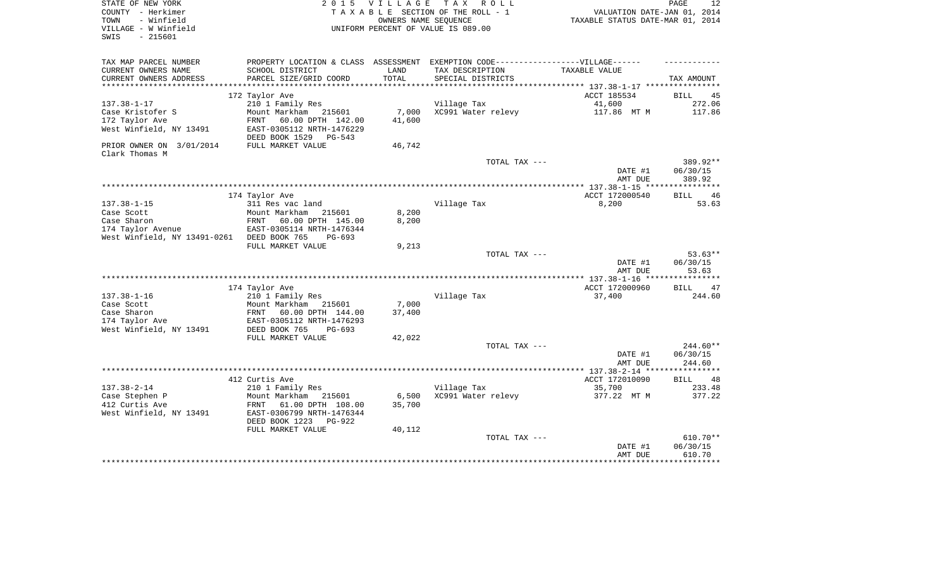| STATE OF NEW YORK                          | 2 0 1 5                         | V I L L A G E | TAX ROLL                                                                          |                                  | PAGE<br>12        |
|--------------------------------------------|---------------------------------|---------------|-----------------------------------------------------------------------------------|----------------------------------|-------------------|
| COUNTY - Herkimer                          |                                 |               | TAXABLE SECTION OF THE ROLL - 1                                                   | VALUATION DATE-JAN 01, 2014      |                   |
| TOWN<br>- Winfield                         |                                 |               | OWNERS NAME SEQUENCE                                                              | TAXABLE STATUS DATE-MAR 01, 2014 |                   |
| VILLAGE - W Winfield                       |                                 |               | UNIFORM PERCENT OF VALUE IS 089.00                                                |                                  |                   |
| $-215601$<br>SWIS                          |                                 |               |                                                                                   |                                  |                   |
|                                            |                                 |               |                                                                                   |                                  |                   |
| TAX MAP PARCEL NUMBER                      |                                 |               | PROPERTY LOCATION & CLASS ASSESSMENT EXEMPTION CODE-----------------VILLAGE------ |                                  |                   |
| CURRENT OWNERS NAME                        | SCHOOL DISTRICT                 | LAND          | TAX DESCRIPTION                                                                   | TAXABLE VALUE                    |                   |
| CURRENT OWNERS ADDRESS                     | PARCEL SIZE/GRID COORD          | TOTAL         | SPECIAL DISTRICTS                                                                 |                                  | TAX AMOUNT        |
|                                            |                                 |               |                                                                                   |                                  |                   |
|                                            | 172 Taylor Ave                  |               |                                                                                   | ACCT 185534                      | BILL<br>45        |
| $137.38 - 1 - 17$                          | 210 1 Family Res                |               | Village Tax                                                                       | 41,600                           | 272.06            |
| Case Kristofer S                           | Mount Markham 215601            | 7,000         | XC991 Water relevy                                                                | 117.86 MT M                      | 117.86            |
| 172 Taylor Ave                             | FRNT<br>60.00 DPTH 142.00       | 41,600        |                                                                                   |                                  |                   |
| West Winfield, NY 13491                    | EAST-0305112 NRTH-1476229       |               |                                                                                   |                                  |                   |
|                                            | DEED BOOK 1529<br>PG-543        |               |                                                                                   |                                  |                   |
| PRIOR OWNER ON 3/01/2014                   | FULL MARKET VALUE               | 46,742        |                                                                                   |                                  |                   |
| Clark Thomas M                             |                                 |               |                                                                                   |                                  |                   |
|                                            |                                 |               | TOTAL TAX ---                                                                     |                                  | 389.92**          |
|                                            |                                 |               |                                                                                   | DATE #1                          | 06/30/15          |
|                                            |                                 |               |                                                                                   | AMT DUE                          | 389.92            |
|                                            |                                 |               |                                                                                   |                                  |                   |
|                                            | 174 Taylor Ave                  |               |                                                                                   | ACCT 172000540                   | <b>BILL</b><br>46 |
| $137.38 - 1 - 15$                          | 311 Res vac land                |               | Village Tax                                                                       | 8,200                            | 53.63             |
| Case Scott                                 | Mount Markham<br>215601         | 8,200         |                                                                                   |                                  |                   |
| Case Sharon                                | FRNT<br>60.00 DPTH 145.00       | 8,200         |                                                                                   |                                  |                   |
| 174 Taylor Avenue                          | EAST-0305114 NRTH-1476344       |               |                                                                                   |                                  |                   |
| West Winfield, NY 13491-0261 DEED BOOK 765 | $PG-693$                        |               |                                                                                   |                                  |                   |
|                                            | FULL MARKET VALUE               | 9,213         |                                                                                   |                                  |                   |
|                                            |                                 |               | TOTAL TAX ---                                                                     |                                  | $53.63**$         |
|                                            |                                 |               |                                                                                   | DATE #1                          | 06/30/15          |
|                                            |                                 |               |                                                                                   | AMT DUE                          | 53.63             |
|                                            |                                 |               |                                                                                   |                                  |                   |
|                                            | 174 Taylor Ave                  |               |                                                                                   | ACCT 172000960                   | <b>BILL</b><br>47 |
| $137.38 - 1 - 16$                          | 210 1 Family Res                |               | Village Tax                                                                       | 37,400                           | 244.60            |
| Case Scott                                 | Mount Markham<br>215601         | 7,000         |                                                                                   |                                  |                   |
| Case Sharon                                | FRNT<br>60.00 DPTH 144.00       | 37,400        |                                                                                   |                                  |                   |
| 174 Taylor Ave                             | EAST-0305112 NRTH-1476293       |               |                                                                                   |                                  |                   |
| West Winfield, NY 13491                    | DEED BOOK 765<br>$PG-693$       |               |                                                                                   |                                  |                   |
|                                            | FULL MARKET VALUE               | 42,022        |                                                                                   |                                  |                   |
|                                            |                                 |               | TOTAL TAX ---                                                                     |                                  | $244.60**$        |
|                                            |                                 |               |                                                                                   | DATE #1                          | 06/30/15          |
|                                            |                                 |               |                                                                                   | AMT DUE                          | 244.60            |
|                                            |                                 |               |                                                                                   |                                  |                   |
|                                            | 412 Curtis Ave                  |               |                                                                                   | ACCT 172010090                   | <b>BILL</b><br>48 |
| $137.38 - 2 - 14$                          | 210 1 Family Res                |               | Village Tax                                                                       | 35,700                           | 233.48            |
| Case Stephen P                             | Mount Markham<br>215601         | 6,500         | XC991 Water relevy                                                                | 377.22 MT M                      | 377.22            |
| 412 Curtis Ave                             | FRNT<br>61.00 DPTH 108.00       | 35,700        |                                                                                   |                                  |                   |
| West Winfield, NY 13491                    | EAST-0306799 NRTH-1476344       |               |                                                                                   |                                  |                   |
|                                            | DEED BOOK 1223<br><b>PG-922</b> |               |                                                                                   |                                  |                   |
|                                            | FULL MARKET VALUE               | 40,112        |                                                                                   |                                  |                   |
|                                            |                                 |               | TOTAL TAX ---                                                                     |                                  | 610.70**          |
|                                            |                                 |               |                                                                                   | DATE #1                          | 06/30/15          |
|                                            |                                 |               |                                                                                   | AMT DUE                          | 610.70            |
|                                            |                                 |               |                                                                                   |                                  | **********        |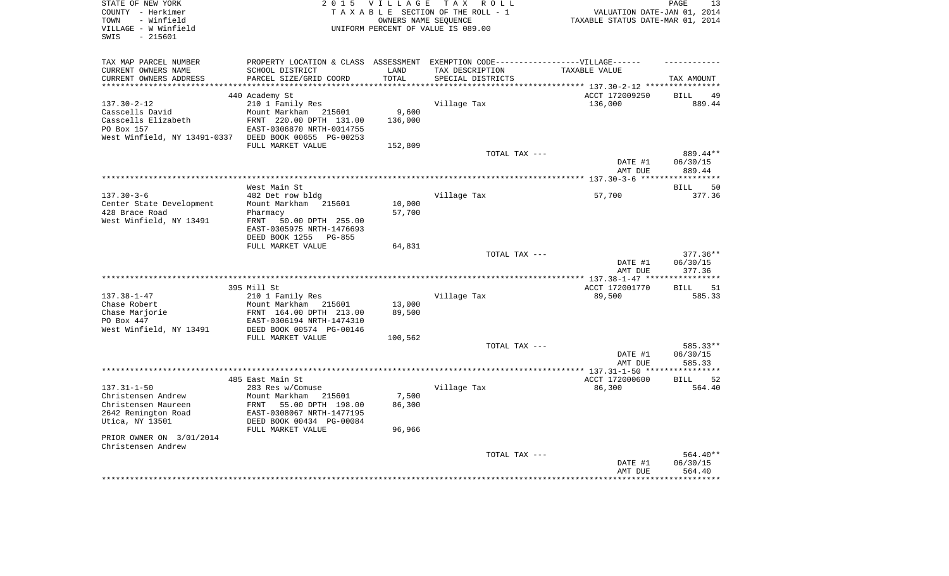| STATE OF NEW YORK<br>COUNTY - Herkimer<br>- Winfield<br>TOWN | 2 0 1 5                                               | <b>VILLAGE</b> | TAX ROLL<br>TAXABLE SECTION OF THE ROLL - 1<br>OWNERS NAME SEOUENCE              | VALUATION DATE-JAN 01, 2014<br>TAXABLE STATUS DATE-MAR 01, 2014 | PAGE<br>13           |
|--------------------------------------------------------------|-------------------------------------------------------|----------------|----------------------------------------------------------------------------------|-----------------------------------------------------------------|----------------------|
| VILLAGE - W Winfield<br>- 215601<br>SWIS                     |                                                       |                | UNIFORM PERCENT OF VALUE IS 089.00                                               |                                                                 |                      |
| TAX MAP PARCEL NUMBER                                        |                                                       |                | PROPERTY LOCATION & CLASS ASSESSMENT EXEMPTION CODE----------------VILLAGE------ |                                                                 |                      |
| CURRENT OWNERS NAME                                          | SCHOOL DISTRICT                                       | LAND           | TAX DESCRIPTION                                                                  | TAXABLE VALUE                                                   |                      |
| CURRENT OWNERS ADDRESS                                       | PARCEL SIZE/GRID COORD                                | TOTAL          | SPECIAL DISTRICTS                                                                |                                                                 | TAX AMOUNT           |
|                                                              | 440 Academy St                                        |                |                                                                                  | ******* 137.30-2-12 ****<br>ACCT 172009250                      | 49<br><b>BILL</b>    |
| $137.30 - 2 - 12$                                            | 210 1 Family Res                                      |                | Village Tax                                                                      | 136,000                                                         | 889.44               |
| Casscells David                                              | Mount Markham<br>215601                               | 9,600          |                                                                                  |                                                                 |                      |
| Casscells Elizabeth                                          | FRNT 220.00 DPTH 131.00                               | 136,000        |                                                                                  |                                                                 |                      |
| PO Box 157                                                   | EAST-0306870 NRTH-0014755                             |                |                                                                                  |                                                                 |                      |
| West Winfield, NY 13491-0337                                 | DEED BOOK 00655 PG-00253                              |                |                                                                                  |                                                                 |                      |
|                                                              | FULL MARKET VALUE                                     | 152,809        |                                                                                  |                                                                 |                      |
|                                                              |                                                       |                | TOTAL TAX ---                                                                    | DATE #1                                                         | 889.44**<br>06/30/15 |
|                                                              |                                                       |                |                                                                                  | AMT DUE                                                         | 889.44               |
|                                                              |                                                       |                |                                                                                  |                                                                 |                      |
|                                                              | West Main St                                          |                |                                                                                  |                                                                 | 50<br><b>BILL</b>    |
| $137.30 - 3 - 6$                                             | 482 Det row bldg                                      |                | Village Tax                                                                      | 57,700                                                          | 377.36               |
| Center State Development                                     | Mount Markham 215601                                  | 10,000         |                                                                                  |                                                                 |                      |
| 428 Brace Road<br>West Winfield, NY 13491                    | Pharmacy<br>FRNT<br>50.00 DPTH 255.00                 | 57,700         |                                                                                  |                                                                 |                      |
|                                                              | EAST-0305975 NRTH-1476693                             |                |                                                                                  |                                                                 |                      |
|                                                              | DEED BOOK 1255 PG-855                                 |                |                                                                                  |                                                                 |                      |
|                                                              | FULL MARKET VALUE                                     | 64,831         |                                                                                  |                                                                 |                      |
|                                                              |                                                       |                | TOTAL TAX ---                                                                    |                                                                 | 377.36**             |
|                                                              |                                                       |                |                                                                                  | DATE #1<br>AMT DUE                                              | 06/30/15<br>377.36   |
|                                                              |                                                       |                |                                                                                  |                                                                 |                      |
|                                                              | 395 Mill St                                           |                |                                                                                  | ACCT 172001770                                                  | <b>BILL</b><br>51    |
| $137.38 - 1 - 47$                                            | 210 1 Family Res                                      |                | Village Tax                                                                      | 89,500                                                          | 585.33               |
| Chase Robert                                                 | Mount Markham<br>215601                               | 13,000         |                                                                                  |                                                                 |                      |
| Chase Marjorie                                               | FRNT 164.00 DPTH 213.00                               | 89,500         |                                                                                  |                                                                 |                      |
| PO Box 447<br>West Winfield, NY 13491                        | EAST-0306194 NRTH-1474310<br>DEED BOOK 00574 PG-00146 |                |                                                                                  |                                                                 |                      |
|                                                              | FULL MARKET VALUE                                     | 100,562        |                                                                                  |                                                                 |                      |
|                                                              |                                                       |                | TOTAL TAX ---                                                                    |                                                                 | 585.33**             |
|                                                              |                                                       |                |                                                                                  | DATE #1                                                         | 06/30/15             |
|                                                              |                                                       |                |                                                                                  | AMT DUE                                                         | 585.33               |
|                                                              | 485 East Main St                                      |                |                                                                                  | ACCT 172000600                                                  | 52<br><b>BILL</b>    |
| $137.31 - 1 - 50$                                            | 283 Res w/Comuse                                      |                | Village Tax                                                                      | 86,300                                                          | 564.40               |
| Christensen Andrew                                           | Mount Markham 215601                                  | 7,500          |                                                                                  |                                                                 |                      |
| Christensen Maureen                                          | FRNT<br>55.00 DPTH 198.00                             | 86,300         |                                                                                  |                                                                 |                      |
| 2642 Remington Road                                          | EAST-0308067 NRTH-1477195                             |                |                                                                                  |                                                                 |                      |
| Utica, NY 13501                                              | DEED BOOK 00434 PG-00084                              |                |                                                                                  |                                                                 |                      |
| PRIOR OWNER ON 3/01/2014                                     | FULL MARKET VALUE                                     | 96,966         |                                                                                  |                                                                 |                      |
| Christensen Andrew                                           |                                                       |                |                                                                                  |                                                                 |                      |
|                                                              |                                                       |                | TOTAL TAX ---                                                                    |                                                                 | 564.40**             |
|                                                              |                                                       |                |                                                                                  | DATE #1                                                         | 06/30/15             |
|                                                              |                                                       |                |                                                                                  | AMT DUE                                                         | 564.40               |
|                                                              |                                                       |                |                                                                                  |                                                                 |                      |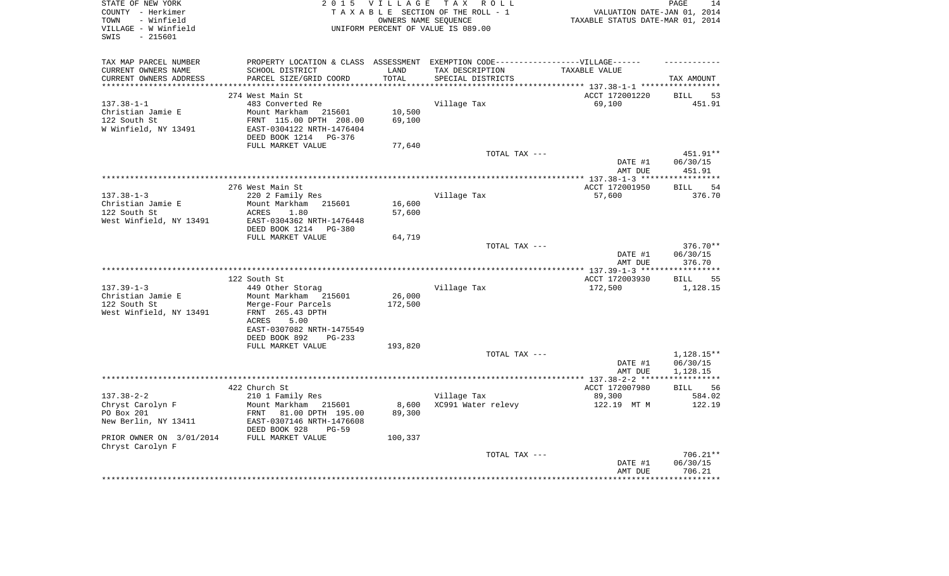| STATE OF NEW YORK<br>COUNTY - Herkimer<br>- Winfield<br>TOWN<br>VILLAGE - W Winfield<br>$-215601$<br>SWIS | 2 0 1 5                                                                           | <b>VILLAGE</b> | TAX ROLL<br>TAXABLE SECTION OF THE ROLL - 1<br>OWNERS NAME SEOUENCE<br>UNIFORM PERCENT OF VALUE IS 089.00 | VALUATION DATE-JAN 01, 2014<br>TAXABLE STATUS DATE-MAR 01, 2014 | 14<br>PAGE                  |
|-----------------------------------------------------------------------------------------------------------|-----------------------------------------------------------------------------------|----------------|-----------------------------------------------------------------------------------------------------------|-----------------------------------------------------------------|-----------------------------|
| TAX MAP PARCEL NUMBER                                                                                     | PROPERTY LOCATION & CLASS ASSESSMENT EXEMPTION CODE-----------------VILLAGE------ |                |                                                                                                           |                                                                 |                             |
| CURRENT OWNERS NAME                                                                                       | SCHOOL DISTRICT                                                                   | LAND           | TAX DESCRIPTION                                                                                           | TAXABLE VALUE                                                   |                             |
| CURRENT OWNERS ADDRESS                                                                                    | PARCEL SIZE/GRID COORD                                                            | TOTAL          | SPECIAL DISTRICTS                                                                                         | ********** 137.38-1-1 ************                              | TAX AMOUNT                  |
|                                                                                                           | 274 West Main St                                                                  |                |                                                                                                           | ACCT 172001220                                                  | <b>BILL</b><br>53           |
| $137.38 - 1 - 1$                                                                                          | 483 Converted Re                                                                  |                | Village Tax                                                                                               | 69,100                                                          | 451.91                      |
| Christian Jamie E                                                                                         | Mount Markham<br>215601                                                           | 10,500         |                                                                                                           |                                                                 |                             |
| 122 South St                                                                                              | FRNT 115.00 DPTH 208.00                                                           | 69,100         |                                                                                                           |                                                                 |                             |
| W Winfield, NY 13491                                                                                      | EAST-0304122 NRTH-1476404                                                         |                |                                                                                                           |                                                                 |                             |
|                                                                                                           | DEED BOOK 1214 PG-376<br>FULL MARKET VALUE                                        | 77,640         |                                                                                                           |                                                                 |                             |
|                                                                                                           |                                                                                   |                | TOTAL TAX ---                                                                                             |                                                                 | 451.91**                    |
|                                                                                                           |                                                                                   |                |                                                                                                           | DATE #1                                                         | 06/30/15                    |
|                                                                                                           |                                                                                   |                |                                                                                                           | AMT DUE                                                         | 451.91                      |
|                                                                                                           |                                                                                   |                |                                                                                                           |                                                                 |                             |
| $137.38 - 1 - 3$                                                                                          | 276 West Main St<br>220 2 Family Res                                              |                | Village Tax                                                                                               | ACCT 172001950<br>57,600                                        | 54<br><b>BILL</b><br>376.70 |
| Christian Jamie E                                                                                         | Mount Markham<br>215601                                                           | 16,600         |                                                                                                           |                                                                 |                             |
| 122 South St                                                                                              | <b>ACRES</b><br>1.80                                                              | 57,600         |                                                                                                           |                                                                 |                             |
| West Winfield, NY 13491                                                                                   | EAST-0304362 NRTH-1476448                                                         |                |                                                                                                           |                                                                 |                             |
|                                                                                                           | DEED BOOK 1214<br>PG-380                                                          |                |                                                                                                           |                                                                 |                             |
|                                                                                                           | FULL MARKET VALUE                                                                 | 64,719         | TOTAL TAX ---                                                                                             |                                                                 | 376.70**                    |
|                                                                                                           |                                                                                   |                |                                                                                                           | DATE #1<br>AMT DUE                                              | 06/30/15<br>376.70          |
|                                                                                                           |                                                                                   |                |                                                                                                           |                                                                 |                             |
|                                                                                                           | 122 South St                                                                      |                |                                                                                                           | ACCT 172003930                                                  | 55<br>BILL                  |
| $137.39 - 1 - 3$<br>Christian Jamie E                                                                     | 449 Other Storag<br>Mount Markham 215601                                          | 26,000         | Village Tax                                                                                               | 172,500                                                         | 1,128.15                    |
| 122 South St                                                                                              | Merge-Four Parcels                                                                | 172,500        |                                                                                                           |                                                                 |                             |
| West Winfield, NY 13491                                                                                   | FRNT 265.43 DPTH                                                                  |                |                                                                                                           |                                                                 |                             |
|                                                                                                           | ACRES<br>5.00                                                                     |                |                                                                                                           |                                                                 |                             |
|                                                                                                           | EAST-0307082 NRTH-1475549                                                         |                |                                                                                                           |                                                                 |                             |
|                                                                                                           | DEED BOOK 892<br>$PG-233$                                                         |                |                                                                                                           |                                                                 |                             |
|                                                                                                           | FULL MARKET VALUE                                                                 | 193,820        | TOTAL TAX ---                                                                                             |                                                                 | $1,128.15**$                |
|                                                                                                           |                                                                                   |                |                                                                                                           | DATE #1                                                         | 06/30/15                    |
|                                                                                                           |                                                                                   |                |                                                                                                           | AMT DUE                                                         | 1,128.15                    |
|                                                                                                           |                                                                                   |                |                                                                                                           | ****** 137.38-2-2 ****                                          | ***********                 |
| $137.38 - 2 - 2$                                                                                          | 422 Church St                                                                     |                |                                                                                                           | ACCT 172007980<br>89,300                                        | <b>BILL</b><br>56<br>584.02 |
| Chryst Carolyn F                                                                                          | 210 1 Family Res<br>Mount Markham<br>215601                                       | 8,600          | Village Tax<br>XC991 Water relevy                                                                         | 122.19 MT M                                                     | 122.19                      |
| PO Box 201                                                                                                | FRNT 81.00 DPTH 195.00                                                            | 89,300         |                                                                                                           |                                                                 |                             |
| New Berlin, NY 13411                                                                                      | EAST-0307146 NRTH-1476608<br>DEED BOOK 928<br>$PG-59$                             |                |                                                                                                           |                                                                 |                             |
| PRIOR OWNER ON 3/01/2014<br>Chryst Carolyn F                                                              | FULL MARKET VALUE                                                                 | 100,337        |                                                                                                           |                                                                 |                             |
|                                                                                                           |                                                                                   |                | TOTAL TAX ---                                                                                             |                                                                 | 706.21**                    |
|                                                                                                           |                                                                                   |                |                                                                                                           | DATE #1<br>AMT DUE                                              | 06/30/15<br>706.21          |
|                                                                                                           |                                                                                   |                |                                                                                                           |                                                                 | **********                  |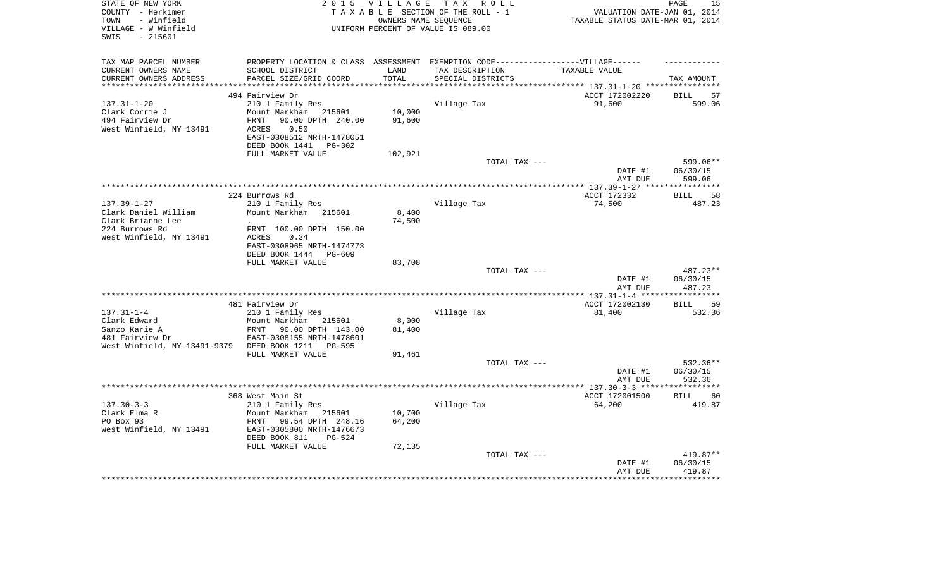| STATE OF NEW YORK<br>COUNTY - Herkimer<br>- Winfield<br>TOWN<br>VILLAGE - W Winfield<br>$-215601$<br>SWIS | 2 0 1 5                                                | <b>VILLAGE</b> | TAX ROLL<br>TAXABLE SECTION OF THE ROLL - 1<br>OWNERS NAME SEOUENCE<br>UNIFORM PERCENT OF VALUE IS 089.00 | VALUATION DATE-JAN 01, 2014<br>TAXABLE STATUS DATE-MAR 01, 2014 | PAGE<br>15         |
|-----------------------------------------------------------------------------------------------------------|--------------------------------------------------------|----------------|-----------------------------------------------------------------------------------------------------------|-----------------------------------------------------------------|--------------------|
| TAX MAP PARCEL NUMBER                                                                                     |                                                        |                | PROPERTY LOCATION & CLASS ASSESSMENT EXEMPTION CODE-----------------VILLAGE------                         |                                                                 |                    |
| CURRENT OWNERS NAME<br>CURRENT OWNERS ADDRESS                                                             | SCHOOL DISTRICT<br>PARCEL SIZE/GRID COORD              | LAND<br>TOTAL  | TAX DESCRIPTION<br>SPECIAL DISTRICTS                                                                      | TAXABLE VALUE                                                   | TAX AMOUNT         |
|                                                                                                           |                                                        | *********      |                                                                                                           | ******************** 137.31-1-20 ***********                    |                    |
|                                                                                                           | 494 Fairview Dr                                        |                |                                                                                                           | ACCT 172002220                                                  | <b>BILL</b><br>57  |
| $137.31 - 1 - 20$                                                                                         | 210 1 Family Res                                       |                | Village Tax                                                                                               | 91,600                                                          | 599.06             |
| Clark Corrie J                                                                                            | Mount Markham 215601                                   | 10,000         |                                                                                                           |                                                                 |                    |
| 494 Fairview Dr<br>West Winfield, NY 13491                                                                | 90.00 DPTH 240.00<br>FRNT<br>0.50                      | 91,600         |                                                                                                           |                                                                 |                    |
|                                                                                                           | ACRES<br>EAST-0308512 NRTH-1478051                     |                |                                                                                                           |                                                                 |                    |
|                                                                                                           | DEED BOOK 1441<br>PG-302                               |                |                                                                                                           |                                                                 |                    |
|                                                                                                           | FULL MARKET VALUE                                      | 102,921        |                                                                                                           |                                                                 |                    |
|                                                                                                           |                                                        |                | TOTAL TAX ---                                                                                             |                                                                 | 599.06**           |
|                                                                                                           |                                                        |                |                                                                                                           | DATE #1                                                         | 06/30/15           |
|                                                                                                           |                                                        |                |                                                                                                           | AMT DUE                                                         | 599.06             |
|                                                                                                           |                                                        |                |                                                                                                           |                                                                 |                    |
|                                                                                                           | 224 Burrows Rd                                         |                |                                                                                                           | ACCT 172332                                                     | 58<br>BILL         |
| $137.39 - 1 - 27$<br>Clark Daniel William                                                                 | 210 1 Family Res<br>Mount Markham 215601               | 8,400          | Village Tax                                                                                               | 74,500                                                          | 487.23             |
| Clark Brianne Lee                                                                                         |                                                        | 74,500         |                                                                                                           |                                                                 |                    |
| 224 Burrows Rd                                                                                            | FRNT 100.00 DPTH 150.00                                |                |                                                                                                           |                                                                 |                    |
| West Winfield, NY 13491                                                                                   | <b>ACRES</b><br>0.34                                   |                |                                                                                                           |                                                                 |                    |
|                                                                                                           | EAST-0308965 NRTH-1474773                              |                |                                                                                                           |                                                                 |                    |
|                                                                                                           | DEED BOOK 1444<br>PG-609                               |                |                                                                                                           |                                                                 |                    |
|                                                                                                           | FULL MARKET VALUE                                      | 83,708         |                                                                                                           |                                                                 |                    |
|                                                                                                           |                                                        |                | TOTAL TAX ---                                                                                             |                                                                 | 487.23**           |
|                                                                                                           |                                                        |                |                                                                                                           | DATE #1<br>AMT DUE                                              | 06/30/15<br>487.23 |
|                                                                                                           |                                                        |                |                                                                                                           |                                                                 | ***********        |
|                                                                                                           | 481 Fairview Dr                                        |                |                                                                                                           | ACCT 172002130                                                  | 59<br>BILL         |
| $137.31 - 1 - 4$                                                                                          | 210 1 Family Res                                       |                | Village Tax                                                                                               | 81,400                                                          | 532.36             |
| Clark Edward                                                                                              | Mount Markham 215601                                   | 8,000          |                                                                                                           |                                                                 |                    |
| Sanzo Karie A                                                                                             | FRNT<br>90.00 DPTH 143.00                              | 81,400         |                                                                                                           |                                                                 |                    |
| 481 Fairview Dr                                                                                           | EAST-0308155 NRTH-1478601                              |                |                                                                                                           |                                                                 |                    |
| West Winfield, NY 13491-9379                                                                              | DEED BOOK 1211<br><b>PG-595</b>                        |                |                                                                                                           |                                                                 |                    |
|                                                                                                           | FULL MARKET VALUE                                      | 91,461         | TOTAL TAX ---                                                                                             |                                                                 | 532.36**           |
|                                                                                                           |                                                        |                |                                                                                                           | DATE #1                                                         | 06/30/15           |
|                                                                                                           |                                                        |                |                                                                                                           | AMT DUE                                                         | 532.36             |
|                                                                                                           |                                                        |                |                                                                                                           |                                                                 | ***********        |
|                                                                                                           | 368 West Main St                                       |                |                                                                                                           | ACCT 172001500                                                  | 60<br>BILL         |
| $137.30 - 3 - 3$                                                                                          | 210 1 Family Res                                       |                | Village Tax                                                                                               | 64,200                                                          | 419.87             |
| Clark Elma R                                                                                              | Mount Markham<br>215601                                | 10,700         |                                                                                                           |                                                                 |                    |
| PO Box 93                                                                                                 | 99.54 DPTH 248.16<br>FRNT                              | 64,200         |                                                                                                           |                                                                 |                    |
| West Winfield, NY 13491                                                                                   | EAST-0305800 NRTH-1476673<br>DEED BOOK 811<br>$PG-524$ |                |                                                                                                           |                                                                 |                    |
|                                                                                                           | FULL MARKET VALUE                                      | 72,135         |                                                                                                           |                                                                 |                    |
|                                                                                                           |                                                        |                | TOTAL TAX ---                                                                                             |                                                                 | 419.87**           |
|                                                                                                           |                                                        |                |                                                                                                           | DATE #1                                                         | 06/30/15           |
|                                                                                                           |                                                        |                |                                                                                                           | AMT DUE                                                         | 419.87             |
|                                                                                                           |                                                        |                |                                                                                                           |                                                                 |                    |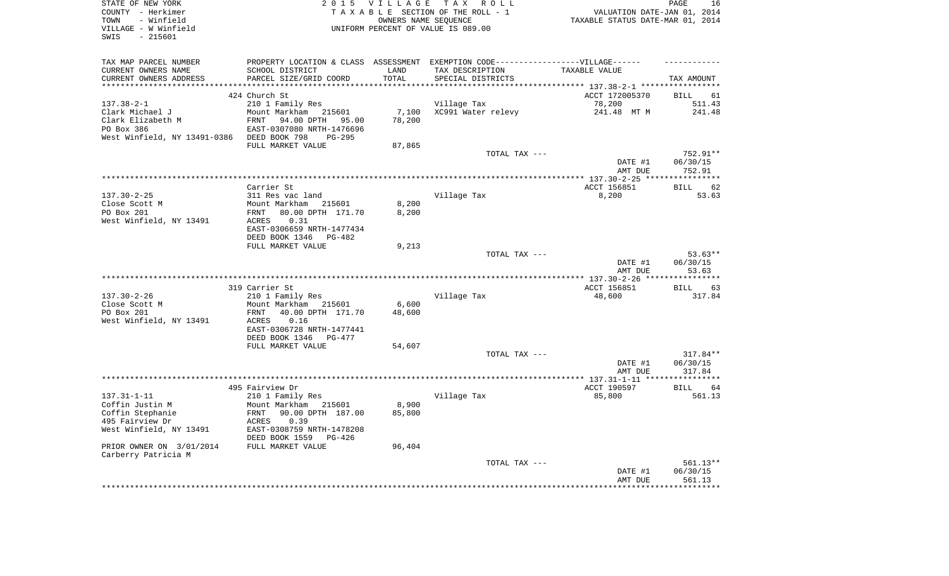| STATE OF NEW YORK<br>COUNTY - Herkimer<br>- Winfield<br>TOWN<br>VILLAGE - W Winfield<br>SWIS<br>$-215601$ |                                                                                  | 2015 VILLAGE<br>OWNERS NAME SEQUENCE | TAX ROLL<br>TAXABLE SECTION OF THE ROLL - 1<br>UNIFORM PERCENT OF VALUE IS 089.00 | VALUATION DATE-JAN 01, 2014<br>TAXABLE STATUS DATE-MAR 01, 2014 | PAGE<br>16           |
|-----------------------------------------------------------------------------------------------------------|----------------------------------------------------------------------------------|--------------------------------------|-----------------------------------------------------------------------------------|-----------------------------------------------------------------|----------------------|
| TAX MAP PARCEL NUMBER                                                                                     | PROPERTY LOCATION & CLASS ASSESSMENT EXEMPTION CODE----------------VILLAGE------ |                                      |                                                                                   |                                                                 |                      |
| CURRENT OWNERS NAME<br>CURRENT OWNERS ADDRESS                                                             | SCHOOL DISTRICT<br>PARCEL SIZE/GRID COORD                                        | LAND<br>TOTAL                        | TAX DESCRIPTION<br>SPECIAL DISTRICTS                                              | TAXABLE VALUE                                                   | TAX AMOUNT           |
| *************************                                                                                 |                                                                                  |                                      |                                                                                   |                                                                 |                      |
|                                                                                                           | 424 Church St                                                                    |                                      |                                                                                   | ACCT 172005370                                                  | BILL<br>61           |
| $137.38 - 2 - 1$                                                                                          | 210 1 Family Res                                                                 |                                      | Village Tax                                                                       | 78,200                                                          | 511.43               |
| Clark Michael J                                                                                           | Mount Markham 215601                                                             | 7,100                                | XC991 Water relevy                                                                | 241.48 MT M                                                     | 241.48               |
| Clark Elizabeth M                                                                                         | 94.00 DPTH<br>FRNT<br>95.00                                                      | 78,200                               |                                                                                   |                                                                 |                      |
| PO Box 386                                                                                                | EAST-0307080 NRTH-1476696                                                        |                                      |                                                                                   |                                                                 |                      |
| West Winfield, NY 13491-0386 DEED BOOK 798                                                                | PG-295                                                                           |                                      |                                                                                   |                                                                 |                      |
|                                                                                                           | FULL MARKET VALUE                                                                | 87,865                               | TOTAL TAX ---                                                                     |                                                                 | 752.91**             |
|                                                                                                           |                                                                                  |                                      |                                                                                   | DATE #1<br>AMT DUE                                              | 06/30/15<br>752.91   |
|                                                                                                           |                                                                                  |                                      |                                                                                   |                                                                 |                      |
|                                                                                                           | Carrier St                                                                       |                                      |                                                                                   | ACCT 156851                                                     | 62<br>BILL           |
| $137.30 - 2 - 25$                                                                                         | 311 Res vac land                                                                 |                                      | Village Tax                                                                       | 8,200                                                           | 53.63                |
| Close Scott M<br>PO Box 201                                                                               | Mount Markham<br>215601<br>80.00 DPTH 171.70<br>FRNT                             | 8,200<br>8,200                       |                                                                                   |                                                                 |                      |
| West Winfield, NY 13491                                                                                   | ACRES<br>0.31                                                                    |                                      |                                                                                   |                                                                 |                      |
|                                                                                                           | EAST-0306659 NRTH-1477434                                                        |                                      |                                                                                   |                                                                 |                      |
|                                                                                                           | DEED BOOK 1346<br>PG-482                                                         |                                      |                                                                                   |                                                                 |                      |
|                                                                                                           | FULL MARKET VALUE                                                                | 9,213                                |                                                                                   |                                                                 |                      |
|                                                                                                           |                                                                                  |                                      | TOTAL TAX ---                                                                     |                                                                 | $53.63**$            |
|                                                                                                           |                                                                                  |                                      |                                                                                   | DATE #1<br>AMT DUE                                              | 06/30/15<br>53.63    |
|                                                                                                           |                                                                                  |                                      |                                                                                   |                                                                 |                      |
|                                                                                                           | 319 Carrier St                                                                   |                                      |                                                                                   | ACCT 156851                                                     | BILL<br>63           |
| $137.30 - 2 - 26$                                                                                         | 210 1 Family Res                                                                 |                                      | Village Tax                                                                       | 48,600                                                          | 317.84               |
| Close Scott M                                                                                             | Mount Markham<br>215601                                                          | 6,600                                |                                                                                   |                                                                 |                      |
| PO Box 201                                                                                                | 40.00 DPTH 171.70<br>FRNT                                                        | 48,600                               |                                                                                   |                                                                 |                      |
| West Winfield, NY 13491                                                                                   | 0.16<br>ACRES<br>EAST-0306728 NRTH-1477441                                       |                                      |                                                                                   |                                                                 |                      |
|                                                                                                           |                                                                                  |                                      |                                                                                   |                                                                 |                      |
|                                                                                                           |                                                                                  |                                      |                                                                                   |                                                                 |                      |
|                                                                                                           | DEED BOOK 1346<br>PG-477                                                         |                                      |                                                                                   |                                                                 |                      |
|                                                                                                           | FULL MARKET VALUE                                                                | 54,607                               | TOTAL TAX ---                                                                     |                                                                 | $317.84**$           |
|                                                                                                           |                                                                                  |                                      |                                                                                   | DATE #1                                                         | 06/30/15             |
|                                                                                                           |                                                                                  |                                      |                                                                                   | AMT DUE                                                         | 317.84               |
|                                                                                                           |                                                                                  |                                      |                                                                                   |                                                                 |                      |
|                                                                                                           | 495 Fairview Dr                                                                  |                                      |                                                                                   | ACCT 190597                                                     | BILL<br>64           |
| $137.31 - 1 - 11$                                                                                         | 210 1 Family Res                                                                 |                                      | Village Tax                                                                       | 85,800                                                          | 561.13               |
| Coffin Justin M                                                                                           | Mount Markham<br>215601<br>90.00 DPTH 187.00<br>FRNT                             | 8,900<br>85,800                      |                                                                                   |                                                                 |                      |
| Coffin Stephanie<br>495 Fairview Dr                                                                       | ACRES 0.39                                                                       |                                      |                                                                                   |                                                                 |                      |
| West Winfield, NY 13491                                                                                   | EAST-0308759 NRTH-1478208                                                        |                                      |                                                                                   |                                                                 |                      |
|                                                                                                           | DEED BOOK 1559<br>PG-426                                                         |                                      |                                                                                   |                                                                 |                      |
| PRIOR OWNER ON 3/01/2014                                                                                  | FULL MARKET VALUE                                                                | 96,404                               |                                                                                   |                                                                 |                      |
| Carberry Patricia M                                                                                       |                                                                                  |                                      |                                                                                   |                                                                 |                      |
|                                                                                                           |                                                                                  |                                      | TOTAL TAX ---                                                                     | DATE #1                                                         | 561.13**<br>06/30/15 |
|                                                                                                           |                                                                                  |                                      |                                                                                   | AMT DUE                                                         | 561.13               |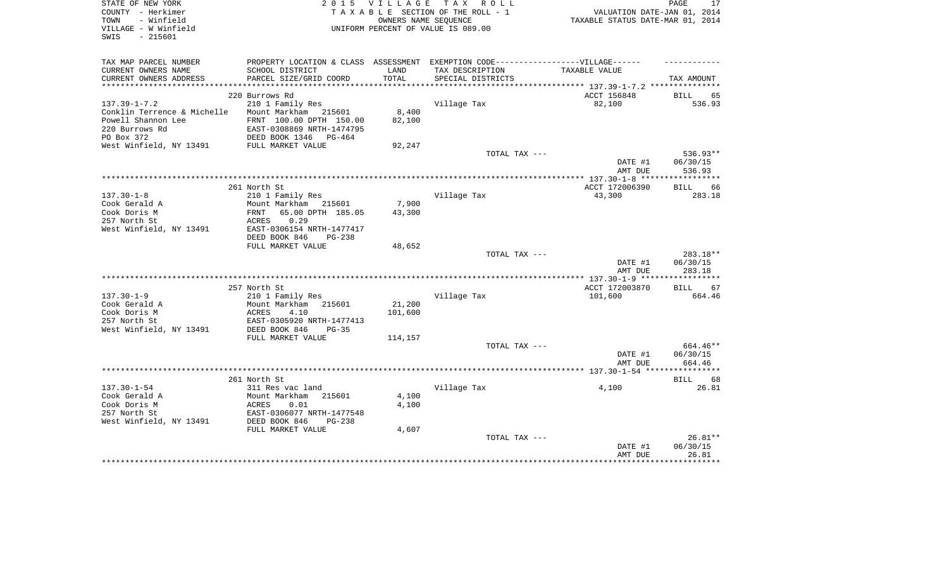| STATE OF NEW YORK                         | 2 0 1 5                                                                          | VILLAGE | T A X<br>ROLL ROLL                 |                                  | PAGE<br>17           |
|-------------------------------------------|----------------------------------------------------------------------------------|---------|------------------------------------|----------------------------------|----------------------|
| COUNTY - Herkimer                         |                                                                                  |         | TAXABLE SECTION OF THE ROLL - 1    | VALUATION DATE-JAN 01, 2014      |                      |
| TOWN<br>- Winfield                        |                                                                                  |         | OWNERS NAME SEQUENCE               | TAXABLE STATUS DATE-MAR 01, 2014 |                      |
| VILLAGE - W Winfield<br>$-215601$<br>SWIS |                                                                                  |         | UNIFORM PERCENT OF VALUE IS 089.00 |                                  |                      |
|                                           |                                                                                  |         |                                    |                                  |                      |
|                                           |                                                                                  |         |                                    |                                  |                      |
| TAX MAP PARCEL NUMBER                     | PROPERTY LOCATION & CLASS ASSESSMENT EXEMPTION CODE----------------VILLAGE------ |         |                                    |                                  |                      |
| CURRENT OWNERS NAME                       | SCHOOL DISTRICT                                                                  | LAND    | TAX DESCRIPTION                    | TAXABLE VALUE                    |                      |
| CURRENT OWNERS ADDRESS                    | PARCEL SIZE/GRID COORD                                                           | TOTAL   | SPECIAL DISTRICTS                  |                                  | TAX AMOUNT           |
|                                           | 220 Burrows Rd                                                                   |         |                                    | ACCT 156848                      |                      |
| $137.39 - 1 - 7.2$                        |                                                                                  |         |                                    |                                  | BILL<br>65<br>536.93 |
| Conklin Terrence & Michelle               | 210 1 Family Res<br>Mount Markham 215601                                         | 8,400   | Village Tax                        | 82,100                           |                      |
| Powell Shannon Lee                        | FRNT 100.00 DPTH 150.00                                                          | 82,100  |                                    |                                  |                      |
| 220 Burrows Rd                            | EAST-0308869 NRTH-1474795                                                        |         |                                    |                                  |                      |
| PO Box 372                                | DEED BOOK 1346<br>PG-464                                                         |         |                                    |                                  |                      |
| West Winfield, NY 13491                   | FULL MARKET VALUE                                                                | 92,247  |                                    |                                  |                      |
|                                           |                                                                                  |         | TOTAL TAX ---                      |                                  | 536.93**             |
|                                           |                                                                                  |         |                                    | DATE #1                          | 06/30/15             |
|                                           |                                                                                  |         |                                    | AMT DUE                          | 536.93               |
|                                           |                                                                                  |         |                                    |                                  |                      |
|                                           | 261 North St                                                                     |         |                                    | ACCT 172006390                   | 66<br>BILL           |
| $137.30 - 1 - 8$                          | 210 1 Family Res                                                                 |         | Village Tax                        | 43,300                           | 283.18               |
| Cook Gerald A                             | Mount Markham<br>215601                                                          | 7,900   |                                    |                                  |                      |
| Cook Doris M                              | 65.00 DPTH 185.05<br>FRNT                                                        | 43,300  |                                    |                                  |                      |
| 257 North St                              | 0.29<br>ACRES                                                                    |         |                                    |                                  |                      |
| West Winfield, NY 13491                   | EAST-0306154 NRTH-1477417                                                        |         |                                    |                                  |                      |
|                                           | DEED BOOK 846<br>$PG-238$                                                        |         |                                    |                                  |                      |
|                                           | FULL MARKET VALUE                                                                | 48,652  |                                    |                                  |                      |
|                                           |                                                                                  |         | TOTAL TAX ---                      |                                  | 283.18**             |
|                                           |                                                                                  |         |                                    | DATE #1                          | 06/30/15             |
|                                           |                                                                                  |         |                                    | AMT DUE                          | 283.18               |
|                                           |                                                                                  |         |                                    |                                  |                      |
|                                           | 257 North St                                                                     |         |                                    | ACCT 172003870                   | 67<br>BILL           |
| $137.30 - 1 - 9$                          | 210 1 Family Res                                                                 |         | Village Tax                        | 101,600                          | 664.46               |
| Cook Gerald A                             | Mount Markham<br>215601                                                          | 21,200  |                                    |                                  |                      |
| Cook Doris M                              | ACRES<br>4.10                                                                    | 101,600 |                                    |                                  |                      |
| 257 North St<br>West Winfield, NY 13491   | EAST-0305920 NRTH-1477413<br>DEED BOOK 846<br>$PG-35$                            |         |                                    |                                  |                      |
|                                           | FULL MARKET VALUE                                                                |         |                                    |                                  |                      |
|                                           |                                                                                  | 114,157 | TOTAL TAX ---                      |                                  | 664.46**             |
|                                           |                                                                                  |         |                                    | DATE #1                          | 06/30/15             |
|                                           |                                                                                  |         |                                    | AMT DUE                          | 664.46               |
| *****************                         |                                                                                  |         |                                    |                                  |                      |
|                                           | 261 North St                                                                     |         |                                    |                                  | <b>BILL</b><br>68    |
| $137.30 - 1 - 54$                         | 311 Res vac land                                                                 |         | Village Tax                        | 4,100                            | 26.81                |
| Cook Gerald A                             | Mount Markham<br>215601                                                          | 4,100   |                                    |                                  |                      |
| Cook Doris M                              | 0.01<br>ACRES                                                                    | 4,100   |                                    |                                  |                      |
| 257 North St                              | EAST-0306077 NRTH-1477548                                                        |         |                                    |                                  |                      |
| West Winfield, NY 13491                   | DEED BOOK 846<br>$PG-238$                                                        |         |                                    |                                  |                      |
|                                           | FULL MARKET VALUE                                                                | 4,607   |                                    |                                  |                      |
|                                           |                                                                                  |         | TOTAL TAX ---                      |                                  | 26.81**              |
|                                           |                                                                                  |         |                                    | DATE #1                          | 06/30/15             |
|                                           |                                                                                  |         |                                    | AMT DUE                          | 26.81                |
|                                           |                                                                                  |         |                                    |                                  | ***********          |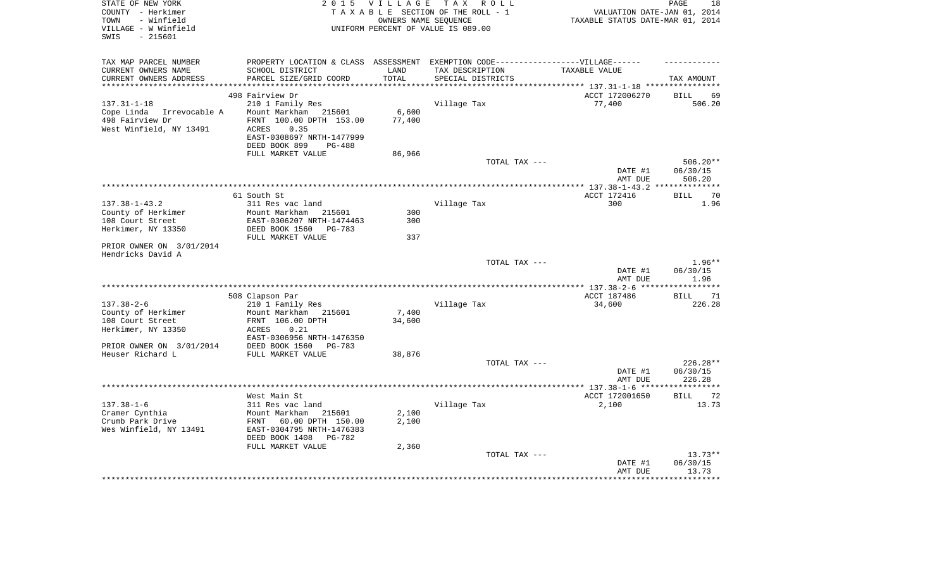| STATE OF NEW YORK<br>COUNTY - Herkimer          | 2 0 1 5                                                                           | V I L L A G E        | T A X<br>R O L L<br>TAXABLE SECTION OF THE ROLL - 1 |                                                                 | PAGE<br>18          |
|-------------------------------------------------|-----------------------------------------------------------------------------------|----------------------|-----------------------------------------------------|-----------------------------------------------------------------|---------------------|
| TOWN<br>- Winfield                              |                                                                                   | OWNERS NAME SEQUENCE |                                                     | VALUATION DATE-JAN 01, 2014<br>TAXABLE STATUS DATE-MAR 01, 2014 |                     |
| VILLAGE - W Winfield                            |                                                                                   |                      | UNIFORM PERCENT OF VALUE IS 089.00                  |                                                                 |                     |
| SWIS<br>$-215601$                               |                                                                                   |                      |                                                     |                                                                 |                     |
|                                                 |                                                                                   |                      |                                                     |                                                                 |                     |
|                                                 |                                                                                   |                      |                                                     |                                                                 |                     |
| TAX MAP PARCEL NUMBER                           | PROPERTY LOCATION & CLASS ASSESSMENT EXEMPTION CODE-----------------VILLAGE------ |                      |                                                     |                                                                 |                     |
| CURRENT OWNERS NAME                             | SCHOOL DISTRICT                                                                   | LAND                 | TAX DESCRIPTION                                     | TAXABLE VALUE                                                   |                     |
| CURRENT OWNERS ADDRESS<br>********************* | PARCEL SIZE/GRID COORD<br>*************************                               | TOTAL<br>*********** | SPECIAL DISTRICTS                                   |                                                                 | TAX AMOUNT          |
|                                                 | 498 Fairview Dr                                                                   |                      |                                                     | ACCT 172006270                                                  | <b>BILL</b><br>69   |
| $137.31 - 1 - 18$                               | 210 1 Family Res                                                                  |                      | Village Tax                                         | 77,400                                                          | 506.20              |
|                                                 |                                                                                   |                      |                                                     |                                                                 |                     |
| Cope Linda<br>Irrevocable A                     | Mount Markham<br>215601                                                           | 6,600                |                                                     |                                                                 |                     |
| 498 Fairview Dr                                 | FRNT 100.00 DPTH 153.00                                                           | 77,400               |                                                     |                                                                 |                     |
| West Winfield, NY 13491                         | 0.35<br>ACRES                                                                     |                      |                                                     |                                                                 |                     |
|                                                 | EAST-0308697 NRTH-1477999                                                         |                      |                                                     |                                                                 |                     |
|                                                 | DEED BOOK 899<br><b>PG-488</b>                                                    |                      |                                                     |                                                                 |                     |
|                                                 | FULL MARKET VALUE                                                                 | 86,966               |                                                     |                                                                 |                     |
|                                                 |                                                                                   |                      | TOTAL TAX ---                                       |                                                                 | $506.20**$          |
|                                                 |                                                                                   |                      |                                                     | DATE #1                                                         | 06/30/15            |
|                                                 |                                                                                   |                      |                                                     | AMT DUE                                                         | 506.20              |
|                                                 |                                                                                   |                      | *******************                                 | **** 137.38-1-43.2                                              | * * * * * * * * * * |
|                                                 | 61 South St                                                                       |                      |                                                     | ACCT 172416                                                     | 70<br><b>BILL</b>   |
| $137.38 - 1 - 43.2$                             | 311 Res vac land                                                                  |                      | Village Tax                                         | 300                                                             | 1.96                |
| County of Herkimer                              | Mount Markham<br>215601                                                           | 300                  |                                                     |                                                                 |                     |
| 108 Court Street                                | EAST-0306207 NRTH-1474463                                                         | 300                  |                                                     |                                                                 |                     |
| Herkimer, NY 13350                              | DEED BOOK 1560<br>PG-783                                                          |                      |                                                     |                                                                 |                     |
|                                                 | FULL MARKET VALUE                                                                 | 337                  |                                                     |                                                                 |                     |
| PRIOR OWNER ON 3/01/2014                        |                                                                                   |                      |                                                     |                                                                 |                     |
| Hendricks David A                               |                                                                                   |                      |                                                     |                                                                 |                     |
|                                                 |                                                                                   |                      | TOTAL TAX ---                                       |                                                                 | $1.96**$            |
|                                                 |                                                                                   |                      |                                                     | DATE #1                                                         | 06/30/15            |
|                                                 |                                                                                   |                      |                                                     | AMT DUE                                                         | 1.96                |
|                                                 |                                                                                   |                      |                                                     | ** 137.38-2-6                                                   | ******              |
|                                                 | 508 Clapson Par                                                                   |                      |                                                     | ACCT 187486                                                     | <b>BILL</b><br>71   |
| $137.38 - 2 - 6$                                | 210 1 Family Res                                                                  |                      | Village Tax                                         | 34,600                                                          | 226.28              |
| County of Herkimer                              | Mount Markham<br>215601                                                           | 7,400                |                                                     |                                                                 |                     |
| 108 Court Street                                | FRNT 106.00 DPTH                                                                  | 34,600               |                                                     |                                                                 |                     |
| Herkimer, NY 13350                              | ACRES<br>0.21                                                                     |                      |                                                     |                                                                 |                     |
|                                                 | EAST-0306956 NRTH-1476350                                                         |                      |                                                     |                                                                 |                     |
| PRIOR OWNER ON 3/01/2014                        | DEED BOOK 1560<br>PG-783                                                          |                      |                                                     |                                                                 |                     |
| Heuser Richard L                                | FULL MARKET VALUE                                                                 | 38,876               |                                                     |                                                                 |                     |
|                                                 |                                                                                   |                      | TOTAL TAX ---                                       |                                                                 | $226.28**$          |
|                                                 |                                                                                   |                      |                                                     | DATE #1                                                         | 06/30/15            |
|                                                 |                                                                                   |                      |                                                     | AMT DUE                                                         | 226.28              |
|                                                 |                                                                                   |                      | *********************                               | *** 137.38-1-6 ***                                              |                     |
|                                                 | West Main St                                                                      |                      |                                                     | ACCT 172001650                                                  | 72<br>BILL          |
| $137.38 - 1 - 6$                                | 311 Res vac land                                                                  |                      | Village Tax                                         | 2,100                                                           | 13.73               |
| Cramer Cynthia                                  | Mount Markham<br>215601                                                           | 2,100                |                                                     |                                                                 |                     |
| Crumb Park Drive                                | FRNT<br>60.00 DPTH 150.00                                                         | 2,100                |                                                     |                                                                 |                     |
| Wes Winfield, NY 13491                          | EAST-0304795 NRTH-1476383                                                         |                      |                                                     |                                                                 |                     |
|                                                 | DEED BOOK 1408<br>PG-782                                                          |                      |                                                     |                                                                 |                     |
|                                                 | FULL MARKET VALUE                                                                 | 2,360                |                                                     |                                                                 |                     |
|                                                 |                                                                                   |                      | TOTAL TAX ---                                       |                                                                 | $13.73**$           |
|                                                 |                                                                                   |                      |                                                     | DATE #1                                                         | 06/30/15            |
|                                                 |                                                                                   |                      |                                                     | AMT DUE                                                         | 13.73               |
|                                                 |                                                                                   |                      |                                                     |                                                                 | * * * * * * * *     |
|                                                 |                                                                                   |                      |                                                     |                                                                 |                     |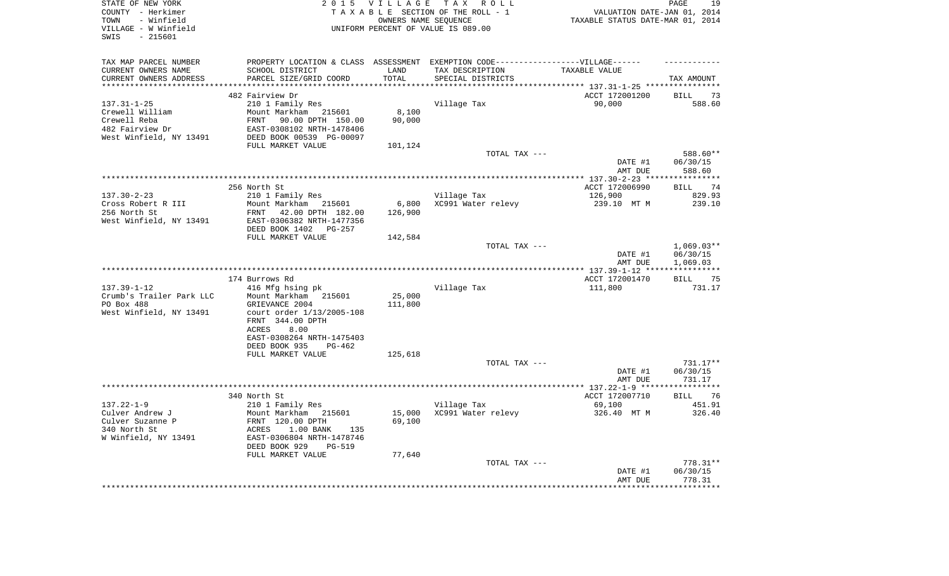| STATE OF NEW YORK<br>COUNTY - Herkimer<br>- Winfield<br>TOWN<br>VILLAGE - W Winfield<br>$-215601$<br>SWIS | <b>VILLAGE</b><br>TAX ROLL<br>2 0 1 5<br>TAXABLE SECTION OF THE ROLL - 1<br>OWNERS NAME SEQUENCE<br>UNIFORM PERCENT OF VALUE IS 089.00                   |                   |                                                                                                     | 19<br>PAGE<br>VALUATION DATE-JAN 01, 2014<br>TAXABLE STATUS DATE-MAR 01, 2014 |                                       |  |
|-----------------------------------------------------------------------------------------------------------|----------------------------------------------------------------------------------------------------------------------------------------------------------|-------------------|-----------------------------------------------------------------------------------------------------|-------------------------------------------------------------------------------|---------------------------------------|--|
| TAX MAP PARCEL NUMBER<br>CURRENT OWNERS NAME                                                              | SCHOOL DISTRICT                                                                                                                                          | LAND              | PROPERTY LOCATION & CLASS ASSESSMENT EXEMPTION CODE----------------VILLAGE------<br>TAX DESCRIPTION | TAXABLE VALUE                                                                 |                                       |  |
| CURRENT OWNERS ADDRESS                                                                                    | PARCEL SIZE/GRID COORD                                                                                                                                   | TOTAL             | SPECIAL DISTRICTS                                                                                   |                                                                               | TAX AMOUNT                            |  |
| **********************                                                                                    |                                                                                                                                                          |                   |                                                                                                     |                                                                               |                                       |  |
| $137.31 - 1 - 25$<br>Crewell William<br>Crewell Reba<br>482 Fairview Dr                                   | 482 Fairview Dr<br>210 1 Family Res<br>Mount Markham 215601<br>90.00 DPTH 150.00<br>FRNT<br>EAST-0308102 NRTH-1478406                                    | 8,100<br>90,000   | Village Tax                                                                                         | ACCT 172001200<br>90,000                                                      | <b>BILL</b><br>73<br>588.60           |  |
| West Winfield, NY 13491                                                                                   | DEED BOOK 00539 PG-00097                                                                                                                                 |                   |                                                                                                     |                                                                               |                                       |  |
|                                                                                                           | FULL MARKET VALUE                                                                                                                                        | 101,124           |                                                                                                     |                                                                               |                                       |  |
|                                                                                                           |                                                                                                                                                          |                   | TOTAL TAX ---                                                                                       | DATE #1<br>AMT DUE                                                            | 588.60**<br>06/30/15<br>588.60        |  |
|                                                                                                           |                                                                                                                                                          |                   |                                                                                                     |                                                                               |                                       |  |
| $137.30 - 2 - 23$<br>Cross Robert R III<br>256 North St<br>West Winfield, NY 13491                        | 256 North St<br>210 1 Family Res<br>Mount Markham 215601<br>FRNT<br>42.00 DPTH 182.00<br>EAST-0306382 NRTH-1477356                                       | 6,800<br>126,900  | Village Tax<br>XC991 Water relevy                                                                   | ACCT 172006990<br>126,900<br>239.10 MT M                                      | 74<br><b>BILL</b><br>829.93<br>239.10 |  |
|                                                                                                           | DEED BOOK 1402 PG-257<br>FULL MARKET VALUE                                                                                                               | 142,584           |                                                                                                     |                                                                               |                                       |  |
|                                                                                                           |                                                                                                                                                          |                   | TOTAL TAX ---                                                                                       | DATE #1<br>AMT DUE                                                            | $1,069.03**$<br>06/30/15<br>1,069.03  |  |
|                                                                                                           |                                                                                                                                                          |                   |                                                                                                     |                                                                               |                                       |  |
| $137.39 - 1 - 12$<br>Crumb's Trailer Park LLC<br>PO Box 488<br>West Winfield, NY 13491                    | 174 Burrows Rd<br>416 Mfg hsing pk<br>Mount Markham 215601<br>GRIEVANCE 2004<br>court order $1/13/2005 - 108$<br>FRNT 344.00 DPTH                        | 25,000<br>111,800 | Village Tax                                                                                         | ACCT 172001470<br>111,800                                                     | <b>BILL</b><br>75<br>731.17           |  |
|                                                                                                           | ACRES<br>8.00<br>EAST-0308264 NRTH-1475403<br>DEED BOOK 935<br>$PG-462$                                                                                  |                   |                                                                                                     |                                                                               |                                       |  |
|                                                                                                           | FULL MARKET VALUE                                                                                                                                        | 125,618           |                                                                                                     |                                                                               |                                       |  |
|                                                                                                           |                                                                                                                                                          |                   | TOTAL TAX ---                                                                                       | DATE #1<br>AMT DUE                                                            | 731.17**<br>06/30/15<br>731.17        |  |
|                                                                                                           |                                                                                                                                                          |                   |                                                                                                     |                                                                               |                                       |  |
|                                                                                                           | 340 North St                                                                                                                                             |                   |                                                                                                     | ACCT 172007710                                                                | 76<br><b>BILL</b>                     |  |
| $137.22 - 1 - 9$<br>Culver Andrew J<br>Culver Suzanne P<br>340 North St<br>W Winfield, NY 13491           | 210 1 Family Res<br>Mount Markham 215601<br>FRNT 120.00 DPTH<br>ACRES<br>1.00 BANK<br>135<br>EAST-0306804 NRTH-1478746<br>DEED BOOK 929<br><b>PG-519</b> | 15,000<br>69,100  | Village Tax<br>XC991 Water relevy                                                                   | 69,100<br>326.40 MT M                                                         | 451.91<br>326.40                      |  |
|                                                                                                           | FULL MARKET VALUE                                                                                                                                        | 77,640            | TOTAL TAX ---                                                                                       | DATE #1                                                                       | 778.31**<br>06/30/15                  |  |
|                                                                                                           |                                                                                                                                                          |                   |                                                                                                     | AMT DUE<br>********************************                                   | 778.31                                |  |
|                                                                                                           |                                                                                                                                                          |                   |                                                                                                     |                                                                               |                                       |  |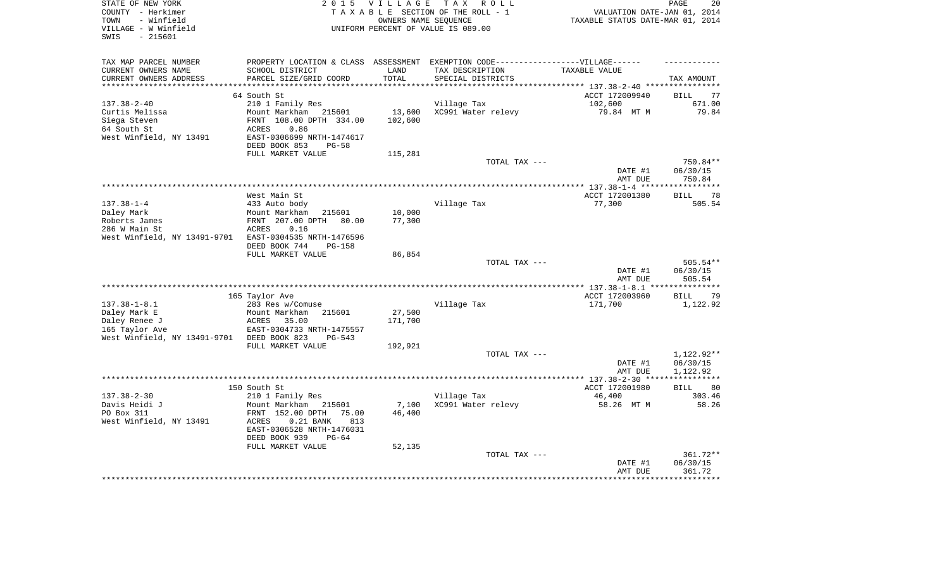| TAX MAP PARCEL NUMBER<br>PROPERTY LOCATION & CLASS ASSESSMENT EXEMPTION CODE-----------------VILLAGE------<br>CURRENT OWNERS NAME<br>SCHOOL DISTRICT<br>LAND<br>TAX DESCRIPTION<br>TAXABLE VALUE<br>PARCEL SIZE/GRID COORD<br>TOTAL<br>CURRENT OWNERS ADDRESS<br>SPECIAL DISTRICTS<br>TAX AMOUNT<br>*********<br>*************************** 137.38-2-40 ****************<br>64 South St<br>ACCT 172009940<br>77<br><b>BILL</b><br>210 1 Family Res<br>$137.38 - 2 - 40$<br>Village Tax<br>102,600<br>671.00<br>Curtis Melissa<br>Mount Markham 215601<br>13,600<br>XC991 Water relevy<br>79.84 MT M<br>79.84<br>FRNT 108.00 DPTH 334.00<br>102,600<br>Siega Steven<br>64 South St<br>0.86<br>ACRES<br>West Winfield, NY 13491<br>EAST-0306699 NRTH-1474617<br>DEED BOOK 853<br>$PG-58$<br>FULL MARKET VALUE<br>115,281<br>TOTAL TAX ---<br>750.84**<br>06/30/15<br>DATE #1<br>AMT DUE<br>750.84<br>**********<br>West Main St<br>ACCT 172001380<br>78<br>BILL<br>$137.38 - 1 - 4$<br>433 Auto body<br>Village Tax<br>77,300<br>505.54<br>Daley Mark<br>Mount Markham<br>215601<br>10,000<br>Roberts James<br>FRNT 207.00 DPTH 80.00<br>77,300<br>286 W Main St<br>ACRES<br>0.16<br>West Winfield, NY 13491-9701<br>EAST-0304535 NRTH-1476596<br>DEED BOOK 744<br><b>PG-158</b><br>FULL MARKET VALUE<br>86,854<br>$505.54**$<br>TOTAL TAX ---<br>DATE #1<br>06/30/15<br>AMT DUE<br>505.54<br>$*$ 137.38-1-8.1 ***<br>165 Taylor Ave<br>ACCT 172003960<br><b>BILL</b><br>79<br>$137.38 - 1 - 8.1$<br>171,700<br>1,122.92<br>283 Res w/Comuse<br>Village Tax<br>Daley Mark E<br>27,500<br>Mount Markham<br>215601<br>171,700<br>Daley Renee J<br>ACRES<br>35.00<br>165 Taylor Ave<br>EAST-0304733 NRTH-1475557<br>West Winfield, NY 13491-9701<br>DEED BOOK 823<br>$PG-543$<br>FULL MARKET VALUE<br>192,921<br>1,122.92**<br>TOTAL TAX ---<br>DATE #1<br>06/30/15<br>AMT DUE<br>1,122.92<br>150 South St<br>ACCT 172001980<br>80<br><b>BILL</b><br>$137.38 - 2 - 30$<br>46,400<br>210 1 Family Res<br>Village Tax<br>303.46<br>Davis Heidi J<br>Mount Markham<br>7,100<br>XC991 Water relevy<br>58.26 MT M<br>58.26<br>215601<br>PO Box 311<br>FRNT 152.00 DPTH<br>75.00<br>46,400<br>West Winfield, NY 13491<br>813<br>ACRES<br>$0.21$ BANK<br>EAST-0306528 NRTH-1476031<br>DEED BOOK 939<br>$PG-64$<br>FULL MARKET VALUE<br>52,135<br>361.72**<br>TOTAL TAX ---<br>06/30/15<br>DATE #1<br>361.72<br>AMT DUE | STATE OF NEW YORK<br>COUNTY - Herkimer<br>- Winfield<br>TOWN<br>VILLAGE - W Winfield<br>$-215601$<br>SWIS | 2 0 1 5 | <b>VILLAGE</b> | TAX ROLL<br>TAXABLE SECTION OF THE ROLL - 1<br>OWNERS NAME SEOUENCE<br>UNIFORM PERCENT OF VALUE IS 089.00 | VALUATION DATE-JAN 01, 2014<br>TAXABLE STATUS DATE-MAR 01, 2014 | PAGE<br>20 |
|-------------------------------------------------------------------------------------------------------------------------------------------------------------------------------------------------------------------------------------------------------------------------------------------------------------------------------------------------------------------------------------------------------------------------------------------------------------------------------------------------------------------------------------------------------------------------------------------------------------------------------------------------------------------------------------------------------------------------------------------------------------------------------------------------------------------------------------------------------------------------------------------------------------------------------------------------------------------------------------------------------------------------------------------------------------------------------------------------------------------------------------------------------------------------------------------------------------------------------------------------------------------------------------------------------------------------------------------------------------------------------------------------------------------------------------------------------------------------------------------------------------------------------------------------------------------------------------------------------------------------------------------------------------------------------------------------------------------------------------------------------------------------------------------------------------------------------------------------------------------------------------------------------------------------------------------------------------------------------------------------------------------------------------------------------------------------------------------------------------------------------------------------------------------------------------------------------------------------------------------------------------------------------------------------------------------------------------------------------------------------------------------------------------|-----------------------------------------------------------------------------------------------------------|---------|----------------|-----------------------------------------------------------------------------------------------------------|-----------------------------------------------------------------|------------|
|                                                                                                                                                                                                                                                                                                                                                                                                                                                                                                                                                                                                                                                                                                                                                                                                                                                                                                                                                                                                                                                                                                                                                                                                                                                                                                                                                                                                                                                                                                                                                                                                                                                                                                                                                                                                                                                                                                                                                                                                                                                                                                                                                                                                                                                                                                                                                                                                             |                                                                                                           |         |                |                                                                                                           |                                                                 |            |
|                                                                                                                                                                                                                                                                                                                                                                                                                                                                                                                                                                                                                                                                                                                                                                                                                                                                                                                                                                                                                                                                                                                                                                                                                                                                                                                                                                                                                                                                                                                                                                                                                                                                                                                                                                                                                                                                                                                                                                                                                                                                                                                                                                                                                                                                                                                                                                                                             |                                                                                                           |         |                |                                                                                                           |                                                                 |            |
|                                                                                                                                                                                                                                                                                                                                                                                                                                                                                                                                                                                                                                                                                                                                                                                                                                                                                                                                                                                                                                                                                                                                                                                                                                                                                                                                                                                                                                                                                                                                                                                                                                                                                                                                                                                                                                                                                                                                                                                                                                                                                                                                                                                                                                                                                                                                                                                                             |                                                                                                           |         |                |                                                                                                           |                                                                 |            |
|                                                                                                                                                                                                                                                                                                                                                                                                                                                                                                                                                                                                                                                                                                                                                                                                                                                                                                                                                                                                                                                                                                                                                                                                                                                                                                                                                                                                                                                                                                                                                                                                                                                                                                                                                                                                                                                                                                                                                                                                                                                                                                                                                                                                                                                                                                                                                                                                             |                                                                                                           |         |                |                                                                                                           |                                                                 |            |
|                                                                                                                                                                                                                                                                                                                                                                                                                                                                                                                                                                                                                                                                                                                                                                                                                                                                                                                                                                                                                                                                                                                                                                                                                                                                                                                                                                                                                                                                                                                                                                                                                                                                                                                                                                                                                                                                                                                                                                                                                                                                                                                                                                                                                                                                                                                                                                                                             |                                                                                                           |         |                |                                                                                                           |                                                                 |            |
|                                                                                                                                                                                                                                                                                                                                                                                                                                                                                                                                                                                                                                                                                                                                                                                                                                                                                                                                                                                                                                                                                                                                                                                                                                                                                                                                                                                                                                                                                                                                                                                                                                                                                                                                                                                                                                                                                                                                                                                                                                                                                                                                                                                                                                                                                                                                                                                                             |                                                                                                           |         |                |                                                                                                           |                                                                 |            |
|                                                                                                                                                                                                                                                                                                                                                                                                                                                                                                                                                                                                                                                                                                                                                                                                                                                                                                                                                                                                                                                                                                                                                                                                                                                                                                                                                                                                                                                                                                                                                                                                                                                                                                                                                                                                                                                                                                                                                                                                                                                                                                                                                                                                                                                                                                                                                                                                             |                                                                                                           |         |                |                                                                                                           |                                                                 |            |
|                                                                                                                                                                                                                                                                                                                                                                                                                                                                                                                                                                                                                                                                                                                                                                                                                                                                                                                                                                                                                                                                                                                                                                                                                                                                                                                                                                                                                                                                                                                                                                                                                                                                                                                                                                                                                                                                                                                                                                                                                                                                                                                                                                                                                                                                                                                                                                                                             |                                                                                                           |         |                |                                                                                                           |                                                                 |            |
|                                                                                                                                                                                                                                                                                                                                                                                                                                                                                                                                                                                                                                                                                                                                                                                                                                                                                                                                                                                                                                                                                                                                                                                                                                                                                                                                                                                                                                                                                                                                                                                                                                                                                                                                                                                                                                                                                                                                                                                                                                                                                                                                                                                                                                                                                                                                                                                                             |                                                                                                           |         |                |                                                                                                           |                                                                 |            |
|                                                                                                                                                                                                                                                                                                                                                                                                                                                                                                                                                                                                                                                                                                                                                                                                                                                                                                                                                                                                                                                                                                                                                                                                                                                                                                                                                                                                                                                                                                                                                                                                                                                                                                                                                                                                                                                                                                                                                                                                                                                                                                                                                                                                                                                                                                                                                                                                             |                                                                                                           |         |                |                                                                                                           |                                                                 |            |
|                                                                                                                                                                                                                                                                                                                                                                                                                                                                                                                                                                                                                                                                                                                                                                                                                                                                                                                                                                                                                                                                                                                                                                                                                                                                                                                                                                                                                                                                                                                                                                                                                                                                                                                                                                                                                                                                                                                                                                                                                                                                                                                                                                                                                                                                                                                                                                                                             |                                                                                                           |         |                |                                                                                                           |                                                                 |            |
|                                                                                                                                                                                                                                                                                                                                                                                                                                                                                                                                                                                                                                                                                                                                                                                                                                                                                                                                                                                                                                                                                                                                                                                                                                                                                                                                                                                                                                                                                                                                                                                                                                                                                                                                                                                                                                                                                                                                                                                                                                                                                                                                                                                                                                                                                                                                                                                                             |                                                                                                           |         |                |                                                                                                           |                                                                 |            |
|                                                                                                                                                                                                                                                                                                                                                                                                                                                                                                                                                                                                                                                                                                                                                                                                                                                                                                                                                                                                                                                                                                                                                                                                                                                                                                                                                                                                                                                                                                                                                                                                                                                                                                                                                                                                                                                                                                                                                                                                                                                                                                                                                                                                                                                                                                                                                                                                             |                                                                                                           |         |                |                                                                                                           |                                                                 |            |
|                                                                                                                                                                                                                                                                                                                                                                                                                                                                                                                                                                                                                                                                                                                                                                                                                                                                                                                                                                                                                                                                                                                                                                                                                                                                                                                                                                                                                                                                                                                                                                                                                                                                                                                                                                                                                                                                                                                                                                                                                                                                                                                                                                                                                                                                                                                                                                                                             |                                                                                                           |         |                |                                                                                                           |                                                                 |            |
|                                                                                                                                                                                                                                                                                                                                                                                                                                                                                                                                                                                                                                                                                                                                                                                                                                                                                                                                                                                                                                                                                                                                                                                                                                                                                                                                                                                                                                                                                                                                                                                                                                                                                                                                                                                                                                                                                                                                                                                                                                                                                                                                                                                                                                                                                                                                                                                                             |                                                                                                           |         |                |                                                                                                           |                                                                 |            |
|                                                                                                                                                                                                                                                                                                                                                                                                                                                                                                                                                                                                                                                                                                                                                                                                                                                                                                                                                                                                                                                                                                                                                                                                                                                                                                                                                                                                                                                                                                                                                                                                                                                                                                                                                                                                                                                                                                                                                                                                                                                                                                                                                                                                                                                                                                                                                                                                             |                                                                                                           |         |                |                                                                                                           |                                                                 |            |
|                                                                                                                                                                                                                                                                                                                                                                                                                                                                                                                                                                                                                                                                                                                                                                                                                                                                                                                                                                                                                                                                                                                                                                                                                                                                                                                                                                                                                                                                                                                                                                                                                                                                                                                                                                                                                                                                                                                                                                                                                                                                                                                                                                                                                                                                                                                                                                                                             |                                                                                                           |         |                |                                                                                                           |                                                                 |            |
|                                                                                                                                                                                                                                                                                                                                                                                                                                                                                                                                                                                                                                                                                                                                                                                                                                                                                                                                                                                                                                                                                                                                                                                                                                                                                                                                                                                                                                                                                                                                                                                                                                                                                                                                                                                                                                                                                                                                                                                                                                                                                                                                                                                                                                                                                                                                                                                                             |                                                                                                           |         |                |                                                                                                           |                                                                 |            |
|                                                                                                                                                                                                                                                                                                                                                                                                                                                                                                                                                                                                                                                                                                                                                                                                                                                                                                                                                                                                                                                                                                                                                                                                                                                                                                                                                                                                                                                                                                                                                                                                                                                                                                                                                                                                                                                                                                                                                                                                                                                                                                                                                                                                                                                                                                                                                                                                             |                                                                                                           |         |                |                                                                                                           |                                                                 |            |
|                                                                                                                                                                                                                                                                                                                                                                                                                                                                                                                                                                                                                                                                                                                                                                                                                                                                                                                                                                                                                                                                                                                                                                                                                                                                                                                                                                                                                                                                                                                                                                                                                                                                                                                                                                                                                                                                                                                                                                                                                                                                                                                                                                                                                                                                                                                                                                                                             |                                                                                                           |         |                |                                                                                                           |                                                                 |            |
|                                                                                                                                                                                                                                                                                                                                                                                                                                                                                                                                                                                                                                                                                                                                                                                                                                                                                                                                                                                                                                                                                                                                                                                                                                                                                                                                                                                                                                                                                                                                                                                                                                                                                                                                                                                                                                                                                                                                                                                                                                                                                                                                                                                                                                                                                                                                                                                                             |                                                                                                           |         |                |                                                                                                           |                                                                 |            |
|                                                                                                                                                                                                                                                                                                                                                                                                                                                                                                                                                                                                                                                                                                                                                                                                                                                                                                                                                                                                                                                                                                                                                                                                                                                                                                                                                                                                                                                                                                                                                                                                                                                                                                                                                                                                                                                                                                                                                                                                                                                                                                                                                                                                                                                                                                                                                                                                             |                                                                                                           |         |                |                                                                                                           |                                                                 |            |
|                                                                                                                                                                                                                                                                                                                                                                                                                                                                                                                                                                                                                                                                                                                                                                                                                                                                                                                                                                                                                                                                                                                                                                                                                                                                                                                                                                                                                                                                                                                                                                                                                                                                                                                                                                                                                                                                                                                                                                                                                                                                                                                                                                                                                                                                                                                                                                                                             |                                                                                                           |         |                |                                                                                                           |                                                                 |            |
|                                                                                                                                                                                                                                                                                                                                                                                                                                                                                                                                                                                                                                                                                                                                                                                                                                                                                                                                                                                                                                                                                                                                                                                                                                                                                                                                                                                                                                                                                                                                                                                                                                                                                                                                                                                                                                                                                                                                                                                                                                                                                                                                                                                                                                                                                                                                                                                                             |                                                                                                           |         |                |                                                                                                           |                                                                 |            |
|                                                                                                                                                                                                                                                                                                                                                                                                                                                                                                                                                                                                                                                                                                                                                                                                                                                                                                                                                                                                                                                                                                                                                                                                                                                                                                                                                                                                                                                                                                                                                                                                                                                                                                                                                                                                                                                                                                                                                                                                                                                                                                                                                                                                                                                                                                                                                                                                             |                                                                                                           |         |                |                                                                                                           |                                                                 |            |
|                                                                                                                                                                                                                                                                                                                                                                                                                                                                                                                                                                                                                                                                                                                                                                                                                                                                                                                                                                                                                                                                                                                                                                                                                                                                                                                                                                                                                                                                                                                                                                                                                                                                                                                                                                                                                                                                                                                                                                                                                                                                                                                                                                                                                                                                                                                                                                                                             |                                                                                                           |         |                |                                                                                                           |                                                                 |            |
|                                                                                                                                                                                                                                                                                                                                                                                                                                                                                                                                                                                                                                                                                                                                                                                                                                                                                                                                                                                                                                                                                                                                                                                                                                                                                                                                                                                                                                                                                                                                                                                                                                                                                                                                                                                                                                                                                                                                                                                                                                                                                                                                                                                                                                                                                                                                                                                                             |                                                                                                           |         |                |                                                                                                           |                                                                 |            |
|                                                                                                                                                                                                                                                                                                                                                                                                                                                                                                                                                                                                                                                                                                                                                                                                                                                                                                                                                                                                                                                                                                                                                                                                                                                                                                                                                                                                                                                                                                                                                                                                                                                                                                                                                                                                                                                                                                                                                                                                                                                                                                                                                                                                                                                                                                                                                                                                             |                                                                                                           |         |                |                                                                                                           |                                                                 |            |
|                                                                                                                                                                                                                                                                                                                                                                                                                                                                                                                                                                                                                                                                                                                                                                                                                                                                                                                                                                                                                                                                                                                                                                                                                                                                                                                                                                                                                                                                                                                                                                                                                                                                                                                                                                                                                                                                                                                                                                                                                                                                                                                                                                                                                                                                                                                                                                                                             |                                                                                                           |         |                |                                                                                                           |                                                                 |            |
|                                                                                                                                                                                                                                                                                                                                                                                                                                                                                                                                                                                                                                                                                                                                                                                                                                                                                                                                                                                                                                                                                                                                                                                                                                                                                                                                                                                                                                                                                                                                                                                                                                                                                                                                                                                                                                                                                                                                                                                                                                                                                                                                                                                                                                                                                                                                                                                                             |                                                                                                           |         |                |                                                                                                           |                                                                 |            |
|                                                                                                                                                                                                                                                                                                                                                                                                                                                                                                                                                                                                                                                                                                                                                                                                                                                                                                                                                                                                                                                                                                                                                                                                                                                                                                                                                                                                                                                                                                                                                                                                                                                                                                                                                                                                                                                                                                                                                                                                                                                                                                                                                                                                                                                                                                                                                                                                             |                                                                                                           |         |                |                                                                                                           |                                                                 |            |
|                                                                                                                                                                                                                                                                                                                                                                                                                                                                                                                                                                                                                                                                                                                                                                                                                                                                                                                                                                                                                                                                                                                                                                                                                                                                                                                                                                                                                                                                                                                                                                                                                                                                                                                                                                                                                                                                                                                                                                                                                                                                                                                                                                                                                                                                                                                                                                                                             |                                                                                                           |         |                |                                                                                                           |                                                                 |            |
|                                                                                                                                                                                                                                                                                                                                                                                                                                                                                                                                                                                                                                                                                                                                                                                                                                                                                                                                                                                                                                                                                                                                                                                                                                                                                                                                                                                                                                                                                                                                                                                                                                                                                                                                                                                                                                                                                                                                                                                                                                                                                                                                                                                                                                                                                                                                                                                                             |                                                                                                           |         |                |                                                                                                           |                                                                 |            |
|                                                                                                                                                                                                                                                                                                                                                                                                                                                                                                                                                                                                                                                                                                                                                                                                                                                                                                                                                                                                                                                                                                                                                                                                                                                                                                                                                                                                                                                                                                                                                                                                                                                                                                                                                                                                                                                                                                                                                                                                                                                                                                                                                                                                                                                                                                                                                                                                             |                                                                                                           |         |                |                                                                                                           |                                                                 |            |
|                                                                                                                                                                                                                                                                                                                                                                                                                                                                                                                                                                                                                                                                                                                                                                                                                                                                                                                                                                                                                                                                                                                                                                                                                                                                                                                                                                                                                                                                                                                                                                                                                                                                                                                                                                                                                                                                                                                                                                                                                                                                                                                                                                                                                                                                                                                                                                                                             |                                                                                                           |         |                |                                                                                                           |                                                                 |            |
|                                                                                                                                                                                                                                                                                                                                                                                                                                                                                                                                                                                                                                                                                                                                                                                                                                                                                                                                                                                                                                                                                                                                                                                                                                                                                                                                                                                                                                                                                                                                                                                                                                                                                                                                                                                                                                                                                                                                                                                                                                                                                                                                                                                                                                                                                                                                                                                                             |                                                                                                           |         |                |                                                                                                           |                                                                 |            |
|                                                                                                                                                                                                                                                                                                                                                                                                                                                                                                                                                                                                                                                                                                                                                                                                                                                                                                                                                                                                                                                                                                                                                                                                                                                                                                                                                                                                                                                                                                                                                                                                                                                                                                                                                                                                                                                                                                                                                                                                                                                                                                                                                                                                                                                                                                                                                                                                             |                                                                                                           |         |                |                                                                                                           |                                                                 |            |
|                                                                                                                                                                                                                                                                                                                                                                                                                                                                                                                                                                                                                                                                                                                                                                                                                                                                                                                                                                                                                                                                                                                                                                                                                                                                                                                                                                                                                                                                                                                                                                                                                                                                                                                                                                                                                                                                                                                                                                                                                                                                                                                                                                                                                                                                                                                                                                                                             |                                                                                                           |         |                |                                                                                                           |                                                                 |            |
|                                                                                                                                                                                                                                                                                                                                                                                                                                                                                                                                                                                                                                                                                                                                                                                                                                                                                                                                                                                                                                                                                                                                                                                                                                                                                                                                                                                                                                                                                                                                                                                                                                                                                                                                                                                                                                                                                                                                                                                                                                                                                                                                                                                                                                                                                                                                                                                                             |                                                                                                           |         |                |                                                                                                           |                                                                 |            |
|                                                                                                                                                                                                                                                                                                                                                                                                                                                                                                                                                                                                                                                                                                                                                                                                                                                                                                                                                                                                                                                                                                                                                                                                                                                                                                                                                                                                                                                                                                                                                                                                                                                                                                                                                                                                                                                                                                                                                                                                                                                                                                                                                                                                                                                                                                                                                                                                             |                                                                                                           |         |                |                                                                                                           |                                                                 |            |
|                                                                                                                                                                                                                                                                                                                                                                                                                                                                                                                                                                                                                                                                                                                                                                                                                                                                                                                                                                                                                                                                                                                                                                                                                                                                                                                                                                                                                                                                                                                                                                                                                                                                                                                                                                                                                                                                                                                                                                                                                                                                                                                                                                                                                                                                                                                                                                                                             |                                                                                                           |         |                |                                                                                                           |                                                                 |            |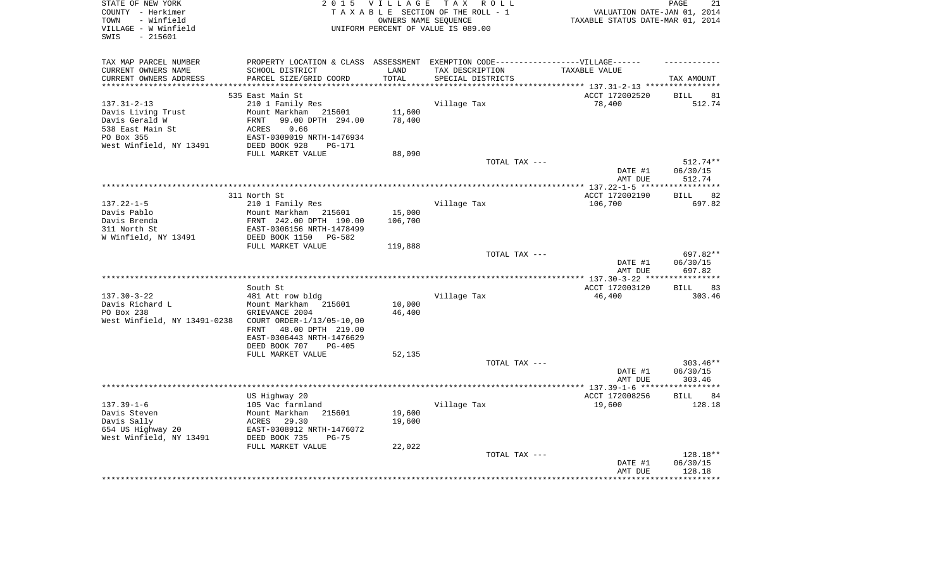| PROPERTY LOCATION & CLASS ASSESSMENT EXEMPTION CODE----------------VILLAGE------<br>TAX MAP PARCEL NUMBER<br>CURRENT OWNERS NAME<br>SCHOOL DISTRICT<br>LAND<br>TAX DESCRIPTION<br>TAXABLE VALUE<br>PARCEL SIZE/GRID COORD<br>TOTAL<br>CURRENT OWNERS ADDRESS<br>SPECIAL DISTRICTS<br>TAX AMOUNT<br>*******************<br>**********<br>*************************** 137.31-2-13 ****************<br>535 East Main St<br>ACCT 172002520<br><b>BILL</b><br>81<br>$137.31 - 2 - 13$<br>210 1 Family Res<br>Village Tax<br>78,400<br>512.74<br>Davis Living Trust<br>Mount Markham<br>11,600<br>215601<br>78,400<br>Davis Gerald W<br>99.00 DPTH 294.00<br>FRNT<br>538 East Main St<br>ACRES<br>0.66<br>PO Box 355<br>EAST-0309019 NRTH-1476934<br>West Winfield, NY 13491<br>DEED BOOK 928<br>$PG-171$<br>FULL MARKET VALUE<br>88,090<br>TOTAL TAX ---<br>$512.74**$<br>DATE #1<br>06/30/15<br>AMT DUE<br>512.74<br>ACCT 172002190<br>311 North St<br>82<br>BILL<br>$137.22 - 1 - 5$<br>210 1 Family Res<br>Village Tax<br>106,700<br>697.82<br>Davis Pablo<br>Mount Markham 215601<br>15,000<br>Davis Brenda<br>FRNT 242.00 DPTH 190.00<br>106,700<br>311 North St<br>EAST-0306156 NRTH-1478499<br>W Winfield, NY 13491<br>DEED BOOK 1150<br>PG-582<br>FULL MARKET VALUE<br>119,888<br>697.82**<br>TOTAL TAX ---<br>DATE #1<br>06/30/15<br>697.82<br>AMT DUE<br>South St<br>ACCT 172003120<br>BILL<br>83<br>$137.30 - 3 - 22$<br>Village Tax<br>46,400<br>303.46<br>481 Att row bldg<br>Davis Richard L<br>Mount Markham 215601<br>10,000<br>PO Box 238<br>GRIEVANCE 2004<br>46,400<br>West Winfield, NY 13491-0238<br>COURT ORDER-1/13/05-10,00<br>48.00 DPTH 219.00<br>FRNT<br>EAST-0306443 NRTH-1476629<br>DEED BOOK 707<br>$PG-405$<br>52,135<br>FULL MARKET VALUE<br>$303.46**$<br>TOTAL TAX ---<br>DATE #1<br>06/30/15<br>AMT DUE<br>303.46<br>**********<br>US Highway 20<br>ACCT 172008256<br>84<br>BILL<br>$137.39 - 1 - 6$<br>105 Vac farmland<br>Village Tax<br>19,600<br>128.18<br>Davis Steven<br>Mount Markham<br>215601<br>19,600<br>Davis Sally<br>ACRES 29.30<br>19,600<br>654 US Highway 20<br>EAST-0308912 NRTH-1476072<br>West Winfield, NY 13491<br>DEED BOOK 735<br>$PG-75$<br>FULL MARKET VALUE<br>22,022<br>128.18**<br>TOTAL TAX ---<br>06/30/15<br>DATE #1<br>128.18<br>AMT DUE | STATE OF NEW YORK<br>COUNTY - Herkimer<br>- Winfield<br>TOWN<br>VILLAGE - W Winfield<br>$-215601$<br>SWIS | 2015 VILLAGE | TAX ROLL<br>TAXABLE SECTION OF THE ROLL - 1<br>OWNERS NAME SEQUENCE<br>UNIFORM PERCENT OF VALUE IS 089.00 | VALUATION DATE-JAN 01, 2014<br>TAXABLE STATUS DATE-MAR 01, 2014 | 21<br>PAGE |
|---------------------------------------------------------------------------------------------------------------------------------------------------------------------------------------------------------------------------------------------------------------------------------------------------------------------------------------------------------------------------------------------------------------------------------------------------------------------------------------------------------------------------------------------------------------------------------------------------------------------------------------------------------------------------------------------------------------------------------------------------------------------------------------------------------------------------------------------------------------------------------------------------------------------------------------------------------------------------------------------------------------------------------------------------------------------------------------------------------------------------------------------------------------------------------------------------------------------------------------------------------------------------------------------------------------------------------------------------------------------------------------------------------------------------------------------------------------------------------------------------------------------------------------------------------------------------------------------------------------------------------------------------------------------------------------------------------------------------------------------------------------------------------------------------------------------------------------------------------------------------------------------------------------------------------------------------------------------------------------------------------------------------------------------------------------------------------------------------------------------------------------------------------------------------------------------------------------------------------------------------------------------------------------------------------|-----------------------------------------------------------------------------------------------------------|--------------|-----------------------------------------------------------------------------------------------------------|-----------------------------------------------------------------|------------|
|                                                                                                                                                                                                                                                                                                                                                                                                                                                                                                                                                                                                                                                                                                                                                                                                                                                                                                                                                                                                                                                                                                                                                                                                                                                                                                                                                                                                                                                                                                                                                                                                                                                                                                                                                                                                                                                                                                                                                                                                                                                                                                                                                                                                                                                                                                         |                                                                                                           |              |                                                                                                           |                                                                 |            |
|                                                                                                                                                                                                                                                                                                                                                                                                                                                                                                                                                                                                                                                                                                                                                                                                                                                                                                                                                                                                                                                                                                                                                                                                                                                                                                                                                                                                                                                                                                                                                                                                                                                                                                                                                                                                                                                                                                                                                                                                                                                                                                                                                                                                                                                                                                         |                                                                                                           |              |                                                                                                           |                                                                 |            |
|                                                                                                                                                                                                                                                                                                                                                                                                                                                                                                                                                                                                                                                                                                                                                                                                                                                                                                                                                                                                                                                                                                                                                                                                                                                                                                                                                                                                                                                                                                                                                                                                                                                                                                                                                                                                                                                                                                                                                                                                                                                                                                                                                                                                                                                                                                         |                                                                                                           |              |                                                                                                           |                                                                 |            |
|                                                                                                                                                                                                                                                                                                                                                                                                                                                                                                                                                                                                                                                                                                                                                                                                                                                                                                                                                                                                                                                                                                                                                                                                                                                                                                                                                                                                                                                                                                                                                                                                                                                                                                                                                                                                                                                                                                                                                                                                                                                                                                                                                                                                                                                                                                         |                                                                                                           |              |                                                                                                           |                                                                 |            |
|                                                                                                                                                                                                                                                                                                                                                                                                                                                                                                                                                                                                                                                                                                                                                                                                                                                                                                                                                                                                                                                                                                                                                                                                                                                                                                                                                                                                                                                                                                                                                                                                                                                                                                                                                                                                                                                                                                                                                                                                                                                                                                                                                                                                                                                                                                         |                                                                                                           |              |                                                                                                           |                                                                 |            |
|                                                                                                                                                                                                                                                                                                                                                                                                                                                                                                                                                                                                                                                                                                                                                                                                                                                                                                                                                                                                                                                                                                                                                                                                                                                                                                                                                                                                                                                                                                                                                                                                                                                                                                                                                                                                                                                                                                                                                                                                                                                                                                                                                                                                                                                                                                         |                                                                                                           |              |                                                                                                           |                                                                 |            |
|                                                                                                                                                                                                                                                                                                                                                                                                                                                                                                                                                                                                                                                                                                                                                                                                                                                                                                                                                                                                                                                                                                                                                                                                                                                                                                                                                                                                                                                                                                                                                                                                                                                                                                                                                                                                                                                                                                                                                                                                                                                                                                                                                                                                                                                                                                         |                                                                                                           |              |                                                                                                           |                                                                 |            |
|                                                                                                                                                                                                                                                                                                                                                                                                                                                                                                                                                                                                                                                                                                                                                                                                                                                                                                                                                                                                                                                                                                                                                                                                                                                                                                                                                                                                                                                                                                                                                                                                                                                                                                                                                                                                                                                                                                                                                                                                                                                                                                                                                                                                                                                                                                         |                                                                                                           |              |                                                                                                           |                                                                 |            |
|                                                                                                                                                                                                                                                                                                                                                                                                                                                                                                                                                                                                                                                                                                                                                                                                                                                                                                                                                                                                                                                                                                                                                                                                                                                                                                                                                                                                                                                                                                                                                                                                                                                                                                                                                                                                                                                                                                                                                                                                                                                                                                                                                                                                                                                                                                         |                                                                                                           |              |                                                                                                           |                                                                 |            |
|                                                                                                                                                                                                                                                                                                                                                                                                                                                                                                                                                                                                                                                                                                                                                                                                                                                                                                                                                                                                                                                                                                                                                                                                                                                                                                                                                                                                                                                                                                                                                                                                                                                                                                                                                                                                                                                                                                                                                                                                                                                                                                                                                                                                                                                                                                         |                                                                                                           |              |                                                                                                           |                                                                 |            |
|                                                                                                                                                                                                                                                                                                                                                                                                                                                                                                                                                                                                                                                                                                                                                                                                                                                                                                                                                                                                                                                                                                                                                                                                                                                                                                                                                                                                                                                                                                                                                                                                                                                                                                                                                                                                                                                                                                                                                                                                                                                                                                                                                                                                                                                                                                         |                                                                                                           |              |                                                                                                           |                                                                 |            |
|                                                                                                                                                                                                                                                                                                                                                                                                                                                                                                                                                                                                                                                                                                                                                                                                                                                                                                                                                                                                                                                                                                                                                                                                                                                                                                                                                                                                                                                                                                                                                                                                                                                                                                                                                                                                                                                                                                                                                                                                                                                                                                                                                                                                                                                                                                         |                                                                                                           |              |                                                                                                           |                                                                 |            |
|                                                                                                                                                                                                                                                                                                                                                                                                                                                                                                                                                                                                                                                                                                                                                                                                                                                                                                                                                                                                                                                                                                                                                                                                                                                                                                                                                                                                                                                                                                                                                                                                                                                                                                                                                                                                                                                                                                                                                                                                                                                                                                                                                                                                                                                                                                         |                                                                                                           |              |                                                                                                           |                                                                 |            |
|                                                                                                                                                                                                                                                                                                                                                                                                                                                                                                                                                                                                                                                                                                                                                                                                                                                                                                                                                                                                                                                                                                                                                                                                                                                                                                                                                                                                                                                                                                                                                                                                                                                                                                                                                                                                                                                                                                                                                                                                                                                                                                                                                                                                                                                                                                         |                                                                                                           |              |                                                                                                           |                                                                 |            |
|                                                                                                                                                                                                                                                                                                                                                                                                                                                                                                                                                                                                                                                                                                                                                                                                                                                                                                                                                                                                                                                                                                                                                                                                                                                                                                                                                                                                                                                                                                                                                                                                                                                                                                                                                                                                                                                                                                                                                                                                                                                                                                                                                                                                                                                                                                         |                                                                                                           |              |                                                                                                           |                                                                 |            |
|                                                                                                                                                                                                                                                                                                                                                                                                                                                                                                                                                                                                                                                                                                                                                                                                                                                                                                                                                                                                                                                                                                                                                                                                                                                                                                                                                                                                                                                                                                                                                                                                                                                                                                                                                                                                                                                                                                                                                                                                                                                                                                                                                                                                                                                                                                         |                                                                                                           |              |                                                                                                           |                                                                 |            |
|                                                                                                                                                                                                                                                                                                                                                                                                                                                                                                                                                                                                                                                                                                                                                                                                                                                                                                                                                                                                                                                                                                                                                                                                                                                                                                                                                                                                                                                                                                                                                                                                                                                                                                                                                                                                                                                                                                                                                                                                                                                                                                                                                                                                                                                                                                         |                                                                                                           |              |                                                                                                           |                                                                 |            |
|                                                                                                                                                                                                                                                                                                                                                                                                                                                                                                                                                                                                                                                                                                                                                                                                                                                                                                                                                                                                                                                                                                                                                                                                                                                                                                                                                                                                                                                                                                                                                                                                                                                                                                                                                                                                                                                                                                                                                                                                                                                                                                                                                                                                                                                                                                         |                                                                                                           |              |                                                                                                           |                                                                 |            |
|                                                                                                                                                                                                                                                                                                                                                                                                                                                                                                                                                                                                                                                                                                                                                                                                                                                                                                                                                                                                                                                                                                                                                                                                                                                                                                                                                                                                                                                                                                                                                                                                                                                                                                                                                                                                                                                                                                                                                                                                                                                                                                                                                                                                                                                                                                         |                                                                                                           |              |                                                                                                           |                                                                 |            |
|                                                                                                                                                                                                                                                                                                                                                                                                                                                                                                                                                                                                                                                                                                                                                                                                                                                                                                                                                                                                                                                                                                                                                                                                                                                                                                                                                                                                                                                                                                                                                                                                                                                                                                                                                                                                                                                                                                                                                                                                                                                                                                                                                                                                                                                                                                         |                                                                                                           |              |                                                                                                           |                                                                 |            |
|                                                                                                                                                                                                                                                                                                                                                                                                                                                                                                                                                                                                                                                                                                                                                                                                                                                                                                                                                                                                                                                                                                                                                                                                                                                                                                                                                                                                                                                                                                                                                                                                                                                                                                                                                                                                                                                                                                                                                                                                                                                                                                                                                                                                                                                                                                         |                                                                                                           |              |                                                                                                           |                                                                 |            |
|                                                                                                                                                                                                                                                                                                                                                                                                                                                                                                                                                                                                                                                                                                                                                                                                                                                                                                                                                                                                                                                                                                                                                                                                                                                                                                                                                                                                                                                                                                                                                                                                                                                                                                                                                                                                                                                                                                                                                                                                                                                                                                                                                                                                                                                                                                         |                                                                                                           |              |                                                                                                           |                                                                 |            |
|                                                                                                                                                                                                                                                                                                                                                                                                                                                                                                                                                                                                                                                                                                                                                                                                                                                                                                                                                                                                                                                                                                                                                                                                                                                                                                                                                                                                                                                                                                                                                                                                                                                                                                                                                                                                                                                                                                                                                                                                                                                                                                                                                                                                                                                                                                         |                                                                                                           |              |                                                                                                           |                                                                 |            |
|                                                                                                                                                                                                                                                                                                                                                                                                                                                                                                                                                                                                                                                                                                                                                                                                                                                                                                                                                                                                                                                                                                                                                                                                                                                                                                                                                                                                                                                                                                                                                                                                                                                                                                                                                                                                                                                                                                                                                                                                                                                                                                                                                                                                                                                                                                         |                                                                                                           |              |                                                                                                           |                                                                 |            |
|                                                                                                                                                                                                                                                                                                                                                                                                                                                                                                                                                                                                                                                                                                                                                                                                                                                                                                                                                                                                                                                                                                                                                                                                                                                                                                                                                                                                                                                                                                                                                                                                                                                                                                                                                                                                                                                                                                                                                                                                                                                                                                                                                                                                                                                                                                         |                                                                                                           |              |                                                                                                           |                                                                 |            |
|                                                                                                                                                                                                                                                                                                                                                                                                                                                                                                                                                                                                                                                                                                                                                                                                                                                                                                                                                                                                                                                                                                                                                                                                                                                                                                                                                                                                                                                                                                                                                                                                                                                                                                                                                                                                                                                                                                                                                                                                                                                                                                                                                                                                                                                                                                         |                                                                                                           |              |                                                                                                           |                                                                 |            |
|                                                                                                                                                                                                                                                                                                                                                                                                                                                                                                                                                                                                                                                                                                                                                                                                                                                                                                                                                                                                                                                                                                                                                                                                                                                                                                                                                                                                                                                                                                                                                                                                                                                                                                                                                                                                                                                                                                                                                                                                                                                                                                                                                                                                                                                                                                         |                                                                                                           |              |                                                                                                           |                                                                 |            |
|                                                                                                                                                                                                                                                                                                                                                                                                                                                                                                                                                                                                                                                                                                                                                                                                                                                                                                                                                                                                                                                                                                                                                                                                                                                                                                                                                                                                                                                                                                                                                                                                                                                                                                                                                                                                                                                                                                                                                                                                                                                                                                                                                                                                                                                                                                         |                                                                                                           |              |                                                                                                           |                                                                 |            |
|                                                                                                                                                                                                                                                                                                                                                                                                                                                                                                                                                                                                                                                                                                                                                                                                                                                                                                                                                                                                                                                                                                                                                                                                                                                                                                                                                                                                                                                                                                                                                                                                                                                                                                                                                                                                                                                                                                                                                                                                                                                                                                                                                                                                                                                                                                         |                                                                                                           |              |                                                                                                           |                                                                 |            |
|                                                                                                                                                                                                                                                                                                                                                                                                                                                                                                                                                                                                                                                                                                                                                                                                                                                                                                                                                                                                                                                                                                                                                                                                                                                                                                                                                                                                                                                                                                                                                                                                                                                                                                                                                                                                                                                                                                                                                                                                                                                                                                                                                                                                                                                                                                         |                                                                                                           |              |                                                                                                           |                                                                 |            |
|                                                                                                                                                                                                                                                                                                                                                                                                                                                                                                                                                                                                                                                                                                                                                                                                                                                                                                                                                                                                                                                                                                                                                                                                                                                                                                                                                                                                                                                                                                                                                                                                                                                                                                                                                                                                                                                                                                                                                                                                                                                                                                                                                                                                                                                                                                         |                                                                                                           |              |                                                                                                           |                                                                 |            |
|                                                                                                                                                                                                                                                                                                                                                                                                                                                                                                                                                                                                                                                                                                                                                                                                                                                                                                                                                                                                                                                                                                                                                                                                                                                                                                                                                                                                                                                                                                                                                                                                                                                                                                                                                                                                                                                                                                                                                                                                                                                                                                                                                                                                                                                                                                         |                                                                                                           |              |                                                                                                           |                                                                 |            |
|                                                                                                                                                                                                                                                                                                                                                                                                                                                                                                                                                                                                                                                                                                                                                                                                                                                                                                                                                                                                                                                                                                                                                                                                                                                                                                                                                                                                                                                                                                                                                                                                                                                                                                                                                                                                                                                                                                                                                                                                                                                                                                                                                                                                                                                                                                         |                                                                                                           |              |                                                                                                           |                                                                 |            |
|                                                                                                                                                                                                                                                                                                                                                                                                                                                                                                                                                                                                                                                                                                                                                                                                                                                                                                                                                                                                                                                                                                                                                                                                                                                                                                                                                                                                                                                                                                                                                                                                                                                                                                                                                                                                                                                                                                                                                                                                                                                                                                                                                                                                                                                                                                         |                                                                                                           |              |                                                                                                           |                                                                 |            |
|                                                                                                                                                                                                                                                                                                                                                                                                                                                                                                                                                                                                                                                                                                                                                                                                                                                                                                                                                                                                                                                                                                                                                                                                                                                                                                                                                                                                                                                                                                                                                                                                                                                                                                                                                                                                                                                                                                                                                                                                                                                                                                                                                                                                                                                                                                         |                                                                                                           |              |                                                                                                           |                                                                 |            |
|                                                                                                                                                                                                                                                                                                                                                                                                                                                                                                                                                                                                                                                                                                                                                                                                                                                                                                                                                                                                                                                                                                                                                                                                                                                                                                                                                                                                                                                                                                                                                                                                                                                                                                                                                                                                                                                                                                                                                                                                                                                                                                                                                                                                                                                                                                         |                                                                                                           |              |                                                                                                           |                                                                 |            |
|                                                                                                                                                                                                                                                                                                                                                                                                                                                                                                                                                                                                                                                                                                                                                                                                                                                                                                                                                                                                                                                                                                                                                                                                                                                                                                                                                                                                                                                                                                                                                                                                                                                                                                                                                                                                                                                                                                                                                                                                                                                                                                                                                                                                                                                                                                         |                                                                                                           |              |                                                                                                           |                                                                 |            |
|                                                                                                                                                                                                                                                                                                                                                                                                                                                                                                                                                                                                                                                                                                                                                                                                                                                                                                                                                                                                                                                                                                                                                                                                                                                                                                                                                                                                                                                                                                                                                                                                                                                                                                                                                                                                                                                                                                                                                                                                                                                                                                                                                                                                                                                                                                         |                                                                                                           |              |                                                                                                           |                                                                 |            |
|                                                                                                                                                                                                                                                                                                                                                                                                                                                                                                                                                                                                                                                                                                                                                                                                                                                                                                                                                                                                                                                                                                                                                                                                                                                                                                                                                                                                                                                                                                                                                                                                                                                                                                                                                                                                                                                                                                                                                                                                                                                                                                                                                                                                                                                                                                         |                                                                                                           |              |                                                                                                           |                                                                 |            |
|                                                                                                                                                                                                                                                                                                                                                                                                                                                                                                                                                                                                                                                                                                                                                                                                                                                                                                                                                                                                                                                                                                                                                                                                                                                                                                                                                                                                                                                                                                                                                                                                                                                                                                                                                                                                                                                                                                                                                                                                                                                                                                                                                                                                                                                                                                         |                                                                                                           |              |                                                                                                           |                                                                 |            |
|                                                                                                                                                                                                                                                                                                                                                                                                                                                                                                                                                                                                                                                                                                                                                                                                                                                                                                                                                                                                                                                                                                                                                                                                                                                                                                                                                                                                                                                                                                                                                                                                                                                                                                                                                                                                                                                                                                                                                                                                                                                                                                                                                                                                                                                                                                         |                                                                                                           |              |                                                                                                           |                                                                 |            |
|                                                                                                                                                                                                                                                                                                                                                                                                                                                                                                                                                                                                                                                                                                                                                                                                                                                                                                                                                                                                                                                                                                                                                                                                                                                                                                                                                                                                                                                                                                                                                                                                                                                                                                                                                                                                                                                                                                                                                                                                                                                                                                                                                                                                                                                                                                         |                                                                                                           |              |                                                                                                           |                                                                 |            |
|                                                                                                                                                                                                                                                                                                                                                                                                                                                                                                                                                                                                                                                                                                                                                                                                                                                                                                                                                                                                                                                                                                                                                                                                                                                                                                                                                                                                                                                                                                                                                                                                                                                                                                                                                                                                                                                                                                                                                                                                                                                                                                                                                                                                                                                                                                         |                                                                                                           |              |                                                                                                           |                                                                 |            |
|                                                                                                                                                                                                                                                                                                                                                                                                                                                                                                                                                                                                                                                                                                                                                                                                                                                                                                                                                                                                                                                                                                                                                                                                                                                                                                                                                                                                                                                                                                                                                                                                                                                                                                                                                                                                                                                                                                                                                                                                                                                                                                                                                                                                                                                                                                         |                                                                                                           |              |                                                                                                           |                                                                 |            |
|                                                                                                                                                                                                                                                                                                                                                                                                                                                                                                                                                                                                                                                                                                                                                                                                                                                                                                                                                                                                                                                                                                                                                                                                                                                                                                                                                                                                                                                                                                                                                                                                                                                                                                                                                                                                                                                                                                                                                                                                                                                                                                                                                                                                                                                                                                         |                                                                                                           |              |                                                                                                           |                                                                 |            |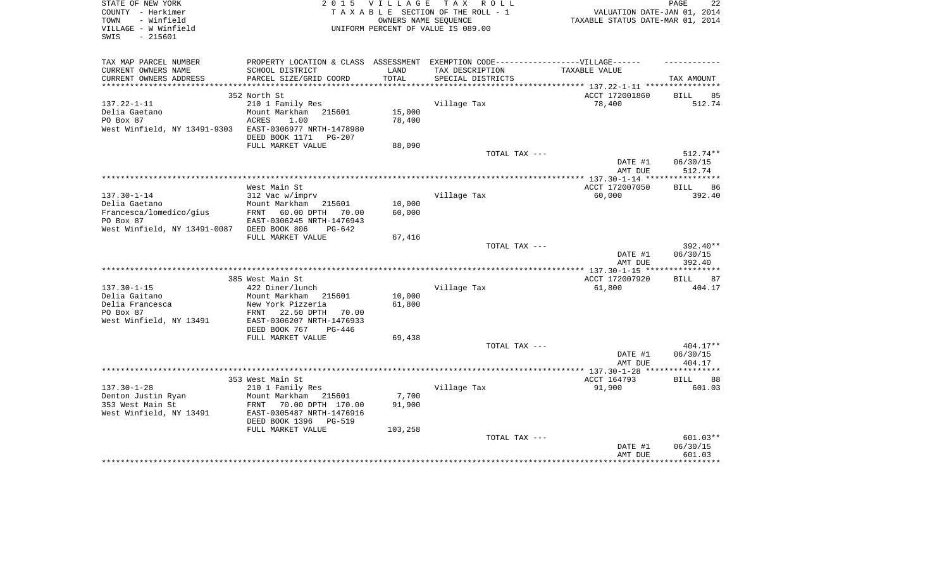| STATE OF NEW YORK<br>COUNTY - Herkimer<br>- Winfield<br>TOWN<br>VILLAGE - W Winfield<br>$-215601$<br>SWIS | 2 0 1 5                                                                                             | OWNERS NAME SEQUENCE | VILLAGE TAX ROLL<br>TAXABLE SECTION OF THE ROLL - 1<br>UNIFORM PERCENT OF VALUE IS 089.00 | VALUATION DATE-JAN 01, 2014<br>TAXABLE STATUS DATE-MAR 01, 2014 | 22<br>PAGE            |
|-----------------------------------------------------------------------------------------------------------|-----------------------------------------------------------------------------------------------------|----------------------|-------------------------------------------------------------------------------------------|-----------------------------------------------------------------|-----------------------|
| TAX MAP PARCEL NUMBER<br>CURRENT OWNERS NAME                                                              | PROPERTY LOCATION & CLASS ASSESSMENT EXEMPTION CODE----------------VILLAGE------<br>SCHOOL DISTRICT | LAND                 | TAX DESCRIPTION                                                                           | TAXABLE VALUE                                                   |                       |
| CURRENT OWNERS ADDRESS                                                                                    | PARCEL SIZE/GRID COORD                                                                              | TOTAL                | SPECIAL DISTRICTS                                                                         |                                                                 | TAX AMOUNT            |
| ***********************                                                                                   |                                                                                                     |                      |                                                                                           |                                                                 |                       |
|                                                                                                           | 352 North St                                                                                        |                      |                                                                                           | ACCT 172001860                                                  | <b>BILL</b><br>85     |
| $137.22 - 1 - 11$<br>Delia Gaetano                                                                        | 210 1 Family Res<br>Mount Markham 215601                                                            | 15,000               | Village Tax                                                                               | 78,400                                                          | 512.74                |
| PO Box 87                                                                                                 | ACRES<br>1.00                                                                                       | 78,400               |                                                                                           |                                                                 |                       |
| West Winfield, NY 13491-9303                                                                              | EAST-0306977 NRTH-1478980                                                                           |                      |                                                                                           |                                                                 |                       |
|                                                                                                           | DEED BOOK 1171<br>PG-207                                                                            |                      |                                                                                           |                                                                 |                       |
|                                                                                                           | FULL MARKET VALUE                                                                                   | 88,090               |                                                                                           |                                                                 |                       |
|                                                                                                           |                                                                                                     |                      | TOTAL TAX ---                                                                             |                                                                 | $512.74**$            |
|                                                                                                           |                                                                                                     |                      |                                                                                           | DATE #1                                                         | 06/30/15              |
|                                                                                                           |                                                                                                     |                      |                                                                                           | AMT DUE                                                         | 512.74                |
|                                                                                                           | West Main St                                                                                        |                      |                                                                                           | ACCT 172007050                                                  | BILL 86               |
| $137.30 - 1 - 14$                                                                                         | 312 Vac w/imprv                                                                                     |                      | Village Tax                                                                               | 60,000                                                          | 392.40                |
| Delia Gaetano                                                                                             | Mount Markham<br>215601                                                                             | 10,000               |                                                                                           |                                                                 |                       |
| Francesca/lomedico/gius                                                                                   | FRNT<br>60.00 DPTH<br>70.00                                                                         | 60,000               |                                                                                           |                                                                 |                       |
| PO Box 87                                                                                                 | EAST-0306245 NRTH-1476943                                                                           |                      |                                                                                           |                                                                 |                       |
| West Winfield, NY 13491-0087                                                                              | DEED BOOK 806<br>$PG-642$                                                                           |                      |                                                                                           |                                                                 |                       |
|                                                                                                           | FULL MARKET VALUE                                                                                   | 67,416               | TOTAL TAX ---                                                                             |                                                                 | 392.40**              |
|                                                                                                           |                                                                                                     |                      |                                                                                           | DATE #1                                                         | 06/30/15              |
|                                                                                                           |                                                                                                     |                      |                                                                                           | AMT DUE                                                         | 392.40                |
|                                                                                                           |                                                                                                     |                      |                                                                                           | **************** 137.30-1-15 *****************                  |                       |
|                                                                                                           | 385 West Main St                                                                                    |                      |                                                                                           | ACCT 172007920                                                  | <b>BILL</b><br>87     |
| $137.30 - 1 - 15$                                                                                         | 422 Diner/lunch                                                                                     |                      | Village Tax                                                                               | 61,800                                                          | 404.17                |
| Delia Gaitano<br>Delia Francesca                                                                          | Mount Markham 215601<br>New York Pizzeria                                                           | 10,000<br>61,800     |                                                                                           |                                                                 |                       |
| PO Box 87                                                                                                 | FRNT<br>22.50 DPTH<br>70.00                                                                         |                      |                                                                                           |                                                                 |                       |
| West Winfield, NY 13491                                                                                   | EAST-0306207 NRTH-1476933                                                                           |                      |                                                                                           |                                                                 |                       |
|                                                                                                           | DEED BOOK 767<br>$PG-446$                                                                           |                      |                                                                                           |                                                                 |                       |
|                                                                                                           | FULL MARKET VALUE                                                                                   | 69,438               |                                                                                           |                                                                 |                       |
|                                                                                                           |                                                                                                     |                      | TOTAL TAX ---                                                                             |                                                                 | 404.17**              |
|                                                                                                           |                                                                                                     |                      |                                                                                           | DATE #1<br>AMT DUE                                              | 06/30/15<br>404.17    |
|                                                                                                           |                                                                                                     |                      |                                                                                           |                                                                 | * * * * * * * * * * * |
|                                                                                                           | 353 West Main St                                                                                    |                      |                                                                                           | ACCT 164793                                                     | 88<br><b>BILL</b>     |
| $137.30 - 1 - 28$                                                                                         | 210 1 Family Res                                                                                    |                      | Village Tax                                                                               | 91,900                                                          | 601.03                |
| Denton Justin Ryan                                                                                        | Mount Markham<br>215601                                                                             | 7,700                |                                                                                           |                                                                 |                       |
| 353 West Main St                                                                                          | FRNT<br>70.00 DPTH 170.00                                                                           | 91,900               |                                                                                           |                                                                 |                       |
| West Winfield, NY 13491                                                                                   | EAST-0305487 NRTH-1476916                                                                           |                      |                                                                                           |                                                                 |                       |
|                                                                                                           | DEED BOOK 1396<br>PG-519<br>FULL MARKET VALUE                                                       | 103,258              |                                                                                           |                                                                 |                       |
|                                                                                                           |                                                                                                     |                      | TOTAL TAX ---                                                                             |                                                                 | 601.03**              |
|                                                                                                           |                                                                                                     |                      |                                                                                           | DATE #1                                                         | 06/30/15              |
|                                                                                                           |                                                                                                     |                      |                                                                                           | AMT DUE                                                         | 601.03                |
|                                                                                                           |                                                                                                     |                      |                                                                                           |                                                                 |                       |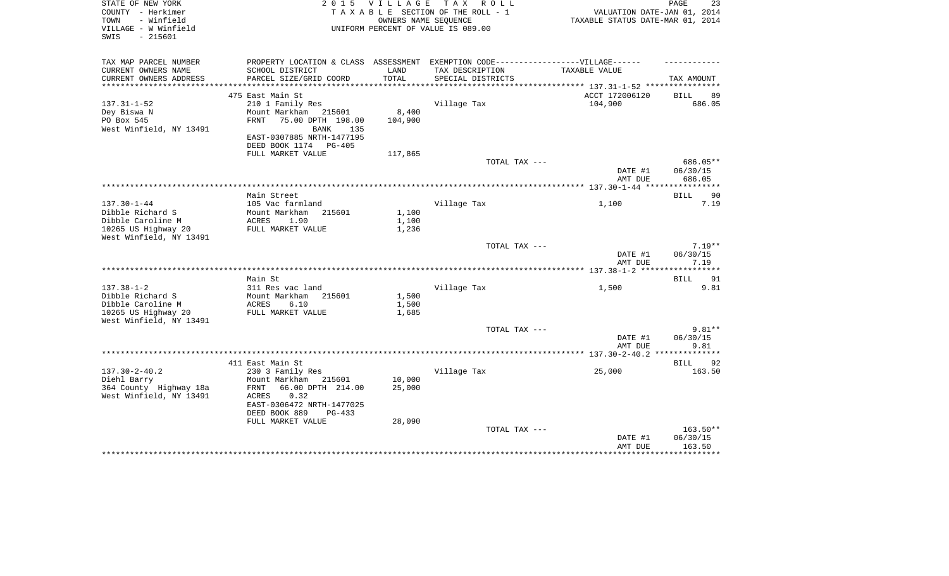| STATE OF NEW YORK<br>COUNTY - Herkimer                          | 2 0 1 5                                                                          | VILLAGE | TAX ROLL<br>TAXABLE SECTION OF THE ROLL - 1                | VALUATION DATE-JAN 01, 2014      | PAGE<br>23         |
|-----------------------------------------------------------------|----------------------------------------------------------------------------------|---------|------------------------------------------------------------|----------------------------------|--------------------|
| - Winfield<br>TOWN<br>VILLAGE - W Winfield<br>$-215601$<br>SWIS |                                                                                  |         | OWNERS NAME SEQUENCE<br>UNIFORM PERCENT OF VALUE IS 089.00 | TAXABLE STATUS DATE-MAR 01, 2014 |                    |
| TAX MAP PARCEL NUMBER                                           | PROPERTY LOCATION & CLASS ASSESSMENT EXEMPTION CODE----------------VILLAGE------ |         |                                                            |                                  |                    |
| CURRENT OWNERS NAME                                             | SCHOOL DISTRICT                                                                  | LAND    | TAX DESCRIPTION                                            | TAXABLE VALUE                    |                    |
| CURRENT OWNERS ADDRESS                                          | PARCEL SIZE/GRID COORD                                                           | TOTAL   | SPECIAL DISTRICTS                                          |                                  | TAX AMOUNT         |
| ***********************                                         |                                                                                  |         |                                                            |                                  |                    |
|                                                                 | 475 East Main St                                                                 |         |                                                            | ACCT 172006120                   | <b>BILL</b><br>89  |
| $137.31 - 1 - 52$<br>Dey Biswa N                                | 210 1 Family Res<br>Mount Markham<br>215601                                      | 8,400   | Village Tax                                                | 104,900                          | 686.05             |
| PO Box 545                                                      | 75.00 DPTH 198.00<br>FRNT                                                        | 104,900 |                                                            |                                  |                    |
| West Winfield, NY 13491                                         | BANK<br>135                                                                      |         |                                                            |                                  |                    |
|                                                                 | EAST-0307885 NRTH-1477195                                                        |         |                                                            |                                  |                    |
|                                                                 | DEED BOOK 1174 PG-405                                                            |         |                                                            |                                  |                    |
|                                                                 | FULL MARKET VALUE                                                                | 117,865 |                                                            |                                  |                    |
|                                                                 |                                                                                  |         | TOTAL TAX ---                                              |                                  | 686.05**           |
|                                                                 |                                                                                  |         |                                                            | DATE #1                          | 06/30/15           |
|                                                                 |                                                                                  |         |                                                            | AMT DUE                          | 686.05             |
|                                                                 | Main Street                                                                      |         |                                                            |                                  | BILL<br>90         |
| $137.30 - 1 - 44$                                               | 105 Vac farmland                                                                 |         | Village Tax                                                | 1,100                            | 7.19               |
| Dibble Richard S                                                | Mount Markham<br>215601                                                          | 1,100   |                                                            |                                  |                    |
| Dibble Caroline M                                               | ACRES<br>1.90                                                                    | 1,100   |                                                            |                                  |                    |
| 10265 US Highway 20                                             | FULL MARKET VALUE                                                                | 1,236   |                                                            |                                  |                    |
| West Winfield, NY 13491                                         |                                                                                  |         |                                                            |                                  |                    |
|                                                                 |                                                                                  |         | TOTAL TAX ---                                              |                                  | $7.19**$           |
|                                                                 |                                                                                  |         |                                                            | DATE #1                          | 06/30/15           |
|                                                                 |                                                                                  |         |                                                            | AMT DUE                          | 7.19<br>********** |
|                                                                 | Main St                                                                          |         |                                                            |                                  | 91<br>BILL         |
| $137.38 - 1 - 2$                                                | 311 Res vac land                                                                 |         | Village Tax                                                | 1,500                            | 9.81               |
| Dibble Richard S                                                | Mount Markham<br>215601                                                          | 1,500   |                                                            |                                  |                    |
| Dibble Caroline M                                               | 6.10<br>ACRES                                                                    | 1,500   |                                                            |                                  |                    |
| 10265 US Highway 20                                             | FULL MARKET VALUE                                                                | 1,685   |                                                            |                                  |                    |
| West Winfield, NY 13491                                         |                                                                                  |         |                                                            |                                  |                    |
|                                                                 |                                                                                  |         | TOTAL TAX ---                                              |                                  | $9.81**$           |
|                                                                 |                                                                                  |         |                                                            | DATE #1<br>AMT DUE               | 06/30/15<br>9.81   |
|                                                                 |                                                                                  |         |                                                            |                                  | * * * * * * * * *  |
|                                                                 | 411 East Main St                                                                 |         |                                                            |                                  | 92<br>BILL         |
| $137.30 - 2 - 40.2$                                             | 230 3 Family Res                                                                 |         | Village Tax                                                | 25,000                           | 163.50             |
| Diehl Barry                                                     | Mount Markham 215601                                                             | 10,000  |                                                            |                                  |                    |
| 364 County Highway 18a                                          | FRNT<br>66.00 DPTH 214.00                                                        | 25,000  |                                                            |                                  |                    |
| West Winfield, NY 13491                                         | ACRES<br>0.32                                                                    |         |                                                            |                                  |                    |
|                                                                 | EAST-0306472 NRTH-1477025                                                        |         |                                                            |                                  |                    |
|                                                                 | DEED BOOK 889<br>$PG-433$                                                        |         |                                                            |                                  |                    |
|                                                                 | FULL MARKET VALUE                                                                | 28,090  | TOTAL TAX ---                                              |                                  | $163.50**$         |
|                                                                 |                                                                                  |         |                                                            | DATE #1                          | 06/30/15           |
|                                                                 |                                                                                  |         |                                                            | AMT DUE                          | 163.50             |
|                                                                 |                                                                                  |         |                                                            |                                  |                    |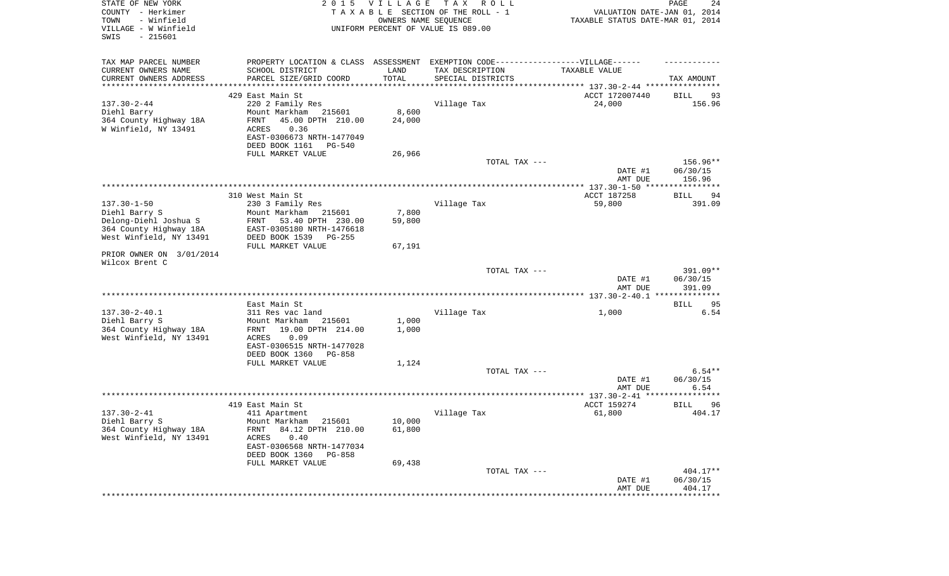| STATE OF NEW YORK<br>COUNTY - Herkimer<br>- Winfield<br>TOWN<br>VILLAGE - W Winfield<br>SWIS<br>$-215601$ |                                     | 2015 VILLAGE | T A X<br>R O L L<br>TAXABLE SECTION OF THE ROLL - 1<br>OWNERS NAME SEQUENCE<br>UNIFORM PERCENT OF VALUE IS 089.00 | VALUATION DATE-JAN 01, 2014<br>TAXABLE STATUS DATE-MAR 01, 2014                  | PAGE<br>24                     |
|-----------------------------------------------------------------------------------------------------------|-------------------------------------|--------------|-------------------------------------------------------------------------------------------------------------------|----------------------------------------------------------------------------------|--------------------------------|
| TAX MAP PARCEL NUMBER                                                                                     |                                     |              |                                                                                                                   | PROPERTY LOCATION & CLASS ASSESSMENT EXEMPTION CODE----------------VILLAGE------ |                                |
| CURRENT OWNERS NAME<br>SCHOOL DISTRICT                                                                    |                                     | LAND         | TAX DESCRIPTION                                                                                                   | TAXABLE VALUE                                                                    |                                |
| CURRENT OWNERS ADDRESS<br>**********************                                                          | PARCEL SIZE/GRID COORD              | TOTAL        | SPECIAL DISTRICTS                                                                                                 |                                                                                  | TAX AMOUNT                     |
| 429 East Main St                                                                                          |                                     |              |                                                                                                                   | ACCT 172007440                                                                   | 93<br>BILL                     |
| $137.30 - 2 - 44$<br>220 2 Family Res                                                                     |                                     |              | Village Tax                                                                                                       | 24,000                                                                           | 156.96                         |
| Diehl Barry<br>Mount Markham                                                                              | 215601                              | 8,600        |                                                                                                                   |                                                                                  |                                |
| 364 County Highway 18A<br>FRNT                                                                            | 45.00 DPTH 210.00                   | 24,000       |                                                                                                                   |                                                                                  |                                |
| W Winfield, NY 13491<br>ACRES                                                                             | 0.36<br>EAST-0306673 NRTH-1477049   |              |                                                                                                                   |                                                                                  |                                |
| DEED BOOK 1161                                                                                            | PG-540                              |              |                                                                                                                   |                                                                                  |                                |
| FULL MARKET VALUE                                                                                         |                                     | 26,966       |                                                                                                                   |                                                                                  |                                |
|                                                                                                           |                                     |              | TOTAL TAX ---                                                                                                     |                                                                                  | 156.96**                       |
|                                                                                                           |                                     |              |                                                                                                                   | DATE #1                                                                          | 06/30/15                       |
|                                                                                                           |                                     |              |                                                                                                                   | AMT DUE                                                                          | 156.96                         |
| 310 West Main St                                                                                          |                                     |              |                                                                                                                   | ACCT 187258                                                                      | BILL<br>94                     |
| $137.30 - 1 - 50$<br>230 3 Family Res                                                                     |                                     |              | Village Tax                                                                                                       | 59,800                                                                           | 391.09                         |
| Diehl Barry S<br>Mount Markham                                                                            | 215601                              | 7,800        |                                                                                                                   |                                                                                  |                                |
| Delong-Diehl Joshua S<br>FRNT                                                                             | 53.40 DPTH 230.00                   | 59,800       |                                                                                                                   |                                                                                  |                                |
| 364 County Highway 18A<br>West Winfield, NY 13491<br>DEED BOOK 1539                                       | EAST-0305180 NRTH-1476618<br>PG-255 |              |                                                                                                                   |                                                                                  |                                |
| FULL MARKET VALUE                                                                                         |                                     | 67,191       |                                                                                                                   |                                                                                  |                                |
| PRIOR OWNER ON 3/01/2014                                                                                  |                                     |              |                                                                                                                   |                                                                                  |                                |
| Wilcox Brent C                                                                                            |                                     |              |                                                                                                                   |                                                                                  |                                |
|                                                                                                           |                                     |              | TOTAL TAX ---                                                                                                     | DATE #1<br>AMT DUE                                                               | 391.09**<br>06/30/15<br>391.09 |
|                                                                                                           |                                     |              |                                                                                                                   |                                                                                  |                                |
| East Main St                                                                                              |                                     |              |                                                                                                                   |                                                                                  | <b>BILL</b><br>95              |
| $137.30 - 2 - 40.1$<br>311 Res vac land                                                                   |                                     |              | Village Tax                                                                                                       | 1,000                                                                            | 6.54                           |
| Diehl Barry S<br>Mount Markham                                                                            | 215601                              | 1,000        |                                                                                                                   |                                                                                  |                                |
| 364 County Highway 18A<br>FRNT<br>West Winfield, NY 13491<br>ACRES                                        | 19.00 DPTH 214.00<br>0.09           | 1,000        |                                                                                                                   |                                                                                  |                                |
|                                                                                                           | EAST-0306515 NRTH-1477028           |              |                                                                                                                   |                                                                                  |                                |
| DEED BOOK 1360                                                                                            | PG-858                              |              |                                                                                                                   |                                                                                  |                                |
| FULL MARKET VALUE                                                                                         |                                     | 1,124        |                                                                                                                   |                                                                                  |                                |
|                                                                                                           |                                     |              | TOTAL TAX ---                                                                                                     |                                                                                  | $6.54**$                       |
|                                                                                                           |                                     |              |                                                                                                                   | DATE #1<br>AMT DUE                                                               | 06/30/15<br>6.54               |
|                                                                                                           |                                     |              |                                                                                                                   |                                                                                  |                                |
| 419 East Main St                                                                                          |                                     |              |                                                                                                                   | ACCT 159274                                                                      | <b>BILL</b><br>96              |
| $137.30 - 2 - 41$<br>411 Apartment                                                                        |                                     |              | Village Tax                                                                                                       | 61,800                                                                           | 404.17                         |
| Diehl Barry S<br>Mount Markham<br>364 County Highway 18A                                                  | 215601<br>84.12 DPTH 210.00         | 10,000       |                                                                                                                   |                                                                                  |                                |
| FRNT<br>West Winfield, NY 13491<br>ACRES                                                                  | 0.40                                | 61,800       |                                                                                                                   |                                                                                  |                                |
|                                                                                                           | EAST-0306568 NRTH-1477034           |              |                                                                                                                   |                                                                                  |                                |
| DEED BOOK 1360                                                                                            | PG-858                              |              |                                                                                                                   |                                                                                  |                                |
| FULL MARKET VALUE                                                                                         |                                     | 69,438       |                                                                                                                   |                                                                                  |                                |
|                                                                                                           |                                     |              | TOTAL TAX ---                                                                                                     |                                                                                  | 404.17**                       |
|                                                                                                           |                                     |              |                                                                                                                   | DATE #1<br>AMT DUE                                                               | 06/30/15<br>404.17             |
|                                                                                                           |                                     |              |                                                                                                                   | *********************                                                            | **************                 |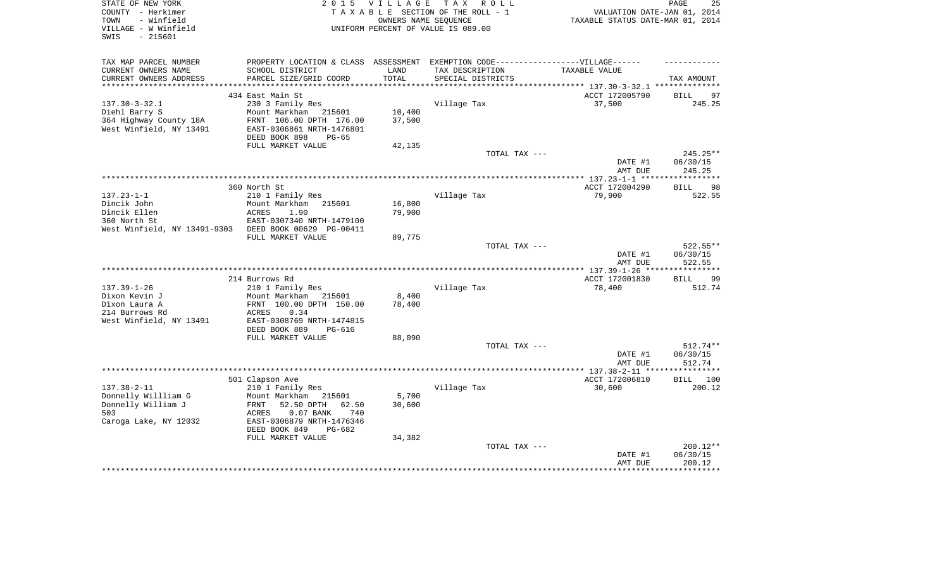| STATE OF NEW YORK<br>COUNTY - Herkimer<br>- Winfield<br>TOWN<br>VILLAGE - W Winfield<br>SWIS<br>$-215601$ | T A X<br>2 0 1 5<br><b>VILLAGE</b><br>R O L L<br>TAXABLE SECTION OF THE ROLL - 1<br>OWNERS NAME SEOUENCE<br>UNIFORM PERCENT OF VALUE IS 089.00 |                 |                                      | PAGE<br>25<br>VALUATION DATE-JAN 01, 2014<br>TAXABLE STATUS DATE-MAR 01, 2014 |                    |  |
|-----------------------------------------------------------------------------------------------------------|------------------------------------------------------------------------------------------------------------------------------------------------|-----------------|--------------------------------------|-------------------------------------------------------------------------------|--------------------|--|
| TAX MAP PARCEL NUMBER                                                                                     | PROPERTY LOCATION & CLASS ASSESSMENT EXEMPTION CODE-----------------VILLAGE------                                                              |                 |                                      |                                                                               |                    |  |
| CURRENT OWNERS NAME<br>CURRENT OWNERS ADDRESS                                                             | SCHOOL DISTRICT<br>PARCEL SIZE/GRID COORD                                                                                                      | LAND<br>TOTAL   | TAX DESCRIPTION<br>SPECIAL DISTRICTS | TAXABLE VALUE                                                                 | TAX AMOUNT         |  |
| ***********************                                                                                   |                                                                                                                                                |                 |                                      | ********************************* 137.30-3-32.1 **************                |                    |  |
|                                                                                                           | 434 East Main St                                                                                                                               |                 |                                      | ACCT 172005790                                                                | 97<br>BILL         |  |
| $137.30 - 3 - 32.1$                                                                                       | 230 3 Family Res                                                                                                                               |                 | Village Tax                          | 37,500                                                                        | 245.25             |  |
| Diehl Barry S                                                                                             | Mount Markham<br>215601                                                                                                                        | 10,400          |                                      |                                                                               |                    |  |
| 364 Highway County 18A                                                                                    | FRNT 106.00 DPTH 176.00                                                                                                                        | 37,500          |                                      |                                                                               |                    |  |
| West Winfield, NY 13491                                                                                   | EAST-0306861 NRTH-1476801                                                                                                                      |                 |                                      |                                                                               |                    |  |
|                                                                                                           | DEED BOOK 898<br>$PG-65$<br>FULL MARKET VALUE                                                                                                  | 42,135          |                                      |                                                                               |                    |  |
|                                                                                                           |                                                                                                                                                |                 | TOTAL TAX ---                        |                                                                               | $245.25**$         |  |
|                                                                                                           |                                                                                                                                                |                 |                                      | DATE #1                                                                       | 06/30/15           |  |
|                                                                                                           |                                                                                                                                                |                 |                                      | AMT DUE                                                                       | 245.25             |  |
|                                                                                                           |                                                                                                                                                |                 |                                      |                                                                               | ********           |  |
|                                                                                                           | 360 North St                                                                                                                                   |                 |                                      | ACCT 172004290                                                                | 98<br><b>BILL</b>  |  |
| $137.23 - 1 - 1$                                                                                          | 210 1 Family Res                                                                                                                               |                 | Village Tax                          | 79,900                                                                        | 522.55             |  |
| Dincik John                                                                                               | Mount Markham<br>215601                                                                                                                        | 16,800          |                                      |                                                                               |                    |  |
| Dincik Ellen                                                                                              | <b>ACRES</b><br>1.90                                                                                                                           | 79,900          |                                      |                                                                               |                    |  |
| 360 North St                                                                                              | EAST-0307340 NRTH-1479100                                                                                                                      |                 |                                      |                                                                               |                    |  |
| West Winfield, NY 13491-9303                                                                              | DEED BOOK 00629 PG-00411<br>FULL MARKET VALUE                                                                                                  | 89,775          |                                      |                                                                               |                    |  |
|                                                                                                           |                                                                                                                                                |                 | TOTAL TAX ---                        |                                                                               | 522.55**           |  |
|                                                                                                           |                                                                                                                                                |                 |                                      | DATE #1                                                                       | 06/30/15           |  |
|                                                                                                           |                                                                                                                                                |                 |                                      | AMT DUE                                                                       | 522.55             |  |
|                                                                                                           |                                                                                                                                                |                 |                                      |                                                                               | ********           |  |
|                                                                                                           | 214 Burrows Rd                                                                                                                                 |                 |                                      | ACCT 172001830                                                                | 99<br><b>BILL</b>  |  |
| $137.39 - 1 - 26$                                                                                         | 210 1 Family Res                                                                                                                               |                 | Village Tax                          | 78,400                                                                        | 512.74             |  |
| Dixon Kevin J                                                                                             | Mount Markham<br>215601                                                                                                                        | 8,400           |                                      |                                                                               |                    |  |
| Dixon Laura A                                                                                             | FRNT 100.00 DPTH 150.00                                                                                                                        | 78,400          |                                      |                                                                               |                    |  |
| 214 Burrows Rd<br>West Winfield, NY 13491                                                                 | 0.34<br>ACRES<br>EAST-0308769 NRTH-1474815                                                                                                     |                 |                                      |                                                                               |                    |  |
|                                                                                                           | DEED BOOK 889<br><b>PG-616</b>                                                                                                                 |                 |                                      |                                                                               |                    |  |
|                                                                                                           | FULL MARKET VALUE                                                                                                                              | 88,090          |                                      |                                                                               |                    |  |
|                                                                                                           |                                                                                                                                                |                 | TOTAL TAX ---                        |                                                                               | $512.74**$         |  |
|                                                                                                           |                                                                                                                                                |                 |                                      | DATE #1                                                                       | 06/30/15           |  |
|                                                                                                           |                                                                                                                                                |                 |                                      | AMT DUE                                                                       | 512.74             |  |
|                                                                                                           |                                                                                                                                                |                 |                                      |                                                                               | *********          |  |
|                                                                                                           | 501 Clapson Ave                                                                                                                                |                 |                                      | ACCT 172006810                                                                | 100<br><b>BILL</b> |  |
| $137.38 - 2 - 11$                                                                                         | 210 1 Family Res                                                                                                                               |                 | Village Tax                          | 30,600                                                                        | 200.12             |  |
| Donnelly Willliam G<br>Donnelly William J                                                                 | Mount Markham<br>215601<br>FRNT<br>52.50 DPTH<br>62.50                                                                                         | 5,700<br>30,600 |                                      |                                                                               |                    |  |
| 503                                                                                                       | $0.07$ BANK<br>740<br>ACRES                                                                                                                    |                 |                                      |                                                                               |                    |  |
| Caroga Lake, NY 12032                                                                                     | EAST-0306879 NRTH-1476346                                                                                                                      |                 |                                      |                                                                               |                    |  |
|                                                                                                           | DEED BOOK 849<br>PG-682                                                                                                                        |                 |                                      |                                                                               |                    |  |
|                                                                                                           | FULL MARKET VALUE                                                                                                                              | 34,382          |                                      |                                                                               |                    |  |
|                                                                                                           |                                                                                                                                                |                 | TOTAL TAX ---                        |                                                                               | 200.12**           |  |
|                                                                                                           |                                                                                                                                                |                 |                                      |                                                                               |                    |  |
|                                                                                                           |                                                                                                                                                |                 |                                      | DATE #1                                                                       | 06/30/15           |  |
|                                                                                                           |                                                                                                                                                |                 |                                      | AMT DUE                                                                       | 200.12             |  |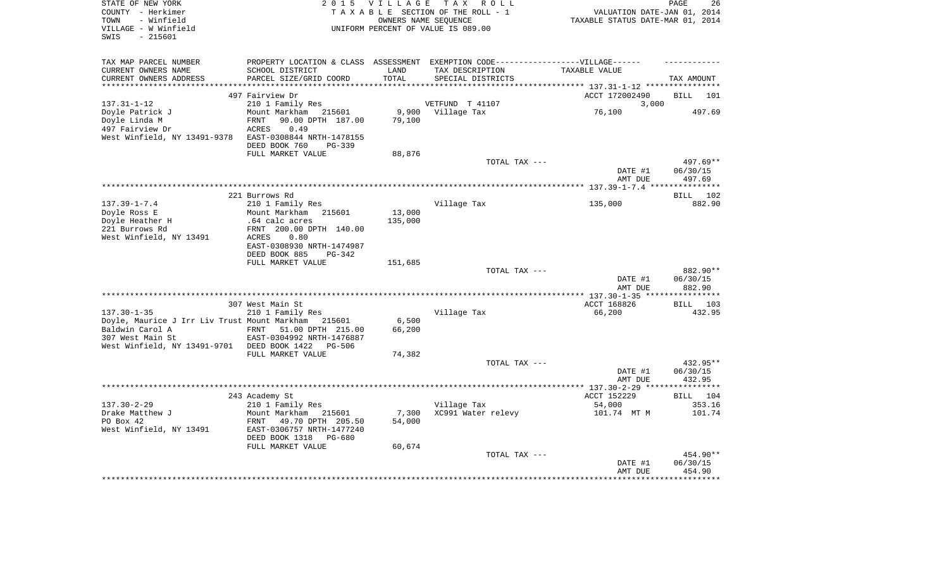| STATE OF NEW YORK<br>COUNTY - Herkimer<br>- Winfield |                                          |           | 2015 VILLAGE TAX ROLL<br>TAXABLE SECTION OF THE ROLL - 1                         | VALUATION DATE-JAN 01, 2014<br>TAXABLE STATUS DATE-MAR 01, 2014 | 26<br>PAGE         |
|------------------------------------------------------|------------------------------------------|-----------|----------------------------------------------------------------------------------|-----------------------------------------------------------------|--------------------|
| TOWN<br>VILLAGE - W Winfield<br>$-215601$<br>SWIS    |                                          |           | OWNERS NAME SEOUENCE<br>UNIFORM PERCENT OF VALUE IS 089.00                       |                                                                 |                    |
| TAX MAP PARCEL NUMBER                                |                                          |           | PROPERTY LOCATION & CLASS ASSESSMENT EXEMPTION CODE----------------VILLAGE------ |                                                                 |                    |
| CURRENT OWNERS NAME                                  | SCHOOL DISTRICT                          | LAND      | TAX DESCRIPTION                                                                  | TAXABLE VALUE                                                   |                    |
| CURRENT OWNERS ADDRESS                               | PARCEL SIZE/GRID COORD                   | TOTAL     | SPECIAL DISTRICTS                                                                |                                                                 | TAX AMOUNT         |
| ******************                                   |                                          | ********* |                                                                                  | ***************** 137.31-1-12 *****************                 |                    |
|                                                      | 497 Fairview Dr                          |           |                                                                                  | ACCT 172002490                                                  | <b>BILL</b><br>101 |
| $137.31 - 1 - 12$<br>Doyle Patrick J                 | 210 1 Family Res<br>Mount Markham 215601 | 9,900     | VETFUND T 41107<br>Village Tax                                                   | 3,000<br>76,100                                                 | 497.69             |
| Doyle Linda M                                        | 90.00 DPTH 187.00<br>FRNT                | 79,100    |                                                                                  |                                                                 |                    |
| 497 Fairview Dr                                      | 0.49<br>ACRES                            |           |                                                                                  |                                                                 |                    |
| West Winfield, NY 13491-9378                         | EAST-0308844 NRTH-1478155                |           |                                                                                  |                                                                 |                    |
|                                                      | DEED BOOK 760<br>PG-339                  |           |                                                                                  |                                                                 |                    |
|                                                      | FULL MARKET VALUE                        | 88,876    |                                                                                  |                                                                 |                    |
|                                                      |                                          |           | TOTAL TAX ---                                                                    |                                                                 | 497.69**           |
|                                                      |                                          |           |                                                                                  | DATE #1<br>AMT DUE                                              | 06/30/15<br>497.69 |
|                                                      |                                          |           |                                                                                  |                                                                 |                    |
|                                                      | 221 Burrows Rd                           |           |                                                                                  |                                                                 | BILL 102           |
| $137.39 - 1 - 7.4$<br>Doyle Ross E                   | 210 1 Family Res<br>Mount Markham 215601 | 13,000    | Village Tax                                                                      | 135,000                                                         | 882.90             |
| Doyle Heather H                                      | .64 calc acres                           | 135,000   |                                                                                  |                                                                 |                    |
| 221 Burrows Rd                                       | FRNT 200.00 DPTH 140.00                  |           |                                                                                  |                                                                 |                    |
| West Winfield, NY 13491                              | 0.80<br>ACRES                            |           |                                                                                  |                                                                 |                    |
|                                                      | EAST-0308930 NRTH-1474987                |           |                                                                                  |                                                                 |                    |
|                                                      | DEED BOOK 885<br>PG-342                  |           |                                                                                  |                                                                 |                    |
|                                                      | FULL MARKET VALUE                        | 151,685   |                                                                                  |                                                                 |                    |
|                                                      |                                          |           | TOTAL TAX ---                                                                    |                                                                 | 882.90**           |
|                                                      |                                          |           |                                                                                  | DATE #1                                                         | 06/30/15<br>882.90 |
|                                                      |                                          |           |                                                                                  | AMT DUE                                                         |                    |
|                                                      | 307 West Main St                         |           |                                                                                  | ACCT 168826                                                     | BILL 103           |
| $137.30 - 1 - 35$                                    | 210 1 Family Res                         |           | Village Tax                                                                      | 66,200                                                          | 432.95             |
| Doyle, Maurice J Irr Liv Trust Mount Markham 215601  |                                          | 6,500     |                                                                                  |                                                                 |                    |
| Baldwin Carol A                                      | FRNT<br>51.00 DPTH 215.00                | 66,200    |                                                                                  |                                                                 |                    |
| 307 West Main St                                     | EAST-0304992 NRTH-1476887                |           |                                                                                  |                                                                 |                    |
| West Winfield, NY 13491-9701 DEED BOOK 1422          | <b>PG-506</b>                            |           |                                                                                  |                                                                 |                    |
|                                                      | FULL MARKET VALUE                        | 74,382    |                                                                                  |                                                                 |                    |
|                                                      |                                          |           | TOTAL TAX ---                                                                    |                                                                 | 432.95**           |
|                                                      |                                          |           |                                                                                  | DATE #1                                                         | 06/30/15           |
|                                                      |                                          |           |                                                                                  | AMT DUE                                                         | 432.95             |
|                                                      | 243 Academy St                           |           |                                                                                  | ACCT 152229                                                     | BILL 104           |
| $137.30 - 2 - 29$                                    | 210 1 Family Res                         |           | Village Tax                                                                      | 54,000                                                          | 353.16             |
| Drake Matthew J                                      | Mount Markham 215601                     | 7,300     | XC991 Water relevy                                                               | 101.74 MT M                                                     | 101.74             |
| PO Box 42                                            | FRNT 49.70 DPTH 205.50                   | 54,000    |                                                                                  |                                                                 |                    |
| West Winfield, NY 13491                              | EAST-0306757 NRTH-1477240                |           |                                                                                  |                                                                 |                    |
|                                                      | DEED BOOK 1318<br>PG-680                 |           |                                                                                  |                                                                 |                    |
|                                                      | FULL MARKET VALUE                        | 60,674    |                                                                                  |                                                                 |                    |
|                                                      |                                          |           | TOTAL TAX ---                                                                    |                                                                 | 454.90**           |
|                                                      |                                          |           |                                                                                  | DATE #1<br>AMT DUE                                              | 06/30/15           |
|                                                      |                                          |           |                                                                                  |                                                                 | 454.90             |
|                                                      |                                          |           |                                                                                  |                                                                 |                    |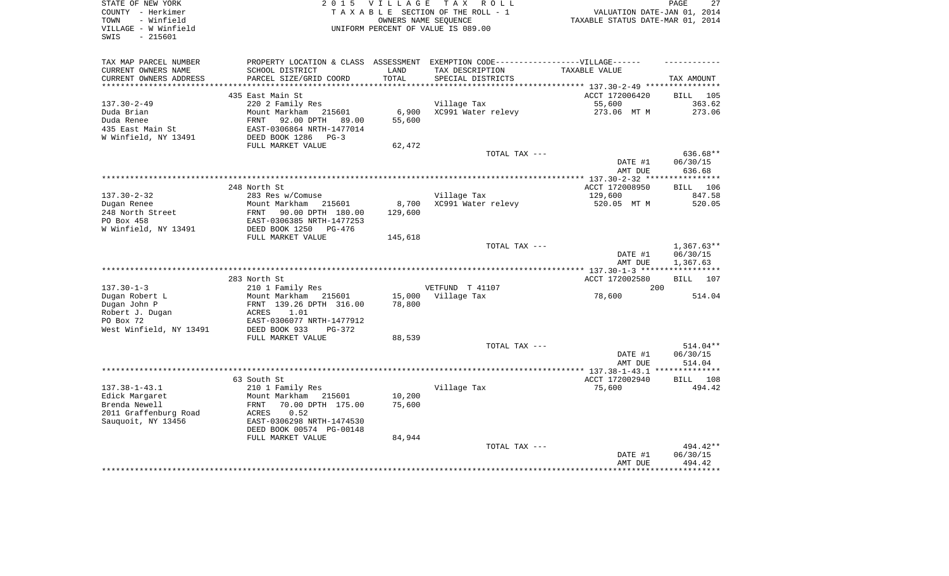| STATE OF NEW YORK<br>COUNTY - Herkimer<br>- Winfield<br>TOWN<br>VILLAGE - W Winfield<br>$-215601$<br>SWIS | 2 0 1 5                                                 | <b>VILLAGE</b>   | T A X<br>R O L L<br>TAXABLE SECTION OF THE ROLL - 1<br>OWNERS NAME SEQUENCE<br>UNIFORM PERCENT OF VALUE IS 089.00 | VALUATION DATE-JAN 01, 2014<br>TAXABLE STATUS DATE-MAR 01, 2014 | PAGE<br>27            |
|-----------------------------------------------------------------------------------------------------------|---------------------------------------------------------|------------------|-------------------------------------------------------------------------------------------------------------------|-----------------------------------------------------------------|-----------------------|
| TAX MAP PARCEL NUMBER<br>CURRENT OWNERS NAME                                                              | PROPERTY LOCATION & CLASS ASSESSMENT<br>SCHOOL DISTRICT | LAND             | EXEMPTION CODE------------------VILLAGE------<br>TAX DESCRIPTION                                                  | TAXABLE VALUE                                                   |                       |
| CURRENT OWNERS ADDRESS                                                                                    | PARCEL SIZE/GRID COORD                                  | TOTAL            | SPECIAL DISTRICTS                                                                                                 |                                                                 | TAX AMOUNT            |
|                                                                                                           |                                                         |                  |                                                                                                                   |                                                                 |                       |
| $137.30 - 2 - 49$                                                                                         | 435 East Main St<br>220 2 Family Res                    |                  | Village Tax                                                                                                       | ACCT 172006420<br>55,600                                        | BILL<br>105<br>363.62 |
| Duda Brian                                                                                                | Mount Markham<br>215601                                 | 6,900            | XC991 Water relevy                                                                                                | 273.06 MT M                                                     | 273.06                |
| Duda Renee                                                                                                | 92.00 DPTH<br>FRNT<br>89.00                             | 55,600           |                                                                                                                   |                                                                 |                       |
| 435 East Main St                                                                                          | EAST-0306864 NRTH-1477014                               |                  |                                                                                                                   |                                                                 |                       |
| W Winfield, NY 13491                                                                                      | DEED BOOK 1286<br>$PG-3$                                |                  |                                                                                                                   |                                                                 |                       |
|                                                                                                           | FULL MARKET VALUE                                       | 62,472           |                                                                                                                   |                                                                 |                       |
|                                                                                                           |                                                         |                  | TOTAL TAX ---                                                                                                     |                                                                 | 636.68**              |
|                                                                                                           |                                                         |                  |                                                                                                                   | DATE #1                                                         | 06/30/15              |
|                                                                                                           |                                                         |                  |                                                                                                                   | AMT DUE                                                         | 636.68                |
|                                                                                                           | 248 North St                                            |                  |                                                                                                                   | ACCT 172008950                                                  | 106<br>BILL           |
| $137.30 - 2 - 32$                                                                                         | 283 Res w/Comuse                                        |                  | Village Tax                                                                                                       | 129,600                                                         | 847.58                |
| Dugan Renee                                                                                               | Mount Markham<br>215601                                 | 8,700            | XC991 Water relevy                                                                                                | 520.05 MT M                                                     | 520.05                |
| 248 North Street                                                                                          | 90.00 DPTH 180.00<br>FRNT                               | 129,600          |                                                                                                                   |                                                                 |                       |
| PO Box 458                                                                                                | EAST-0306385 NRTH-1477253                               |                  |                                                                                                                   |                                                                 |                       |
| W Winfield, NY 13491                                                                                      | DEED BOOK 1250<br>PG-476                                |                  |                                                                                                                   |                                                                 |                       |
|                                                                                                           | FULL MARKET VALUE                                       | 145,618          | TOTAL TAX ---                                                                                                     |                                                                 | $1,367.63**$          |
|                                                                                                           |                                                         |                  |                                                                                                                   | DATE #1<br>AMT DUE                                              | 06/30/15<br>1,367.63  |
|                                                                                                           |                                                         |                  |                                                                                                                   |                                                                 |                       |
|                                                                                                           | 283 North St                                            |                  |                                                                                                                   | ACCT 172002580                                                  | BILL<br>107           |
| $137.30 - 1 - 3$                                                                                          | 210 1 Family Res<br>Mount Markham<br>215601             |                  | VETFUND T 41107<br>Village Tax                                                                                    | 200                                                             | 514.04                |
| Dugan Robert L<br>Dugan John P                                                                            | FRNT 139.26 DPTH 316.00                                 | 15,000<br>78,800 |                                                                                                                   | 78,600                                                          |                       |
| Robert J. Dugan                                                                                           | ACRES<br>1.01                                           |                  |                                                                                                                   |                                                                 |                       |
| PO Box 72                                                                                                 | EAST-0306077 NRTH-1477912                               |                  |                                                                                                                   |                                                                 |                       |
| West Winfield, NY 13491                                                                                   | DEED BOOK 933<br>PG-372                                 |                  |                                                                                                                   |                                                                 |                       |
|                                                                                                           | FULL MARKET VALUE                                       | 88,539           |                                                                                                                   |                                                                 |                       |
|                                                                                                           |                                                         |                  | TOTAL TAX ---                                                                                                     |                                                                 | 514.04**              |
|                                                                                                           |                                                         |                  |                                                                                                                   | DATE #1                                                         | 06/30/15<br>514.04    |
|                                                                                                           |                                                         |                  |                                                                                                                   | AMT DUE                                                         | **************        |
|                                                                                                           | 63 South St                                             |                  |                                                                                                                   | ACCT 172002940                                                  | 108<br>BILL           |
| $137.38 - 1 - 43.1$                                                                                       | 210 1 Family Res                                        |                  | Village Tax                                                                                                       | 75,600                                                          | 494.42                |
| Edick Margaret                                                                                            | Mount Markham<br>215601                                 | 10,200           |                                                                                                                   |                                                                 |                       |
| Brenda Newell                                                                                             | FRNT<br>70.00 DPTH 175.00                               | 75,600           |                                                                                                                   |                                                                 |                       |
| 2011 Graffenburg Road                                                                                     | ACRES<br>0.52                                           |                  |                                                                                                                   |                                                                 |                       |
| Sauquoit, NY 13456                                                                                        | EAST-0306298 NRTH-1474530<br>DEED BOOK 00574 PG-00148   |                  |                                                                                                                   |                                                                 |                       |
|                                                                                                           | FULL MARKET VALUE                                       | 84,944           |                                                                                                                   |                                                                 |                       |
|                                                                                                           |                                                         |                  | TOTAL TAX ---                                                                                                     |                                                                 | 494.42**              |
|                                                                                                           |                                                         |                  |                                                                                                                   | DATE #1                                                         | 06/30/15              |
|                                                                                                           |                                                         |                  |                                                                                                                   | AMT DUE                                                         | 494.42                |
|                                                                                                           |                                                         |                  |                                                                                                                   |                                                                 |                       |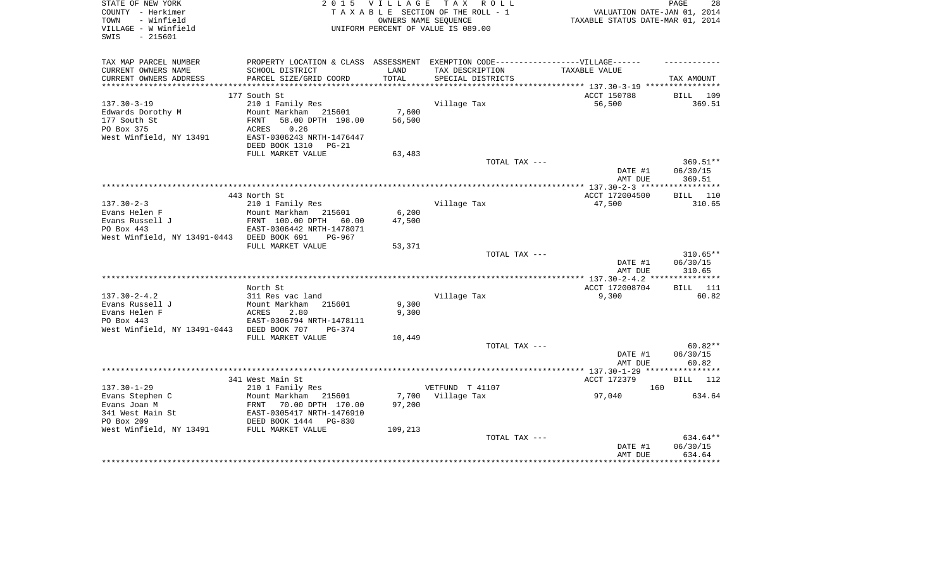| STATE OF NEW YORK<br>COUNTY - Herkimer<br>- Winfield<br>TOWN<br>VILLAGE - W Winfield<br>$-215601$<br>SWIS | 2 0 1 5                                                                                | V I L L A G E<br>OWNERS NAME SEQUENCE | TAX ROLL<br>TAXABLE SECTION OF THE ROLL - 1<br>UNIFORM PERCENT OF VALUE IS 089.00                                         | VALUATION DATE-JAN 01, 2014<br>TAXABLE STATUS DATE-MAR 01, 2014 | PAGE<br>28                     |
|-----------------------------------------------------------------------------------------------------------|----------------------------------------------------------------------------------------|---------------------------------------|---------------------------------------------------------------------------------------------------------------------------|-----------------------------------------------------------------|--------------------------------|
| TAX MAP PARCEL NUMBER<br>CURRENT OWNERS NAME<br>CURRENT OWNERS ADDRESS                                    | SCHOOL DISTRICT<br>PARCEL SIZE/GRID COORD                                              | LAND<br>TOTAL                         | PROPERTY LOCATION & CLASS ASSESSMENT EXEMPTION CODE-----------------VILLAGE------<br>TAX DESCRIPTION<br>SPECIAL DISTRICTS | TAXABLE VALUE                                                   | TAX AMOUNT                     |
|                                                                                                           |                                                                                        |                                       |                                                                                                                           |                                                                 |                                |
|                                                                                                           | 177 South St                                                                           |                                       |                                                                                                                           | ACCT 150788                                                     | <b>BILL</b> 109                |
| $137.30 - 3 - 19$<br>Edwards Dorothy M<br>177 South St<br>PO Box 375                                      | 210 1 Family Res<br>Mount Markham 215601<br>58.00 DPTH 198.00<br>FRNT<br>0.26<br>ACRES | 7,600<br>56,500                       | Village Tax                                                                                                               | 56,500                                                          | 369.51                         |
| West Winfield, NY 13491                                                                                   | EAST-0306243 NRTH-1476447<br>DEED BOOK 1310<br>PG-21                                   |                                       |                                                                                                                           |                                                                 |                                |
|                                                                                                           | FULL MARKET VALUE                                                                      | 63,483                                | TOTAL TAX ---                                                                                                             |                                                                 | 369.51**                       |
|                                                                                                           |                                                                                        |                                       |                                                                                                                           | DATE #1<br>AMT DUE                                              | 06/30/15<br>369.51             |
|                                                                                                           |                                                                                        |                                       |                                                                                                                           |                                                                 |                                |
|                                                                                                           | 443 North St                                                                           |                                       |                                                                                                                           | ACCT 172004500                                                  | <b>BILL</b> 110                |
| $137.30 - 2 - 3$                                                                                          | 210 1 Family Res                                                                       |                                       | Village Tax                                                                                                               | 47,500                                                          | 310.65                         |
| Evans Helen F                                                                                             | Mount Markham 215601                                                                   | 6,200                                 |                                                                                                                           |                                                                 |                                |
| Evans Russell J<br>PO Box 443                                                                             | FRNT 100.00 DPTH 60.00<br>EAST-0306442 NRTH-1478071                                    | 47,500                                |                                                                                                                           |                                                                 |                                |
| West Winfield, NY 13491-0443 DEED BOOK 691                                                                | PG-967                                                                                 |                                       |                                                                                                                           |                                                                 |                                |
|                                                                                                           | FULL MARKET VALUE                                                                      | 53,371                                | TOTAL TAX ---                                                                                                             |                                                                 | $310.65**$                     |
|                                                                                                           |                                                                                        |                                       |                                                                                                                           | DATE #1<br>AMT DUE                                              | 06/30/15<br>310.65             |
|                                                                                                           |                                                                                        |                                       |                                                                                                                           |                                                                 |                                |
|                                                                                                           | North St                                                                               |                                       |                                                                                                                           | ACCT 172008704                                                  | <b>BILL</b> 111                |
| $137.30 - 2 - 4.2$                                                                                        | 311 Res vac land                                                                       |                                       | Village Tax                                                                                                               | 9,300                                                           | 60.82                          |
| Evans Russell J                                                                                           | Mount Markham<br>215601                                                                | 9,300                                 |                                                                                                                           |                                                                 |                                |
| Evans Helen F<br>PO Box 443                                                                               | ACRES<br>2.80<br>EAST-0306794 NRTH-1478111                                             | 9,300                                 |                                                                                                                           |                                                                 |                                |
| West Winfield, NY 13491-0443 DEED BOOK 707                                                                | $PG-374$                                                                               |                                       |                                                                                                                           |                                                                 |                                |
|                                                                                                           | FULL MARKET VALUE                                                                      | 10,449                                |                                                                                                                           |                                                                 |                                |
|                                                                                                           |                                                                                        |                                       | TOTAL TAX ---                                                                                                             |                                                                 | $60.82**$                      |
|                                                                                                           |                                                                                        |                                       |                                                                                                                           | DATE #1                                                         | 06/30/15                       |
|                                                                                                           |                                                                                        |                                       |                                                                                                                           | AMT DUE                                                         | 60.82                          |
|                                                                                                           |                                                                                        |                                       |                                                                                                                           | ********* 137.30-1-29 ****                                      | ************                   |
| $137.30 - 1 - 29$                                                                                         | 341 West Main St<br>210 1 Family Res                                                   |                                       | VETFUND T 41107                                                                                                           | ACCT 172379<br>160                                              | BILL 112                       |
| Evans Stephen C                                                                                           | Mount Markham<br>215601                                                                | 7,700                                 | Village Tax                                                                                                               | 97,040                                                          | 634.64                         |
| Evans Joan M                                                                                              | 70.00 DPTH 170.00<br>FRNT                                                              | 97,200                                |                                                                                                                           |                                                                 |                                |
| 341 West Main St                                                                                          | EAST-0305417 NRTH-1476910                                                              |                                       |                                                                                                                           |                                                                 |                                |
| PO Box 209                                                                                                | DEED BOOK 1444<br>PG-830                                                               |                                       |                                                                                                                           |                                                                 |                                |
| West Winfield, NY 13491                                                                                   | FULL MARKET VALUE                                                                      | 109,213                               |                                                                                                                           |                                                                 |                                |
|                                                                                                           |                                                                                        |                                       | TOTAL TAX ---                                                                                                             | DATE #1<br>AMT DUE                                              | 634.64**<br>06/30/15<br>634.64 |
|                                                                                                           |                                                                                        |                                       |                                                                                                                           |                                                                 |                                |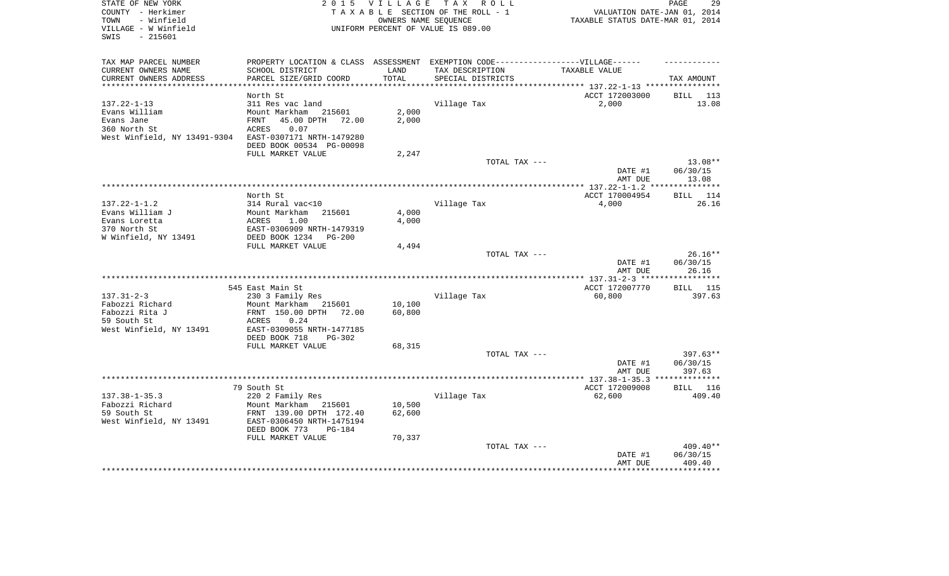| STATE OF NEW YORK<br>2 0 1 5<br><b>VILLAGE</b><br>COUNTY - Herkimer<br>- Winfield<br>TOWN |                                             |                | T A X<br>R O L L<br>TAXABLE SECTION OF THE ROLL - 1<br>OWNERS NAME SEQUENCE | VALUATION DATE-JAN 01, 2014<br>TAXABLE STATUS DATE-MAR 01, 2014     | 29<br>PAGE              |
|-------------------------------------------------------------------------------------------|---------------------------------------------|----------------|-----------------------------------------------------------------------------|---------------------------------------------------------------------|-------------------------|
| VILLAGE - W Winfield<br>SWIS<br>$-215601$                                                 |                                             |                | UNIFORM PERCENT OF VALUE IS 089.00                                          |                                                                     |                         |
| TAX MAP PARCEL NUMBER                                                                     | PROPERTY LOCATION & CLASS ASSESSMENT        |                | EXEMPTION CODE------------------VILLAGE------                               |                                                                     |                         |
| CURRENT OWNERS NAME                                                                       | SCHOOL DISTRICT                             | LAND           | TAX DESCRIPTION                                                             | TAXABLE VALUE                                                       |                         |
| CURRENT OWNERS ADDRESS                                                                    | PARCEL SIZE/GRID COORD                      | TOTAL          | SPECIAL DISTRICTS                                                           |                                                                     | TAX AMOUNT              |
| **********************                                                                    |                                             |                |                                                                             | ************************************** 137.22-1-13 **************** |                         |
|                                                                                           | North St                                    |                |                                                                             | ACCT 172003000                                                      | BILL<br>113             |
| $137.22 - 1 - 13$<br>Evans William                                                        | 311 Res vac land<br>Mount Markham           |                | Village Tax                                                                 | 2,000                                                               | 13.08                   |
| Evans Jane                                                                                | 215601<br>45.00 DPTH<br>FRNT<br>72.00       | 2,000<br>2,000 |                                                                             |                                                                     |                         |
| 360 North St                                                                              | ACRES<br>0.07                               |                |                                                                             |                                                                     |                         |
| West Winfield, NY 13491-9304                                                              | EAST-0307171 NRTH-1479280                   |                |                                                                             |                                                                     |                         |
|                                                                                           | DEED BOOK 00534 PG-00098                    |                |                                                                             |                                                                     |                         |
|                                                                                           | FULL MARKET VALUE                           | 2,247          |                                                                             |                                                                     |                         |
|                                                                                           |                                             |                | TOTAL TAX ---                                                               |                                                                     | $13.08**$               |
|                                                                                           |                                             |                |                                                                             | DATE #1<br>AMT DUE                                                  | 06/30/15<br>13.08       |
|                                                                                           |                                             |                |                                                                             |                                                                     |                         |
|                                                                                           | North St                                    |                |                                                                             | ACCT 170004954                                                      | <b>BILL</b><br>114      |
| $137.22 - 1 - 1.2$                                                                        | 314 Rural vac<10                            |                | Village Tax                                                                 | 4,000                                                               | 26.16                   |
| Evans William J                                                                           | Mount Markham<br>215601                     | 4,000          |                                                                             |                                                                     |                         |
| Evans Loretta<br>370 North St                                                             | 1.00<br>ACRES<br>EAST-0306909 NRTH-1479319  | 4,000          |                                                                             |                                                                     |                         |
| W Winfield, NY 13491                                                                      | DEED BOOK 1234<br>$PG-200$                  |                |                                                                             |                                                                     |                         |
|                                                                                           | FULL MARKET VALUE                           | 4,494          |                                                                             |                                                                     |                         |
|                                                                                           |                                             |                | TOTAL TAX ---                                                               |                                                                     | 26.16**                 |
|                                                                                           |                                             |                |                                                                             | DATE #1                                                             | 06/30/15                |
|                                                                                           |                                             |                |                                                                             | AMT DUE                                                             | 26.16                   |
|                                                                                           |                                             |                | ********************                                                        | ** $137.31 - 2 - 3$ ***                                             | * * * * * * * *         |
|                                                                                           | 545 East Main St                            |                |                                                                             | ACCT 172007770                                                      | BILL 115                |
| $137.31 - 2 - 3$<br>Fabozzi Richard                                                       | 230 3 Family Res<br>Mount Markham<br>215601 | 10,100         | Village Tax                                                                 | 60,800                                                              | 397.63                  |
| Fabozzi Rita J                                                                            | FRNT 150.00 DPTH<br>72.00                   | 60,800         |                                                                             |                                                                     |                         |
| 59 South St                                                                               | 0.24<br>ACRES                               |                |                                                                             |                                                                     |                         |
| West Winfield, NY 13491                                                                   | EAST-0309055 NRTH-1477185                   |                |                                                                             |                                                                     |                         |
|                                                                                           | DEED BOOK 718<br><b>PG-302</b>              |                |                                                                             |                                                                     |                         |
|                                                                                           | FULL MARKET VALUE                           | 68,315         |                                                                             |                                                                     |                         |
|                                                                                           |                                             |                | TOTAL TAX ---                                                               |                                                                     | $397.63**$              |
|                                                                                           |                                             |                |                                                                             | DATE #1                                                             | 06/30/15                |
|                                                                                           | *********************************           |                |                                                                             | AMT DUE<br>$*************137.38-1-35.3$                             | 397.63<br>* * * * * * * |
|                                                                                           | 79 South St                                 |                |                                                                             | ACCT 172009008                                                      | <b>BILL</b><br>116      |
| $137.38 - 1 - 35.3$                                                                       | 220 2 Family Res                            |                | Village Tax                                                                 | 62,600                                                              | 409.40                  |
| Fabozzi Richard                                                                           | Mount Markham<br>215601                     | 10,500         |                                                                             |                                                                     |                         |
| 59 South St                                                                               | FRNT 139.00 DPTH 172.40                     | 62,600         |                                                                             |                                                                     |                         |
| West Winfield, NY 13491                                                                   | EAST-0306450 NRTH-1475194                   |                |                                                                             |                                                                     |                         |
|                                                                                           | DEED BOOK 773<br><b>PG-184</b>              |                |                                                                             |                                                                     |                         |
|                                                                                           | FULL MARKET VALUE                           | 70,337         |                                                                             |                                                                     |                         |
|                                                                                           |                                             |                | TOTAL TAX ---                                                               |                                                                     | $409.40**$              |
|                                                                                           |                                             |                |                                                                             | DATE #1<br>AMT DUE                                                  | 06/30/15<br>409.40      |
|                                                                                           |                                             |                |                                                                             |                                                                     |                         |
|                                                                                           |                                             |                |                                                                             |                                                                     |                         |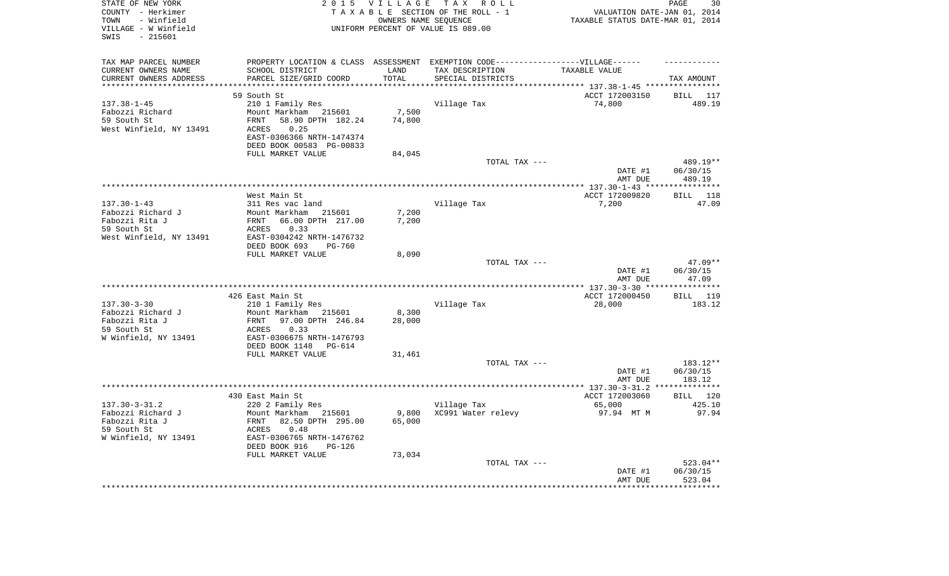| STATE OF NEW YORK<br>COUNTY - Herkimer<br>- Winfield<br>TOWN<br>VILLAGE - W Winfield<br>$-215601$<br>SWIS |                                                             | 2015 VILLAGE<br>OWNERS NAME SEQUENCE | TAX ROLL<br>TAXABLE SECTION OF THE ROLL - 1<br>UNIFORM PERCENT OF VALUE IS 089.00 | VALUATION DATE-JAN 01, 2014<br>TAXABLE STATUS DATE-MAR 01, 2014 | PAGE<br>30            |
|-----------------------------------------------------------------------------------------------------------|-------------------------------------------------------------|--------------------------------------|-----------------------------------------------------------------------------------|-----------------------------------------------------------------|-----------------------|
| TAX MAP PARCEL NUMBER                                                                                     |                                                             |                                      | PROPERTY LOCATION & CLASS ASSESSMENT EXEMPTION CODE-----------------VILLAGE------ |                                                                 |                       |
| CURRENT OWNERS NAME                                                                                       | SCHOOL DISTRICT                                             | LAND                                 | TAX DESCRIPTION                                                                   | TAXABLE VALUE                                                   |                       |
| CURRENT OWNERS ADDRESS<br>**********************                                                          | PARCEL SIZE/GRID COORD<br>****************************      | TOTAL<br>****************            | SPECIAL DISTRICTS                                                                 |                                                                 | TAX AMOUNT            |
|                                                                                                           | 59 South St                                                 |                                      |                                                                                   | ACCT 172003150                                                  | BILL 117              |
| $137.38 - 1 - 45$                                                                                         | 210 1 Family Res                                            |                                      | Village Tax                                                                       | 74,800                                                          | 489.19                |
| Fabozzi Richard                                                                                           | Mount Markham 215601                                        | 7,500                                |                                                                                   |                                                                 |                       |
| 59 South St                                                                                               | 58.90 DPTH 182.24<br>FRNT                                   | 74,800                               |                                                                                   |                                                                 |                       |
| West Winfield, NY 13491                                                                                   | 0.25<br>ACRES                                               |                                      |                                                                                   |                                                                 |                       |
|                                                                                                           | EAST-0306366 NRTH-1474374                                   |                                      |                                                                                   |                                                                 |                       |
|                                                                                                           | DEED BOOK 00583 PG-00833                                    |                                      |                                                                                   |                                                                 |                       |
|                                                                                                           | FULL MARKET VALUE                                           | 84,045                               |                                                                                   |                                                                 |                       |
|                                                                                                           |                                                             |                                      | TOTAL TAX ---                                                                     |                                                                 | 489.19**              |
|                                                                                                           |                                                             |                                      |                                                                                   | DATE #1<br>AMT DUE                                              | 06/30/15<br>489.19    |
|                                                                                                           |                                                             |                                      |                                                                                   |                                                                 |                       |
|                                                                                                           | West Main St                                                |                                      |                                                                                   | ACCT 172009820                                                  | BILL 118              |
| $137.30 - 1 - 43$                                                                                         | 311 Res vac land                                            |                                      | Village Tax                                                                       | 7,200                                                           | 47.09                 |
| Fabozzi Richard J                                                                                         | Mount Markham<br>215601                                     | 7,200                                |                                                                                   |                                                                 |                       |
| Fabozzi Rita J                                                                                            | 66.00 DPTH 217.00<br>FRNT                                   | 7,200                                |                                                                                   |                                                                 |                       |
| 59 South St                                                                                               | ACRES<br>0.33                                               |                                      |                                                                                   |                                                                 |                       |
| West Winfield, NY 13491                                                                                   | EAST-0304242 NRTH-1476732<br>DEED BOOK 693<br><b>PG-760</b> |                                      |                                                                                   |                                                                 |                       |
|                                                                                                           | FULL MARKET VALUE                                           | 8,090                                |                                                                                   |                                                                 |                       |
|                                                                                                           |                                                             |                                      | TOTAL TAX ---                                                                     |                                                                 | $47.09**$             |
|                                                                                                           |                                                             |                                      |                                                                                   | DATE #1                                                         | 06/30/15              |
|                                                                                                           |                                                             |                                      |                                                                                   | AMT DUE                                                         | 47.09                 |
|                                                                                                           |                                                             |                                      |                                                                                   |                                                                 | * * * * * * * * * * * |
|                                                                                                           | 426 East Main St                                            |                                      |                                                                                   | ACCT 172000450                                                  | BILL 119              |
| $137.30 - 3 - 30$<br>Fabozzi Richard J                                                                    | 210 1 Family Res<br>Mount Markham<br>215601                 | 8,300                                | Village Tax                                                                       | 28,000                                                          | 183.12                |
| Fabozzi Rita J                                                                                            | 97.00 DPTH 246.84<br>FRNT                                   | 28,000                               |                                                                                   |                                                                 |                       |
| 59 South St                                                                                               | 0.33<br>ACRES                                               |                                      |                                                                                   |                                                                 |                       |
| W Winfield, NY 13491                                                                                      | EAST-0306675 NRTH-1476793                                   |                                      |                                                                                   |                                                                 |                       |
|                                                                                                           | DEED BOOK 1148<br>PG-614                                    |                                      |                                                                                   |                                                                 |                       |
|                                                                                                           | FULL MARKET VALUE                                           | 31,461                               |                                                                                   |                                                                 |                       |
|                                                                                                           |                                                             |                                      | TOTAL TAX ---                                                                     |                                                                 | 183.12**              |
|                                                                                                           |                                                             |                                      |                                                                                   | DATE #1                                                         | 06/30/15              |
|                                                                                                           |                                                             |                                      |                                                                                   | AMT DUE                                                         | 183.12                |
|                                                                                                           | 430 East Main St                                            |                                      |                                                                                   | ACCT 172003060                                                  | BILL 120              |
| $137.30 - 3 - 31.2$                                                                                       | 220 2 Family Res                                            |                                      | Village Tax                                                                       | 65,000                                                          | 425.10                |
| Fabozzi Richard J                                                                                         | Mount Markham<br>215601                                     | 9,800                                | XC991 Water relevy                                                                | 97.94 MT M                                                      | 97.94                 |
| Fabozzi Rita J                                                                                            | 82.50 DPTH 295.00<br>FRNT                                   | 65,000                               |                                                                                   |                                                                 |                       |
| 59 South St                                                                                               | ACRES<br>0.48                                               |                                      |                                                                                   |                                                                 |                       |
| W Winfield, NY 13491                                                                                      | EAST-0306765 NRTH-1476762                                   |                                      |                                                                                   |                                                                 |                       |
|                                                                                                           | DEED BOOK 916<br>$PG-126$<br>FULL MARKET VALUE              | 73,034                               |                                                                                   |                                                                 |                       |
|                                                                                                           |                                                             |                                      | TOTAL TAX ---                                                                     |                                                                 | 523.04**              |
|                                                                                                           |                                                             |                                      |                                                                                   | DATE #1                                                         | 06/30/15              |
|                                                                                                           |                                                             |                                      |                                                                                   | AMT DUE                                                         | 523.04                |
|                                                                                                           |                                                             |                                      |                                                                                   | ****************************                                    |                       |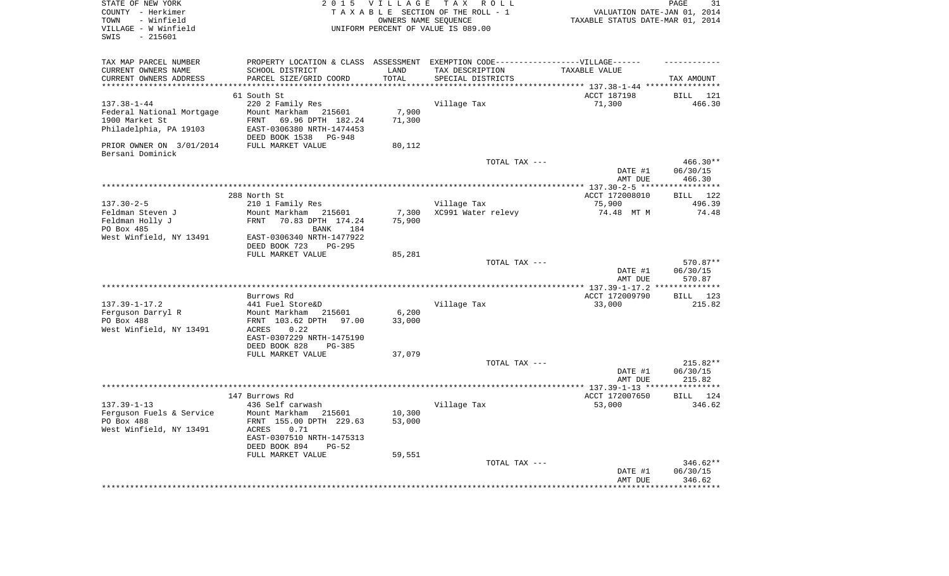| STATE OF NEW YORK<br>COUNTY - Herkimer<br>TOWN<br>- Winfield<br>VILLAGE - W Winfield<br>$-215601$<br>SWIS | 2 0 1 5                                                                           | V I L L A G E       | TAX ROLL<br>TAXABLE SECTION OF THE ROLL - 1<br>OWNERS NAME SEQUENCE<br>UNIFORM PERCENT OF VALUE IS 089.00 | VALUATION DATE-JAN 01, 2014<br>TAXABLE STATUS DATE-MAR 01, 2014 | PAGE<br>31                |
|-----------------------------------------------------------------------------------------------------------|-----------------------------------------------------------------------------------|---------------------|-----------------------------------------------------------------------------------------------------------|-----------------------------------------------------------------|---------------------------|
| TAX MAP PARCEL NUMBER                                                                                     | PROPERTY LOCATION & CLASS ASSESSMENT EXEMPTION CODE-----------------VILLAGE------ |                     |                                                                                                           |                                                                 |                           |
| CURRENT OWNERS NAME                                                                                       | SCHOOL DISTRICT                                                                   | LAND                | TAX DESCRIPTION                                                                                           | TAXABLE VALUE                                                   |                           |
| CURRENT OWNERS ADDRESS<br>****************                                                                | PARCEL SIZE/GRID COORD                                                            | TOTAL<br>********** | SPECIAL DISTRICTS                                                                                         | ***************************** 137.38-1-44 ****************      | TAX AMOUNT                |
|                                                                                                           | 61 South St                                                                       |                     |                                                                                                           | ACCT 187198                                                     | BILL 121                  |
| $137.38 - 1 - 44$                                                                                         | 220 2 Family Res                                                                  |                     | Village Tax                                                                                               | 71,300                                                          | 466.30                    |
| Federal National Mortgage                                                                                 | Mount Markham 215601                                                              | 7,900               |                                                                                                           |                                                                 |                           |
| 1900 Market St                                                                                            | FRNT<br>69.96 DPTH 182.24                                                         | 71,300              |                                                                                                           |                                                                 |                           |
| Philadelphia, PA 19103                                                                                    | EAST-0306380 NRTH-1474453                                                         |                     |                                                                                                           |                                                                 |                           |
|                                                                                                           | DEED BOOK 1538<br>PG-948                                                          |                     |                                                                                                           |                                                                 |                           |
| PRIOR OWNER ON 3/01/2014                                                                                  | FULL MARKET VALUE                                                                 | 80,112              |                                                                                                           |                                                                 |                           |
| Bersani Dominick                                                                                          |                                                                                   |                     |                                                                                                           |                                                                 |                           |
|                                                                                                           |                                                                                   |                     | TOTAL TAX ---                                                                                             |                                                                 | 466.30**                  |
|                                                                                                           |                                                                                   |                     |                                                                                                           | DATE #1<br>AMT DUE                                              | 06/30/15<br>466.30        |
|                                                                                                           |                                                                                   |                     |                                                                                                           |                                                                 | * * * * * * * * * * * * * |
|                                                                                                           | 288 North St                                                                      |                     |                                                                                                           | ACCT 172008010                                                  | BILL 122                  |
| $137.30 - 2 - 5$                                                                                          | 210 1 Family Res                                                                  |                     | Village Tax                                                                                               | 75,900                                                          | 496.39                    |
| Feldman Steven J                                                                                          | Mount Markham<br>215601                                                           | 7,300               | XC991 Water relevy                                                                                        | 74.48 MT M                                                      | 74.48                     |
| Feldman Holly J                                                                                           | 70.83 DPTH 174.24<br>FRNT                                                         | 75,900              |                                                                                                           |                                                                 |                           |
| PO Box 485                                                                                                | BANK<br>184                                                                       |                     |                                                                                                           |                                                                 |                           |
| West Winfield, NY 13491                                                                                   | EAST-0306340 NRTH-1477922                                                         |                     |                                                                                                           |                                                                 |                           |
|                                                                                                           | DEED BOOK 723<br>PG-295<br>FULL MARKET VALUE                                      | 85,281              |                                                                                                           |                                                                 |                           |
|                                                                                                           |                                                                                   |                     | TOTAL TAX ---                                                                                             |                                                                 | 570.87**                  |
|                                                                                                           |                                                                                   |                     |                                                                                                           | DATE #1                                                         | 06/30/15                  |
|                                                                                                           |                                                                                   |                     |                                                                                                           | AMT DUE                                                         | 570.87                    |
|                                                                                                           |                                                                                   |                     |                                                                                                           |                                                                 |                           |
|                                                                                                           | Burrows Rd                                                                        |                     |                                                                                                           | ACCT 172009790                                                  | BILL 123                  |
| $137.39 - 1 - 17.2$                                                                                       | 441 Fuel Store&D                                                                  |                     | Village Tax                                                                                               | 33,000                                                          | 215.82                    |
| Ferguson Darryl R<br>PO Box 488                                                                           | Mount Markham 215601<br>FRNT 103.62 DPTH 97.00                                    | 6,200<br>33,000     |                                                                                                           |                                                                 |                           |
| West Winfield, NY 13491                                                                                   | 0.22<br>ACRES                                                                     |                     |                                                                                                           |                                                                 |                           |
|                                                                                                           | EAST-0307229 NRTH-1475190                                                         |                     |                                                                                                           |                                                                 |                           |
|                                                                                                           | DEED BOOK 828<br><b>PG-385</b>                                                    |                     |                                                                                                           |                                                                 |                           |
|                                                                                                           | FULL MARKET VALUE                                                                 | 37,079              |                                                                                                           |                                                                 |                           |
|                                                                                                           |                                                                                   |                     | TOTAL TAX ---                                                                                             |                                                                 | 215.82**                  |
|                                                                                                           |                                                                                   |                     |                                                                                                           | DATE #1                                                         | 06/30/15                  |
|                                                                                                           |                                                                                   |                     |                                                                                                           | AMT DUE                                                         | 215.82<br>***********     |
|                                                                                                           | 147 Burrows Rd                                                                    |                     |                                                                                                           | ACCT 172007650                                                  | BILL 124                  |
| $137.39 - 1 - 13$                                                                                         | 436 Self carwash                                                                  |                     | Village Tax                                                                                               | 53,000                                                          | 346.62                    |
| Ferguson Fuels & Service                                                                                  | Mount Markham<br>215601                                                           | 10,300              |                                                                                                           |                                                                 |                           |
| PO Box 488                                                                                                | FRNT 155.00 DPTH 229.63                                                           | 53,000              |                                                                                                           |                                                                 |                           |
| West Winfield, NY 13491                                                                                   | ACRES<br>0.71                                                                     |                     |                                                                                                           |                                                                 |                           |
|                                                                                                           | EAST-0307510 NRTH-1475313                                                         |                     |                                                                                                           |                                                                 |                           |
|                                                                                                           | DEED BOOK 894<br>$PG-52$                                                          |                     |                                                                                                           |                                                                 |                           |
|                                                                                                           | FULL MARKET VALUE                                                                 | 59,551              | TOTAL TAX ---                                                                                             |                                                                 | 346.62**                  |
|                                                                                                           |                                                                                   |                     |                                                                                                           | DATE #1                                                         | 06/30/15                  |
|                                                                                                           |                                                                                   |                     |                                                                                                           | AMT DUE                                                         | 346.62                    |
|                                                                                                           |                                                                                   |                     |                                                                                                           |                                                                 | * * * * * * * *           |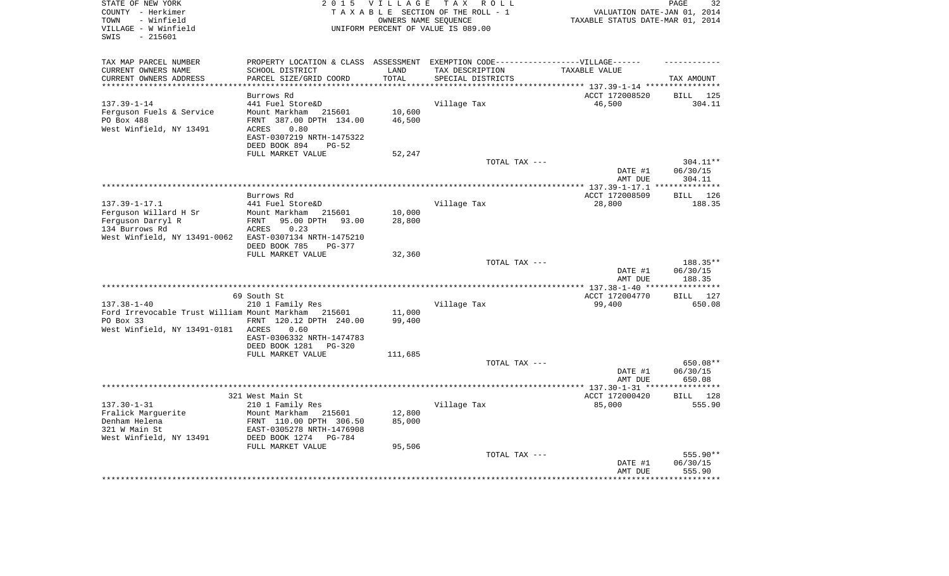| STATE OF NEW YORK<br>COUNTY - Herkimer<br>- Winfield<br>TOWN<br>VILLAGE - W Winfield<br>$-215601$<br>SWIS | 2 0 1 5                                              | <b>VILLAGE</b> | TAX ROLL<br>TAXABLE SECTION OF THE ROLL - 1<br>OWNERS NAME SEOUENCE<br>UNIFORM PERCENT OF VALUE IS 089.00 | VALUATION DATE-JAN 01, 2014<br>TAXABLE STATUS DATE-MAR 01, 2014 | 32<br>PAGE            |
|-----------------------------------------------------------------------------------------------------------|------------------------------------------------------|----------------|-----------------------------------------------------------------------------------------------------------|-----------------------------------------------------------------|-----------------------|
| TAX MAP PARCEL NUMBER                                                                                     |                                                      |                | PROPERTY LOCATION & CLASS ASSESSMENT EXEMPTION CODE-----------------VILLAGE------                         |                                                                 |                       |
| CURRENT OWNERS NAME                                                                                       | SCHOOL DISTRICT                                      | LAND<br>TOTAL  | TAX DESCRIPTION                                                                                           | TAXABLE VALUE                                                   |                       |
| CURRENT OWNERS ADDRESS                                                                                    | PARCEL SIZE/GRID COORD                               |                | SPECIAL DISTRICTS                                                                                         |                                                                 | TAX AMOUNT            |
|                                                                                                           | Burrows Rd                                           |                |                                                                                                           | ACCT 172008520                                                  | 125<br>BILL           |
| $137.39 - 1 - 14$                                                                                         | 441 Fuel Store&D                                     |                | Village Tax                                                                                               | 46,500                                                          | 304.11                |
| Ferguson Fuels & Service                                                                                  | Mount Markham<br>215601                              | 10,600         |                                                                                                           |                                                                 |                       |
| PO Box 488                                                                                                | FRNT 387.00 DPTH 134.00                              | 46,500         |                                                                                                           |                                                                 |                       |
| West Winfield, NY 13491                                                                                   | 0.80<br>ACRES<br>EAST-0307219 NRTH-1475322           |                |                                                                                                           |                                                                 |                       |
|                                                                                                           | DEED BOOK 894<br>$PG-52$                             |                |                                                                                                           |                                                                 |                       |
|                                                                                                           | FULL MARKET VALUE                                    | 52,247         |                                                                                                           |                                                                 |                       |
|                                                                                                           |                                                      |                | TOTAL TAX ---                                                                                             |                                                                 | 304.11**              |
|                                                                                                           |                                                      |                |                                                                                                           | DATE #1                                                         | 06/30/15              |
|                                                                                                           |                                                      |                |                                                                                                           | AMT DUE<br>*************** 137.39-1-17.1                        | 304.11<br>*********** |
|                                                                                                           | Burrows Rd                                           |                |                                                                                                           | ACCT 172008509                                                  | <b>BILL</b> 126       |
| $137.39 - 1 - 17.1$                                                                                       | 441 Fuel Store&D                                     |                | Village Tax                                                                                               | 28,800                                                          | 188.35                |
| Ferguson Willard H Sr                                                                                     | Mount Markham<br>215601                              | 10,000         |                                                                                                           |                                                                 |                       |
| Ferguson Darryl R                                                                                         | 95.00 DPTH<br>FRNT<br>93.00                          | 28,800         |                                                                                                           |                                                                 |                       |
| 134 Burrows Rd<br>West Winfield, NY 13491-0062                                                            | ACRES<br>0.23<br>EAST-0307134 NRTH-1475210           |                |                                                                                                           |                                                                 |                       |
|                                                                                                           | DEED BOOK 785<br>PG-377                              |                |                                                                                                           |                                                                 |                       |
|                                                                                                           | FULL MARKET VALUE                                    | 32,360         |                                                                                                           |                                                                 |                       |
|                                                                                                           |                                                      |                | TOTAL TAX ---                                                                                             |                                                                 | 188.35**              |
|                                                                                                           |                                                      |                |                                                                                                           | DATE #1<br>AMT DUE                                              | 06/30/15<br>188.35    |
|                                                                                                           |                                                      |                |                                                                                                           |                                                                 | * * * * * * * * * *   |
|                                                                                                           | 69 South St                                          |                |                                                                                                           | ACCT 172004770                                                  | BILL 127              |
| $137.38 - 1 - 40$                                                                                         | 210 1 Family Res                                     |                | Village Tax                                                                                               | 99,400                                                          | 650.08                |
| Ford Irrevocable Trust William Mount Markham 215601                                                       |                                                      | 11,000         |                                                                                                           |                                                                 |                       |
| PO Box 33<br>West Winfield, NY 13491-0181 ACRES                                                           | FRNT 120.12 DPTH 240.00<br>0.60                      | 99,400         |                                                                                                           |                                                                 |                       |
|                                                                                                           | EAST-0306332 NRTH-1474783                            |                |                                                                                                           |                                                                 |                       |
|                                                                                                           | DEED BOOK 1281<br><b>PG-320</b>                      |                |                                                                                                           |                                                                 |                       |
|                                                                                                           | FULL MARKET VALUE                                    | 111,685        |                                                                                                           |                                                                 |                       |
|                                                                                                           |                                                      |                | TOTAL TAX ---                                                                                             |                                                                 | 650.08**              |
|                                                                                                           |                                                      |                |                                                                                                           | DATE #1                                                         | 06/30/15              |
|                                                                                                           |                                                      |                |                                                                                                           | AMT DUE                                                         | 650.08                |
|                                                                                                           | 321 West Main St                                     |                |                                                                                                           | ACCT 172000420                                                  | BILL 128              |
| $137.30 - 1 - 31$                                                                                         | 210 1 Family Res                                     |                | Village Tax                                                                                               | 85,000                                                          | 555.90                |
| Fralick Marguerite                                                                                        | Mount Markham<br>215601                              | 12,800         |                                                                                                           |                                                                 |                       |
| Denham Helena<br>321 W Main St                                                                            | FRNT 110.00 DPTH 306.50<br>EAST-0305278 NRTH-1476908 | 85,000         |                                                                                                           |                                                                 |                       |
| West Winfield, NY 13491                                                                                   | DEED BOOK 1274<br>PG-784                             |                |                                                                                                           |                                                                 |                       |
|                                                                                                           | FULL MARKET VALUE                                    | 95,506         |                                                                                                           |                                                                 |                       |
|                                                                                                           |                                                      |                | TOTAL TAX ---                                                                                             |                                                                 | 555.90**              |
|                                                                                                           |                                                      |                |                                                                                                           | DATE #1                                                         | 06/30/15              |
|                                                                                                           |                                                      |                |                                                                                                           | AMT DUE                                                         | 555.90                |
|                                                                                                           |                                                      |                |                                                                                                           |                                                                 |                       |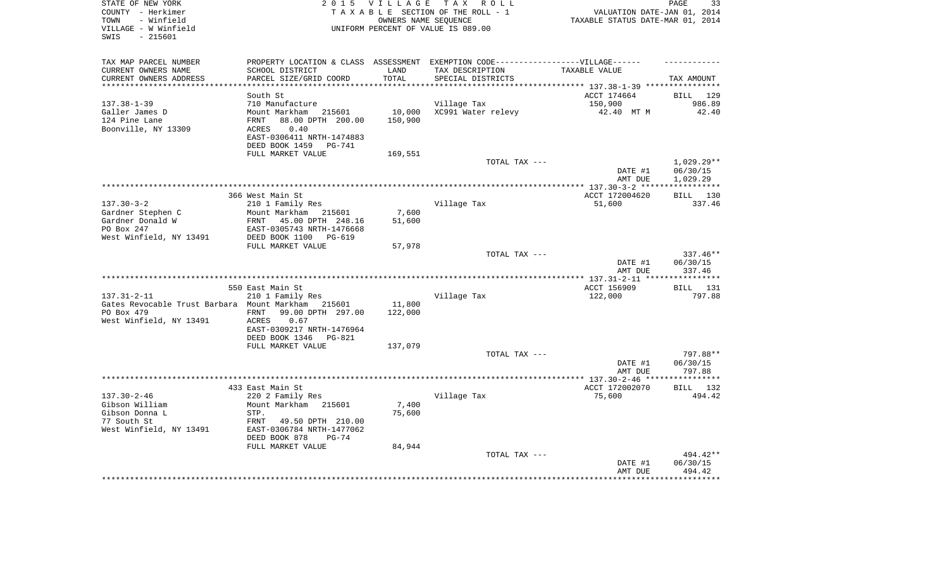| STATE OF NEW YORK                                  |                                  | 2015 VILLAGE | TAX ROLL                                                                         |                                           | PAGE<br>33              |
|----------------------------------------------------|----------------------------------|--------------|----------------------------------------------------------------------------------|-------------------------------------------|-------------------------|
| COUNTY - Herkimer                                  |                                  |              | TAXABLE SECTION OF THE ROLL - 1                                                  | VALUATION DATE-JAN 01, 2014               |                         |
| - Winfield<br>TOWN                                 |                                  |              | OWNERS NAME SEOUENCE                                                             | TAXABLE STATUS DATE-MAR 01, 2014          |                         |
| VILLAGE - W Winfield                               |                                  |              | UNIFORM PERCENT OF VALUE IS 089.00                                               |                                           |                         |
| $-215601$<br>SWIS                                  |                                  |              |                                                                                  |                                           |                         |
|                                                    |                                  |              |                                                                                  |                                           |                         |
| TAX MAP PARCEL NUMBER                              |                                  |              | PROPERTY LOCATION & CLASS ASSESSMENT EXEMPTION CODE----------------VILLAGE------ |                                           |                         |
| CURRENT OWNERS NAME                                | SCHOOL DISTRICT                  | LAND         | TAX DESCRIPTION                                                                  | TAXABLE VALUE                             |                         |
| CURRENT OWNERS ADDRESS                             | PARCEL SIZE/GRID COORD           | TOTAL        | SPECIAL DISTRICTS                                                                |                                           | TAX AMOUNT              |
|                                                    |                                  |              |                                                                                  | *********** 137.38-1-39 ***               |                         |
|                                                    | South St                         |              |                                                                                  | ACCT 174664                               | BILL 129                |
| $137.38 - 1 - 39$                                  | 710 Manufacture                  |              | Village Tax                                                                      | 150,900                                   | 986.89                  |
| Galler James D                                     | Mount Markham 215601             | 10,000       | XC991 Water relevy                                                               | 42.40 MT M                                | 42.40                   |
| 124 Pine Lane                                      | 88.00 DPTH 200.00<br>FRNT        | 150,900      |                                                                                  |                                           |                         |
| Boonville, NY 13309                                | ACRES<br>0.40                    |              |                                                                                  |                                           |                         |
|                                                    | EAST-0306411 NRTH-1474883        |              |                                                                                  |                                           |                         |
|                                                    | DEED BOOK 1459 PG-741            |              |                                                                                  |                                           |                         |
|                                                    | FULL MARKET VALUE                | 169,551      |                                                                                  |                                           |                         |
|                                                    |                                  |              | TOTAL TAX ---                                                                    |                                           | 1,029.29**              |
|                                                    |                                  |              |                                                                                  | DATE #1                                   | 06/30/15                |
|                                                    |                                  |              |                                                                                  | AMT DUE                                   | 1,029.29                |
|                                                    |                                  |              |                                                                                  | ***************** 137.30-3-2 *****        | * * * * * * * * * * * * |
|                                                    | 366 West Main St                 |              |                                                                                  | ACCT 172004620                            | BILL 130                |
| $137.30 - 3 - 2$                                   | 210 1 Family Res                 |              | Village Tax                                                                      | 51,600                                    | 337.46                  |
| Gardner Stephen C                                  | Mount Markham<br>215601          | 7,600        |                                                                                  |                                           |                         |
| Gardner Donald W                                   | FRNT 45.00 DPTH 248.16           | 51,600       |                                                                                  |                                           |                         |
| PO Box 247                                         | EAST-0305743 NRTH-1476668        |              |                                                                                  |                                           |                         |
| West Winfield, NY 13491                            | DEED BOOK 1100 PG-619            |              |                                                                                  |                                           |                         |
|                                                    | FULL MARKET VALUE                | 57,978       |                                                                                  |                                           |                         |
|                                                    |                                  |              | TOTAL TAX ---                                                                    |                                           | 337.46**                |
|                                                    |                                  |              |                                                                                  | DATE #1                                   | 06/30/15                |
|                                                    |                                  |              |                                                                                  | AMT DUE                                   | 337.46                  |
|                                                    |                                  |              |                                                                                  |                                           |                         |
|                                                    | 550 East Main St                 |              |                                                                                  | ACCT 156909                               | <b>BILL</b> 131         |
| $137.31 - 2 - 11$                                  | 210 1 Family Res                 |              | Village Tax                                                                      | 122,000                                   | 797.88                  |
| Gates Revocable Trust Barbara Mount Markham 215601 |                                  | 11,800       |                                                                                  |                                           |                         |
| PO Box 479                                         | 99.00 DPTH 297.00<br><b>FRNT</b> | 122,000      |                                                                                  |                                           |                         |
| West Winfield, NY 13491                            | 0.67<br>ACRES                    |              |                                                                                  |                                           |                         |
|                                                    | EAST-0309217 NRTH-1476964        |              |                                                                                  |                                           |                         |
|                                                    | DEED BOOK 1346<br>PG-821         |              |                                                                                  |                                           |                         |
|                                                    | FULL MARKET VALUE                | 137,079      |                                                                                  |                                           |                         |
|                                                    |                                  |              | TOTAL TAX ---                                                                    |                                           | 797.88**                |
|                                                    |                                  |              |                                                                                  | DATE #1                                   | 06/30/15                |
|                                                    |                                  |              |                                                                                  | AMT DUE<br>*************** 137.30-2-46 ** | 797.88<br>**********    |
|                                                    | 433 East Main St                 |              |                                                                                  | ACCT 172002070                            | BILL 132                |
| $137.30 - 2 - 46$                                  | 220 2 Family Res                 |              |                                                                                  | 75,600                                    | 494.42                  |
| Gibson William                                     | Mount Markham 215601             | 7,400        | Village Tax                                                                      |                                           |                         |
| Gibson Donna L                                     | STP.                             | 75,600       |                                                                                  |                                           |                         |
| 77 South St                                        | FRNT<br>49.50 DPTH 210.00        |              |                                                                                  |                                           |                         |
| West Winfield, NY 13491                            | EAST-0306784 NRTH-1477062        |              |                                                                                  |                                           |                         |
|                                                    | DEED BOOK 878<br>$PG-74$         |              |                                                                                  |                                           |                         |
|                                                    | FULL MARKET VALUE                | 84,944       |                                                                                  |                                           |                         |
|                                                    |                                  |              | TOTAL TAX ---                                                                    |                                           | 494.42**                |
|                                                    |                                  |              |                                                                                  | DATE #1                                   | 06/30/15                |
|                                                    |                                  |              |                                                                                  | AMT DUE                                   | 494.42                  |
|                                                    |                                  |              |                                                                                  |                                           |                         |
|                                                    |                                  |              |                                                                                  |                                           |                         |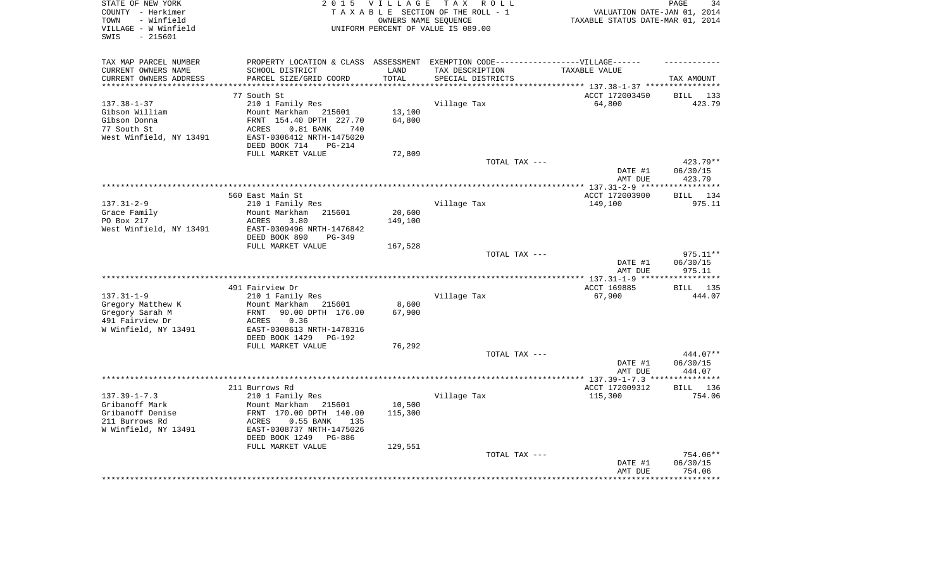| STATE OF NEW YORK       | 2 0 1 5                        | VILLAGE  | TAX ROLL                                                                          |                                          | 34<br>PAGE                      |
|-------------------------|--------------------------------|----------|-----------------------------------------------------------------------------------|------------------------------------------|---------------------------------|
| COUNTY - Herkimer       |                                |          | TAXABLE SECTION OF THE ROLL - 1                                                   | VALUATION DATE-JAN 01, 2014              |                                 |
| - Winfield<br>TOWN      |                                |          | OWNERS NAME SEOUENCE                                                              | TAXABLE STATUS DATE-MAR 01, 2014         |                                 |
| VILLAGE - W Winfield    |                                |          | UNIFORM PERCENT OF VALUE IS 089.00                                                |                                          |                                 |
| $-215601$<br>SWIS       |                                |          |                                                                                   |                                          |                                 |
|                         |                                |          |                                                                                   |                                          |                                 |
| TAX MAP PARCEL NUMBER   |                                |          | PROPERTY LOCATION & CLASS ASSESSMENT EXEMPTION CODE-----------------VILLAGE------ |                                          |                                 |
| CURRENT OWNERS NAME     | SCHOOL DISTRICT                | LAND     | TAX DESCRIPTION                                                                   | TAXABLE VALUE                            |                                 |
| CURRENT OWNERS ADDRESS  | PARCEL SIZE/GRID COORD         | TOTAL    | SPECIAL DISTRICTS                                                                 |                                          | TAX AMOUNT                      |
|                         |                                | ******** |                                                                                   | ********** 137.38-1-37 ***************** |                                 |
|                         | 77 South St                    |          |                                                                                   | ACCT 172003450                           | BILL 133                        |
| $137.38 - 1 - 37$       | 210 1 Family Res               |          | Village Tax                                                                       | 64,800                                   | 423.79                          |
| Gibson William          | Mount Markham 215601           | 13,100   |                                                                                   |                                          |                                 |
| Gibson Donna            | FRNT 154.40 DPTH 227.70        | 64,800   |                                                                                   |                                          |                                 |
|                         |                                |          |                                                                                   |                                          |                                 |
| 77 South St             | ACRES<br>$0.81$ BANK<br>740    |          |                                                                                   |                                          |                                 |
| West Winfield, NY 13491 | EAST-0306412 NRTH-1475020      |          |                                                                                   |                                          |                                 |
|                         | DEED BOOK 714<br><b>PG-214</b> |          |                                                                                   |                                          |                                 |
|                         | FULL MARKET VALUE              | 72,809   |                                                                                   |                                          |                                 |
|                         |                                |          | TOTAL TAX ---                                                                     |                                          | $423.79**$                      |
|                         |                                |          |                                                                                   | DATE #1                                  | 06/30/15                        |
|                         |                                |          |                                                                                   | AMT DUE                                  | 423.79<br>* * * * * * * * * * * |
|                         |                                |          |                                                                                   | *************** 137.31-2-9 ****          |                                 |
|                         | 560 East Main St               |          |                                                                                   | ACCT 172003900                           | BILL 134                        |
| $137.31 - 2 - 9$        | 210 1 Family Res               |          | Village Tax                                                                       | 149,100                                  | 975.11                          |
| Grace Family            | Mount Markham<br>215601        | 20,600   |                                                                                   |                                          |                                 |
| PO Box 217              | ACRES<br>3.80                  | 149,100  |                                                                                   |                                          |                                 |
| West Winfield, NY 13491 | EAST-0309496 NRTH-1476842      |          |                                                                                   |                                          |                                 |
|                         | DEED BOOK 890<br>$PG-349$      |          |                                                                                   |                                          |                                 |
|                         | FULL MARKET VALUE              | 167,528  |                                                                                   |                                          |                                 |
|                         |                                |          | TOTAL TAX ---                                                                     |                                          | 975.11**                        |
|                         |                                |          |                                                                                   | DATE #1                                  | 06/30/15                        |
|                         |                                |          |                                                                                   | AMT DUE                                  | 975.11                          |
|                         | 491 Fairview Dr                |          |                                                                                   | ACCT 169885                              | BILL 135                        |
| $137.31 - 1 - 9$        | 210 1 Family Res               |          | Village Tax                                                                       | 67,900                                   | 444.07                          |
| Gregory Matthew K       | Mount Markham 215601           | 8,600    |                                                                                   |                                          |                                 |
| Gregory Sarah M         | 90.00 DPTH 176.00<br>FRNT      | 67,900   |                                                                                   |                                          |                                 |
| 491 Fairview Dr         | 0.36<br>ACRES                  |          |                                                                                   |                                          |                                 |
|                         | EAST-0308613 NRTH-1478316      |          |                                                                                   |                                          |                                 |
| W Winfield, NY 13491    | DEED BOOK 1429<br>PG-192       |          |                                                                                   |                                          |                                 |
|                         | FULL MARKET VALUE              | 76,292   |                                                                                   |                                          |                                 |
|                         |                                |          | TOTAL TAX ---                                                                     |                                          | 444.07**                        |
|                         |                                |          |                                                                                   | DATE #1                                  | 06/30/15                        |
|                         |                                |          |                                                                                   | AMT DUE                                  | 444.07                          |
|                         |                                |          |                                                                                   | ******* 137.39-1-7.3 ***                 | **********                      |
|                         | 211 Burrows Rd                 |          |                                                                                   | ACCT 172009312                           | BILL 136                        |
| $137.39 - 1 - 7.3$      | 210 1 Family Res               |          | Village Tax                                                                       | 115,300                                  | 754.06                          |
| Gribanoff Mark          | Mount Markham<br>215601        | 10,500   |                                                                                   |                                          |                                 |
| Gribanoff Denise        | FRNT 170.00 DPTH 140.00        | 115,300  |                                                                                   |                                          |                                 |
| 211 Burrows Rd          | ACRES<br>$0.55$ BANK<br>135    |          |                                                                                   |                                          |                                 |
| W Winfield, NY 13491    | EAST-0308737 NRTH-1475026      |          |                                                                                   |                                          |                                 |
|                         | DEED BOOK 1249<br>PG-886       |          |                                                                                   |                                          |                                 |
|                         | FULL MARKET VALUE              | 129,551  |                                                                                   |                                          |                                 |
|                         |                                |          | TOTAL TAX ---                                                                     |                                          | 754.06**                        |
|                         |                                |          |                                                                                   | DATE #1                                  | 06/30/15                        |
|                         |                                |          |                                                                                   | AMT DUE                                  | 754.06                          |
|                         |                                |          |                                                                                   |                                          |                                 |
|                         |                                |          |                                                                                   |                                          |                                 |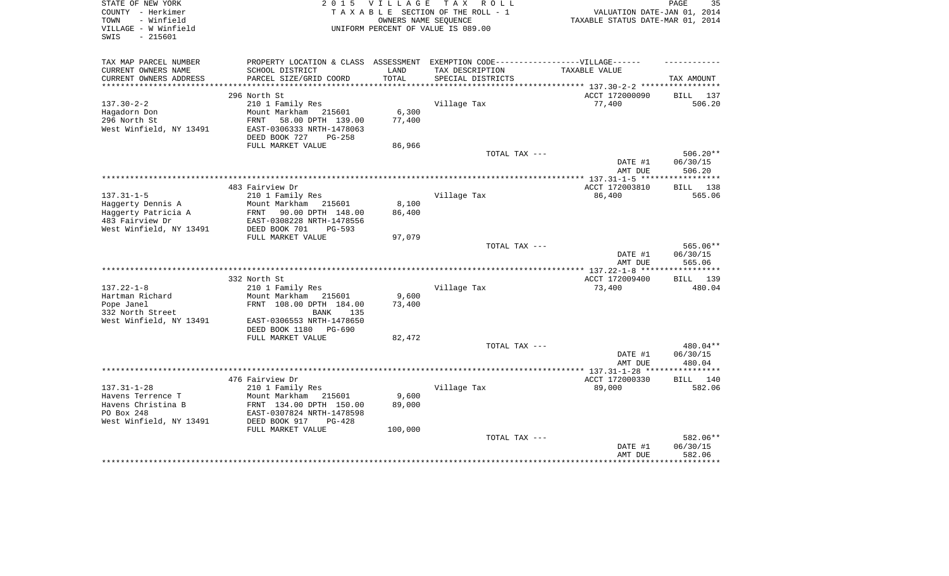| STATE OF NEW YORK<br>COUNTY - Herkimer<br>- Winfield<br>TOWN<br>VILLAGE - W Winfield<br>$-215601$<br>SWIS | 2 0 1 5                                                                                              | VILLAGE<br>OWNERS NAME SEQUENCE | TAX ROLL<br>TAXABLE SECTION OF THE ROLL - 1<br>UNIFORM PERCENT OF VALUE IS 089.00 | VALUATION DATE-JAN 01, 2014<br>TAXABLE STATUS DATE-MAR 01, 2014 | 35<br>PAGE             |
|-----------------------------------------------------------------------------------------------------------|------------------------------------------------------------------------------------------------------|---------------------------------|-----------------------------------------------------------------------------------|-----------------------------------------------------------------|------------------------|
| TAX MAP PARCEL NUMBER<br>CURRENT OWNERS NAME                                                              | PROPERTY LOCATION & CLASS ASSESSMENT EXEMPTION CODE-----------------VILLAGE------<br>SCHOOL DISTRICT | LAND                            | TAX DESCRIPTION                                                                   | TAXABLE VALUE                                                   |                        |
| CURRENT OWNERS ADDRESS                                                                                    | PARCEL SIZE/GRID COORD                                                                               | TOTAL                           | SPECIAL DISTRICTS                                                                 |                                                                 | TAX AMOUNT             |
| ***********************                                                                                   |                                                                                                      |                                 | ************************************** 137.30-2-2 *****************               |                                                                 |                        |
| $137.30 - 2 - 2$                                                                                          | 296 North St<br>210 1 Family Res                                                                     |                                 | Village Tax                                                                       | ACCT 172000090<br>77,400                                        | BILL 137<br>506.20     |
| Hagadorn Don<br>296 North St<br>West Winfield, NY 13491                                                   | Mount Markham 215601<br>FRNT<br>58.00 DPTH 139.00<br>EAST-0306333 NRTH-1478063                       | 6,300<br>77,400                 |                                                                                   |                                                                 |                        |
|                                                                                                           | DEED BOOK 727<br><b>PG-258</b>                                                                       |                                 |                                                                                   |                                                                 |                        |
|                                                                                                           | FULL MARKET VALUE                                                                                    | 86,966                          |                                                                                   |                                                                 |                        |
|                                                                                                           |                                                                                                      |                                 | TOTAL TAX ---                                                                     | DATE #1                                                         | $506.20**$<br>06/30/15 |
|                                                                                                           |                                                                                                      |                                 |                                                                                   | AMT DUE                                                         | 506.20                 |
|                                                                                                           | 483 Fairview Dr                                                                                      |                                 |                                                                                   | ACCT 172003810                                                  | BILL 138               |
| $137.31 - 1 - 5$                                                                                          | 210 1 Family Res                                                                                     |                                 | Village Tax                                                                       | 86,400                                                          | 565.06                 |
| Haggerty Dennis A                                                                                         | Mount Markham<br>215601                                                                              | 8,100                           |                                                                                   |                                                                 |                        |
| Haggerty Patricia A                                                                                       | FRNT 90.00 DPTH 148.00                                                                               | 86,400                          |                                                                                   |                                                                 |                        |
| 483 Fairview Dr                                                                                           | EAST-0308228 NRTH-1478556                                                                            |                                 |                                                                                   |                                                                 |                        |
| West Winfield, NY 13491                                                                                   | DEED BOOK 701<br>$PG-593$                                                                            |                                 |                                                                                   |                                                                 |                        |
|                                                                                                           | FULL MARKET VALUE                                                                                    | 97,079                          |                                                                                   |                                                                 |                        |
|                                                                                                           |                                                                                                      |                                 | TOTAL TAX ---                                                                     | DATE #1                                                         | 565.06**<br>06/30/15   |
|                                                                                                           |                                                                                                      |                                 |                                                                                   | AMT DUE                                                         | 565.06                 |
|                                                                                                           |                                                                                                      |                                 |                                                                                   |                                                                 |                        |
|                                                                                                           | 332 North St                                                                                         |                                 |                                                                                   | ACCT 172009400                                                  | <b>BILL</b><br>139     |
| $137.22 - 1 - 8$                                                                                          | 210 1 Family Res                                                                                     |                                 | Village Tax                                                                       | 73,400                                                          | 480.04                 |
| Hartman Richard                                                                                           | Mount Markham 215601                                                                                 | 9,600                           |                                                                                   |                                                                 |                        |
| Pope Janel                                                                                                | FRNT 108.00 DPTH 184.00<br>135                                                                       | 73,400                          |                                                                                   |                                                                 |                        |
| 332 North Street<br>West Winfield, NY 13491                                                               | BANK<br>EAST-0306553 NRTH-1478650                                                                    |                                 |                                                                                   |                                                                 |                        |
|                                                                                                           | DEED BOOK 1180 PG-690                                                                                |                                 |                                                                                   |                                                                 |                        |
|                                                                                                           | FULL MARKET VALUE                                                                                    | 82,472                          | TOTAL TAX ---                                                                     |                                                                 | 480.04**               |
|                                                                                                           |                                                                                                      |                                 |                                                                                   | DATE #1                                                         | 06/30/15               |
|                                                                                                           |                                                                                                      |                                 |                                                                                   | AMT DUE                                                         | 480.04                 |
|                                                                                                           |                                                                                                      |                                 |                                                                                   | *************** 137.31-1-28 ***                                 | ***********            |
|                                                                                                           | 476 Fairview Dr                                                                                      |                                 |                                                                                   | ACCT 172000330                                                  | BILL 140               |
| $137.31 - 1 - 28$                                                                                         | 210 1 Family Res                                                                                     |                                 | Village Tax                                                                       | 89,000                                                          | 582.06                 |
| Havens Terrence T                                                                                         | Mount Markham<br>215601                                                                              | 9,600                           |                                                                                   |                                                                 |                        |
| Havens Christina B<br>PO Box 248                                                                          | FRNT 134.00 DPTH 150.00<br>EAST-0307824 NRTH-1478598                                                 | 89,000                          |                                                                                   |                                                                 |                        |
| West Winfield, NY 13491                                                                                   | DEED BOOK 917<br>$PG-428$                                                                            |                                 |                                                                                   |                                                                 |                        |
|                                                                                                           | FULL MARKET VALUE                                                                                    | 100,000                         |                                                                                   |                                                                 |                        |
|                                                                                                           |                                                                                                      |                                 | TOTAL TAX ---                                                                     |                                                                 | 582.06**               |
|                                                                                                           |                                                                                                      |                                 |                                                                                   | DATE #1<br>AMT DUE                                              | 06/30/15<br>582.06     |
|                                                                                                           |                                                                                                      |                                 |                                                                                   |                                                                 |                        |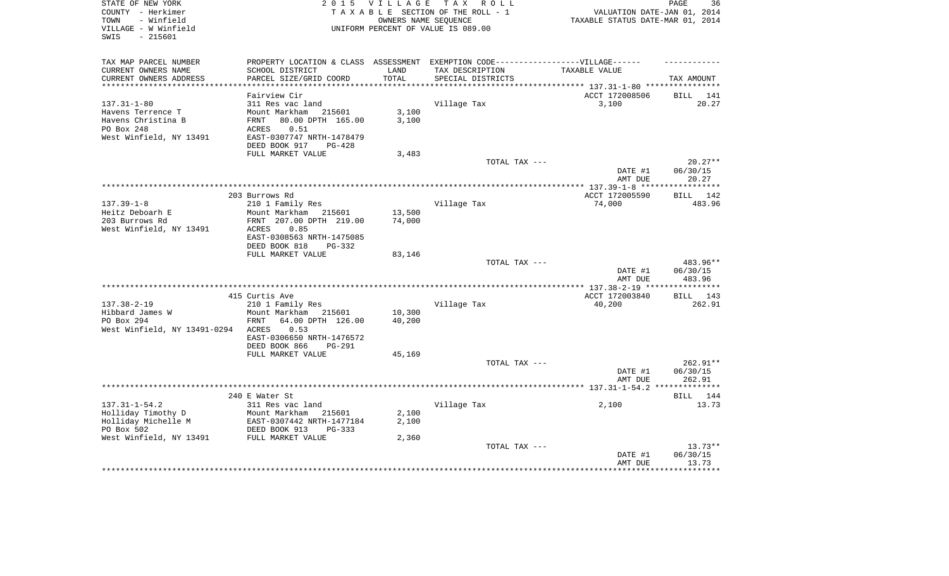| STATE OF NEW YORK<br>COUNTY - Herkimer<br>- Winfield<br>TOWN | 2 0 1 5                                              | <b>VILLAGE</b>   | T A X<br>R O L L<br>TAXABLE SECTION OF THE ROLL - 1<br>OWNERS NAME SEQUENCE | VALUATION DATE-JAN 01, 2014<br>TAXABLE STATUS DATE-MAR 01, 2014 | PAGE<br>36         |
|--------------------------------------------------------------|------------------------------------------------------|------------------|-----------------------------------------------------------------------------|-----------------------------------------------------------------|--------------------|
| VILLAGE - W Winfield<br>$-215601$<br>SWIS                    |                                                      |                  | UNIFORM PERCENT OF VALUE IS 089.00                                          |                                                                 |                    |
| TAX MAP PARCEL NUMBER                                        | PROPERTY LOCATION & CLASS                            | ASSESSMENT       | EXEMPTION CODE-----------------VILLAGE------                                |                                                                 |                    |
| CURRENT OWNERS NAME                                          | SCHOOL DISTRICT                                      | LAND             | TAX DESCRIPTION                                                             | TAXABLE VALUE                                                   |                    |
| CURRENT OWNERS ADDRESS                                       | PARCEL SIZE/GRID COORD                               | TOTAL            | SPECIAL DISTRICTS                                                           |                                                                 | TAX AMOUNT         |
| ***********************                                      |                                                      |                  |                                                                             |                                                                 |                    |
|                                                              | Fairview Cir                                         |                  |                                                                             | ACCT 172008506                                                  | 141<br>BILL        |
| $137.31 - 1 - 80$<br>Havens Terrence T                       | 311 Res vac land<br>Mount Markham                    | 3,100            | Village Tax                                                                 | 3,100                                                           | 20.27              |
| Havens Christina B                                           | 215601<br>80.00 DPTH 165.00<br>FRNT                  | 3,100            |                                                                             |                                                                 |                    |
| PO Box 248                                                   | 0.51<br>ACRES                                        |                  |                                                                             |                                                                 |                    |
| West Winfield, NY 13491                                      | EAST-0307747 NRTH-1478479                            |                  |                                                                             |                                                                 |                    |
|                                                              | DEED BOOK 917<br>PG-428                              |                  |                                                                             |                                                                 |                    |
|                                                              | FULL MARKET VALUE                                    | 3,483            |                                                                             |                                                                 |                    |
|                                                              |                                                      |                  | TOTAL TAX ---                                                               |                                                                 | $20.27**$          |
|                                                              |                                                      |                  |                                                                             | DATE #1                                                         | 06/30/15           |
|                                                              |                                                      |                  |                                                                             | AMT DUE                                                         | 20.27              |
|                                                              |                                                      |                  |                                                                             |                                                                 | ********           |
|                                                              | 203 Burrows Rd                                       |                  |                                                                             | ACCT 172005590                                                  | <b>BILL</b><br>142 |
| $137.39 - 1 - 8$                                             | 210 1 Family Res                                     |                  | Village Tax                                                                 | 74,000                                                          | 483.96             |
| Heitz Deboarh E<br>203 Burrows Rd                            | Mount Markham<br>215601                              | 13,500<br>74,000 |                                                                             |                                                                 |                    |
| West Winfield, NY 13491                                      | FRNT 207.00 DPTH 219.00<br>ACRES<br>0.85             |                  |                                                                             |                                                                 |                    |
|                                                              | EAST-0308563 NRTH-1475085                            |                  |                                                                             |                                                                 |                    |
|                                                              | DEED BOOK 818<br>$PG-332$                            |                  |                                                                             |                                                                 |                    |
|                                                              | FULL MARKET VALUE                                    | 83,146           |                                                                             |                                                                 |                    |
|                                                              |                                                      |                  | TOTAL TAX ---                                                               |                                                                 | 483.96**           |
|                                                              |                                                      |                  |                                                                             | DATE #1                                                         | 06/30/15           |
|                                                              |                                                      |                  |                                                                             | AMT DUE                                                         | 483.96             |
|                                                              |                                                      |                  |                                                                             |                                                                 |                    |
|                                                              | 415 Curtis Ave                                       |                  |                                                                             | ACCT 172003840                                                  | <b>BILL</b><br>143 |
| $137.38 - 2 - 19$                                            | 210 1 Family Res                                     |                  | Village Tax                                                                 | 40,200                                                          | 262.91             |
| Hibbard James W<br>PO Box 294                                | Mount Markham<br>215601<br>FRNT<br>64.00 DPTH 126.00 | 10,300<br>40,200 |                                                                             |                                                                 |                    |
| West Winfield, NY 13491-0294                                 | ACRES<br>0.53                                        |                  |                                                                             |                                                                 |                    |
|                                                              | EAST-0306650 NRTH-1476572                            |                  |                                                                             |                                                                 |                    |
|                                                              | DEED BOOK 866<br><b>PG-291</b>                       |                  |                                                                             |                                                                 |                    |
|                                                              | FULL MARKET VALUE                                    | 45,169           |                                                                             |                                                                 |                    |
|                                                              |                                                      |                  | TOTAL TAX ---                                                               |                                                                 | 262.91**           |
|                                                              |                                                      |                  |                                                                             | DATE #1                                                         | 06/30/15           |
|                                                              |                                                      |                  |                                                                             | AMT DUE                                                         | 262.91             |
|                                                              |                                                      |                  |                                                                             |                                                                 | **************     |
|                                                              | 240 E Water St                                       |                  |                                                                             |                                                                 | BILL<br>144        |
| $137.31 - 1 - 54.2$                                          | 311 Res vac land<br>Mount Markham                    | 2,100            | Village Tax                                                                 | 2,100                                                           | 13.73              |
| Holliday Timothy D<br>Holliday Michelle M                    | 215601<br>EAST-0307442 NRTH-1477184                  | 2,100            |                                                                             |                                                                 |                    |
| PO Box 502                                                   | DEED BOOK 913<br>$PG-333$                            |                  |                                                                             |                                                                 |                    |
| West Winfield, NY 13491                                      | FULL MARKET VALUE                                    | 2,360            |                                                                             |                                                                 |                    |
|                                                              |                                                      |                  | TOTAL TAX ---                                                               |                                                                 | $13.73**$          |
|                                                              |                                                      |                  |                                                                             | DATE #1                                                         | 06/30/15           |
|                                                              |                                                      |                  |                                                                             | AMT DUE                                                         | 13.73              |
|                                                              |                                                      |                  |                                                                             |                                                                 | * * * * * * * *    |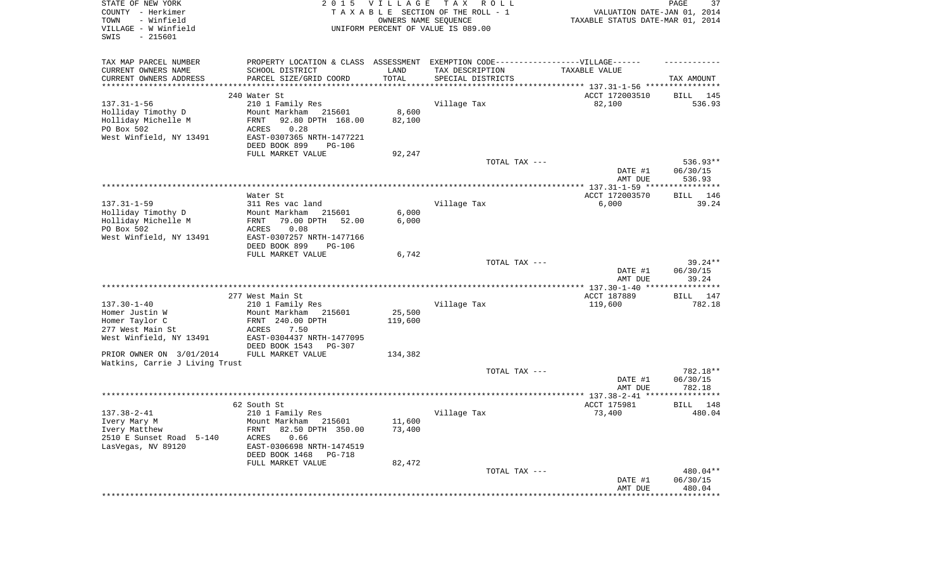| STATE OF NEW YORK<br>COUNTY - Herkimer<br>TOWN<br>- Winfield<br>VILLAGE - W Winfield<br>SWIS<br>$-215601$ |                                                                                   | 2015 VILLAGE<br>OWNERS NAME SEQUENCE | TAX ROLL<br>TAXABLE SECTION OF THE ROLL - 1<br>UNIFORM PERCENT OF VALUE IS 089.00 | VALUATION DATE-JAN 01, 2014<br>TAXABLE STATUS DATE-MAR 01, 2014 | PAGE<br>37               |
|-----------------------------------------------------------------------------------------------------------|-----------------------------------------------------------------------------------|--------------------------------------|-----------------------------------------------------------------------------------|-----------------------------------------------------------------|--------------------------|
| TAX MAP PARCEL NUMBER                                                                                     | PROPERTY LOCATION & CLASS ASSESSMENT EXEMPTION CODE-----------------VILLAGE------ |                                      |                                                                                   |                                                                 |                          |
| CURRENT OWNERS NAME<br>CURRENT OWNERS ADDRESS                                                             | SCHOOL DISTRICT<br>PARCEL SIZE/GRID COORD                                         | LAND<br>TOTAL                        | TAX DESCRIPTION<br>SPECIAL DISTRICTS                                              | TAXABLE VALUE                                                   | TAX AMOUNT               |
| **********************                                                                                    |                                                                                   |                                      |                                                                                   |                                                                 |                          |
|                                                                                                           | 240 Water St                                                                      |                                      |                                                                                   | ACCT 172003510                                                  | BILL 145                 |
| $137.31 - 1 - 56$                                                                                         | 210 1 Family Res                                                                  |                                      | Village Tax                                                                       | 82,100                                                          | 536.93                   |
| Holliday Timothy D<br>Holliday Michelle M                                                                 | Mount Markham 215601<br>92.80 DPTH 168.00<br>FRNT                                 | 8,600<br>82,100                      |                                                                                   |                                                                 |                          |
| PO Box 502                                                                                                | 0.28<br>ACRES                                                                     |                                      |                                                                                   |                                                                 |                          |
| West Winfield, NY 13491                                                                                   | EAST-0307365 NRTH-1477221                                                         |                                      |                                                                                   |                                                                 |                          |
|                                                                                                           | DEED BOOK 899<br>PG-106                                                           |                                      |                                                                                   |                                                                 |                          |
|                                                                                                           | FULL MARKET VALUE                                                                 | 92,247                               | TOTAL TAX ---                                                                     |                                                                 | 536.93**                 |
|                                                                                                           |                                                                                   |                                      |                                                                                   | DATE #1<br>AMT DUE                                              | 06/30/15<br>536.93       |
|                                                                                                           |                                                                                   |                                      |                                                                                   |                                                                 |                          |
|                                                                                                           | Water St                                                                          |                                      |                                                                                   | ACCT 172003570                                                  | BILL<br>146              |
| $137.31 - 1 - 59$                                                                                         | 311 Res vac land                                                                  |                                      | Village Tax                                                                       | 6,000                                                           | 39.24                    |
| Holliday Timothy D<br>Holliday Michelle M                                                                 | Mount Markham<br>215601<br>79.00 DPTH<br>FRNT<br>52.00                            | 6,000<br>6,000                       |                                                                                   |                                                                 |                          |
| PO Box 502                                                                                                | 0.08<br>ACRES                                                                     |                                      |                                                                                   |                                                                 |                          |
| West Winfield, NY 13491                                                                                   | EAST-0307257 NRTH-1477166<br>DEED BOOK 899                                        |                                      |                                                                                   |                                                                 |                          |
|                                                                                                           | PG-106<br>FULL MARKET VALUE                                                       | 6,742                                |                                                                                   |                                                                 |                          |
|                                                                                                           |                                                                                   |                                      | TOTAL TAX ---                                                                     |                                                                 | $39.24**$                |
|                                                                                                           |                                                                                   |                                      |                                                                                   | DATE #1<br>AMT DUE                                              | 06/30/15<br>39.24        |
|                                                                                                           |                                                                                   |                                      |                                                                                   |                                                                 |                          |
|                                                                                                           | 277 West Main St                                                                  |                                      |                                                                                   | ACCT 187889                                                     | BILL 147                 |
| $137.30 - 1 - 40$                                                                                         | 210 1 Family Res                                                                  |                                      | Village Tax                                                                       | 119,600                                                         | 782.18                   |
| Homer Justin W<br>Homer Taylor C                                                                          | Mount Markham<br>215601<br>FRNT 240.00 DPTH                                       | 25,500<br>119,600                    |                                                                                   |                                                                 |                          |
| 277 West Main St                                                                                          | ACRES<br>7.50                                                                     |                                      |                                                                                   |                                                                 |                          |
| West Winfield, NY 13491                                                                                   | EAST-0304437 NRTH-1477095                                                         |                                      |                                                                                   |                                                                 |                          |
|                                                                                                           | DEED BOOK 1543<br>PG-307                                                          |                                      |                                                                                   |                                                                 |                          |
| PRIOR OWNER ON 3/01/2014<br>Watkins, Carrie J Living Trust                                                | FULL MARKET VALUE                                                                 | 134,382                              |                                                                                   |                                                                 |                          |
|                                                                                                           |                                                                                   |                                      | TOTAL TAX ---                                                                     |                                                                 | 782.18**                 |
|                                                                                                           |                                                                                   |                                      |                                                                                   | DATE #1                                                         | 06/30/15                 |
|                                                                                                           |                                                                                   |                                      |                                                                                   | AMT DUE                                                         | 782.18                   |
|                                                                                                           | 62 South St                                                                       |                                      |                                                                                   | ACCT 175981                                                     | BILL<br>148              |
| $137.38 - 2 - 41$                                                                                         | 210 1 Family Res                                                                  |                                      | Village Tax                                                                       | 73,400                                                          | 480.04                   |
| Ivery Mary M                                                                                              | Mount Markham 215601                                                              | 11,600                               |                                                                                   |                                                                 |                          |
| Ivery Matthew                                                                                             | 82.50 DPTH 350.00<br>FRNT                                                         | 73,400                               |                                                                                   |                                                                 |                          |
| 2510 E Sunset Road 5-140                                                                                  | ACRES<br>0.66                                                                     |                                      |                                                                                   |                                                                 |                          |
| LasVegas, NV 89120                                                                                        | EAST-0306698 NRTH-1474519<br>DEED BOOK 1468<br>PG-718                             |                                      |                                                                                   |                                                                 |                          |
|                                                                                                           | FULL MARKET VALUE                                                                 | 82,472                               |                                                                                   |                                                                 |                          |
|                                                                                                           |                                                                                   |                                      | TOTAL TAX ---                                                                     |                                                                 | 480.04**                 |
|                                                                                                           |                                                                                   |                                      |                                                                                   | DATE #1                                                         | 06/30/15                 |
|                                                                                                           |                                                                                   |                                      |                                                                                   | AMT DUE<br>*********************                                | 480.04<br>************** |
|                                                                                                           |                                                                                   |                                      |                                                                                   |                                                                 |                          |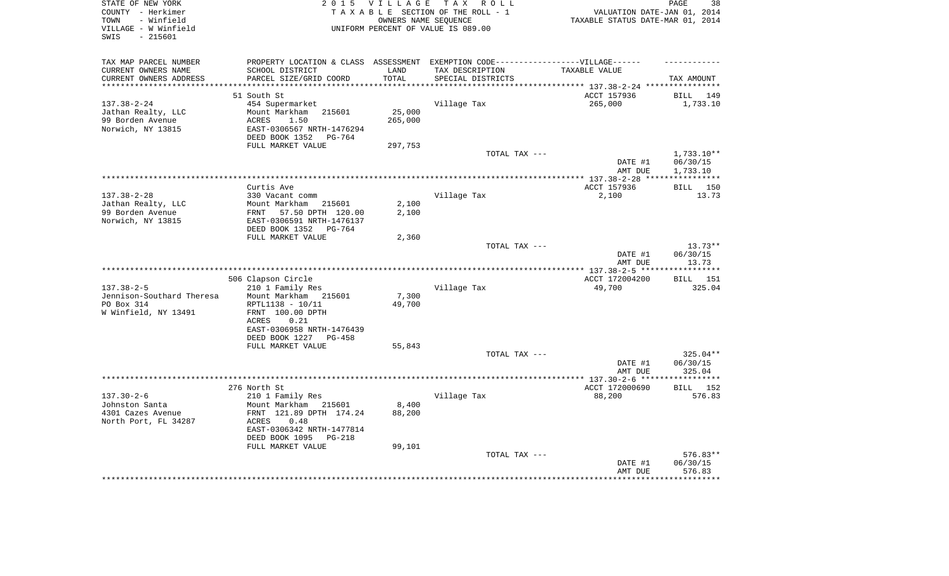| STATE OF NEW YORK<br>COUNTY - Herkimer       | 2 0 1 5                                               | <b>VILLAGE</b> | TAX ROLL<br>TAXABLE SECTION OF THE ROLL - 1                                                          | VALUATION DATE-JAN 01, 2014           | PAGE<br>38             |
|----------------------------------------------|-------------------------------------------------------|----------------|------------------------------------------------------------------------------------------------------|---------------------------------------|------------------------|
| - Winfield<br>TOWN                           |                                                       |                | OWNERS NAME SEOUENCE                                                                                 | TAXABLE STATUS DATE-MAR 01, 2014      |                        |
| VILLAGE - W Winfield                         |                                                       |                | UNIFORM PERCENT OF VALUE IS 089.00                                                                   |                                       |                        |
| $-215601$<br>SWIS                            |                                                       |                |                                                                                                      |                                       |                        |
|                                              |                                                       |                |                                                                                                      |                                       |                        |
|                                              |                                                       |                |                                                                                                      |                                       |                        |
| TAX MAP PARCEL NUMBER<br>CURRENT OWNERS NAME | SCHOOL DISTRICT                                       | LAND           | PROPERTY LOCATION & CLASS ASSESSMENT EXEMPTION CODE-----------------VILLAGE------<br>TAX DESCRIPTION | TAXABLE VALUE                         |                        |
| CURRENT OWNERS ADDRESS                       | PARCEL SIZE/GRID COORD                                | TOTAL          | SPECIAL DISTRICTS                                                                                    |                                       | TAX AMOUNT             |
|                                              |                                                       |                |                                                                                                      | ********* 137.38-2-24 ****            |                        |
|                                              | 51 South St                                           |                |                                                                                                      | ACCT 157936                           | BILL<br>149            |
| $137.38 - 2 - 24$                            | 454 Supermarket                                       |                | Village Tax                                                                                          | 265,000                               | 1,733.10               |
| Jathan Realty, LLC                           | Mount Markham<br>215601                               | 25,000         |                                                                                                      |                                       |                        |
| 99 Borden Avenue                             | 1.50<br><b>ACRES</b>                                  | 265,000        |                                                                                                      |                                       |                        |
| Norwich, NY 13815                            | EAST-0306567 NRTH-1476294                             |                |                                                                                                      |                                       |                        |
|                                              | DEED BOOK 1352<br>PG-764                              |                |                                                                                                      |                                       |                        |
|                                              | FULL MARKET VALUE                                     | 297,753        | TOTAL TAX ---                                                                                        |                                       | $1,733.10**$           |
|                                              |                                                       |                |                                                                                                      | DATE #1                               | 06/30/15               |
|                                              |                                                       |                |                                                                                                      | AMT DUE                               | 1,733.10               |
|                                              |                                                       |                |                                                                                                      | **************** 137.38-2-28 ***      | * * * * * * * * * * *  |
|                                              | Curtis Ave                                            |                |                                                                                                      | ACCT 157936                           | <b>BILL</b><br>150     |
| $137.38 - 2 - 28$                            | 330 Vacant comm                                       |                | Village Tax                                                                                          | 2,100                                 | 13.73                  |
| Jathan Realty, LLC                           | Mount Markham 215601                                  | 2,100          |                                                                                                      |                                       |                        |
| 99 Borden Avenue                             | FRNT<br>57.50 DPTH 120.00                             | 2,100          |                                                                                                      |                                       |                        |
| Norwich, NY 13815                            | EAST-0306591 NRTH-1476137<br>DEED BOOK 1352<br>PG-764 |                |                                                                                                      |                                       |                        |
|                                              | FULL MARKET VALUE                                     | 2,360          |                                                                                                      |                                       |                        |
|                                              |                                                       |                | TOTAL TAX ---                                                                                        |                                       | $13.73**$              |
|                                              |                                                       |                |                                                                                                      | DATE #1                               | 06/30/15               |
|                                              |                                                       |                |                                                                                                      | AMT DUE                               | 13.73                  |
|                                              |                                                       |                |                                                                                                      |                                       | ***********            |
|                                              | 506 Clapson Circle                                    |                |                                                                                                      | ACCT 172004200                        | BILL 151               |
| $137.38 - 2 - 5$                             | 210 1 Family Res                                      |                | Village Tax                                                                                          | 49,700                                | 325.04                 |
| Jennison-Southard Theresa                    | Mount Markham 215601                                  | 7,300          |                                                                                                      |                                       |                        |
| PO Box 314<br>W Winfield, NY 13491           | RPTL1138 - 10/11<br>FRNT 100.00 DPTH                  | 49,700         |                                                                                                      |                                       |                        |
|                                              | 0.21<br>ACRES                                         |                |                                                                                                      |                                       |                        |
|                                              | EAST-0306958 NRTH-1476439                             |                |                                                                                                      |                                       |                        |
|                                              | DEED BOOK 1227<br>$PG-458$                            |                |                                                                                                      |                                       |                        |
|                                              | FULL MARKET VALUE                                     | 55,843         |                                                                                                      |                                       |                        |
|                                              |                                                       |                | TOTAL TAX ---                                                                                        |                                       | 325.04**               |
|                                              |                                                       |                |                                                                                                      | DATE #1                               | 06/30/15               |
|                                              |                                                       |                | ***************************                                                                          | AMT DUE<br>*********** 137.30-2-6 *** | 325.04<br>*********    |
|                                              | 276 North St                                          |                |                                                                                                      | ACCT 172000690                        | 152<br>BILL            |
| $137.30 - 2 - 6$                             | 210 1 Family Res                                      |                | Village Tax                                                                                          | 88,200                                | 576.83                 |
| Johnston Santa                               | Mount Markham<br>215601                               | 8,400          |                                                                                                      |                                       |                        |
| 4301 Cazes Avenue                            | FRNT 121.89 DPTH 174.24                               | 88,200         |                                                                                                      |                                       |                        |
| North Port, FL 34287                         | <b>ACRES</b><br>0.48                                  |                |                                                                                                      |                                       |                        |
|                                              | EAST-0306342 NRTH-1477814                             |                |                                                                                                      |                                       |                        |
|                                              | DEED BOOK 1095<br>$PG-218$                            |                |                                                                                                      |                                       |                        |
|                                              | FULL MARKET VALUE                                     | 99,101         |                                                                                                      |                                       |                        |
|                                              |                                                       |                | TOTAL TAX ---                                                                                        | DATE #1                               | $576.83**$<br>06/30/15 |
|                                              |                                                       |                |                                                                                                      | AMT DUE                               | 576.83                 |
|                                              |                                                       |                |                                                                                                      |                                       |                        |
|                                              |                                                       |                |                                                                                                      |                                       |                        |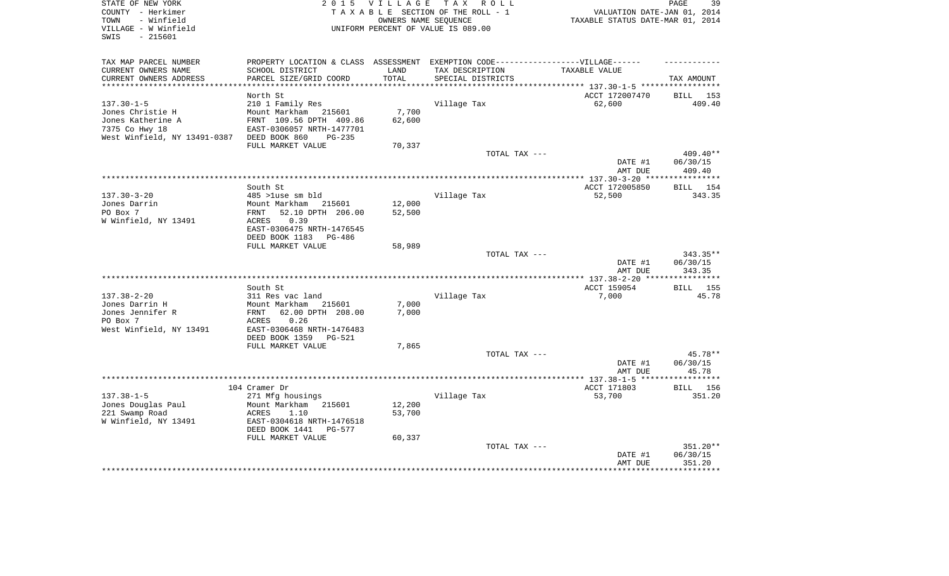| STATE OF NEW YORK<br>COUNTY - Herkimer<br>- Winfield<br>TOWN<br>VILLAGE - W Winfield<br>SWIS<br>$-215601$ | 2 0 1 5                                              | <b>VILLAGE</b>     | T A X<br>R O L L<br>TAXABLE SECTION OF THE ROLL - 1<br>OWNERS NAME SEQUENCE<br>UNIFORM PERCENT OF VALUE IS 089.00 | VALUATION DATE-JAN 01, 2014<br>TAXABLE STATUS DATE-MAR 01, 2014 | PAGE<br>39      |
|-----------------------------------------------------------------------------------------------------------|------------------------------------------------------|--------------------|-------------------------------------------------------------------------------------------------------------------|-----------------------------------------------------------------|-----------------|
|                                                                                                           |                                                      |                    |                                                                                                                   |                                                                 |                 |
| TAX MAP PARCEL NUMBER<br>CURRENT OWNERS NAME                                                              | PROPERTY LOCATION & CLASS<br>SCHOOL DISTRICT         | ASSESSMENT<br>LAND | EXEMPTION CODE------------------VILLAGE------<br>TAX DESCRIPTION                                                  | TAXABLE VALUE                                                   |                 |
| CURRENT OWNERS ADDRESS                                                                                    | PARCEL SIZE/GRID COORD                               | TOTAL              | SPECIAL DISTRICTS                                                                                                 |                                                                 | TAX AMOUNT      |
| **********************                                                                                    | **********************                               | ***********        |                                                                                                                   | ********************************* 137.30-1-5 *****************  |                 |
|                                                                                                           | North St                                             |                    |                                                                                                                   | ACCT 172007470                                                  | BILL<br>153     |
| $137.30 - 1 - 5$                                                                                          | 210 1 Family Res                                     |                    | Village Tax                                                                                                       | 62,600                                                          | 409.40          |
| Jones Christie H                                                                                          | Mount Markham<br>215601                              | 7,700              |                                                                                                                   |                                                                 |                 |
| Jones Katherine A                                                                                         | FRNT 109.56 DPTH 409.86                              | 62,600             |                                                                                                                   |                                                                 |                 |
| 7375 Co Hwy 18                                                                                            | EAST-0306057 NRTH-1477701                            |                    |                                                                                                                   |                                                                 |                 |
| West Winfield, NY 13491-0387                                                                              | DEED BOOK 860<br>$PG-235$                            |                    |                                                                                                                   |                                                                 |                 |
|                                                                                                           | FULL MARKET VALUE                                    | 70,337             |                                                                                                                   |                                                                 | 409.40**        |
|                                                                                                           |                                                      |                    | TOTAL TAX ---                                                                                                     | DATE #1                                                         | 06/30/15        |
|                                                                                                           |                                                      |                    |                                                                                                                   | AMT DUE                                                         | 409.40          |
|                                                                                                           | *****************                                    |                    | ***********************************                                                                               | ******** 137.30-3-20 ***                                        | ********        |
|                                                                                                           | South St                                             |                    |                                                                                                                   | ACCT 172005850                                                  | BILL<br>154     |
| $137.30 - 3 - 20$                                                                                         | 485 >luse sm bld                                     |                    | Village Tax                                                                                                       | 52,500                                                          | 343.35          |
| Jones Darrin                                                                                              | Mount Markham<br>215601                              | 12,000             |                                                                                                                   |                                                                 |                 |
| PO Box 7                                                                                                  | 52.10 DPTH 206.00<br>FRNT                            | 52,500             |                                                                                                                   |                                                                 |                 |
| W Winfield, NY 13491                                                                                      | 0.39<br><b>ACRES</b>                                 |                    |                                                                                                                   |                                                                 |                 |
|                                                                                                           | EAST-0306475 NRTH-1476545                            |                    |                                                                                                                   |                                                                 |                 |
|                                                                                                           | DEED BOOK 1183<br>PG-486<br>FULL MARKET VALUE        | 58,989             |                                                                                                                   |                                                                 |                 |
|                                                                                                           |                                                      |                    | TOTAL TAX ---                                                                                                     |                                                                 | $343.35**$      |
|                                                                                                           |                                                      |                    |                                                                                                                   | DATE #1                                                         | 06/30/15        |
|                                                                                                           |                                                      |                    |                                                                                                                   | AMT DUE                                                         | 343.35          |
|                                                                                                           |                                                      |                    | ***********                                                                                                       | ** $137.38 - 2 - 20$                                            | ******          |
|                                                                                                           | South St                                             |                    |                                                                                                                   | ACCT 159054                                                     | 155<br>BILL     |
| $137.38 - 2 - 20$                                                                                         | 311 Res vac land                                     |                    | Village Tax                                                                                                       | 7,000                                                           | 45.78           |
| Jones Darrin H<br>Jones Jennifer R                                                                        | Mount Markham<br>215601<br>62.00 DPTH 208.00<br>FRNT | 7,000<br>7,000     |                                                                                                                   |                                                                 |                 |
| PO Box 7                                                                                                  | 0.26<br>ACRES                                        |                    |                                                                                                                   |                                                                 |                 |
| West Winfield, NY 13491                                                                                   | EAST-0306468 NRTH-1476483                            |                    |                                                                                                                   |                                                                 |                 |
|                                                                                                           | DEED BOOK 1359<br><b>PG-521</b>                      |                    |                                                                                                                   |                                                                 |                 |
|                                                                                                           | FULL MARKET VALUE                                    | 7,865              |                                                                                                                   |                                                                 |                 |
|                                                                                                           |                                                      |                    | TOTAL TAX ---                                                                                                     |                                                                 | 45.78**         |
|                                                                                                           |                                                      |                    |                                                                                                                   | DATE #1                                                         | 06/30/15        |
|                                                                                                           | ********************************                     |                    |                                                                                                                   | AMT DUE                                                         | 45.78<br>****** |
|                                                                                                           | 104 Cramer Dr                                        |                    |                                                                                                                   | *********** 137.38-1-5 ****<br>ACCT 171803                      | 156             |
| $137.38 - 1 - 5$                                                                                          | 271 Mfg housings                                     |                    | Village Tax                                                                                                       | 53,700                                                          | BILL<br>351.20  |
| Jones Douglas Paul                                                                                        | Mount Markham<br>215601                              | 12,200             |                                                                                                                   |                                                                 |                 |
| 221 Swamp Road                                                                                            | ACRES<br>1.10                                        | 53,700             |                                                                                                                   |                                                                 |                 |
| W Winfield, NY 13491                                                                                      | EAST-0304618 NRTH-1476518                            |                    |                                                                                                                   |                                                                 |                 |
|                                                                                                           | DEED BOOK 1441<br>PG-577                             |                    |                                                                                                                   |                                                                 |                 |
|                                                                                                           | FULL MARKET VALUE                                    | 60,337             |                                                                                                                   |                                                                 |                 |
|                                                                                                           |                                                      |                    | TOTAL TAX ---                                                                                                     |                                                                 | 351.20**        |
|                                                                                                           |                                                      |                    |                                                                                                                   | DATE #1                                                         | 06/30/15        |
|                                                                                                           |                                                      |                    |                                                                                                                   | AMT DUE                                                         | 351.20          |
|                                                                                                           |                                                      |                    |                                                                                                                   |                                                                 |                 |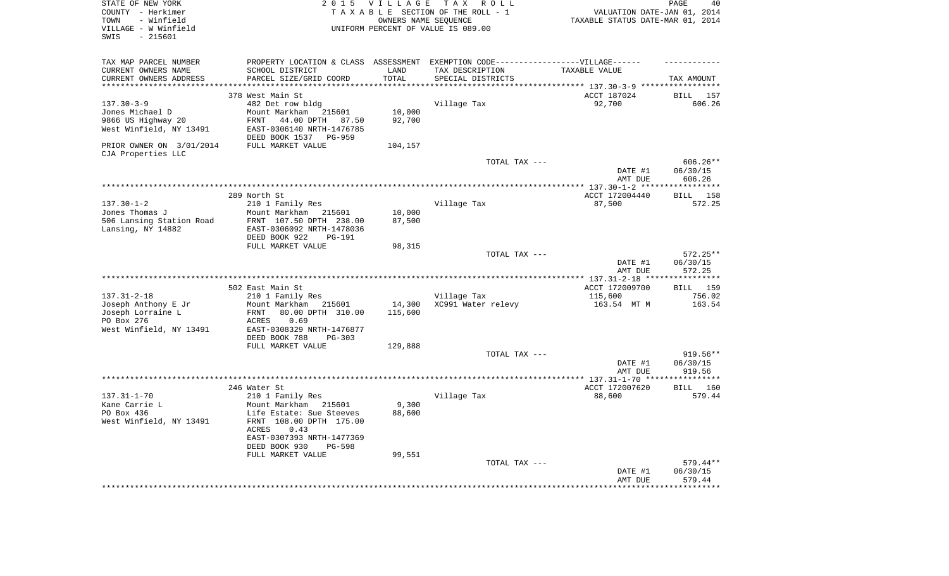| STATE OF NEW YORK<br>COUNTY - Herkimer<br>- Winfield<br>TOWN<br>VILLAGE - W Winfield<br>$-215601$<br>SWIS | 2 0 1 5                                                                           | VILLAGE            | TAX ROLL<br>TAXABLE SECTION OF THE ROLL - 1<br>OWNERS NAME SEQUENCE<br>UNIFORM PERCENT OF VALUE IS 089.00 | VALUATION DATE-JAN 01, 2014<br>TAXABLE STATUS DATE-MAR 01, 2014 | PAGE<br>40                 |
|-----------------------------------------------------------------------------------------------------------|-----------------------------------------------------------------------------------|--------------------|-----------------------------------------------------------------------------------------------------------|-----------------------------------------------------------------|----------------------------|
| TAX MAP PARCEL NUMBER                                                                                     | PROPERTY LOCATION & CLASS ASSESSMENT EXEMPTION CODE-----------------VILLAGE------ |                    |                                                                                                           |                                                                 |                            |
| CURRENT OWNERS NAME                                                                                       | SCHOOL DISTRICT                                                                   | LAND               | TAX DESCRIPTION                                                                                           | TAXABLE VALUE                                                   |                            |
| CURRENT OWNERS ADDRESS<br>********************                                                            | PARCEL SIZE/GRID COORD                                                            | TOTAL<br>********* | SPECIAL DISTRICTS                                                                                         | *************************** 137.30-3-9 *****                    | TAX AMOUNT<br>************ |
|                                                                                                           | 378 West Main St                                                                  |                    |                                                                                                           | ACCT 187024                                                     | <b>BILL</b><br>157         |
| $137.30 - 3 - 9$                                                                                          | 482 Det row bldg                                                                  |                    | Village Tax                                                                                               | 92,700                                                          | 606.26                     |
| Jones Michael D                                                                                           | Mount Markham<br>215601                                                           | 10,000             |                                                                                                           |                                                                 |                            |
| 9866 US Highway 20                                                                                        | FRNT<br>44.00 DPTH 87.50                                                          | 92,700             |                                                                                                           |                                                                 |                            |
| West Winfield, NY 13491                                                                                   | EAST-0306140 NRTH-1476785<br>DEED BOOK 1537<br>PG-959                             |                    |                                                                                                           |                                                                 |                            |
| PRIOR OWNER ON 3/01/2014<br>CJA Properties LLC                                                            | FULL MARKET VALUE                                                                 | 104,157            |                                                                                                           |                                                                 |                            |
|                                                                                                           |                                                                                   |                    | TOTAL TAX ---                                                                                             |                                                                 | $606.26**$                 |
|                                                                                                           |                                                                                   |                    |                                                                                                           | DATE #1<br>AMT DUE                                              | 06/30/15<br>606.26         |
|                                                                                                           |                                                                                   |                    |                                                                                                           | ******** 137.30-1-2 *****                                       | ***********                |
|                                                                                                           | 289 North St                                                                      |                    |                                                                                                           | ACCT 172004440                                                  | 158<br><b>BILL</b>         |
| $137.30 - 1 - 2$                                                                                          | 210 1 Family Res                                                                  |                    | Village Tax                                                                                               | 87,500                                                          | 572.25                     |
| Jones Thomas J                                                                                            | Mount Markham<br>215601                                                           | 10,000             |                                                                                                           |                                                                 |                            |
| 506 Lansing Station Road<br>Lansing, NY 14882                                                             | FRNT 107.50 DPTH 238.00<br>EAST-0306092 NRTH-1478036                              | 87,500             |                                                                                                           |                                                                 |                            |
|                                                                                                           | DEED BOOK 922<br><b>PG-191</b>                                                    |                    |                                                                                                           |                                                                 |                            |
|                                                                                                           | FULL MARKET VALUE                                                                 | 98,315             |                                                                                                           |                                                                 |                            |
|                                                                                                           |                                                                                   |                    | TOTAL TAX ---                                                                                             |                                                                 | 572.25**                   |
|                                                                                                           |                                                                                   |                    |                                                                                                           | DATE #1<br>AMT DUE                                              | 06/30/15<br>572.25         |
|                                                                                                           |                                                                                   |                    |                                                                                                           | *** 137.31-2-18 ***                                             | ************               |
|                                                                                                           | 502 East Main St                                                                  |                    |                                                                                                           | ACCT 172009700                                                  | 159<br>BILL                |
| $137.31 - 2 - 18$                                                                                         | 210 1 Family Res                                                                  |                    | Village Tax                                                                                               | 115,600                                                         | 756.02                     |
| Joseph Anthony E Jr                                                                                       | Mount Markham<br>215601                                                           | 14,300             | XC991 Water relevy                                                                                        | 163.54 MT M                                                     | 163.54                     |
| Joseph Lorraine L<br>PO Box 276                                                                           | FRNT<br>80.00 DPTH 310.00<br>0.69<br>ACRES                                        | 115,600            |                                                                                                           |                                                                 |                            |
| West Winfield, NY 13491                                                                                   | EAST-0308329 NRTH-1476877                                                         |                    |                                                                                                           |                                                                 |                            |
|                                                                                                           | DEED BOOK 788<br>PG-303                                                           |                    |                                                                                                           |                                                                 |                            |
|                                                                                                           | FULL MARKET VALUE                                                                 | 129,888            |                                                                                                           |                                                                 |                            |
|                                                                                                           |                                                                                   |                    | TOTAL TAX ---                                                                                             |                                                                 | 919.56**                   |
|                                                                                                           |                                                                                   |                    |                                                                                                           | DATE #1<br>AMT DUE                                              | 06/30/15<br>919.56         |
|                                                                                                           |                                                                                   |                    | *********************                                                                                     | ** $137.31 - 1 - 70$ **                                         |                            |
|                                                                                                           | 246 Water St                                                                      |                    |                                                                                                           | ACCT 172007620                                                  | BILL 160                   |
| $137.31 - 1 - 70$                                                                                         | 210 1 Family Res                                                                  |                    | Village Tax                                                                                               | 88,600                                                          | 579.44                     |
| Kane Carrie L                                                                                             | Mount Markham 215601                                                              | 9,300              |                                                                                                           |                                                                 |                            |
| PO Box 436<br>West Winfield, NY 13491                                                                     | Life Estate: Sue Steeves<br>FRNT 108.00 DPTH 175.00                               | 88,600             |                                                                                                           |                                                                 |                            |
|                                                                                                           | 0.43<br>ACRES                                                                     |                    |                                                                                                           |                                                                 |                            |
|                                                                                                           | EAST-0307393 NRTH-1477369                                                         |                    |                                                                                                           |                                                                 |                            |
|                                                                                                           | DEED BOOK 930<br>PG-598                                                           |                    |                                                                                                           |                                                                 |                            |
|                                                                                                           | FULL MARKET VALUE                                                                 | 99,551             | TOTAL TAX ---                                                                                             |                                                                 | 579.44**                   |
|                                                                                                           |                                                                                   |                    |                                                                                                           | DATE #1                                                         | 06/30/15                   |
|                                                                                                           |                                                                                   |                    |                                                                                                           | AMT DUE                                                         | 579.44                     |
|                                                                                                           |                                                                                   |                    |                                                                                                           |                                                                 |                            |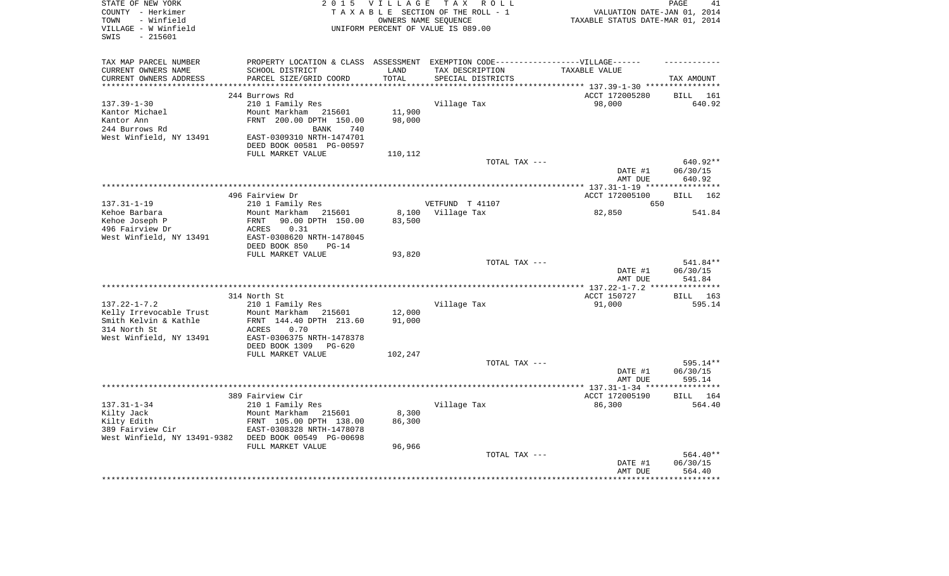| STATE OF NEW YORK<br>COUNTY - Herkimer                          |                                                                                   | 2015 VILLAGE                 | TAX ROLL<br>TAXABLE SECTION OF THE ROLL - 1                | VALUATION DATE-JAN 01, 2014                                                | PAGE<br>41           |
|-----------------------------------------------------------------|-----------------------------------------------------------------------------------|------------------------------|------------------------------------------------------------|----------------------------------------------------------------------------|----------------------|
| - Winfield<br>TOWN<br>VILLAGE - W Winfield<br>$-215601$<br>SWIS |                                                                                   |                              | OWNERS NAME SEOUENCE<br>UNIFORM PERCENT OF VALUE IS 089.00 | TAXABLE STATUS DATE-MAR 01, 2014                                           |                      |
| TAX MAP PARCEL NUMBER                                           | PROPERTY LOCATION & CLASS ASSESSMENT EXEMPTION CODE-----------------VILLAGE------ |                              |                                                            |                                                                            |                      |
| CURRENT OWNERS NAME                                             | SCHOOL DISTRICT                                                                   | LAND                         | TAX DESCRIPTION                                            | TAXABLE VALUE                                                              |                      |
| CURRENT OWNERS ADDRESS                                          | PARCEL SIZE/GRID COORD                                                            | TOTAL<br>* * * * * * * * * * | SPECIAL DISTRICTS                                          |                                                                            | TAX AMOUNT           |
| ******************                                              | 244 Burrows Rd                                                                    |                              |                                                            | *************************** 137.39-1-30 ****************<br>ACCT 172005280 |                      |
| $137.39 - 1 - 30$                                               | 210 1 Family Res                                                                  |                              | Village Tax                                                | 98,000                                                                     | BILL 161<br>640.92   |
| Kantor Michael                                                  | Mount Markham 215601                                                              | 11,900                       |                                                            |                                                                            |                      |
| Kantor Ann                                                      | FRNT 200.00 DPTH 150.00                                                           | 98,000                       |                                                            |                                                                            |                      |
| 244 Burrows Rd                                                  | BANK<br>740                                                                       |                              |                                                            |                                                                            |                      |
| West Winfield, NY 13491                                         | EAST-0309310 NRTH-1474701                                                         |                              |                                                            |                                                                            |                      |
|                                                                 | DEED BOOK 00581 PG-00597                                                          |                              |                                                            |                                                                            |                      |
|                                                                 | FULL MARKET VALUE                                                                 | 110,112                      |                                                            |                                                                            |                      |
|                                                                 |                                                                                   |                              | TOTAL TAX ---                                              |                                                                            | 640.92**             |
|                                                                 |                                                                                   |                              |                                                            | DATE #1                                                                    | 06/30/15             |
|                                                                 |                                                                                   |                              |                                                            | AMT DUE                                                                    | 640.92               |
|                                                                 | 496 Fairview Dr                                                                   |                              |                                                            | ACCT 172005100                                                             | <b>BILL</b> 162      |
| $137.31 - 1 - 19$                                               | 210 1 Family Res                                                                  |                              | VETFUND T 41107                                            | 650                                                                        |                      |
| Kehoe Barbara                                                   | Mount Markham 215601                                                              | 8,100                        | Village Tax                                                | 82,850                                                                     | 541.84               |
| Kehoe Joseph P                                                  | FRNT<br>90.00 DPTH 150.00                                                         | 83,500                       |                                                            |                                                                            |                      |
| 496 Fairview Dr                                                 | 0.31<br>ACRES                                                                     |                              |                                                            |                                                                            |                      |
| West Winfield, NY 13491                                         | EAST-0308620 NRTH-1478045                                                         |                              |                                                            |                                                                            |                      |
|                                                                 | DEED BOOK 850<br>$PG-14$                                                          |                              |                                                            |                                                                            |                      |
|                                                                 | FULL MARKET VALUE                                                                 | 93,820                       |                                                            |                                                                            |                      |
|                                                                 |                                                                                   |                              | TOTAL TAX ---                                              | DATE #1                                                                    | 541.84**<br>06/30/15 |
|                                                                 |                                                                                   |                              |                                                            | AMT DUE                                                                    | 541.84               |
|                                                                 |                                                                                   |                              |                                                            | *** 137.22-1-7.2 **                                                        | **********           |
|                                                                 | 314 North St                                                                      |                              |                                                            | ACCT 150727                                                                | BILL 163             |
| $137.22 - 1 - 7.2$                                              | 210 1 Family Res                                                                  |                              | Village Tax                                                | 91,000                                                                     | 595.14               |
| Kelly Irrevocable Trust                                         | Mount Markham 215601                                                              | 12,000                       |                                                            |                                                                            |                      |
| Smith Kelvin & Kathle                                           | FRNT 144.40 DPTH 213.60                                                           | 91,000                       |                                                            |                                                                            |                      |
| 314 North St                                                    | ACRES<br>0.70                                                                     |                              |                                                            |                                                                            |                      |
| West Winfield, NY 13491                                         | EAST-0306375 NRTH-1478378<br>DEED BOOK 1309<br>PG-620                             |                              |                                                            |                                                                            |                      |
|                                                                 | FULL MARKET VALUE                                                                 | 102,247                      |                                                            |                                                                            |                      |
|                                                                 |                                                                                   |                              | TOTAL TAX ---                                              |                                                                            | 595.14**             |
|                                                                 |                                                                                   |                              |                                                            | DATE #1                                                                    | 06/30/15             |
|                                                                 |                                                                                   |                              |                                                            | AMT DUE                                                                    | 595.14               |
|                                                                 |                                                                                   |                              |                                                            |                                                                            | ***********          |
|                                                                 | 389 Fairview Cir                                                                  |                              |                                                            | ACCT 172005190                                                             | <b>BILL</b> 164      |
| $137.31 - 1 - 34$                                               | 210 1 Family Res                                                                  |                              | Village Tax                                                | 86,300                                                                     | 564.40               |
| Kilty Jack<br>Kilty Edith                                       | Mount Markham 215601<br>FRNT 105.00 DPTH 138.00                                   | 8,300<br>86,300              |                                                            |                                                                            |                      |
| 389 Fairview Cir                                                | EAST-0308328 NRTH-1478078                                                         |                              |                                                            |                                                                            |                      |
| West Winfield, NY 13491-9382                                    | DEED BOOK 00549 PG-00698                                                          |                              |                                                            |                                                                            |                      |
|                                                                 | FULL MARKET VALUE                                                                 | 96,966                       |                                                            |                                                                            |                      |
|                                                                 |                                                                                   |                              | TOTAL TAX ---                                              |                                                                            | 564.40**             |
|                                                                 |                                                                                   |                              |                                                            | DATE #1                                                                    | 06/30/15             |
|                                                                 |                                                                                   |                              |                                                            | AMT DUE                                                                    | 564.40               |
|                                                                 |                                                                                   |                              |                                                            |                                                                            |                      |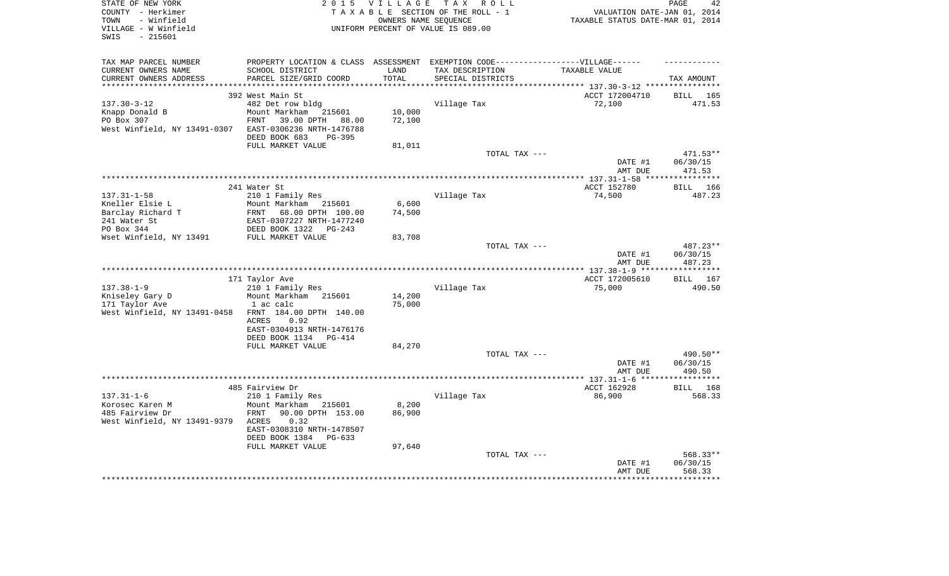| STATE OF NEW YORK<br>COUNTY - Herkimer | 2 0 1 5                                                                           | <b>VILLAGE</b> | TAX ROLL<br>TAXABLE SECTION OF THE ROLL - 1 | VALUATION DATE-JAN 01, 2014       | PAGE<br>42         |
|----------------------------------------|-----------------------------------------------------------------------------------|----------------|---------------------------------------------|-----------------------------------|--------------------|
| - Winfield<br>TOWN                     |                                                                                   |                | OWNERS NAME SEOUENCE                        | TAXABLE STATUS DATE-MAR 01, 2014  |                    |
| VILLAGE - W Winfield                   |                                                                                   |                | UNIFORM PERCENT OF VALUE IS 089.00          |                                   |                    |
| $-215601$<br>SWIS                      |                                                                                   |                |                                             |                                   |                    |
|                                        |                                                                                   |                |                                             |                                   |                    |
| TAX MAP PARCEL NUMBER                  | PROPERTY LOCATION & CLASS ASSESSMENT EXEMPTION CODE-----------------VILLAGE------ |                |                                             |                                   |                    |
| CURRENT OWNERS NAME                    | SCHOOL DISTRICT                                                                   | LAND           | TAX DESCRIPTION                             | TAXABLE VALUE                     |                    |
| CURRENT OWNERS ADDRESS                 | PARCEL SIZE/GRID COORD                                                            | TOTAL          | SPECIAL DISTRICTS                           |                                   | TAX AMOUNT         |
|                                        |                                                                                   |                |                                             | ********* 137.30-3-12 *********** |                    |
|                                        | 392 West Main St                                                                  |                |                                             | ACCT 172004710                    | 165<br>BILL        |
| $137.30 - 3 - 12$                      | 482 Det row bldg                                                                  |                | Village Tax                                 | 72,100                            | 471.53             |
| Knapp Donald B                         | Mount Markham<br>215601                                                           | 10,000         |                                             |                                   |                    |
| PO Box 307                             | 39.00 DPTH<br>FRNT<br>88.00                                                       | 72,100         |                                             |                                   |                    |
| West Winfield, NY 13491-0307           | EAST-0306236 NRTH-1476788<br>PG-395                                               |                |                                             |                                   |                    |
|                                        | DEED BOOK 683<br>FULL MARKET VALUE                                                | 81,011         |                                             |                                   |                    |
|                                        |                                                                                   |                | TOTAL TAX ---                               |                                   | 471.53**           |
|                                        |                                                                                   |                |                                             | DATE #1                           | 06/30/15           |
|                                        |                                                                                   |                |                                             | AMT DUE                           | 471.53             |
|                                        |                                                                                   |                |                                             |                                   | ************       |
|                                        | 241 Water St                                                                      |                |                                             | ACCT 152780                       | 166<br><b>BILL</b> |
| $137.31 - 1 - 58$                      | 210 1 Family Res                                                                  |                | Village Tax                                 | 74,500                            | 487.23             |
| Kneller Elsie L                        | Mount Markham 215601                                                              | 6,600          |                                             |                                   |                    |
| Barclay Richard T                      | 68.00 DPTH 100.00<br>FRNT                                                         | 74,500         |                                             |                                   |                    |
| 241 Water St                           | EAST-0307227 NRTH-1477240                                                         |                |                                             |                                   |                    |
| PO Box 344                             | DEED BOOK 1322<br>PG-243                                                          |                |                                             |                                   |                    |
| Wset Winfield, NY 13491                | FULL MARKET VALUE                                                                 | 83,708         |                                             |                                   |                    |
|                                        |                                                                                   |                | TOTAL TAX ---                               |                                   | 487.23**           |
|                                        |                                                                                   |                |                                             | DATE #1<br>AMT DUE                | 06/30/15<br>487.23 |
|                                        |                                                                                   |                |                                             |                                   |                    |
|                                        | 171 Taylor Ave                                                                    |                |                                             | ACCT 172005610                    | <b>BILL</b> 167    |
| $137.38 - 1 - 9$                       | 210 1 Family Res                                                                  |                | Village Tax                                 | 75,000                            | 490.50             |
| Kniseley Gary D                        | Mount Markham 215601                                                              | 14,200         |                                             |                                   |                    |
| 171 Taylor Ave                         | 1 ac calc                                                                         | 75,000         |                                             |                                   |                    |
| West Winfield, NY 13491-0458           | FRNT 184.00 DPTH 140.00                                                           |                |                                             |                                   |                    |
|                                        | 0.92<br>ACRES                                                                     |                |                                             |                                   |                    |
|                                        | EAST-0304913 NRTH-1476176                                                         |                |                                             |                                   |                    |
|                                        | DEED BOOK 1134<br>PG-414                                                          |                |                                             |                                   |                    |
|                                        | FULL MARKET VALUE                                                                 | 84,270         | TOTAL TAX ---                               |                                   | 490.50**           |
|                                        |                                                                                   |                |                                             | DATE #1                           | 06/30/15           |
|                                        |                                                                                   |                |                                             | AMT DUE                           | 490.50             |
|                                        |                                                                                   |                |                                             | ***** $137.31 - 1 - 6$            | *********          |
|                                        | 485 Fairview Dr                                                                   |                |                                             | ACCT 162928                       | BILL 168           |
| $137.31 - 1 - 6$                       | 210 1 Family Res                                                                  |                | Village Tax                                 | 86,900                            | 568.33             |
| Korosec Karen M                        | Mount Markham<br>215601                                                           | 8,200          |                                             |                                   |                    |
| 485 Fairview Dr                        | 90.00 DPTH 153.00<br>FRNT                                                         | 86,900         |                                             |                                   |                    |
| West Winfield, NY 13491-9379           | ACRES<br>0.32                                                                     |                |                                             |                                   |                    |
|                                        | EAST-0308310 NRTH-1478507                                                         |                |                                             |                                   |                    |
|                                        | DEED BOOK 1384<br>$PG-633$                                                        |                |                                             |                                   |                    |
|                                        | FULL MARKET VALUE                                                                 | 97,640         | TOTAL TAX ---                               |                                   | 568.33**           |
|                                        |                                                                                   |                |                                             | DATE #1                           | 06/30/15           |
|                                        |                                                                                   |                |                                             | AMT DUE                           | 568.33             |
|                                        |                                                                                   |                |                                             |                                   |                    |
|                                        |                                                                                   |                |                                             |                                   |                    |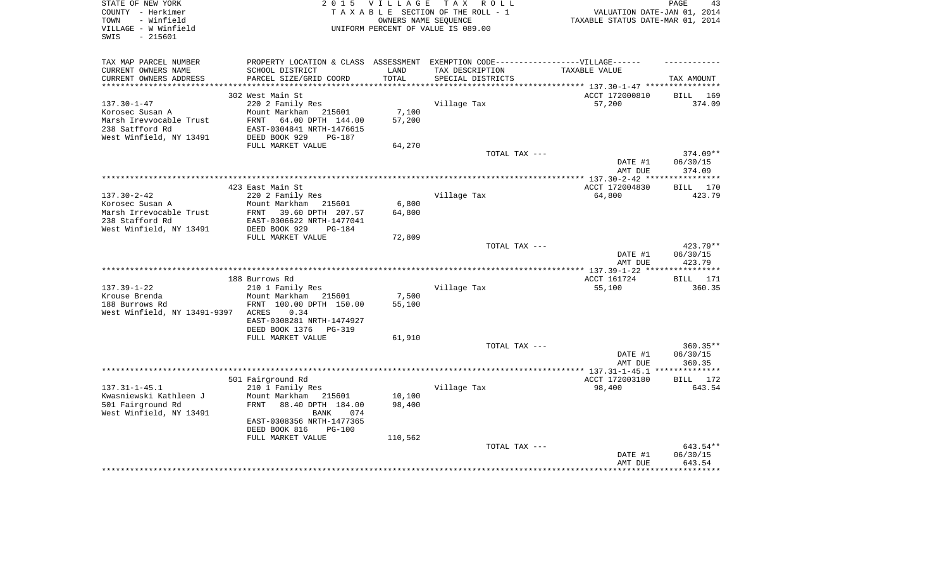| STATE OF NEW YORK<br>T A X<br>2 0 1 5<br><b>VILLAGE</b><br>COUNTY - Herkimer<br>TAXABLE SECTION OF THE ROLL - 1<br>- Winfield<br>OWNERS NAME SEOUENCE<br>TOWN<br>VILLAGE - W Winfield<br>UNIFORM PERCENT OF VALUE IS 089.00 |                                             |            | R O L L                                       | PAGE<br>VALUATION DATE-JAN 01, 2014<br>TAXABLE STATUS DATE-MAR 01, 2014 |                              |  |
|-----------------------------------------------------------------------------------------------------------------------------------------------------------------------------------------------------------------------------|---------------------------------------------|------------|-----------------------------------------------|-------------------------------------------------------------------------|------------------------------|--|
| SWIS<br>$-215601$                                                                                                                                                                                                           |                                             |            |                                               |                                                                         |                              |  |
| TAX MAP PARCEL NUMBER                                                                                                                                                                                                       | PROPERTY LOCATION & CLASS                   | ASSESSMENT | EXEMPTION CODE------------------VILLAGE------ |                                                                         |                              |  |
| CURRENT OWNERS NAME                                                                                                                                                                                                         | SCHOOL DISTRICT                             | LAND       | TAX DESCRIPTION                               | TAXABLE VALUE                                                           |                              |  |
| CURRENT OWNERS ADDRESS                                                                                                                                                                                                      | PARCEL SIZE/GRID COORD                      | TOTAL      | SPECIAL DISTRICTS                             |                                                                         | TAX AMOUNT                   |  |
| ***********************                                                                                                                                                                                                     |                                             |            |                                               |                                                                         |                              |  |
|                                                                                                                                                                                                                             | 302 West Main St                            |            |                                               | ACCT 172000810                                                          | 169<br>BILL                  |  |
| $137.30 - 1 - 47$<br>Korosec Susan A                                                                                                                                                                                        | 220 2 Family Res<br>Mount Markham<br>215601 | 7,100      | Village Tax                                   | 57,200                                                                  | 374.09                       |  |
| Marsh Irevvocable Trust                                                                                                                                                                                                     | FRNT<br>64.00 DPTH 144.00                   | 57,200     |                                               |                                                                         |                              |  |
| 238 Satfford Rd                                                                                                                                                                                                             | EAST-0304841 NRTH-1476615                   |            |                                               |                                                                         |                              |  |
| West Winfield, NY 13491                                                                                                                                                                                                     | DEED BOOK 929<br>$PG-187$                   |            |                                               |                                                                         |                              |  |
|                                                                                                                                                                                                                             | FULL MARKET VALUE                           | 64,270     |                                               |                                                                         |                              |  |
|                                                                                                                                                                                                                             |                                             |            | TOTAL TAX ---                                 |                                                                         | 374.09**                     |  |
|                                                                                                                                                                                                                             |                                             |            |                                               | DATE #1                                                                 | 06/30/15                     |  |
|                                                                                                                                                                                                                             |                                             |            |                                               | AMT DUE                                                                 | 374.09                       |  |
|                                                                                                                                                                                                                             |                                             |            |                                               |                                                                         | ********                     |  |
|                                                                                                                                                                                                                             | 423 East Main St                            |            |                                               | ACCT 172004830                                                          | 170<br>BILL                  |  |
| $137.30 - 2 - 42$<br>Korosec Susan A                                                                                                                                                                                        | 220 2 Family Res<br>Mount Markham<br>215601 | 6,800      | Village Tax                                   | 64,800                                                                  | 423.79                       |  |
| Marsh Irrevocable Trust                                                                                                                                                                                                     | FRNT<br>39.60 DPTH 207.57                   | 64,800     |                                               |                                                                         |                              |  |
| 238 Stafford Rd                                                                                                                                                                                                             | EAST-0306622 NRTH-1477041                   |            |                                               |                                                                         |                              |  |
| West Winfield, NY 13491                                                                                                                                                                                                     | DEED BOOK 929<br>$PG-184$                   |            |                                               |                                                                         |                              |  |
|                                                                                                                                                                                                                             | FULL MARKET VALUE                           | 72,809     |                                               |                                                                         |                              |  |
|                                                                                                                                                                                                                             |                                             |            | TOTAL TAX ---                                 |                                                                         | 423.79**                     |  |
|                                                                                                                                                                                                                             |                                             |            |                                               | DATE #1                                                                 | 06/30/15                     |  |
|                                                                                                                                                                                                                             |                                             |            |                                               | AMT DUE                                                                 | 423.79<br>********           |  |
|                                                                                                                                                                                                                             |                                             |            |                                               |                                                                         |                              |  |
| $137.39 - 1 - 22$                                                                                                                                                                                                           | 188 Burrows Rd<br>210 1 Family Res          |            | Village Tax                                   | ACCT 161724<br>55,100                                                   | 171<br><b>BILL</b><br>360.35 |  |
| Krouse Brenda                                                                                                                                                                                                               | Mount Markham<br>215601                     | 7,500      |                                               |                                                                         |                              |  |
| 188 Burrows Rd                                                                                                                                                                                                              | FRNT 100.00 DPTH 150.00                     | 55,100     |                                               |                                                                         |                              |  |
| West Winfield, NY 13491-9397                                                                                                                                                                                                | <b>ACRES</b><br>0.34                        |            |                                               |                                                                         |                              |  |
|                                                                                                                                                                                                                             | EAST-0308281 NRTH-1474927                   |            |                                               |                                                                         |                              |  |
|                                                                                                                                                                                                                             | DEED BOOK 1376<br>$PG-319$                  |            |                                               |                                                                         |                              |  |
|                                                                                                                                                                                                                             | FULL MARKET VALUE                           | 61,910     |                                               |                                                                         |                              |  |
|                                                                                                                                                                                                                             |                                             |            | TOTAL TAX ---                                 |                                                                         | 360.35**                     |  |
|                                                                                                                                                                                                                             |                                             |            |                                               | DATE #1<br>AMT DUE                                                      | 06/30/15<br>360.35           |  |
|                                                                                                                                                                                                                             |                                             |            |                                               | ************* 137.31-1-45.1                                             | *********                    |  |
|                                                                                                                                                                                                                             | 501 Fairground Rd                           |            |                                               | ACCT 172003180                                                          | 172<br><b>BILL</b>           |  |
| $137.31 - 1 - 45.1$                                                                                                                                                                                                         | 210 1 Family Res                            |            | Village Tax                                   | 98,400                                                                  | 643.54                       |  |
| Kwasniewski Kathleen J                                                                                                                                                                                                      | Mount Markham<br>215601                     | 10,100     |                                               |                                                                         |                              |  |
| 501 Fairground Rd                                                                                                                                                                                                           | FRNT<br>88.40 DPTH 184.00                   | 98,400     |                                               |                                                                         |                              |  |
| West Winfield, NY 13491                                                                                                                                                                                                     | <b>BANK</b><br>074                          |            |                                               |                                                                         |                              |  |
|                                                                                                                                                                                                                             | EAST-0308356 NRTH-1477365                   |            |                                               |                                                                         |                              |  |
|                                                                                                                                                                                                                             | DEED BOOK 816<br><b>PG-100</b>              |            |                                               |                                                                         |                              |  |
|                                                                                                                                                                                                                             | FULL MARKET VALUE                           | 110,562    |                                               |                                                                         | 643.54**                     |  |
|                                                                                                                                                                                                                             |                                             |            | TOTAL TAX ---                                 | DATE #1                                                                 | 06/30/15                     |  |
|                                                                                                                                                                                                                             |                                             |            |                                               | AMT DUE                                                                 | 643.54                       |  |
|                                                                                                                                                                                                                             |                                             |            |                                               |                                                                         |                              |  |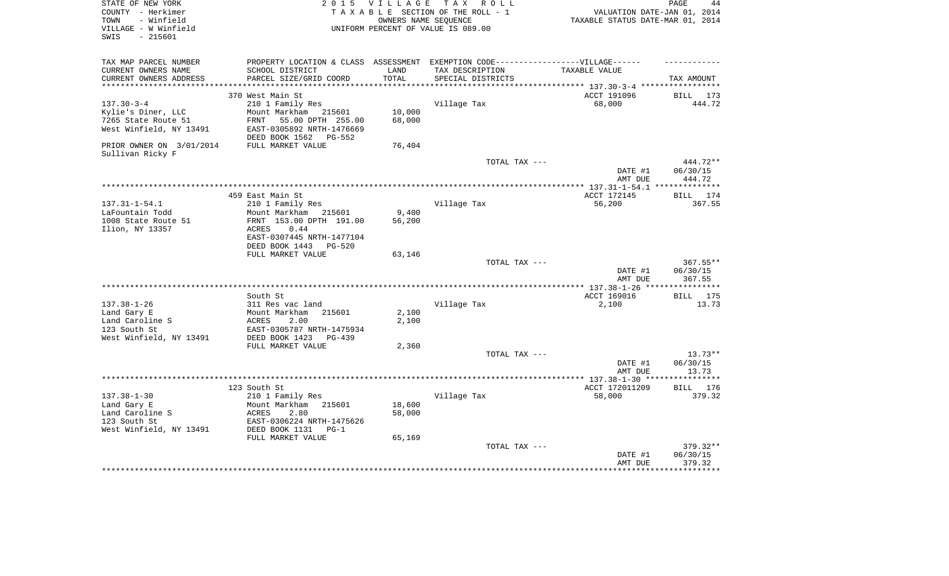| STATE OF NEW YORK<br>COUNTY - Herkimer<br>- Winfield<br>TOWN | 2 0 1 5                                                                           | <b>VILLAGE</b>   | T A X<br>R O L L<br>TAXABLE SECTION OF THE ROLL - 1<br>OWNERS NAME SEQUENCE | VALUATION DATE-JAN 01, 2014<br>TAXABLE STATUS DATE-MAR 01, 2014 | PAGE<br>44           |
|--------------------------------------------------------------|-----------------------------------------------------------------------------------|------------------|-----------------------------------------------------------------------------|-----------------------------------------------------------------|----------------------|
| VILLAGE - W Winfield<br>$-215601$<br>SWIS                    |                                                                                   |                  | UNIFORM PERCENT OF VALUE IS 089.00                                          |                                                                 |                      |
| TAX MAP PARCEL NUMBER                                        | PROPERTY LOCATION & CLASS ASSESSMENT EXEMPTION CODE-----------------VILLAGE------ |                  |                                                                             |                                                                 |                      |
| CURRENT OWNERS NAME                                          | SCHOOL DISTRICT                                                                   | LAND             | TAX DESCRIPTION                                                             | TAXABLE VALUE                                                   |                      |
| CURRENT OWNERS ADDRESS                                       | PARCEL SIZE/GRID COORD                                                            | TOTAL            | SPECIAL DISTRICTS                                                           |                                                                 | TAX AMOUNT           |
| **********************                                       |                                                                                   |                  |                                                                             |                                                                 |                      |
|                                                              | 370 West Main St                                                                  |                  |                                                                             | ACCT 191096                                                     | BILL<br>173          |
| $137.30 - 3 - 4$                                             | 210 1 Family Res                                                                  | 10,000           | Village Tax                                                                 | 68,000                                                          | 444.72               |
| Kylie's Diner, LLC<br>7265 State Route 51                    | Mount Markham<br>215601<br><b>FRNT</b><br>55.00 DPTH 255.00                       | 68,000           |                                                                             |                                                                 |                      |
| West Winfield, NY 13491                                      | EAST-0305892 NRTH-1476669                                                         |                  |                                                                             |                                                                 |                      |
|                                                              | DEED BOOK 1562<br>PG-552                                                          |                  |                                                                             |                                                                 |                      |
| PRIOR OWNER ON 3/01/2014<br>Sullivan Ricky F                 | FULL MARKET VALUE                                                                 | 76,404           |                                                                             |                                                                 |                      |
|                                                              |                                                                                   |                  | TOTAL TAX ---                                                               | DATE #1                                                         | 444.72**<br>06/30/15 |
|                                                              |                                                                                   |                  |                                                                             | AMT DUE                                                         | 444.72               |
|                                                              |                                                                                   |                  |                                                                             |                                                                 | **************       |
|                                                              | 459 East Main St                                                                  |                  |                                                                             | ACCT 172145                                                     | 174<br>BILL          |
| $137.31 - 1 - 54.1$                                          | 210 1 Family Res                                                                  |                  | Village Tax                                                                 | 56,200                                                          | 367.55               |
| LaFountain Todd                                              | Mount Markham<br>215601                                                           | 9,400            |                                                                             |                                                                 |                      |
| 1008 State Route 51<br>Ilion, NY 13357                       | FRNT 153.00 DPTH 191.00<br>ACRES<br>0.44                                          | 56,200           |                                                                             |                                                                 |                      |
|                                                              | EAST-0307445 NRTH-1477104                                                         |                  |                                                                             |                                                                 |                      |
|                                                              | DEED BOOK 1443<br>PG-520                                                          |                  |                                                                             |                                                                 |                      |
|                                                              | FULL MARKET VALUE                                                                 | 63,146           |                                                                             |                                                                 |                      |
|                                                              |                                                                                   |                  | TOTAL TAX ---                                                               |                                                                 | 367.55**             |
|                                                              |                                                                                   |                  |                                                                             | DATE #1<br>AMT DUE                                              | 06/30/15<br>367.55   |
|                                                              |                                                                                   |                  |                                                                             |                                                                 |                      |
|                                                              | South St                                                                          |                  |                                                                             | ACCT 169016                                                     | BILL 175             |
| $137.38 - 1 - 26$                                            | 311 Res vac land                                                                  |                  | Village Tax                                                                 | 2,100                                                           | 13.73                |
| Land Gary E<br>Land Caroline S                               | Mount Markham<br>215601<br>ACRES<br>2.00                                          | 2,100<br>2,100   |                                                                             |                                                                 |                      |
| 123 South St                                                 | EAST-0305787 NRTH-1475934                                                         |                  |                                                                             |                                                                 |                      |
| West Winfield, NY 13491                                      | DEED BOOK 1423<br><b>PG-439</b>                                                   |                  |                                                                             |                                                                 |                      |
|                                                              | FULL MARKET VALUE                                                                 | 2,360            |                                                                             |                                                                 |                      |
|                                                              |                                                                                   |                  | TOTAL TAX ---                                                               |                                                                 | $13.73**$            |
|                                                              |                                                                                   |                  |                                                                             | DATE #1                                                         | 06/30/15             |
|                                                              |                                                                                   |                  |                                                                             | AMT DUE                                                         | 13.73                |
|                                                              |                                                                                   |                  |                                                                             |                                                                 | ***********          |
|                                                              | 123 South St                                                                      |                  |                                                                             | ACCT 172011209                                                  | BILL 176             |
| $137.38 - 1 - 30$                                            | 210 1 Family Res                                                                  |                  | Village Tax                                                                 | 58,000                                                          | 379.32               |
| Land Gary E<br>Land Caroline S                               | Mount Markham<br>215601<br>2.80<br>ACRES                                          | 18,600<br>58,000 |                                                                             |                                                                 |                      |
| 123 South St                                                 | EAST-0306224 NRTH-1475626                                                         |                  |                                                                             |                                                                 |                      |
| West Winfield, NY 13491                                      | DEED BOOK 1131<br>$PG-1$                                                          |                  |                                                                             |                                                                 |                      |
|                                                              | FULL MARKET VALUE                                                                 | 65,169           |                                                                             |                                                                 |                      |
|                                                              |                                                                                   |                  | TOTAL TAX ---                                                               |                                                                 | 379.32**             |
|                                                              |                                                                                   |                  |                                                                             | DATE #1                                                         | 06/30/15             |
|                                                              |                                                                                   |                  |                                                                             | AMT DUE                                                         | 379.32               |
|                                                              |                                                                                   |                  |                                                                             |                                                                 |                      |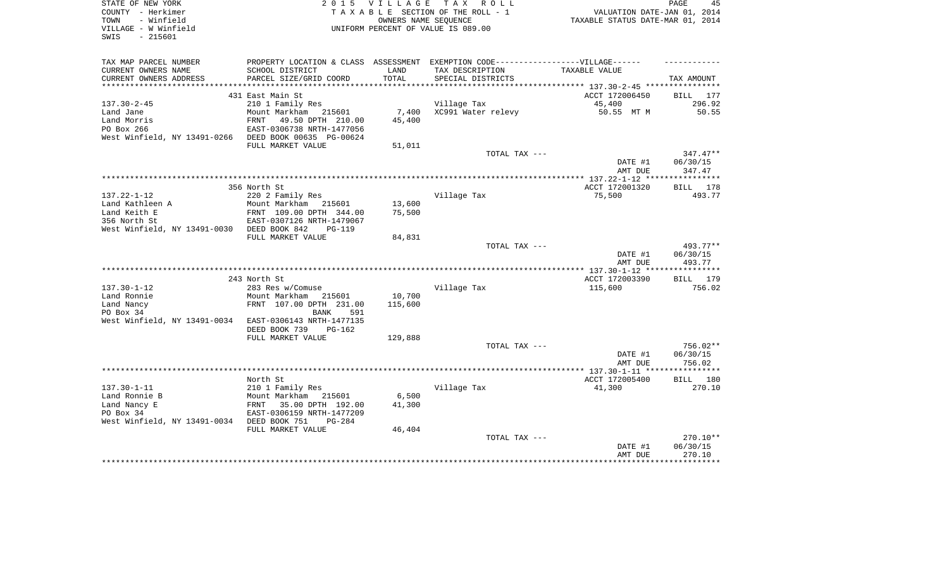| STATE OF NEW YORK<br>COUNTY - Herkimer<br>- Winfield<br>TOWN<br>VILLAGE - W Winfield<br>- 215601<br>SWIS | 2 0 1 5                                                | <b>VILLAGE</b><br>OWNERS NAME SEQUENCE | TAX ROLL<br>TAXABLE SECTION OF THE ROLL - 1<br>UNIFORM PERCENT OF VALUE IS 089.00                                         | VALUATION DATE-JAN 01, 2014<br>TAXABLE STATUS DATE-MAR 01, 2014 | PAGE<br>45         |
|----------------------------------------------------------------------------------------------------------|--------------------------------------------------------|----------------------------------------|---------------------------------------------------------------------------------------------------------------------------|-----------------------------------------------------------------|--------------------|
| TAX MAP PARCEL NUMBER<br>CURRENT OWNERS NAME<br>CURRENT OWNERS ADDRESS                                   | SCHOOL DISTRICT<br>PARCEL SIZE/GRID COORD              | LAND<br>TOTAL                          | PROPERTY LOCATION & CLASS ASSESSMENT EXEMPTION CODE-----------------VILLAGE------<br>TAX DESCRIPTION<br>SPECIAL DISTRICTS | TAXABLE VALUE                                                   | TAX AMOUNT         |
|                                                                                                          |                                                        |                                        |                                                                                                                           |                                                                 |                    |
|                                                                                                          | 431 East Main St                                       |                                        |                                                                                                                           | ACCT 172006450                                                  | BILL 177           |
| $137.30 - 2 - 45$                                                                                        | 210 1 Family Res                                       |                                        | Village Tax                                                                                                               | 45,400                                                          | 296.92             |
| Land Jane                                                                                                | Mount Markham 215601                                   | 7,400                                  | XC991 Water relevy                                                                                                        | 50.55 MT M                                                      | 50.55              |
| Land Morris<br>PO Box 266                                                                                | FRNT<br>49.50 DPTH 210.00<br>EAST-0306738 NRTH-1477056 | 45,400                                 |                                                                                                                           |                                                                 |                    |
| West Winfield, NY 13491-0266                                                                             | DEED BOOK 00635 PG-00624                               |                                        |                                                                                                                           |                                                                 |                    |
|                                                                                                          | FULL MARKET VALUE                                      | 51,011                                 |                                                                                                                           |                                                                 |                    |
|                                                                                                          |                                                        |                                        | TOTAL TAX ---                                                                                                             |                                                                 | $347.47**$         |
|                                                                                                          |                                                        |                                        |                                                                                                                           | DATE #1                                                         | 06/30/15           |
|                                                                                                          |                                                        |                                        |                                                                                                                           | AMT DUE                                                         | 347.47             |
|                                                                                                          |                                                        |                                        |                                                                                                                           | ACCT 172001320                                                  |                    |
| $137.22 - 1 - 12$                                                                                        | 356 North St<br>220 2 Family Res                       |                                        | Village Tax                                                                                                               | 75,500                                                          | BILL 178<br>493.77 |
| Land Kathleen A                                                                                          | Mount Markham<br>215601                                | 13,600                                 |                                                                                                                           |                                                                 |                    |
| Land Keith E                                                                                             | FRNT 109.00 DPTH 344.00                                | 75,500                                 |                                                                                                                           |                                                                 |                    |
| 356 North St                                                                                             | EAST-0307126 NRTH-1479067                              |                                        |                                                                                                                           |                                                                 |                    |
| West Winfield, NY 13491-0030 DEED BOOK 842                                                               | $PG-119$                                               |                                        |                                                                                                                           |                                                                 |                    |
|                                                                                                          | FULL MARKET VALUE                                      | 84,831                                 |                                                                                                                           |                                                                 |                    |
|                                                                                                          |                                                        |                                        | TOTAL TAX ---                                                                                                             |                                                                 | 493.77**           |
|                                                                                                          |                                                        |                                        |                                                                                                                           | DATE #1<br>AMT DUE                                              | 06/30/15<br>493.77 |
|                                                                                                          |                                                        |                                        |                                                                                                                           |                                                                 | ***********        |
|                                                                                                          | 243 North St                                           |                                        |                                                                                                                           | ACCT 172003390                                                  | BILL 179           |
| $137.30 - 1 - 12$                                                                                        | 283 Res w/Comuse                                       |                                        | Village Tax                                                                                                               | 115,600                                                         | 756.02             |
| Land Ronnie                                                                                              | Mount Markham 215601                                   | 10,700                                 |                                                                                                                           |                                                                 |                    |
| Land Nancy                                                                                               | FRNT 107.00 DPTH 231.00                                | 115,600                                |                                                                                                                           |                                                                 |                    |
| PO Box 34<br>West Winfield, NY 13491-0034                                                                | BANK<br>591<br>EAST-0306143 NRTH-1477135               |                                        |                                                                                                                           |                                                                 |                    |
|                                                                                                          | DEED BOOK 739<br>$PG-162$                              |                                        |                                                                                                                           |                                                                 |                    |
|                                                                                                          | FULL MARKET VALUE                                      | 129,888                                |                                                                                                                           |                                                                 |                    |
|                                                                                                          |                                                        |                                        | TOTAL TAX ---                                                                                                             |                                                                 | 756.02**           |
|                                                                                                          |                                                        |                                        |                                                                                                                           | DATE #1                                                         | 06/30/15           |
|                                                                                                          |                                                        |                                        |                                                                                                                           | AMT DUE                                                         | 756.02             |
|                                                                                                          |                                                        |                                        |                                                                                                                           |                                                                 |                    |
| $137.30 - 1 - 11$                                                                                        | North St<br>210 1 Family Res                           |                                        | Village Tax                                                                                                               | ACCT 172005400<br>41,300                                        | BILL 180<br>270.10 |
| Land Ronnie B                                                                                            | Mount Markham 215601                                   | 6,500                                  |                                                                                                                           |                                                                 |                    |
| Land Nancy E                                                                                             | 35.00 DPTH 192.00<br>FRNT                              | 41,300                                 |                                                                                                                           |                                                                 |                    |
| PO Box 34                                                                                                | EAST-0306159 NRTH-1477209                              |                                        |                                                                                                                           |                                                                 |                    |
| West Winfield, NY 13491-0034                                                                             | DEED BOOK 751<br>$PG-284$                              |                                        |                                                                                                                           |                                                                 |                    |
|                                                                                                          | FULL MARKET VALUE                                      | 46,404                                 |                                                                                                                           |                                                                 |                    |
|                                                                                                          |                                                        |                                        | TOTAL TAX ---                                                                                                             |                                                                 | 270.10**           |
|                                                                                                          |                                                        |                                        |                                                                                                                           | DATE #1<br>AMT DUE                                              | 06/30/15<br>270.10 |
|                                                                                                          |                                                        |                                        |                                                                                                                           |                                                                 |                    |
|                                                                                                          |                                                        |                                        |                                                                                                                           |                                                                 |                    |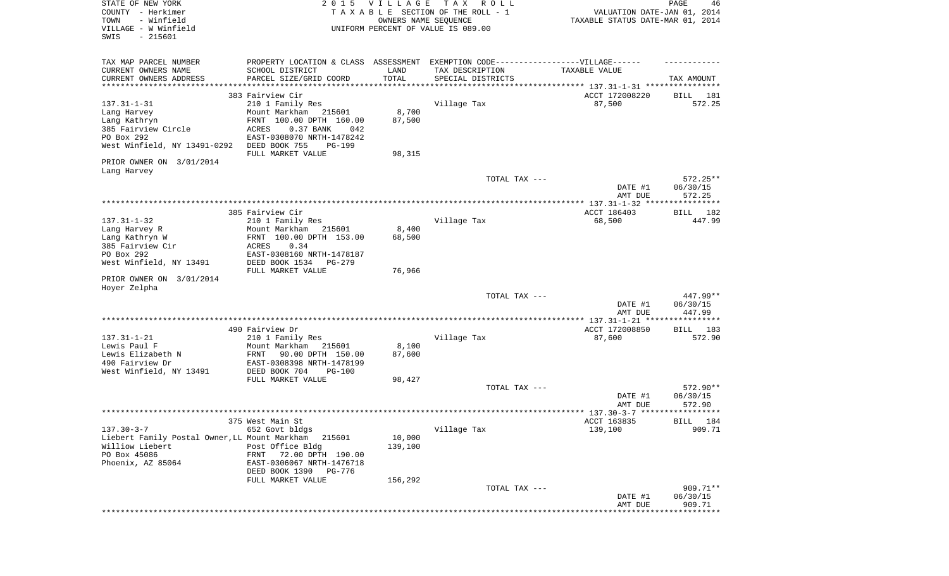| STATE OF NEW YORK<br>COUNTY - Herkimer<br>TOWN<br>- Winfield<br>VILLAGE - W Winfield | 2 0 1 5                                                                           | VILLAGE<br>OWNERS NAME SEQUENCE | T A X<br>R O L L<br>TAXABLE SECTION OF THE ROLL - 1<br>UNIFORM PERCENT OF VALUE IS 089.00 | VALUATION DATE-JAN 01, 2014<br>TAXABLE STATUS DATE-MAR 01, 2014 | $\mathop{\mathtt{PAGE}}$<br>46 |
|--------------------------------------------------------------------------------------|-----------------------------------------------------------------------------------|---------------------------------|-------------------------------------------------------------------------------------------|-----------------------------------------------------------------|--------------------------------|
| SWIS<br>$-215601$                                                                    |                                                                                   |                                 |                                                                                           |                                                                 |                                |
| TAX MAP PARCEL NUMBER                                                                | PROPERTY LOCATION & CLASS ASSESSMENT EXEMPTION CODE-----------------VILLAGE------ |                                 |                                                                                           |                                                                 |                                |
| CURRENT OWNERS NAME                                                                  | SCHOOL DISTRICT                                                                   | LAND                            | TAX DESCRIPTION                                                                           | TAXABLE VALUE                                                   |                                |
| CURRENT OWNERS ADDRESS<br>**********************                                     | PARCEL SIZE/GRID COORD<br>***************************                             | TOTAL<br>* * * * * * * * * * *  | SPECIAL DISTRICTS                                                                         |                                                                 | TAX AMOUNT                     |
|                                                                                      | 383 Fairview Cir                                                                  |                                 | *********************************** 137.31-1-31 ****************                          | ACCT 172008220                                                  | 181                            |
| $137.31 - 1 - 31$                                                                    | 210 1 Family Res                                                                  |                                 | Village Tax                                                                               | 87,500                                                          | BILL<br>572.25                 |
| Lang Harvey                                                                          | Mount Markham<br>215601                                                           | 8,700                           |                                                                                           |                                                                 |                                |
| Lang Kathryn                                                                         | FRNT 100.00 DPTH 160.00                                                           | 87,500                          |                                                                                           |                                                                 |                                |
| 385 Fairview Circle                                                                  | ACRES<br>0.37 BANK<br>042                                                         |                                 |                                                                                           |                                                                 |                                |
| PO Box 292                                                                           | EAST-0308070 NRTH-1478242                                                         |                                 |                                                                                           |                                                                 |                                |
| West Winfield, NY 13491-0292                                                         | DEED BOOK 755<br>PG-199                                                           |                                 |                                                                                           |                                                                 |                                |
| PRIOR OWNER ON 3/01/2014                                                             | FULL MARKET VALUE                                                                 | 98,315                          |                                                                                           |                                                                 |                                |
| Lang Harvey                                                                          |                                                                                   |                                 |                                                                                           |                                                                 |                                |
|                                                                                      |                                                                                   |                                 | TOTAL TAX ---                                                                             |                                                                 | 572.25**                       |
|                                                                                      |                                                                                   |                                 |                                                                                           | DATE #1                                                         | 06/30/15                       |
|                                                                                      |                                                                                   |                                 |                                                                                           | AMT DUE                                                         | 572.25                         |
|                                                                                      | 385 Fairview Cir                                                                  |                                 |                                                                                           | ACCT 186403                                                     |                                |
| $137.31 - 1 - 32$                                                                    | 210 1 Family Res                                                                  |                                 | Village Tax                                                                               | 68,500                                                          | 182<br>BILL<br>447.99          |
| Lang Harvey R                                                                        | Mount Markham<br>215601                                                           | 8,400                           |                                                                                           |                                                                 |                                |
| Lang Kathryn W                                                                       | FRNT 100.00 DPTH 153.00                                                           | 68,500                          |                                                                                           |                                                                 |                                |
| 385 Fairview Cir                                                                     | ACRES<br>0.34                                                                     |                                 |                                                                                           |                                                                 |                                |
| PO Box 292                                                                           | EAST-0308160 NRTH-1478187                                                         |                                 |                                                                                           |                                                                 |                                |
| West Winfield, NY 13491                                                              | DEED BOOK 1534<br>PG-279                                                          |                                 |                                                                                           |                                                                 |                                |
| PRIOR OWNER ON 3/01/2014                                                             | FULL MARKET VALUE                                                                 | 76,966                          |                                                                                           |                                                                 |                                |
| Hoyer Zelpha                                                                         |                                                                                   |                                 |                                                                                           |                                                                 |                                |
|                                                                                      |                                                                                   |                                 | TOTAL TAX ---                                                                             |                                                                 | 447.99**                       |
|                                                                                      |                                                                                   |                                 |                                                                                           | DATE #1                                                         | 06/30/15                       |
|                                                                                      |                                                                                   |                                 |                                                                                           | AMT DUE<br>****** 137.31-1-21 ****                              | 447.99<br>************         |
|                                                                                      | 490 Fairview Dr                                                                   |                                 |                                                                                           | ACCT 172008850                                                  | BILL<br>183                    |
| $137.31 - 1 - 21$                                                                    | 210 1 Family Res                                                                  |                                 | Village Tax                                                                               | 87,600                                                          | 572.90                         |
| Lewis Paul F                                                                         | Mount Markham<br>215601                                                           | 8,100                           |                                                                                           |                                                                 |                                |
| Lewis Elizabeth N                                                                    | 90.00 DPTH 150.00<br>FRNT                                                         | 87,600                          |                                                                                           |                                                                 |                                |
| 490 Fairview Dr                                                                      | EAST-0308398 NRTH-1478199                                                         |                                 |                                                                                           |                                                                 |                                |
| West Winfield, NY 13491                                                              | DEED BOOK 704<br><b>PG-100</b>                                                    |                                 |                                                                                           |                                                                 |                                |
|                                                                                      | FULL MARKET VALUE                                                                 | 98,427                          | TOTAL TAX ---                                                                             |                                                                 | 572.90**                       |
|                                                                                      |                                                                                   |                                 |                                                                                           | DATE #1                                                         | 06/30/15                       |
|                                                                                      |                                                                                   |                                 |                                                                                           | AMT DUE                                                         | 572.90                         |
|                                                                                      |                                                                                   |                                 |                                                                                           |                                                                 |                                |
|                                                                                      | 375 West Main St                                                                  |                                 |                                                                                           | ACCT 163835                                                     | BILL 184                       |
| $137.30 - 3 - 7$                                                                     | 652 Govt bldgs                                                                    |                                 | Village Tax                                                                               | 139,100                                                         | 909.71                         |
| Liebert Family Postal Owner, LL Mount Markham<br>Williow Liebert                     | 215601<br>Post Office Bldg                                                        | 10,000<br>139,100               |                                                                                           |                                                                 |                                |
| PO Box 45086                                                                         | 72.00 DPTH 190.00<br>FRNT                                                         |                                 |                                                                                           |                                                                 |                                |
| Phoenix, AZ 85064                                                                    | EAST-0306067 NRTH-1476718                                                         |                                 |                                                                                           |                                                                 |                                |
|                                                                                      | DEED BOOK 1390<br>PG-776                                                          |                                 |                                                                                           |                                                                 |                                |
|                                                                                      | FULL MARKET VALUE                                                                 | 156,292                         |                                                                                           |                                                                 |                                |
|                                                                                      |                                                                                   |                                 | TOTAL TAX ---                                                                             |                                                                 | 909.71**                       |
|                                                                                      |                                                                                   |                                 |                                                                                           | DATE #1<br>AMT DUE                                              | 06/30/15<br>909.71             |
|                                                                                      |                                                                                   |                                 |                                                                                           | *********************************                               |                                |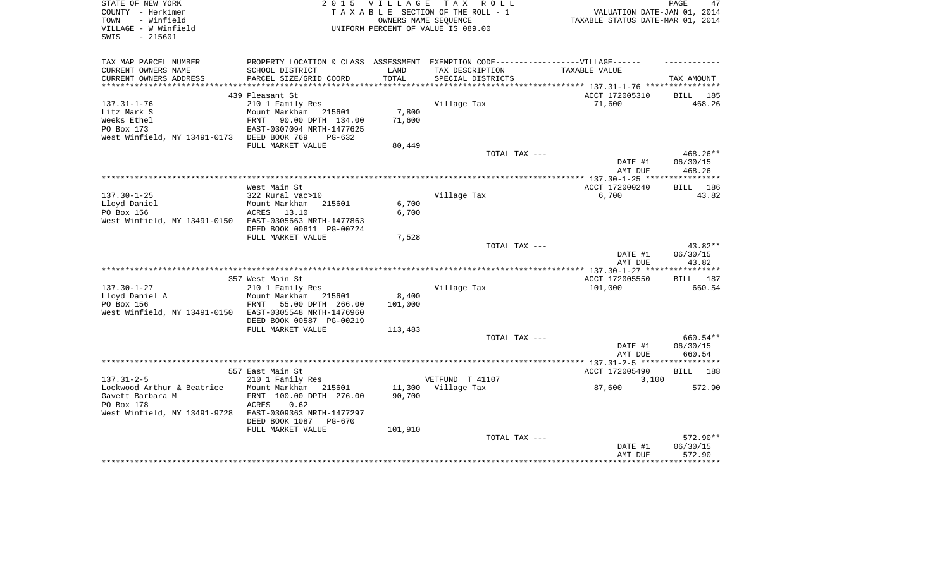| STATE OF NEW YORK<br>COUNTY - Herkimer<br>TOWN<br>- Winfield | 2 0 1 5                                                                           | <b>VILLAGE</b> | TAX ROLL<br>TAXABLE SECTION OF THE ROLL - 1<br>OWNERS NAME SEQUENCE | VALUATION DATE-JAN 01, 2014<br>TAXABLE STATUS DATE-MAR 01, 2014 | PAGE<br>47           |
|--------------------------------------------------------------|-----------------------------------------------------------------------------------|----------------|---------------------------------------------------------------------|-----------------------------------------------------------------|----------------------|
| VILLAGE - W Winfield<br>SWIS<br>$-215601$                    |                                                                                   |                | UNIFORM PERCENT OF VALUE IS 089.00                                  |                                                                 |                      |
| TAX MAP PARCEL NUMBER                                        | PROPERTY LOCATION & CLASS ASSESSMENT EXEMPTION CODE-----------------VILLAGE------ |                |                                                                     |                                                                 |                      |
| CURRENT OWNERS NAME<br>CURRENT OWNERS ADDRESS                | SCHOOL DISTRICT<br>PARCEL SIZE/GRID COORD                                         | LAND<br>TOTAL  | TAX DESCRIPTION<br>SPECIAL DISTRICTS                                | TAXABLE VALUE                                                   | TAX AMOUNT           |
|                                                              |                                                                                   |                |                                                                     |                                                                 |                      |
|                                                              | 439 Pleasant St                                                                   |                |                                                                     | ACCT 172005310                                                  | BILL 185             |
| $137.31 - 1 - 76$                                            | 210 1 Family Res                                                                  |                | Village Tax                                                         | 71,600                                                          | 468.26               |
| Litz Mark S                                                  | Mount Markham<br>215601                                                           | 7,800          |                                                                     |                                                                 |                      |
| Weeks Ethel<br>PO Box 173                                    | FRNT<br>90.00 DPTH 134.00                                                         | 71,600         |                                                                     |                                                                 |                      |
| West Winfield, NY 13491-0173 DEED BOOK 769                   | EAST-0307094 NRTH-1477625<br>$PG-632$                                             |                |                                                                     |                                                                 |                      |
|                                                              | FULL MARKET VALUE                                                                 | 80,449         |                                                                     |                                                                 |                      |
|                                                              |                                                                                   |                | TOTAL TAX ---                                                       |                                                                 | 468.26**             |
|                                                              |                                                                                   |                |                                                                     | DATE #1                                                         | 06/30/15             |
|                                                              |                                                                                   |                |                                                                     | AMT DUE                                                         | 468.26               |
|                                                              |                                                                                   |                |                                                                     |                                                                 |                      |
| $137.30 - 1 - 25$                                            | West Main St<br>322 Rural vac>10                                                  |                | Village Tax                                                         | ACCT 172000240<br>6,700                                         | 186<br>BILL<br>43.82 |
| Lloyd Daniel                                                 | Mount Markham<br>215601                                                           | 6,700          |                                                                     |                                                                 |                      |
| PO Box 156                                                   | ACRES<br>13.10                                                                    | 6,700          |                                                                     |                                                                 |                      |
| West Winfield, NY 13491-0150                                 | EAST-0305663 NRTH-1477863                                                         |                |                                                                     |                                                                 |                      |
|                                                              | DEED BOOK 00611 PG-00724                                                          |                |                                                                     |                                                                 |                      |
|                                                              | FULL MARKET VALUE                                                                 | 7,528          |                                                                     |                                                                 |                      |
|                                                              |                                                                                   |                | TOTAL TAX ---                                                       |                                                                 | 43.82**              |
|                                                              |                                                                                   |                |                                                                     | DATE #1<br>AMT DUE                                              | 06/30/15<br>43.82    |
|                                                              |                                                                                   |                |                                                                     |                                                                 |                      |
|                                                              | 357 West Main St                                                                  |                |                                                                     | ACCT 172005550                                                  | 187<br>BILL          |
| $137.30 - 1 - 27$                                            | 210 1 Family Res                                                                  |                | Village Tax                                                         | 101,000                                                         | 660.54               |
| Lloyd Daniel A                                               | Mount Markham 215601                                                              | 8,400          |                                                                     |                                                                 |                      |
| PO Box 156                                                   | FRNT<br>55.00 DPTH 266.00                                                         | 101,000        |                                                                     |                                                                 |                      |
| West Winfield, NY 13491-0150                                 | EAST-0305548 NRTH-1476960                                                         |                |                                                                     |                                                                 |                      |
|                                                              | DEED BOOK 00587 PG-00219<br>FULL MARKET VALUE                                     | 113,483        |                                                                     |                                                                 |                      |
|                                                              |                                                                                   |                | TOTAL TAX ---                                                       |                                                                 | 660.54**             |
|                                                              |                                                                                   |                |                                                                     | DATE #1                                                         | 06/30/15             |
|                                                              |                                                                                   |                |                                                                     | AMT DUE                                                         | 660.54               |
|                                                              |                                                                                   |                |                                                                     |                                                                 |                      |
|                                                              | 557 East Main St                                                                  |                |                                                                     | ACCT 172005490                                                  | BILL<br>188          |
| $137.31 - 2 - 5$<br>Lockwood Arthur & Beatrice               | 210 1 Family Res<br>Mount Markham<br>215601                                       | 11,300         | VETFUND T 41107<br>Village Tax                                      | 3,100<br>87,600                                                 | 572.90               |
| Gavett Barbara M                                             | FRNT 100.00 DPTH 276.00                                                           | 90,700         |                                                                     |                                                                 |                      |
| PO Box 178                                                   | ACRES<br>0.62                                                                     |                |                                                                     |                                                                 |                      |
| West Winfield, NY 13491-9728                                 | EAST-0309363 NRTH-1477297                                                         |                |                                                                     |                                                                 |                      |
|                                                              | DEED BOOK 1087<br><b>PG-670</b>                                                   |                |                                                                     |                                                                 |                      |
|                                                              | FULL MARKET VALUE                                                                 | 101,910        |                                                                     |                                                                 |                      |
|                                                              |                                                                                   |                | TOTAL TAX ---                                                       |                                                                 | 572.90**             |
|                                                              |                                                                                   |                |                                                                     | DATE #1<br>AMT DUE                                              | 06/30/15<br>572.90   |
|                                                              |                                                                                   |                |                                                                     | ********************************                                |                      |
|                                                              |                                                                                   |                |                                                                     |                                                                 |                      |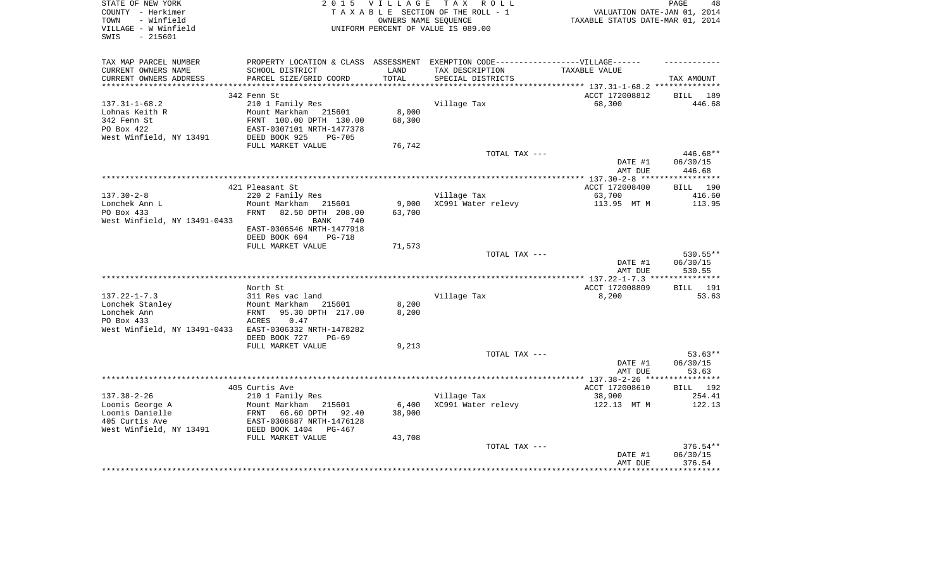| STATE OF NEW YORK<br>COUNTY - Herkimer<br>- Winfield<br>TOWN<br>VILLAGE - W Winfield<br>$-215601$<br>SWIS | 2 0 1 5                                                                                              | <b>VILLAGE</b><br>OWNERS NAME SEOUENCE | TAX ROLL<br>TAXABLE SECTION OF THE ROLL - 1<br>UNIFORM PERCENT OF VALUE IS 089.00 | VALUATION DATE-JAN 01, 2014<br>TAXABLE STATUS DATE-MAR 01, 2014 | PAGE<br>48                   |
|-----------------------------------------------------------------------------------------------------------|------------------------------------------------------------------------------------------------------|----------------------------------------|-----------------------------------------------------------------------------------|-----------------------------------------------------------------|------------------------------|
| TAX MAP PARCEL NUMBER<br>CURRENT OWNERS NAME                                                              | PROPERTY LOCATION & CLASS ASSESSMENT EXEMPTION CODE-----------------VILLAGE------<br>SCHOOL DISTRICT | LAND                                   | TAX DESCRIPTION                                                                   | TAXABLE VALUE                                                   |                              |
| CURRENT OWNERS ADDRESS                                                                                    | PARCEL SIZE/GRID COORD                                                                               | TOTAL                                  | SPECIAL DISTRICTS                                                                 |                                                                 | TAX AMOUNT                   |
| ***********************                                                                                   |                                                                                                      |                                        | ************************************** 137.31-1-68.2 ***************              |                                                                 |                              |
| $137.31 - 1 - 68.2$                                                                                       | 342 Fenn St<br>210 1 Family Res                                                                      |                                        | Village Tax                                                                       | ACCT 172008812<br>68,300                                        | <b>BILL</b><br>189<br>446.68 |
| Lohnas Keith R                                                                                            | Mount Markham 215601                                                                                 | 8,000                                  |                                                                                   |                                                                 |                              |
| 342 Fenn St                                                                                               | FRNT 100.00 DPTH 130.00                                                                              | 68,300                                 |                                                                                   |                                                                 |                              |
| PO Box 422                                                                                                | EAST-0307101 NRTH-1477378                                                                            |                                        |                                                                                   |                                                                 |                              |
| West Winfield, NY 13491                                                                                   | DEED BOOK 925<br>$PG-705$                                                                            |                                        |                                                                                   |                                                                 |                              |
|                                                                                                           | FULL MARKET VALUE                                                                                    | 76,742                                 |                                                                                   |                                                                 |                              |
|                                                                                                           |                                                                                                      |                                        | TOTAL TAX ---                                                                     |                                                                 | 446.68**                     |
|                                                                                                           |                                                                                                      |                                        |                                                                                   | DATE #1                                                         | 06/30/15                     |
|                                                                                                           |                                                                                                      |                                        |                                                                                   | AMT DUE                                                         | 446.68<br>**********         |
|                                                                                                           | 421 Pleasant St                                                                                      |                                        |                                                                                   | ACCT 172008400                                                  | 190<br><b>BILL</b>           |
| $137.30 - 2 - 8$                                                                                          | 220 2 Family Res                                                                                     |                                        | Village Tax                                                                       | 63,700                                                          | 416.60                       |
| Lonchek Ann L                                                                                             | Mount Markham<br>215601                                                                              | 9,000                                  | XC991 Water relevy                                                                | 113.95 MT M                                                     | 113.95                       |
| PO Box 433                                                                                                | <b>FRNT</b><br>82.50 DPTH 208.00                                                                     | 63,700                                 |                                                                                   |                                                                 |                              |
| West Winfield, NY 13491-0433                                                                              | 740<br><b>BANK</b>                                                                                   |                                        |                                                                                   |                                                                 |                              |
|                                                                                                           | EAST-0306546 NRTH-1477918                                                                            |                                        |                                                                                   |                                                                 |                              |
|                                                                                                           | DEED BOOK 694<br><b>PG-718</b><br>FULL MARKET VALUE                                                  | 71,573                                 |                                                                                   |                                                                 |                              |
|                                                                                                           |                                                                                                      |                                        | TOTAL TAX ---                                                                     |                                                                 | 530.55**                     |
|                                                                                                           |                                                                                                      |                                        |                                                                                   | DATE #1                                                         | 06/30/15                     |
|                                                                                                           |                                                                                                      |                                        |                                                                                   | AMT DUE                                                         | 530.55                       |
|                                                                                                           |                                                                                                      |                                        |                                                                                   |                                                                 | ***********                  |
|                                                                                                           | North St                                                                                             |                                        |                                                                                   | ACCT 172008809                                                  | 191<br>BILL                  |
| $137.22 - 1 - 7.3$                                                                                        | 311 Res vac land                                                                                     |                                        | Village Tax                                                                       | 8,200                                                           | 53.63                        |
| Lonchek Stanley<br>Lonchek Ann                                                                            | Mount Markham<br>215601<br>95.30 DPTH 217.00<br>FRNT                                                 | 8,200<br>8,200                         |                                                                                   |                                                                 |                              |
| PO Box 433                                                                                                | 0.47<br>ACRES                                                                                        |                                        |                                                                                   |                                                                 |                              |
| West Winfield, NY 13491-0433                                                                              | EAST-0306332 NRTH-1478282                                                                            |                                        |                                                                                   |                                                                 |                              |
|                                                                                                           | DEED BOOK 727<br>$PG-69$                                                                             |                                        |                                                                                   |                                                                 |                              |
|                                                                                                           | FULL MARKET VALUE                                                                                    | 9,213                                  |                                                                                   |                                                                 |                              |
|                                                                                                           |                                                                                                      |                                        | TOTAL TAX ---                                                                     |                                                                 | $53.63**$                    |
|                                                                                                           |                                                                                                      |                                        |                                                                                   | DATE #1                                                         | 06/30/15                     |
|                                                                                                           |                                                                                                      |                                        |                                                                                   | AMT DUE                                                         | 53.63                        |
|                                                                                                           | 405 Curtis Ave                                                                                       |                                        |                                                                                   | ACCT 172008610                                                  | <b>BILL</b><br>192           |
| $137.38 - 2 - 26$                                                                                         | 210 1 Family Res                                                                                     |                                        | Village Tax                                                                       | 38,900                                                          | 254.41                       |
| Loomis George A                                                                                           | Mount Markham<br>215601                                                                              | 6,400                                  | XC991 Water relevy                                                                | 122.13 MT M                                                     | 122.13                       |
| Loomis Danielle                                                                                           | FRNT<br>66.60 DPTH<br>92.40                                                                          | 38,900                                 |                                                                                   |                                                                 |                              |
| 405 Curtis Ave                                                                                            | EAST-0306687 NRTH-1476128                                                                            |                                        |                                                                                   |                                                                 |                              |
| West Winfield, NY 13491                                                                                   | DEED BOOK 1404<br>PG-467                                                                             |                                        |                                                                                   |                                                                 |                              |
|                                                                                                           | FULL MARKET VALUE                                                                                    | 43,708                                 | TOTAL TAX ---                                                                     |                                                                 | 376.54**                     |
|                                                                                                           |                                                                                                      |                                        |                                                                                   | DATE #1                                                         | 06/30/15                     |
|                                                                                                           |                                                                                                      |                                        |                                                                                   | AMT DUE                                                         | 376.54                       |
|                                                                                                           |                                                                                                      |                                        |                                                                                   |                                                                 |                              |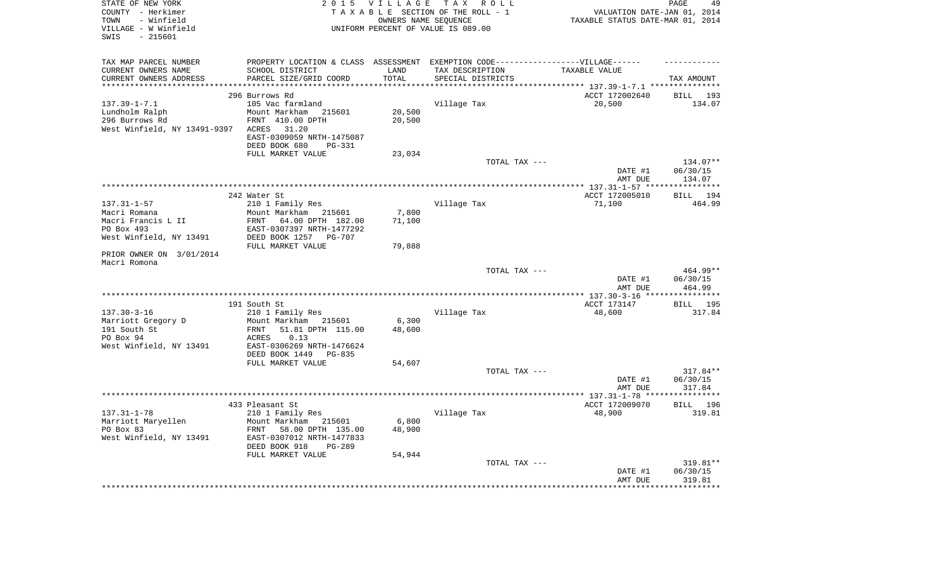| STATE OF NEW YORK<br>COUNTY - Herkimer<br>- Winfield<br>TOWN | 2 0 1 5                                                                          | VILLAGE | T A X<br>R O L L<br>TAXABLE SECTION OF THE ROLL - 1<br>OWNERS NAME SEQUENCE | VALUATION DATE-JAN 01, 2014<br>TAXABLE STATUS DATE-MAR 01, 2014 | PAGE<br>49           |
|--------------------------------------------------------------|----------------------------------------------------------------------------------|---------|-----------------------------------------------------------------------------|-----------------------------------------------------------------|----------------------|
| VILLAGE - W Winfield<br>$-215601$<br>SWIS                    |                                                                                  |         | UNIFORM PERCENT OF VALUE IS 089.00                                          |                                                                 |                      |
| TAX MAP PARCEL NUMBER                                        | PROPERTY LOCATION & CLASS ASSESSMENT EXEMPTION CODE----------------VILLAGE------ |         |                                                                             |                                                                 |                      |
| CURRENT OWNERS NAME                                          | SCHOOL DISTRICT                                                                  | LAND    | TAX DESCRIPTION                                                             | TAXABLE VALUE                                                   |                      |
| CURRENT OWNERS ADDRESS<br>***********************            | PARCEL SIZE/GRID COORD                                                           | TOTAL   | SPECIAL DISTRICTS                                                           |                                                                 | TAX AMOUNT           |
|                                                              | 296 Burrows Rd                                                                   |         |                                                                             | ACCT 172002640                                                  | BILL 193             |
| $137.39 - 1 - 7.1$                                           | 105 Vac farmland                                                                 |         | Village Tax                                                                 | 20,500                                                          | 134.07               |
| Lundholm Ralph                                               | Mount Markham<br>215601                                                          | 20,500  |                                                                             |                                                                 |                      |
| 296 Burrows Rd                                               | FRNT 410.00 DPTH                                                                 | 20,500  |                                                                             |                                                                 |                      |
| West Winfield, NY 13491-9397                                 | 31.20<br>ACRES                                                                   |         |                                                                             |                                                                 |                      |
|                                                              | EAST-0309059 NRTH-1475087                                                        |         |                                                                             |                                                                 |                      |
|                                                              | DEED BOOK 680<br><b>PG-331</b>                                                   |         |                                                                             |                                                                 |                      |
|                                                              | FULL MARKET VALUE                                                                | 23,034  |                                                                             |                                                                 |                      |
|                                                              |                                                                                  |         | TOTAL TAX ---                                                               | DATE #1                                                         | 134.07**<br>06/30/15 |
|                                                              |                                                                                  |         |                                                                             | AMT DUE                                                         | 134.07               |
|                                                              |                                                                                  |         |                                                                             |                                                                 |                      |
|                                                              | 242 Water St                                                                     |         |                                                                             | ACCT 172005010                                                  | 194<br>BILL          |
| $137.31 - 1 - 57$                                            | 210 1 Family Res                                                                 |         | Village Tax                                                                 | 71,100                                                          | 464.99               |
| Macri Romana                                                 | Mount Markham 215601                                                             | 7,800   |                                                                             |                                                                 |                      |
| Macri Francis L II<br>PO Box 493                             | 64.00 DPTH 182.00<br>FRNT                                                        | 71,100  |                                                                             |                                                                 |                      |
| West Winfield, NY 13491                                      | EAST-0307397 NRTH-1477292<br>DEED BOOK 1257<br><b>PG-707</b>                     |         |                                                                             |                                                                 |                      |
|                                                              | FULL MARKET VALUE                                                                | 79,888  |                                                                             |                                                                 |                      |
| PRIOR OWNER ON 3/01/2014<br>Macri Romona                     |                                                                                  |         |                                                                             |                                                                 |                      |
|                                                              |                                                                                  |         | TOTAL TAX ---                                                               |                                                                 | 464.99**             |
|                                                              |                                                                                  |         |                                                                             | DATE #1<br>AMT DUE                                              | 06/30/15<br>464.99   |
|                                                              |                                                                                  |         |                                                                             | ACCT 173147                                                     |                      |
| $137.30 - 3 - 16$                                            | 191 South St<br>210 1 Family Res                                                 |         | Village Tax                                                                 | 48,600                                                          | BILL 195<br>317.84   |
| Marriott Gregory D                                           | Mount Markham 215601                                                             | 6,300   |                                                                             |                                                                 |                      |
| 191 South St                                                 | 51.81 DPTH 115.00<br>FRNT                                                        | 48,600  |                                                                             |                                                                 |                      |
| PO Box 94                                                    | 0.13<br>ACRES                                                                    |         |                                                                             |                                                                 |                      |
| West Winfield, NY 13491                                      | EAST-0306269 NRTH-1476624                                                        |         |                                                                             |                                                                 |                      |
|                                                              | DEED BOOK 1449<br>PG-835<br>FULL MARKET VALUE                                    | 54,607  |                                                                             |                                                                 |                      |
|                                                              |                                                                                  |         | TOTAL TAX ---                                                               |                                                                 | 317.84**             |
|                                                              |                                                                                  |         |                                                                             | DATE #1                                                         | 06/30/15             |
|                                                              |                                                                                  |         |                                                                             | AMT DUE                                                         | 317.84               |
|                                                              |                                                                                  |         |                                                                             |                                                                 | **********           |
|                                                              | 433 Pleasant St                                                                  |         |                                                                             | ACCT 172009070                                                  | <b>BILL</b><br>196   |
| $137.31 - 1 - 78$<br>Marriott Maryellen                      | 210 1 Family Res<br>Mount Markham 215601                                         | 6,800   | Village Tax                                                                 | 48,900                                                          | 319.81               |
| PO Box 83                                                    | 58.00 DPTH 135.00<br>FRNT                                                        | 48,900  |                                                                             |                                                                 |                      |
| West Winfield, NY 13491                                      | EAST-0307012 NRTH-1477833                                                        |         |                                                                             |                                                                 |                      |
|                                                              | DEED BOOK 918<br>$PG-289$                                                        |         |                                                                             |                                                                 |                      |
|                                                              | FULL MARKET VALUE                                                                | 54,944  |                                                                             |                                                                 |                      |
|                                                              |                                                                                  |         | TOTAL TAX ---                                                               |                                                                 | 319.81**             |
|                                                              |                                                                                  |         |                                                                             | DATE #1<br>AMT DUE                                              | 06/30/15<br>319.81   |
|                                                              |                                                                                  |         |                                                                             | *******************************                                 |                      |
|                                                              |                                                                                  |         |                                                                             |                                                                 |                      |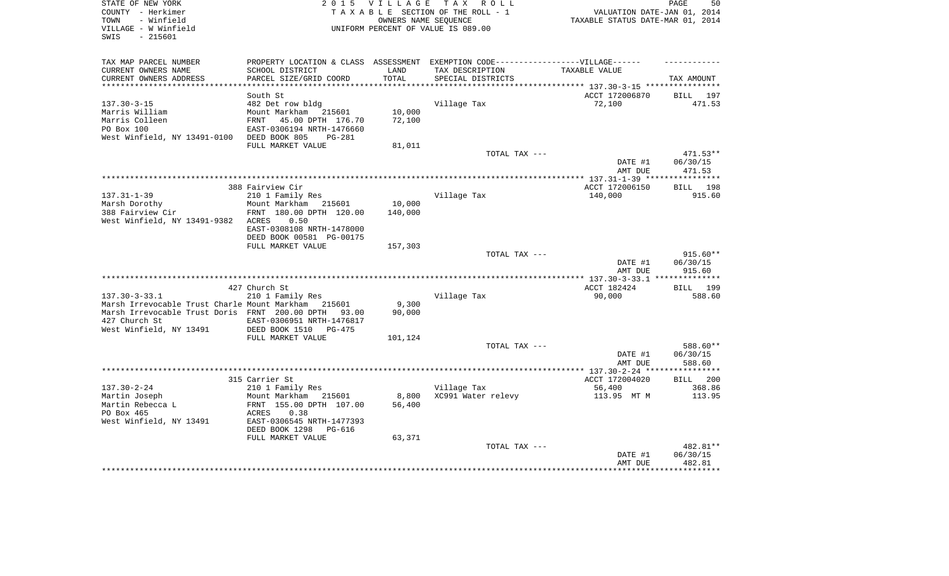| STATE OF NEW YORK<br>COUNTY - Herkimer<br>- Winfield<br>TOWN<br>VILLAGE - W Winfield<br>- 215601<br>SWIS | 2 0 1 5                                            | <b>VILLAGE</b>  | T A X<br>R O L L<br>TAXABLE SECTION OF THE ROLL - 1<br>OWNERS NAME SEQUENCE<br>UNIFORM PERCENT OF VALUE IS 089.00 | VALUATION DATE-JAN 01, 2014<br>TAXABLE STATUS DATE-MAR 01, 2014 | 50<br>PAGE            |
|----------------------------------------------------------------------------------------------------------|----------------------------------------------------|-----------------|-------------------------------------------------------------------------------------------------------------------|-----------------------------------------------------------------|-----------------------|
| TAX MAP PARCEL NUMBER                                                                                    |                                                    |                 | PROPERTY LOCATION & CLASS ASSESSMENT EXEMPTION CODE-----------------VILLAGE------                                 |                                                                 |                       |
| CURRENT OWNERS NAME<br>CURRENT OWNERS ADDRESS                                                            | SCHOOL DISTRICT<br>PARCEL SIZE/GRID COORD          | LAND<br>TOTAL   | TAX DESCRIPTION<br>SPECIAL DISTRICTS                                                                              | TAXABLE VALUE                                                   | TAX AMOUNT            |
| *************************                                                                                |                                                    |                 |                                                                                                                   |                                                                 |                       |
|                                                                                                          | South St                                           |                 |                                                                                                                   | ACCT 172006870                                                  | <b>BILL</b><br>197    |
| $137.30 - 3 - 15$<br>Marris William                                                                      | 482 Det row bldg<br>Mount Markham<br>215601        | 10,000          | Village Tax                                                                                                       | 72,100                                                          | 471.53                |
| Marris Colleen                                                                                           | <b>FRNT</b><br>45.00 DPTH 176.70                   | 72,100          |                                                                                                                   |                                                                 |                       |
| PO Box 100                                                                                               | EAST-0306194 NRTH-1476660                          |                 |                                                                                                                   |                                                                 |                       |
| West Winfield, NY 13491-0100                                                                             | DEED BOOK 805<br><b>PG-281</b>                     |                 |                                                                                                                   |                                                                 |                       |
|                                                                                                          | FULL MARKET VALUE                                  | 81,011          |                                                                                                                   |                                                                 |                       |
|                                                                                                          |                                                    |                 | TOTAL TAX ---                                                                                                     |                                                                 | 471.53**              |
|                                                                                                          |                                                    |                 |                                                                                                                   | DATE #1                                                         | 06/30/15              |
|                                                                                                          |                                                    |                 |                                                                                                                   | AMT DUE                                                         | 471.53                |
|                                                                                                          |                                                    |                 |                                                                                                                   |                                                                 |                       |
|                                                                                                          | 388 Fairview Cir                                   |                 |                                                                                                                   | ACCT 172006150                                                  | 198<br><b>BILL</b>    |
| $137.31 - 1 - 39$                                                                                        | 210 1 Family Res                                   |                 | Village Tax                                                                                                       | 140,000                                                         | 915.60                |
| Marsh Dorothy                                                                                            | Mount Markham<br>215601                            | 10,000          |                                                                                                                   |                                                                 |                       |
| 388 Fairview Cir                                                                                         | FRNT 180.00 DPTH 120.00<br>0.50                    | 140,000         |                                                                                                                   |                                                                 |                       |
| West Winfield, NY 13491-9382                                                                             | <b>ACRES</b><br>EAST-0308108 NRTH-1478000          |                 |                                                                                                                   |                                                                 |                       |
|                                                                                                          | DEED BOOK 00581 PG-00175                           |                 |                                                                                                                   |                                                                 |                       |
|                                                                                                          | FULL MARKET VALUE                                  | 157,303         |                                                                                                                   |                                                                 |                       |
|                                                                                                          |                                                    |                 | TOTAL TAX ---                                                                                                     |                                                                 | 915.60**              |
|                                                                                                          |                                                    |                 |                                                                                                                   | DATE #1                                                         | 06/30/15              |
|                                                                                                          |                                                    |                 |                                                                                                                   | AMT DUE                                                         | 915.60                |
|                                                                                                          |                                                    |                 |                                                                                                                   |                                                                 | * * * * * * * * * * * |
|                                                                                                          | 427 Church St                                      |                 |                                                                                                                   | ACCT 182424                                                     | BILL 199              |
| $137.30 - 3 - 33.1$<br>Marsh Irrevocable Trust Charle Mount Markham                                      | 210 1 Family Res<br>215601                         | 9,300           | Village Tax                                                                                                       | 90,000                                                          | 588.60                |
| Marsh Irrevocable Trust Doris FRNT 200.00 DPTH                                                           | 93.00                                              | 90,000          |                                                                                                                   |                                                                 |                       |
| 427 Church St                                                                                            | EAST-0306951 NRTH-1476817                          |                 |                                                                                                                   |                                                                 |                       |
| West Winfield, NY 13491                                                                                  | DEED BOOK 1510<br>$PG-475$                         |                 |                                                                                                                   |                                                                 |                       |
|                                                                                                          | FULL MARKET VALUE                                  | 101,124         |                                                                                                                   |                                                                 |                       |
|                                                                                                          |                                                    |                 | TOTAL TAX ---                                                                                                     |                                                                 | 588.60**              |
|                                                                                                          |                                                    |                 |                                                                                                                   | DATE #1                                                         | 06/30/15              |
|                                                                                                          |                                                    |                 |                                                                                                                   | AMT DUE                                                         | 588.60                |
|                                                                                                          |                                                    |                 | ***************************                                                                                       | ** $137.30 - 2 - 24$ **                                         | ********              |
|                                                                                                          | 315 Carrier St                                     |                 |                                                                                                                   | ACCT 172004020                                                  | 200<br><b>BILL</b>    |
| $137.30 - 2 - 24$                                                                                        | 210 1 Family Res                                   |                 | Village Tax                                                                                                       | 56,400                                                          | 368.86                |
| Martin Joseph<br>Martin Rebecca L                                                                        | Mount Markham<br>215601<br>FRNT 155.00 DPTH 107.00 | 8,800<br>56,400 | XC991 Water relevy                                                                                                | 113.95 MT M                                                     | 113.95                |
| PO Box 465                                                                                               | <b>ACRES</b><br>0.38                               |                 |                                                                                                                   |                                                                 |                       |
| West Winfield, NY 13491                                                                                  | EAST-0306545 NRTH-1477393                          |                 |                                                                                                                   |                                                                 |                       |
|                                                                                                          | DEED BOOK 1298<br>PG-616                           |                 |                                                                                                                   |                                                                 |                       |
|                                                                                                          | FULL MARKET VALUE                                  | 63,371          |                                                                                                                   |                                                                 |                       |
|                                                                                                          |                                                    |                 | TOTAL TAX ---                                                                                                     |                                                                 | 482.81**              |
|                                                                                                          |                                                    |                 |                                                                                                                   | DATE #1                                                         | 06/30/15              |
|                                                                                                          |                                                    |                 |                                                                                                                   | AMT DUE                                                         | 482.81                |
|                                                                                                          |                                                    |                 |                                                                                                                   |                                                                 | ********              |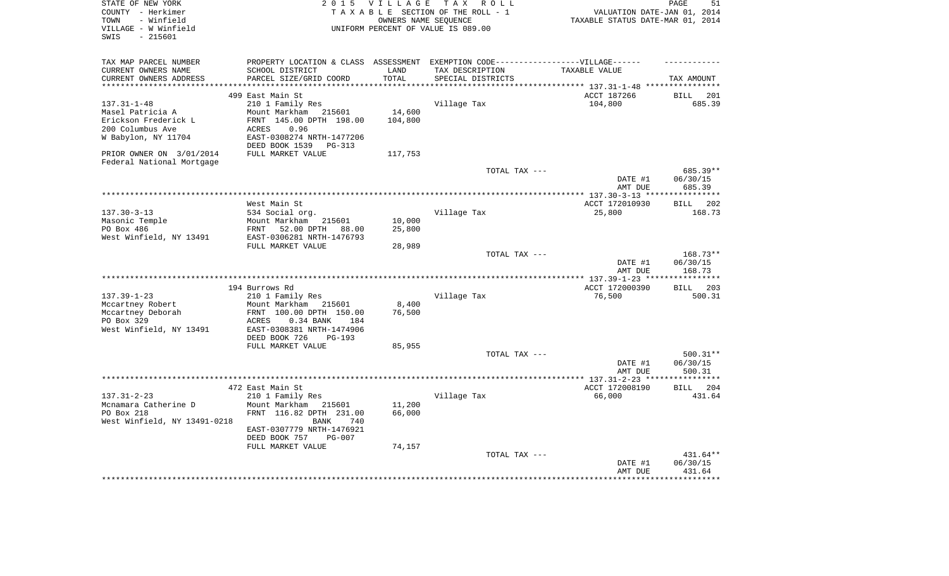| STATE OF NEW YORK            |                                                                                  | 2015 VILLAGE        | TAX ROLL                           |                                                  | 51<br>PAGE           |
|------------------------------|----------------------------------------------------------------------------------|---------------------|------------------------------------|--------------------------------------------------|----------------------|
| COUNTY - Herkimer            |                                                                                  |                     | TAXABLE SECTION OF THE ROLL - 1    | VALUATION DATE-JAN 01, 2014                      |                      |
| - Winfield<br>TOWN           |                                                                                  |                     | OWNERS NAME SEOUENCE               | TAXABLE STATUS DATE-MAR 01, 2014                 |                      |
| VILLAGE - W Winfield         |                                                                                  |                     | UNIFORM PERCENT OF VALUE IS 089.00 |                                                  |                      |
| $-215601$<br>SWIS            |                                                                                  |                     |                                    |                                                  |                      |
|                              |                                                                                  |                     |                                    |                                                  |                      |
| TAX MAP PARCEL NUMBER        | PROPERTY LOCATION & CLASS ASSESSMENT EXEMPTION CODE----------------VILLAGE------ |                     |                                    |                                                  |                      |
| CURRENT OWNERS NAME          | SCHOOL DISTRICT                                                                  | LAND                | TAX DESCRIPTION                    | TAXABLE VALUE                                    |                      |
| CURRENT OWNERS ADDRESS       | PARCEL SIZE/GRID COORD                                                           | TOTAL               | SPECIAL DISTRICTS                  |                                                  | TAX AMOUNT           |
|                              |                                                                                  | * * * * * * * * * * |                                    | ******************************* 137.31-1-48 **** |                      |
|                              | 499 East Main St                                                                 |                     |                                    | ACCT 187266                                      | 201<br>BILL          |
| $137.31 - 1 - 48$            | 210 1 Family Res                                                                 |                     | Village Tax                        | 104,800                                          | 685.39               |
| Masel Patricia A             | Mount Markham<br>215601                                                          | 14,600              |                                    |                                                  |                      |
| Erickson Frederick L         | FRNT 145.00 DPTH 198.00                                                          | 104,800             |                                    |                                                  |                      |
| 200 Columbus Ave             | ACRES<br>0.96                                                                    |                     |                                    |                                                  |                      |
| W Babylon, NY 11704          | EAST-0308274 NRTH-1477206                                                        |                     |                                    |                                                  |                      |
|                              | DEED BOOK 1539 PG-313                                                            |                     |                                    |                                                  |                      |
| PRIOR OWNER ON 3/01/2014     | FULL MARKET VALUE                                                                | 117,753             |                                    |                                                  |                      |
| Federal National Mortgage    |                                                                                  |                     |                                    |                                                  |                      |
|                              |                                                                                  |                     | TOTAL TAX ---                      |                                                  | 685.39**             |
|                              |                                                                                  |                     |                                    | DATE #1                                          | 06/30/15             |
|                              |                                                                                  |                     |                                    | AMT DUE                                          | 685.39               |
|                              |                                                                                  |                     |                                    |                                                  |                      |
|                              | West Main St                                                                     |                     |                                    | ACCT 172010930                                   | <b>BILL</b> 202      |
| $137.30 - 3 - 13$            | 534 Social org.                                                                  |                     | Village Tax                        | 25,800                                           | 168.73               |
| Masonic Temple               | Mount Markham 215601                                                             | 10,000              |                                    |                                                  |                      |
| PO Box 486                   | FRNT 52.00 DPTH<br>88.00                                                         | 25,800              |                                    |                                                  |                      |
| West Winfield, NY 13491      | EAST-0306281 NRTH-1476793                                                        |                     |                                    |                                                  |                      |
|                              | FULL MARKET VALUE                                                                | 28,989              |                                    |                                                  |                      |
|                              |                                                                                  |                     | TOTAL TAX ---                      |                                                  | 168.73**             |
|                              |                                                                                  |                     |                                    | DATE #1                                          | 06/30/15             |
|                              |                                                                                  |                     |                                    | AMT DUE                                          | 168.73               |
|                              |                                                                                  |                     |                                    |                                                  |                      |
|                              | 194 Burrows Rd                                                                   |                     |                                    | ACCT 172000390                                   | BILL 203             |
| $137.39 - 1 - 23$            | 210 1 Family Res                                                                 |                     | Village Tax                        | 76,500                                           | 500.31               |
| Mccartney Robert             | Mount Markham 215601                                                             | 8,400               |                                    |                                                  |                      |
| Mccartney Deborah            | FRNT 100.00 DPTH 150.00                                                          | 76,500              |                                    |                                                  |                      |
| PO Box 329                   | ACRES<br>$0.34$ BANK<br>184                                                      |                     |                                    |                                                  |                      |
| West Winfield, NY 13491      | EAST-0308381 NRTH-1474906                                                        |                     |                                    |                                                  |                      |
|                              | DEED BOOK 726<br>PG-193                                                          |                     |                                    |                                                  |                      |
|                              | FULL MARKET VALUE                                                                | 85,955              |                                    |                                                  |                      |
|                              |                                                                                  |                     | TOTAL TAX ---                      |                                                  | $500.31**$           |
|                              |                                                                                  |                     |                                    | DATE #1                                          | 06/30/15             |
|                              |                                                                                  |                     |                                    | AMT DUE                                          | 500.31<br>********** |
|                              |                                                                                  |                     |                                    |                                                  |                      |
|                              | 472 East Main St                                                                 |                     |                                    | ACCT 172008190                                   | 204<br><b>BILL</b>   |
| $137.31 - 2 - 23$            | 210 1 Family Res                                                                 |                     | Village Tax                        | 66,000                                           | 431.64               |
| Mcnamara Catherine D         | Mount Markham<br>215601                                                          | 11,200              |                                    |                                                  |                      |
| PO Box 218                   | FRNT 116.82 DPTH 231.00                                                          | 66,000              |                                    |                                                  |                      |
| West Winfield, NY 13491-0218 | BANK<br>740                                                                      |                     |                                    |                                                  |                      |
|                              | EAST-0307779 NRTH-1476921                                                        |                     |                                    |                                                  |                      |
|                              | DEED BOOK 757<br>$PG-007$                                                        |                     |                                    |                                                  |                      |
|                              | FULL MARKET VALUE                                                                | 74,157              | TOTAL TAX ---                      |                                                  | 431.64**             |
|                              |                                                                                  |                     |                                    | DATE #1                                          | 06/30/15             |
|                              |                                                                                  |                     |                                    | AMT DUE                                          | 431.64               |
|                              |                                                                                  |                     |                                    |                                                  |                      |
|                              |                                                                                  |                     |                                    |                                                  |                      |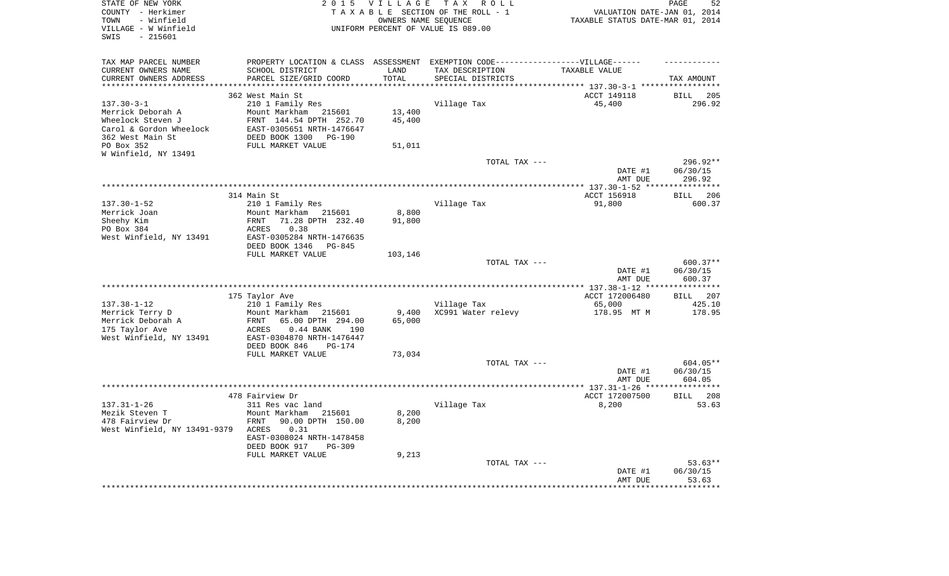| STATE OF NEW YORK<br>COUNTY - Herkimer<br>TOWN<br>- Winfield<br>VILLAGE - W Winfield<br>$-215601$<br>SWIS | 2 0 1 5<br>VILLAGE TAX ROLL<br>PAGE<br>TAXABLE SECTION OF THE ROLL - 1<br>VALUATION DATE-JAN 01, 2014<br>OWNERS NAME SEQUENCE<br>TAXABLE STATUS DATE-MAR 01, 2014<br>UNIFORM PERCENT OF VALUE IS 089.00 |         |                                   |                       |                    |
|-----------------------------------------------------------------------------------------------------------|---------------------------------------------------------------------------------------------------------------------------------------------------------------------------------------------------------|---------|-----------------------------------|-----------------------|--------------------|
| TAX MAP PARCEL NUMBER                                                                                     | PROPERTY LOCATION & CLASS ASSESSMENT EXEMPTION CODE-----------------VILLAGE------                                                                                                                       |         |                                   |                       |                    |
| CURRENT OWNERS NAME                                                                                       | SCHOOL DISTRICT                                                                                                                                                                                         | LAND    | TAX DESCRIPTION                   | TAXABLE VALUE         |                    |
| CURRENT OWNERS ADDRESS<br>*********************                                                           | PARCEL SIZE/GRID COORD<br>****************************                                                                                                                                                  | TOTAL   | SPECIAL DISTRICTS                 |                       | TAX AMOUNT         |
|                                                                                                           | 362 West Main St                                                                                                                                                                                        |         |                                   | ACCT 149118           | BILL 205           |
| $137.30 - 3 - 1$                                                                                          | 210 1 Family Res                                                                                                                                                                                        |         | Village Tax                       | 45,400                | 296.92             |
| Merrick Deborah A                                                                                         | Mount Markham 215601                                                                                                                                                                                    | 13,400  |                                   |                       |                    |
| Wheelock Steven J                                                                                         | FRNT 144.54 DPTH 252.70                                                                                                                                                                                 | 45,400  |                                   |                       |                    |
| Carol & Gordon Wheelock                                                                                   | EAST-0305651 NRTH-1476647                                                                                                                                                                               |         |                                   |                       |                    |
| 362 West Main St                                                                                          | DEED BOOK 1300<br>PG-190                                                                                                                                                                                |         |                                   |                       |                    |
| PO Box 352                                                                                                | FULL MARKET VALUE                                                                                                                                                                                       | 51,011  |                                   |                       |                    |
| W Winfield, NY 13491                                                                                      |                                                                                                                                                                                                         |         |                                   |                       |                    |
|                                                                                                           |                                                                                                                                                                                                         |         | TOTAL TAX ---                     |                       | 296.92**           |
|                                                                                                           |                                                                                                                                                                                                         |         |                                   | DATE #1<br>AMT DUE    | 06/30/15<br>296.92 |
|                                                                                                           |                                                                                                                                                                                                         |         |                                   |                       |                    |
|                                                                                                           | 314 Main St                                                                                                                                                                                             |         |                                   | ACCT 156918           | 206<br><b>BILL</b> |
| $137.30 - 1 - 52$                                                                                         | 210 1 Family Res                                                                                                                                                                                        |         | Village Tax                       | 91,800                | 600.37             |
| Merrick Joan                                                                                              | Mount Markham 215601                                                                                                                                                                                    | 8,800   |                                   |                       |                    |
| Sheehy Kim                                                                                                | 71.28 DPTH 232.40<br>FRNT                                                                                                                                                                               | 91,800  |                                   |                       |                    |
| PO Box 384                                                                                                | ACRES<br>0.38                                                                                                                                                                                           |         |                                   |                       |                    |
| West Winfield, NY 13491                                                                                   | EAST-0305284 NRTH-1476635<br>DEED BOOK 1346<br>PG-845                                                                                                                                                   |         |                                   |                       |                    |
|                                                                                                           | FULL MARKET VALUE                                                                                                                                                                                       | 103,146 |                                   |                       |                    |
|                                                                                                           |                                                                                                                                                                                                         |         | TOTAL TAX ---                     |                       | $600.37**$         |
|                                                                                                           |                                                                                                                                                                                                         |         |                                   | DATE #1               | 06/30/15           |
|                                                                                                           |                                                                                                                                                                                                         |         |                                   | AMT DUE               | 600.37             |
|                                                                                                           |                                                                                                                                                                                                         |         |                                   |                       | ***********        |
|                                                                                                           | 175 Taylor Ave                                                                                                                                                                                          |         |                                   | ACCT 172006480        | BILL 207           |
| $137.38 - 1 - 12$<br>Merrick Terry D                                                                      | 210 1 Family Res<br>Mount Markham 215601                                                                                                                                                                | 9,400   | Village Tax<br>XC991 Water relevy | 65,000<br>178.95 MT M | 425.10<br>178.95   |
| Merrick Deborah A                                                                                         | FRNT<br>65.00 DPTH 294.00                                                                                                                                                                               | 65,000  |                                   |                       |                    |
| 175 Taylor Ave                                                                                            | 190<br>ACRES<br>$0.44$ BANK                                                                                                                                                                             |         |                                   |                       |                    |
| West Winfield, NY 13491                                                                                   | EAST-0304870 NRTH-1476447                                                                                                                                                                               |         |                                   |                       |                    |
|                                                                                                           | DEED BOOK 846<br><b>PG-174</b>                                                                                                                                                                          |         |                                   |                       |                    |
|                                                                                                           | FULL MARKET VALUE                                                                                                                                                                                       | 73,034  |                                   |                       |                    |
|                                                                                                           |                                                                                                                                                                                                         |         | TOTAL TAX ---                     |                       | 604.05**           |
|                                                                                                           |                                                                                                                                                                                                         |         |                                   | DATE #1               | 06/30/15           |
|                                                                                                           |                                                                                                                                                                                                         |         |                                   | AMT DUE               | 604.05             |
|                                                                                                           | 478 Fairview Dr                                                                                                                                                                                         |         |                                   | ACCT 172007500        | BILL 208           |
| $137.31 - 1 - 26$                                                                                         | 311 Res vac land                                                                                                                                                                                        |         | Village Tax                       | 8,200                 | 53.63              |
| Mezik Steven T                                                                                            | Mount Markham<br>215601                                                                                                                                                                                 | 8,200   |                                   |                       |                    |
| 478 Fairview Dr                                                                                           | FRNT<br>90.00 DPTH 150.00                                                                                                                                                                               | 8,200   |                                   |                       |                    |
| West Winfield, NY 13491-9379                                                                              | ACRES<br>0.31                                                                                                                                                                                           |         |                                   |                       |                    |
|                                                                                                           | EAST-0308024 NRTH-1478458                                                                                                                                                                               |         |                                   |                       |                    |
|                                                                                                           | DEED BOOK 917<br>PG-309<br>FULL MARKET VALUE                                                                                                                                                            | 9,213   |                                   |                       |                    |
|                                                                                                           |                                                                                                                                                                                                         |         | TOTAL TAX ---                     |                       | $53.63**$          |
|                                                                                                           |                                                                                                                                                                                                         |         |                                   | DATE #1               | 06/30/15           |
|                                                                                                           |                                                                                                                                                                                                         |         |                                   | AMT DUE               | 53.63              |
|                                                                                                           |                                                                                                                                                                                                         |         |                                   |                       | *******            |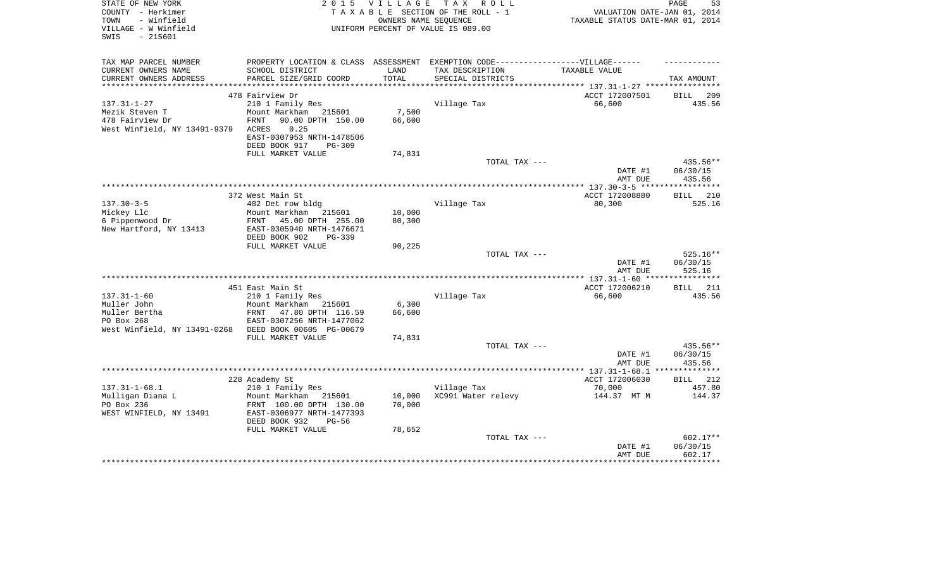| STATE OF NEW YORK<br>COUNTY - Herkimer<br>- Winfield<br>TOWN<br>VILLAGE - W Winfield<br>$-215601$<br>SWIS                | 2 0 1 5                                                                                                                                                | <b>VILLAGE</b>            | T A X<br>R O L L<br>TAXABLE SECTION OF THE ROLL - 1<br>OWNERS NAME SEQUENCE<br>UNIFORM PERCENT OF VALUE IS 089.00         | VALUATION DATE-JAN 01, 2014<br>TAXABLE STATUS DATE-MAR 01, 2014 | 53<br>PAGE                                  |
|--------------------------------------------------------------------------------------------------------------------------|--------------------------------------------------------------------------------------------------------------------------------------------------------|---------------------------|---------------------------------------------------------------------------------------------------------------------------|-----------------------------------------------------------------|---------------------------------------------|
| TAX MAP PARCEL NUMBER<br>CURRENT OWNERS NAME<br>CURRENT OWNERS ADDRESS                                                   | SCHOOL DISTRICT<br>PARCEL SIZE/GRID COORD                                                                                                              | LAND<br>TOTAL             | PROPERTY LOCATION & CLASS ASSESSMENT EXEMPTION CODE-----------------VILLAGE------<br>TAX DESCRIPTION<br>SPECIAL DISTRICTS | TAXABLE VALUE                                                   | TAX AMOUNT                                  |
|                                                                                                                          | 478 Fairview Dr                                                                                                                                        |                           |                                                                                                                           | ACCT 172007501                                                  | BILL<br>209                                 |
| $137.31 - 1 - 27$<br>Mezik Steven T<br>478 Fairview Dr<br>West Winfield, NY 13491-9379                                   | 210 1 Family Res<br>Mount Markham<br>215601<br>90.00 DPTH 150.00<br>FRNT<br>0.25<br>ACRES<br>EAST-0307953 NRTH-1478506<br>DEED BOOK 917<br>PG-309      | 7,500<br>66,600           | Village Tax                                                                                                               | 66,600                                                          | 435.56                                      |
|                                                                                                                          | FULL MARKET VALUE                                                                                                                                      | 74,831                    | TOTAL TAX ---                                                                                                             |                                                                 | 435.56**                                    |
|                                                                                                                          |                                                                                                                                                        |                           |                                                                                                                           | DATE #1<br>AMT DUE                                              | 06/30/15<br>435.56                          |
|                                                                                                                          |                                                                                                                                                        |                           |                                                                                                                           |                                                                 | ***********                                 |
| $137.30 - 3 - 5$<br>Mickey Llc<br>6 Pippenwood Dr<br>New Hartford, NY 13413                                              | 372 West Main St<br>482 Det row bldg<br>Mount Markham<br>215601<br>45.00 DPTH 255.00<br>FRNT<br>EAST-0305940 NRTH-1476671<br>DEED BOOK 902<br>$PG-339$ | 10,000<br>80,300          | Village Tax                                                                                                               | ACCT 172008880<br>80,300                                        | 210<br><b>BILL</b><br>525.16                |
|                                                                                                                          | FULL MARKET VALUE                                                                                                                                      | 90,225                    |                                                                                                                           |                                                                 |                                             |
|                                                                                                                          |                                                                                                                                                        |                           | TOTAL TAX ---                                                                                                             | DATE #1<br>AMT DUE                                              | 525.16**<br>06/30/15<br>525.16              |
|                                                                                                                          | 451 East Main St                                                                                                                                       |                           |                                                                                                                           | ACCT 172006210                                                  | <b>BILL</b> 211                             |
| $137.31 - 1 - 60$<br>Muller John<br>Muller Bertha<br>PO Box 268<br>West Winfield, NY 13491-0268 DEED BOOK 00605 PG-00679 | 210 1 Family Res<br>Mount Markham<br>215601<br>FRNT<br>47.80 DPTH 116.59<br>EAST-0307256 NRTH-1477062<br>FULL MARKET VALUE                             | 6,300<br>66,600<br>74,831 | Village Tax                                                                                                               | 66,600                                                          | 435.56                                      |
|                                                                                                                          |                                                                                                                                                        |                           | TOTAL TAX ---                                                                                                             |                                                                 | 435.56**                                    |
|                                                                                                                          |                                                                                                                                                        |                           |                                                                                                                           | DATE #1<br>AMT DUE                                              | 06/30/15<br>435.56                          |
|                                                                                                                          |                                                                                                                                                        |                           |                                                                                                                           |                                                                 | **************                              |
| $137.31 - 1 - 68.1$                                                                                                      | 228 Academy St<br>210 1 Family Res                                                                                                                     |                           | Village Tax                                                                                                               | ACCT 172006030<br>70,000                                        | <b>BILL</b><br>212<br>457.80                |
| Mulligan Diana L<br>PO Box 236<br>WEST WINFIELD, NY 13491                                                                | Mount Markham 215601<br>FRNT 100.00 DPTH 130.00<br>EAST-0306977 NRTH-1477393<br>DEED BOOK 932<br>$PG-56$                                               | 10,000<br>70,000          | XC991 Water relevy                                                                                                        | 144.37 MT M                                                     | 144.37                                      |
|                                                                                                                          | FULL MARKET VALUE                                                                                                                                      | 78,652                    |                                                                                                                           |                                                                 |                                             |
|                                                                                                                          |                                                                                                                                                        |                           | TOTAL TAX ---                                                                                                             | DATE #1<br>AMT DUE                                              | 602.17**<br>06/30/15<br>602.17<br>********* |
|                                                                                                                          |                                                                                                                                                        |                           |                                                                                                                           |                                                                 |                                             |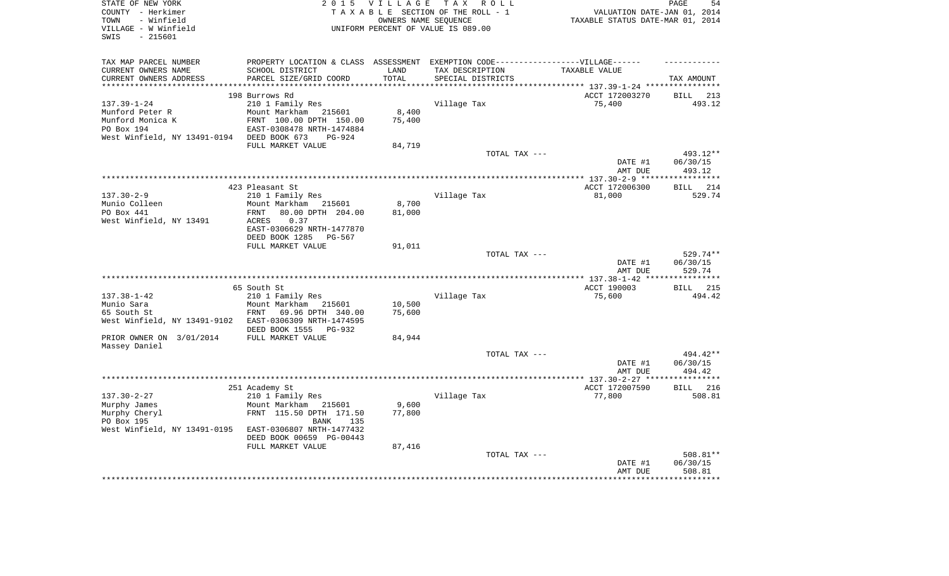| STATE OF NEW YORK                          |                                                                                  | 2015 VILLAGE                 | TAX ROLL                                                |                                                          | PAGE<br>54           |
|--------------------------------------------|----------------------------------------------------------------------------------|------------------------------|---------------------------------------------------------|----------------------------------------------------------|----------------------|
| COUNTY - Herkimer<br>- Winfield<br>TOWN    |                                                                                  |                              | TAXABLE SECTION OF THE ROLL - 1<br>OWNERS NAME SEOUENCE | VALUATION DATE-JAN 01, 2014                              |                      |
| VILLAGE - W Winfield                       |                                                                                  |                              | UNIFORM PERCENT OF VALUE IS 089.00                      | TAXABLE STATUS DATE-MAR 01, 2014                         |                      |
| $-215601$<br>SWIS                          |                                                                                  |                              |                                                         |                                                          |                      |
|                                            |                                                                                  |                              |                                                         |                                                          |                      |
|                                            |                                                                                  |                              |                                                         |                                                          |                      |
| TAX MAP PARCEL NUMBER                      | PROPERTY LOCATION & CLASS ASSESSMENT EXEMPTION CODE----------------VILLAGE------ |                              |                                                         |                                                          |                      |
| CURRENT OWNERS NAME                        | SCHOOL DISTRICT                                                                  | LAND                         | TAX DESCRIPTION                                         | TAXABLE VALUE                                            |                      |
| CURRENT OWNERS ADDRESS                     | PARCEL SIZE/GRID COORD                                                           | TOTAL<br>* * * * * * * * * * | SPECIAL DISTRICTS                                       |                                                          | TAX AMOUNT           |
|                                            |                                                                                  |                              |                                                         | *************************** 137.39-1-24 **************** |                      |
| $137.39 - 1 - 24$                          | 198 Burrows Rd<br>210 1 Family Res                                               |                              |                                                         | ACCT 172003270<br>75,400                                 | BILL 213<br>493.12   |
| Munford Peter R                            | Mount Markham 215601                                                             | 8,400                        | Village Tax                                             |                                                          |                      |
| Munford Monica K                           | FRNT 100.00 DPTH 150.00                                                          | 75,400                       |                                                         |                                                          |                      |
| PO Box 194                                 | EAST-0308478 NRTH-1474884                                                        |                              |                                                         |                                                          |                      |
| West Winfield, NY 13491-0194 DEED BOOK 673 | PG-924                                                                           |                              |                                                         |                                                          |                      |
|                                            | FULL MARKET VALUE                                                                | 84,719                       |                                                         |                                                          |                      |
|                                            |                                                                                  |                              | TOTAL TAX ---                                           |                                                          | 493.12**             |
|                                            |                                                                                  |                              |                                                         | DATE #1                                                  | 06/30/15             |
|                                            |                                                                                  |                              |                                                         | AMT DUE                                                  | 493.12               |
|                                            |                                                                                  |                              |                                                         |                                                          | ************         |
|                                            | 423 Pleasant St                                                                  |                              |                                                         | ACCT 172006300                                           | 214<br>BILL          |
| $137.30 - 2 - 9$                           | 210 1 Family Res                                                                 |                              | Village Tax                                             | 81,000                                                   | 529.74               |
| Munio Colleen                              | Mount Markham 215601                                                             | 8,700                        |                                                         |                                                          |                      |
| PO Box 441                                 | 80.00 DPTH 204.00<br>FRNT                                                        | 81,000                       |                                                         |                                                          |                      |
| West Winfield, NY 13491                    | 0.37<br>ACRES                                                                    |                              |                                                         |                                                          |                      |
|                                            | EAST-0306629 NRTH-1477870                                                        |                              |                                                         |                                                          |                      |
|                                            | DEED BOOK 1285<br>PG-567                                                         |                              |                                                         |                                                          |                      |
|                                            | FULL MARKET VALUE                                                                | 91,011                       |                                                         |                                                          |                      |
|                                            |                                                                                  |                              | TOTAL TAX ---                                           | DATE #1                                                  | 529.74**<br>06/30/15 |
|                                            |                                                                                  |                              |                                                         | AMT DUE                                                  | 529.74               |
|                                            |                                                                                  |                              |                                                         |                                                          |                      |
|                                            | 65 South St                                                                      |                              |                                                         | ACCT 190003                                              | <b>BILL</b> 215      |
| $137.38 - 1 - 42$                          | 210 1 Family Res                                                                 |                              | Village Tax                                             | 75,600                                                   | 494.42               |
| Munio Sara                                 | Mount Markham 215601                                                             | 10,500                       |                                                         |                                                          |                      |
| 65 South St                                | FRNT<br>69.96 DPTH 340.00                                                        | 75,600                       |                                                         |                                                          |                      |
| West Winfield, NY 13491-9102               | EAST-0306309 NRTH-1474595                                                        |                              |                                                         |                                                          |                      |
|                                            | DEED BOOK 1555 PG-932                                                            |                              |                                                         |                                                          |                      |
| PRIOR OWNER ON 3/01/2014                   | FULL MARKET VALUE                                                                | 84,944                       |                                                         |                                                          |                      |
| Massey Daniel                              |                                                                                  |                              |                                                         |                                                          |                      |
|                                            |                                                                                  |                              | TOTAL TAX ---                                           |                                                          | 494.42**             |
|                                            |                                                                                  |                              |                                                         | DATE #1                                                  | 06/30/15             |
|                                            |                                                                                  |                              |                                                         | AMT DUE                                                  | 494.42               |
|                                            |                                                                                  |                              |                                                         | ACCT 172007590                                           | <b>BILL</b> 216      |
| $137.30 - 2 - 27$                          | 251 Academy St<br>210 1 Family Res                                               |                              | Village Tax                                             | 77,800                                                   | 508.81               |
| Murphy James                               | Mount Markham<br>215601                                                          | 9,600                        |                                                         |                                                          |                      |
| Murphy Cheryl                              | FRNT 115.50 DPTH 171.50                                                          | 77,800                       |                                                         |                                                          |                      |
| PO Box 195                                 | <b>BANK</b><br>135                                                               |                              |                                                         |                                                          |                      |
| West Winfield, NY 13491-0195               | EAST-0306807 NRTH-1477432                                                        |                              |                                                         |                                                          |                      |
|                                            | DEED BOOK 00659 PG-00443                                                         |                              |                                                         |                                                          |                      |
|                                            | FULL MARKET VALUE                                                                | 87,416                       |                                                         |                                                          |                      |
|                                            |                                                                                  |                              | TOTAL TAX ---                                           |                                                          | 508.81**             |
|                                            |                                                                                  |                              |                                                         | DATE #1                                                  | 06/30/15             |
|                                            |                                                                                  |                              |                                                         | AMT DUE                                                  | 508.81               |
|                                            |                                                                                  |                              |                                                         |                                                          |                      |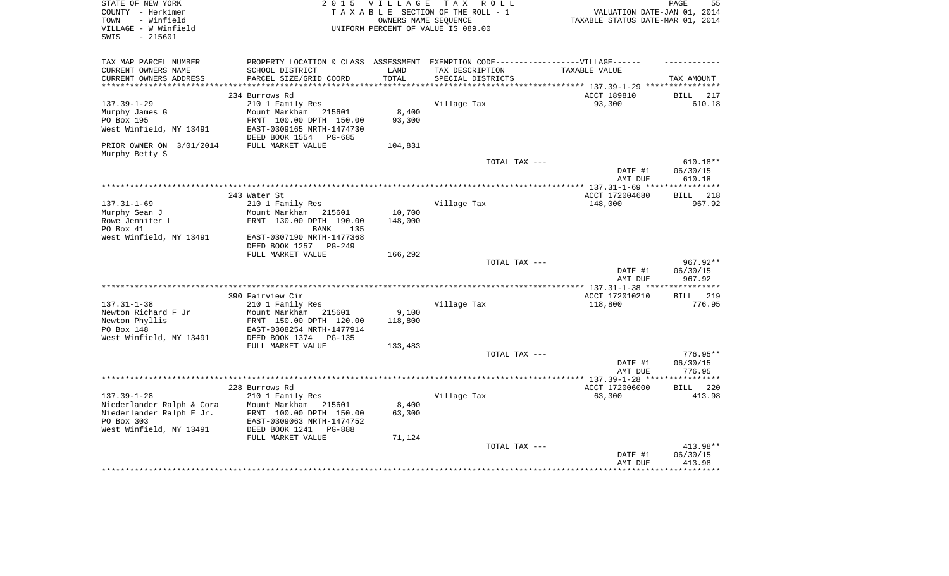| COUNTY - Herkimer<br>TAXABLE SECTION OF THE ROLL - 1                                                                     |                                  |                             |
|--------------------------------------------------------------------------------------------------------------------------|----------------------------------|-----------------------------|
|                                                                                                                          |                                  | VALUATION DATE-JAN 01, 2014 |
| TOWN<br>- Winfield<br>OWNERS NAME SEQUENCE                                                                               | TAXABLE STATUS DATE-MAR 01, 2014 |                             |
| VILLAGE - W Winfield<br>UNIFORM PERCENT OF VALUE IS 089.00                                                               |                                  |                             |
| $-215601$<br>SWIS                                                                                                        |                                  |                             |
|                                                                                                                          |                                  |                             |
| TAX MAP PARCEL NUMBER<br>PROPERTY LOCATION & CLASS ASSESSMENT<br>EXEMPTION CODE------------------VILLAGE------           |                                  |                             |
| CURRENT OWNERS NAME<br>SCHOOL DISTRICT<br>LAND<br>TAX DESCRIPTION                                                        | TAXABLE VALUE                    |                             |
| TOTAL<br>CURRENT OWNERS ADDRESS<br>PARCEL SIZE/GRID COORD<br>SPECIAL DISTRICTS<br>**********************<br>************ |                                  | TAX AMOUNT                  |
| ********************************* 137.39-1-29 ****************                                                           |                                  |                             |
| 234 Burrows Rd                                                                                                           | ACCT 189810                      | BILL<br>217                 |
| $137.39 - 1 - 29$<br>Village Tax<br>210 1 Family Res                                                                     | 93,300                           | 610.18                      |
| 8,400<br>Murphy James G<br>Mount Markham 215601                                                                          |                                  |                             |
| PO Box 195<br>93,300<br>FRNT 100.00 DPTH 150.00                                                                          |                                  |                             |
| West Winfield, NY 13491<br>EAST-0309165 NRTH-1474730                                                                     |                                  |                             |
| DEED BOOK 1554<br>PG-685                                                                                                 |                                  |                             |
| PRIOR OWNER ON 3/01/2014<br>FULL MARKET VALUE<br>104,831                                                                 |                                  |                             |
| Murphy Betty S<br>TOTAL TAX ---                                                                                          |                                  | $610.18**$                  |
|                                                                                                                          | DATE #1                          | 06/30/15                    |
|                                                                                                                          | AMT DUE                          | 610.18                      |
|                                                                                                                          | ** $137.31 - 1 - 69$ **          | *********                   |
| 243 Water St                                                                                                             | ACCT 172004680                   | 218<br><b>BILL</b>          |
| $137.31 - 1 - 69$<br>210 1 Family Res<br>Village Tax                                                                     | 148,000                          | 967.92                      |
| Murphy Sean J<br>Mount Markham<br>10,700<br>215601                                                                       |                                  |                             |
| Rowe Jennifer L<br>FRNT 130.00 DPTH 190.00<br>148,000                                                                    |                                  |                             |
| PO Box 41<br>BANK<br>135                                                                                                 |                                  |                             |
| West Winfield, NY 13491<br>EAST-0307190 NRTH-1477368                                                                     |                                  |                             |
| DEED BOOK 1257<br>PG-249                                                                                                 |                                  |                             |
| FULL MARKET VALUE<br>166,292                                                                                             |                                  |                             |
| TOTAL TAX ---                                                                                                            |                                  | 967.92**                    |
|                                                                                                                          | DATE #1                          | 06/30/15                    |
|                                                                                                                          | AMT DUE                          | 967.92                      |
|                                                                                                                          | *************** 137.31-1-38 **** | **********                  |
| 390 Fairview Cir                                                                                                         | ACCT 172010210                   | <b>BILL</b><br>219          |
| $137.31 - 1 - 38$<br>210 1 Family Res<br>Village Tax                                                                     | 118,800                          | 776.95                      |
| Newton Richard F Jr<br>9,100<br>Mount Markham<br>215601                                                                  |                                  |                             |
| Newton Phyllis<br>118,800<br>FRNT 150.00 DPTH 120.00                                                                     |                                  |                             |
| PO Box 148<br>EAST-0308254 NRTH-1477914                                                                                  |                                  |                             |
| West Winfield, NY 13491<br>DEED BOOK 1374<br>PG-135                                                                      |                                  |                             |
| FULL MARKET VALUE<br>133,483<br>TOTAL TAX ---                                                                            |                                  | $776.95**$                  |
|                                                                                                                          | DATE #1                          | 06/30/15                    |
|                                                                                                                          | AMT DUE                          | 776.95                      |
|                                                                                                                          |                                  | ********                    |
| 228 Burrows Rd                                                                                                           | ACCT 172006000                   | 220<br>BILL                 |
| $137.39 - 1 - 28$<br>Village Tax<br>210 1 Family Res                                                                     | 63,300                           | 413.98                      |
| Niederlander Ralph & Cora<br>Mount Markham 215601<br>8,400                                                               |                                  |                             |
| 63,300<br>Niederlander Ralph E Jr.<br>FRNT 100.00 DPTH 150.00                                                            |                                  |                             |
| PO Box 303<br>EAST-0309063 NRTH-1474752                                                                                  |                                  |                             |
| West Winfield, NY 13491<br>DEED BOOK 1241<br><b>PG-888</b>                                                               |                                  |                             |
| FULL MARKET VALUE<br>71,124                                                                                              |                                  |                             |
| TOTAL TAX ---                                                                                                            |                                  | 413.98**                    |
|                                                                                                                          | DATE #1                          | 06/30/15                    |
|                                                                                                                          | AMT DUE                          | 413.98                      |
|                                                                                                                          |                                  |                             |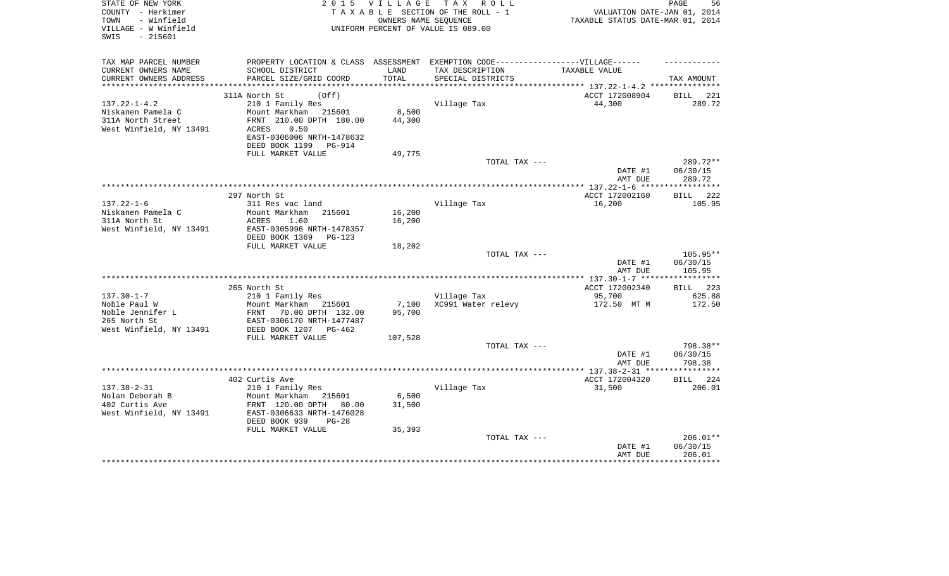| STATE OF NEW YORK<br>COUNTY - Herkimer<br>- Winfield<br>TOWN<br>VILLAGE - W Winfield<br>$-215601$<br>SWIS | 2 0 1 5                                                                                                                                                                                   |                            | VILLAGE TAX ROLL<br>TAXABLE SECTION OF THE ROLL - 1<br>OWNERS NAME SEQUENCE<br>UNIFORM PERCENT OF VALUE IS 089.00 | VALUATION DATE-JAN 01, 2014<br>TAXABLE STATUS DATE-MAR 01, 2014 | 56<br>PAGE                     |
|-----------------------------------------------------------------------------------------------------------|-------------------------------------------------------------------------------------------------------------------------------------------------------------------------------------------|----------------------------|-------------------------------------------------------------------------------------------------------------------|-----------------------------------------------------------------|--------------------------------|
| TAX MAP PARCEL NUMBER<br>CURRENT OWNERS NAME<br>CURRENT OWNERS ADDRESS                                    | PROPERTY LOCATION & CLASS ASSESSMENT EXEMPTION CODE-----------------VILLAGE------<br>SCHOOL DISTRICT<br>PARCEL SIZE/GRID COORD                                                            | LAND<br>TOTAL              | TAX DESCRIPTION<br>SPECIAL DISTRICTS                                                                              | TAXABLE VALUE                                                   | TAX AMOUNT                     |
| $137.22 - 1 - 4.2$<br>Niskanen Pamela C<br>311A North Street<br>West Winfield, NY 13491                   | 311A North St<br>(Off)<br>210 1 Family Res<br>Mount Markham 215601<br>FRNT 210.00 DPTH 180.00<br>0.50<br>ACRES<br>EAST-0306006 NRTH-1478632<br>DEED BOOK 1199 PG-914<br>FULL MARKET VALUE | 8,500<br>44,300<br>49,775  | Village Tax                                                                                                       | ACCT 172008904<br>44,300                                        | BILL 221<br>289.72             |
|                                                                                                           |                                                                                                                                                                                           |                            | TOTAL TAX ---                                                                                                     | DATE #1<br>AMT DUE                                              | 289.72**<br>06/30/15<br>289.72 |
|                                                                                                           |                                                                                                                                                                                           |                            |                                                                                                                   |                                                                 |                                |
| $137.22 - 1 - 6$<br>Niskanen Pamela C<br>311A North St<br>West Winfield, NY 13491                         | 297 North St<br>311 Res vac land<br>Mount Markham 215601<br>ACRES<br>1.60<br>EAST-0305996 NRTH-1478357<br>DEED BOOK 1369<br>$PG-123$                                                      | 16,200<br>16,200           | Village Tax                                                                                                       | ACCT 172002160<br>16,200                                        | BILL 222<br>105.95             |
|                                                                                                           | FULL MARKET VALUE                                                                                                                                                                         | 18,202                     | TOTAL TAX ---                                                                                                     | DATE #1<br>AMT DUE                                              | 105.95**<br>06/30/15<br>105.95 |
|                                                                                                           |                                                                                                                                                                                           |                            |                                                                                                                   |                                                                 |                                |
| $137.30 - 1 - 7$<br>Noble Paul W<br>Noble Jennifer L<br>265 North St<br>West Winfield, NY 13491           | 265 North St<br>210 1 Family Res<br>Mount Markham 215601<br>FRNT 70.00 DPTH 132.00<br>EAST-0306170 NRTH-1477487<br>DEED BOOK 1207 PG-462<br>FULL MARKET VALUE                             | 7,100<br>95,700<br>107,528 | Village Tax<br>XC991 Water relevy                                                                                 | ACCT 172002340<br>95,700<br>172.50 MT M                         | BILL 223<br>625.88<br>172.50   |
|                                                                                                           |                                                                                                                                                                                           |                            | TOTAL TAX ---                                                                                                     | DATE #1<br>AMT DUE                                              | 798.38**<br>06/30/15<br>798.38 |
|                                                                                                           |                                                                                                                                                                                           |                            |                                                                                                                   |                                                                 |                                |
| $137.38 - 2 - 31$<br>Nolan Deborah B<br>402 Curtis Ave<br>West Winfield, NY 13491                         | 402 Curtis Ave<br>210 1 Family Res<br>Mount Markham 215601<br>FRNT 120.00 DPTH 80.00<br>EAST-0306633 NRTH-1476028<br>DEED BOOK 939<br>$PG-28$<br>FULL MARKET VALUE                        | 6,500<br>31,500<br>35,393  | Village Tax                                                                                                       | ACCT 172004320<br>31,500                                        | BILL 224<br>206.01             |
|                                                                                                           |                                                                                                                                                                                           |                            | TOTAL TAX ---                                                                                                     | DATE #1<br>AMT DUE                                              | 206.01**<br>06/30/15<br>206.01 |
|                                                                                                           |                                                                                                                                                                                           |                            |                                                                                                                   |                                                                 | **********                     |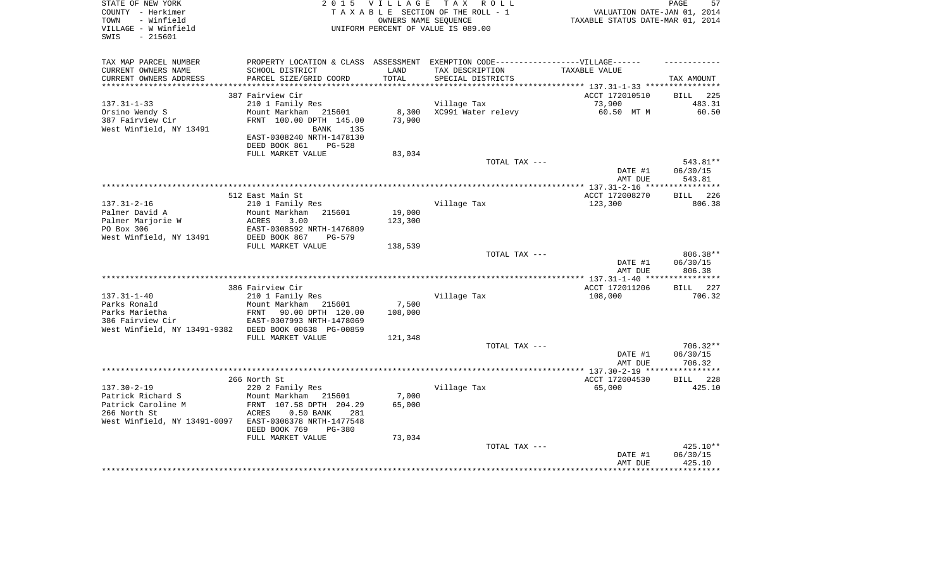| TAX MAP PARCEL NUMBER<br>PROPERTY LOCATION & CLASS ASSESSMENT EXEMPTION CODE-----------------VILLAGE------<br>CURRENT OWNERS NAME<br>SCHOOL DISTRICT<br>LAND<br>TAX DESCRIPTION<br>TAXABLE VALUE<br>CURRENT OWNERS ADDRESS<br>PARCEL SIZE/GRID COORD<br>TOTAL<br>SPECIAL DISTRICTS<br>TAX AMOUNT<br>*************************<br>387 Fairview Cir<br>ACCT 172010510<br><b>BILL</b><br>225<br>$137.31 - 1 - 33$<br>210 1 Family Res<br>Village Tax<br>73,900<br>483.31<br>XC991 Water relevy<br>60.50 MT M<br>60.50<br>Orsino Wendy S<br>Mount Markham<br>8,300<br>215601<br>387 Fairview Cir<br>73,900<br>FRNT 100.00 DPTH 145.00<br>West Winfield, NY 13491<br>BANK<br>135<br>EAST-0308240 NRTH-1478130<br>DEED BOOK 861<br><b>PG-528</b><br>FULL MARKET VALUE<br>83,034<br>543.81**<br>TOTAL TAX ---<br>DATE #1<br>06/30/15<br>AMT DUE<br>543.81<br>**********<br>**************** 137.31-2-16 ****<br>512 East Main St<br>226<br>ACCT 172008270<br>BILL<br>$137.31 - 2 - 16$<br>210 1 Family Res<br>Village Tax<br>123,300<br>806.38<br>19,000<br>Palmer David A<br>Mount Markham<br>215601<br>Palmer Marjorie W<br><b>ACRES</b><br>3.00<br>123,300<br>PO Box 306<br>EAST-0308592 NRTH-1476809<br>West Winfield, NY 13491<br>DEED BOOK 867<br>$PG-579$<br>FULL MARKET VALUE<br>138,539<br>806.38**<br>TOTAL TAX ---<br>DATE #1<br>06/30/15<br>AMT DUE<br>806.38<br>**********<br>386 Fairview Cir<br>ACCT 172011206<br>BILL 227<br>$137.31 - 1 - 40$<br>Village Tax<br>706.32<br>210 1 Family Res<br>108,000<br>Parks Ronald<br>Mount Markham<br>7,500<br>215601<br>Parks Marietha<br><b>FRNT</b><br>90.00 DPTH 120.00<br>108,000<br>386 Fairview Cir<br>EAST-0307993 NRTH-1478069<br>West Winfield, NY 13491-9382<br>DEED BOOK 00638 PG-00859<br>FULL MARKET VALUE<br>121,348<br>TOTAL TAX ---<br>$706.32**$<br>DATE #1<br>06/30/15<br>706.32<br>AMT DUE<br>266 North St<br>ACCT 172004530<br><b>BILL</b><br>228<br>$137.30 - 2 - 19$<br>Village Tax<br>65,000<br>425.10<br>220 2 Family Res<br>Patrick Richard S<br>7,000<br>Mount Markham<br>215601<br>Patrick Caroline M<br>FRNT 107.58 DPTH 204.29<br>65,000<br>266 North St<br>ACRES<br>$0.50$ BANK<br>281<br>West Winfield, NY 13491-0097<br>EAST-0306378 NRTH-1477548<br>DEED BOOK 769<br><b>PG-380</b><br>73,034<br>FULL MARKET VALUE<br>425.10**<br>TOTAL TAX ---<br>06/30/15<br>DATE #1<br>425.10<br>AMT DUE | STATE OF NEW YORK<br>COUNTY - Herkimer<br>- Winfield<br>TOWN<br>VILLAGE - W Winfield<br>$-215601$<br>SWIS | 2 0 1 5 | <b>VILLAGE</b><br>OWNERS NAME SEOUENCE | TAX ROLL<br>TAXABLE SECTION OF THE ROLL - 1<br>UNIFORM PERCENT OF VALUE IS 089.00 | VALUATION DATE-JAN 01, 2014<br>TAXABLE STATUS DATE-MAR 01, 2014 | PAGE<br>57 |
|----------------------------------------------------------------------------------------------------------------------------------------------------------------------------------------------------------------------------------------------------------------------------------------------------------------------------------------------------------------------------------------------------------------------------------------------------------------------------------------------------------------------------------------------------------------------------------------------------------------------------------------------------------------------------------------------------------------------------------------------------------------------------------------------------------------------------------------------------------------------------------------------------------------------------------------------------------------------------------------------------------------------------------------------------------------------------------------------------------------------------------------------------------------------------------------------------------------------------------------------------------------------------------------------------------------------------------------------------------------------------------------------------------------------------------------------------------------------------------------------------------------------------------------------------------------------------------------------------------------------------------------------------------------------------------------------------------------------------------------------------------------------------------------------------------------------------------------------------------------------------------------------------------------------------------------------------------------------------------------------------------------------------------------------------------------------------------------------------------------------------------------------------------------------------------------------------------------------------------------------------------------------------------------------------------------------------------------------------------------------------|-----------------------------------------------------------------------------------------------------------|---------|----------------------------------------|-----------------------------------------------------------------------------------|-----------------------------------------------------------------|------------|
|                                                                                                                                                                                                                                                                                                                                                                                                                                                                                                                                                                                                                                                                                                                                                                                                                                                                                                                                                                                                                                                                                                                                                                                                                                                                                                                                                                                                                                                                                                                                                                                                                                                                                                                                                                                                                                                                                                                                                                                                                                                                                                                                                                                                                                                                                                                                                                            |                                                                                                           |         |                                        |                                                                                   |                                                                 |            |
|                                                                                                                                                                                                                                                                                                                                                                                                                                                                                                                                                                                                                                                                                                                                                                                                                                                                                                                                                                                                                                                                                                                                                                                                                                                                                                                                                                                                                                                                                                                                                                                                                                                                                                                                                                                                                                                                                                                                                                                                                                                                                                                                                                                                                                                                                                                                                                            |                                                                                                           |         |                                        |                                                                                   |                                                                 |            |
|                                                                                                                                                                                                                                                                                                                                                                                                                                                                                                                                                                                                                                                                                                                                                                                                                                                                                                                                                                                                                                                                                                                                                                                                                                                                                                                                                                                                                                                                                                                                                                                                                                                                                                                                                                                                                                                                                                                                                                                                                                                                                                                                                                                                                                                                                                                                                                            |                                                                                                           |         |                                        |                                                                                   |                                                                 |            |
|                                                                                                                                                                                                                                                                                                                                                                                                                                                                                                                                                                                                                                                                                                                                                                                                                                                                                                                                                                                                                                                                                                                                                                                                                                                                                                                                                                                                                                                                                                                                                                                                                                                                                                                                                                                                                                                                                                                                                                                                                                                                                                                                                                                                                                                                                                                                                                            |                                                                                                           |         |                                        |                                                                                   |                                                                 |            |
|                                                                                                                                                                                                                                                                                                                                                                                                                                                                                                                                                                                                                                                                                                                                                                                                                                                                                                                                                                                                                                                                                                                                                                                                                                                                                                                                                                                                                                                                                                                                                                                                                                                                                                                                                                                                                                                                                                                                                                                                                                                                                                                                                                                                                                                                                                                                                                            |                                                                                                           |         |                                        |                                                                                   |                                                                 |            |
|                                                                                                                                                                                                                                                                                                                                                                                                                                                                                                                                                                                                                                                                                                                                                                                                                                                                                                                                                                                                                                                                                                                                                                                                                                                                                                                                                                                                                                                                                                                                                                                                                                                                                                                                                                                                                                                                                                                                                                                                                                                                                                                                                                                                                                                                                                                                                                            |                                                                                                           |         |                                        |                                                                                   |                                                                 |            |
|                                                                                                                                                                                                                                                                                                                                                                                                                                                                                                                                                                                                                                                                                                                                                                                                                                                                                                                                                                                                                                                                                                                                                                                                                                                                                                                                                                                                                                                                                                                                                                                                                                                                                                                                                                                                                                                                                                                                                                                                                                                                                                                                                                                                                                                                                                                                                                            |                                                                                                           |         |                                        |                                                                                   |                                                                 |            |
|                                                                                                                                                                                                                                                                                                                                                                                                                                                                                                                                                                                                                                                                                                                                                                                                                                                                                                                                                                                                                                                                                                                                                                                                                                                                                                                                                                                                                                                                                                                                                                                                                                                                                                                                                                                                                                                                                                                                                                                                                                                                                                                                                                                                                                                                                                                                                                            |                                                                                                           |         |                                        |                                                                                   |                                                                 |            |
|                                                                                                                                                                                                                                                                                                                                                                                                                                                                                                                                                                                                                                                                                                                                                                                                                                                                                                                                                                                                                                                                                                                                                                                                                                                                                                                                                                                                                                                                                                                                                                                                                                                                                                                                                                                                                                                                                                                                                                                                                                                                                                                                                                                                                                                                                                                                                                            |                                                                                                           |         |                                        |                                                                                   |                                                                 |            |
|                                                                                                                                                                                                                                                                                                                                                                                                                                                                                                                                                                                                                                                                                                                                                                                                                                                                                                                                                                                                                                                                                                                                                                                                                                                                                                                                                                                                                                                                                                                                                                                                                                                                                                                                                                                                                                                                                                                                                                                                                                                                                                                                                                                                                                                                                                                                                                            |                                                                                                           |         |                                        |                                                                                   |                                                                 |            |
|                                                                                                                                                                                                                                                                                                                                                                                                                                                                                                                                                                                                                                                                                                                                                                                                                                                                                                                                                                                                                                                                                                                                                                                                                                                                                                                                                                                                                                                                                                                                                                                                                                                                                                                                                                                                                                                                                                                                                                                                                                                                                                                                                                                                                                                                                                                                                                            |                                                                                                           |         |                                        |                                                                                   |                                                                 |            |
|                                                                                                                                                                                                                                                                                                                                                                                                                                                                                                                                                                                                                                                                                                                                                                                                                                                                                                                                                                                                                                                                                                                                                                                                                                                                                                                                                                                                                                                                                                                                                                                                                                                                                                                                                                                                                                                                                                                                                                                                                                                                                                                                                                                                                                                                                                                                                                            |                                                                                                           |         |                                        |                                                                                   |                                                                 |            |
|                                                                                                                                                                                                                                                                                                                                                                                                                                                                                                                                                                                                                                                                                                                                                                                                                                                                                                                                                                                                                                                                                                                                                                                                                                                                                                                                                                                                                                                                                                                                                                                                                                                                                                                                                                                                                                                                                                                                                                                                                                                                                                                                                                                                                                                                                                                                                                            |                                                                                                           |         |                                        |                                                                                   |                                                                 |            |
|                                                                                                                                                                                                                                                                                                                                                                                                                                                                                                                                                                                                                                                                                                                                                                                                                                                                                                                                                                                                                                                                                                                                                                                                                                                                                                                                                                                                                                                                                                                                                                                                                                                                                                                                                                                                                                                                                                                                                                                                                                                                                                                                                                                                                                                                                                                                                                            |                                                                                                           |         |                                        |                                                                                   |                                                                 |            |
|                                                                                                                                                                                                                                                                                                                                                                                                                                                                                                                                                                                                                                                                                                                                                                                                                                                                                                                                                                                                                                                                                                                                                                                                                                                                                                                                                                                                                                                                                                                                                                                                                                                                                                                                                                                                                                                                                                                                                                                                                                                                                                                                                                                                                                                                                                                                                                            |                                                                                                           |         |                                        |                                                                                   |                                                                 |            |
|                                                                                                                                                                                                                                                                                                                                                                                                                                                                                                                                                                                                                                                                                                                                                                                                                                                                                                                                                                                                                                                                                                                                                                                                                                                                                                                                                                                                                                                                                                                                                                                                                                                                                                                                                                                                                                                                                                                                                                                                                                                                                                                                                                                                                                                                                                                                                                            |                                                                                                           |         |                                        |                                                                                   |                                                                 |            |
|                                                                                                                                                                                                                                                                                                                                                                                                                                                                                                                                                                                                                                                                                                                                                                                                                                                                                                                                                                                                                                                                                                                                                                                                                                                                                                                                                                                                                                                                                                                                                                                                                                                                                                                                                                                                                                                                                                                                                                                                                                                                                                                                                                                                                                                                                                                                                                            |                                                                                                           |         |                                        |                                                                                   |                                                                 |            |
|                                                                                                                                                                                                                                                                                                                                                                                                                                                                                                                                                                                                                                                                                                                                                                                                                                                                                                                                                                                                                                                                                                                                                                                                                                                                                                                                                                                                                                                                                                                                                                                                                                                                                                                                                                                                                                                                                                                                                                                                                                                                                                                                                                                                                                                                                                                                                                            |                                                                                                           |         |                                        |                                                                                   |                                                                 |            |
|                                                                                                                                                                                                                                                                                                                                                                                                                                                                                                                                                                                                                                                                                                                                                                                                                                                                                                                                                                                                                                                                                                                                                                                                                                                                                                                                                                                                                                                                                                                                                                                                                                                                                                                                                                                                                                                                                                                                                                                                                                                                                                                                                                                                                                                                                                                                                                            |                                                                                                           |         |                                        |                                                                                   |                                                                 |            |
|                                                                                                                                                                                                                                                                                                                                                                                                                                                                                                                                                                                                                                                                                                                                                                                                                                                                                                                                                                                                                                                                                                                                                                                                                                                                                                                                                                                                                                                                                                                                                                                                                                                                                                                                                                                                                                                                                                                                                                                                                                                                                                                                                                                                                                                                                                                                                                            |                                                                                                           |         |                                        |                                                                                   |                                                                 |            |
|                                                                                                                                                                                                                                                                                                                                                                                                                                                                                                                                                                                                                                                                                                                                                                                                                                                                                                                                                                                                                                                                                                                                                                                                                                                                                                                                                                                                                                                                                                                                                                                                                                                                                                                                                                                                                                                                                                                                                                                                                                                                                                                                                                                                                                                                                                                                                                            |                                                                                                           |         |                                        |                                                                                   |                                                                 |            |
|                                                                                                                                                                                                                                                                                                                                                                                                                                                                                                                                                                                                                                                                                                                                                                                                                                                                                                                                                                                                                                                                                                                                                                                                                                                                                                                                                                                                                                                                                                                                                                                                                                                                                                                                                                                                                                                                                                                                                                                                                                                                                                                                                                                                                                                                                                                                                                            |                                                                                                           |         |                                        |                                                                                   |                                                                 |            |
|                                                                                                                                                                                                                                                                                                                                                                                                                                                                                                                                                                                                                                                                                                                                                                                                                                                                                                                                                                                                                                                                                                                                                                                                                                                                                                                                                                                                                                                                                                                                                                                                                                                                                                                                                                                                                                                                                                                                                                                                                                                                                                                                                                                                                                                                                                                                                                            |                                                                                                           |         |                                        |                                                                                   |                                                                 |            |
|                                                                                                                                                                                                                                                                                                                                                                                                                                                                                                                                                                                                                                                                                                                                                                                                                                                                                                                                                                                                                                                                                                                                                                                                                                                                                                                                                                                                                                                                                                                                                                                                                                                                                                                                                                                                                                                                                                                                                                                                                                                                                                                                                                                                                                                                                                                                                                            |                                                                                                           |         |                                        |                                                                                   |                                                                 |            |
|                                                                                                                                                                                                                                                                                                                                                                                                                                                                                                                                                                                                                                                                                                                                                                                                                                                                                                                                                                                                                                                                                                                                                                                                                                                                                                                                                                                                                                                                                                                                                                                                                                                                                                                                                                                                                                                                                                                                                                                                                                                                                                                                                                                                                                                                                                                                                                            |                                                                                                           |         |                                        |                                                                                   |                                                                 |            |
|                                                                                                                                                                                                                                                                                                                                                                                                                                                                                                                                                                                                                                                                                                                                                                                                                                                                                                                                                                                                                                                                                                                                                                                                                                                                                                                                                                                                                                                                                                                                                                                                                                                                                                                                                                                                                                                                                                                                                                                                                                                                                                                                                                                                                                                                                                                                                                            |                                                                                                           |         |                                        |                                                                                   |                                                                 |            |
|                                                                                                                                                                                                                                                                                                                                                                                                                                                                                                                                                                                                                                                                                                                                                                                                                                                                                                                                                                                                                                                                                                                                                                                                                                                                                                                                                                                                                                                                                                                                                                                                                                                                                                                                                                                                                                                                                                                                                                                                                                                                                                                                                                                                                                                                                                                                                                            |                                                                                                           |         |                                        |                                                                                   |                                                                 |            |
|                                                                                                                                                                                                                                                                                                                                                                                                                                                                                                                                                                                                                                                                                                                                                                                                                                                                                                                                                                                                                                                                                                                                                                                                                                                                                                                                                                                                                                                                                                                                                                                                                                                                                                                                                                                                                                                                                                                                                                                                                                                                                                                                                                                                                                                                                                                                                                            |                                                                                                           |         |                                        |                                                                                   |                                                                 |            |
|                                                                                                                                                                                                                                                                                                                                                                                                                                                                                                                                                                                                                                                                                                                                                                                                                                                                                                                                                                                                                                                                                                                                                                                                                                                                                                                                                                                                                                                                                                                                                                                                                                                                                                                                                                                                                                                                                                                                                                                                                                                                                                                                                                                                                                                                                                                                                                            |                                                                                                           |         |                                        |                                                                                   |                                                                 |            |
|                                                                                                                                                                                                                                                                                                                                                                                                                                                                                                                                                                                                                                                                                                                                                                                                                                                                                                                                                                                                                                                                                                                                                                                                                                                                                                                                                                                                                                                                                                                                                                                                                                                                                                                                                                                                                                                                                                                                                                                                                                                                                                                                                                                                                                                                                                                                                                            |                                                                                                           |         |                                        |                                                                                   |                                                                 |            |
|                                                                                                                                                                                                                                                                                                                                                                                                                                                                                                                                                                                                                                                                                                                                                                                                                                                                                                                                                                                                                                                                                                                                                                                                                                                                                                                                                                                                                                                                                                                                                                                                                                                                                                                                                                                                                                                                                                                                                                                                                                                                                                                                                                                                                                                                                                                                                                            |                                                                                                           |         |                                        |                                                                                   |                                                                 |            |
|                                                                                                                                                                                                                                                                                                                                                                                                                                                                                                                                                                                                                                                                                                                                                                                                                                                                                                                                                                                                                                                                                                                                                                                                                                                                                                                                                                                                                                                                                                                                                                                                                                                                                                                                                                                                                                                                                                                                                                                                                                                                                                                                                                                                                                                                                                                                                                            |                                                                                                           |         |                                        |                                                                                   |                                                                 |            |
|                                                                                                                                                                                                                                                                                                                                                                                                                                                                                                                                                                                                                                                                                                                                                                                                                                                                                                                                                                                                                                                                                                                                                                                                                                                                                                                                                                                                                                                                                                                                                                                                                                                                                                                                                                                                                                                                                                                                                                                                                                                                                                                                                                                                                                                                                                                                                                            |                                                                                                           |         |                                        |                                                                                   |                                                                 |            |
|                                                                                                                                                                                                                                                                                                                                                                                                                                                                                                                                                                                                                                                                                                                                                                                                                                                                                                                                                                                                                                                                                                                                                                                                                                                                                                                                                                                                                                                                                                                                                                                                                                                                                                                                                                                                                                                                                                                                                                                                                                                                                                                                                                                                                                                                                                                                                                            |                                                                                                           |         |                                        |                                                                                   |                                                                 |            |
|                                                                                                                                                                                                                                                                                                                                                                                                                                                                                                                                                                                                                                                                                                                                                                                                                                                                                                                                                                                                                                                                                                                                                                                                                                                                                                                                                                                                                                                                                                                                                                                                                                                                                                                                                                                                                                                                                                                                                                                                                                                                                                                                                                                                                                                                                                                                                                            |                                                                                                           |         |                                        |                                                                                   |                                                                 |            |
|                                                                                                                                                                                                                                                                                                                                                                                                                                                                                                                                                                                                                                                                                                                                                                                                                                                                                                                                                                                                                                                                                                                                                                                                                                                                                                                                                                                                                                                                                                                                                                                                                                                                                                                                                                                                                                                                                                                                                                                                                                                                                                                                                                                                                                                                                                                                                                            |                                                                                                           |         |                                        |                                                                                   |                                                                 |            |
|                                                                                                                                                                                                                                                                                                                                                                                                                                                                                                                                                                                                                                                                                                                                                                                                                                                                                                                                                                                                                                                                                                                                                                                                                                                                                                                                                                                                                                                                                                                                                                                                                                                                                                                                                                                                                                                                                                                                                                                                                                                                                                                                                                                                                                                                                                                                                                            |                                                                                                           |         |                                        |                                                                                   |                                                                 |            |
|                                                                                                                                                                                                                                                                                                                                                                                                                                                                                                                                                                                                                                                                                                                                                                                                                                                                                                                                                                                                                                                                                                                                                                                                                                                                                                                                                                                                                                                                                                                                                                                                                                                                                                                                                                                                                                                                                                                                                                                                                                                                                                                                                                                                                                                                                                                                                                            |                                                                                                           |         |                                        |                                                                                   |                                                                 |            |
|                                                                                                                                                                                                                                                                                                                                                                                                                                                                                                                                                                                                                                                                                                                                                                                                                                                                                                                                                                                                                                                                                                                                                                                                                                                                                                                                                                                                                                                                                                                                                                                                                                                                                                                                                                                                                                                                                                                                                                                                                                                                                                                                                                                                                                                                                                                                                                            |                                                                                                           |         |                                        |                                                                                   |                                                                 |            |
|                                                                                                                                                                                                                                                                                                                                                                                                                                                                                                                                                                                                                                                                                                                                                                                                                                                                                                                                                                                                                                                                                                                                                                                                                                                                                                                                                                                                                                                                                                                                                                                                                                                                                                                                                                                                                                                                                                                                                                                                                                                                                                                                                                                                                                                                                                                                                                            |                                                                                                           |         |                                        |                                                                                   |                                                                 |            |
|                                                                                                                                                                                                                                                                                                                                                                                                                                                                                                                                                                                                                                                                                                                                                                                                                                                                                                                                                                                                                                                                                                                                                                                                                                                                                                                                                                                                                                                                                                                                                                                                                                                                                                                                                                                                                                                                                                                                                                                                                                                                                                                                                                                                                                                                                                                                                                            |                                                                                                           |         |                                        |                                                                                   |                                                                 |            |
|                                                                                                                                                                                                                                                                                                                                                                                                                                                                                                                                                                                                                                                                                                                                                                                                                                                                                                                                                                                                                                                                                                                                                                                                                                                                                                                                                                                                                                                                                                                                                                                                                                                                                                                                                                                                                                                                                                                                                                                                                                                                                                                                                                                                                                                                                                                                                                            |                                                                                                           |         |                                        |                                                                                   |                                                                 |            |
|                                                                                                                                                                                                                                                                                                                                                                                                                                                                                                                                                                                                                                                                                                                                                                                                                                                                                                                                                                                                                                                                                                                                                                                                                                                                                                                                                                                                                                                                                                                                                                                                                                                                                                                                                                                                                                                                                                                                                                                                                                                                                                                                                                                                                                                                                                                                                                            |                                                                                                           |         |                                        |                                                                                   |                                                                 |            |
|                                                                                                                                                                                                                                                                                                                                                                                                                                                                                                                                                                                                                                                                                                                                                                                                                                                                                                                                                                                                                                                                                                                                                                                                                                                                                                                                                                                                                                                                                                                                                                                                                                                                                                                                                                                                                                                                                                                                                                                                                                                                                                                                                                                                                                                                                                                                                                            |                                                                                                           |         |                                        |                                                                                   |                                                                 |            |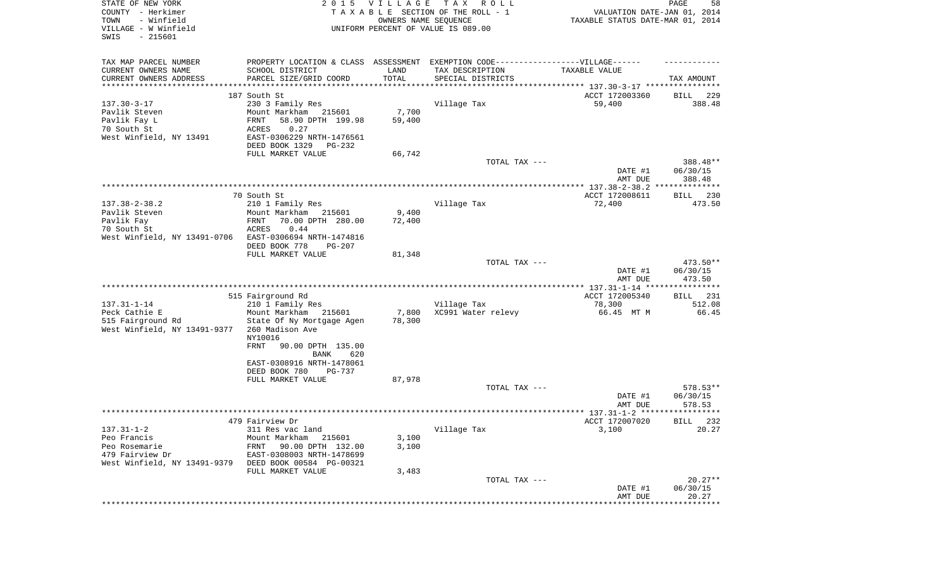| STATE OF NEW YORK<br>COUNTY - Herkimer<br>- Winfield<br>TOWN<br>VILLAGE - W Winfield<br>SWIS<br>$-215601$ |                                                                                  | 2015 VILLAGE<br>OWNERS NAME SEQUENCE | T A X<br>R O L L<br>TAXABLE SECTION OF THE ROLL - 1<br>UNIFORM PERCENT OF VALUE IS 089.00 | VALUATION DATE-JAN 01, 2014<br>TAXABLE STATUS DATE-MAR 01, 2014 | PAGE<br>58            |
|-----------------------------------------------------------------------------------------------------------|----------------------------------------------------------------------------------|--------------------------------------|-------------------------------------------------------------------------------------------|-----------------------------------------------------------------|-----------------------|
| TAX MAP PARCEL NUMBER                                                                                     | PROPERTY LOCATION & CLASS ASSESSMENT EXEMPTION CODE----------------VILLAGE------ |                                      |                                                                                           |                                                                 |                       |
| CURRENT OWNERS NAME<br>CURRENT OWNERS ADDRESS                                                             | SCHOOL DISTRICT<br>PARCEL SIZE/GRID COORD                                        | LAND<br>TOTAL                        | TAX DESCRIPTION<br>SPECIAL DISTRICTS                                                      | TAXABLE VALUE                                                   | TAX AMOUNT            |
| ***********************                                                                                   |                                                                                  |                                      |                                                                                           |                                                                 |                       |
|                                                                                                           | 187 South St                                                                     |                                      |                                                                                           | ACCT 172003360                                                  | 229<br>BILL           |
| $137.30 - 3 - 17$                                                                                         | 230 3 Family Res                                                                 |                                      | Village Tax                                                                               | 59,400                                                          | 388.48                |
| Pavlik Steven                                                                                             | Mount Markham 215601                                                             | 7,700                                |                                                                                           |                                                                 |                       |
| Pavlik Fay L<br>70 South St                                                                               | 58.90 DPTH 199.98<br>FRNT<br>0.27                                                | 59,400                               |                                                                                           |                                                                 |                       |
| West Winfield, NY 13491                                                                                   | ACRES<br>EAST-0306229 NRTH-1476561                                               |                                      |                                                                                           |                                                                 |                       |
|                                                                                                           | DEED BOOK 1329<br>PG-232                                                         |                                      |                                                                                           |                                                                 |                       |
|                                                                                                           | FULL MARKET VALUE                                                                | 66,742                               |                                                                                           |                                                                 |                       |
|                                                                                                           |                                                                                  |                                      | TOTAL TAX ---                                                                             |                                                                 | 388.48**              |
|                                                                                                           |                                                                                  |                                      |                                                                                           | DATE #1                                                         | 06/30/15              |
|                                                                                                           |                                                                                  |                                      |                                                                                           | AMT DUE                                                         | 388.48                |
|                                                                                                           | 70 South St                                                                      |                                      |                                                                                           | ACCT 172008611                                                  | 230<br>BILL           |
| $137.38 - 2 - 38.2$                                                                                       | 210 1 Family Res                                                                 |                                      | Village Tax                                                                               | 72,400                                                          | 473.50                |
| Pavlik Steven                                                                                             | Mount Markham<br>215601                                                          | 9,400                                |                                                                                           |                                                                 |                       |
| Pavlik Fay                                                                                                | 70.00 DPTH 280.00<br>FRNT                                                        | 72,400                               |                                                                                           |                                                                 |                       |
| 70 South St                                                                                               | 0.44<br>ACRES                                                                    |                                      |                                                                                           |                                                                 |                       |
| West Winfield, NY 13491-0706                                                                              | EAST-0306694 NRTH-1474816                                                        |                                      |                                                                                           |                                                                 |                       |
|                                                                                                           | DEED BOOK 778<br>PG-207                                                          |                                      |                                                                                           |                                                                 |                       |
|                                                                                                           | FULL MARKET VALUE                                                                | 81,348                               | TOTAL TAX ---                                                                             |                                                                 | 473.50**              |
|                                                                                                           |                                                                                  |                                      |                                                                                           | DATE #1<br>AMT DUE                                              | 06/30/15<br>473.50    |
|                                                                                                           |                                                                                  |                                      |                                                                                           |                                                                 |                       |
|                                                                                                           | 515 Fairground Rd                                                                |                                      |                                                                                           | ACCT 172005340                                                  | BILL 231              |
| $137.31 - 1 - 14$<br>Peck Cathie E                                                                        | 210 1 Family Res<br>Mount Markham 215601                                         | 7,800                                | Village Tax<br>XC991 Water relevy                                                         | 78,300<br>66.45 MT M                                            | 512.08<br>66.45       |
| 515 Fairground Rd<br>West Winfield, NY 13491-9377                                                         | State Of Ny Mortgage Agen<br>260 Madison Ave<br>NY10016                          | 78,300                               |                                                                                           |                                                                 |                       |
|                                                                                                           | <b>FRNT</b><br>90.00 DPTH 135.00<br>BANK<br>620                                  |                                      |                                                                                           |                                                                 |                       |
|                                                                                                           | EAST-0308916 NRTH-1478061<br>DEED BOOK 780<br>PG-737                             |                                      |                                                                                           |                                                                 |                       |
|                                                                                                           | FULL MARKET VALUE                                                                | 87,978                               |                                                                                           |                                                                 |                       |
|                                                                                                           |                                                                                  |                                      | TOTAL TAX ---                                                                             |                                                                 | 578.53**              |
|                                                                                                           |                                                                                  |                                      |                                                                                           | DATE #1<br>AMT DUE                                              | 06/30/15<br>578.53    |
|                                                                                                           |                                                                                  |                                      |                                                                                           |                                                                 |                       |
|                                                                                                           | 479 Fairview Dr                                                                  |                                      |                                                                                           | ACCT 172007020                                                  | BILL 232              |
| $137.31 - 1 - 2$                                                                                          | 311 Res vac land                                                                 |                                      | Village Tax                                                                               | 3,100                                                           | 20.27                 |
| Peo Francis                                                                                               | Mount Markham<br>215601                                                          | 3,100                                |                                                                                           |                                                                 |                       |
| Peo Rosemarie<br>479 Fairview Dr                                                                          | 90.00 DPTH 132.00<br>FRNT<br>EAST-0308003 NRTH-1478699                           | 3,100                                |                                                                                           |                                                                 |                       |
| West Winfield, NY 13491-9379                                                                              | DEED BOOK 00584 PG-00321                                                         |                                      |                                                                                           |                                                                 |                       |
|                                                                                                           | FULL MARKET VALUE                                                                | 3,483                                |                                                                                           |                                                                 |                       |
|                                                                                                           |                                                                                  |                                      | TOTAL TAX ---                                                                             |                                                                 | $20.27**$             |
|                                                                                                           |                                                                                  |                                      |                                                                                           | DATE #1                                                         | 06/30/15              |
|                                                                                                           |                                                                                  |                                      |                                                                                           | AMT DUE                                                         | 20.27<br>************ |
|                                                                                                           |                                                                                  |                                      |                                                                                           |                                                                 |                       |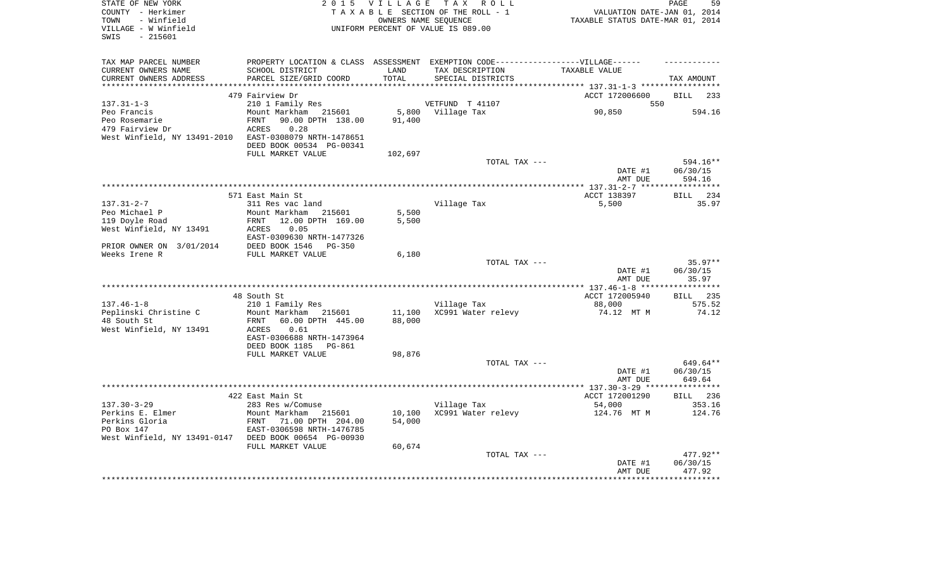| STATE OF NEW YORK<br>COUNTY - Herkimer     | 2 0 1 5                                               | <b>VILLAGE</b>   | TAX ROLL<br>TAXABLE SECTION OF THE ROLL - 1                                       | VALUATION DATE-JAN 01, 2014      | 59<br>PAGE         |
|--------------------------------------------|-------------------------------------------------------|------------------|-----------------------------------------------------------------------------------|----------------------------------|--------------------|
| - Winfield<br>TOWN                         |                                                       |                  | OWNERS NAME SEOUENCE                                                              | TAXABLE STATUS DATE-MAR 01, 2014 |                    |
| VILLAGE - W Winfield<br>$-215601$<br>SWIS  |                                                       |                  | UNIFORM PERCENT OF VALUE IS 089.00                                                |                                  |                    |
|                                            |                                                       |                  |                                                                                   |                                  |                    |
| TAX MAP PARCEL NUMBER                      |                                                       |                  | PROPERTY LOCATION & CLASS ASSESSMENT EXEMPTION CODE-----------------VILLAGE------ |                                  |                    |
| CURRENT OWNERS NAME                        | SCHOOL DISTRICT                                       | LAND             | TAX DESCRIPTION                                                                   | TAXABLE VALUE                    |                    |
| CURRENT OWNERS ADDRESS                     | PARCEL SIZE/GRID COORD                                | TOTAL            | SPECIAL DISTRICTS                                                                 |                                  | TAX AMOUNT         |
| **********************                     |                                                       | ************     |                                                                                   |                                  |                    |
|                                            | 479 Fairview Dr                                       |                  |                                                                                   | ACCT 172006600                   | <b>BILL</b><br>233 |
| $137.31 - 1 - 3$                           | 210 1 Family Res                                      |                  | VETFUND T 41107                                                                   | 550                              |                    |
| Peo Francis                                | Mount Markham 215601                                  | 5,800            | Village Tax                                                                       | 90,850                           | 594.16             |
| Peo Rosemarie                              | 90.00 DPTH 138.00<br>FRNT                             | 91,400           |                                                                                   |                                  |                    |
| 479 Fairview Dr                            | 0.28<br>ACRES                                         |                  |                                                                                   |                                  |                    |
| West Winfield, NY 13491-2010               | EAST-0308079 NRTH-1478651                             |                  |                                                                                   |                                  |                    |
|                                            | DEED BOOK 00534 PG-00341                              |                  |                                                                                   |                                  |                    |
|                                            | FULL MARKET VALUE                                     | 102,697          |                                                                                   |                                  |                    |
|                                            |                                                       |                  | TOTAL TAX ---                                                                     |                                  | 594.16**           |
|                                            |                                                       |                  |                                                                                   | DATE #1                          | 06/30/15           |
|                                            |                                                       |                  |                                                                                   | AMT DUE                          | 594.16             |
|                                            | 571 East Main St                                      |                  |                                                                                   | ACCT 138397                      | BILL 234           |
| $137.31 - 2 - 7$                           | 311 Res vac land                                      |                  | Village Tax                                                                       | 5,500                            | 35.97              |
| Peo Michael P                              | Mount Markham<br>215601                               | 5,500            |                                                                                   |                                  |                    |
| 119 Doyle Road                             | 12.00 DPTH 169.00<br>FRNT                             | 5,500            |                                                                                   |                                  |                    |
| West Winfield, NY 13491                    | ACRES<br>0.05                                         |                  |                                                                                   |                                  |                    |
|                                            | EAST-0309630 NRTH-1477326                             |                  |                                                                                   |                                  |                    |
| PRIOR OWNER ON 3/01/2014                   | DEED BOOK 1546<br>$PG-350$                            |                  |                                                                                   |                                  |                    |
| Weeks Irene R                              | FULL MARKET VALUE                                     | 6,180            |                                                                                   |                                  |                    |
|                                            |                                                       |                  | TOTAL TAX ---                                                                     |                                  | $35.97**$          |
|                                            |                                                       |                  |                                                                                   | DATE #1                          | 06/30/15           |
|                                            |                                                       |                  |                                                                                   | AMT DUE                          | 35.97              |
|                                            |                                                       |                  |                                                                                   | *********** 137.46-1-8 ***       | **********         |
|                                            | 48 South St                                           |                  |                                                                                   | ACCT 172005940                   | 235<br><b>BILL</b> |
| $137.46 - 1 - 8$                           | 210 1 Family Res                                      |                  | Village Tax                                                                       | 88,000                           | 575.52             |
| Peplinski Christine C<br>48 South St       | Mount Markham 215601<br>60.00 DPTH 445.00<br>FRNT     | 11,100<br>88,000 | XC991 Water relevy                                                                | 74.12 MT M                       | 74.12              |
| West Winfield, NY 13491                    | 0.61<br>ACRES                                         |                  |                                                                                   |                                  |                    |
|                                            | EAST-0306688 NRTH-1473964                             |                  |                                                                                   |                                  |                    |
|                                            | DEED BOOK 1185<br>PG-861                              |                  |                                                                                   |                                  |                    |
|                                            | FULL MARKET VALUE                                     | 98,876           |                                                                                   |                                  |                    |
|                                            |                                                       |                  | TOTAL TAX ---                                                                     |                                  | 649.64**           |
|                                            |                                                       |                  |                                                                                   | DATE #1                          | 06/30/15           |
|                                            |                                                       |                  |                                                                                   | AMT DUE                          | 649.64             |
|                                            |                                                       |                  |                                                                                   | ************ 137.30-3-29 ***     | ***********        |
|                                            | 422 East Main St                                      |                  |                                                                                   | ACCT 172001290                   | BILL 236           |
| $137.30 - 3 - 29$                          | 283 Res w/Comuse                                      |                  | Village Tax                                                                       | 54,000                           | 353.16             |
| Perkins E. Elmer                           | Mount Markham 215601                                  | 10,100           | XC991 Water relevy                                                                | 124.76 MT M                      | 124.76             |
| Perkins Gloria                             | FRNT<br>71.00 DPTH 204.00                             | 54,000           |                                                                                   |                                  |                    |
| PO Box 147<br>West Winfield, NY 13491-0147 | EAST-0306598 NRTH-1476785<br>DEED BOOK 00654 PG-00930 |                  |                                                                                   |                                  |                    |
|                                            | FULL MARKET VALUE                                     | 60,674           |                                                                                   |                                  |                    |
|                                            |                                                       |                  | TOTAL TAX ---                                                                     |                                  | 477.92**           |
|                                            |                                                       |                  |                                                                                   | DATE #1                          | 06/30/15           |
|                                            |                                                       |                  |                                                                                   | AMT DUE                          | 477.92             |
|                                            |                                                       |                  |                                                                                   |                                  |                    |
|                                            |                                                       |                  |                                                                                   |                                  |                    |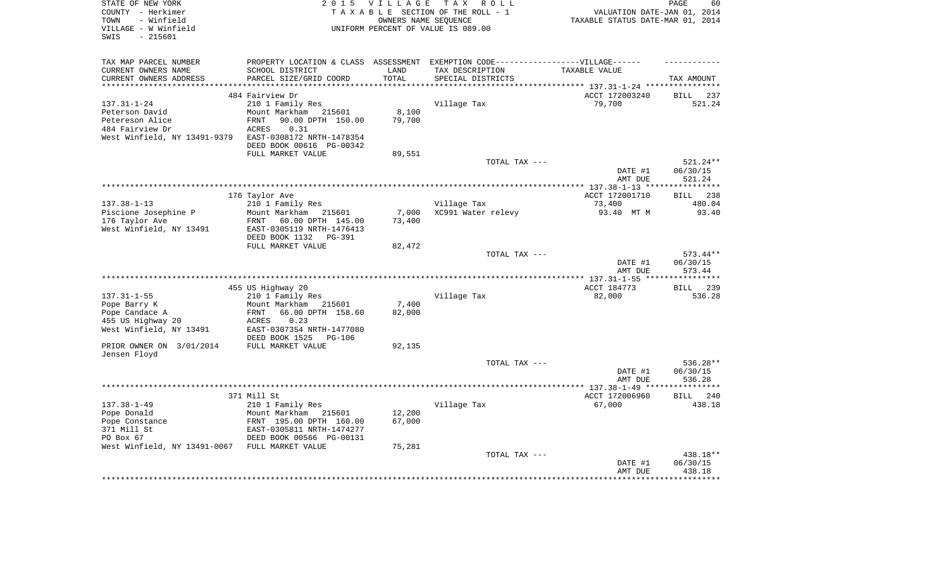| STATE OF NEW YORK                              | 2 0 1 5                          | <b>VILLAGE</b> | TAX ROLL                                                                          |                                           | PAGE<br>60              |
|------------------------------------------------|----------------------------------|----------------|-----------------------------------------------------------------------------------|-------------------------------------------|-------------------------|
| COUNTY - Herkimer                              |                                  |                | TAXABLE SECTION OF THE ROLL - 1                                                   | VALUATION DATE-JAN 01, 2014               |                         |
| - Winfield<br>TOWN                             |                                  |                | OWNERS NAME SEOUENCE                                                              | TAXABLE STATUS DATE-MAR 01, 2014          |                         |
| VILLAGE - W Winfield                           |                                  |                | UNIFORM PERCENT OF VALUE IS 089.00                                                |                                           |                         |
| $-215601$<br>SWIS                              |                                  |                |                                                                                   |                                           |                         |
|                                                |                                  |                |                                                                                   |                                           |                         |
| TAX MAP PARCEL NUMBER                          |                                  |                | PROPERTY LOCATION & CLASS ASSESSMENT EXEMPTION CODE-----------------VILLAGE------ |                                           |                         |
| CURRENT OWNERS NAME                            | SCHOOL DISTRICT                  | LAND           | TAX DESCRIPTION                                                                   | TAXABLE VALUE                             |                         |
| CURRENT OWNERS ADDRESS                         | PARCEL SIZE/GRID COORD           | TOTAL          | SPECIAL DISTRICTS                                                                 | *********** 137.31-1-24 ***************** | TAX AMOUNT              |
|                                                | 484 Fairview Dr                  |                |                                                                                   | ACCT 172003240                            | BILL<br>237             |
| $137.31 - 1 - 24$                              | 210 1 Family Res                 |                | Village Tax                                                                       | 79,700                                    | 521.24                  |
| Peterson David                                 | Mount Markham<br>215601          | 8,100          |                                                                                   |                                           |                         |
| Petereson Alice                                | 90.00 DPTH 150.00<br><b>FRNT</b> | 79,700         |                                                                                   |                                           |                         |
| 484 Fairview Dr                                | 0.31<br>ACRES                    |                |                                                                                   |                                           |                         |
| West Winfield, NY 13491-9379                   | EAST-0308172 NRTH-1478354        |                |                                                                                   |                                           |                         |
|                                                | DEED BOOK 00616 PG-00342         |                |                                                                                   |                                           |                         |
|                                                |                                  |                |                                                                                   |                                           |                         |
|                                                | FULL MARKET VALUE                | 89,551         | TOTAL TAX ---                                                                     |                                           | 521.24**                |
|                                                |                                  |                |                                                                                   | DATE #1                                   | 06/30/15                |
|                                                |                                  |                |                                                                                   | AMT DUE                                   | 521.24                  |
|                                                |                                  |                |                                                                                   |                                           | * * * * * * * * * * * * |
|                                                | 176 Taylor Ave                   |                |                                                                                   | ACCT 172001710                            | BILL 238                |
| $137.38 - 1 - 13$                              | 210 1 Family Res                 |                | Village Tax                                                                       | 73,400                                    | 480.04                  |
| Piscione Josephine P                           | Mount Markham 215601             | 7,000          | XC991 Water relevy                                                                | 93.40 MT M                                | 93.40                   |
| 176 Taylor Ave                                 | FRNT<br>60.00 DPTH 145.00        | 73,400         |                                                                                   |                                           |                         |
| West Winfield, NY 13491                        | EAST-0305119 NRTH-1476413        |                |                                                                                   |                                           |                         |
|                                                | DEED BOOK 1132<br>PG-391         |                |                                                                                   |                                           |                         |
|                                                | FULL MARKET VALUE                | 82,472         |                                                                                   |                                           |                         |
|                                                |                                  |                | TOTAL TAX ---                                                                     |                                           | 573.44**                |
|                                                |                                  |                |                                                                                   | DATE #1                                   | 06/30/15                |
|                                                |                                  |                |                                                                                   | AMT DUE                                   | 573.44                  |
|                                                |                                  |                |                                                                                   |                                           |                         |
|                                                | 455 US Highway 20                |                |                                                                                   | ACCT 184773                               | BILL 239                |
| $137.31 - 1 - 55$                              | 210 1 Family Res                 |                | Village Tax                                                                       | 82,000                                    | 536.28                  |
| Pope Barry K                                   | Mount Markham 215601             | 7,400          |                                                                                   |                                           |                         |
| Pope Candace A                                 | <b>FRNT</b><br>66.00 DPTH 158.60 | 82,000         |                                                                                   |                                           |                         |
| 455 US Highway 20                              | ACRES<br>0.23                    |                |                                                                                   |                                           |                         |
| West Winfield, NY 13491                        | EAST-0307354 NRTH-1477080        |                |                                                                                   |                                           |                         |
|                                                | DEED BOOK 1525<br><b>PG-106</b>  |                |                                                                                   |                                           |                         |
| PRIOR OWNER ON 3/01/2014                       | FULL MARKET VALUE                | 92,135         |                                                                                   |                                           |                         |
| Jensen Floyd                                   |                                  |                |                                                                                   |                                           |                         |
|                                                |                                  |                | TOTAL TAX ---                                                                     |                                           | 536.28**                |
|                                                |                                  |                |                                                                                   | DATE #1                                   | 06/30/15                |
|                                                |                                  |                |                                                                                   | AMT DUE                                   | 536.28                  |
|                                                |                                  |                |                                                                                   |                                           | ***********             |
|                                                | 371 Mill St                      |                |                                                                                   | ACCT 172006960                            | BILL 240                |
| $137.38 - 1 - 49$                              | 210 1 Family Res                 |                | Village Tax                                                                       | 67,000                                    | 438.18                  |
| Pope Donald                                    | Mount Markham 215601             | 12,200         |                                                                                   |                                           |                         |
| Pope Constance                                 | FRNT 195.00 DPTH 160.00          | 67,000         |                                                                                   |                                           |                         |
| 371 Mill St                                    | EAST-0305811 NRTH-1474277        |                |                                                                                   |                                           |                         |
| PO Box 67                                      | DEED BOOK 00566 PG-00131         |                |                                                                                   |                                           |                         |
| West Winfield, NY 13491-0067 FULL MARKET VALUE |                                  | 75,281         |                                                                                   |                                           |                         |
|                                                |                                  |                | TOTAL TAX ---                                                                     |                                           | 438.18**                |
|                                                |                                  |                |                                                                                   | DATE #1                                   | 06/30/15                |
|                                                |                                  |                |                                                                                   | AMT DUE                                   | 438.18                  |
|                                                |                                  |                |                                                                                   |                                           |                         |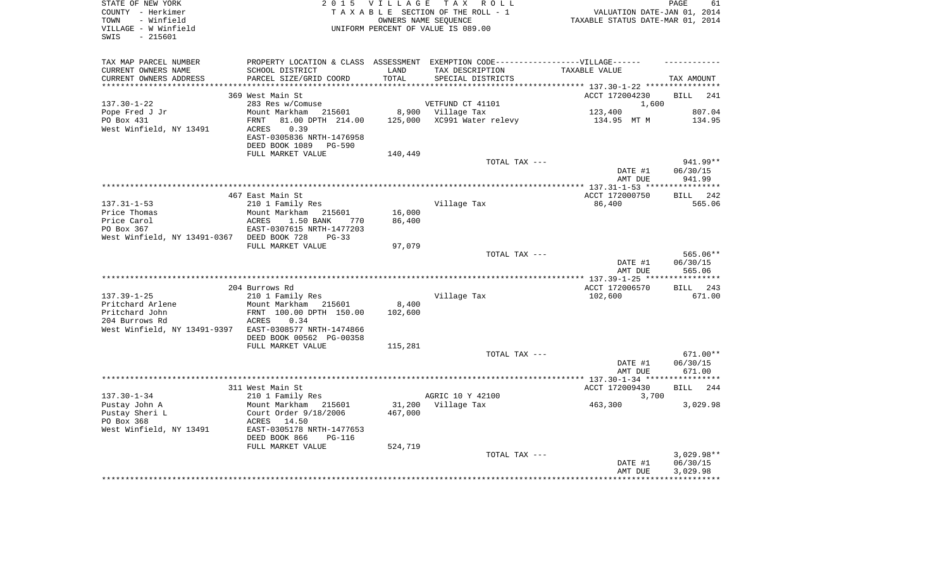| STATE OF NEW YORK<br>COUNTY - Herkimer                 |                                                                                  |         | 2015 VILLAGE TAX ROLL<br>TAXABLE SECTION OF THE ROLL - 1 | VALUATION DATE-JAN 01, 2014      | PAGE<br>61         |
|--------------------------------------------------------|----------------------------------------------------------------------------------|---------|----------------------------------------------------------|----------------------------------|--------------------|
| - Winfield<br>TOWN                                     |                                                                                  |         | OWNERS NAME SEOUENCE                                     | TAXABLE STATUS DATE-MAR 01, 2014 |                    |
| VILLAGE - W Winfield                                   |                                                                                  |         | UNIFORM PERCENT OF VALUE IS 089.00                       |                                  |                    |
| $-215601$<br>SWIS                                      |                                                                                  |         |                                                          |                                  |                    |
|                                                        |                                                                                  |         |                                                          |                                  |                    |
| TAX MAP PARCEL NUMBER                                  | PROPERTY LOCATION & CLASS ASSESSMENT EXEMPTION CODE----------------VILLAGE------ |         |                                                          |                                  |                    |
| CURRENT OWNERS NAME                                    | SCHOOL DISTRICT                                                                  | LAND    | TAX DESCRIPTION                                          | TAXABLE VALUE                    |                    |
| CURRENT OWNERS ADDRESS                                 | PARCEL SIZE/GRID COORD                                                           | TOTAL   | SPECIAL DISTRICTS                                        |                                  | TAX AMOUNT         |
| **********************                                 |                                                                                  |         |                                                          |                                  |                    |
|                                                        | 369 West Main St                                                                 |         |                                                          | ACCT 172004230                   | <b>BILL</b><br>241 |
| $137.30 - 1 - 22$                                      | 283 Res w/Comuse                                                                 |         | VETFUND CT 41101                                         | 1,600                            |                    |
| Pope Fred J Jr<br>PO Box 431                           | Mount Markham 215601                                                             |         | 8,900 Village Tax                                        | 123,400                          | 807.04<br>134.95   |
| West Winfield, NY 13491                                | 81.00 DPTH 214.00<br>FRNT<br>0.39<br>ACRES                                       | 125,000 | XC991 Water relevy                                       | 134.95 MT M                      |                    |
|                                                        | EAST-0305836 NRTH-1476958                                                        |         |                                                          |                                  |                    |
|                                                        | DEED BOOK 1089<br>PG-590                                                         |         |                                                          |                                  |                    |
|                                                        | FULL MARKET VALUE                                                                | 140,449 |                                                          |                                  |                    |
|                                                        |                                                                                  |         | TOTAL TAX ---                                            |                                  | 941.99**           |
|                                                        |                                                                                  |         |                                                          | DATE #1                          | 06/30/15           |
|                                                        |                                                                                  |         |                                                          | AMT DUE                          | 941.99             |
|                                                        |                                                                                  |         |                                                          |                                  |                    |
|                                                        | 467 East Main St                                                                 |         |                                                          | ACCT 172000750                   | BILL 242           |
| $137.31 - 1 - 53$                                      | 210 1 Family Res                                                                 |         | Village Tax                                              | 86,400                           | 565.06             |
| Price Thomas                                           | Mount Markham 215601                                                             | 16,000  |                                                          |                                  |                    |
| Price Carol                                            | 1.50 BANK<br>ACRES<br>770                                                        | 86,400  |                                                          |                                  |                    |
| PO Box 367                                             | EAST-0307615 NRTH-1477203                                                        |         |                                                          |                                  |                    |
| West Winfield, NY 13491-0367 DEED BOOK 728             | $PG-33$                                                                          |         |                                                          |                                  |                    |
|                                                        | FULL MARKET VALUE                                                                | 97,079  |                                                          |                                  |                    |
|                                                        |                                                                                  |         | TOTAL TAX ---                                            |                                  | 565.06**           |
|                                                        |                                                                                  |         |                                                          | DATE #1                          | 06/30/15           |
|                                                        |                                                                                  |         |                                                          | AMT DUE                          | 565.06             |
|                                                        | 204 Burrows Rd                                                                   |         |                                                          | ACCT 172006570                   | BILL 243           |
| $137.39 - 1 - 25$                                      | 210 1 Family Res                                                                 |         | Village Tax                                              | 102,600                          | 671.00             |
| Pritchard Arlene                                       | Mount Markham 215601                                                             | 8,400   |                                                          |                                  |                    |
| Pritchard John                                         | FRNT 100.00 DPTH 150.00                                                          | 102,600 |                                                          |                                  |                    |
| 204 Burrows Rd                                         | 0.34<br>ACRES                                                                    |         |                                                          |                                  |                    |
| West Winfield, NY 13491-9397 EAST-0308577 NRTH-1474866 |                                                                                  |         |                                                          |                                  |                    |
|                                                        | DEED BOOK 00562 PG-00358                                                         |         |                                                          |                                  |                    |
|                                                        | FULL MARKET VALUE                                                                | 115,281 |                                                          |                                  |                    |
|                                                        |                                                                                  |         | TOTAL TAX ---                                            |                                  | $671.00**$         |
|                                                        |                                                                                  |         |                                                          | DATE #1                          | 06/30/15           |
|                                                        |                                                                                  |         |                                                          | AMT DUE                          | 671.00             |
|                                                        |                                                                                  |         |                                                          |                                  |                    |
|                                                        | 311 West Main St                                                                 |         |                                                          | ACCT 172009430                   | <b>BILL</b><br>244 |
| $137.30 - 1 - 34$                                      | 210 1 Family Res                                                                 |         | AGRIC 10 Y 42100                                         | 3,700                            |                    |
| Pustay John A                                          | Mount Markham 215601                                                             | 31,200  | Village Tax                                              | 463,300                          | 3,029.98           |
| Pustay Sheri L<br>PO Box 368                           | Court Order 9/18/2006<br>ACRES 14.50                                             | 467,000 |                                                          |                                  |                    |
| West Winfield, NY 13491                                | EAST-0305178 NRTH-1477653                                                        |         |                                                          |                                  |                    |
|                                                        | DEED BOOK 866<br><b>PG-116</b>                                                   |         |                                                          |                                  |                    |
|                                                        | FULL MARKET VALUE                                                                | 524,719 |                                                          |                                  |                    |
|                                                        |                                                                                  |         | TOTAL TAX ---                                            |                                  | $3,029.98**$       |
|                                                        |                                                                                  |         |                                                          | DATE #1                          | 06/30/15           |
|                                                        |                                                                                  |         |                                                          | AMT DUE                          | 3,029.98           |
|                                                        |                                                                                  |         |                                                          |                                  |                    |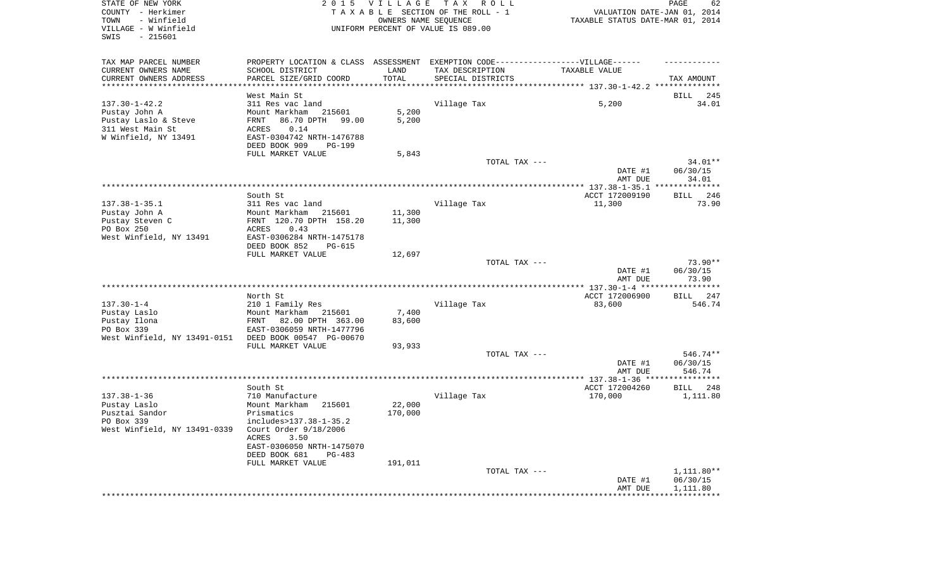| STATE OF NEW YORK<br>COUNTY - Herkimer<br>- Winfield<br>TOWN<br>VILLAGE - W Winfield<br>SWIS<br>$-215601$ | 2 0 1 5                                                                           | VILLAGE<br>OWNERS NAME SEQUENCE | TAX ROLL<br>TAXABLE SECTION OF THE ROLL - 1<br>UNIFORM PERCENT OF VALUE IS 089.00 | VALUATION DATE-JAN 01, 2014<br>TAXABLE STATUS DATE-MAR 01, 2014 | PAGE<br>62            |
|-----------------------------------------------------------------------------------------------------------|-----------------------------------------------------------------------------------|---------------------------------|-----------------------------------------------------------------------------------|-----------------------------------------------------------------|-----------------------|
| TAX MAP PARCEL NUMBER                                                                                     | PROPERTY LOCATION & CLASS ASSESSMENT EXEMPTION CODE-----------------VILLAGE------ |                                 |                                                                                   |                                                                 |                       |
| CURRENT OWNERS NAME                                                                                       | SCHOOL DISTRICT                                                                   | LAND                            | TAX DESCRIPTION                                                                   | TAXABLE VALUE                                                   |                       |
| CURRENT OWNERS ADDRESS<br>**********************                                                          | PARCEL SIZE/GRID COORD                                                            | TOTAL                           | SPECIAL DISTRICTS                                                                 |                                                                 | TAX AMOUNT            |
|                                                                                                           | West Main St                                                                      |                                 |                                                                                   |                                                                 | 245<br>BILL           |
| $137.30 - 1 - 42.2$                                                                                       | 311 Res vac land                                                                  |                                 | Village Tax                                                                       | 5,200                                                           | 34.01                 |
| Pustay John A                                                                                             | Mount Markham<br>215601                                                           | 5,200                           |                                                                                   |                                                                 |                       |
| Pustay Laslo & Steve                                                                                      | 86.70 DPTH<br>99.00<br>FRNT                                                       | 5,200                           |                                                                                   |                                                                 |                       |
| 311 West Main St                                                                                          | ACRES<br>0.14                                                                     |                                 |                                                                                   |                                                                 |                       |
| W Winfield, NY 13491                                                                                      | EAST-0304742 NRTH-1476788                                                         |                                 |                                                                                   |                                                                 |                       |
|                                                                                                           | DEED BOOK 909<br>PG-199                                                           |                                 |                                                                                   |                                                                 |                       |
|                                                                                                           | FULL MARKET VALUE                                                                 | 5,843                           |                                                                                   |                                                                 |                       |
|                                                                                                           |                                                                                   |                                 | TOTAL TAX ---                                                                     |                                                                 | 34.01**<br>06/30/15   |
|                                                                                                           |                                                                                   |                                 |                                                                                   | DATE #1<br>AMT DUE                                              | 34.01                 |
|                                                                                                           |                                                                                   |                                 |                                                                                   |                                                                 |                       |
|                                                                                                           | South St                                                                          |                                 |                                                                                   | ACCT 172009190                                                  | 246<br>BILL           |
| $137.38 - 1 - 35.1$                                                                                       | 311 Res vac land                                                                  |                                 | Village Tax                                                                       | 11,300                                                          | 73.90                 |
| Pustay John A                                                                                             | Mount Markham<br>215601                                                           | 11,300                          |                                                                                   |                                                                 |                       |
| Pustay Steven C                                                                                           | FRNT 120.70 DPTH 158.20                                                           | 11,300                          |                                                                                   |                                                                 |                       |
| PO Box 250                                                                                                | 0.43<br><b>ACRES</b><br>EAST-0306284 NRTH-1475178                                 |                                 |                                                                                   |                                                                 |                       |
| West Winfield, NY 13491                                                                                   | DEED BOOK 852<br>$PG-615$                                                         |                                 |                                                                                   |                                                                 |                       |
|                                                                                                           | FULL MARKET VALUE                                                                 | 12,697                          |                                                                                   |                                                                 |                       |
|                                                                                                           |                                                                                   |                                 | TOTAL TAX ---                                                                     | DATE #1                                                         | $73.90**$<br>06/30/15 |
|                                                                                                           |                                                                                   |                                 |                                                                                   | AMT DUE                                                         | 73.90                 |
|                                                                                                           |                                                                                   |                                 |                                                                                   |                                                                 |                       |
| $137.30 - 1 - 4$                                                                                          | North St<br>210 1 Family Res                                                      |                                 | Village Tax                                                                       | ACCT 172006900<br>83,600                                        | BILL 247<br>546.74    |
| Pustay Laslo                                                                                              | Mount Markham<br>215601                                                           | 7,400                           |                                                                                   |                                                                 |                       |
| Pustay Ilona                                                                                              | 82.00 DPTH 363.00<br>FRNT                                                         | 83,600                          |                                                                                   |                                                                 |                       |
| PO Box 339                                                                                                | EAST-0306059 NRTH-1477796                                                         |                                 |                                                                                   |                                                                 |                       |
| West Winfield, NY 13491-0151                                                                              | DEED BOOK 00547 PG-00670                                                          |                                 |                                                                                   |                                                                 |                       |
|                                                                                                           | FULL MARKET VALUE                                                                 | 93,933                          |                                                                                   |                                                                 |                       |
|                                                                                                           |                                                                                   |                                 | TOTAL TAX ---                                                                     |                                                                 | 546.74**              |
|                                                                                                           |                                                                                   |                                 |                                                                                   | DATE #1<br>AMT DUE                                              | 06/30/15<br>546.74    |
|                                                                                                           |                                                                                   |                                 |                                                                                   |                                                                 |                       |
|                                                                                                           | South St                                                                          |                                 |                                                                                   | ACCT 172004260                                                  | BILL<br>248           |
| $137.38 - 1 - 36$                                                                                         | 710 Manufacture                                                                   |                                 | Village Tax                                                                       | 170,000                                                         | 1,111.80              |
| Pustay Laslo                                                                                              | Mount Markham<br>215601                                                           | 22,000                          |                                                                                   |                                                                 |                       |
| Pusztai Sandor                                                                                            | Prismatics                                                                        | 170,000                         |                                                                                   |                                                                 |                       |
| PO Box 339                                                                                                | includes>137.38-1-35.2                                                            |                                 |                                                                                   |                                                                 |                       |
| West Winfield, NY 13491-0339                                                                              | Court Order 9/18/2006                                                             |                                 |                                                                                   |                                                                 |                       |
|                                                                                                           | ACRES<br>3.50<br>EAST-0306050 NRTH-1475070                                        |                                 |                                                                                   |                                                                 |                       |
|                                                                                                           | DEED BOOK 681<br>$PG-483$                                                         |                                 |                                                                                   |                                                                 |                       |
|                                                                                                           | FULL MARKET VALUE                                                                 | 191,011                         |                                                                                   |                                                                 |                       |
|                                                                                                           |                                                                                   |                                 | TOTAL TAX ---                                                                     |                                                                 | $1,111.80**$          |
|                                                                                                           |                                                                                   |                                 |                                                                                   | DATE #1                                                         | 06/30/15              |
|                                                                                                           |                                                                                   |                                 |                                                                                   | AMT DUE                                                         | 1,111.80              |
|                                                                                                           |                                                                                   |                                 |                                                                                   | **************************                                      |                       |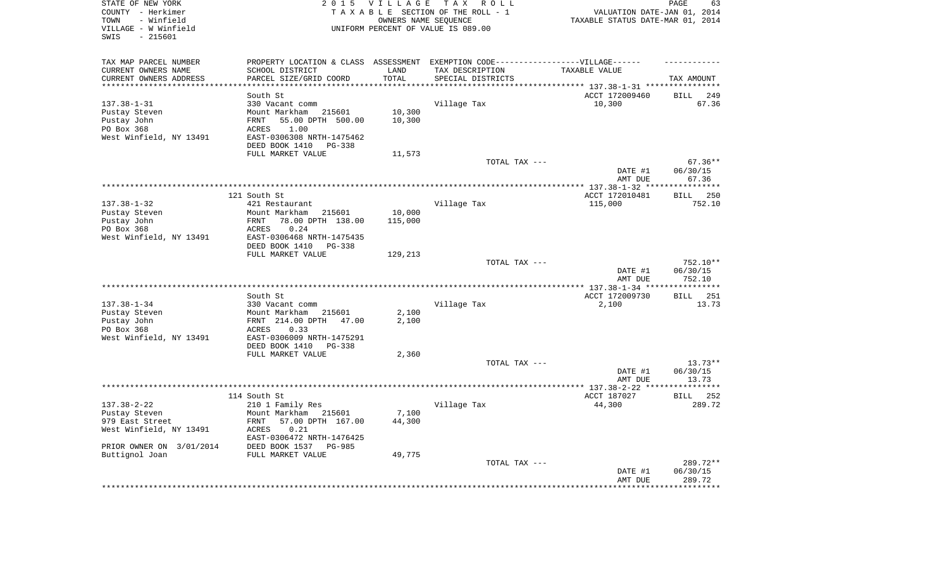| STATE OF NEW YORK<br>COUNTY - Herkimer<br>- Winfield<br>TOWN<br>VILLAGE - W Winfield<br>$-215601$<br>SWIS | 2 0 1 5                                                                           | VILLAGE<br>OWNERS NAME SEQUENCE | T A X<br>R O L L<br>TAXABLE SECTION OF THE ROLL - 1<br>UNIFORM PERCENT OF VALUE IS 089.00 | VALUATION DATE-JAN 01, 2014<br>TAXABLE STATUS DATE-MAR 01, 2014     | PAGE<br>63                   |
|-----------------------------------------------------------------------------------------------------------|-----------------------------------------------------------------------------------|---------------------------------|-------------------------------------------------------------------------------------------|---------------------------------------------------------------------|------------------------------|
| TAX MAP PARCEL NUMBER                                                                                     | PROPERTY LOCATION & CLASS ASSESSMENT EXEMPTION CODE-----------------VILLAGE------ |                                 |                                                                                           |                                                                     |                              |
| CURRENT OWNERS NAME                                                                                       | SCHOOL DISTRICT                                                                   | LAND                            | TAX DESCRIPTION                                                                           | TAXABLE VALUE                                                       |                              |
| CURRENT OWNERS ADDRESS<br>**********************                                                          | PARCEL SIZE/GRID COORD<br>************************                                | TOTAL<br>**************         | SPECIAL DISTRICTS                                                                         | ************************************* 137.38-1-31 ***************** | TAX AMOUNT                   |
|                                                                                                           | South St                                                                          |                                 |                                                                                           | ACCT 172009460                                                      | <b>BILL</b><br>249           |
| $137.38 - 1 - 31$                                                                                         | 330 Vacant comm                                                                   |                                 | Village Tax                                                                               | 10,300                                                              | 67.36                        |
| Pustay Steven                                                                                             | Mount Markham<br>215601                                                           | 10,300                          |                                                                                           |                                                                     |                              |
| Pustay John                                                                                               | FRNT<br>55.00 DPTH 500.00                                                         | 10,300                          |                                                                                           |                                                                     |                              |
| PO Box 368                                                                                                | 1.00<br><b>ACRES</b>                                                              |                                 |                                                                                           |                                                                     |                              |
| West Winfield, NY 13491                                                                                   | EAST-0306308 NRTH-1475462                                                         |                                 |                                                                                           |                                                                     |                              |
|                                                                                                           | DEED BOOK 1410<br>$PG-338$<br>FULL MARKET VALUE                                   | 11,573                          |                                                                                           |                                                                     |                              |
|                                                                                                           |                                                                                   |                                 | TOTAL TAX ---                                                                             |                                                                     | $67.36**$                    |
|                                                                                                           |                                                                                   |                                 |                                                                                           | DATE #1                                                             | 06/30/15                     |
|                                                                                                           |                                                                                   |                                 |                                                                                           | AMT DUE                                                             | 67.36                        |
|                                                                                                           |                                                                                   |                                 |                                                                                           | ********** 137.38-1-32 ****                                         | ***********                  |
|                                                                                                           | 121 South St                                                                      |                                 |                                                                                           | ACCT 172010481                                                      | 250<br>BILL                  |
| $137.38 - 1 - 32$                                                                                         | 421 Restaurant                                                                    | 10,000                          | Village Tax                                                                               | 115,000                                                             | 752.10                       |
| Pustay Steven<br>Pustay John                                                                              | Mount Markham<br>215601<br>78.00 DPTH 138.00<br>FRNT                              | 115,000                         |                                                                                           |                                                                     |                              |
| PO Box 368                                                                                                | 0.24<br>ACRES                                                                     |                                 |                                                                                           |                                                                     |                              |
| West Winfield, NY 13491                                                                                   | EAST-0306468 NRTH-1475435                                                         |                                 |                                                                                           |                                                                     |                              |
|                                                                                                           | DEED BOOK 1410<br>$PG-338$                                                        |                                 |                                                                                           |                                                                     |                              |
|                                                                                                           | FULL MARKET VALUE                                                                 | 129,213                         |                                                                                           |                                                                     |                              |
|                                                                                                           |                                                                                   |                                 | TOTAL TAX ---                                                                             |                                                                     | 752.10**                     |
|                                                                                                           |                                                                                   |                                 |                                                                                           | DATE #1<br>AMT DUE                                                  | 06/30/15<br>752.10           |
|                                                                                                           |                                                                                   |                                 |                                                                                           | *** 137.38-1-34 ***                                                 | **********                   |
|                                                                                                           | South St                                                                          |                                 |                                                                                           | ACCT 172009730                                                      | 251<br>BILL                  |
| $137.38 - 1 - 34$                                                                                         | 330 Vacant comm                                                                   |                                 | Village Tax                                                                               | 2,100                                                               | 13.73                        |
| Pustay Steven                                                                                             | 215601<br>Mount Markham                                                           | 2,100                           |                                                                                           |                                                                     |                              |
| Pustay John                                                                                               | FRNT 214.00 DPTH 47.00                                                            | 2,100                           |                                                                                           |                                                                     |                              |
| PO Box 368<br>West Winfield, NY 13491                                                                     | ACRES<br>0.33<br>EAST-0306009 NRTH-1475291                                        |                                 |                                                                                           |                                                                     |                              |
|                                                                                                           | DEED BOOK 1410<br>PG-338                                                          |                                 |                                                                                           |                                                                     |                              |
|                                                                                                           | FULL MARKET VALUE                                                                 | 2,360                           |                                                                                           |                                                                     |                              |
|                                                                                                           |                                                                                   |                                 | TOTAL TAX ---                                                                             |                                                                     | $13.73**$                    |
|                                                                                                           |                                                                                   |                                 |                                                                                           | DATE #1                                                             | 06/30/15                     |
|                                                                                                           |                                                                                   |                                 |                                                                                           | AMT DUE                                                             | 13.73                        |
|                                                                                                           |                                                                                   |                                 |                                                                                           |                                                                     | ********                     |
| $137.38 - 2 - 22$                                                                                         | 114 South St<br>210 1 Family Res                                                  |                                 | Village Tax                                                                               | ACCT 187027<br>44,300                                               | <b>BILL</b><br>252<br>289.72 |
| Pustay Steven                                                                                             | Mount Markham<br>215601                                                           | 7,100                           |                                                                                           |                                                                     |                              |
| 979 East Street                                                                                           | <b>FRNT</b><br>57.00 DPTH 167.00                                                  | 44,300                          |                                                                                           |                                                                     |                              |
| West Winfield, NY 13491                                                                                   | ACRES<br>0.21                                                                     |                                 |                                                                                           |                                                                     |                              |
|                                                                                                           | EAST-0306472 NRTH-1476425                                                         |                                 |                                                                                           |                                                                     |                              |
| PRIOR OWNER ON 3/01/2014                                                                                  | DEED BOOK 1537<br><b>PG-985</b>                                                   |                                 |                                                                                           |                                                                     |                              |
| Buttignol Joan                                                                                            | FULL MARKET VALUE                                                                 | 49,775                          |                                                                                           |                                                                     |                              |
|                                                                                                           |                                                                                   |                                 | TOTAL TAX ---                                                                             | DATE #1                                                             | 289.72**<br>06/30/15         |
|                                                                                                           |                                                                                   |                                 |                                                                                           | AMT DUE                                                             | 289.72                       |
|                                                                                                           |                                                                                   |                                 |                                                                                           |                                                                     | ********                     |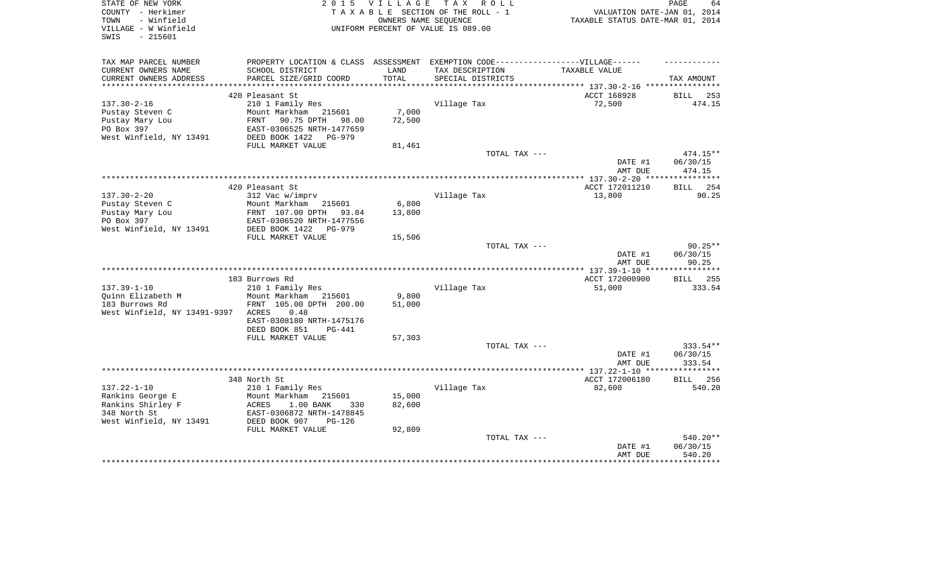| STATE OF NEW YORK<br>COUNTY - Herkimer<br>- Winfield<br>TOWN<br>VILLAGE - W Winfield | 2 0 1 5                                                                           | <b>VILLAGE</b> | TAX ROLL<br>TAXABLE SECTION OF THE ROLL - 1<br>OWNERS NAME SEQUENCE<br>UNIFORM PERCENT OF VALUE IS 089.00 | VALUATION DATE-JAN 01, 2014<br>TAXABLE STATUS DATE-MAR 01, 2014 | PAGE<br>64                   |
|--------------------------------------------------------------------------------------|-----------------------------------------------------------------------------------|----------------|-----------------------------------------------------------------------------------------------------------|-----------------------------------------------------------------|------------------------------|
| $-215601$<br>SWIS                                                                    |                                                                                   |                |                                                                                                           |                                                                 |                              |
| TAX MAP PARCEL NUMBER                                                                | PROPERTY LOCATION & CLASS ASSESSMENT EXEMPTION CODE-----------------VILLAGE------ |                |                                                                                                           |                                                                 |                              |
| CURRENT OWNERS NAME<br>CURRENT OWNERS ADDRESS                                        | SCHOOL DISTRICT<br>PARCEL SIZE/GRID COORD                                         | LAND<br>TOTAL  | TAX DESCRIPTION<br>SPECIAL DISTRICTS                                                                      | TAXABLE VALUE                                                   | TAX AMOUNT                   |
|                                                                                      |                                                                                   |                |                                                                                                           |                                                                 |                              |
|                                                                                      | 420 Pleasant St                                                                   |                |                                                                                                           | ACCT 168928                                                     | BILL<br>253                  |
| $137.30 - 2 - 16$                                                                    | 210 1 Family Res                                                                  |                | Village Tax                                                                                               | 72,500                                                          | 474.15                       |
| Pustay Steven C                                                                      | Mount Markham 215601                                                              | 7,000          |                                                                                                           |                                                                 |                              |
| Pustay Mary Lou                                                                      | FRNT<br>90.75 DPTH<br>98.00                                                       | 72,500         |                                                                                                           |                                                                 |                              |
| PO Box 397                                                                           | EAST-0306525 NRTH-1477659                                                         |                |                                                                                                           |                                                                 |                              |
| West Winfield, NY 13491                                                              | DEED BOOK 1422<br>PG-979<br>FULL MARKET VALUE                                     | 81,461         |                                                                                                           |                                                                 |                              |
|                                                                                      |                                                                                   |                | TOTAL TAX ---                                                                                             |                                                                 | 474.15**                     |
|                                                                                      |                                                                                   |                |                                                                                                           | DATE #1                                                         | 06/30/15                     |
|                                                                                      |                                                                                   |                |                                                                                                           | AMT DUE                                                         | 474.15                       |
|                                                                                      |                                                                                   |                |                                                                                                           |                                                                 |                              |
|                                                                                      | 420 Pleasant St                                                                   |                |                                                                                                           | ACCT 172011210                                                  | <b>BILL</b><br>254           |
| $137.30 - 2 - 20$<br>Pustay Steven C                                                 | 312 Vac w/imprv<br>Mount Markham<br>215601                                        | 6,800          | Village Tax                                                                                               | 13,800                                                          | 90.25                        |
| Pustay Mary Lou                                                                      | FRNT 107.00 DPTH<br>93.84                                                         | 13,800         |                                                                                                           |                                                                 |                              |
| PO Box 397                                                                           | EAST-0306520 NRTH-1477556                                                         |                |                                                                                                           |                                                                 |                              |
| West Winfield, NY 13491                                                              | DEED BOOK 1422<br>$PG-979$                                                        |                |                                                                                                           |                                                                 |                              |
|                                                                                      | FULL MARKET VALUE                                                                 | 15,506         |                                                                                                           |                                                                 |                              |
|                                                                                      |                                                                                   |                | TOTAL TAX ---                                                                                             |                                                                 | $90.25**$                    |
|                                                                                      |                                                                                   |                |                                                                                                           | DATE #1<br>AMT DUE                                              | 06/30/15<br>90.25            |
|                                                                                      |                                                                                   |                |                                                                                                           | **************** 137.39-1-10 **:                                | * * * * * * * *              |
|                                                                                      | 183 Burrows Rd                                                                    |                |                                                                                                           | ACCT 172000900                                                  | 255<br><b>BILL</b>           |
| $137.39 - 1 - 10$                                                                    | 210 1 Family Res                                                                  |                | Village Tax                                                                                               | 51,000                                                          | 333.54                       |
| Quinn Elizabeth M                                                                    | Mount Markham 215601                                                              | 9,800          |                                                                                                           |                                                                 |                              |
| 183 Burrows Rd                                                                       | FRNT 105.00 DPTH 200.00                                                           | 51,000         |                                                                                                           |                                                                 |                              |
| West Winfield, NY 13491-9397                                                         | ACRES<br>0.48                                                                     |                |                                                                                                           |                                                                 |                              |
|                                                                                      | EAST-0308180 NRTH-1475176<br>DEED BOOK 851<br><b>PG-441</b>                       |                |                                                                                                           |                                                                 |                              |
|                                                                                      | FULL MARKET VALUE                                                                 | 57,303         |                                                                                                           |                                                                 |                              |
|                                                                                      |                                                                                   |                | TOTAL TAX ---                                                                                             |                                                                 | 333.54**                     |
|                                                                                      |                                                                                   |                |                                                                                                           | DATE #1                                                         | 06/30/15                     |
|                                                                                      |                                                                                   |                |                                                                                                           | AMT DUE                                                         | 333.54                       |
|                                                                                      |                                                                                   |                |                                                                                                           |                                                                 | * * * * * * * * *            |
| $137.22 - 1 - 10$                                                                    | 348 North St<br>210 1 Family Res                                                  |                | Village Tax                                                                                               | ACCT 172006180<br>82,600                                        | 256<br><b>BILL</b><br>540.20 |
| Rankins George E                                                                     | Mount Markham<br>215601                                                           | 15,000         |                                                                                                           |                                                                 |                              |
| Rankins Shirley F                                                                    | 1.00 BANK<br>ACRES<br>330                                                         | 82,600         |                                                                                                           |                                                                 |                              |
| 348 North St                                                                         | EAST-0306872 NRTH-1478845                                                         |                |                                                                                                           |                                                                 |                              |
| West Winfield, NY 13491                                                              | DEED BOOK 907<br>$PG-126$                                                         |                |                                                                                                           |                                                                 |                              |
|                                                                                      | FULL MARKET VALUE                                                                 | 92,809         |                                                                                                           |                                                                 |                              |
|                                                                                      |                                                                                   |                | TOTAL TAX ---                                                                                             | DATE #1                                                         | 540.20**<br>06/30/15         |
|                                                                                      |                                                                                   |                |                                                                                                           | AMT DUE                                                         | 540.20                       |
|                                                                                      |                                                                                   |                |                                                                                                           |                                                                 |                              |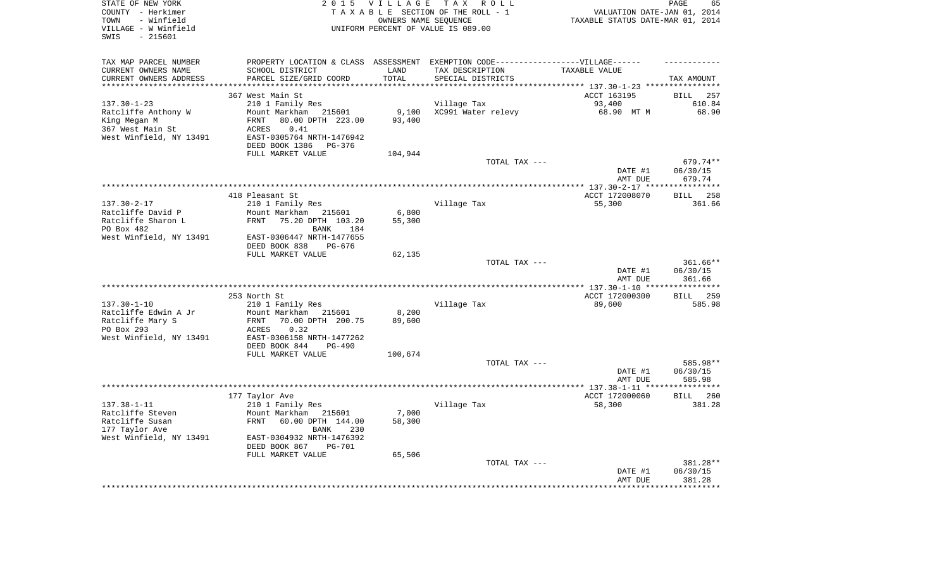| STATE OF NEW YORK<br>COUNTY - Herkimer<br>- Winfield<br>TOWN<br>VILLAGE - W Winfield<br>$-215601$<br>SWIS | 2 0 1 5                                                                           | VILLAGE<br>OWNERS NAME SEQUENCE | TAX ROLL<br>TAXABLE SECTION OF THE ROLL - 1<br>UNIFORM PERCENT OF VALUE IS 089.00 | VALUATION DATE-JAN 01, 2014<br>TAXABLE STATUS DATE-MAR 01, 2014 | 65<br>PAGE             |
|-----------------------------------------------------------------------------------------------------------|-----------------------------------------------------------------------------------|---------------------------------|-----------------------------------------------------------------------------------|-----------------------------------------------------------------|------------------------|
| TAX MAP PARCEL NUMBER                                                                                     | PROPERTY LOCATION & CLASS ASSESSMENT EXEMPTION CODE-----------------VILLAGE------ |                                 |                                                                                   |                                                                 |                        |
| CURRENT OWNERS NAME                                                                                       | SCHOOL DISTRICT                                                                   | LAND                            | TAX DESCRIPTION                                                                   | TAXABLE VALUE                                                   |                        |
| CURRENT OWNERS ADDRESS<br>**********************                                                          | PARCEL SIZE/GRID COORD<br>****************************                            | TOTAL                           | SPECIAL DISTRICTS                                                                 |                                                                 | TAX AMOUNT             |
|                                                                                                           | 367 West Main St                                                                  |                                 |                                                                                   | ACCT 163195                                                     | <b>BILL</b><br>257     |
| $137.30 - 1 - 23$                                                                                         | 210 1 Family Res                                                                  |                                 | Village Tax                                                                       | 93,400                                                          | 610.84                 |
| Ratcliffe Anthony W                                                                                       | Mount Markham<br>215601                                                           | 9,100                           | XC991 Water relevy                                                                | 68.90 MT M                                                      | 68.90                  |
| King Megan M                                                                                              | 80.00 DPTH 223.00<br>FRNT                                                         | 93,400                          |                                                                                   |                                                                 |                        |
| 367 West Main St                                                                                          | 0.41<br>ACRES                                                                     |                                 |                                                                                   |                                                                 |                        |
| West Winfield, NY 13491                                                                                   | EAST-0305764 NRTH-1476942                                                         |                                 |                                                                                   |                                                                 |                        |
|                                                                                                           | DEED BOOK 1386<br>PG-376                                                          |                                 |                                                                                   |                                                                 |                        |
|                                                                                                           | FULL MARKET VALUE                                                                 | 104,944                         |                                                                                   |                                                                 |                        |
|                                                                                                           |                                                                                   |                                 | TOTAL TAX ---                                                                     | DATE #1                                                         | 679.74**<br>06/30/15   |
|                                                                                                           |                                                                                   |                                 |                                                                                   | AMT DUE                                                         | 679.74                 |
|                                                                                                           |                                                                                   |                                 |                                                                                   | *********** 137.30-2-17 *****************                       |                        |
|                                                                                                           | 418 Pleasant St                                                                   |                                 |                                                                                   | ACCT 172008070                                                  | 258<br><b>BILL</b>     |
| $137.30 - 2 - 17$                                                                                         | 210 1 Family Res                                                                  |                                 | Village Tax                                                                       | 55,300                                                          | 361.66                 |
| Ratcliffe David P                                                                                         | Mount Markham<br>215601                                                           | 6,800                           |                                                                                   |                                                                 |                        |
| Ratcliffe Sharon L                                                                                        | FRNT<br>75.20 DPTH 103.20                                                         | 55,300                          |                                                                                   |                                                                 |                        |
| PO Box 482<br>West Winfield, NY 13491                                                                     | 184<br>BANK<br>EAST-0306447 NRTH-1477655                                          |                                 |                                                                                   |                                                                 |                        |
|                                                                                                           | DEED BOOK 838<br>PG-676                                                           |                                 |                                                                                   |                                                                 |                        |
|                                                                                                           | FULL MARKET VALUE                                                                 | 62,135                          |                                                                                   |                                                                 |                        |
|                                                                                                           |                                                                                   |                                 | TOTAL TAX ---                                                                     | DATE #1                                                         | $361.66**$<br>06/30/15 |
|                                                                                                           |                                                                                   |                                 |                                                                                   | AMT DUE<br>***** 137.30-1-10 **                                 | 361.66<br>**********   |
|                                                                                                           | 253 North St                                                                      |                                 |                                                                                   | ACCT 172000300                                                  | 259<br><b>BILL</b>     |
| $137.30 - 1 - 10$                                                                                         | 210 1 Family Res                                                                  |                                 | Village Tax                                                                       | 89,600                                                          | 585.98                 |
| Ratcliffe Edwin A Jr                                                                                      | Mount Markham 215601                                                              | 8,200                           |                                                                                   |                                                                 |                        |
| Ratcliffe Mary S                                                                                          | 70.00 DPTH 200.75<br>FRNT                                                         | 89,600                          |                                                                                   |                                                                 |                        |
| PO Box 293                                                                                                | 0.32<br>ACRES                                                                     |                                 |                                                                                   |                                                                 |                        |
| West Winfield, NY 13491                                                                                   | EAST-0306158 NRTH-1477262<br>DEED BOOK 844<br>$PG-490$                            |                                 |                                                                                   |                                                                 |                        |
|                                                                                                           | FULL MARKET VALUE                                                                 | 100,674                         |                                                                                   |                                                                 |                        |
|                                                                                                           |                                                                                   |                                 | TOTAL TAX ---                                                                     |                                                                 | 585.98**               |
|                                                                                                           |                                                                                   |                                 |                                                                                   | DATE #1                                                         | 06/30/15               |
|                                                                                                           |                                                                                   |                                 |                                                                                   | AMT DUE                                                         | 585.98                 |
|                                                                                                           |                                                                                   |                                 |                                                                                   |                                                                 | ***********            |
|                                                                                                           | 177 Taylor Ave                                                                    |                                 |                                                                                   | ACCT 172000060                                                  | <b>BILL</b><br>260     |
| $137.38 - 1 - 11$<br>Ratcliffe Steven                                                                     | 210 1 Family Res<br>Mount Markham<br>215601                                       | 7,000                           | Village Tax                                                                       | 58,300                                                          | 381.28                 |
| Ratcliffe Susan                                                                                           | <b>FRNT</b><br>60.00 DPTH 144.00                                                  | 58,300                          |                                                                                   |                                                                 |                        |
| 177 Taylor Ave                                                                                            | BANK<br>230                                                                       |                                 |                                                                                   |                                                                 |                        |
| West Winfield, NY 13491                                                                                   | EAST-0304932 NRTH-1476392<br>DEED BOOK 867<br><b>PG-701</b>                       |                                 |                                                                                   |                                                                 |                        |
|                                                                                                           | FULL MARKET VALUE                                                                 | 65,506                          |                                                                                   |                                                                 |                        |
|                                                                                                           |                                                                                   |                                 | TOTAL TAX ---                                                                     |                                                                 | 381.28**               |
|                                                                                                           |                                                                                   |                                 |                                                                                   | DATE #1                                                         | 06/30/15               |
|                                                                                                           |                                                                                   |                                 |                                                                                   | AMT DUE                                                         | 381.28                 |
|                                                                                                           |                                                                                   |                                 |                                                                                   |                                                                 | ********               |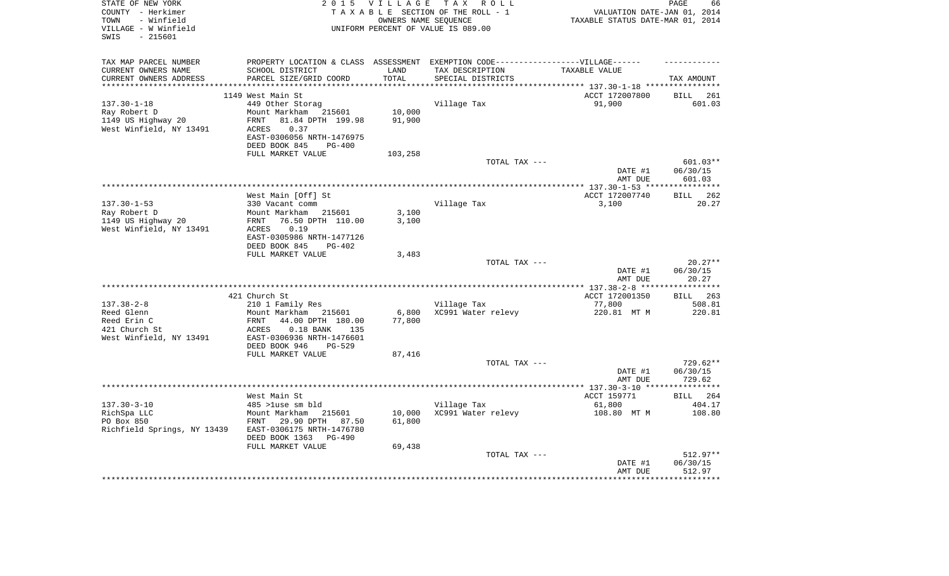| STATE OF NEW YORK<br>COUNTY - Herkimer    | 2 0 1 5                                               | VILLAGE              | TAX ROLL<br>TAXABLE SECTION OF THE ROLL - 1                                       | VALUATION DATE-JAN 01, 2014      | PAGE<br>66            |
|-------------------------------------------|-------------------------------------------------------|----------------------|-----------------------------------------------------------------------------------|----------------------------------|-----------------------|
| - Winfield<br>TOWN                        |                                                       | OWNERS NAME SEOUENCE |                                                                                   | TAXABLE STATUS DATE-MAR 01, 2014 |                       |
| VILLAGE - W Winfield                      |                                                       |                      | UNIFORM PERCENT OF VALUE IS 089.00                                                |                                  |                       |
| $-215601$<br>SWIS                         |                                                       |                      |                                                                                   |                                  |                       |
|                                           |                                                       |                      |                                                                                   |                                  |                       |
| TAX MAP PARCEL NUMBER                     |                                                       |                      | PROPERTY LOCATION & CLASS ASSESSMENT EXEMPTION CODE-----------------VILLAGE------ |                                  |                       |
| CURRENT OWNERS NAME                       | SCHOOL DISTRICT                                       | LAND                 | TAX DESCRIPTION                                                                   | TAXABLE VALUE                    |                       |
| CURRENT OWNERS ADDRESS                    | PARCEL SIZE/GRID COORD                                | TOTAL                | SPECIAL DISTRICTS                                                                 |                                  | TAX AMOUNT            |
| *******************                       |                                                       | **********           |                                                                                   |                                  |                       |
|                                           | 1149 West Main St<br>449 Other Storag                 |                      |                                                                                   | ACCT 172007800                   | 261<br>BILL           |
| $137.30 - 1 - 18$<br>Ray Robert D         | Mount Markham 215601                                  | 10,000               | Village Tax                                                                       | 91,900                           | 601.03                |
| 1149 US Highway 20                        | 81.84 DPTH 199.98<br>FRNT                             | 91,900               |                                                                                   |                                  |                       |
| West Winfield, NY 13491                   | ${\tt ACRES}$<br>0.37                                 |                      |                                                                                   |                                  |                       |
|                                           | EAST-0306056 NRTH-1476975                             |                      |                                                                                   |                                  |                       |
|                                           | DEED BOOK 845<br>$PG-400$                             |                      |                                                                                   |                                  |                       |
|                                           | FULL MARKET VALUE                                     | 103,258              |                                                                                   |                                  |                       |
|                                           |                                                       |                      | TOTAL TAX ---                                                                     |                                  | $601.03**$            |
|                                           |                                                       |                      |                                                                                   | DATE #1                          | 06/30/15              |
|                                           |                                                       |                      |                                                                                   | AMT DUE                          | 601.03                |
|                                           | West Main [Off] St                                    |                      |                                                                                   | ACCT 172007740                   | BILL 262              |
| $137.30 - 1 - 53$                         | 330 Vacant comm                                       |                      | Village Tax                                                                       | 3,100                            | 20.27                 |
| Ray Robert D                              | Mount Markham 215601                                  | 3,100                |                                                                                   |                                  |                       |
| 1149 US Highway 20                        | 76.50 DPTH 110.00<br>FRNT                             | 3,100                |                                                                                   |                                  |                       |
| West Winfield, NY 13491                   | 0.19<br>ACRES                                         |                      |                                                                                   |                                  |                       |
|                                           | EAST-0305986 NRTH-1477126                             |                      |                                                                                   |                                  |                       |
|                                           | DEED BOOK 845<br>PG-402                               |                      |                                                                                   |                                  |                       |
|                                           | FULL MARKET VALUE                                     | 3,483                |                                                                                   |                                  |                       |
|                                           |                                                       |                      | TOTAL TAX ---                                                                     | DATE #1                          | $20.27**$<br>06/30/15 |
|                                           |                                                       |                      |                                                                                   | AMT DUE                          | 20.27                 |
|                                           |                                                       |                      |                                                                                   |                                  | ***********           |
|                                           | 421 Church St                                         |                      |                                                                                   | ACCT 172001350                   | <b>BILL</b> 263       |
| $137.38 - 2 - 8$                          | 210 1 Family Res                                      |                      | Village Tax                                                                       | 77,800                           | 508.81                |
| Reed Glenn                                | Mount Markham<br>215601                               | 6,800                | XC991 Water relevy                                                                | 220.81 MT M                      | 220.81                |
| Reed Erin C                               | 44.00 DPTH 180.00<br>FRNT                             | 77,800               |                                                                                   |                                  |                       |
| 421 Church St                             | $0.18$ BANK<br>ACRES<br>135                           |                      |                                                                                   |                                  |                       |
| West Winfield, NY 13491                   | EAST-0306936 NRTH-1476601                             |                      |                                                                                   |                                  |                       |
|                                           | DEED BOOK 946<br><b>PG-529</b><br>FULL MARKET VALUE   | 87,416               |                                                                                   |                                  |                       |
|                                           |                                                       |                      | TOTAL TAX ---                                                                     |                                  | 729.62**              |
|                                           |                                                       |                      |                                                                                   | DATE #1                          | 06/30/15              |
|                                           |                                                       |                      |                                                                                   | AMT DUE                          | 729.62                |
|                                           |                                                       |                      |                                                                                   |                                  |                       |
|                                           | West Main St                                          |                      |                                                                                   | ACCT 159771                      | BILL 264              |
| $137.30 - 3 - 10$                         | 485 >luse sm bld                                      |                      | Village Tax                                                                       | 61,800                           | 404.17                |
| RichSpa LLC                               | Mount Markham<br>215601                               | 10,000               | XC991 Water relevy                                                                | 108.80 MT M                      | 108.80                |
| PO Box 850<br>Richfield Springs, NY 13439 | 29.90 DPTH 87.50<br>FRNT<br>EAST-0306175 NRTH-1476780 | 61,800               |                                                                                   |                                  |                       |
|                                           | DEED BOOK 1363<br>PG-490                              |                      |                                                                                   |                                  |                       |
|                                           | FULL MARKET VALUE                                     | 69,438               |                                                                                   |                                  |                       |
|                                           |                                                       |                      | TOTAL TAX ---                                                                     |                                  | $512.97**$            |
|                                           |                                                       |                      |                                                                                   | DATE #1                          | 06/30/15              |
|                                           |                                                       |                      |                                                                                   | AMT DUE                          | 512.97                |
|                                           |                                                       |                      |                                                                                   |                                  |                       |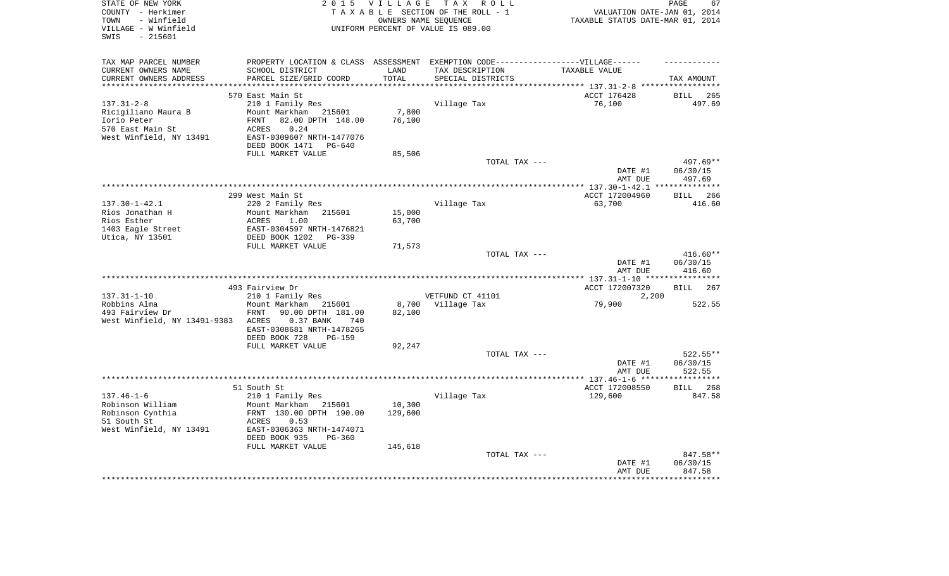| STATE OF NEW YORK            |                                                        |             | 2015 VILLAGE TAX ROLL                                                             |                                                                 | PAGE<br>67      |
|------------------------------|--------------------------------------------------------|-------------|-----------------------------------------------------------------------------------|-----------------------------------------------------------------|-----------------|
| COUNTY - Herkimer            |                                                        |             | TAXABLE SECTION OF THE ROLL - 1                                                   | VALUATION DATE-JAN 01, 2014<br>TAXABLE STATUS DATE-MAR 01, 2014 |                 |
| - Winfield<br>TOWN           |                                                        |             | OWNERS NAME SEOUENCE                                                              |                                                                 |                 |
| VILLAGE - W Winfield         |                                                        |             | UNIFORM PERCENT OF VALUE IS 089.00                                                |                                                                 |                 |
| $-215601$<br>SWIS            |                                                        |             |                                                                                   |                                                                 |                 |
|                              |                                                        |             |                                                                                   |                                                                 |                 |
| TAX MAP PARCEL NUMBER        |                                                        |             | PROPERTY LOCATION & CLASS ASSESSMENT EXEMPTION CODE-----------------VILLAGE------ |                                                                 |                 |
| CURRENT OWNERS NAME          | SCHOOL DISTRICT                                        | LAND        | TAX DESCRIPTION                                                                   | TAXABLE VALUE                                                   |                 |
| CURRENT OWNERS ADDRESS       | PARCEL SIZE/GRID COORD                                 | TOTAL       | SPECIAL DISTRICTS                                                                 |                                                                 | TAX AMOUNT      |
| *****************            |                                                        | *********** |                                                                                   | ******************************* 137.31-2-8 *****                |                 |
|                              | 570 East Main St                                       |             |                                                                                   | ACCT 176428                                                     | <b>BILL</b> 265 |
| $137.31 - 2 - 8$             | 210 1 Family Res                                       |             | Village Tax                                                                       | 76,100                                                          | 497.69          |
| Ricigiliano Maura B          | Mount Markham 215601                                   | 7,800       |                                                                                   |                                                                 |                 |
| Iorio Peter                  | FRNT 82.00 DPTH 148.00                                 | 76,100      |                                                                                   |                                                                 |                 |
| 570 East Main St             | ACRES<br>0.24                                          |             |                                                                                   |                                                                 |                 |
| West Winfield, NY 13491      | EAST-0309607 NRTH-1477076                              |             |                                                                                   |                                                                 |                 |
|                              | DEED BOOK 1471 PG-640                                  |             |                                                                                   |                                                                 |                 |
|                              | FULL MARKET VALUE                                      | 85,506      |                                                                                   |                                                                 |                 |
|                              |                                                        |             | TOTAL TAX ---                                                                     |                                                                 | 497.69**        |
|                              |                                                        |             |                                                                                   | DATE #1                                                         | 06/30/15        |
|                              |                                                        |             |                                                                                   | AMT DUE                                                         | 497.69          |
|                              |                                                        |             |                                                                                   |                                                                 |                 |
|                              | 299 West Main St                                       |             |                                                                                   | ACCT 172004960                                                  | BILL 266        |
| $137.30 - 1 - 42.1$          | 220 2 Family Res                                       |             | Village Tax                                                                       | 63,700                                                          | 416.60          |
| Rios Jonathan H              | Mount Markham 215601                                   | 15,000      |                                                                                   |                                                                 |                 |
| Rios Esther                  | ACRES<br>1.00                                          | 63,700      |                                                                                   |                                                                 |                 |
| 1403 Eagle Street            | EAST-0304597 NRTH-1476821                              |             |                                                                                   |                                                                 |                 |
| Utica, NY 13501              | DEED BOOK 1202 PG-339                                  |             |                                                                                   |                                                                 |                 |
|                              | FULL MARKET VALUE                                      | 71,573      | TOTAL TAX ---                                                                     |                                                                 | $416.60**$      |
|                              |                                                        |             |                                                                                   | DATE #1                                                         | 06/30/15        |
|                              |                                                        |             |                                                                                   | AMT DUE                                                         | 416.60          |
|                              |                                                        |             |                                                                                   |                                                                 |                 |
|                              | 493 Fairview Dr                                        |             |                                                                                   | ACCT 172007320                                                  | BILL 267        |
| $137.31 - 1 - 10$            | 210 1 Family Res                                       |             | VETFUND CT 41101                                                                  | 2,200                                                           |                 |
| Robbins Alma                 | Mount Markham 215601                                   |             | 8,700 Village Tax                                                                 | 79,900                                                          | 522.55          |
| 493 Fairview Dr              | FRNT<br>90.00 DPTH 181.00                              | 82,100      |                                                                                   |                                                                 |                 |
| West Winfield, NY 13491-9383 | 0.37 BANK<br>ACRES<br>740                              |             |                                                                                   |                                                                 |                 |
|                              | EAST-0308681 NRTH-1478265                              |             |                                                                                   |                                                                 |                 |
|                              | DEED BOOK 728<br><b>PG-159</b>                         |             |                                                                                   |                                                                 |                 |
|                              | FULL MARKET VALUE                                      | 92,247      |                                                                                   |                                                                 |                 |
|                              |                                                        |             | TOTAL TAX ---                                                                     |                                                                 | $522.55**$      |
|                              |                                                        |             |                                                                                   | DATE #1                                                         | 06/30/15        |
|                              |                                                        |             |                                                                                   | AMT DUE                                                         | 522.55          |
|                              |                                                        |             |                                                                                   |                                                                 |                 |
|                              | 51 South St                                            |             |                                                                                   | ACCT 172008550                                                  | BILL 268        |
| $137.46 - 1 - 6$             | 210 1 Family Res                                       |             | Village Tax                                                                       | 129,600                                                         | 847.58          |
| Robinson William             | Mount Markham 215601                                   | 10,300      |                                                                                   |                                                                 |                 |
| Robinson Cynthia             | FRNT 130.00 DPTH 190.00                                | 129,600     |                                                                                   |                                                                 |                 |
| 51 South St                  | ACRES<br>0.53                                          |             |                                                                                   |                                                                 |                 |
| West Winfield, NY 13491      | EAST-0306363 NRTH-1474071<br>DEED BOOK 935<br>$PG-360$ |             |                                                                                   |                                                                 |                 |
|                              |                                                        |             |                                                                                   |                                                                 |                 |
|                              | FULL MARKET VALUE                                      | 145,618     | TOTAL TAX ---                                                                     |                                                                 | 847.58**        |
|                              |                                                        |             |                                                                                   | DATE #1                                                         | 06/30/15        |
|                              |                                                        |             |                                                                                   | AMT DUE                                                         | 847.58          |
|                              |                                                        |             |                                                                                   |                                                                 |                 |
|                              |                                                        |             |                                                                                   |                                                                 |                 |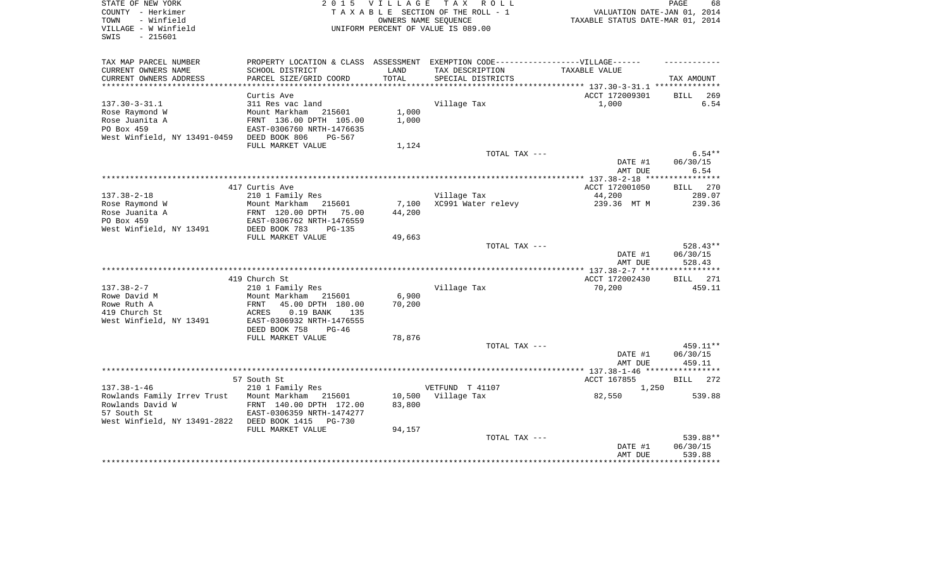| STATE OF NEW YORK<br>COUNTY - Herkimer<br>- Winfield<br>TOWN<br>VILLAGE - W Winfield<br>$-215601$<br>SWIS |                                                          | OWNERS NAME SEQUENCE | 2015 VILLAGE TAX ROLL<br>TAXABLE SECTION OF THE ROLL - 1<br>UNIFORM PERCENT OF VALUE IS 089.00      | VALUATION DATE-JAN 01, 2014<br>TAXABLE STATUS DATE-MAR 01, 2014 | PAGE<br>68       |
|-----------------------------------------------------------------------------------------------------------|----------------------------------------------------------|----------------------|-----------------------------------------------------------------------------------------------------|-----------------------------------------------------------------|------------------|
| TAX MAP PARCEL NUMBER<br>CURRENT OWNERS NAME                                                              | SCHOOL DISTRICT                                          | LAND                 | PROPERTY LOCATION & CLASS ASSESSMENT EXEMPTION CODE----------------VILLAGE------<br>TAX DESCRIPTION | TAXABLE VALUE                                                   |                  |
| CURRENT OWNERS ADDRESS                                                                                    | PARCEL SIZE/GRID COORD                                   | TOTAL                | SPECIAL DISTRICTS                                                                                   |                                                                 | TAX AMOUNT       |
|                                                                                                           |                                                          |                      |                                                                                                     |                                                                 |                  |
| $137.30 - 3 - 31.1$                                                                                       | Curtis Ave<br>311 Res vac land                           |                      | Village Tax                                                                                         | ACCT 172009301<br>1,000                                         | BILL 269<br>6.54 |
| Rose Raymond W                                                                                            | Mount Markham 215601                                     | 1,000                |                                                                                                     |                                                                 |                  |
| Rose Juanita A                                                                                            | FRNT 136.00 DPTH 105.00                                  | 1,000                |                                                                                                     |                                                                 |                  |
| PO Box 459                                                                                                | EAST-0306760 NRTH-1476635                                |                      |                                                                                                     |                                                                 |                  |
| West Winfield, NY 13491-0459                                                                              | DEED BOOK 806<br>PG-567                                  |                      |                                                                                                     |                                                                 |                  |
|                                                                                                           | FULL MARKET VALUE                                        | 1,124                |                                                                                                     |                                                                 |                  |
|                                                                                                           |                                                          |                      | TOTAL TAX ---                                                                                       |                                                                 | $6.54**$         |
|                                                                                                           |                                                          |                      |                                                                                                     | DATE #1<br>AMT DUE                                              | 06/30/15<br>6.54 |
|                                                                                                           |                                                          |                      |                                                                                                     |                                                                 |                  |
|                                                                                                           | 417 Curtis Ave                                           |                      |                                                                                                     | ACCT 172001050                                                  | BILL 270         |
| $137.38 - 2 - 18$                                                                                         | 210 1 Family Res                                         |                      | Village Tax                                                                                         | 44,200                                                          | 289.07           |
| Rose Raymond W                                                                                            | Mount Markham<br>215601                                  | 7,100                | XC991 Water relevy                                                                                  | 239.36 MT M                                                     | 239.36           |
| Rose Juanita A                                                                                            | FRNT 120.00 DPTH 75.00                                   | 44,200               |                                                                                                     |                                                                 |                  |
| PO Box 459                                                                                                | EAST-0306762 NRTH-1476559                                |                      |                                                                                                     |                                                                 |                  |
| West Winfield, NY 13491                                                                                   | DEED BOOK 783<br>$PG-135$                                |                      |                                                                                                     |                                                                 |                  |
|                                                                                                           | FULL MARKET VALUE                                        | 49,663               | TOTAL TAX ---                                                                                       |                                                                 | 528.43**         |
|                                                                                                           |                                                          |                      |                                                                                                     | DATE #1                                                         | 06/30/15         |
|                                                                                                           |                                                          |                      |                                                                                                     | AMT DUE                                                         | 528.43           |
|                                                                                                           |                                                          |                      |                                                                                                     |                                                                 | ***********      |
|                                                                                                           | 419 Church St                                            |                      |                                                                                                     | ACCT 172002430                                                  | <b>BILL</b> 271  |
| $137.38 - 2 - 7$                                                                                          | 210 1 Family Res                                         |                      | Village Tax                                                                                         | 70,200                                                          | 459.11           |
| Rowe David M                                                                                              | Mount Markham 215601                                     | 6,900                |                                                                                                     |                                                                 |                  |
| Rowe Ruth A                                                                                               | FRNT<br>45.00 DPTH 180.00                                | 70,200               |                                                                                                     |                                                                 |                  |
| 419 Church St<br>West Winfield, NY 13491                                                                  | ACRES<br>$0.19$ BANK<br>135<br>EAST-0306932 NRTH-1476555 |                      |                                                                                                     |                                                                 |                  |
|                                                                                                           | DEED BOOK 758<br>$PG-46$                                 |                      |                                                                                                     |                                                                 |                  |
|                                                                                                           | FULL MARKET VALUE                                        | 78,876               |                                                                                                     |                                                                 |                  |
|                                                                                                           |                                                          |                      | TOTAL TAX ---                                                                                       |                                                                 | 459.11**         |
|                                                                                                           |                                                          |                      |                                                                                                     | DATE #1                                                         | 06/30/15         |
|                                                                                                           |                                                          |                      |                                                                                                     | AMT DUE                                                         | 459.11           |
|                                                                                                           |                                                          |                      |                                                                                                     |                                                                 |                  |
|                                                                                                           | 57 South St                                              |                      |                                                                                                     | ACCT 167855                                                     | BILL 272         |
| $137.38 - 1 - 46$<br>Rowlands Family Irrev Trust                                                          | 210 1 Family Res<br>Mount Markham 215601                 |                      | VETFUND T 41107<br>10,500 Village Tax                                                               | 1,250<br>82,550                                                 | 539.88           |
| Rowlands David W                                                                                          | FRNT 140.00 DPTH 172.00                                  | 83,800               |                                                                                                     |                                                                 |                  |
| 57 South St                                                                                               | EAST-0306359 NRTH-1474277                                |                      |                                                                                                     |                                                                 |                  |
| West Winfield, NY 13491-2822 DEED BOOK 1415                                                               | PG-730                                                   |                      |                                                                                                     |                                                                 |                  |
|                                                                                                           | FULL MARKET VALUE                                        | 94,157               |                                                                                                     |                                                                 |                  |
|                                                                                                           |                                                          |                      | TOTAL TAX ---                                                                                       |                                                                 | 539.88**         |
|                                                                                                           |                                                          |                      |                                                                                                     | DATE #1                                                         | 06/30/15         |
|                                                                                                           |                                                          |                      |                                                                                                     | AMT DUE                                                         | 539.88           |
|                                                                                                           |                                                          |                      |                                                                                                     |                                                                 |                  |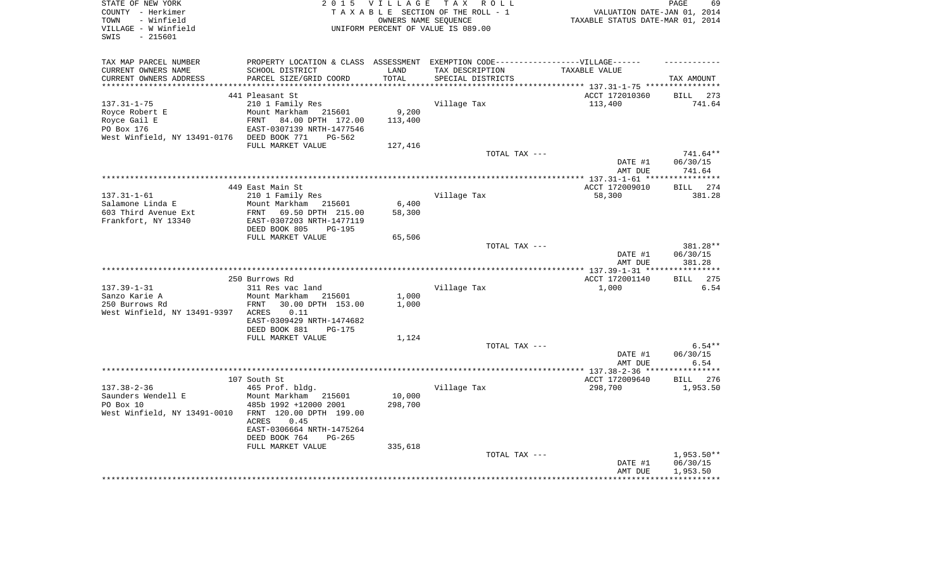| STATE OF NEW YORK<br>COUNTY - Herkimer<br>- Winfield<br>TOWN<br>VILLAGE - W Winfield<br>$-215601$<br>SWIS | 2 0 1 5                                                | <b>VILLAGE</b> | TAX ROLL<br>TAXABLE SECTION OF THE ROLL - 1<br>OWNERS NAME SEOUENCE<br>UNIFORM PERCENT OF VALUE IS 089.00 | VALUATION DATE-JAN 01, 2014<br>TAXABLE STATUS DATE-MAR 01, 2014 | PAGE<br>69           |
|-----------------------------------------------------------------------------------------------------------|--------------------------------------------------------|----------------|-----------------------------------------------------------------------------------------------------------|-----------------------------------------------------------------|----------------------|
| TAX MAP PARCEL NUMBER                                                                                     |                                                        |                | PROPERTY LOCATION & CLASS ASSESSMENT EXEMPTION CODE----------------VILLAGE------                          |                                                                 |                      |
| CURRENT OWNERS NAME                                                                                       | SCHOOL DISTRICT                                        | LAND           | TAX DESCRIPTION                                                                                           | TAXABLE VALUE                                                   |                      |
| CURRENT OWNERS ADDRESS                                                                                    | PARCEL SIZE/GRID COORD                                 | TOTAL          | SPECIAL DISTRICTS                                                                                         | ******* 137.31-1-75 ***********                                 | TAX AMOUNT           |
|                                                                                                           | 441 Pleasant St                                        |                |                                                                                                           | ACCT 172010360                                                  | 273<br>BILL          |
| $137.31 - 1 - 75$                                                                                         | 210 1 Family Res                                       |                | Village Tax                                                                                               | 113,400                                                         | 741.64               |
| Royce Robert E                                                                                            | Mount Markham<br>215601                                | 9,200          |                                                                                                           |                                                                 |                      |
| Royce Gail E                                                                                              | 84.00 DPTH 172.00<br>FRNT                              | 113,400        |                                                                                                           |                                                                 |                      |
| PO Box 176                                                                                                | EAST-0307139 NRTH-1477546                              |                |                                                                                                           |                                                                 |                      |
| West Winfield, NY 13491-0176 DEED BOOK 771                                                                | PG-562                                                 |                |                                                                                                           |                                                                 |                      |
|                                                                                                           | FULL MARKET VALUE                                      | 127,416        |                                                                                                           |                                                                 |                      |
|                                                                                                           |                                                        |                | TOTAL TAX ---                                                                                             | DATE #1                                                         | 741.64**<br>06/30/15 |
|                                                                                                           |                                                        |                |                                                                                                           | AMT DUE                                                         | 741.64               |
|                                                                                                           |                                                        |                |                                                                                                           |                                                                 |                      |
|                                                                                                           | 449 East Main St                                       |                |                                                                                                           | ACCT 172009010                                                  | 274<br><b>BILL</b>   |
| $137.31 - 1 - 61$                                                                                         | 210 1 Family Res                                       |                | Village Tax                                                                                               | 58,300                                                          | 381.28               |
| Salamone Linda E                                                                                          | Mount Markham<br>215601                                | 6,400          |                                                                                                           |                                                                 |                      |
| 603 Third Avenue Ext<br>Frankfort, NY 13340                                                               | FRNT<br>69.50 DPTH 215.00<br>EAST-0307203 NRTH-1477119 | 58,300         |                                                                                                           |                                                                 |                      |
|                                                                                                           | DEED BOOK 805<br><b>PG-195</b>                         |                |                                                                                                           |                                                                 |                      |
|                                                                                                           | FULL MARKET VALUE                                      | 65,506         |                                                                                                           |                                                                 |                      |
|                                                                                                           |                                                        |                | TOTAL TAX ---                                                                                             |                                                                 | 381.28**             |
|                                                                                                           |                                                        |                |                                                                                                           | DATE #1<br>AMT DUE                                              | 06/30/15<br>381.28   |
|                                                                                                           |                                                        |                |                                                                                                           |                                                                 |                      |
|                                                                                                           | 250 Burrows Rd                                         |                |                                                                                                           | ACCT 172001140                                                  | 275<br>BILL          |
| $137.39 - 1 - 31$<br>Sanzo Karie A                                                                        | 311 Res vac land<br>Mount Markham<br>215601            | 1,000          | Village Tax                                                                                               | 1,000                                                           | 6.54                 |
| 250 Burrows Rd                                                                                            | 30.00 DPTH 153.00<br>FRNT                              | 1,000          |                                                                                                           |                                                                 |                      |
| West Winfield, NY 13491-9397                                                                              | 0.11<br>ACRES                                          |                |                                                                                                           |                                                                 |                      |
|                                                                                                           | EAST-0309429 NRTH-1474682                              |                |                                                                                                           |                                                                 |                      |
|                                                                                                           | DEED BOOK 881<br>$PG-175$                              |                |                                                                                                           |                                                                 |                      |
|                                                                                                           | FULL MARKET VALUE                                      | 1,124          |                                                                                                           |                                                                 |                      |
|                                                                                                           |                                                        |                | TOTAL TAX ---                                                                                             | DATE #1                                                         | $6.54**$<br>06/30/15 |
|                                                                                                           |                                                        |                |                                                                                                           | AMT DUE                                                         | 6.54                 |
|                                                                                                           |                                                        |                |                                                                                                           | *************** 137.38-2-36 ****                                | ********             |
|                                                                                                           | 107 South St                                           |                |                                                                                                           | ACCT 172009640                                                  | BILL 276             |
| $137.38 - 2 - 36$                                                                                         | 465 Prof. bldg.                                        |                | Village Tax                                                                                               | 298,700                                                         | 1,953.50             |
| Saunders Wendell E                                                                                        | Mount Markham<br>215601                                | 10,000         |                                                                                                           |                                                                 |                      |
| PO Box 10                                                                                                 | 485b 1992 +12000 2001                                  | 298,700        |                                                                                                           |                                                                 |                      |
| West Winfield, NY 13491-0010                                                                              | FRNT 120.00 DPTH 199.00<br>ACRES<br>0.45               |                |                                                                                                           |                                                                 |                      |
|                                                                                                           | EAST-0306664 NRTH-1475264                              |                |                                                                                                           |                                                                 |                      |
|                                                                                                           | DEED BOOK 764<br>$PG-265$                              |                |                                                                                                           |                                                                 |                      |
|                                                                                                           | FULL MARKET VALUE                                      | 335,618        |                                                                                                           |                                                                 |                      |
|                                                                                                           |                                                        |                | TOTAL TAX ---                                                                                             |                                                                 | $1,953.50**$         |
|                                                                                                           |                                                        |                |                                                                                                           | DATE #1                                                         | 06/30/15             |
|                                                                                                           |                                                        |                |                                                                                                           | AMT DUE                                                         | 1,953.50             |
|                                                                                                           |                                                        |                |                                                                                                           |                                                                 |                      |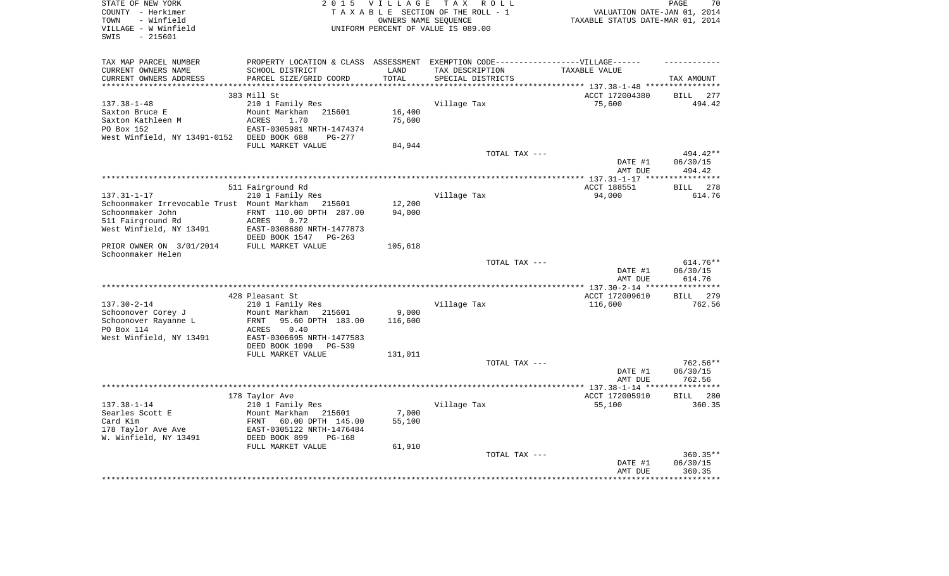| STATE OF NEW YORK<br>COUNTY - Herkimer<br>- Winfield<br>TOWN<br>VILLAGE - W Winfield<br>$-215601$<br>SWIS |                                                                                   | 2015 VILLAGE<br>OWNERS NAME SEOUENCE | TAX ROLL<br>TAXABLE SECTION OF THE ROLL - 1<br>UNIFORM PERCENT OF VALUE IS 089.00 | VALUATION DATE-JAN 01, 2014<br>TAXABLE STATUS DATE-MAR 01, 2014 | 70<br>PAGE                              |
|-----------------------------------------------------------------------------------------------------------|-----------------------------------------------------------------------------------|--------------------------------------|-----------------------------------------------------------------------------------|-----------------------------------------------------------------|-----------------------------------------|
|                                                                                                           |                                                                                   |                                      |                                                                                   |                                                                 |                                         |
| TAX MAP PARCEL NUMBER                                                                                     | PROPERTY LOCATION & CLASS ASSESSMENT EXEMPTION CODE-----------------VILLAGE------ |                                      |                                                                                   |                                                                 |                                         |
| CURRENT OWNERS NAME                                                                                       | SCHOOL DISTRICT                                                                   | LAND                                 | TAX DESCRIPTION                                                                   | TAXABLE VALUE                                                   |                                         |
| CURRENT OWNERS ADDRESS                                                                                    | PARCEL SIZE/GRID COORD                                                            | TOTAL                                | SPECIAL DISTRICTS                                                                 |                                                                 | TAX AMOUNT                              |
| ******************                                                                                        |                                                                                   | **********                           |                                                                                   | *************************** 137.38-1-48 ****************        |                                         |
| $137.38 - 1 - 48$                                                                                         | 383 Mill St                                                                       |                                      |                                                                                   | ACCT 172004380<br>75,600                                        | 277<br>BILL<br>494.42                   |
| Saxton Bruce E                                                                                            | 210 1 Family Res<br>Mount Markham<br>215601                                       | 16,400                               | Village Tax                                                                       |                                                                 |                                         |
| Saxton Kathleen M                                                                                         | 1.70<br><b>ACRES</b>                                                              | 75,600                               |                                                                                   |                                                                 |                                         |
| PO Box 152                                                                                                | EAST-0305981 NRTH-1474374                                                         |                                      |                                                                                   |                                                                 |                                         |
| West Winfield, NY 13491-0152 DEED BOOK 688                                                                | $PG-277$                                                                          |                                      |                                                                                   |                                                                 |                                         |
|                                                                                                           | FULL MARKET VALUE                                                                 | 84,944                               |                                                                                   |                                                                 |                                         |
|                                                                                                           |                                                                                   |                                      | TOTAL TAX ---                                                                     |                                                                 | 494.42**                                |
|                                                                                                           |                                                                                   |                                      |                                                                                   | DATE #1                                                         | 06/30/15                                |
|                                                                                                           |                                                                                   |                                      |                                                                                   | AMT DUE                                                         | 494.42<br>************                  |
|                                                                                                           | 511 Fairground Rd                                                                 |                                      |                                                                                   | ACCT 188551                                                     | 278<br><b>BILL</b>                      |
| $137.31 - 1 - 17$                                                                                         | 210 1 Family Res                                                                  |                                      | Village Tax                                                                       | 94,000                                                          | 614.76                                  |
| Schoonmaker Irrevocable Trust Mount Markham 215601                                                        |                                                                                   | 12,200                               |                                                                                   |                                                                 |                                         |
| Schoonmaker John                                                                                          | FRNT 110.00 DPTH 287.00                                                           | 94,000                               |                                                                                   |                                                                 |                                         |
| 511 Fairground Rd                                                                                         | ACRES<br>0.72                                                                     |                                      |                                                                                   |                                                                 |                                         |
| West Winfield, NY 13491                                                                                   | EAST-0308680 NRTH-1477873<br>DEED BOOK 1547 PG-263                                |                                      |                                                                                   |                                                                 |                                         |
| PRIOR OWNER ON 3/01/2014                                                                                  | FULL MARKET VALUE                                                                 | 105,618                              |                                                                                   |                                                                 |                                         |
| Schoonmaker Helen                                                                                         |                                                                                   |                                      |                                                                                   |                                                                 |                                         |
|                                                                                                           |                                                                                   |                                      | TOTAL TAX ---                                                                     | DATE #1                                                         | 614.76**<br>06/30/15                    |
|                                                                                                           |                                                                                   |                                      |                                                                                   | AMT DUE                                                         | 614.76                                  |
|                                                                                                           | 428 Pleasant St                                                                   |                                      |                                                                                   | ** 137.30-2-14 **<br>ACCT 172009610                             | * * * * * * * * *<br>279<br><b>BILL</b> |
| $137.30 - 2 - 14$                                                                                         | 210 1 Family Res                                                                  |                                      | Village Tax                                                                       | 116,600                                                         | 762.56                                  |
| Schoonover Corey J                                                                                        | Mount Markham<br>215601                                                           | 9,000                                |                                                                                   |                                                                 |                                         |
| Schoonover Rayanne L                                                                                      | 95.60 DPTH 183.00<br>FRNT                                                         | 116,600                              |                                                                                   |                                                                 |                                         |
| PO Box 114                                                                                                | ACRES<br>0.40                                                                     |                                      |                                                                                   |                                                                 |                                         |
| West Winfield, NY 13491                                                                                   | EAST-0306695 NRTH-1477583                                                         |                                      |                                                                                   |                                                                 |                                         |
|                                                                                                           | DEED BOOK 1090<br><b>PG-539</b>                                                   |                                      |                                                                                   |                                                                 |                                         |
|                                                                                                           | FULL MARKET VALUE                                                                 | 131,011                              |                                                                                   |                                                                 |                                         |
|                                                                                                           |                                                                                   |                                      | TOTAL TAX ---                                                                     | DATE #1                                                         | 762.56**<br>06/30/15                    |
|                                                                                                           |                                                                                   |                                      |                                                                                   | AMT DUE                                                         | 762.56                                  |
|                                                                                                           |                                                                                   |                                      |                                                                                   |                                                                 | ***********                             |
|                                                                                                           | 178 Taylor Ave                                                                    |                                      |                                                                                   | ACCT 172005910                                                  | BILL 280                                |
| $137.38 - 1 - 14$                                                                                         | 210 1 Family Res                                                                  |                                      | Village Tax                                                                       | 55,100                                                          | 360.35                                  |
| Searles Scott E                                                                                           | Mount Markham<br>215601                                                           | 7,000                                |                                                                                   |                                                                 |                                         |
| Card Kim                                                                                                  | FRNT<br>60.00 DPTH 145.00                                                         | 55,100                               |                                                                                   |                                                                 |                                         |
| 178 Taylor Ave Ave<br>W. Winfield, NY 13491                                                               | EAST-0305122 NRTH-1476484<br>DEED BOOK 899<br>$PG-168$                            |                                      |                                                                                   |                                                                 |                                         |
|                                                                                                           | FULL MARKET VALUE                                                                 | 61,910                               |                                                                                   |                                                                 |                                         |
|                                                                                                           |                                                                                   |                                      | TOTAL TAX ---                                                                     |                                                                 | 360.35**                                |
|                                                                                                           |                                                                                   |                                      |                                                                                   | DATE #1                                                         | 06/30/15                                |
|                                                                                                           |                                                                                   |                                      |                                                                                   | AMT DUE                                                         | 360.35                                  |
|                                                                                                           |                                                                                   |                                      |                                                                                   |                                                                 |                                         |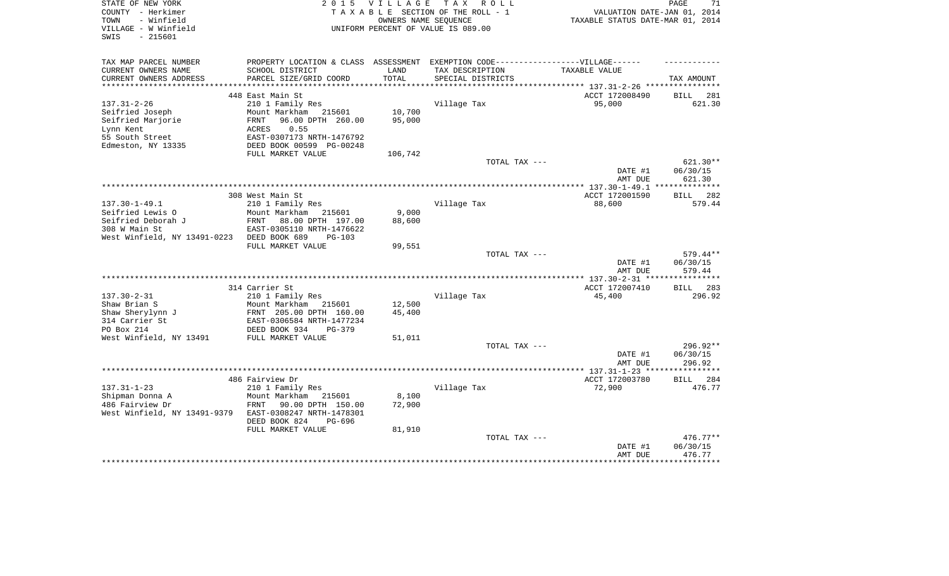| STATE OF NEW YORK<br>COUNTY - Herkimer<br>- Winfield<br>TOWN<br>VILLAGE - W Winfield<br>- 215601<br>SWIS        | 2 0 1 5                                                                                                                                                                  | VILLAGE<br>OWNERS NAME SEQUENCE | TAX ROLL<br>TAXABLE SECTION OF THE ROLL - 1<br>UNIFORM PERCENT OF VALUE IS 089.00                                         | VALUATION DATE-JAN 01, 2014<br>TAXABLE STATUS DATE-MAR 01, 2014 | PAGE<br>71                     |
|-----------------------------------------------------------------------------------------------------------------|--------------------------------------------------------------------------------------------------------------------------------------------------------------------------|---------------------------------|---------------------------------------------------------------------------------------------------------------------------|-----------------------------------------------------------------|--------------------------------|
| TAX MAP PARCEL NUMBER<br>CURRENT OWNERS NAME<br>CURRENT OWNERS ADDRESS                                          | SCHOOL DISTRICT<br>PARCEL SIZE/GRID COORD                                                                                                                                | LAND<br>TOTAL                   | PROPERTY LOCATION & CLASS ASSESSMENT EXEMPTION CODE-----------------VILLAGE------<br>TAX DESCRIPTION<br>SPECIAL DISTRICTS | TAXABLE VALUE                                                   | TAX AMOUNT                     |
| *******************                                                                                             |                                                                                                                                                                          |                                 | ************************************** 137.31-2-26 *****************                                                      |                                                                 |                                |
| $137.31 - 2 - 26$<br>Seifried Joseph<br>Seifried Marjorie<br>Lynn Kent<br>55 South Street<br>Edmeston, NY 13335 | 448 East Main St<br>210 1 Family Res<br>Mount Markham 215601<br>96.00 DPTH 260.00<br>FRNT<br>0.55<br>ACRES<br>EAST-0307173 NRTH-1476792<br>DEED BOOK 00599 PG-00248      | 10,700<br>95,000                | Village Tax                                                                                                               | ACCT 172008490<br>95,000                                        | 281<br>BILL<br>621.30          |
|                                                                                                                 | FULL MARKET VALUE                                                                                                                                                        | 106,742                         | TOTAL TAX ---                                                                                                             |                                                                 | 621.30**                       |
|                                                                                                                 |                                                                                                                                                                          |                                 |                                                                                                                           | DATE #1<br>AMT DUE                                              | 06/30/15<br>621.30             |
|                                                                                                                 |                                                                                                                                                                          |                                 |                                                                                                                           |                                                                 |                                |
| $137.30 - 1 - 49.1$<br>Seifried Lewis O<br>Seifried Deborah J                                                   | 308 West Main St<br>210 1 Family Res<br>Mount Markham<br>215601<br>FRNT<br>88.00 DPTH 197.00                                                                             | 9,000<br>88,600                 | Village Tax                                                                                                               | ACCT 172001590<br>88,600                                        | 282<br>BILL<br>579.44          |
| 308 W Main St                                                                                                   | EAST-0305110 NRTH-1476622<br>DEED BOOK 689<br>$PG-103$                                                                                                                   |                                 |                                                                                                                           |                                                                 |                                |
| West Winfield, NY 13491-0223                                                                                    | FULL MARKET VALUE                                                                                                                                                        | 99,551                          |                                                                                                                           |                                                                 |                                |
|                                                                                                                 |                                                                                                                                                                          |                                 | TOTAL TAX ---                                                                                                             | DATE #1<br>AMT DUE                                              | 579.44**<br>06/30/15<br>579.44 |
|                                                                                                                 |                                                                                                                                                                          |                                 |                                                                                                                           |                                                                 | BILL 283                       |
| $137.30 - 2 - 31$<br>Shaw Brian S<br>Shaw Sherylynn J<br>314 Carrier St                                         | 314 Carrier St<br>210 1 Family Res<br>Mount Markham<br>215601<br>FRNT 205.00 DPTH 160.00<br>EAST-0306584 NRTH-1477234                                                    | 12,500<br>45,400                | Village Tax                                                                                                               | ACCT 172007410<br>45,400                                        | 296.92                         |
| PO Box 214                                                                                                      | DEED BOOK 934<br>$PG-379$                                                                                                                                                |                                 |                                                                                                                           |                                                                 |                                |
| West Winfield, NY 13491                                                                                         | FULL MARKET VALUE                                                                                                                                                        | 51,011                          | TOTAL TAX ---                                                                                                             | DATE #1<br>AMT DUE                                              | 296.92**<br>06/30/15<br>296.92 |
|                                                                                                                 |                                                                                                                                                                          |                                 |                                                                                                                           | *************** 137.31-1-23 ***                                 | **********                     |
| $137.31 - 1 - 23$<br>Shipman Donna A<br>486 Fairview Dr<br>West Winfield, NY 13491-9379                         | 486 Fairview Dr<br>210 1 Family Res<br>Mount Markham<br>215601<br>90.00 DPTH 150.00<br>FRNT<br>EAST-0308247 NRTH-1478301<br>DEED BOOK 824<br>PG-696<br>FULL MARKET VALUE | 8,100<br>72,900<br>81,910       | Village Tax                                                                                                               | ACCT 172003780<br>72,900                                        | <b>BILL</b><br>284<br>476.77   |
|                                                                                                                 |                                                                                                                                                                          |                                 | TOTAL TAX ---                                                                                                             | DATE #1<br>AMT DUE                                              | 476.77**<br>06/30/15<br>476.77 |
|                                                                                                                 |                                                                                                                                                                          |                                 |                                                                                                                           |                                                                 |                                |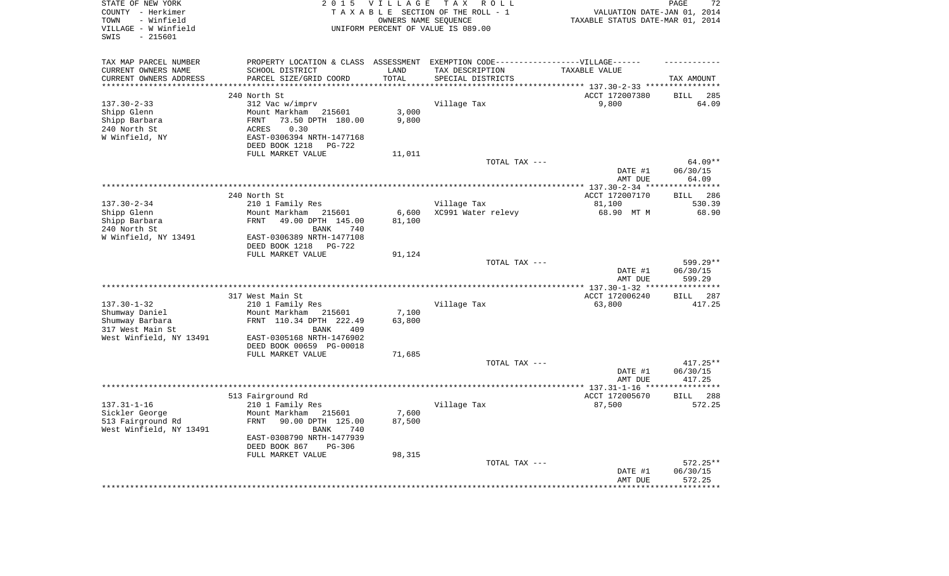| STATE OF NEW YORK<br>COUNTY - Herkimer<br>- Winfield<br>TOWN<br>VILLAGE - W Winfield<br>$-215601$<br>SWIS | 2 0 1 5                                                                           | <b>VILLAGE</b>          | T A X<br>R O L L<br>TAXABLE SECTION OF THE ROLL - 1<br>OWNERS NAME SEQUENCE<br>UNIFORM PERCENT OF VALUE IS 089.00 | VALUATION DATE-JAN 01, 2014<br>TAXABLE STATUS DATE-MAR 01, 2014 | PAGE<br>72                  |
|-----------------------------------------------------------------------------------------------------------|-----------------------------------------------------------------------------------|-------------------------|-------------------------------------------------------------------------------------------------------------------|-----------------------------------------------------------------|-----------------------------|
| TAX MAP PARCEL NUMBER                                                                                     | PROPERTY LOCATION & CLASS ASSESSMENT EXEMPTION CODE-----------------VILLAGE------ |                         |                                                                                                                   |                                                                 |                             |
| CURRENT OWNERS NAME                                                                                       | SCHOOL DISTRICT                                                                   | LAND                    | TAX DESCRIPTION                                                                                                   | TAXABLE VALUE                                                   |                             |
| CURRENT OWNERS ADDRESS<br>**********************                                                          | PARCEL SIZE/GRID COORD<br>****************************                            | TOTAL<br>************** | SPECIAL DISTRICTS                                                                                                 |                                                                 | TAX AMOUNT                  |
|                                                                                                           |                                                                                   |                         | ************************************* 137.30-2-33 *****************                                               |                                                                 |                             |
| $137.30 - 2 - 33$                                                                                         | 240 North St<br>312 Vac w/imprv                                                   |                         | Village Tax                                                                                                       | ACCT 172007380<br>9,800                                         | <b>BILL</b><br>285<br>64.09 |
| Shipp Glenn                                                                                               | Mount Markham<br>215601                                                           | 3,000                   |                                                                                                                   |                                                                 |                             |
| Shipp Barbara                                                                                             | 73.50 DPTH 180.00<br>FRNT                                                         | 9,800                   |                                                                                                                   |                                                                 |                             |
| 240 North St                                                                                              | 0.30<br>ACRES                                                                     |                         |                                                                                                                   |                                                                 |                             |
| W Winfield, NY                                                                                            | EAST-0306394 NRTH-1477168                                                         |                         |                                                                                                                   |                                                                 |                             |
|                                                                                                           | DEED BOOK 1218<br>PG-722                                                          |                         |                                                                                                                   |                                                                 |                             |
|                                                                                                           | FULL MARKET VALUE                                                                 | 11,011                  |                                                                                                                   |                                                                 |                             |
|                                                                                                           |                                                                                   |                         | TOTAL TAX ---                                                                                                     |                                                                 | 64.09**                     |
|                                                                                                           |                                                                                   |                         |                                                                                                                   | DATE #1                                                         | 06/30/15                    |
|                                                                                                           |                                                                                   |                         |                                                                                                                   | AMT DUE                                                         | 64.09                       |
|                                                                                                           |                                                                                   |                         |                                                                                                                   | ********** 137.30-2-34 ***                                      | ***********                 |
|                                                                                                           | 240 North St                                                                      |                         |                                                                                                                   | ACCT 172007170                                                  | 286<br><b>BILL</b>          |
| $137.30 - 2 - 34$<br>Shipp Glenn                                                                          | 210 1 Family Res<br>Mount Markham<br>215601                                       | 6,600                   | Village Tax<br>XC991 Water relevy                                                                                 | 81,100<br>68.90 MT M                                            | 530.39<br>68.90             |
| Shipp Barbara                                                                                             | 49.00 DPTH 145.00<br>FRNT                                                         | 81,100                  |                                                                                                                   |                                                                 |                             |
| 240 North St                                                                                              | 740<br><b>BANK</b>                                                                |                         |                                                                                                                   |                                                                 |                             |
| W Winfield, NY 13491                                                                                      | EAST-0306389 NRTH-1477108                                                         |                         |                                                                                                                   |                                                                 |                             |
|                                                                                                           | DEED BOOK 1218<br>$PG-722$                                                        |                         |                                                                                                                   |                                                                 |                             |
|                                                                                                           | FULL MARKET VALUE                                                                 | 91,124                  |                                                                                                                   |                                                                 |                             |
|                                                                                                           |                                                                                   |                         | TOTAL TAX ---                                                                                                     |                                                                 | 599.29**                    |
|                                                                                                           |                                                                                   |                         |                                                                                                                   | DATE #1                                                         | 06/30/15                    |
|                                                                                                           |                                                                                   |                         | ********************                                                                                              | AMT DUE                                                         | 599.29<br>*********         |
|                                                                                                           | 317 West Main St                                                                  |                         |                                                                                                                   | ** $137.30 - 1 - 32$ **<br>ACCT 172006240                       | 287<br>BILL                 |
| $137.30 - 1 - 32$                                                                                         | 210 1 Family Res                                                                  |                         | Village Tax                                                                                                       | 63,800                                                          | 417.25                      |
| Shumway Daniel                                                                                            | Mount Markham<br>215601                                                           | 7,100                   |                                                                                                                   |                                                                 |                             |
| Shumway Barbara                                                                                           | FRNT 110.34 DPTH 222.49                                                           | 63,800                  |                                                                                                                   |                                                                 |                             |
| 317 West Main St                                                                                          | 409<br>BANK                                                                       |                         |                                                                                                                   |                                                                 |                             |
| West Winfield, NY 13491                                                                                   | EAST-0305168 NRTH-1476902                                                         |                         |                                                                                                                   |                                                                 |                             |
|                                                                                                           | DEED BOOK 00659 PG-00018                                                          |                         |                                                                                                                   |                                                                 |                             |
|                                                                                                           | FULL MARKET VALUE                                                                 | 71,685                  |                                                                                                                   |                                                                 |                             |
|                                                                                                           |                                                                                   |                         | TOTAL TAX ---                                                                                                     |                                                                 | 417.25**                    |
|                                                                                                           |                                                                                   |                         |                                                                                                                   | DATE #1                                                         | 06/30/15                    |
|                                                                                                           |                                                                                   |                         |                                                                                                                   | AMT DUE                                                         | 417.25<br>*********         |
|                                                                                                           | 513 Fairground Rd                                                                 |                         |                                                                                                                   | ACCT 172005670                                                  | <b>BILL</b><br>288          |
| $137.31 - 1 - 16$                                                                                         | 210 1 Family Res                                                                  |                         | Village Tax                                                                                                       | 87,500                                                          | 572.25                      |
| Sickler George                                                                                            | Mount Markham<br>215601                                                           | 7,600                   |                                                                                                                   |                                                                 |                             |
| 513 Fairground Rd                                                                                         | 90.00 DPTH 125.00<br><b>FRNT</b>                                                  | 87,500                  |                                                                                                                   |                                                                 |                             |
| West Winfield, NY 13491                                                                                   | <b>BANK</b><br>740                                                                |                         |                                                                                                                   |                                                                 |                             |
|                                                                                                           | EAST-0308790 NRTH-1477939                                                         |                         |                                                                                                                   |                                                                 |                             |
|                                                                                                           | DEED BOOK 867<br>$PG-306$                                                         |                         |                                                                                                                   |                                                                 |                             |
|                                                                                                           | FULL MARKET VALUE                                                                 | 98,315                  |                                                                                                                   |                                                                 |                             |
|                                                                                                           |                                                                                   |                         | TOTAL TAX ---                                                                                                     |                                                                 | $572.25**$                  |
|                                                                                                           |                                                                                   |                         |                                                                                                                   | DATE #1                                                         | 06/30/15                    |
|                                                                                                           |                                                                                   |                         |                                                                                                                   | AMT DUE                                                         | 572.25<br>********          |
|                                                                                                           |                                                                                   |                         |                                                                                                                   |                                                                 |                             |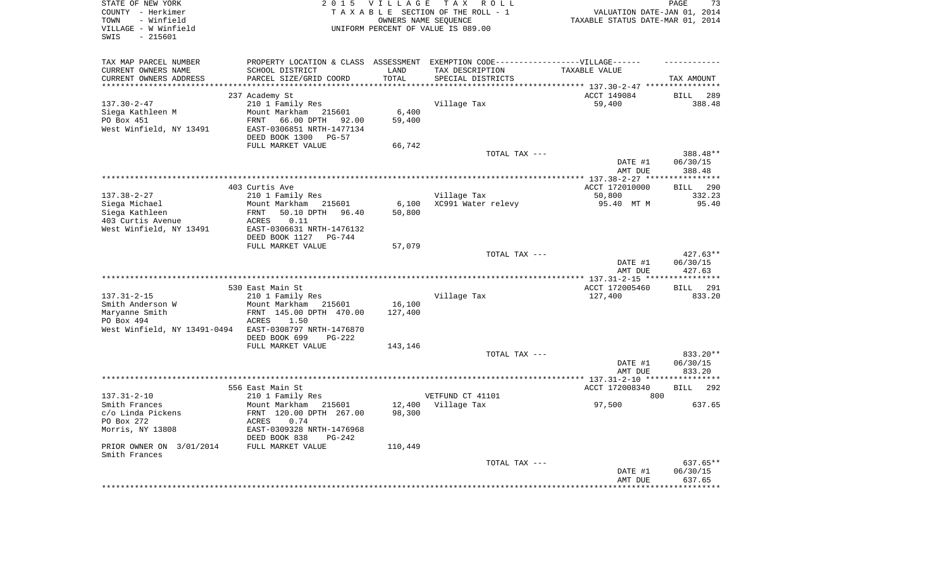| STATE OF NEW YORK<br>COUNTY - Herkimer<br>- Winfield<br>TOWN<br>VILLAGE - W Winfield<br>$-215601$<br>SWIS | 2 0 1 5                                                                                                                                           | VILLAGE<br>OWNERS NAME SEQUENCE | T A X<br>R O L L<br>TAXABLE SECTION OF THE ROLL - 1<br>UNIFORM PERCENT OF VALUE IS 089.00           | VALUATION DATE-JAN 01, 2014<br>TAXABLE STATUS DATE-MAR 01, 2014 | PAGE<br>73                            |
|-----------------------------------------------------------------------------------------------------------|---------------------------------------------------------------------------------------------------------------------------------------------------|---------------------------------|-----------------------------------------------------------------------------------------------------|-----------------------------------------------------------------|---------------------------------------|
| TAX MAP PARCEL NUMBER<br>CURRENT OWNERS NAME                                                              | SCHOOL DISTRICT                                                                                                                                   | LAND                            | PROPERTY LOCATION & CLASS ASSESSMENT EXEMPTION CODE----------------VILLAGE------<br>TAX DESCRIPTION | TAXABLE VALUE                                                   |                                       |
| CURRENT OWNERS ADDRESS<br>**********************                                                          | PARCEL SIZE/GRID COORD                                                                                                                            | TOTAL                           | SPECIAL DISTRICTS                                                                                   |                                                                 | TAX AMOUNT                            |
|                                                                                                           | 237 Academy St                                                                                                                                    |                                 |                                                                                                     | ACCT 149084                                                     | BILL<br>289                           |
| $137.30 - 2 - 47$<br>Siega Kathleen M<br>PO Box 451<br>West Winfield, NY 13491                            | 210 1 Family Res<br>Mount Markham<br>215601<br>66.00 DPTH 92.00<br>FRNT<br>EAST-0306851 NRTH-1477134<br>DEED BOOK 1300<br>$PG-57$                 | 6,400<br>59,400                 | Village Tax                                                                                         | 59,400                                                          | 388.48                                |
|                                                                                                           | FULL MARKET VALUE                                                                                                                                 | 66,742                          |                                                                                                     |                                                                 |                                       |
|                                                                                                           |                                                                                                                                                   |                                 | TOTAL TAX ---                                                                                       | DATE #1<br>AMT DUE                                              | 388.48**<br>06/30/15<br>388.48        |
|                                                                                                           |                                                                                                                                                   |                                 |                                                                                                     |                                                                 |                                       |
| $137.38 - 2 - 27$<br>Siega Michael<br>Siega Kathleen<br>403 Curtis Avenue<br>West Winfield, NY 13491      | 403 Curtis Ave<br>210 1 Family Res<br>Mount Markham<br>215601<br>FRNT<br>50.10 DPTH<br>96.40<br>0.11<br>ACRES<br>EAST-0306631 NRTH-1476132        | 6,100<br>50,800                 | Village Tax<br>XC991 Water relevy                                                                   | ACCT 172010000<br>50,800<br>95.40 MT M                          | <b>BILL</b><br>290<br>332.23<br>95.40 |
|                                                                                                           | DEED BOOK 1127<br>PG-744                                                                                                                          |                                 |                                                                                                     |                                                                 |                                       |
|                                                                                                           | FULL MARKET VALUE                                                                                                                                 | 57,079                          |                                                                                                     |                                                                 |                                       |
|                                                                                                           |                                                                                                                                                   |                                 | TOTAL TAX ---                                                                                       | DATE #1<br>AMT DUE                                              | 427.63**<br>06/30/15<br>427.63        |
|                                                                                                           |                                                                                                                                                   |                                 |                                                                                                     |                                                                 |                                       |
| $137.31 - 2 - 15$<br>Smith Anderson W                                                                     | 530 East Main St<br>210 1 Family Res<br>Mount Markham<br>215601                                                                                   | 16,100                          | Village Tax                                                                                         | ACCT 172005460<br>127,400                                       | 291<br><b>BILL</b><br>833.20          |
| Maryanne Smith<br>PO Box 494<br>West Winfield, NY 13491-0494                                              | FRNT 145.00 DPTH 470.00<br><b>ACRES</b><br>1.50<br>EAST-0308797 NRTH-1476870<br>DEED BOOK 699<br>PG-222                                           | 127,400                         |                                                                                                     |                                                                 |                                       |
|                                                                                                           | FULL MARKET VALUE                                                                                                                                 | 143,146                         |                                                                                                     |                                                                 |                                       |
|                                                                                                           |                                                                                                                                                   |                                 | TOTAL TAX ---                                                                                       | DATE #1<br>AMT DUE                                              | 833.20**<br>06/30/15<br>833.20        |
|                                                                                                           |                                                                                                                                                   |                                 |                                                                                                     |                                                                 |                                       |
|                                                                                                           | 556 East Main St                                                                                                                                  |                                 |                                                                                                     | ACCT 172008340                                                  | 292<br>BILL                           |
| $137.31 - 2 - 10$<br>Smith Frances<br>c/o Linda Pickens<br>PO Box 272<br>Morris, NY 13808                 | 210 1 Family Res<br>Mount Markham<br>215601<br>FRNT 120.00 DPTH 267.00<br>0.74<br>ACRES<br>EAST-0309328 NRTH-1476968<br>DEED BOOK 838<br>$PG-242$ | 12,400<br>98,300                | VETFUND CT 41101<br>Village Tax                                                                     | 800<br>97,500                                                   | 637.65                                |
| PRIOR OWNER ON 3/01/2014<br>Smith Frances                                                                 | FULL MARKET VALUE                                                                                                                                 | 110,449                         |                                                                                                     |                                                                 |                                       |
|                                                                                                           |                                                                                                                                                   |                                 | TOTAL TAX ---                                                                                       | DATE #1<br>AMT DUE                                              | 637.65**<br>06/30/15<br>637.65        |
|                                                                                                           |                                                                                                                                                   |                                 |                                                                                                     |                                                                 | ***********                           |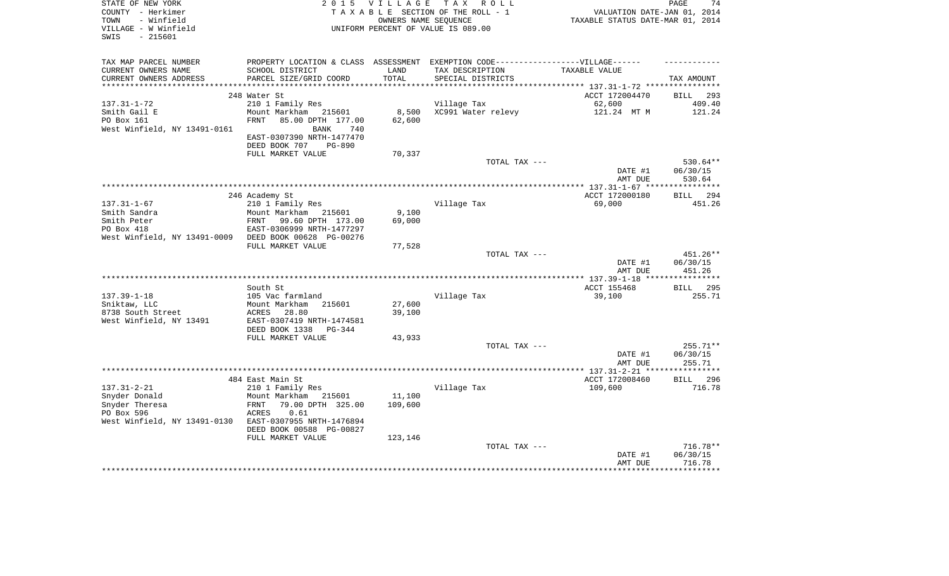| STATE OF NEW YORK<br>COUNTY - Herkimer<br>- Winfield<br>TOWN<br>VILLAGE - W Winfield<br>$-215601$<br>SWIS | <b>VILLAGE</b><br>2 0 1 5<br>TAXABLE SECTION OF THE ROLL - 1<br>UNIFORM PERCENT OF VALUE IS 089.00                                                                                          | 74<br>PAGE<br>VALUATION DATE-JAN 01, 2014<br>TAXABLE STATUS DATE-MAR 01, 2014 |                                      |                                    |                                |
|-----------------------------------------------------------------------------------------------------------|---------------------------------------------------------------------------------------------------------------------------------------------------------------------------------------------|-------------------------------------------------------------------------------|--------------------------------------|------------------------------------|--------------------------------|
| TAX MAP PARCEL NUMBER<br>CURRENT OWNERS NAME<br>CURRENT OWNERS ADDRESS<br>*************************       | PROPERTY LOCATION & CLASS ASSESSMENT EXEMPTION CODE-----------------VILLAGE------<br>SCHOOL DISTRICT<br>PARCEL SIZE/GRID COORD                                                              | LAND<br>TOTAL                                                                 | TAX DESCRIPTION<br>SPECIAL DISTRICTS | TAXABLE VALUE                      | TAX AMOUNT                     |
|                                                                                                           | 248 Water St                                                                                                                                                                                |                                                                               |                                      | ACCT 172004470                     | 293<br><b>BILL</b>             |
| $137.31 - 1 - 72$<br>Smith Gail E<br>PO Box 161<br>West Winfield, NY 13491-0161                           | 210 1 Family Res<br>Mount Markham 215601<br>FRNT<br>85.00 DPTH 177.00<br>740<br>BANK<br>EAST-0307390 NRTH-1477470                                                                           | 8,500<br>62,600                                                               | Village Tax<br>XC991 Water relevy    | 62,600<br>121.24 MT M              | 409.40<br>121.24               |
|                                                                                                           | DEED BOOK 707<br><b>PG-890</b><br>FULL MARKET VALUE                                                                                                                                         | 70,337                                                                        |                                      |                                    |                                |
|                                                                                                           |                                                                                                                                                                                             |                                                                               | TOTAL TAX ---                        | DATE #1<br>AMT DUE                 | 530.64**<br>06/30/15<br>530.64 |
|                                                                                                           |                                                                                                                                                                                             |                                                                               |                                      | ***************** 137.31-1-67 **** | **********                     |
| $137.31 - 1 - 67$                                                                                         | 246 Academy St                                                                                                                                                                              |                                                                               |                                      | ACCT 172000180                     | <b>BILL</b><br>294             |
| Smith Sandra<br>Smith Peter<br>PO Box 418<br>West Winfield, NY 13491-0009                                 | 210 1 Family Res<br>Mount Markham 215601<br>99.60 DPTH 173.00<br>FRNT<br>EAST-0306999 NRTH-1477297<br>DEED BOOK 00628 PG-00276                                                              | 9,100<br>69,000                                                               | Village Tax                          | 69,000                             | 451.26                         |
|                                                                                                           | FULL MARKET VALUE                                                                                                                                                                           | 77,528                                                                        | TOTAL TAX ---                        | DATE #1                            | 451.26**<br>06/30/15           |
|                                                                                                           |                                                                                                                                                                                             |                                                                               |                                      | AMT DUE                            | 451.26                         |
|                                                                                                           | South St                                                                                                                                                                                    |                                                                               |                                      | ACCT 155468                        | 295<br>BILL                    |
| $137.39 - 1 - 18$<br>Sniktaw, LLC<br>8738 South Street<br>West Winfield, NY 13491                         | 105 Vac farmland<br>Mount Markham 215601<br>ACRES<br>28.80<br>EAST-0307419 NRTH-1474581<br>DEED BOOK 1338<br>$PG-344$                                                                       | 27,600<br>39,100                                                              | Village Tax                          | 39,100                             | 255.71                         |
|                                                                                                           | FULL MARKET VALUE                                                                                                                                                                           | 43,933                                                                        |                                      |                                    |                                |
|                                                                                                           |                                                                                                                                                                                             |                                                                               | TOTAL TAX ---                        | DATE #1<br>AMT DUE                 | 255.71**<br>06/30/15<br>255.71 |
|                                                                                                           |                                                                                                                                                                                             |                                                                               |                                      |                                    |                                |
| $137.31 - 2 - 21$<br>Snyder Donald<br>Snyder Theresa<br>PO Box 596<br>West Winfield, NY 13491-0130        | 484 East Main St<br>210 1 Family Res<br>Mount Markham<br>215601<br>FRNT<br>79.00 DPTH 325.00<br>ACRES<br>0.61<br>EAST-0307955 NRTH-1476894<br>DEED BOOK 00588 PG-00827<br>FULL MARKET VALUE | 11,100<br>109,600                                                             | Village Tax                          | ACCT 172008460<br>109,600          | 296<br><b>BILL</b><br>716.78   |
|                                                                                                           |                                                                                                                                                                                             | 123,146                                                                       | TOTAL TAX ---                        |                                    | 716.78**                       |
|                                                                                                           |                                                                                                                                                                                             |                                                                               |                                      | DATE #1<br>AMT DUE                 | 06/30/15<br>716.78             |
|                                                                                                           |                                                                                                                                                                                             |                                                                               |                                      |                                    |                                |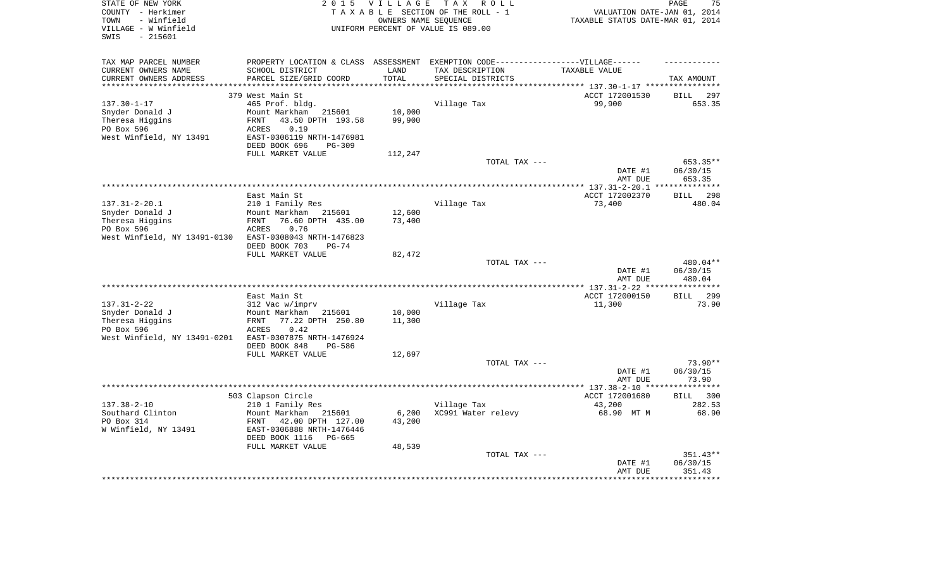| STATE OF NEW YORK<br>COUNTY - Herkimer     | 2 0 1 5                                               | <b>VILLAGE</b>               | TAX ROLL<br>TAXABLE SECTION OF THE ROLL - 1                                       | VALUATION DATE-JAN 01, 2014                                                | 75<br>PAGE           |
|--------------------------------------------|-------------------------------------------------------|------------------------------|-----------------------------------------------------------------------------------|----------------------------------------------------------------------------|----------------------|
| - Winfield<br>TOWN<br>VILLAGE - W Winfield |                                                       |                              | OWNERS NAME SEQUENCE<br>UNIFORM PERCENT OF VALUE IS 089.00                        | TAXABLE STATUS DATE-MAR 01, 2014                                           |                      |
| $-215601$<br>SWIS                          |                                                       |                              |                                                                                   |                                                                            |                      |
| TAX MAP PARCEL NUMBER                      |                                                       |                              | PROPERTY LOCATION & CLASS ASSESSMENT EXEMPTION CODE-----------------VILLAGE------ |                                                                            |                      |
| CURRENT OWNERS NAME                        | SCHOOL DISTRICT                                       | LAND                         | TAX DESCRIPTION                                                                   | TAXABLE VALUE                                                              |                      |
| CURRENT OWNERS ADDRESS                     | PARCEL SIZE/GRID COORD                                | TOTAL<br>* * * * * * * * * * | SPECIAL DISTRICTS                                                                 |                                                                            | TAX AMOUNT           |
| *****************                          | 379 West Main St                                      |                              |                                                                                   | *************************** 137.30-1-17 ****************<br>ACCT 172001530 | <b>BILL</b><br>297   |
| $137.30 - 1 - 17$                          | 465 Prof. bldg.                                       |                              | Village Tax                                                                       | 99,900                                                                     | 653.35               |
| Snyder Donald J                            | Mount Markham<br>215601                               | 10,000                       |                                                                                   |                                                                            |                      |
| Theresa Higgins                            | 43.50 DPTH 193.58<br>FRNT                             | 99,900                       |                                                                                   |                                                                            |                      |
| PO Box 596                                 | <b>ACRES</b><br>0.19                                  |                              |                                                                                   |                                                                            |                      |
| West Winfield, NY 13491                    | EAST-0306119 NRTH-1476981                             |                              |                                                                                   |                                                                            |                      |
|                                            | DEED BOOK 696<br>$PG-309$                             |                              |                                                                                   |                                                                            |                      |
|                                            | FULL MARKET VALUE                                     | 112,247                      |                                                                                   |                                                                            |                      |
|                                            |                                                       |                              | TOTAL TAX ---                                                                     |                                                                            | 653.35**             |
|                                            |                                                       |                              |                                                                                   | DATE #1                                                                    | 06/30/15             |
|                                            |                                                       |                              |                                                                                   | AMT DUE                                                                    | 653.35               |
|                                            | East Main St                                          |                              |                                                                                   | ACCT 172002370                                                             | BILL 298             |
| $137.31 - 2 - 20.1$                        | 210 1 Family Res                                      |                              | Village Tax                                                                       | 73,400                                                                     | 480.04               |
| Snyder Donald J                            | Mount Markham<br>215601                               | 12,600                       |                                                                                   |                                                                            |                      |
| Theresa Higgins                            | 76.60 DPTH 435.00<br>FRNT                             | 73,400                       |                                                                                   |                                                                            |                      |
| PO Box 596                                 | ACRES<br>0.76                                         |                              |                                                                                   |                                                                            |                      |
| West Winfield, NY 13491-0130               | EAST-0308043 NRTH-1476823                             |                              |                                                                                   |                                                                            |                      |
|                                            | DEED BOOK 703<br>$PG-74$                              |                              |                                                                                   |                                                                            |                      |
|                                            | FULL MARKET VALUE                                     | 82,472                       |                                                                                   |                                                                            |                      |
|                                            |                                                       |                              | TOTAL TAX ---                                                                     | DATE #1                                                                    | 480.04**<br>06/30/15 |
|                                            |                                                       |                              |                                                                                   | AMT DUE                                                                    | 480.04               |
|                                            |                                                       |                              |                                                                                   | ****** 137.31-2-22 **                                                      | ********             |
|                                            | East Main St                                          |                              |                                                                                   | ACCT 172000150                                                             | 299<br><b>BILL</b>   |
| $137.31 - 2 - 22$                          | 312 Vac w/imprv                                       |                              | Village Tax                                                                       | 11,300                                                                     | 73.90                |
| Snyder Donald J                            | Mount Markham<br>215601                               | 10,000                       |                                                                                   |                                                                            |                      |
| Theresa Higgins                            | FRNT<br>77.22 DPTH 250.80                             | 11,300                       |                                                                                   |                                                                            |                      |
| PO Box 596                                 | 0.42<br>ACRES                                         |                              |                                                                                   |                                                                            |                      |
| West Winfield, NY 13491-0201               | EAST-0307875 NRTH-1476924                             |                              |                                                                                   |                                                                            |                      |
|                                            | DEED BOOK 848<br>PG-586<br>FULL MARKET VALUE          | 12,697                       |                                                                                   |                                                                            |                      |
|                                            |                                                       |                              | TOTAL TAX ---                                                                     |                                                                            | $73.90**$            |
|                                            |                                                       |                              |                                                                                   | DATE #1                                                                    | 06/30/15             |
|                                            |                                                       |                              |                                                                                   | AMT DUE                                                                    | 73.90                |
|                                            |                                                       |                              |                                                                                   | ****** 137.38-2-10 **                                                      | *********            |
|                                            | 503 Clapson Circle                                    |                              |                                                                                   | ACCT 172001680                                                             | BILL 300             |
| $137.38 - 2 - 10$                          | 210 1 Family Res                                      |                              | Village Tax                                                                       | 43,200                                                                     | 282.53               |
| Southard Clinton                           | Mount Markham<br>215601                               | 6,200                        | XC991 Water relevy                                                                | 68.90 MT M                                                                 | 68.90                |
| PO Box 314<br>W Winfield, NY 13491         | 42.00 DPTH 127.00<br>FRNT                             | 43,200                       |                                                                                   |                                                                            |                      |
|                                            | EAST-0306888 NRTH-1476446<br>DEED BOOK 1116<br>PG-665 |                              |                                                                                   |                                                                            |                      |
|                                            | FULL MARKET VALUE                                     | 48,539                       |                                                                                   |                                                                            |                      |
|                                            |                                                       |                              | TOTAL TAX ---                                                                     |                                                                            | 351.43**             |
|                                            |                                                       |                              |                                                                                   | DATE #1                                                                    | 06/30/15             |
|                                            |                                                       |                              |                                                                                   | AMT DUE                                                                    | 351.43               |
|                                            |                                                       |                              |                                                                                   |                                                                            |                      |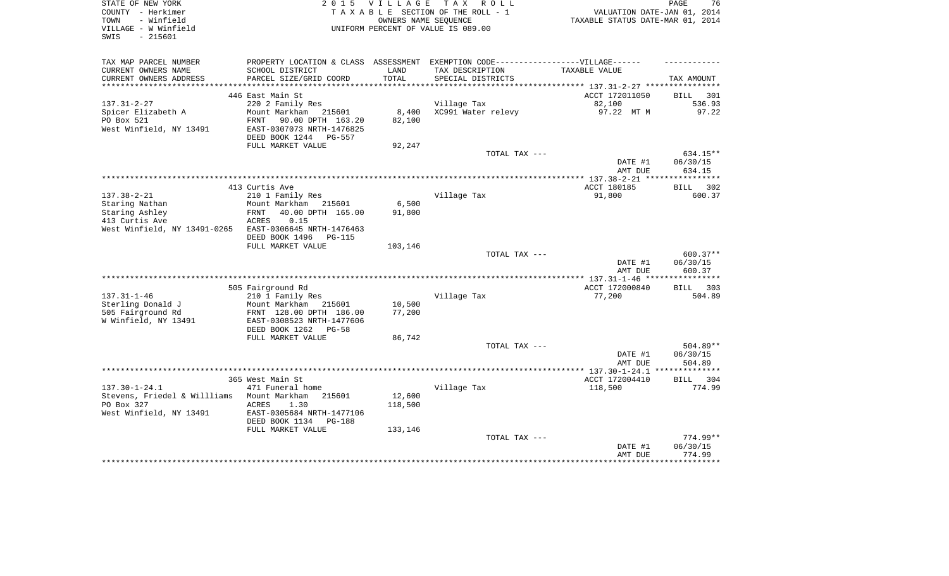| STATE OF NEW YORK<br>COUNTY - Herkimer<br>- Winfield<br>TOWN<br>VILLAGE - W Winfield<br>$-215601$<br>SWIS | 2 0 1 5                                                                                                                        | VILLAGE<br>OWNERS NAME SEQUENCE | TAX ROLL<br>TAXABLE SECTION OF THE ROLL - 1<br>UNIFORM PERCENT OF VALUE IS 089.00                                         | VALUATION DATE-JAN 01, 2014<br>TAXABLE STATUS DATE-MAR 01, 2014 | 76<br>PAGE         |
|-----------------------------------------------------------------------------------------------------------|--------------------------------------------------------------------------------------------------------------------------------|---------------------------------|---------------------------------------------------------------------------------------------------------------------------|-----------------------------------------------------------------|--------------------|
| TAX MAP PARCEL NUMBER<br>CURRENT OWNERS NAME<br>CURRENT OWNERS ADDRESS                                    | SCHOOL DISTRICT<br>PARCEL SIZE/GRID COORD                                                                                      | LAND<br>TOTAL                   | PROPERTY LOCATION & CLASS ASSESSMENT EXEMPTION CODE-----------------VILLAGE------<br>TAX DESCRIPTION<br>SPECIAL DISTRICTS | TAXABLE VALUE                                                   | TAX AMOUNT         |
| ***********************                                                                                   |                                                                                                                                |                                 |                                                                                                                           |                                                                 |                    |
|                                                                                                           | 446 East Main St                                                                                                               |                                 |                                                                                                                           | ACCT 172011050                                                  | 301<br>BILL        |
| $137.31 - 2 - 27$<br>Spicer Elizabeth A<br>PO Box 521<br>West Winfield, NY 13491                          | 220 2 Family Res<br>Mount Markham 215601<br>FRNT<br>90.00 DPTH 163.20<br>EAST-0307073 NRTH-1476825<br>DEED BOOK 1244<br>PG-557 | 8,400<br>82,100                 | Village Tax<br>XC991 Water relevy                                                                                         | 82,100<br>97.22 MT M                                            | 536.93<br>97.22    |
|                                                                                                           | FULL MARKET VALUE                                                                                                              | 92,247                          |                                                                                                                           |                                                                 |                    |
|                                                                                                           |                                                                                                                                |                                 | TOTAL TAX ---                                                                                                             |                                                                 | 634.15**           |
|                                                                                                           |                                                                                                                                |                                 |                                                                                                                           | DATE #1<br>AMT DUE                                              | 06/30/15<br>634.15 |
|                                                                                                           | 413 Curtis Ave                                                                                                                 |                                 |                                                                                                                           | ACCT 180185                                                     | BILL 302           |
| $137.38 - 2 - 21$                                                                                         | 210 1 Family Res                                                                                                               |                                 | Village Tax                                                                                                               | 91,800                                                          | 600.37             |
| Staring Nathan                                                                                            | Mount Markham<br>215601                                                                                                        | 6,500                           |                                                                                                                           |                                                                 |                    |
| Staring Ashley                                                                                            | 40.00 DPTH 165.00<br>FRNT                                                                                                      | 91,800                          |                                                                                                                           |                                                                 |                    |
| 413 Curtis Ave                                                                                            | ACRES<br>0.15                                                                                                                  |                                 |                                                                                                                           |                                                                 |                    |
| West Winfield, NY 13491-0265                                                                              | EAST-0306645 NRTH-1476463<br>DEED BOOK 1496                                                                                    |                                 |                                                                                                                           |                                                                 |                    |
|                                                                                                           | <b>PG-115</b><br>FULL MARKET VALUE                                                                                             | 103,146                         |                                                                                                                           |                                                                 |                    |
|                                                                                                           |                                                                                                                                |                                 | TOTAL TAX ---                                                                                                             |                                                                 | $600.37**$         |
|                                                                                                           |                                                                                                                                |                                 |                                                                                                                           | DATE #1<br>AMT DUE                                              | 06/30/15<br>600.37 |
|                                                                                                           |                                                                                                                                |                                 |                                                                                                                           |                                                                 |                    |
| $137.31 - 1 - 46$                                                                                         | 505 Fairground Rd                                                                                                              |                                 | Village Tax                                                                                                               | ACCT 172000840                                                  | BILL 303<br>504.89 |
| Sterling Donald J                                                                                         | 210 1 Family Res<br>Mount Markham<br>215601                                                                                    | 10,500                          |                                                                                                                           | 77,200                                                          |                    |
| 505 Fairground Rd<br>W Winfield, NY 13491                                                                 | FRNT 128.00 DPTH 186.00<br>EAST-0308523 NRTH-1477606                                                                           | 77,200                          |                                                                                                                           |                                                                 |                    |
|                                                                                                           | DEED BOOK 1262<br>$PG-58$                                                                                                      |                                 |                                                                                                                           |                                                                 |                    |
|                                                                                                           | FULL MARKET VALUE                                                                                                              | 86,742                          | TOTAL TAX ---                                                                                                             |                                                                 | 504.89**           |
|                                                                                                           |                                                                                                                                |                                 |                                                                                                                           | DATE #1                                                         | 06/30/15           |
|                                                                                                           |                                                                                                                                |                                 |                                                                                                                           | AMT DUE                                                         | 504.89             |
|                                                                                                           |                                                                                                                                |                                 |                                                                                                                           |                                                                 | ***********        |
|                                                                                                           | 365 West Main St                                                                                                               |                                 |                                                                                                                           | ACCT 172004410                                                  | BILL<br>304        |
| $137.30 - 1 - 24.1$                                                                                       | 471 Funeral home                                                                                                               |                                 | Village Tax                                                                                                               | 118,500                                                         | 774.99             |
| Stevens, Friedel & Willliams<br>PO Box 327                                                                | Mount Markham<br>215601<br><b>ACRES</b><br>1.30                                                                                | 12,600<br>118,500               |                                                                                                                           |                                                                 |                    |
| West Winfield, NY 13491                                                                                   | EAST-0305684 NRTH-1477106                                                                                                      |                                 |                                                                                                                           |                                                                 |                    |
|                                                                                                           | DEED BOOK 1134<br><b>PG-188</b>                                                                                                |                                 |                                                                                                                           |                                                                 |                    |
|                                                                                                           | FULL MARKET VALUE                                                                                                              | 133,146                         |                                                                                                                           |                                                                 |                    |
|                                                                                                           |                                                                                                                                |                                 | TOTAL TAX ---                                                                                                             |                                                                 | 774.99**           |
|                                                                                                           |                                                                                                                                |                                 |                                                                                                                           | DATE #1<br>AMT DUE                                              | 06/30/15<br>774.99 |
|                                                                                                           |                                                                                                                                |                                 |                                                                                                                           |                                                                 |                    |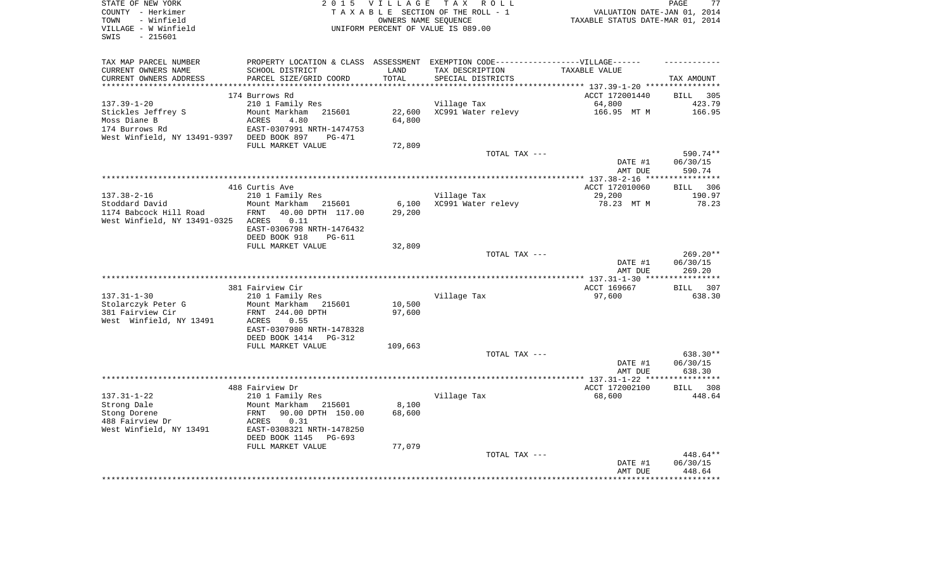| STATE OF NEW YORK<br>COUNTY - Herkimer<br>- Winfield<br>TOWN<br>VILLAGE - W Winfield<br>SWIS<br>- 215601                | 2 0 1 5                                                                                                                                                 | <b>VILLAGE</b>   | TAX ROLL<br>TAXABLE SECTION OF THE ROLL - 1<br>OWNERS NAME SEOUENCE<br>UNIFORM PERCENT OF VALUE IS 089.00 | VALUATION DATE-JAN 01, 2014<br>TAXABLE STATUS DATE-MAR 01, 2014 | 77<br>PAGE                     |
|-------------------------------------------------------------------------------------------------------------------------|---------------------------------------------------------------------------------------------------------------------------------------------------------|------------------|-----------------------------------------------------------------------------------------------------------|-----------------------------------------------------------------|--------------------------------|
| TAX MAP PARCEL NUMBER<br>CURRENT OWNERS NAME<br>CURRENT OWNERS ADDRESS                                                  | PROPERTY LOCATION & CLASS ASSESSMENT EXEMPTION CODE-----------------VILLAGE------<br>SCHOOL DISTRICT<br>PARCEL SIZE/GRID COORD                          | LAND<br>TOTAL    | TAX DESCRIPTION<br>SPECIAL DISTRICTS                                                                      | TAXABLE VALUE                                                   | TAX AMOUNT                     |
|                                                                                                                         |                                                                                                                                                         | ********         |                                                                                                           | ******************************** 137.39-1-20 *****************  |                                |
|                                                                                                                         | 174 Burrows Rd                                                                                                                                          |                  |                                                                                                           | ACCT 172001440                                                  | BILL 305                       |
| $137.39 - 1 - 20$<br>Stickles Jeffrey S<br>Moss Diane B<br>174 Burrows Rd<br>West Winfield, NY 13491-9397 DEED BOOK 897 | 210 1 Family Res<br>Mount Markham<br>215601<br>ACRES<br>4.80<br>EAST-0307991 NRTH-1474753<br>PG-471                                                     | 22,600<br>64,800 | Village Tax<br>XC991 Water relevy                                                                         | 64,800<br>166.95 MT M                                           | 423.79<br>166.95               |
|                                                                                                                         | FULL MARKET VALUE                                                                                                                                       | 72,809           |                                                                                                           |                                                                 |                                |
|                                                                                                                         |                                                                                                                                                         |                  | TOTAL TAX ---                                                                                             | DATE #1<br>AMT DUE                                              | 590.74**<br>06/30/15<br>590.74 |
|                                                                                                                         |                                                                                                                                                         |                  |                                                                                                           |                                                                 |                                |
| $137.38 - 2 - 16$<br>Stoddard David                                                                                     | 416 Curtis Ave<br>210 1 Family Res<br>Mount Markham 215601                                                                                              | 6,100            | Village Tax<br>XC991 Water relevy                                                                         | ACCT 172010060<br>29,200<br>78.23 MT M                          | BILL 306<br>190.97<br>78.23    |
| 1174 Babcock Hill Road<br>West Winfield, NY 13491-0325                                                                  | 40.00 DPTH 117.00<br>FRNT<br>ACRES<br>0.11<br>EAST-0306798 NRTH-1476432<br>DEED BOOK 918<br><b>PG-611</b><br>FULL MARKET VALUE                          | 29,200<br>32,809 |                                                                                                           |                                                                 |                                |
|                                                                                                                         |                                                                                                                                                         |                  | TOTAL TAX ---                                                                                             | DATE #1<br>AMT DUE                                              | 269.20**<br>06/30/15<br>269.20 |
|                                                                                                                         |                                                                                                                                                         |                  |                                                                                                           |                                                                 |                                |
| $137.31 - 1 - 30$<br>Stolarczyk Peter G<br>381 Fairview Cir<br>West Winfield, NY 13491                                  | 381 Fairview Cir<br>210 1 Family Res<br>Mount Markham 215601<br>FRNT 244.00 DPTH<br>ACRES<br>0.55<br>EAST-0307980 NRTH-1478328<br>DEED BOOK 1414 PG-312 | 10,500<br>97,600 | Village Tax                                                                                               | ACCT 169667<br>97,600                                           | BILL 307<br>638.30             |
|                                                                                                                         | FULL MARKET VALUE                                                                                                                                       | 109,663          |                                                                                                           |                                                                 |                                |
|                                                                                                                         |                                                                                                                                                         |                  | TOTAL TAX ---                                                                                             | DATE #1<br>AMT DUE                                              | 638.30**<br>06/30/15<br>638.30 |
|                                                                                                                         |                                                                                                                                                         |                  |                                                                                                           | ******* 137.31-1-22 **                                          | **********                     |
|                                                                                                                         | 488 Fairview Dr                                                                                                                                         |                  |                                                                                                           | ACCT 172002100                                                  | BILL 308                       |
| $137.31 - 1 - 22$<br>Strong Dale<br>Stong Dorene<br>488 Fairview Dr<br>West Winfield, NY 13491                          | 210 1 Family Res<br>Mount Markham 215601<br>90.00 DPTH 150.00<br>FRNT<br>ACRES<br>0.31<br>EAST-0308321 NRTH-1478250<br>DEED BOOK 1145<br>PG-693         | 8,100<br>68,600  | Village Tax                                                                                               | 68,600                                                          | 448.64                         |
|                                                                                                                         | FULL MARKET VALUE                                                                                                                                       | 77,079           | TOTAL TAX ---                                                                                             |                                                                 | 448.64**                       |
|                                                                                                                         |                                                                                                                                                         |                  |                                                                                                           | DATE #1<br>AMT DUE                                              | 06/30/15<br>448.64             |
|                                                                                                                         |                                                                                                                                                         |                  |                                                                                                           |                                                                 |                                |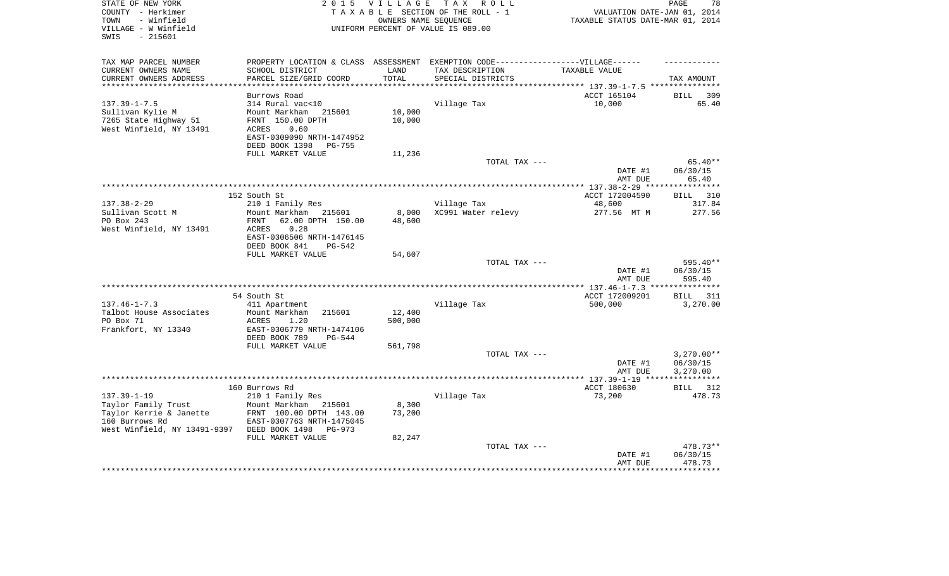| STATE OF NEW YORK<br>2 0 1 5<br><b>VILLAGE</b><br>COUNTY - Herkimer<br>TAXABLE SECTION OF THE ROLL - 1<br>- Winfield<br>OWNERS NAME SEQUENCE<br>TOWN<br>VILLAGE - W Winfield<br>UNIFORM PERCENT OF VALUE IS 089.00 |                                                   |                 | TAX ROLL                                                                          | VALUATION DATE-JAN 01, 2014<br>TAXABLE STATUS DATE-MAR 01, 2014 | PAGE<br>78                        |
|--------------------------------------------------------------------------------------------------------------------------------------------------------------------------------------------------------------------|---------------------------------------------------|-----------------|-----------------------------------------------------------------------------------|-----------------------------------------------------------------|-----------------------------------|
| SWIS<br>$-215601$                                                                                                                                                                                                  |                                                   |                 |                                                                                   |                                                                 |                                   |
| TAX MAP PARCEL NUMBER                                                                                                                                                                                              |                                                   |                 | PROPERTY LOCATION & CLASS ASSESSMENT EXEMPTION CODE-----------------VILLAGE------ |                                                                 |                                   |
| CURRENT OWNERS NAME                                                                                                                                                                                                | SCHOOL DISTRICT                                   | LAND            | TAX DESCRIPTION                                                                   | TAXABLE VALUE                                                   |                                   |
| CURRENT OWNERS ADDRESS<br>*************************                                                                                                                                                                | PARCEL SIZE/GRID COORD                            | TOTAL           | SPECIAL DISTRICTS                                                                 |                                                                 | TAX AMOUNT                        |
|                                                                                                                                                                                                                    | Burrows Road                                      |                 |                                                                                   | ACCT 165104                                                     | 309<br>BILL                       |
| $137.39 - 1 - 7.5$                                                                                                                                                                                                 | 314 Rural vac<10                                  |                 | Village Tax                                                                       | 10,000                                                          | 65.40                             |
| Sullivan Kylie M                                                                                                                                                                                                   | Mount Markham<br>215601                           | 10,000          |                                                                                   |                                                                 |                                   |
| 7265 State Highway 51                                                                                                                                                                                              | FRNT 150.00 DPTH                                  | 10,000          |                                                                                   |                                                                 |                                   |
| West Winfield, NY 13491                                                                                                                                                                                            | ACRES<br>0.60                                     |                 |                                                                                   |                                                                 |                                   |
|                                                                                                                                                                                                                    | EAST-0309090 NRTH-1474952                         |                 |                                                                                   |                                                                 |                                   |
|                                                                                                                                                                                                                    | DEED BOOK 1398<br><b>PG-755</b>                   |                 |                                                                                   |                                                                 |                                   |
|                                                                                                                                                                                                                    | FULL MARKET VALUE                                 | 11,236          | TOTAL TAX ---                                                                     |                                                                 | $65.40**$                         |
|                                                                                                                                                                                                                    |                                                   |                 |                                                                                   | DATE #1                                                         | 06/30/15                          |
|                                                                                                                                                                                                                    |                                                   |                 |                                                                                   | AMT DUE                                                         | 65.40                             |
|                                                                                                                                                                                                                    |                                                   |                 |                                                                                   |                                                                 |                                   |
|                                                                                                                                                                                                                    | 152 South St                                      |                 |                                                                                   | ACCT 172004590                                                  | 310<br><b>BILL</b>                |
| $137.38 - 2 - 29$                                                                                                                                                                                                  | 210 1 Family Res                                  |                 | Village Tax                                                                       | 48,600                                                          | 317.84                            |
| Sullivan Scott M<br>PO Box 243                                                                                                                                                                                     | Mount Markham 215601<br>62.00 DPTH 150.00<br>FRNT | 8,000<br>48,600 | XC991 Water relevy                                                                | 277.56 MT M                                                     | 277.56                            |
| West Winfield, NY 13491                                                                                                                                                                                            | 0.28<br>ACRES                                     |                 |                                                                                   |                                                                 |                                   |
|                                                                                                                                                                                                                    | EAST-0306506 NRTH-1476145                         |                 |                                                                                   |                                                                 |                                   |
|                                                                                                                                                                                                                    | DEED BOOK 841<br>$PG-542$                         |                 |                                                                                   |                                                                 |                                   |
|                                                                                                                                                                                                                    | FULL MARKET VALUE                                 | 54,607          |                                                                                   |                                                                 |                                   |
|                                                                                                                                                                                                                    |                                                   |                 | TOTAL TAX ---                                                                     | DATE #1                                                         | 595.40**<br>06/30/15              |
|                                                                                                                                                                                                                    |                                                   |                 |                                                                                   | AMT DUE                                                         | 595.40                            |
|                                                                                                                                                                                                                    |                                                   |                 |                                                                                   |                                                                 |                                   |
|                                                                                                                                                                                                                    | 54 South St                                       |                 |                                                                                   | ACCT 172009201                                                  | <b>BILL</b><br>311                |
| $137.46 - 1 - 7.3$                                                                                                                                                                                                 | 411 Apartment                                     |                 | Village Tax                                                                       | 500,000                                                         | 3,270.00                          |
| Talbot House Associates<br>PO Box 71                                                                                                                                                                               | Mount Markham<br>215601<br>1.20                   | 12,400          |                                                                                   |                                                                 |                                   |
| Frankfort, NY 13340                                                                                                                                                                                                | ACRES<br>EAST-0306779 NRTH-1474106                | 500,000         |                                                                                   |                                                                 |                                   |
|                                                                                                                                                                                                                    | DEED BOOK 789<br>$PG-544$                         |                 |                                                                                   |                                                                 |                                   |
|                                                                                                                                                                                                                    | FULL MARKET VALUE                                 | 561,798         |                                                                                   |                                                                 |                                   |
|                                                                                                                                                                                                                    |                                                   |                 | TOTAL TAX ---                                                                     |                                                                 | $3,270.00**$                      |
|                                                                                                                                                                                                                    |                                                   |                 |                                                                                   | DATE #1                                                         | 06/30/15                          |
|                                                                                                                                                                                                                    |                                                   |                 |                                                                                   | AMT DUE                                                         | 3,270.00<br>* * * * * * * * * * * |
|                                                                                                                                                                                                                    | 160 Burrows Rd                                    |                 |                                                                                   | ACCT 180630                                                     | 312<br>BILL                       |
| $137.39 - 1 - 19$                                                                                                                                                                                                  | 210 1 Family Res                                  |                 | Village Tax                                                                       | 73,200                                                          | 478.73                            |
| Taylor Family Trust                                                                                                                                                                                                | Mount Markham 215601                              | 8,300           |                                                                                   |                                                                 |                                   |
| Taylor Kerrie & Janette                                                                                                                                                                                            | FRNT 100.00 DPTH 143.00                           | 73,200          |                                                                                   |                                                                 |                                   |
| 160 Burrows Rd                                                                                                                                                                                                     | EAST-0307763 NRTH-1475045                         |                 |                                                                                   |                                                                 |                                   |
| West Winfield, NY 13491-9397                                                                                                                                                                                       | DEED BOOK 1498<br>PG-973<br>FULL MARKET VALUE     |                 |                                                                                   |                                                                 |                                   |
|                                                                                                                                                                                                                    |                                                   | 82,247          | TOTAL TAX ---                                                                     |                                                                 | 478.73**                          |
|                                                                                                                                                                                                                    |                                                   |                 |                                                                                   | DATE #1                                                         | 06/30/15                          |
|                                                                                                                                                                                                                    |                                                   |                 |                                                                                   | AMT DUE                                                         | 478.73                            |
|                                                                                                                                                                                                                    |                                                   |                 |                                                                                   |                                                                 |                                   |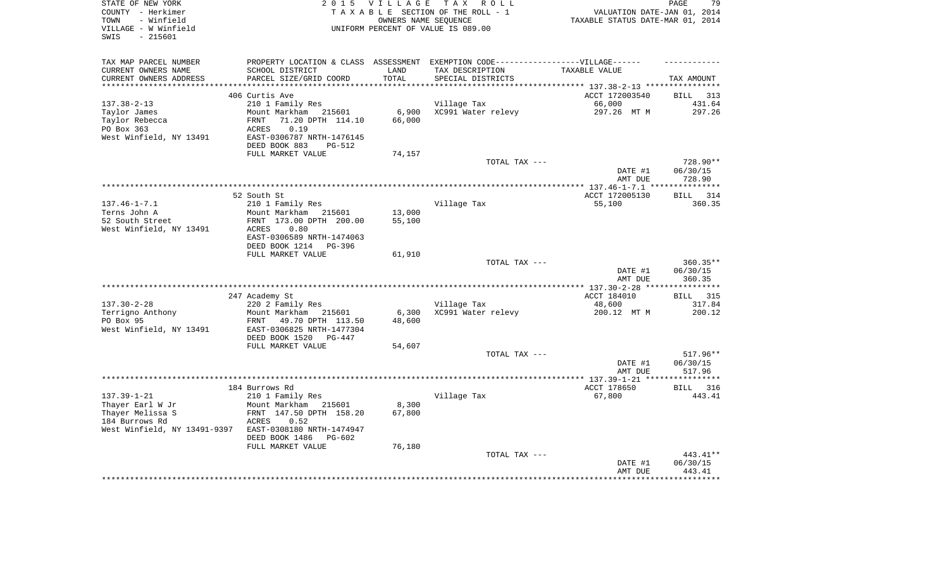| STATE OF NEW YORK<br>COUNTY - Herkimer<br>- Winfield<br>TOWN<br>VILLAGE - W Winfield<br>- 215601<br>SWIS | 2 0 1 5                                                                                                                              | <b>VILLAGE</b>   | TAX ROLL<br>TAXABLE SECTION OF THE ROLL - 1<br>OWNERS NAME SEOUENCE<br>UNIFORM PERCENT OF VALUE IS 089.00 | VALUATION DATE-JAN 01, 2014<br>TAXABLE STATUS DATE-MAR 01, 2014 | PAGE<br>79                       |
|----------------------------------------------------------------------------------------------------------|--------------------------------------------------------------------------------------------------------------------------------------|------------------|-----------------------------------------------------------------------------------------------------------|-----------------------------------------------------------------|----------------------------------|
| TAX MAP PARCEL NUMBER<br>CURRENT OWNERS NAME                                                             | PROPERTY LOCATION & CLASS ASSESSMENT EXEMPTION CODE-----------------VILLAGE------<br>SCHOOL DISTRICT                                 | LAND             | TAX DESCRIPTION                                                                                           | TAXABLE VALUE                                                   |                                  |
| CURRENT OWNERS ADDRESS                                                                                   | PARCEL SIZE/GRID COORD                                                                                                               | TOTAL            | SPECIAL DISTRICTS                                                                                         |                                                                 | TAX AMOUNT                       |
|                                                                                                          | 406 Curtis Ave                                                                                                                       |                  |                                                                                                           | ********** 137.38-2-13 ****                                     | <b>BILL</b><br>313               |
| $137.38 - 2 - 13$                                                                                        | 210 1 Family Res                                                                                                                     |                  | Village Tax                                                                                               | ACCT 172003540<br>66,000                                        | 431.64                           |
| Taylor James<br>Taylor Rebecca<br>PO Box 363<br>West Winfield, NY 13491                                  | Mount Markham<br>215601<br>FRNT<br>71.20 DPTH 114.10<br>ACRES<br>0.19<br>EAST-0306787 NRTH-1476145<br>DEED BOOK 883<br><b>PG-512</b> | 6,900<br>66,000  | XC991 Water relevy                                                                                        | 297.26 MT M                                                     | 297.26                           |
|                                                                                                          | FULL MARKET VALUE                                                                                                                    | 74,157           |                                                                                                           |                                                                 |                                  |
|                                                                                                          |                                                                                                                                      |                  | TOTAL TAX ---                                                                                             | DATE #1<br>AMT DUE                                              | 728.90**<br>06/30/15<br>728.90   |
|                                                                                                          | *************                                                                                                                        |                  | *******************************                                                                           | ******** 137.46-1-7.1 **                                        | ***********                      |
| $137.46 - 1 - 7.1$<br>Terns John A                                                                       | 52 South St<br>210 1 Family Res<br>Mount Markham                                                                                     |                  | Village Tax                                                                                               | ACCT 172005130<br>55,100                                        | 314<br><b>BILL</b><br>360.35     |
| 52 South Street<br>West Winfield, NY 13491                                                               | 215601<br>FRNT 173.00 DPTH 200.00<br>ACRES<br>0.80<br>EAST-0306589 NRTH-1474063<br>DEED BOOK 1214<br>PG-396                          | 13,000<br>55,100 |                                                                                                           |                                                                 |                                  |
|                                                                                                          | FULL MARKET VALUE                                                                                                                    | 61,910           |                                                                                                           |                                                                 |                                  |
|                                                                                                          |                                                                                                                                      |                  | TOTAL TAX ---                                                                                             | DATE #1<br>AMT DUE                                              | $360.35**$<br>06/30/15<br>360.35 |
|                                                                                                          | 247 Academy St                                                                                                                       |                  |                                                                                                           | ACCT 184010                                                     | <b>BILL</b><br>315               |
| $137.30 - 2 - 28$                                                                                        | 220 2 Family Res                                                                                                                     |                  | Village Tax                                                                                               | 48,600                                                          | 317.84                           |
| Terrigno Anthony<br>PO Box 95<br>West Winfield, NY 13491                                                 | Mount Markham<br>215601<br>FRNT<br>49.70 DPTH 113.50<br>EAST-0306825 NRTH-1477304<br>DEED BOOK 1520<br>$PG-447$                      | 6,300<br>48,600  | XC991 Water relevy                                                                                        | 200.12 MT M                                                     | 200.12                           |
|                                                                                                          | FULL MARKET VALUE                                                                                                                    | 54,607           |                                                                                                           |                                                                 |                                  |
|                                                                                                          |                                                                                                                                      |                  | TOTAL TAX ---                                                                                             | DATE #1<br>AMT DUE                                              | $517.96**$<br>06/30/15<br>517.96 |
|                                                                                                          |                                                                                                                                      |                  | ************************                                                                                  | ** 137.39-1-21 **                                               |                                  |
| $137.39 - 1 - 21$                                                                                        | 184 Burrows Rd<br>210 1 Family Res                                                                                                   |                  | Village Tax                                                                                               | ACCT 178650<br>67,800                                           | <b>BILL</b><br>316<br>443.41     |
| Thayer Earl W Jr<br>Thayer Melissa S<br>184 Burrows Rd<br>West Winfield, NY 13491-9397                   | Mount Markham<br>215601<br>FRNT 147.50 DPTH 158.20<br>ACRES<br>0.52<br>EAST-0308180 NRTH-1474947<br>DEED BOOK 1486<br>PG-602         | 8,300<br>67,800  |                                                                                                           |                                                                 |                                  |
|                                                                                                          | FULL MARKET VALUE                                                                                                                    | 76,180           | TOTAL TAX ---                                                                                             |                                                                 | 443.41**                         |
|                                                                                                          |                                                                                                                                      |                  |                                                                                                           | DATE #1<br>AMT DUE                                              | 06/30/15<br>443.41               |
|                                                                                                          |                                                                                                                                      |                  |                                                                                                           |                                                                 |                                  |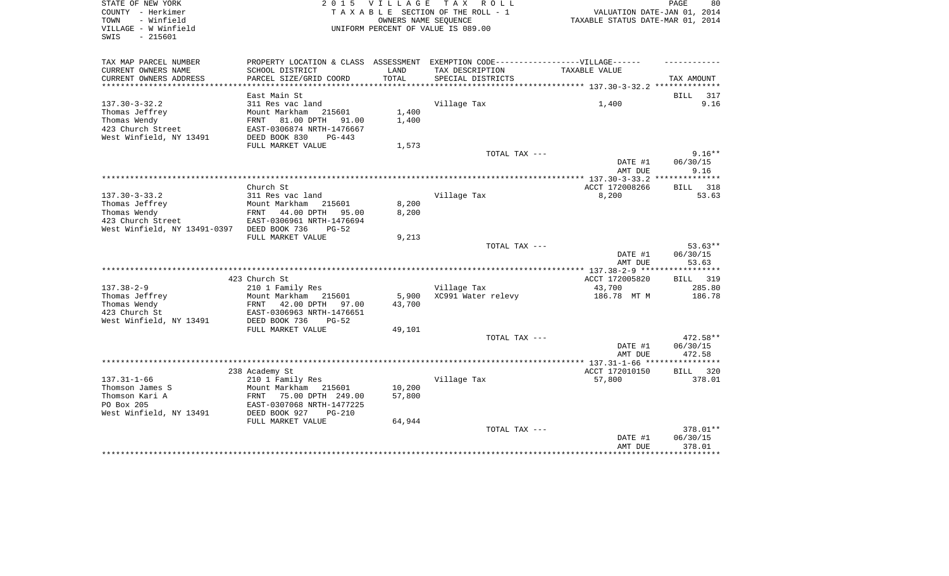| STATE OF NEW YORK<br>COUNTY - Herkimer<br>TOWN<br>- Winfield<br>VILLAGE - W Winfield<br>$-215601$<br>SWIS | 2 0 1 5                                                  | <b>VILLAGE</b>   | TAX ROLL<br>TAXABLE SECTION OF THE ROLL - 1<br>OWNERS NAME SEQUENCE<br>UNIFORM PERCENT OF VALUE IS 089.00 | VALUATION DATE-JAN 01, 2014<br>TAXABLE STATUS DATE-MAR 01, 2014 | PAGE<br>80         |
|-----------------------------------------------------------------------------------------------------------|----------------------------------------------------------|------------------|-----------------------------------------------------------------------------------------------------------|-----------------------------------------------------------------|--------------------|
|                                                                                                           |                                                          |                  |                                                                                                           |                                                                 |                    |
| TAX MAP PARCEL NUMBER<br>CURRENT OWNERS NAME                                                              | PROPERTY LOCATION & CLASS ASSESSMENT<br>SCHOOL DISTRICT  | LAND             | EXEMPTION CODE------------------VILLAGE------<br>TAX DESCRIPTION                                          | TAXABLE VALUE                                                   |                    |
| CURRENT OWNERS ADDRESS                                                                                    | PARCEL SIZE/GRID COORD                                   | TOTAL            | SPECIAL DISTRICTS                                                                                         |                                                                 | TAX AMOUNT         |
|                                                                                                           |                                                          |                  |                                                                                                           |                                                                 |                    |
|                                                                                                           | East Main St                                             |                  |                                                                                                           |                                                                 | BILL<br>317        |
| $137.30 - 3 - 32.2$                                                                                       | 311 Res vac land                                         |                  | Village Tax                                                                                               | 1,400                                                           | 9.16               |
| Thomas Jeffrey                                                                                            | Mount Markham<br>215601                                  | 1,400            |                                                                                                           |                                                                 |                    |
| Thomas Wendy                                                                                              | 81.00 DPTH<br>91.00<br>FRNT                              | 1,400            |                                                                                                           |                                                                 |                    |
| 423 Church Street                                                                                         | EAST-0306874 NRTH-1476667                                |                  |                                                                                                           |                                                                 |                    |
| West Winfield, NY 13491                                                                                   | DEED BOOK 830<br>PG-443                                  |                  |                                                                                                           |                                                                 |                    |
|                                                                                                           | FULL MARKET VALUE                                        | 1,573            | TOTAL TAX ---                                                                                             |                                                                 | $9.16**$           |
|                                                                                                           |                                                          |                  |                                                                                                           | DATE #1                                                         | 06/30/15           |
|                                                                                                           |                                                          |                  |                                                                                                           | AMT DUE                                                         | 9.16               |
|                                                                                                           |                                                          |                  |                                                                                                           |                                                                 |                    |
|                                                                                                           | Church St                                                |                  |                                                                                                           | ACCT 172008266                                                  | 318<br><b>BILL</b> |
| $137.30 - 3 - 33.2$                                                                                       | 311 Res vac land                                         |                  | Village Tax                                                                                               | 8,200                                                           | 53.63              |
| Thomas Jeffrey                                                                                            | Mount Markham<br>215601                                  | 8,200            |                                                                                                           |                                                                 |                    |
| Thomas Wendy                                                                                              | 44.00 DPTH<br>FRNT<br>95.00                              | 8,200            |                                                                                                           |                                                                 |                    |
| 423 Church Street                                                                                         | EAST-0306961 NRTH-1476694                                |                  |                                                                                                           |                                                                 |                    |
| West Winfield, NY 13491-0397 DEED BOOK 736                                                                | $PG-52$<br>FULL MARKET VALUE                             | 9,213            |                                                                                                           |                                                                 |                    |
|                                                                                                           |                                                          |                  | TOTAL TAX ---                                                                                             |                                                                 | $53.63**$          |
|                                                                                                           |                                                          |                  |                                                                                                           | DATE #1                                                         | 06/30/15           |
|                                                                                                           |                                                          |                  |                                                                                                           | AMT DUE                                                         | 53.63              |
|                                                                                                           |                                                          |                  |                                                                                                           |                                                                 |                    |
|                                                                                                           | 423 Church St                                            |                  |                                                                                                           | ACCT 172005820                                                  | 319<br>BILL        |
| $137.38 - 2 - 9$                                                                                          | 210 1 Family Res                                         |                  | Village Tax                                                                                               | 43,700                                                          | 285.80             |
| Thomas Jeffrey                                                                                            | Mount Markham<br>215601                                  | 5,900<br>43,700  | XC991 Water relevy                                                                                        | 186.78 MT M                                                     | 186.78             |
| Thomas Wendy<br>423 Church St                                                                             | 42.00 DPTH<br>FRNT<br>97.00<br>EAST-0306963 NRTH-1476651 |                  |                                                                                                           |                                                                 |                    |
| West Winfield, NY 13491                                                                                   | DEED BOOK 736<br>$PG-52$                                 |                  |                                                                                                           |                                                                 |                    |
|                                                                                                           | FULL MARKET VALUE                                        | 49,101           |                                                                                                           |                                                                 |                    |
|                                                                                                           |                                                          |                  | TOTAL TAX ---                                                                                             |                                                                 | $472.58**$         |
|                                                                                                           |                                                          |                  |                                                                                                           | DATE #1                                                         | 06/30/15           |
|                                                                                                           |                                                          |                  |                                                                                                           | AMT DUE                                                         | 472.58             |
|                                                                                                           |                                                          |                  |                                                                                                           |                                                                 |                    |
|                                                                                                           | 238 Academy St                                           |                  |                                                                                                           | ACCT 172010150                                                  | <b>BILL</b><br>320 |
| $137.31 - 1 - 66$                                                                                         | 210 1 Family Res                                         |                  | Village Tax                                                                                               | 57,800                                                          | 378.01             |
| Thomson James S<br>Thomson Kari A                                                                         | Mount Markham<br>215601<br>FRNT<br>75.00 DPTH 249.00     | 10,200<br>57,800 |                                                                                                           |                                                                 |                    |
| PO Box 205                                                                                                | EAST-0307068 NRTH-1477225                                |                  |                                                                                                           |                                                                 |                    |
| West Winfield, NY 13491                                                                                   | DEED BOOK 927<br>$PG-210$                                |                  |                                                                                                           |                                                                 |                    |
|                                                                                                           | FULL MARKET VALUE                                        | 64,944           |                                                                                                           |                                                                 |                    |
|                                                                                                           |                                                          |                  | TOTAL TAX ---                                                                                             |                                                                 | 378.01**           |
|                                                                                                           |                                                          |                  |                                                                                                           | DATE #1                                                         | 06/30/15           |
|                                                                                                           |                                                          |                  |                                                                                                           | AMT DUE<br>*****************************                        | 378.01             |
|                                                                                                           |                                                          |                  |                                                                                                           |                                                                 |                    |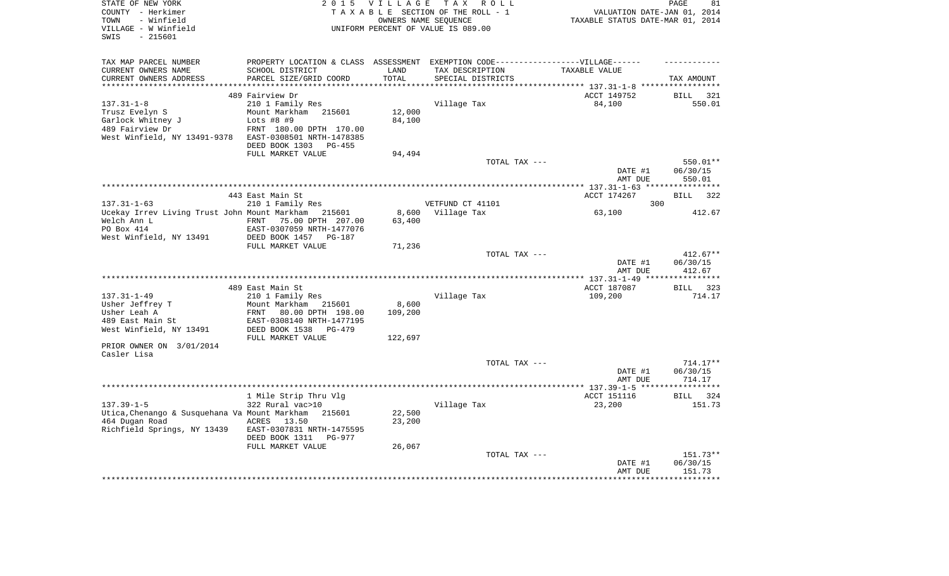| STATE OF NEW YORK                                   | 2 0 1 5                              | <b>VILLAGE</b> | T A X<br>ROLL                                 |                                  | PAGE<br>81         |
|-----------------------------------------------------|--------------------------------------|----------------|-----------------------------------------------|----------------------------------|--------------------|
| COUNTY - Herkimer                                   |                                      |                | TAXABLE SECTION OF THE ROLL - 1               | VALUATION DATE-JAN 01, 2014      |                    |
| - Winfield<br>TOWN                                  |                                      |                | OWNERS NAME SEQUENCE                          | TAXABLE STATUS DATE-MAR 01, 2014 |                    |
| VILLAGE - W Winfield                                |                                      |                | UNIFORM PERCENT OF VALUE IS 089.00            |                                  |                    |
| SWIS<br>$-215601$                                   |                                      |                |                                               |                                  |                    |
|                                                     |                                      |                |                                               |                                  |                    |
| TAX MAP PARCEL NUMBER                               | PROPERTY LOCATION & CLASS ASSESSMENT |                | EXEMPTION CODE------------------VILLAGE------ |                                  |                    |
| CURRENT OWNERS NAME                                 | SCHOOL DISTRICT                      | LAND           | TAX DESCRIPTION                               | TAXABLE VALUE                    |                    |
| CURRENT OWNERS ADDRESS                              | PARCEL SIZE/GRID COORD               | TOTAL          | SPECIAL DISTRICTS                             |                                  | TAX AMOUNT         |
| **********************                              | **************************           | ************   |                                               |                                  |                    |
|                                                     | 489 Fairview Dr                      |                |                                               | ACCT 149752                      | BILL<br>321        |
| $137.31 - 1 - 8$                                    | 210 1 Family Res                     |                | Village Tax                                   | 84,100                           | 550.01             |
| Trusz Evelyn S                                      | Mount Markham<br>215601              | 12,000         |                                               |                                  |                    |
| Garlock Whitney J                                   | Lots $#8$ #9                         | 84,100         |                                               |                                  |                    |
| 489 Fairview Dr                                     | FRNT 180.00 DPTH 170.00              |                |                                               |                                  |                    |
| West Winfield, NY 13491-9378                        | EAST-0308501 NRTH-1478385            |                |                                               |                                  |                    |
|                                                     | DEED BOOK 1303<br>PG-455             |                |                                               |                                  |                    |
|                                                     | FULL MARKET VALUE                    | 94,494         |                                               |                                  |                    |
|                                                     |                                      |                | TOTAL TAX ---                                 |                                  | 550.01**           |
|                                                     |                                      |                |                                               | DATE #1                          | 06/30/15           |
|                                                     |                                      |                |                                               | AMT DUE                          | 550.01             |
|                                                     |                                      |                |                                               |                                  |                    |
|                                                     | 443 East Main St                     |                |                                               | ACCT 174267                      | 322<br><b>BILL</b> |
| $137.31 - 1 - 63$                                   | 210 1 Family Res                     |                | VETFUND CT 41101                              | 300                              |                    |
| Ucekay Irrev Living Trust John Mount Markham 215601 |                                      | 8,600          | Village Tax                                   | 63,100                           | 412.67             |
| Welch Ann L                                         | 75.00 DPTH 207.00<br>FRNT            | 63,400         |                                               |                                  |                    |
| PO Box 414                                          | EAST-0307059 NRTH-1477076            |                |                                               |                                  |                    |
| West Winfield, NY 13491                             | DEED BOOK 1457<br><b>PG-187</b>      |                |                                               |                                  |                    |
|                                                     | FULL MARKET VALUE                    | 71,236         |                                               |                                  |                    |
|                                                     |                                      |                | TOTAL TAX ---                                 |                                  | $412.67**$         |
|                                                     |                                      |                |                                               | DATE #1                          | 06/30/15           |
|                                                     |                                      |                |                                               | AMT DUE                          | 412.67             |
|                                                     |                                      |                |                                               |                                  |                    |
|                                                     | 489 East Main St                     |                |                                               | ACCT 187087                      | BILL 323           |
| $137.31 - 1 - 49$                                   | 210 1 Family Res                     |                | Village Tax                                   | 109,200                          | 714.17             |
| Usher Jeffrey T                                     | Mount Markham 215601                 | 8,600          |                                               |                                  |                    |
| Usher Leah A                                        | FRNT<br>80.00 DPTH 198.00            | 109,200        |                                               |                                  |                    |
| 489 East Main St                                    | EAST-0308140 NRTH-1477195            |                |                                               |                                  |                    |
| West Winfield, NY 13491                             | DEED BOOK 1538<br>PG-479             |                |                                               |                                  |                    |
|                                                     | FULL MARKET VALUE                    | 122,697        |                                               |                                  |                    |
| PRIOR OWNER ON 3/01/2014                            |                                      |                |                                               |                                  |                    |
| Casler Lisa                                         |                                      |                |                                               |                                  |                    |
|                                                     |                                      |                | TOTAL TAX ---                                 |                                  | $714.17**$         |
|                                                     |                                      |                |                                               | DATE #1                          | 06/30/15           |
|                                                     |                                      |                |                                               | AMT DUE                          | 714.17             |
|                                                     |                                      |                |                                               |                                  |                    |
|                                                     | 1 Mile Strip Thru Vlg                |                |                                               | ACCT 151116                      | BILL 324           |
| $137.39 - 1 - 5$                                    | 322 Rural vac>10                     |                | Village Tax                                   | 23,200                           | 151.73             |
| Utica, Chenango & Susquehana Va Mount Markham       | 215601                               | 22,500         |                                               |                                  |                    |
| 464 Dugan Road                                      | ACRES<br>13.50                       | 23,200         |                                               |                                  |                    |
| Richfield Springs, NY 13439                         | EAST-0307831 NRTH-1475595            |                |                                               |                                  |                    |
|                                                     | DEED BOOK 1311<br>PG-977             |                |                                               |                                  |                    |
|                                                     | FULL MARKET VALUE                    | 26,067         |                                               |                                  |                    |
|                                                     |                                      |                | TOTAL TAX ---                                 |                                  | 151.73**           |
|                                                     |                                      |                |                                               | DATE #1                          | 06/30/15           |
|                                                     |                                      |                |                                               | AMT DUE                          | 151.73             |
|                                                     |                                      |                |                                               |                                  | * * * * * * * * *  |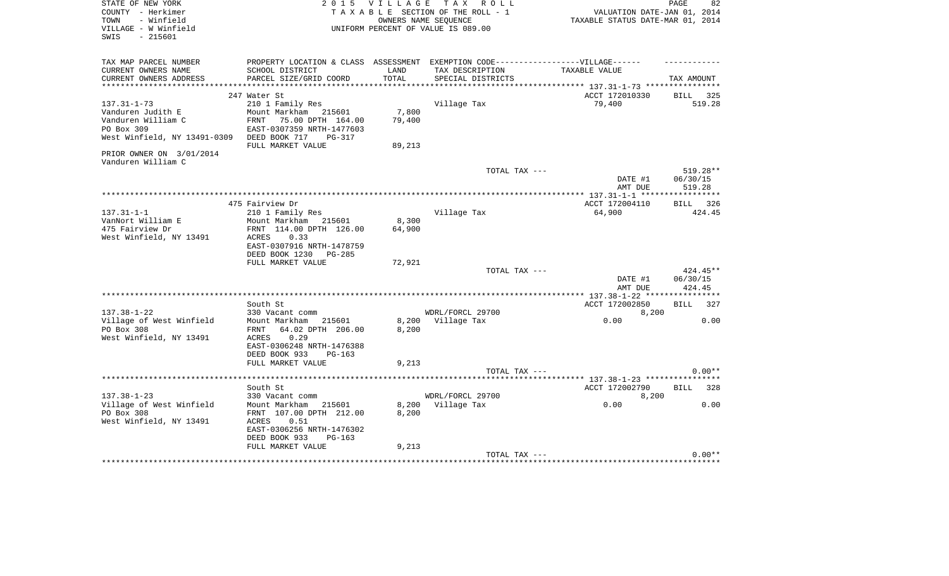| STATE OF NEW YORK<br>COUNTY - Herkimer<br>TOWN<br>- Winfield<br>VILLAGE - W Winfield<br>$-215601$<br>SWIS | 2 0 1 5                                                                                                                          | <b>VILLAGE</b>            | TAX ROLL<br>TAXABLE SECTION OF THE ROLL - 1<br>OWNERS NAME SEQUENCE<br>UNIFORM PERCENT OF VALUE IS 089.00 | VALUATION DATE-JAN 01, 2014<br>TAXABLE STATUS DATE-MAR 01, 2014 | PAGE<br>82                     |
|-----------------------------------------------------------------------------------------------------------|----------------------------------------------------------------------------------------------------------------------------------|---------------------------|-----------------------------------------------------------------------------------------------------------|-----------------------------------------------------------------|--------------------------------|
| TAX MAP PARCEL NUMBER<br>CURRENT OWNERS NAME<br>CURRENT OWNERS ADDRESS                                    | PROPERTY LOCATION & CLASS ASSESSMENT EXEMPTION CODE-----------------VILLAGE------<br>SCHOOL DISTRICT<br>PARCEL SIZE/GRID COORD   | LAND<br>TOTAL             | TAX DESCRIPTION<br>SPECIAL DISTRICTS                                                                      | TAXABLE VALUE                                                   | TAX AMOUNT                     |
|                                                                                                           | 247 Water St                                                                                                                     |                           |                                                                                                           | ACCT 172010330                                                  | BILL 325                       |
| $137.31 - 1 - 73$                                                                                         | 210 1 Family Res                                                                                                                 |                           | Village Tax                                                                                               | 79,400                                                          | 519.28                         |
| Vanduren Judith E<br>Vanduren William C<br>PO Box 309<br>West Winfield, NY 13491-0309                     | Mount Markham 215601<br>75.00 DPTH 164.00<br>FRNT<br>EAST-0307359 NRTH-1477603<br>DEED BOOK 717<br>$PG-317$<br>FULL MARKET VALUE | 7,800<br>79,400<br>89,213 |                                                                                                           |                                                                 |                                |
| PRIOR OWNER ON 3/01/2014                                                                                  |                                                                                                                                  |                           |                                                                                                           |                                                                 |                                |
| Vanduren William C                                                                                        |                                                                                                                                  |                           | TOTAL TAX ---                                                                                             | DATE #1                                                         | 519.28**<br>06/30/15           |
|                                                                                                           |                                                                                                                                  |                           |                                                                                                           | AMT DUE                                                         | 519.28                         |
|                                                                                                           |                                                                                                                                  |                           |                                                                                                           |                                                                 |                                |
|                                                                                                           | 475 Fairview Dr                                                                                                                  |                           |                                                                                                           | ACCT 172004110                                                  | BILL<br>326                    |
| $137.31 - 1 - 1$                                                                                          | 210 1 Family Res                                                                                                                 |                           | Village Tax                                                                                               | 64,900                                                          | 424.45                         |
| VanNort William E<br>475 Fairview Dr                                                                      | Mount Markham 215601<br>FRNT 114.00 DPTH 126.00                                                                                  | 8,300<br>64,900           |                                                                                                           |                                                                 |                                |
| West Winfield, NY 13491                                                                                   | 0.33<br>ACRES<br>EAST-0307916 NRTH-1478759<br>DEED BOOK 1230<br>PG-285                                                           |                           |                                                                                                           |                                                                 |                                |
|                                                                                                           | FULL MARKET VALUE                                                                                                                | 72,921                    |                                                                                                           |                                                                 |                                |
|                                                                                                           |                                                                                                                                  |                           | TOTAL TAX ---                                                                                             | DATE #1<br>AMT DUE                                              | 424.45**<br>06/30/15<br>424.45 |
|                                                                                                           | South St                                                                                                                         |                           |                                                                                                           | ACCT 172002850                                                  | BILL<br>327                    |
| $137.38 - 1 - 22$                                                                                         | 330 Vacant comm                                                                                                                  |                           | WDRL/FORCL 29700                                                                                          | 8,200                                                           |                                |
| Village of West Winfield<br>PO Box 308                                                                    | Mount Markham<br>215601<br>64.02 DPTH 206.00<br>FRNT                                                                             | 8,200<br>8,200            | Village Tax                                                                                               | 0.00                                                            | 0.00                           |
| West Winfield, NY 13491                                                                                   | 0.29<br>ACRES<br>EAST-0306248 NRTH-1476388<br>DEED BOOK 933<br>$PG-163$                                                          |                           |                                                                                                           |                                                                 |                                |
|                                                                                                           | FULL MARKET VALUE                                                                                                                | 9,213                     |                                                                                                           |                                                                 |                                |
|                                                                                                           |                                                                                                                                  |                           | TOTAL TAX ---                                                                                             |                                                                 | $0.00**$                       |
|                                                                                                           | South St                                                                                                                         |                           |                                                                                                           | ACCT 172002790                                                  | <b>BILL</b><br>328             |
| $137.38 - 1 - 23$                                                                                         | 330 Vacant comm                                                                                                                  |                           | WDRL/FORCL 29700                                                                                          | 8,200                                                           |                                |
| Village of West Winfield                                                                                  | Mount Markham<br>215601                                                                                                          | 8,200                     | Village Tax                                                                                               | 0.00                                                            | 0.00                           |
| PO Box 308<br>West Winfield, NY 13491                                                                     | FRNT 107.00 DPTH 212.00<br>ACRES<br>0.51<br>EAST-0306256 NRTH-1476302                                                            | 8,200                     |                                                                                                           |                                                                 |                                |
|                                                                                                           | DEED BOOK 933<br>$PG-163$                                                                                                        |                           |                                                                                                           |                                                                 |                                |
|                                                                                                           | FULL MARKET VALUE                                                                                                                | 9,213                     |                                                                                                           |                                                                 |                                |
|                                                                                                           |                                                                                                                                  |                           | TOTAL TAX ---                                                                                             |                                                                 | $0.00**$                       |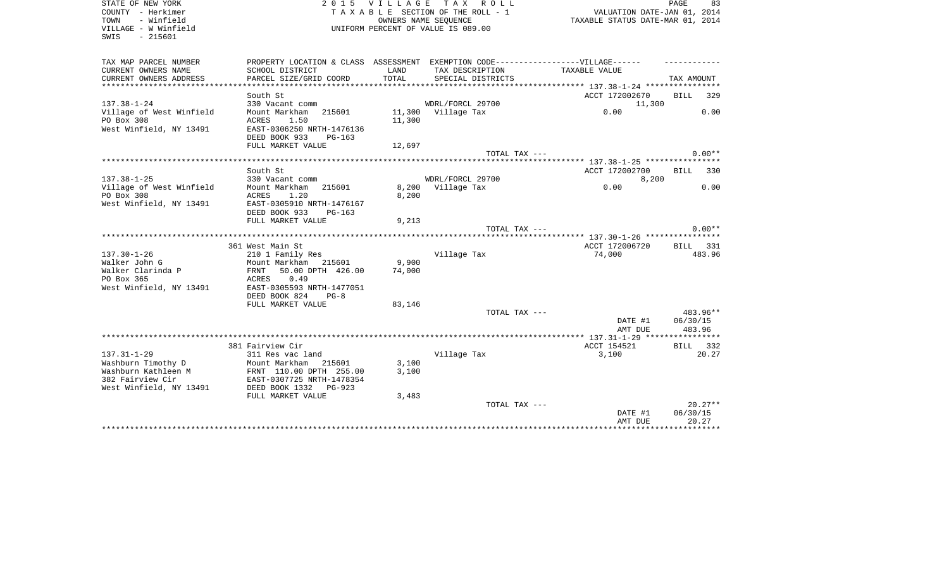| STATE OF NEW YORK<br>COUNTY - Herkimer<br>- Winfield<br>TOWN<br>VILLAGE - W Winfield<br>$-215601$<br>SWIS | 2 0 1 5                                                                          | <b>VILLAGE</b>   | T A X<br>R O L L<br>TAXABLE SECTION OF THE ROLL - 1<br>OWNERS NAME SEQUENCE<br>UNIFORM PERCENT OF VALUE IS 089.00 | VALUATION DATE-JAN 01, 2014<br>TAXABLE STATUS DATE-MAR 01, 2014 | PAGE<br>83                   |
|-----------------------------------------------------------------------------------------------------------|----------------------------------------------------------------------------------|------------------|-------------------------------------------------------------------------------------------------------------------|-----------------------------------------------------------------|------------------------------|
| TAX MAP PARCEL NUMBER                                                                                     | PROPERTY LOCATION & CLASS ASSESSMENT EXEMPTION CODE----------------VILLAGE------ |                  |                                                                                                                   |                                                                 |                              |
| CURRENT OWNERS NAME<br>CURRENT OWNERS ADDRESS                                                             | SCHOOL DISTRICT<br>PARCEL SIZE/GRID COORD                                        | LAND<br>TOTAL    | TAX DESCRIPTION<br>SPECIAL DISTRICTS                                                                              | TAXABLE VALUE                                                   | TAX AMOUNT                   |
| ***********************                                                                                   | ***********************                                                          |                  |                                                                                                                   |                                                                 |                              |
|                                                                                                           | South St                                                                         |                  |                                                                                                                   | ACCT 172002670                                                  | <b>BILL</b><br>329           |
| $137.38 - 1 - 24$                                                                                         | 330 Vacant comm                                                                  |                  | WDRL/FORCL 29700                                                                                                  | 11,300                                                          |                              |
| Village of West Winfield<br>PO Box 308                                                                    | Mount Markham<br>215601<br>ACRES<br>1.50                                         | 11,300<br>11,300 | Village Tax                                                                                                       | 0.00                                                            | 0.00                         |
| West Winfield, NY 13491                                                                                   | EAST-0306250 NRTH-1476136<br>DEED BOOK 933<br>$PG-163$                           |                  |                                                                                                                   |                                                                 |                              |
|                                                                                                           | FULL MARKET VALUE                                                                | 12,697           |                                                                                                                   |                                                                 |                              |
|                                                                                                           |                                                                                  |                  | TOTAL TAX $---$                                                                                                   |                                                                 | $0.00**$                     |
|                                                                                                           | South St                                                                         |                  |                                                                                                                   | ACCT 172002700                                                  | <b>BILL</b><br>330           |
| $137.38 - 1 - 25$                                                                                         | 330 Vacant comm                                                                  |                  | WDRL/FORCL 29700                                                                                                  | 8,200                                                           |                              |
| Village of West Winfield                                                                                  | Mount Markham<br>215601                                                          | 8,200            | Village Tax                                                                                                       | 0.00                                                            | 0.00                         |
| PO Box 308                                                                                                | ACRES<br>1.20                                                                    | 8,200            |                                                                                                                   |                                                                 |                              |
| West Winfield, NY 13491                                                                                   | EAST-0305910 NRTH-1476167<br>DEED BOOK 933<br>$PG-163$                           |                  |                                                                                                                   |                                                                 |                              |
|                                                                                                           | FULL MARKET VALUE                                                                | 9,213            |                                                                                                                   |                                                                 |                              |
|                                                                                                           |                                                                                  |                  | TOTAL TAX ---                                                                                                     |                                                                 | $0.00**$                     |
|                                                                                                           |                                                                                  |                  |                                                                                                                   |                                                                 |                              |
| $137.30 - 1 - 26$                                                                                         | 361 West Main St<br>210 1 Family Res                                             |                  | Village Tax                                                                                                       | ACCT 172006720<br>74,000                                        | <b>BILL</b><br>331<br>483.96 |
| Walker John G                                                                                             | Mount Markham<br>215601                                                          | 9,900            |                                                                                                                   |                                                                 |                              |
| Walker Clarinda P                                                                                         | 50.00 DPTH 426.00<br>FRNT                                                        | 74,000           |                                                                                                                   |                                                                 |                              |
| PO Box 365                                                                                                | 0.49<br>ACRES                                                                    |                  |                                                                                                                   |                                                                 |                              |
| West Winfield, NY 13491                                                                                   | EAST-0305593 NRTH-1477051                                                        |                  |                                                                                                                   |                                                                 |                              |
|                                                                                                           | DEED BOOK 824<br>$PG-8$                                                          |                  |                                                                                                                   |                                                                 |                              |
|                                                                                                           | FULL MARKET VALUE                                                                | 83,146           |                                                                                                                   |                                                                 |                              |
|                                                                                                           |                                                                                  |                  | TOTAL TAX ---                                                                                                     |                                                                 | 483.96**                     |
|                                                                                                           |                                                                                  |                  |                                                                                                                   | DATE #1<br>AMT DUE                                              | 06/30/15<br>483.96           |
|                                                                                                           |                                                                                  |                  |                                                                                                                   |                                                                 |                              |
|                                                                                                           | 381 Fairview Cir                                                                 |                  |                                                                                                                   | ACCT 154521                                                     | 332<br>BILL                  |
| $137.31 - 1 - 29$                                                                                         | 311 Res vac land                                                                 |                  | Village Tax                                                                                                       | 3,100                                                           | 20.27                        |
| Washburn Timothy D                                                                                        | Mount Markham<br>215601                                                          | 3,100            |                                                                                                                   |                                                                 |                              |
| Washburn Kathleen M                                                                                       | FRNT 110.00 DPTH 255.00                                                          | 3,100            |                                                                                                                   |                                                                 |                              |
| 382 Fairview Cir                                                                                          | EAST-0307725 NRTH-1478354                                                        |                  |                                                                                                                   |                                                                 |                              |
| West Winfield, NY 13491                                                                                   | DEED BOOK 1332<br>$PG-923$                                                       |                  |                                                                                                                   |                                                                 |                              |
|                                                                                                           | FULL MARKET VALUE                                                                | 3,483            | TOTAL TAX ---                                                                                                     |                                                                 | $20.27**$                    |
|                                                                                                           |                                                                                  |                  |                                                                                                                   | DATE #1                                                         | 06/30/15                     |
|                                                                                                           |                                                                                  |                  |                                                                                                                   | AMT DUE                                                         | 20.27                        |
|                                                                                                           |                                                                                  |                  |                                                                                                                   |                                                                 |                              |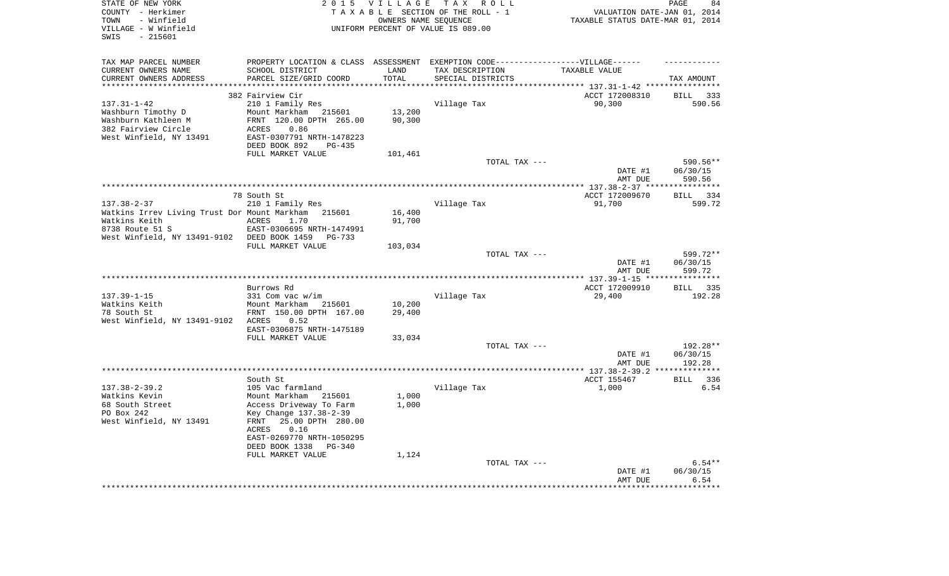| STATE OF NEW YORK<br>COUNTY - Herkimer<br>- Winfield<br>TOWN<br>VILLAGE - W Winfield<br>$-215601$<br>SWIS | 2 0 1 5                                                                          | VILLAGE<br>OWNERS NAME SEQUENCE | TAX ROLL<br>TAXABLE SECTION OF THE ROLL - 1<br>UNIFORM PERCENT OF VALUE IS 089.00 | VALUATION DATE-JAN 01, 2014<br>TAXABLE STATUS DATE-MAR 01, 2014 | 84<br>PAGE         |
|-----------------------------------------------------------------------------------------------------------|----------------------------------------------------------------------------------|---------------------------------|-----------------------------------------------------------------------------------|-----------------------------------------------------------------|--------------------|
| TAX MAP PARCEL NUMBER                                                                                     | PROPERTY LOCATION & CLASS ASSESSMENT EXEMPTION CODE----------------VILLAGE------ |                                 |                                                                                   |                                                                 |                    |
| CURRENT OWNERS NAME                                                                                       | SCHOOL DISTRICT                                                                  | LAND                            | TAX DESCRIPTION                                                                   | TAXABLE VALUE                                                   |                    |
| CURRENT OWNERS ADDRESS                                                                                    | PARCEL SIZE/GRID COORD                                                           | TOTAL                           | SPECIAL DISTRICTS                                                                 |                                                                 | TAX AMOUNT         |
| **********************                                                                                    |                                                                                  |                                 |                                                                                   |                                                                 |                    |
|                                                                                                           | 382 Fairview Cir                                                                 |                                 |                                                                                   | ACCT 172008310                                                  | <b>BILL</b><br>333 |
| $137.31 - 1 - 42$<br>Washburn Timothy D                                                                   | 210 1 Family Res<br>Mount Markham 215601                                         | 13,200                          | Village Tax                                                                       | 90,300                                                          | 590.56             |
| Washburn Kathleen M                                                                                       | FRNT 120.00 DPTH 265.00                                                          | 90,300                          |                                                                                   |                                                                 |                    |
| 382 Fairview Circle                                                                                       | 0.86<br>ACRES                                                                    |                                 |                                                                                   |                                                                 |                    |
| West Winfield, NY 13491                                                                                   | EAST-0307791 NRTH-1478223                                                        |                                 |                                                                                   |                                                                 |                    |
|                                                                                                           | DEED BOOK 892<br>$PG-435$                                                        |                                 |                                                                                   |                                                                 |                    |
|                                                                                                           | FULL MARKET VALUE                                                                | 101,461                         |                                                                                   |                                                                 |                    |
|                                                                                                           |                                                                                  |                                 | TOTAL TAX ---                                                                     |                                                                 | 590.56**           |
|                                                                                                           |                                                                                  |                                 |                                                                                   | DATE #1                                                         | 06/30/15           |
|                                                                                                           |                                                                                  |                                 |                                                                                   | AMT DUE                                                         | 590.56             |
|                                                                                                           |                                                                                  |                                 |                                                                                   |                                                                 |                    |
|                                                                                                           | 78 South St                                                                      |                                 |                                                                                   | ACCT 172009670                                                  | 334<br><b>BILL</b> |
| $137.38 - 2 - 37$                                                                                         | 210 1 Family Res                                                                 |                                 | Village Tax                                                                       | 91,700                                                          | 599.72             |
| Watkins Irrev Living Trust Dor Mount Markham<br>Watkins Keith                                             | 215601<br>ACRES<br>1.70                                                          | 16,400<br>91,700                |                                                                                   |                                                                 |                    |
| 8738 Route 51 S                                                                                           | EAST-0306695 NRTH-1474991                                                        |                                 |                                                                                   |                                                                 |                    |
| West Winfield, NY 13491-9102 DEED BOOK 1459                                                               | PG-733                                                                           |                                 |                                                                                   |                                                                 |                    |
|                                                                                                           | FULL MARKET VALUE                                                                | 103,034                         |                                                                                   |                                                                 |                    |
|                                                                                                           |                                                                                  |                                 | TOTAL TAX ---                                                                     |                                                                 | 599.72**           |
|                                                                                                           |                                                                                  |                                 |                                                                                   | DATE #1                                                         | 06/30/15           |
|                                                                                                           |                                                                                  |                                 |                                                                                   | AMT DUE                                                         | 599.72             |
|                                                                                                           |                                                                                  |                                 |                                                                                   |                                                                 |                    |
|                                                                                                           | Burrows Rd                                                                       |                                 |                                                                                   | ACCT 172009910                                                  | 335<br>BILL        |
| $137.39 - 1 - 15$<br>Watkins Keith                                                                        | 331 Com vac w/im<br>Mount Markham<br>215601                                      | 10,200                          | Village Tax                                                                       | 29,400                                                          | 192.28             |
| 78 South St                                                                                               | FRNT 150.00 DPTH 167.00                                                          | 29,400                          |                                                                                   |                                                                 |                    |
| West Winfield, NY 13491-9102                                                                              | 0.52<br>ACRES                                                                    |                                 |                                                                                   |                                                                 |                    |
|                                                                                                           | EAST-0306875 NRTH-1475189                                                        |                                 |                                                                                   |                                                                 |                    |
|                                                                                                           | FULL MARKET VALUE                                                                | 33,034                          |                                                                                   |                                                                 |                    |
|                                                                                                           |                                                                                  |                                 | TOTAL TAX ---                                                                     |                                                                 | 192.28**           |
|                                                                                                           |                                                                                  |                                 |                                                                                   | DATE #1                                                         | 06/30/15           |
|                                                                                                           |                                                                                  |                                 |                                                                                   | AMT DUE                                                         | 192.28             |
|                                                                                                           |                                                                                  |                                 |                                                                                   |                                                                 | **************     |
| $137.38 - 2 - 39.2$                                                                                       | South St                                                                         |                                 |                                                                                   | ACCT 155467                                                     | BILL<br>336        |
| Watkins Kevin                                                                                             | 105 Vac farmland<br>Mount Markham 215601                                         | 1,000                           | Village Tax                                                                       | 1,000                                                           | 6.54               |
| 68 South Street                                                                                           | Access Driveway To Farm                                                          | 1,000                           |                                                                                   |                                                                 |                    |
| PO Box 242                                                                                                | Key Change 137.38-2-39                                                           |                                 |                                                                                   |                                                                 |                    |
| West Winfield, NY 13491                                                                                   | 25.00 DPTH 280.00<br>FRNT                                                        |                                 |                                                                                   |                                                                 |                    |
|                                                                                                           | 0.16<br>ACRES                                                                    |                                 |                                                                                   |                                                                 |                    |
|                                                                                                           | EAST-0269770 NRTH-1050295                                                        |                                 |                                                                                   |                                                                 |                    |
|                                                                                                           | DEED BOOK 1338<br>PG-340                                                         |                                 |                                                                                   |                                                                 |                    |
|                                                                                                           | FULL MARKET VALUE                                                                | 1,124                           |                                                                                   |                                                                 |                    |
|                                                                                                           |                                                                                  |                                 | TOTAL TAX ---                                                                     |                                                                 | $6.54**$           |
|                                                                                                           |                                                                                  |                                 |                                                                                   | DATE #1                                                         | 06/30/15           |
|                                                                                                           |                                                                                  |                                 |                                                                                   | AMT DUE                                                         | 6.54<br>********   |
|                                                                                                           |                                                                                  |                                 |                                                                                   |                                                                 |                    |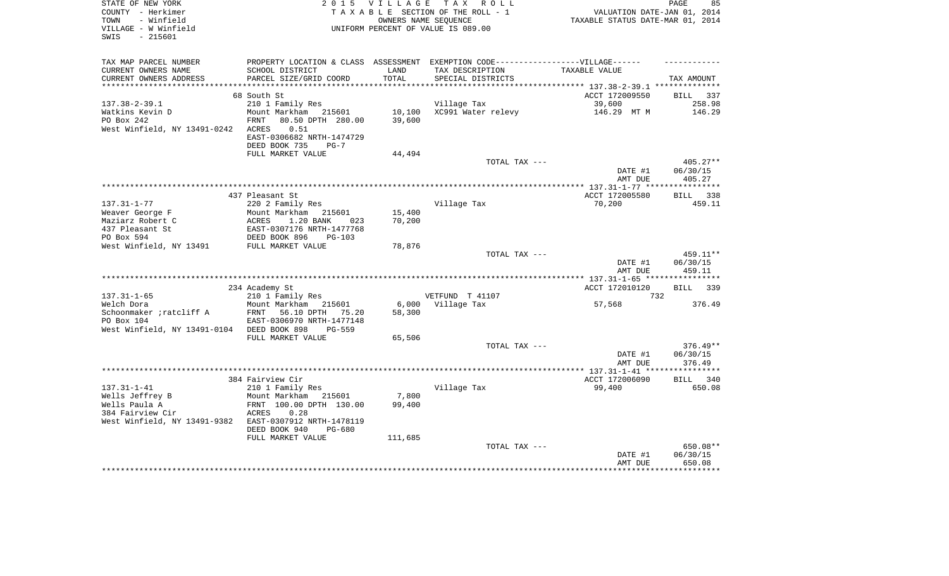| STATE OF NEW YORK<br>COUNTY - Herkimer<br>- Winfield<br>TOWN<br>VILLAGE - W Winfield<br>$-215601$<br>SWIS | 2 0 1 5                                                                           | <b>VILLAGE</b><br>OWNERS NAME SEOUENCE | TAX ROLL<br>TAXABLE SECTION OF THE ROLL - 1<br>UNIFORM PERCENT OF VALUE IS 089.00 | PAGE<br>VALUATION DATE-JAN 01, 2014<br>TAXABLE STATUS DATE-MAR 01, 2014 |                              |  |
|-----------------------------------------------------------------------------------------------------------|-----------------------------------------------------------------------------------|----------------------------------------|-----------------------------------------------------------------------------------|-------------------------------------------------------------------------|------------------------------|--|
| TAX MAP PARCEL NUMBER                                                                                     | PROPERTY LOCATION & CLASS ASSESSMENT EXEMPTION CODE-----------------VILLAGE------ |                                        |                                                                                   |                                                                         |                              |  |
| CURRENT OWNERS NAME                                                                                       | SCHOOL DISTRICT                                                                   | LAND                                   | TAX DESCRIPTION                                                                   | TAXABLE VALUE                                                           |                              |  |
| CURRENT OWNERS ADDRESS                                                                                    | PARCEL SIZE/GRID COORD                                                            | TOTAL                                  | SPECIAL DISTRICTS                                                                 |                                                                         | TAX AMOUNT                   |  |
| ***********************                                                                                   |                                                                                   |                                        |                                                                                   |                                                                         |                              |  |
|                                                                                                           | 68 South St                                                                       |                                        |                                                                                   | ACCT 172009550                                                          | <b>BILL</b><br>337<br>258.98 |  |
| $137.38 - 2 - 39.1$<br>Watkins Kevin D                                                                    | 210 1 Family Res<br>Mount Markham 215601                                          | 10,100                                 | Village Tax<br>XC991 Water relevy                                                 | 39,600<br>146.29 MT M                                                   | 146.29                       |  |
| PO Box 242                                                                                                | 80.50 DPTH 280.00<br>FRNT                                                         | 39,600                                 |                                                                                   |                                                                         |                              |  |
| West Winfield, NY 13491-0242                                                                              | 0.51<br>ACRES                                                                     |                                        |                                                                                   |                                                                         |                              |  |
|                                                                                                           | EAST-0306682 NRTH-1474729                                                         |                                        |                                                                                   |                                                                         |                              |  |
|                                                                                                           | DEED BOOK 735<br>$PG-7$                                                           |                                        |                                                                                   |                                                                         |                              |  |
|                                                                                                           | FULL MARKET VALUE                                                                 | 44,494                                 |                                                                                   |                                                                         |                              |  |
|                                                                                                           |                                                                                   |                                        | TOTAL TAX ---                                                                     |                                                                         | $405.27**$                   |  |
|                                                                                                           |                                                                                   |                                        |                                                                                   | DATE #1                                                                 | 06/30/15                     |  |
|                                                                                                           |                                                                                   |                                        |                                                                                   | AMT DUE<br>******************** 137.31-1-77 *****************           | 405.27                       |  |
|                                                                                                           | 437 Pleasant St                                                                   |                                        |                                                                                   | ACCT 172005580                                                          | <b>BILL</b><br>338           |  |
| $137.31 - 1 - 77$                                                                                         | 220 2 Family Res                                                                  |                                        | Village Tax                                                                       | 70,200                                                                  | 459.11                       |  |
| Weaver George F                                                                                           | Mount Markham<br>215601                                                           | 15,400                                 |                                                                                   |                                                                         |                              |  |
| Maziarz Robert C                                                                                          | ACRES<br>1.20 BANK<br>023                                                         | 70,200                                 |                                                                                   |                                                                         |                              |  |
| 437 Pleasant St                                                                                           | EAST-0307176 NRTH-1477768                                                         |                                        |                                                                                   |                                                                         |                              |  |
| PO Box 594<br>West Winfield, NY 13491                                                                     | DEED BOOK 896<br>$PG-103$<br>FULL MARKET VALUE                                    | 78,876                                 |                                                                                   |                                                                         |                              |  |
|                                                                                                           |                                                                                   |                                        | TOTAL TAX ---                                                                     |                                                                         | 459.11**                     |  |
|                                                                                                           |                                                                                   |                                        |                                                                                   | DATE #1                                                                 | 06/30/15                     |  |
|                                                                                                           |                                                                                   |                                        |                                                                                   | AMT DUE                                                                 | 459.11                       |  |
|                                                                                                           |                                                                                   |                                        |                                                                                   |                                                                         |                              |  |
|                                                                                                           | 234 Academy St                                                                    |                                        |                                                                                   | ACCT 172010120                                                          | BILL<br>339                  |  |
| $137.31 - 1 - 65$                                                                                         | 210 1 Family Res                                                                  |                                        | VETFUND T 41107                                                                   | 732                                                                     |                              |  |
| Welch Dora                                                                                                | Mount Markham<br>215601<br>FRNT                                                   | 6,000                                  | Village Tax                                                                       | 57,568                                                                  | 376.49                       |  |
| Schoonmaker ; ratcliff A<br>PO Box 104                                                                    | 56.10 DPTH<br>75.20<br>EAST-0306970 NRTH-1477148                                  | 58,300                                 |                                                                                   |                                                                         |                              |  |
| West Winfield, NY 13491-0104                                                                              | DEED BOOK 898<br>$PG-559$                                                         |                                        |                                                                                   |                                                                         |                              |  |
|                                                                                                           | FULL MARKET VALUE                                                                 | 65,506                                 |                                                                                   |                                                                         |                              |  |
|                                                                                                           |                                                                                   |                                        | TOTAL TAX ---                                                                     |                                                                         | $376.49**$                   |  |
|                                                                                                           |                                                                                   |                                        |                                                                                   | DATE #1                                                                 | 06/30/15                     |  |
|                                                                                                           |                                                                                   |                                        |                                                                                   | AMT DUE                                                                 | 376.49                       |  |
|                                                                                                           |                                                                                   |                                        |                                                                                   |                                                                         |                              |  |
| $137.31 - 1 - 41$                                                                                         | 384 Fairview Cir                                                                  |                                        |                                                                                   | ACCT 172006090<br>99,400                                                | <b>BILL</b><br>340<br>650.08 |  |
| Wells Jeffrey B                                                                                           | 210 1 Family Res<br>Mount Markham<br>215601                                       | 7,800                                  | Village Tax                                                                       |                                                                         |                              |  |
| Wells Paula A                                                                                             | FRNT 100.00 DPTH 130.00                                                           | 99,400                                 |                                                                                   |                                                                         |                              |  |
| 384 Fairview Cir                                                                                          | ACRES<br>0.28                                                                     |                                        |                                                                                   |                                                                         |                              |  |
| West Winfield, NY 13491-9382                                                                              | EAST-0307912 NRTH-1478119                                                         |                                        |                                                                                   |                                                                         |                              |  |
|                                                                                                           | DEED BOOK 940<br>PG-680                                                           |                                        |                                                                                   |                                                                         |                              |  |
|                                                                                                           | FULL MARKET VALUE                                                                 | 111,685                                |                                                                                   |                                                                         |                              |  |
|                                                                                                           |                                                                                   |                                        | TOTAL TAX ---                                                                     |                                                                         | 650.08**                     |  |
|                                                                                                           |                                                                                   |                                        |                                                                                   | DATE #1<br>AMT DUE                                                      | 06/30/15<br>650.08           |  |
|                                                                                                           |                                                                                   |                                        |                                                                                   |                                                                         |                              |  |
|                                                                                                           |                                                                                   |                                        |                                                                                   |                                                                         |                              |  |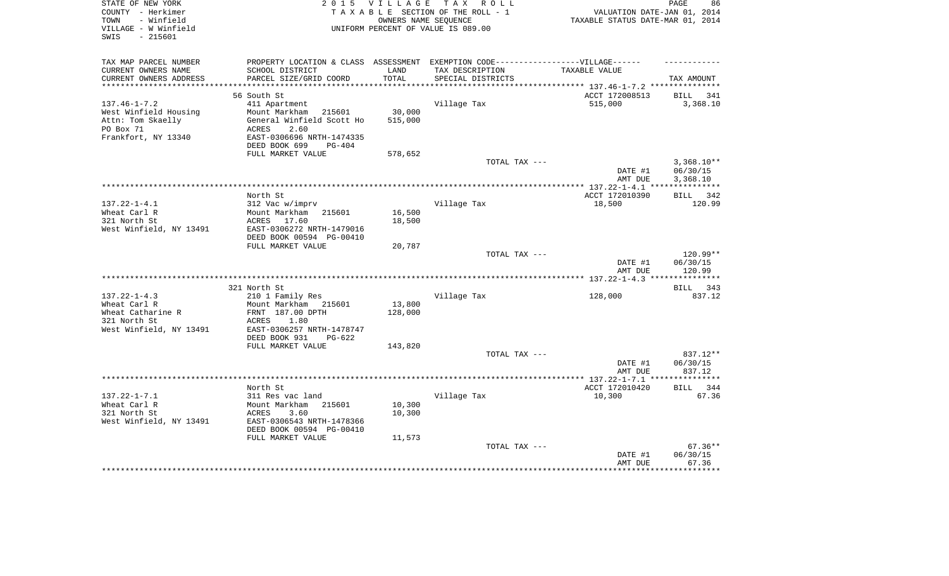| STATE OF NEW YORK<br>COUNTY - Herkimer<br>- Winfield<br>TOWN<br>VILLAGE - W Winfield<br>SWIS<br>$-215601$ | 2 0 1 5<br>VILLAGE<br>TAXABLE SECTION OF THE ROLL - 1<br>UNIFORM PERCENT OF VALUE IS 089.00 | 86<br>PAGE<br>VALUATION DATE-JAN 01, 2014<br>TAXABLE STATUS DATE-MAR 01, 2014 |                                                                |                         |                          |
|-----------------------------------------------------------------------------------------------------------|---------------------------------------------------------------------------------------------|-------------------------------------------------------------------------------|----------------------------------------------------------------|-------------------------|--------------------------|
| TAX MAP PARCEL NUMBER                                                                                     | PROPERTY LOCATION & CLASS ASSESSMENT EXEMPTION CODE-----------------VILLAGE------           |                                                                               |                                                                |                         |                          |
| CURRENT OWNERS NAME<br>CURRENT OWNERS ADDRESS                                                             | SCHOOL DISTRICT<br>PARCEL SIZE/GRID COORD                                                   | LAND<br>TOTAL                                                                 | TAX DESCRIPTION<br>SPECIAL DISTRICTS                           | TAXABLE VALUE           |                          |
| ***********************                                                                                   |                                                                                             |                                                                               | ********************************* 137.46-1-7.2 *************** |                         | TAX AMOUNT               |
|                                                                                                           | 56 South St                                                                                 |                                                                               |                                                                | ACCT 172008513          | 341<br>BILL              |
| $137.46 - 1 - 7.2$                                                                                        | 411 Apartment                                                                               |                                                                               | Village Tax                                                    | 515,000                 | 3,368.10                 |
| West Winfield Housing                                                                                     | 215601<br>Mount Markham                                                                     | 30,000                                                                        |                                                                |                         |                          |
| Attn: Tom Skaelly                                                                                         | General Winfield Scott Ho                                                                   | 515,000                                                                       |                                                                |                         |                          |
| PO Box 71                                                                                                 | ACRES<br>2.60                                                                               |                                                                               |                                                                |                         |                          |
| Frankfort, NY 13340                                                                                       | EAST-0306696 NRTH-1474335                                                                   |                                                                               |                                                                |                         |                          |
|                                                                                                           | DEED BOOK 699<br><b>PG-404</b>                                                              |                                                                               |                                                                |                         |                          |
|                                                                                                           | FULL MARKET VALUE                                                                           | 578,652                                                                       |                                                                |                         |                          |
|                                                                                                           |                                                                                             |                                                                               | TOTAL TAX ---                                                  | DATE #1                 | $3,368.10**$<br>06/30/15 |
|                                                                                                           |                                                                                             |                                                                               |                                                                | AMT DUE                 | 3,368.10                 |
|                                                                                                           |                                                                                             |                                                                               |                                                                |                         |                          |
|                                                                                                           | North St                                                                                    |                                                                               |                                                                | ACCT 172010390          | 342<br>BILL              |
| $137.22 - 1 - 4.1$                                                                                        | 312 Vac w/imprv                                                                             |                                                                               | Village Tax                                                    | 18,500                  | 120.99                   |
| Wheat Carl R                                                                                              | Mount Markham<br>215601                                                                     | 16,500                                                                        |                                                                |                         |                          |
| 321 North St                                                                                              | 17.60<br>ACRES                                                                              | 18,500                                                                        |                                                                |                         |                          |
| West Winfield, NY 13491                                                                                   | EAST-0306272 NRTH-1479016                                                                   |                                                                               |                                                                |                         |                          |
|                                                                                                           | DEED BOOK 00594 PG-00410<br>FULL MARKET VALUE                                               | 20,787                                                                        |                                                                |                         |                          |
|                                                                                                           |                                                                                             |                                                                               | TOTAL TAX ---                                                  |                         | 120.99**                 |
|                                                                                                           |                                                                                             |                                                                               |                                                                | DATE #1<br>AMT DUE      | 06/30/15<br>120.99       |
|                                                                                                           |                                                                                             |                                                                               |                                                                | ******** 137.22-1-4.3 * | *********                |
|                                                                                                           | 321 North St                                                                                |                                                                               |                                                                |                         | 343<br>BILL              |
| $137.22 - 1 - 4.3$                                                                                        | 210 1 Family Res                                                                            |                                                                               | Village Tax                                                    | 128,000                 | 837.12                   |
| Wheat Carl R                                                                                              | Mount Markham<br>215601                                                                     | 13,800                                                                        |                                                                |                         |                          |
| Wheat Catharine R                                                                                         | FRNT 187.00 DPTH                                                                            | 128,000                                                                       |                                                                |                         |                          |
| 321 North St                                                                                              | 1.80<br>ACRES                                                                               |                                                                               |                                                                |                         |                          |
| West Winfield, NY 13491                                                                                   | EAST-0306257 NRTH-1478747                                                                   |                                                                               |                                                                |                         |                          |
|                                                                                                           | DEED BOOK 931<br>$PG-622$                                                                   |                                                                               |                                                                |                         |                          |
|                                                                                                           | FULL MARKET VALUE                                                                           | 143,820                                                                       | TOTAL TAX ---                                                  |                         | 837.12**                 |
|                                                                                                           |                                                                                             |                                                                               |                                                                | DATE #1                 | 06/30/15                 |
|                                                                                                           |                                                                                             |                                                                               |                                                                | AMT DUE                 | 837.12                   |
|                                                                                                           |                                                                                             |                                                                               |                                                                |                         |                          |
|                                                                                                           | North St                                                                                    |                                                                               |                                                                | ACCT 172010420          | 344<br>BILL              |
| $137.22 - 1 - 7.1$                                                                                        | 311 Res vac land                                                                            |                                                                               | Village Tax                                                    | 10,300                  | 67.36                    |
| Wheat Carl R                                                                                              | Mount Markham<br>215601                                                                     | 10,300                                                                        |                                                                |                         |                          |
| 321 North St                                                                                              | ACRES<br>3.60                                                                               | 10,300                                                                        |                                                                |                         |                          |
| West Winfield, NY 13491                                                                                   | EAST-0306543 NRTH-1478366                                                                   |                                                                               |                                                                |                         |                          |
|                                                                                                           | DEED BOOK 00594 PG-00410<br>FULL MARKET VALUE                                               | 11,573                                                                        |                                                                |                         |                          |
|                                                                                                           |                                                                                             |                                                                               | TOTAL TAX ---                                                  |                         | $67.36**$                |
|                                                                                                           |                                                                                             |                                                                               |                                                                | DATE #1                 | 06/30/15                 |
|                                                                                                           |                                                                                             |                                                                               |                                                                | AMT DUE                 | 67.36                    |
|                                                                                                           |                                                                                             |                                                                               |                                                                |                         | ********                 |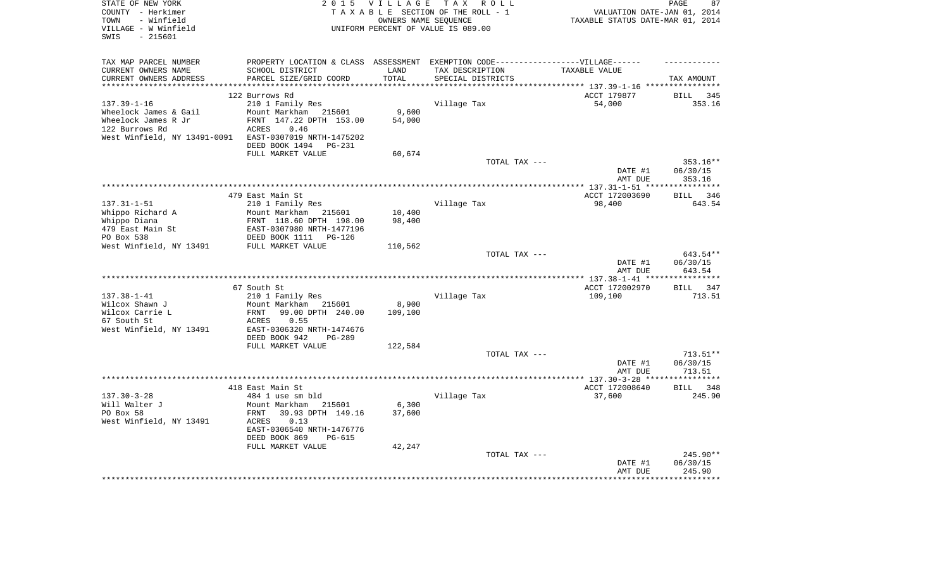| COUNTY - Herkimer<br>TAXABLE SECTION OF THE ROLL - 1<br>VALUATION DATE-JAN 01, 2014<br>- Winfield<br>TAXABLE STATUS DATE-MAR 01, 2014<br>TOWN<br>OWNERS NAME SEOUENCE<br>VILLAGE - W Winfield<br>UNIFORM PERCENT OF VALUE IS 089.00<br>$-215601$<br>SWIS<br>TAX MAP PARCEL NUMBER<br>PROPERTY LOCATION & CLASS ASSESSMENT EXEMPTION CODE-----------------VILLAGE------ |                      |
|------------------------------------------------------------------------------------------------------------------------------------------------------------------------------------------------------------------------------------------------------------------------------------------------------------------------------------------------------------------------|----------------------|
|                                                                                                                                                                                                                                                                                                                                                                        |                      |
|                                                                                                                                                                                                                                                                                                                                                                        |                      |
|                                                                                                                                                                                                                                                                                                                                                                        |                      |
|                                                                                                                                                                                                                                                                                                                                                                        |                      |
|                                                                                                                                                                                                                                                                                                                                                                        |                      |
|                                                                                                                                                                                                                                                                                                                                                                        |                      |
| CURRENT OWNERS NAME<br>SCHOOL DISTRICT<br>TAX DESCRIPTION<br>LAND<br>TAXABLE VALUE                                                                                                                                                                                                                                                                                     |                      |
| TOTAL<br>CURRENT OWNERS ADDRESS<br>PARCEL SIZE/GRID COORD<br>SPECIAL DISTRICTS                                                                                                                                                                                                                                                                                         | TAX AMOUNT           |
| **********<br>*************************** 137.39-1-16 ****************                                                                                                                                                                                                                                                                                                 |                      |
| 122 Burrows Rd<br>ACCT 179877<br>BILL                                                                                                                                                                                                                                                                                                                                  | 345                  |
| $137.39 - 1 - 16$<br>210 1 Family Res<br>Village Tax<br>54,000                                                                                                                                                                                                                                                                                                         | 353.16               |
| Wheelock James & Gail<br>Mount Markham 215601<br>9,600                                                                                                                                                                                                                                                                                                                 |                      |
| FRNT 147.22 DPTH 153.00<br>Wheelock James R Jr<br>54,000                                                                                                                                                                                                                                                                                                               |                      |
| 122 Burrows Rd<br>ACRES<br>0.46                                                                                                                                                                                                                                                                                                                                        |                      |
| West Winfield, NY 13491-0091 EAST-0307019 NRTH-1475202                                                                                                                                                                                                                                                                                                                 |                      |
| DEED BOOK 1494<br><b>PG-231</b>                                                                                                                                                                                                                                                                                                                                        |                      |
| FULL MARKET VALUE<br>60,674                                                                                                                                                                                                                                                                                                                                            |                      |
| TOTAL TAX ---                                                                                                                                                                                                                                                                                                                                                          | 353.16**             |
| DATE #1                                                                                                                                                                                                                                                                                                                                                                | 06/30/15             |
| AMT DUE                                                                                                                                                                                                                                                                                                                                                                | 353.16               |
|                                                                                                                                                                                                                                                                                                                                                                        | ************         |
| ACCT 172003690<br>479 East Main St                                                                                                                                                                                                                                                                                                                                     | BILL 346             |
| $137.31 - 1 - 51$<br>210 1 Family Res<br>Village Tax<br>98,400                                                                                                                                                                                                                                                                                                         | 643.54               |
| Whippo Richard A<br>Mount Markham<br>10,400<br>215601                                                                                                                                                                                                                                                                                                                  |                      |
| Whippo Diana<br>FRNT 118.60 DPTH 198.00<br>98,400                                                                                                                                                                                                                                                                                                                      |                      |
| 479 East Main St<br>EAST-0307980 NRTH-1477196                                                                                                                                                                                                                                                                                                                          |                      |
| PO Box 538<br>DEED BOOK 1111<br>$PG-126$                                                                                                                                                                                                                                                                                                                               |                      |
| West Winfield, NY 13491<br>FULL MARKET VALUE<br>110,562                                                                                                                                                                                                                                                                                                                |                      |
| TOTAL TAX ---                                                                                                                                                                                                                                                                                                                                                          | 643.54**             |
| DATE #1                                                                                                                                                                                                                                                                                                                                                                | 06/30/15             |
| AMT DUE                                                                                                                                                                                                                                                                                                                                                                | 643.54<br>********** |
| ACCT 172002970<br>67 South St                                                                                                                                                                                                                                                                                                                                          | BILL 347             |
| $137.38 - 1 - 41$<br>210 1 Family Res<br>Village Tax<br>109,100                                                                                                                                                                                                                                                                                                        | 713.51               |
| Wilcox Shawn J<br>Mount Markham 215601<br>8,900                                                                                                                                                                                                                                                                                                                        |                      |
| Wilcox Carrie L<br>99.00 DPTH 240.00<br>FRNT<br>109,100                                                                                                                                                                                                                                                                                                                |                      |
| 67 South St<br>ACRES<br>0.55                                                                                                                                                                                                                                                                                                                                           |                      |
| West Winfield, NY 13491<br>EAST-0306320 NRTH-1474676                                                                                                                                                                                                                                                                                                                   |                      |
| DEED BOOK 942<br><b>PG-289</b>                                                                                                                                                                                                                                                                                                                                         |                      |
| FULL MARKET VALUE<br>122,584                                                                                                                                                                                                                                                                                                                                           |                      |
| TOTAL TAX ---                                                                                                                                                                                                                                                                                                                                                          | 713.51**             |
| DATE #1                                                                                                                                                                                                                                                                                                                                                                | 06/30/15             |
| AMT DUE                                                                                                                                                                                                                                                                                                                                                                | 713.51               |
|                                                                                                                                                                                                                                                                                                                                                                        | ************         |
| 418 East Main St<br>ACCT 172008640<br><b>BILL</b>                                                                                                                                                                                                                                                                                                                      | 348                  |
| $137.30 - 3 - 28$<br>Village Tax<br>37,600<br>484 1 use sm bld                                                                                                                                                                                                                                                                                                         | 245.90               |
| Will Walter J<br>6,300<br>Mount Markham<br>215601                                                                                                                                                                                                                                                                                                                      |                      |
| PO Box 58<br>39.93 DPTH 149.16<br>37,600<br>FRNT                                                                                                                                                                                                                                                                                                                       |                      |
| West Winfield, NY 13491<br>0.13<br>ACRES                                                                                                                                                                                                                                                                                                                               |                      |
| EAST-0306540 NRTH-1476776                                                                                                                                                                                                                                                                                                                                              |                      |
| DEED BOOK 869<br>PG-615                                                                                                                                                                                                                                                                                                                                                |                      |
| FULL MARKET VALUE<br>42,247                                                                                                                                                                                                                                                                                                                                            |                      |
| TOTAL TAX ---                                                                                                                                                                                                                                                                                                                                                          | 245.90**             |
| DATE #1                                                                                                                                                                                                                                                                                                                                                                | 06/30/15             |
| AMT DUE                                                                                                                                                                                                                                                                                                                                                                | 245.90               |
|                                                                                                                                                                                                                                                                                                                                                                        |                      |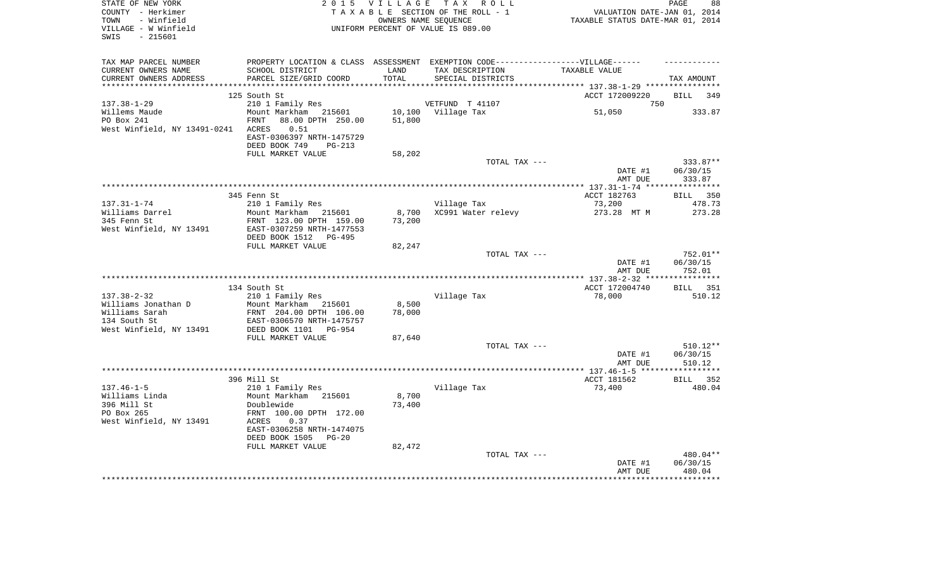| STATE OF NEW YORK<br>COUNTY - Herkimer<br>- Winfield<br>TOWN<br>VILLAGE - W Winfield<br>$-215601$<br>SWIS | 2 0 1 5                                              | VILLAGE | TAX ROLL<br>TAXABLE SECTION OF THE ROLL - 1<br>OWNERS NAME SEOUENCE<br>UNIFORM PERCENT OF VALUE IS 089.00 | VALUATION DATE-JAN 01, 2014<br>TAXABLE STATUS DATE-MAR 01, 2014 | PAGE<br>88           |
|-----------------------------------------------------------------------------------------------------------|------------------------------------------------------|---------|-----------------------------------------------------------------------------------------------------------|-----------------------------------------------------------------|----------------------|
| TAX MAP PARCEL NUMBER                                                                                     |                                                      |         | PROPERTY LOCATION & CLASS ASSESSMENT EXEMPTION CODE-----------------VILLAGE------                         |                                                                 |                      |
| CURRENT OWNERS NAME                                                                                       | SCHOOL DISTRICT                                      | LAND    | TAX DESCRIPTION                                                                                           | TAXABLE VALUE                                                   |                      |
| CURRENT OWNERS ADDRESS                                                                                    | PARCEL SIZE/GRID COORD                               | TOTAL   | SPECIAL DISTRICTS                                                                                         |                                                                 | TAX AMOUNT           |
|                                                                                                           | 125 South St                                         |         |                                                                                                           | ********** 137.38-1-29 ***********<br>ACCT 172009220            | <b>BILL</b><br>349   |
| $137.38 - 1 - 29$                                                                                         | 210 1 Family Res                                     |         | VETFUND T 41107                                                                                           | 750                                                             |                      |
| Willems Maude                                                                                             | Mount Markham 215601                                 |         | 10,100 Village Tax                                                                                        | 51,050                                                          | 333.87               |
| PO Box 241                                                                                                | FRNT<br>88.00 DPTH 250.00                            | 51,800  |                                                                                                           |                                                                 |                      |
| West Winfield, NY 13491-0241                                                                              | ACRES<br>0.51                                        |         |                                                                                                           |                                                                 |                      |
|                                                                                                           | EAST-0306397 NRTH-1475729                            |         |                                                                                                           |                                                                 |                      |
|                                                                                                           | DEED BOOK 749<br>$PG-213$                            |         |                                                                                                           |                                                                 |                      |
|                                                                                                           | FULL MARKET VALUE                                    | 58,202  | TOTAL TAX ---                                                                                             |                                                                 | 333.87**             |
|                                                                                                           |                                                      |         |                                                                                                           | DATE #1                                                         | 06/30/15             |
|                                                                                                           |                                                      |         |                                                                                                           | AMT DUE                                                         | 333.87               |
|                                                                                                           |                                                      |         |                                                                                                           |                                                                 | ***********          |
|                                                                                                           | 345 Fenn St                                          |         |                                                                                                           | ACCT 182763                                                     | BILL 350             |
| $137.31 - 1 - 74$<br>Williams Darrel                                                                      | 210 1 Family Res<br>Mount Markham 215601             | 8,700   | Village Tax<br>XC991 Water relevy                                                                         | 73,200<br>273.28 MT M                                           | 478.73<br>273.28     |
| 345 Fenn St                                                                                               | FRNT 123.00 DPTH 159.00                              | 73,200  |                                                                                                           |                                                                 |                      |
| West Winfield, NY 13491                                                                                   | EAST-0307259 NRTH-1477553                            |         |                                                                                                           |                                                                 |                      |
|                                                                                                           | DEED BOOK 1512 PG-495                                |         |                                                                                                           |                                                                 |                      |
|                                                                                                           | FULL MARKET VALUE                                    | 82,247  |                                                                                                           |                                                                 |                      |
|                                                                                                           |                                                      |         | TOTAL TAX ---                                                                                             |                                                                 | 752.01**<br>06/30/15 |
|                                                                                                           |                                                      |         |                                                                                                           | DATE #1<br>AMT DUE                                              | 752.01               |
|                                                                                                           |                                                      |         |                                                                                                           |                                                                 |                      |
|                                                                                                           | 134 South St                                         |         |                                                                                                           | ACCT 172004740                                                  | BILL 351             |
| $137.38 - 2 - 32$                                                                                         | 210 1 Family Res                                     |         | Village Tax                                                                                               | 78,000                                                          | 510.12               |
| Williams Jonathan D                                                                                       | Mount Markham 215601                                 | 8,500   |                                                                                                           |                                                                 |                      |
| Williams Sarah<br>134 South St                                                                            | FRNT 204.00 DPTH 106.00<br>EAST-0306570 NRTH-1475757 | 78,000  |                                                                                                           |                                                                 |                      |
| West Winfield, NY 13491                                                                                   | DEED BOOK 1101 PG-954                                |         |                                                                                                           |                                                                 |                      |
|                                                                                                           | FULL MARKET VALUE                                    | 87,640  |                                                                                                           |                                                                 |                      |
|                                                                                                           |                                                      |         | TOTAL TAX ---                                                                                             |                                                                 | $510.12**$           |
|                                                                                                           |                                                      |         |                                                                                                           | DATE #1                                                         | 06/30/15             |
|                                                                                                           |                                                      |         |                                                                                                           | AMT DUE                                                         | 510.12               |
|                                                                                                           | 396 Mill St                                          |         |                                                                                                           | ACCT 181562                                                     | BILL 352             |
| $137.46 - 1 - 5$                                                                                          | 210 1 Family Res                                     |         | Village Tax                                                                                               | 73,400                                                          | 480.04               |
| Williams Linda                                                                                            | Mount Markham 215601                                 | 8,700   |                                                                                                           |                                                                 |                      |
| 396 Mill St                                                                                               | Doublewide                                           | 73,400  |                                                                                                           |                                                                 |                      |
| PO Box 265                                                                                                | FRNT 100.00 DPTH 172.00                              |         |                                                                                                           |                                                                 |                      |
| West Winfield, NY 13491                                                                                   | 0.37<br>ACRES<br>EAST-0306258 NRTH-1474075           |         |                                                                                                           |                                                                 |                      |
|                                                                                                           | DEED BOOK 1505<br>$PG-20$                            |         |                                                                                                           |                                                                 |                      |
|                                                                                                           | FULL MARKET VALUE                                    | 82,472  |                                                                                                           |                                                                 |                      |
|                                                                                                           |                                                      |         | TOTAL TAX ---                                                                                             |                                                                 | 480.04**             |
|                                                                                                           |                                                      |         |                                                                                                           | DATE #1                                                         | 06/30/15             |
|                                                                                                           |                                                      |         |                                                                                                           | AMT DUE                                                         | 480.04               |
|                                                                                                           |                                                      |         |                                                                                                           |                                                                 |                      |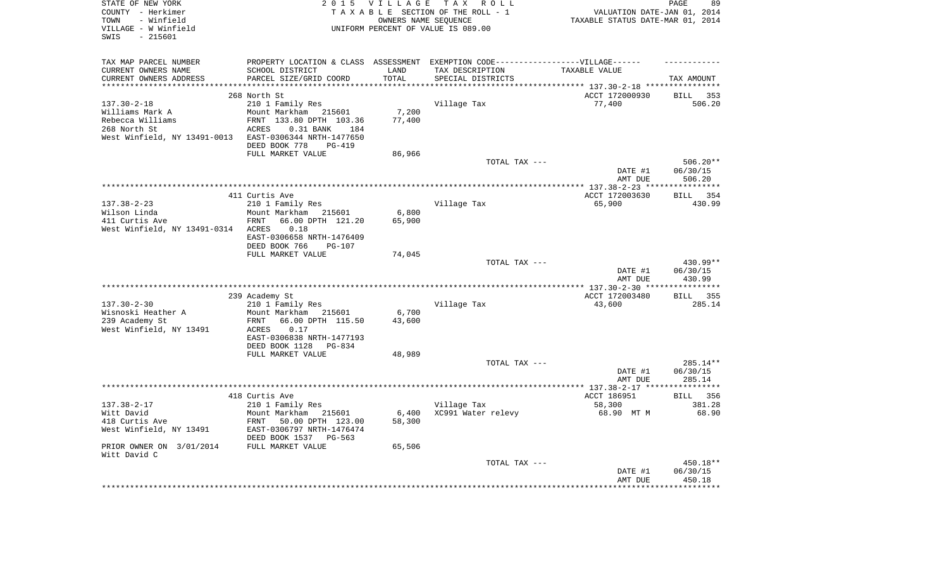| STATE OF NEW YORK<br>COUNTY - Herkimer<br>- Winfield<br>TOWN<br>VILLAGE - W Winfield<br>$-215601$<br>SWIS | 2 0 1 5                                           | <b>VILLAGE</b><br>OWNERS NAME SEQUENCE | TAX ROLL<br>TAXABLE SECTION OF THE ROLL - 1<br>UNIFORM PERCENT OF VALUE IS 089.00 | VALUATION DATE-JAN 01, 2014<br>TAXABLE STATUS DATE-MAR 01, 2014 | PAGE<br>89             |
|-----------------------------------------------------------------------------------------------------------|---------------------------------------------------|----------------------------------------|-----------------------------------------------------------------------------------|-----------------------------------------------------------------|------------------------|
| TAX MAP PARCEL NUMBER                                                                                     |                                                   |                                        | PROPERTY LOCATION & CLASS ASSESSMENT EXEMPTION CODE-----------------VILLAGE------ |                                                                 |                        |
| CURRENT OWNERS NAME                                                                                       | SCHOOL DISTRICT                                   | LAND                                   | TAX DESCRIPTION                                                                   | TAXABLE VALUE                                                   |                        |
| CURRENT OWNERS ADDRESS<br>**********************                                                          | PARCEL SIZE/GRID COORD                            | TOTAL                                  | SPECIAL DISTRICTS                                                                 |                                                                 | TAX AMOUNT             |
|                                                                                                           | 268 North St                                      |                                        |                                                                                   | ACCT 172000930                                                  | <b>BILL</b><br>353     |
| $137.30 - 2 - 18$                                                                                         | 210 1 Family Res                                  |                                        | Village Tax                                                                       | 77,400                                                          | 506.20                 |
| Williams Mark A                                                                                           | Mount Markham 215601                              | 7,200                                  |                                                                                   |                                                                 |                        |
| Rebecca Williams                                                                                          | FRNT 133.80 DPTH 103.36                           | 77,400                                 |                                                                                   |                                                                 |                        |
| 268 North St                                                                                              | <b>ACRES</b><br>$0.31$ BANK<br>184                |                                        |                                                                                   |                                                                 |                        |
| West Winfield, NY 13491-0013                                                                              | EAST-0306344 NRTH-1477650                         |                                        |                                                                                   |                                                                 |                        |
|                                                                                                           | DEED BOOK 778<br>PG-419                           |                                        |                                                                                   |                                                                 |                        |
|                                                                                                           | FULL MARKET VALUE                                 | 86,966                                 |                                                                                   |                                                                 |                        |
|                                                                                                           |                                                   |                                        | TOTAL TAX ---                                                                     | DATE #1                                                         | $506.20**$<br>06/30/15 |
|                                                                                                           |                                                   |                                        |                                                                                   | AMT DUE                                                         | 506.20                 |
|                                                                                                           |                                                   |                                        |                                                                                   |                                                                 |                        |
|                                                                                                           | 411 Curtis Ave                                    |                                        |                                                                                   | ACCT 172003630                                                  | 354<br>BILL            |
| $137.38 - 2 - 23$                                                                                         | 210 1 Family Res                                  |                                        | Village Tax                                                                       | 65,900                                                          | 430.99                 |
| Wilson Linda                                                                                              | Mount Markham<br>215601                           | 6,800                                  |                                                                                   |                                                                 |                        |
| 411 Curtis Ave<br>West Winfield, NY 13491-0314                                                            | 66.00 DPTH 121.20<br>FRNT<br>0.18                 | 65,900                                 |                                                                                   |                                                                 |                        |
|                                                                                                           | ACRES<br>EAST-0306658 NRTH-1476409                |                                        |                                                                                   |                                                                 |                        |
|                                                                                                           | DEED BOOK 766<br><b>PG-107</b>                    |                                        |                                                                                   |                                                                 |                        |
|                                                                                                           | FULL MARKET VALUE                                 | 74,045                                 |                                                                                   |                                                                 |                        |
|                                                                                                           |                                                   |                                        | TOTAL TAX ---                                                                     |                                                                 | 430.99**               |
|                                                                                                           |                                                   |                                        |                                                                                   | DATE #1                                                         | 06/30/15               |
|                                                                                                           |                                                   |                                        |                                                                                   | AMT DUE                                                         | 430.99<br>***********  |
|                                                                                                           | 239 Academy St                                    |                                        |                                                                                   | ACCT 172003480                                                  | BILL 355               |
| $137.30 - 2 - 30$                                                                                         | 210 1 Family Res                                  |                                        | Village Tax                                                                       | 43,600                                                          | 285.14                 |
| Wisnoski Heather A                                                                                        | Mount Markham 215601                              | 6,700                                  |                                                                                   |                                                                 |                        |
| 239 Academy St                                                                                            | FRNT<br>66.00 DPTH 115.50                         | 43,600                                 |                                                                                   |                                                                 |                        |
| West Winfield, NY 13491                                                                                   | 0.17<br>ACRES                                     |                                        |                                                                                   |                                                                 |                        |
|                                                                                                           | EAST-0306838 NRTH-1477193                         |                                        |                                                                                   |                                                                 |                        |
|                                                                                                           | DEED BOOK 1128<br>PG-834<br>FULL MARKET VALUE     | 48,989                                 |                                                                                   |                                                                 |                        |
|                                                                                                           |                                                   |                                        | TOTAL TAX ---                                                                     |                                                                 | 285.14**               |
|                                                                                                           |                                                   |                                        |                                                                                   | DATE #1                                                         | 06/30/15               |
|                                                                                                           |                                                   |                                        |                                                                                   | AMT DUE                                                         | 285.14                 |
|                                                                                                           |                                                   |                                        |                                                                                   |                                                                 |                        |
|                                                                                                           | 418 Curtis Ave                                    |                                        |                                                                                   | ACCT 186951                                                     | 356<br><b>BILL</b>     |
| $137.38 - 2 - 17$                                                                                         | 210 1 Family Res                                  |                                        | Village Tax                                                                       | 58,300                                                          | 381.28                 |
| Witt David<br>418 Curtis Ave                                                                              | Mount Markham 215601<br>50.00 DPTH 123.00<br>FRNT | 6,400<br>58,300                        | XC991 Water relevy                                                                | 68.90 MT M                                                      | 68.90                  |
| West Winfield, NY 13491                                                                                   | EAST-0306797 NRTH-1476474                         |                                        |                                                                                   |                                                                 |                        |
|                                                                                                           | DEED BOOK 1537 PG-563                             |                                        |                                                                                   |                                                                 |                        |
| PRIOR OWNER ON 3/01/2014                                                                                  | FULL MARKET VALUE                                 | 65,506                                 |                                                                                   |                                                                 |                        |
| Witt David C                                                                                              |                                                   |                                        |                                                                                   |                                                                 |                        |
|                                                                                                           |                                                   |                                        | TOTAL TAX ---                                                                     |                                                                 | 450.18**               |
|                                                                                                           |                                                   |                                        |                                                                                   | DATE #1<br>AMT DUE                                              | 06/30/15<br>450.18     |
|                                                                                                           |                                                   |                                        |                                                                                   | ******************************                                  |                        |
|                                                                                                           |                                                   |                                        |                                                                                   |                                                                 |                        |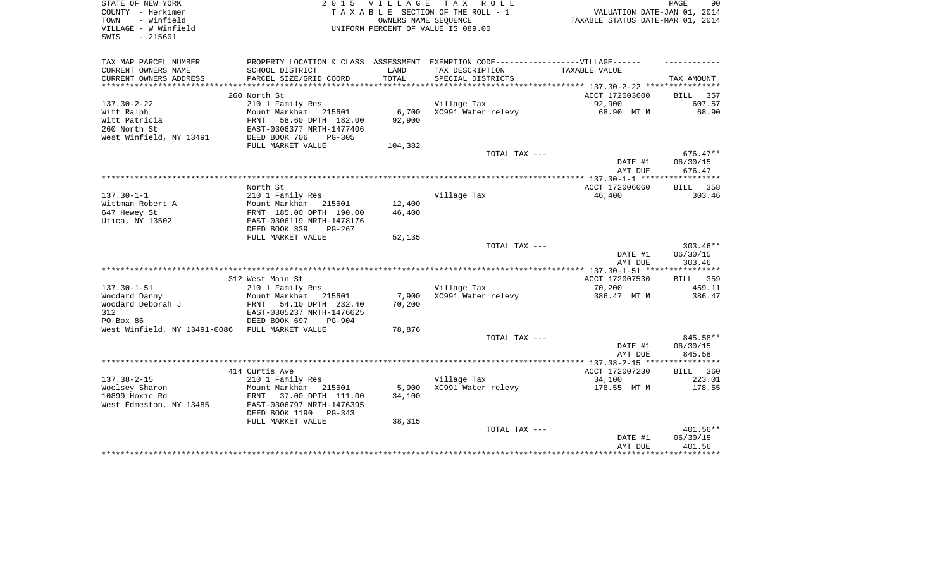| STATE OF NEW YORK                              | 2 0 1 5                        |                      | VILLAGE TAX ROLL                                                                  |                                  | PAGE<br>90   |
|------------------------------------------------|--------------------------------|----------------------|-----------------------------------------------------------------------------------|----------------------------------|--------------|
| COUNTY - Herkimer                              |                                |                      | TAXABLE SECTION OF THE ROLL - 1                                                   | VALUATION DATE-JAN 01, 2014      |              |
| - Winfield<br>TOWN                             |                                | OWNERS NAME SEQUENCE |                                                                                   | TAXABLE STATUS DATE-MAR 01, 2014 |              |
| VILLAGE - W Winfield                           |                                |                      | UNIFORM PERCENT OF VALUE IS 089.00                                                |                                  |              |
| SWIS<br>$-215601$                              |                                |                      |                                                                                   |                                  |              |
|                                                |                                |                      |                                                                                   |                                  |              |
| TAX MAP PARCEL NUMBER                          |                                |                      | PROPERTY LOCATION & CLASS ASSESSMENT EXEMPTION CODE-----------------VILLAGE------ |                                  |              |
| CURRENT OWNERS NAME                            | SCHOOL DISTRICT                | LAND                 | TAX DESCRIPTION                                                                   | TAXABLE VALUE                    |              |
| CURRENT OWNERS ADDRESS                         | PARCEL SIZE/GRID COORD         | TOTAL                | SPECIAL DISTRICTS                                                                 |                                  | TAX AMOUNT   |
|                                                |                                |                      |                                                                                   |                                  |              |
|                                                | 260 North St                   |                      |                                                                                   | ACCT 172003600                   | BILL 357     |
| $137.30 - 2 - 22$                              | 210 1 Family Res               |                      | Village Tax                                                                       | 92,900                           | 607.57       |
| Witt Ralph                                     | Mount Markham 215601           | 6,700                | XC991 Water relevy                                                                | 68.90 MT M                       | 68.90        |
| Witt Patricia                                  | FRNT<br>58.60 DPTH 182.00      | 92,900               |                                                                                   |                                  |              |
| 260 North St                                   | EAST-0306377 NRTH-1477406      |                      |                                                                                   |                                  |              |
| West Winfield, NY 13491                        | DEED BOOK 706<br>$PG-305$      |                      |                                                                                   |                                  |              |
|                                                | FULL MARKET VALUE              | 104,382              |                                                                                   |                                  |              |
|                                                |                                |                      | TOTAL TAX ---                                                                     |                                  | $676.47**$   |
|                                                |                                |                      |                                                                                   | DATE #1                          | 06/30/15     |
|                                                |                                |                      |                                                                                   | AMT DUE                          | 676.47       |
|                                                |                                |                      |                                                                                   |                                  |              |
|                                                | North St                       |                      |                                                                                   | ACCT 172006060                   | BILL 358     |
| $137.30 - 1 - 1$                               | 210 1 Family Res               |                      | Village Tax                                                                       | 46,400                           | 303.46       |
| Wittman Robert A                               | Mount Markham 215601           | 12,400               |                                                                                   |                                  |              |
| 647 Hewey St                                   | FRNT 185.00 DPTH 190.00        | 46,400               |                                                                                   |                                  |              |
| Utica, NY 13502                                | EAST-0306119 NRTH-1478176      |                      |                                                                                   |                                  |              |
|                                                | DEED BOOK 839<br>PG-267        |                      |                                                                                   |                                  |              |
|                                                | FULL MARKET VALUE              | 52,135               |                                                                                   |                                  |              |
|                                                |                                |                      | TOTAL TAX ---                                                                     |                                  | $303.46**$   |
|                                                |                                |                      |                                                                                   | DATE #1                          | 06/30/15     |
|                                                |                                |                      |                                                                                   | AMT DUE                          | 303.46       |
|                                                | 312 West Main St               |                      |                                                                                   | ACCT 172007530                   | BILL 359     |
| $137.30 - 1 - 51$                              | 210 1 Family Res               |                      | Village Tax                                                                       | 70,200                           | 459.11       |
| Woodard Danny                                  | Mount Markham<br>215601        | 7,900                | XC991 Water relevy                                                                | 386.47 MT M                      | 386.47       |
| Woodard Deborah J                              | FRNT 54.10 DPTH 232.40         | 70,200               |                                                                                   |                                  |              |
| 312                                            | EAST-0305237 NRTH-1476625      |                      |                                                                                   |                                  |              |
| PO Box 86                                      | DEED BOOK 697<br><b>PG-904</b> |                      |                                                                                   |                                  |              |
| West Winfield, NY 13491-0086 FULL MARKET VALUE |                                | 78,876               |                                                                                   |                                  |              |
|                                                |                                |                      | TOTAL TAX ---                                                                     |                                  | 845.58**     |
|                                                |                                |                      |                                                                                   | DATE #1                          | 06/30/15     |
|                                                |                                |                      |                                                                                   | AMT DUE                          | 845.58       |
|                                                |                                |                      |                                                                                   |                                  | ************ |
|                                                | 414 Curtis Ave                 |                      |                                                                                   | ACCT 172007230                   | BILL 360     |
| $137.38 - 2 - 15$                              | 210 1 Family Res               |                      | Village Tax                                                                       | 34,100                           | 223.01       |
| Woolsey Sharon                                 | Mount Markham 215601           | 5,900                | XC991 Water relevy                                                                | 178.55 MT M                      | 178.55       |
| 10899 Hoxie Rd                                 | 37.00 DPTH 111.00<br>FRNT      | 34,100               |                                                                                   |                                  |              |
| West Edmeston, NY 13485                        | EAST-0306797 NRTH-1476395      |                      |                                                                                   |                                  |              |
|                                                | DEED BOOK 1190<br>$PG-343$     |                      |                                                                                   |                                  |              |
|                                                | FULL MARKET VALUE              | 38,315               |                                                                                   |                                  |              |
|                                                |                                |                      | TOTAL TAX ---                                                                     |                                  | 401.56**     |
|                                                |                                |                      |                                                                                   | DATE #1                          | 06/30/15     |
|                                                |                                |                      |                                                                                   | AMT DUE                          | 401.56       |
|                                                |                                |                      |                                                                                   |                                  |              |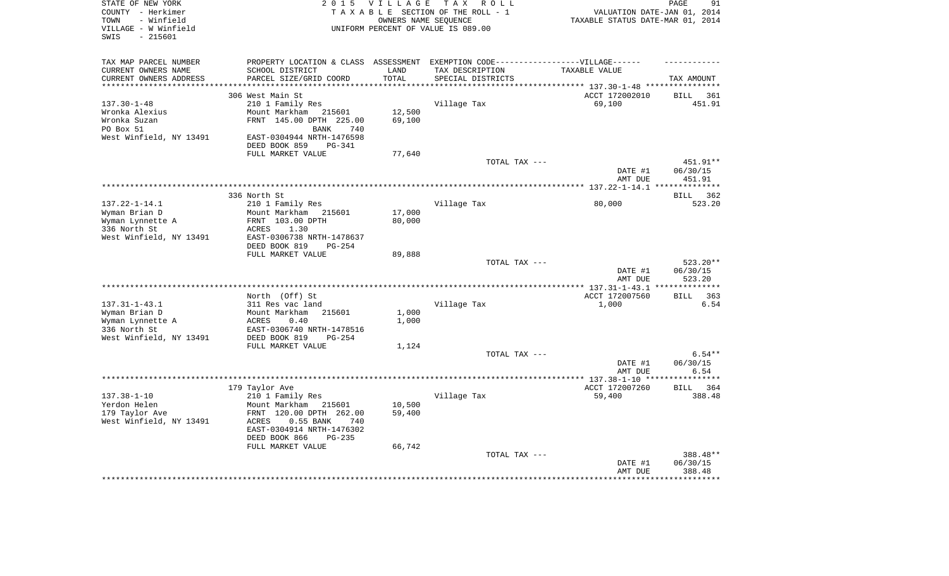| STATE OF NEW YORK<br>COUNTY - Herkimer<br>- Winfield<br>TOWN<br>VILLAGE - W Winfield<br>$-215601$<br>SWIS | <b>VILLAGE</b><br>2 0 1 5<br>TAXABLE SECTION OF THE ROLL - 1<br>UNIFORM PERCENT OF VALUE IS 089.00 | 91<br>PAGE<br>VALUATION DATE-JAN 01, 2014<br>TAXABLE STATUS DATE-MAR 01, 2014 |                          |                                                               |                         |
|-----------------------------------------------------------------------------------------------------------|----------------------------------------------------------------------------------------------------|-------------------------------------------------------------------------------|--------------------------|---------------------------------------------------------------|-------------------------|
| TAX MAP PARCEL NUMBER                                                                                     | PROPERTY LOCATION & CLASS ASSESSMENT EXEMPTION CODE-----------------VILLAGE------                  |                                                                               |                          |                                                               |                         |
| CURRENT OWNERS NAME                                                                                       | SCHOOL DISTRICT                                                                                    | LAND                                                                          | TAX DESCRIPTION          | TAXABLE VALUE                                                 |                         |
| CURRENT OWNERS ADDRESS                                                                                    | PARCEL SIZE/GRID COORD                                                                             | TOTAL                                                                         | SPECIAL DISTRICTS        |                                                               | TAX AMOUNT              |
|                                                                                                           | 306 West Main St                                                                                   |                                                                               |                          | ******************* 137.30-1-48 ***********<br>ACCT 172002010 | <b>BILL</b><br>361      |
| $137.30 - 1 - 48$                                                                                         | 210 1 Family Res                                                                                   |                                                                               | Village Tax              | 69,100                                                        | 451.91                  |
| Wronka Alexius                                                                                            | Mount Markham<br>215601                                                                            | 12,500                                                                        |                          |                                                               |                         |
| Wronka Suzan                                                                                              | FRNT 145.00 DPTH 225.00                                                                            | 69,100                                                                        |                          |                                                               |                         |
| PO Box 51                                                                                                 | BANK<br>740                                                                                        |                                                                               |                          |                                                               |                         |
| West Winfield, NY 13491                                                                                   | EAST-0304944 NRTH-1476598<br>DEED BOOK 859<br><b>PG-341</b>                                        |                                                                               |                          |                                                               |                         |
|                                                                                                           | FULL MARKET VALUE                                                                                  | 77,640                                                                        |                          |                                                               |                         |
|                                                                                                           |                                                                                                    |                                                                               | TOTAL TAX ---            |                                                               | 451.91**                |
|                                                                                                           |                                                                                                    |                                                                               |                          | DATE #1                                                       | 06/30/15                |
|                                                                                                           |                                                                                                    |                                                                               |                          | AMT DUE                                                       | 451.91                  |
|                                                                                                           | 336 North St                                                                                       |                                                                               |                          |                                                               | * * * * * * * * * * * * |
| $137.22 - 1 - 14.1$                                                                                       | 210 1 Family Res                                                                                   |                                                                               | Village Tax              | 80,000                                                        | BILL 362<br>523.20      |
| Wyman Brian D                                                                                             | Mount Markham 215601                                                                               | 17,000                                                                        |                          |                                                               |                         |
| Wyman Lynnette A                                                                                          | FRNT 103.00 DPTH                                                                                   | 80,000                                                                        |                          |                                                               |                         |
| 336 North St                                                                                              | ACRES<br>1.30                                                                                      |                                                                               |                          |                                                               |                         |
| West Winfield, NY 13491                                                                                   | EAST-0306738 NRTH-1478637<br>DEED BOOK 819<br>$PG-254$                                             |                                                                               |                          |                                                               |                         |
|                                                                                                           | FULL MARKET VALUE                                                                                  | 89,888                                                                        |                          |                                                               |                         |
|                                                                                                           |                                                                                                    |                                                                               | TOTAL TAX ---            |                                                               | 523.20**                |
|                                                                                                           |                                                                                                    |                                                                               |                          | DATE #1                                                       | 06/30/15                |
|                                                                                                           |                                                                                                    |                                                                               | ************************ | AMT DUE                                                       | 523.20<br>*********     |
|                                                                                                           | North (Off) St                                                                                     |                                                                               |                          | ** 137.31-1-43.1<br>ACCT 172007560                            | <b>BILL</b><br>363      |
| $137.31 - 1 - 43.1$                                                                                       | 311 Res vac land                                                                                   |                                                                               | Village Tax              | 1,000                                                         | 6.54                    |
| Wyman Brian D                                                                                             | Mount Markham<br>215601                                                                            | 1,000                                                                         |                          |                                                               |                         |
| Wyman Lynnette A                                                                                          | 0.40<br>ACRES                                                                                      | 1,000                                                                         |                          |                                                               |                         |
| 336 North St                                                                                              | EAST-0306740 NRTH-1478516                                                                          |                                                                               |                          |                                                               |                         |
| West Winfield, NY 13491                                                                                   | DEED BOOK 819<br>$PG-254$<br>FULL MARKET VALUE                                                     |                                                                               |                          |                                                               |                         |
|                                                                                                           |                                                                                                    | 1,124                                                                         | TOTAL TAX ---            |                                                               | $6.54**$                |
|                                                                                                           |                                                                                                    |                                                                               |                          | DATE #1                                                       | 06/30/15                |
|                                                                                                           |                                                                                                    |                                                                               |                          | AMT DUE                                                       | 6.54                    |
|                                                                                                           |                                                                                                    |                                                                               |                          |                                                               | ***********             |
| $137.38 - 1 - 10$                                                                                         | 179 Taylor Ave<br>210 1 Family Res                                                                 |                                                                               |                          | ACCT 172007260<br>59,400                                      | BILL 364<br>388.48      |
| Yerdon Helen                                                                                              | Mount Markham<br>215601                                                                            | 10,500                                                                        | Village Tax              |                                                               |                         |
| 179 Taylor Ave                                                                                            | FRNT 120.00 DPTH 262.00                                                                            | 59,400                                                                        |                          |                                                               |                         |
| West Winfield, NY 13491                                                                                   | ACRES<br>$0.55$ BANK<br>740                                                                        |                                                                               |                          |                                                               |                         |
|                                                                                                           | EAST-0304914 NRTH-1476302                                                                          |                                                                               |                          |                                                               |                         |
|                                                                                                           | DEED BOOK 866<br>$PG-235$                                                                          |                                                                               |                          |                                                               |                         |
|                                                                                                           | FULL MARKET VALUE                                                                                  | 66,742                                                                        | TOTAL TAX ---            |                                                               | 388.48**                |
|                                                                                                           |                                                                                                    |                                                                               |                          | DATE #1                                                       | 06/30/15                |
|                                                                                                           |                                                                                                    |                                                                               |                          | AMT DUE                                                       | 388.48                  |
|                                                                                                           |                                                                                                    |                                                                               |                          |                                                               |                         |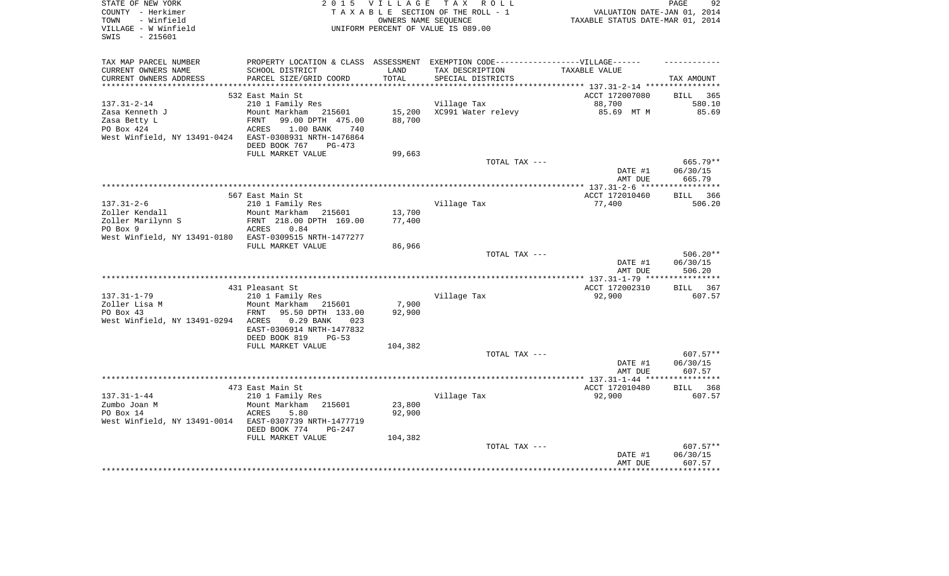| STATE OF NEW YORK<br>COUNTY - Herkimer<br>- Winfield<br>TOWN<br>VILLAGE - W Winfield<br>$-215601$<br>SWIS | <b>VILLAGE</b><br>2 0 1 5<br>TAXABLE SECTION OF THE ROLL - 1<br>UNIFORM PERCENT OF VALUE IS 089.00                             | PAGE<br>92<br>VALUATION DATE-JAN 01, 2014<br>TAXABLE STATUS DATE-MAR 01, 2014 |                                      |                                                                      |                       |
|-----------------------------------------------------------------------------------------------------------|--------------------------------------------------------------------------------------------------------------------------------|-------------------------------------------------------------------------------|--------------------------------------|----------------------------------------------------------------------|-----------------------|
| TAX MAP PARCEL NUMBER<br>CURRENT OWNERS NAME<br>CURRENT OWNERS ADDRESS                                    | PROPERTY LOCATION & CLASS ASSESSMENT EXEMPTION CODE-----------------VILLAGE------<br>SCHOOL DISTRICT<br>PARCEL SIZE/GRID COORD | LAND<br>TOTAL                                                                 | TAX DESCRIPTION<br>SPECIAL DISTRICTS | TAXABLE VALUE                                                        | TAX AMOUNT            |
| ***********************                                                                                   |                                                                                                                                |                                                                               |                                      | ************************************** 137.31-2-14 ***************** |                       |
|                                                                                                           | 532 East Main St                                                                                                               |                                                                               |                                      | ACCT 172007080                                                       | <b>BILL</b><br>365    |
| $137.31 - 2 - 14$<br>Zasa Kenneth J                                                                       | 210 1 Family Res<br>Mount Markham<br>215601                                                                                    | 15,200                                                                        | Village Tax<br>XC991 Water relevy    | 88,700<br>85.69 MT M                                                 | 580.10<br>85.69       |
| Zasa Betty L                                                                                              | FRNT<br>99.00 DPTH 475.00                                                                                                      | 88,700                                                                        |                                      |                                                                      |                       |
| PO Box 424                                                                                                | ACRES<br>1.00 BANK<br>740                                                                                                      |                                                                               |                                      |                                                                      |                       |
| West Winfield, NY 13491-0424                                                                              | EAST-0308931 NRTH-1476864                                                                                                      |                                                                               |                                      |                                                                      |                       |
|                                                                                                           | DEED BOOK 767<br>PG-473                                                                                                        |                                                                               |                                      |                                                                      |                       |
|                                                                                                           | FULL MARKET VALUE                                                                                                              | 99,663                                                                        |                                      |                                                                      |                       |
|                                                                                                           |                                                                                                                                |                                                                               | TOTAL TAX ---                        |                                                                      | $665.79**$            |
|                                                                                                           |                                                                                                                                |                                                                               |                                      | DATE #1                                                              | 06/30/15              |
|                                                                                                           |                                                                                                                                |                                                                               |                                      | AMT DUE<br>**************** 137.31-2-6 *****                         | 665.79<br>*********** |
|                                                                                                           | 567 East Main St                                                                                                               |                                                                               |                                      | ACCT 172010460                                                       | <b>BILL</b><br>366    |
| $137.31 - 2 - 6$                                                                                          | 210 1 Family Res                                                                                                               |                                                                               | Village Tax                          | 77,400                                                               | 506.20                |
| Zoller Kendall                                                                                            | Mount Markham<br>215601                                                                                                        | 13,700                                                                        |                                      |                                                                      |                       |
| Zoller Marilynn S                                                                                         | FRNT 218.00 DPTH 169.00                                                                                                        | 77,400                                                                        |                                      |                                                                      |                       |
| PO Box 9                                                                                                  | 0.84<br>ACRES                                                                                                                  |                                                                               |                                      |                                                                      |                       |
| West Winfield, NY 13491-0180                                                                              | EAST-0309515 NRTH-1477277                                                                                                      |                                                                               |                                      |                                                                      |                       |
|                                                                                                           | FULL MARKET VALUE                                                                                                              | 86,966                                                                        | TOTAL TAX ---                        |                                                                      | $506.20**$            |
|                                                                                                           |                                                                                                                                |                                                                               |                                      | DATE #1                                                              | 06/30/15              |
|                                                                                                           |                                                                                                                                |                                                                               |                                      | AMT DUE                                                              | 506.20                |
|                                                                                                           |                                                                                                                                |                                                                               |                                      |                                                                      | **********            |
|                                                                                                           | 431 Pleasant St                                                                                                                |                                                                               |                                      | ACCT 172002310                                                       | 367<br>BILL           |
| $137.31 - 1 - 79$                                                                                         | 210 1 Family Res                                                                                                               |                                                                               | Village Tax                          | 92,900                                                               | 607.57                |
| Zoller Lisa M                                                                                             | Mount Markham<br>215601                                                                                                        | 7,900                                                                         |                                      |                                                                      |                       |
| PO Box 43                                                                                                 | FRNT<br>95.50 DPTH 133.00                                                                                                      | 92,900                                                                        |                                      |                                                                      |                       |
| West Winfield, NY 13491-0294                                                                              | 0.29 BANK<br>ACRES<br>023<br>EAST-0306914 NRTH-1477832                                                                         |                                                                               |                                      |                                                                      |                       |
|                                                                                                           | DEED BOOK 819<br>$PG-53$                                                                                                       |                                                                               |                                      |                                                                      |                       |
|                                                                                                           | FULL MARKET VALUE                                                                                                              | 104,382                                                                       |                                      |                                                                      |                       |
|                                                                                                           |                                                                                                                                |                                                                               | TOTAL TAX ---                        |                                                                      | 607.57**              |
|                                                                                                           |                                                                                                                                |                                                                               |                                      | DATE #1                                                              | 06/30/15              |
|                                                                                                           |                                                                                                                                |                                                                               |                                      | AMT DUE                                                              | 607.57                |
|                                                                                                           |                                                                                                                                |                                                                               |                                      |                                                                      |                       |
|                                                                                                           | 473 East Main St                                                                                                               |                                                                               |                                      | ACCT 172010480                                                       | 368<br><b>BILL</b>    |
| $137.31 - 1 - 44$<br>Zumbo Joan M                                                                         | 210 1 Family Res<br>Mount Markham<br>215601                                                                                    | 23,800                                                                        | Village Tax                          | 92,900                                                               | 607.57                |
| PO Box 14                                                                                                 | ACRES<br>5.80                                                                                                                  | 92,900                                                                        |                                      |                                                                      |                       |
| West Winfield, NY 13491-0014                                                                              | EAST-0307739 NRTH-1477719                                                                                                      |                                                                               |                                      |                                                                      |                       |
|                                                                                                           | DEED BOOK 774<br>PG-247                                                                                                        |                                                                               |                                      |                                                                      |                       |
|                                                                                                           | FULL MARKET VALUE                                                                                                              | 104,382                                                                       |                                      |                                                                      |                       |
|                                                                                                           |                                                                                                                                |                                                                               | TOTAL TAX ---                        |                                                                      | 607.57**              |
|                                                                                                           |                                                                                                                                |                                                                               |                                      | DATE #1                                                              | 06/30/15              |
|                                                                                                           |                                                                                                                                |                                                                               |                                      | AMT DUE                                                              | 607.57                |
|                                                                                                           |                                                                                                                                |                                                                               |                                      |                                                                      |                       |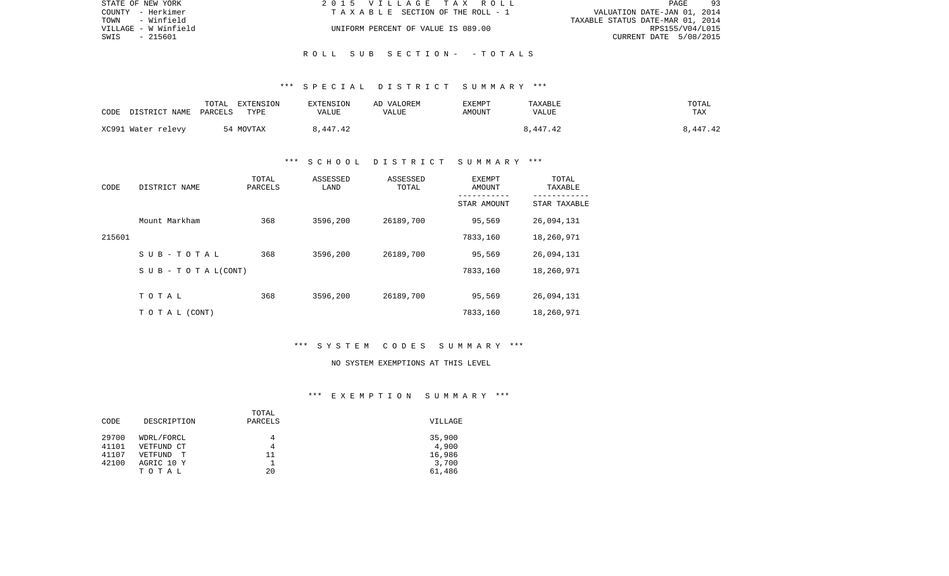| STATE OF NEW YORK    | 2015 VILLAGE TAX ROLL              | 93<br>PAGE                       |
|----------------------|------------------------------------|----------------------------------|
| COUNTY - Herkimer    | TAXABLE SECTION OF THE ROLL - 1    | VALUATION DATE-JAN 01, 2014      |
| - Winfield<br>TOWN   |                                    | TAXABLE STATUS DATE-MAR 01, 2014 |
| VILLAGE - W Winfield | UNIFORM PERCENT OF VALUE IS 089.00 | RPS155/V04/L015                  |
| SWIS<br>- 215601     |                                    | CURRENT DATE 5/08/2015           |
|                      |                                    |                                  |

R O L L S U B S E C T I O N - - T O T A L S

| CODE | DISTRICT NAME      | TOTAL<br>PARCELS | EXTENSION<br>TYPE | EXTENSION<br>VALUE | AD VALOREM<br>VALUE | <b>EXEMPT</b><br>AMOUNT | TAXABLE<br>VALUE | TOTAL<br>TAX |
|------|--------------------|------------------|-------------------|--------------------|---------------------|-------------------------|------------------|--------------|
|      | XC991 Water relevy |                  | 54 MOVTAX         | 8,447.42           |                     |                         | 8,447.42         | 8,447.42     |

## \*\*\* S C H O O L D I S T R I C T S U M M A R Y \*\*\*

| CODE   | DISTRICT NAME                    | TOTAL<br>PARCELS | ASSESSED<br>LAND | ASSESSED<br>TOTAL | EXEMPT<br>AMOUNT<br>---------- | TOTAL<br>TAXABLE |
|--------|----------------------------------|------------------|------------------|-------------------|--------------------------------|------------------|
|        |                                  |                  |                  |                   | STAR AMOUNT                    | STAR TAXABLE     |
|        | Mount Markham                    | 368              | 3596,200         | 26189,700         | 95,569                         | 26,094,131       |
| 215601 |                                  |                  |                  |                   | 7833,160                       | 18,260,971       |
|        | SUB-TOTAL                        | 368              | 3596,200         | 26189,700         | 95,569                         | 26,094,131       |
|        | $S \cup B - T \cup T A L (CONT)$ |                  |                  |                   | 7833,160                       | 18,260,971       |
|        |                                  |                  |                  |                   |                                |                  |
|        | TOTAL                            | 368              | 3596,200         | 26189,700         | 95,569                         | 26,094,131       |
|        | TO TAL (CONT)                    |                  |                  |                   | 7833,160                       | 18,260,971       |

## \*\*\* S Y S T E M C O D E S S U M M A R Y \*\*\*

#### NO SYSTEM EXEMPTIONS AT THIS LEVEL

## \*\*\* E X E M P T I O N S U M M A R Y \*\*\*

|       |              | TOTAL   |         |
|-------|--------------|---------|---------|
| CODE  | DESCRIPTION  | PARCELS | VILLAGE |
|       |              |         |         |
| 29700 | WDRL/FORCL   | 4       | 35,900  |
| 41101 | VETFUND CT   | 4       | 4,900   |
| 41107 | VETFUND<br>T | 11      | 16,986  |
| 42100 | AGRIC 10 Y   |         | 3,700   |
|       | TOTAL        | 20      | 61,486  |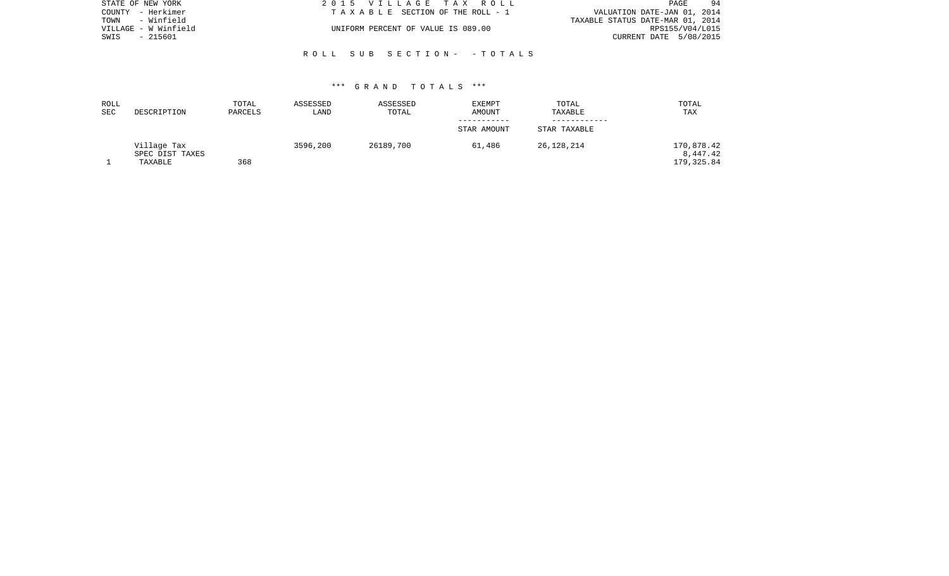| STATE OF NEW YORK    | 2015 VILLAGE TAX ROLL              | 94<br>PAGE                       |
|----------------------|------------------------------------|----------------------------------|
| COUNTY - Herkimer    | TAXABLE SECTION OF THE ROLL - 1    | VALUATION DATE-JAN 01, 2014      |
| - Winfield<br>TOWN   |                                    | TAXABLE STATUS DATE-MAR 01, 2014 |
| VILLAGE - W Winfield | UNIFORM PERCENT OF VALUE IS 089.00 | RPS155/V04/L015                  |
| SWIS<br>- 215601     |                                    | CURRENT DATE 5/08/2015           |
|                      |                                    |                                  |

R O L L S U B S E C T I O N - - T O T A L S

| ROLL |                 | TOTAL   | ASSESSED | ASSESSED  | EXEMPT      | TOTAL        | TOTAL       |
|------|-----------------|---------|----------|-----------|-------------|--------------|-------------|
| SEC  | DESCRIPTION     | PARCELS | LAND     | TOTAL     | AMOUNT      | TAXABLE      | TAX         |
|      |                 |         |          |           |             |              |             |
|      |                 |         |          |           | STAR AMOUNT | STAR TAXABLE |             |
|      | Village Tax     |         | 3596,200 | 26189,700 | 61,486      | 26,128,214   | 170,878.42  |
|      | SPEC DIST TAXES |         |          |           |             |              | 8,447.42    |
|      | TAXABLE         | 368     |          |           |             |              | 179, 325.84 |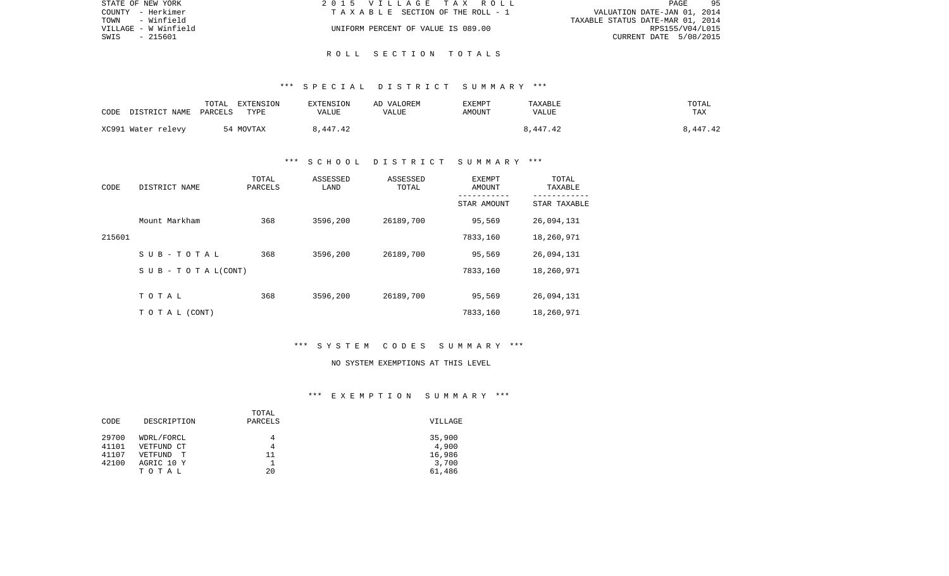| STATE OF NEW YORK    | 2015 VILLAGE TAX ROLL              | 95<br>PAGE                       |
|----------------------|------------------------------------|----------------------------------|
| COUNTY - Herkimer    | TAXABLE SECTION OF THE ROLL - 1    | VALUATION DATE-JAN 01, 2014      |
| – Winfield<br>TOWN   |                                    | TAXABLE STATUS DATE-MAR 01, 2014 |
| VILLAGE - W Winfield | UNIFORM PERCENT OF VALUE IS 089.00 | RPS155/V04/L015                  |
| SWIS<br>- 215601     |                                    | CURRENT DATE 5/08/2015           |
|                      |                                    |                                  |

## R O L L S E C T I O N T O T A L S

### \*\*\* S P E C I A L D I S T R I C T S U M M A R Y \*\*\*

| DISTRICT NAME<br>CODE | TOTAL<br>EXTENSION<br>PARCELS<br>TYPE | <b>EXTENSION</b><br>VALUE | AD VALOREM<br>VALUE | <b>EXEMPT</b><br><b>AMOUNT</b> | TAXABLE<br>VALUE | TOTAL<br>TAX |
|-----------------------|---------------------------------------|---------------------------|---------------------|--------------------------------|------------------|--------------|
| XC991 Water relevy    | 54 MOVTAX                             | 8,447.42                  |                     |                                | 3,447.42         | 8,447.42     |

## \*\*\* S C H O O L D I S T R I C T S U M M A R Y \*\*\*

| CODE   | DISTRICT NAME                    | TOTAL<br>PARCELS | ASSESSED<br>LAND | ASSESSED<br>TOTAL | EXEMPT<br>AMOUNT | TOTAL<br>TAXABLE |
|--------|----------------------------------|------------------|------------------|-------------------|------------------|------------------|
|        |                                  |                  |                  |                   | STAR AMOUNT      | STAR TAXABLE     |
|        | Mount Markham                    | 368              | 3596,200         | 26189,700         | 95,569           | 26,094,131       |
| 215601 |                                  |                  |                  |                   | 7833,160         | 18,260,971       |
|        | SUB-TOTAL                        | 368              | 3596,200         | 26189,700         | 95,569           | 26,094,131       |
|        | $S \cup B - T \cup T A L (CONT)$ |                  |                  |                   | 7833,160         | 18,260,971       |
|        |                                  |                  |                  |                   |                  |                  |
|        | TOTAL                            | 368              | 3596,200         | 26189,700         | 95,569           | 26,094,131       |
|        | T O T A L (CONT)                 |                  |                  |                   | 7833,160         | 18,260,971       |

## \*\*\* S Y S T E M C O D E S S U M M A R Y \*\*\*

#### NO SYSTEM EXEMPTIONS AT THIS LEVEL

## \*\*\* E X E M P T I O N S U M M A R Y \*\*\*

|       |                         | TOTAL   |         |
|-------|-------------------------|---------|---------|
| CODE  | DESCRIPTION             | PARCELS | VILLAGE |
|       |                         |         |         |
| 29700 | WDRL/FORCL              | 4       | 35,900  |
| 41101 | VETFUND CT              | 4       | 4,900   |
| 41107 | VETFUND<br>$\mathbf{T}$ | 11      | 16,986  |
| 42100 | AGRIC 10 Y              |         | 3,700   |
|       | TOTAL                   | 20      | 61,486  |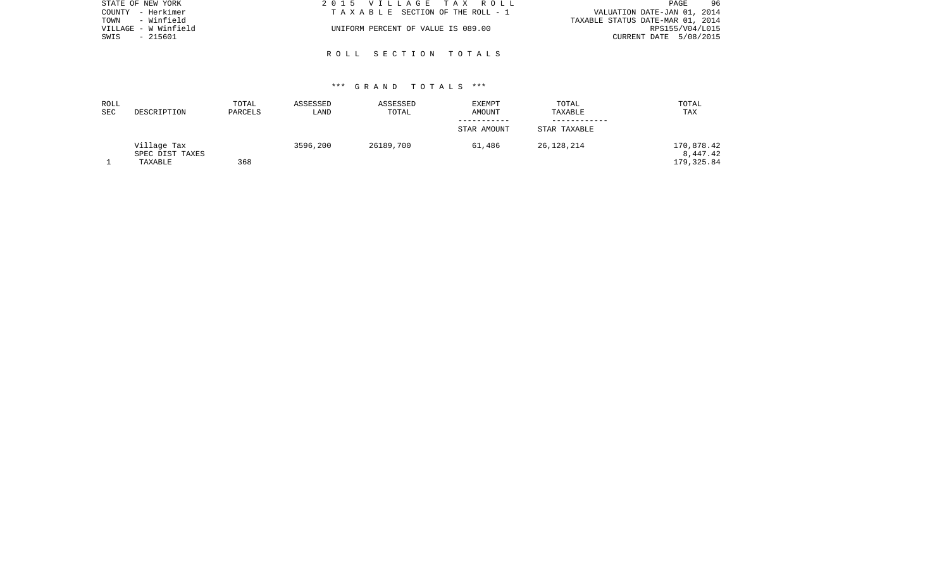| STATE OF NEW YORK    | 2015 VILLAGE TAX ROLL              | 96<br>PAGE                       |
|----------------------|------------------------------------|----------------------------------|
| COUNTY - Herkimer    | TAXABLE SECTION OF THE ROLL - 1    | VALUATION DATE-JAN 01, 2014      |
| - Winfield<br>TOWN   |                                    | TAXABLE STATUS DATE-MAR 01, 2014 |
| VILLAGE - W Winfield | UNIFORM PERCENT OF VALUE IS 089.00 | RPS155/V04/L015                  |
| SWIS<br>- 215601     |                                    | CURRENT DATE 5/08/2015           |
|                      |                                    |                                  |

R O L L S E C T I O N T O T A L S

| ROLL |                 | TOTAL   | ASSESSED | ASSESSED  | <b>EXEMPT</b> | TOTAL        | TOTAL       |
|------|-----------------|---------|----------|-----------|---------------|--------------|-------------|
| SEC  | DESCRIPTION     | PARCELS | LAND     | TOTAL     | AMOUNT        | TAXABLE      | TAX         |
|      |                 |         |          |           |               |              |             |
|      |                 |         |          |           | STAR AMOUNT   | STAR TAXABLE |             |
|      | Village Tax     |         | 3596,200 | 26189,700 | 61,486        | 26,128,214   | 170,878.42  |
|      | SPEC DIST TAXES |         |          |           |               |              | 8,447.42    |
|      | TAXABLE         | 368     |          |           |               |              | 179, 325.84 |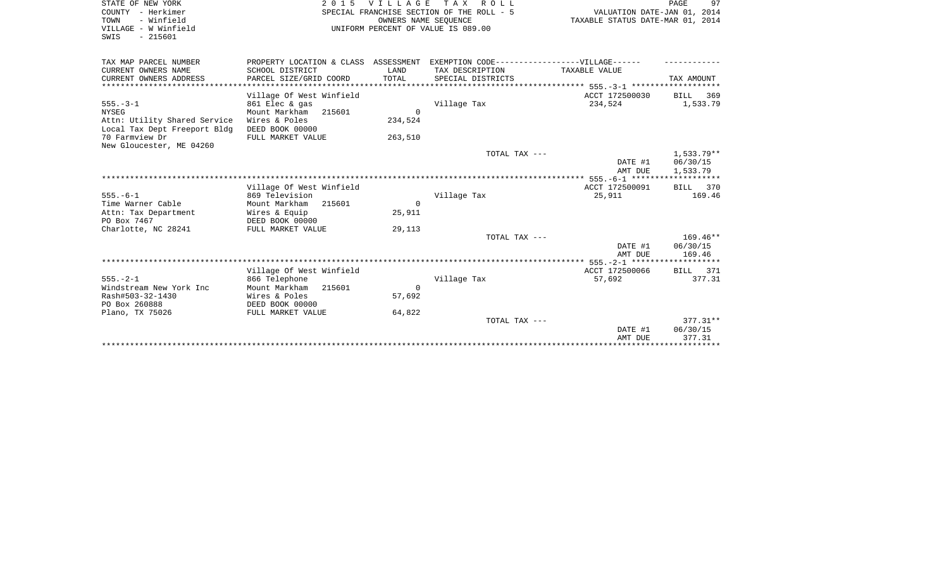| STATE OF NEW YORK<br>COUNTY - Herkimer<br>- Winfield<br>TOWN<br>VILLAGE - W Winfield<br>$-215601$<br>SWIS | <b>VILLAGE</b><br>2 0 1 5<br>SPECIAL FRANCHISE SECTION OF THE ROLL - 5<br>UNIFORM PERCENT OF VALUE IS 089.00 | PAGE<br>97<br>VALUATION DATE-JAN 01, 2014<br>TAXABLE STATUS DATE-MAR 01, 2014 |                                                                                  |                |                        |
|-----------------------------------------------------------------------------------------------------------|--------------------------------------------------------------------------------------------------------------|-------------------------------------------------------------------------------|----------------------------------------------------------------------------------|----------------|------------------------|
| TAX MAP PARCEL NUMBER                                                                                     |                                                                                                              |                                                                               | PROPERTY LOCATION & CLASS ASSESSMENT EXEMPTION CODE----------------VILLAGE------ |                |                        |
| CURRENT OWNERS NAME<br>CURRENT OWNERS ADDRESS                                                             | SCHOOL DISTRICT<br>PARCEL SIZE/GRID COORD                                                                    | LAND<br>TOTAL                                                                 | TAX DESCRIPTION<br>SPECIAL DISTRICTS                                             | TAXABLE VALUE  | TAX AMOUNT             |
| *******************                                                                                       |                                                                                                              |                                                                               |                                                                                  |                |                        |
|                                                                                                           | Village Of West Winfield                                                                                     |                                                                               |                                                                                  | ACCT 172500030 | <b>BILL</b><br>369     |
| $555. - 3 - 1$<br><b>NYSEG</b>                                                                            | 861 Elec & gas<br>Mount Markham<br>215601                                                                    | $\Omega$                                                                      | Village Tax                                                                      | 234,524        | 1,533.79               |
| Attn: Utility Shared Service<br>Local Tax Dept Freeport Bldg                                              | Wires & Poles<br>DEED BOOK 00000                                                                             | 234,524                                                                       |                                                                                  |                |                        |
| 70 Farmview Dr<br>New Gloucester, ME 04260                                                                | FULL MARKET VALUE                                                                                            | 263,510                                                                       |                                                                                  |                |                        |
|                                                                                                           |                                                                                                              |                                                                               | TOTAL TAX ---                                                                    | DATE #1        | 1,533.79**<br>06/30/15 |
|                                                                                                           |                                                                                                              |                                                                               |                                                                                  | AMT DUE        | 1,533.79               |
|                                                                                                           | Village Of West Winfield                                                                                     |                                                                               |                                                                                  | ACCT 172500091 | BILL 370               |
| $555. - 6 - 1$                                                                                            | 869 Television                                                                                               |                                                                               | Village Tax                                                                      | 25,911         | 169.46                 |
| Time Warner Cable                                                                                         | Mount Markham<br>215601                                                                                      | $\Omega$                                                                      |                                                                                  |                |                        |
| Attn: Tax Department                                                                                      | Wires & Equip                                                                                                | 25,911                                                                        |                                                                                  |                |                        |
| PO Box 7467                                                                                               | DEED BOOK 00000                                                                                              |                                                                               |                                                                                  |                |                        |
| Charlotte, NC 28241                                                                                       | FULL MARKET VALUE                                                                                            | 29,113                                                                        |                                                                                  |                | $169.46**$             |
|                                                                                                           |                                                                                                              |                                                                               | TOTAL TAX ---                                                                    | DATE #1        | 06/30/15               |
|                                                                                                           |                                                                                                              |                                                                               |                                                                                  | AMT DUE        | 169.46                 |
|                                                                                                           |                                                                                                              |                                                                               |                                                                                  |                |                        |
|                                                                                                           | Village Of West Winfield                                                                                     |                                                                               |                                                                                  | ACCT 172500066 | BILL 371               |
| $555. - 2 - 1$                                                                                            | 866 Telephone                                                                                                |                                                                               | Village Tax                                                                      | 57,692         | 377.31                 |
| Windstream New York Inc                                                                                   | Mount Markham<br>215601                                                                                      | $\Omega$                                                                      |                                                                                  |                |                        |
| Rash#503-32-1430                                                                                          | Wires & Poles                                                                                                | 57,692                                                                        |                                                                                  |                |                        |
| PO Box 260888<br>Plano, TX 75026                                                                          | DEED BOOK 00000<br>FULL MARKET VALUE                                                                         | 64,822                                                                        |                                                                                  |                |                        |
|                                                                                                           |                                                                                                              |                                                                               | TOTAL TAX ---                                                                    |                | $377.31**$             |
|                                                                                                           |                                                                                                              |                                                                               |                                                                                  | DATE #1        | 06/30/15               |
|                                                                                                           |                                                                                                              |                                                                               |                                                                                  | AMT DUE        | 377.31                 |
|                                                                                                           |                                                                                                              |                                                                               |                                                                                  |                |                        |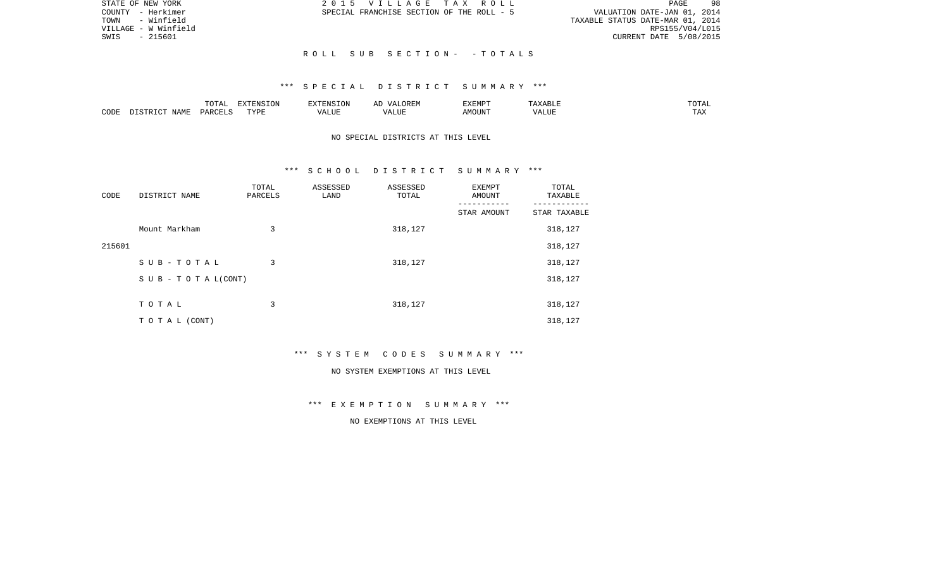| STATE OF NEW YORK    | 2015 VILLAGE TAX ROLL                     | 98<br>PAGE                       |
|----------------------|-------------------------------------------|----------------------------------|
| COUNTY - Herkimer    | SPECIAL FRANCHISE SECTION OF THE ROLL - 5 | VALUATION DATE-JAN 01, 2014      |
| TOWN - Winfield      |                                           | TAXABLE STATUS DATE-MAR 01, 2014 |
| VILLAGE - W Winfield |                                           | RPS155/V04/L015                  |
| SWIS<br>- 215601     |                                           | CURRENT DATE 5/08/2015           |
|                      |                                           |                                  |
|                      | ROLL SUB SECTION- -TOTALS                 |                                  |

|      |                              | ----<br>◡∸⊷          | $\blacksquare$<br>$N \sim$<br>. ON |  | :XEMPT | $\cdots$ | JIAL |
|------|------------------------------|----------------------|------------------------------------|--|--------|----------|------|
| CODE | <b>A B ST</b><br>. .<br>NAME | <b>DODI</b><br>D V 1 | ™vnt                               |  | JUN"   | ALUP     |      |

# NO SPECIAL DISTRICTS AT THIS LEVEL

### \*\*\* S C H O O L D I S T R I C T S U M M A R Y \*\*\*

| CODE   | DISTRICT NAME                    | TOTAL<br>PARCELS | ASSESSED<br>LAND | ASSESSED<br>TOTAL | EXEMPT<br>AMOUNT | TOTAL<br>TAXABLE |
|--------|----------------------------------|------------------|------------------|-------------------|------------------|------------------|
|        |                                  |                  |                  |                   | STAR AMOUNT      | STAR TAXABLE     |
|        | Mount Markham                    | 3                |                  | 318,127           |                  | 318,127          |
| 215601 |                                  |                  |                  |                   |                  | 318,127          |
|        | SUB-TOTAL                        | 3                |                  | 318,127           |                  | 318,127          |
|        | $S \cup B - T \cup T A L (CONT)$ |                  |                  |                   |                  | 318,127          |
|        |                                  |                  |                  |                   |                  |                  |
|        | TOTAL                            | 3                |                  | 318,127           |                  | 318,127          |
|        | TO TAL (CONT)                    |                  |                  |                   |                  | 318,127          |

\*\*\* S Y S T E M C O D E S S U M M A R Y \*\*\*

#### NO SYSTEM EXEMPTIONS AT THIS LEVEL

\*\*\* E X E M P T I O N S U M M A R Y \*\*\*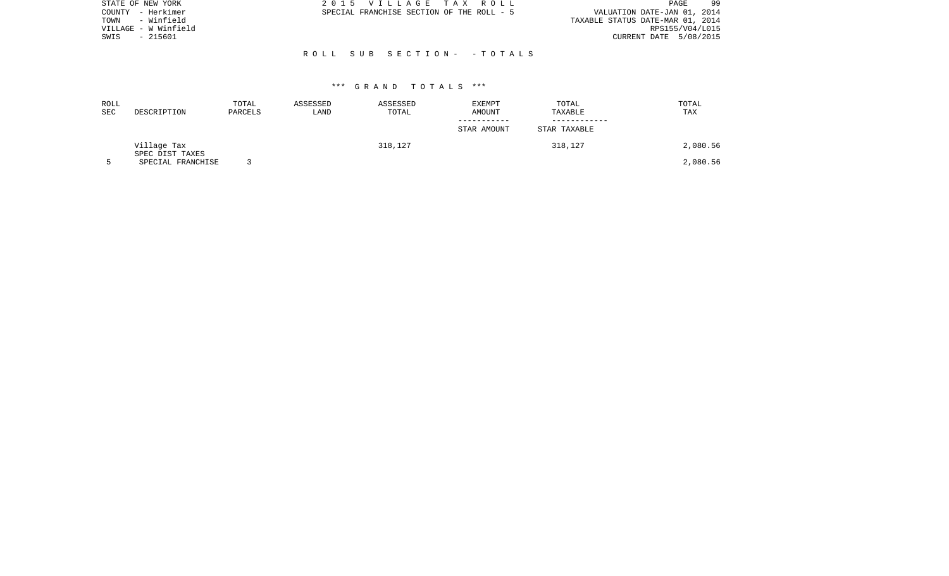| STATE OF NEW YORK    | 2015 VILLAGE TAX ROLL                     | -99<br>PAGE                      |
|----------------------|-------------------------------------------|----------------------------------|
| – Herkimer<br>COUNTY | SPECIAL FRANCHISE SECTION OF THE ROLL - 5 | VALUATION DATE-JAN 01, 2014      |
| - Winfield<br>TOWN   |                                           | TAXABLE STATUS DATE-MAR 01, 2014 |
| VILLAGE - W Winfield |                                           | RPS155/V04/L015                  |
| - 215601<br>SWIS     |                                           | CURRENT DATE 5/08/2015           |
|                      |                                           |                                  |
|                      | ROLL SUB SECTION- - TOTALS                |                                  |
|                      |                                           |                                  |

| ROLL<br>SEC | DESCRIPTION                    | TOTAL<br>PARCELS | ASSESSED<br>LAND | ASSESSED<br>TOTAL | EXEMPT<br>AMOUNT | TOTAL<br>TAXABLE | TOTAL<br>TAX |
|-------------|--------------------------------|------------------|------------------|-------------------|------------------|------------------|--------------|
|             |                                |                  |                  |                   | STAR AMOUNT      | STAR TAXABLE     |              |
|             | Village Tax<br>SPEC DIST TAXES |                  |                  | 318,127           |                  | 318,127          | 2,080.56     |
|             | SPECIAL FRANCHISE              |                  |                  |                   |                  |                  | 2,080.56     |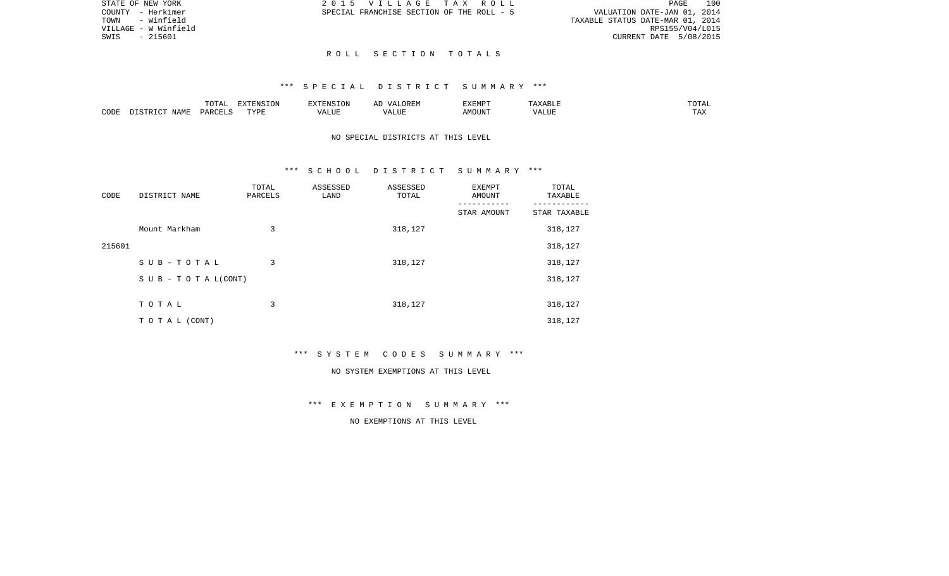|  |  | LLAGE TAX ROLL,            |  |  |                                  | PAGE. | 100 |
|--|--|----------------------------|--|--|----------------------------------|-------|-----|
|  |  | SE SECTION OF THE ROLL - 5 |  |  | VALUATION DATE-JAN 01, 2014      |       |     |
|  |  |                            |  |  | TAXABLE STATUS DATE-MAR 01, 2014 |       |     |
|  |  |                            |  |  | RPS155/V04/L015                  |       |     |
|  |  |                            |  |  | CURRENT DATE 5/08/2015           |       |     |

STATE OF NEW YORK 2015 VIL COUNTY - Herkimer SPECIAL FRANCHIS TOWN - Winfield VILLAGE - W Winfield SWIS - 215601

#### R O L L S E C T I O N T O T A L S

### \*\*\* S P E C I A L D I S T R I C T S U M M A R Y \*\*\*

|      |            | $m \wedge m \wedge$<br>LUIAL | EXTENSION |                                 | , 22 H.W<br>. . <i>.</i> | <b>EXEMPT</b> | ′ ∆BL∟n | $T0$ $T1$<br>TUTAL   |
|------|------------|------------------------------|-----------|---------------------------------|--------------------------|---------------|---------|----------------------|
| CODE | AT<br>NAME | ים ב⊂                        | TVDI<br>. | $T$ $T$ $T$ $T$ $T$<br>$\cdots$ | LUI                      | AMOUN'.       | 'ALU.   | <b>TIRES</b><br>⊥ A∠ |

# NO SPECIAL DISTRICTS AT THIS LEVEL

#### \*\*\* S C H O O L D I S T R I C T S U M M A R Y \*\*\*

| CODE   | DISTRICT NAME      | TOTAL<br>PARCELS | ASSESSED<br>LAND | ASSESSED<br>TOTAL | EXEMPT<br>AMOUNT | TOTAL<br>TAXABLE |
|--------|--------------------|------------------|------------------|-------------------|------------------|------------------|
|        |                    |                  |                  |                   | STAR AMOUNT      | STAR TAXABLE     |
|        | Mount Markham      | 3                |                  | 318,127           |                  | 318,127          |
| 215601 |                    |                  |                  |                   |                  | 318,127          |
|        | SUB-TOTAL          | 3                |                  | 318,127           |                  | 318,127          |
|        | SUB - TO TAL(CONT) |                  |                  |                   |                  | 318,127          |
|        |                    |                  |                  |                   |                  |                  |
|        | TOTAL              | 3                |                  | 318,127           |                  | 318,127          |
|        | TO TAL (CONT)      |                  |                  |                   |                  | 318,127          |

\*\*\* S Y S T E M C O D E S S U M M A R Y \*\*\*

#### NO SYSTEM EXEMPTIONS AT THIS LEVEL

\*\*\* E X E M P T I O N S U M M A R Y \*\*\*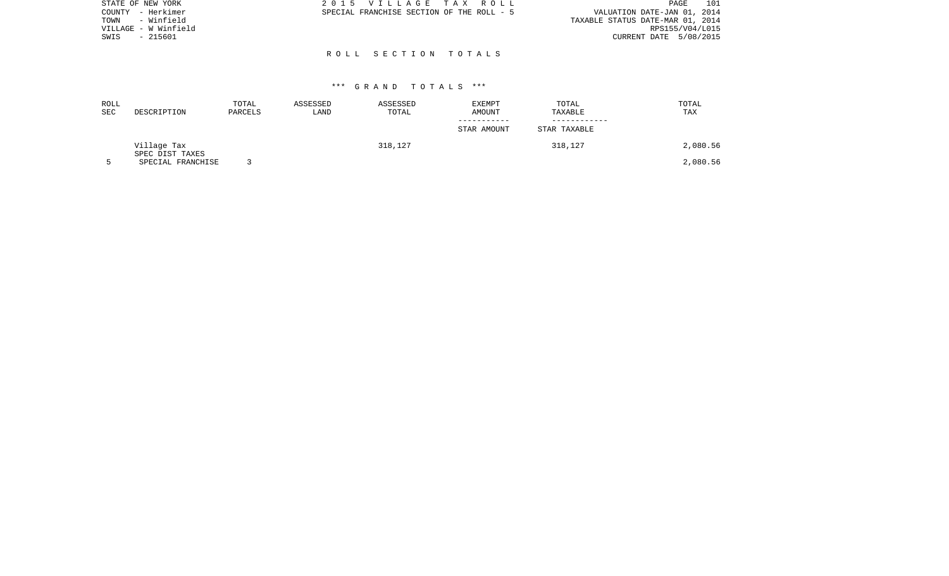| STATE OF NEW YORK    | 2015 VILLAGE TAX ROLL                     | 101<br>PAGE                      |
|----------------------|-------------------------------------------|----------------------------------|
| COUNTY - Herkimer    | SPECIAL FRANCHISE SECTION OF THE ROLL - 5 | VALUATION DATE-JAN 01, 2014      |
| - Winfield<br>TOWN   |                                           | TAXABLE STATUS DATE-MAR 01, 2014 |
| VILLAGE - W Winfield |                                           | RPS155/V04/L015                  |
| - 215601<br>SWIS     |                                           | CURRENT DATE 5/08/2015           |
|                      |                                           |                                  |
|                      | ROLL SECTION TOTALS                       |                                  |

| ROLL<br>SEC | DESCRIPTION                    | TOTAL<br>PARCELS | ASSESSED<br>LAND | ASSESSED<br>TOTAL | EXEMPT<br>AMOUNT | TOTAL<br>TAXABLE | TOTAL<br>TAX |
|-------------|--------------------------------|------------------|------------------|-------------------|------------------|------------------|--------------|
|             |                                |                  |                  |                   | STAR AMOUNT      | STAR TAXABLE     |              |
|             | Village Tax<br>SPEC DIST TAXES |                  |                  | 318,127           |                  | 318,127          | 2,080.56     |
|             | SPECIAL FRANCHISE              |                  |                  |                   |                  |                  | 2,080.56     |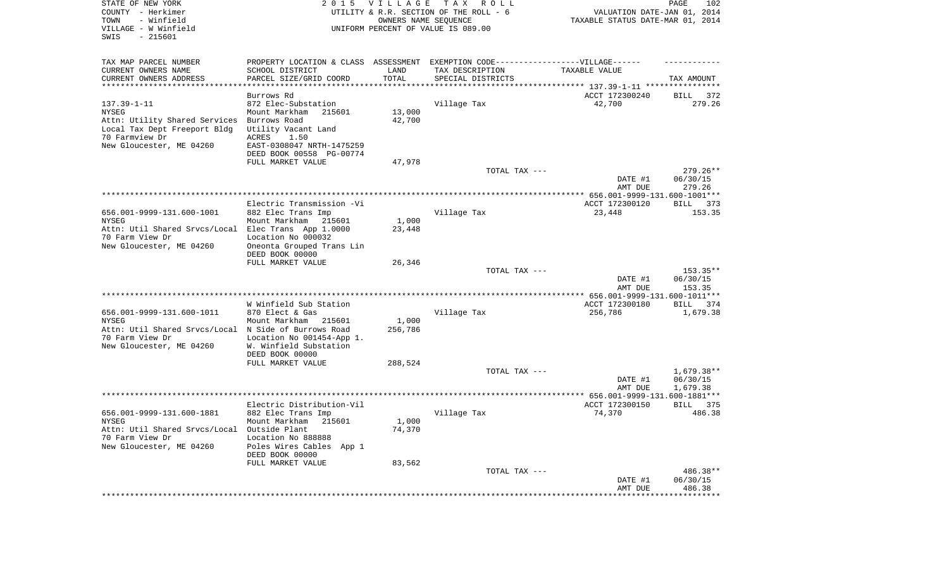| STATE OF NEW YORK<br>COUNTY - Herkimer<br>TOWN<br>- Winfield | 2 0 1 5                                                                          | <b>VILLAGE</b><br>OWNERS NAME SEQUENCE | TAX ROLL<br>UTILITY & R.R. SECTION OF THE ROLL - 6 | VALUATION DATE-JAN 01, 2014<br>TAXABLE STATUS DATE-MAR 01, 2014 | PAGE<br>102              |
|--------------------------------------------------------------|----------------------------------------------------------------------------------|----------------------------------------|----------------------------------------------------|-----------------------------------------------------------------|--------------------------|
| VILLAGE - W Winfield<br>SWIS<br>$-215601$                    |                                                                                  |                                        | UNIFORM PERCENT OF VALUE IS 089.00                 |                                                                 |                          |
| TAX MAP PARCEL NUMBER                                        | PROPERTY LOCATION & CLASS ASSESSMENT EXEMPTION CODE----------------VILLAGE------ |                                        |                                                    |                                                                 |                          |
| CURRENT OWNERS NAME                                          | SCHOOL DISTRICT                                                                  | LAND                                   | TAX DESCRIPTION                                    | TAXABLE VALUE                                                   |                          |
| CURRENT OWNERS ADDRESS<br>************************           | PARCEL SIZE/GRID COORD<br>*************************                              | TOTAL<br>***********                   | SPECIAL DISTRICTS                                  |                                                                 | TAX AMOUNT               |
|                                                              | Burrows Rd                                                                       |                                        |                                                    | ACCT 172300240                                                  | BILL<br>372              |
| $137.39 - 1 - 11$                                            | 872 Elec-Substation                                                              |                                        | Village Tax                                        | 42,700                                                          | 279.26                   |
| <b>NYSEG</b>                                                 | Mount Markham<br>215601                                                          | 13,000                                 |                                                    |                                                                 |                          |
| Attn: Utility Shared Services                                | Burrows Road                                                                     | 42,700                                 |                                                    |                                                                 |                          |
| Local Tax Dept Freeport Bldg                                 | Utility Vacant Land                                                              |                                        |                                                    |                                                                 |                          |
| 70 Farmview Dr                                               | ACRES<br>1.50                                                                    |                                        |                                                    |                                                                 |                          |
| New Gloucester, ME 04260                                     | EAST-0308047 NRTH-1475259<br>DEED BOOK 00558 PG-00774                            |                                        |                                                    |                                                                 |                          |
|                                                              | FULL MARKET VALUE                                                                | 47,978                                 |                                                    |                                                                 |                          |
|                                                              |                                                                                  |                                        | TOTAL TAX ---                                      |                                                                 | 279.26**                 |
|                                                              |                                                                                  |                                        |                                                    | DATE #1<br>AMT DUE                                              | 06/30/15<br>279.26       |
|                                                              | Electric Transmission -Vi                                                        |                                        |                                                    | ACCT 172300120                                                  |                          |
| 656.001-9999-131.600-1001                                    | 882 Elec Trans Imp                                                               |                                        | Village Tax                                        | 23,448                                                          | BILL 373<br>153.35       |
| NYSEG                                                        | Mount Markham 215601                                                             | 1,000                                  |                                                    |                                                                 |                          |
| Attn: Util Shared Srvcs/Local Elec Trans App 1.0000          |                                                                                  | 23,448                                 |                                                    |                                                                 |                          |
| 70 Farm View Dr                                              | Location No 000032                                                               |                                        |                                                    |                                                                 |                          |
| New Gloucester, ME 04260                                     | Oneonta Grouped Trans Lin                                                        |                                        |                                                    |                                                                 |                          |
|                                                              | DEED BOOK 00000<br>FULL MARKET VALUE                                             | 26,346                                 |                                                    |                                                                 |                          |
|                                                              |                                                                                  |                                        | TOTAL TAX ---                                      |                                                                 | $153.35**$               |
|                                                              |                                                                                  |                                        |                                                    | DATE #1                                                         | 06/30/15                 |
|                                                              |                                                                                  |                                        |                                                    | AMT DUE                                                         | 153.35                   |
|                                                              |                                                                                  |                                        |                                                    | ************* 656.001-9999-131.600-1011***                      |                          |
|                                                              | W Winfield Sub Station                                                           |                                        |                                                    | ACCT 172300180                                                  | BILL 374                 |
| 656.001-9999-131.600-1011<br><b>NYSEG</b>                    | 870 Elect & Gas<br>Mount Markham<br>215601                                       | 1,000                                  | Village Tax                                        | 256,786                                                         | 1,679.38                 |
| Attn: Util Shared Srvcs/Local N Side of Burrows Road         |                                                                                  | 256,786                                |                                                    |                                                                 |                          |
| 70 Farm View Dr                                              | Location No 001454-App 1.                                                        |                                        |                                                    |                                                                 |                          |
| New Gloucester, ME 04260                                     | W. Winfield Substation                                                           |                                        |                                                    |                                                                 |                          |
|                                                              | DEED BOOK 00000                                                                  |                                        |                                                    |                                                                 |                          |
|                                                              | FULL MARKET VALUE                                                                | 288,524                                |                                                    |                                                                 |                          |
|                                                              |                                                                                  |                                        | TOTAL TAX ---                                      | DATE #1                                                         | $1,679.38**$<br>06/30/15 |
|                                                              |                                                                                  |                                        |                                                    | AMT DUE                                                         | 1,679.38                 |
|                                                              |                                                                                  |                                        |                                                    |                                                                 |                          |
|                                                              | Electric Distribution-Vil                                                        |                                        |                                                    | ACCT 172300150                                                  | BILL<br>375              |
| 656.001-9999-131.600-1881                                    | 882 Elec Trans Imp                                                               |                                        | Village Tax                                        | 74,370                                                          | 486.38                   |
| NYSEG<br>Attn: Util Shared Srvcs/Local Outside Plant         | Mount Markham 215601                                                             | 1,000                                  |                                                    |                                                                 |                          |
| 70 Farm View Dr                                              | Location No 888888                                                               | 74,370                                 |                                                    |                                                                 |                          |
| New Gloucester, ME 04260                                     | Poles Wires Cables App 1                                                         |                                        |                                                    |                                                                 |                          |
|                                                              | DEED BOOK 00000                                                                  |                                        |                                                    |                                                                 |                          |
|                                                              | FULL MARKET VALUE                                                                | 83,562                                 |                                                    |                                                                 |                          |
|                                                              |                                                                                  |                                        | TOTAL TAX ---                                      |                                                                 | 486.38**                 |
|                                                              |                                                                                  |                                        |                                                    | DATE #1                                                         | 06/30/15                 |
|                                                              |                                                                                  |                                        |                                                    | AMT DUE<br>***************                                      | 486.38<br>************   |
|                                                              |                                                                                  |                                        |                                                    |                                                                 |                          |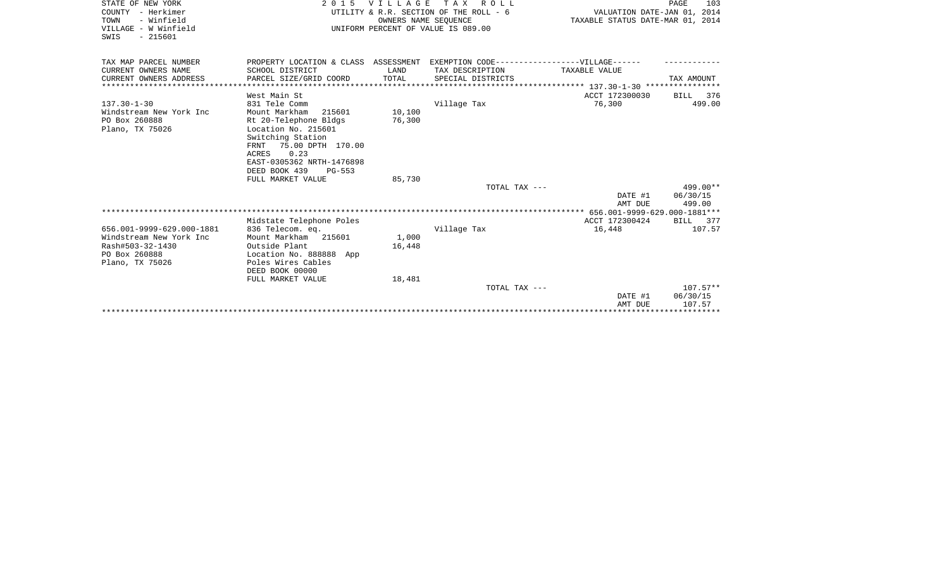| STATE OF NEW YORK                       | 2 0 1 5                                                                                        | <b>VILLAGE</b>              | T A X<br>ROLL<br>UTILITY & R.R. SECTION OF THE ROLL - 6 |                    | PAGE<br>103        |  |  |
|-----------------------------------------|------------------------------------------------------------------------------------------------|-----------------------------|---------------------------------------------------------|--------------------|--------------------|--|--|
| COUNTY - Herkimer<br>- Winfield<br>TOWN |                                                                                                | VALUATION DATE-JAN 01, 2014 |                                                         |                    |                    |  |  |
| VILLAGE - W Winfield                    | OWNERS NAME SEQUENCE<br>TAXABLE STATUS DATE-MAR 01, 2014<br>UNIFORM PERCENT OF VALUE IS 089.00 |                             |                                                         |                    |                    |  |  |
| $-215601$<br>SWIS                       |                                                                                                |                             |                                                         |                    |                    |  |  |
|                                         |                                                                                                |                             |                                                         |                    |                    |  |  |
| TAX MAP PARCEL NUMBER                   | PROPERTY LOCATION & CLASS ASSESSMENT EXEMPTION CODE-----------------VILLAGE------              |                             |                                                         |                    |                    |  |  |
| CURRENT OWNERS NAME                     | SCHOOL DISTRICT                                                                                | LAND                        | TAX DESCRIPTION                                         | TAXABLE VALUE      |                    |  |  |
| CURRENT OWNERS ADDRESS                  | PARCEL SIZE/GRID COORD                                                                         | TOTAL                       | SPECIAL DISTRICTS                                       |                    | TAX AMOUNT         |  |  |
|                                         |                                                                                                |                             |                                                         |                    |                    |  |  |
|                                         | West Main St                                                                                   |                             |                                                         | ACCT 172300030     | BILL 376           |  |  |
| $137.30 - 1 - 30$                       | 831 Tele Comm                                                                                  |                             | Village Tax                                             | 76,300             | 499.00             |  |  |
| Windstream New York Inc                 | 215601<br>Mount Markham                                                                        | 10,100                      |                                                         |                    |                    |  |  |
| PO Box 260888                           | Rt 20-Telephone Bldgs                                                                          | 76,300                      |                                                         |                    |                    |  |  |
| Plano, TX 75026                         | Location No. 215601                                                                            |                             |                                                         |                    |                    |  |  |
|                                         | Switching Station                                                                              |                             |                                                         |                    |                    |  |  |
|                                         | 75.00 DPTH 170.00<br>FRNT                                                                      |                             |                                                         |                    |                    |  |  |
|                                         | 0.23<br>ACRES                                                                                  |                             |                                                         |                    |                    |  |  |
|                                         | EAST-0305362 NRTH-1476898                                                                      |                             |                                                         |                    |                    |  |  |
|                                         | DEED BOOK 439<br>$PG-553$                                                                      |                             |                                                         |                    |                    |  |  |
|                                         | FULL MARKET VALUE                                                                              | 85,730                      |                                                         |                    |                    |  |  |
|                                         |                                                                                                |                             | TOTAL TAX ---                                           |                    | 499.00**           |  |  |
|                                         |                                                                                                |                             |                                                         | DATE #1            | 06/30/15           |  |  |
|                                         |                                                                                                |                             |                                                         | AMT DUE            | 499.00             |  |  |
|                                         |                                                                                                |                             |                                                         |                    |                    |  |  |
|                                         | Midstate Telephone Poles                                                                       |                             |                                                         | ACCT 172300424     | BILL 377           |  |  |
| 656.001-9999-629.000-1881               | 836 Telecom. eq.                                                                               |                             | Village Tax                                             | 16,448             | 107.57             |  |  |
| Windstream New York Inc                 | Mount Markham 215601                                                                           | 1,000                       |                                                         |                    |                    |  |  |
| Rash#503-32-1430                        | Outside Plant                                                                                  | 16,448                      |                                                         |                    |                    |  |  |
| PO Box 260888                           | Location No. 888888 App                                                                        |                             |                                                         |                    |                    |  |  |
| Plano, TX 75026                         | Poles Wires Cables                                                                             |                             |                                                         |                    |                    |  |  |
|                                         | DEED BOOK 00000                                                                                |                             |                                                         |                    |                    |  |  |
|                                         | FULL MARKET VALUE                                                                              | 18,481                      |                                                         |                    |                    |  |  |
|                                         |                                                                                                |                             | TOTAL TAX ---                                           |                    | $107.57**$         |  |  |
|                                         |                                                                                                |                             |                                                         |                    |                    |  |  |
|                                         |                                                                                                |                             |                                                         | DATE #1<br>AMT DUE | 06/30/15<br>107.57 |  |  |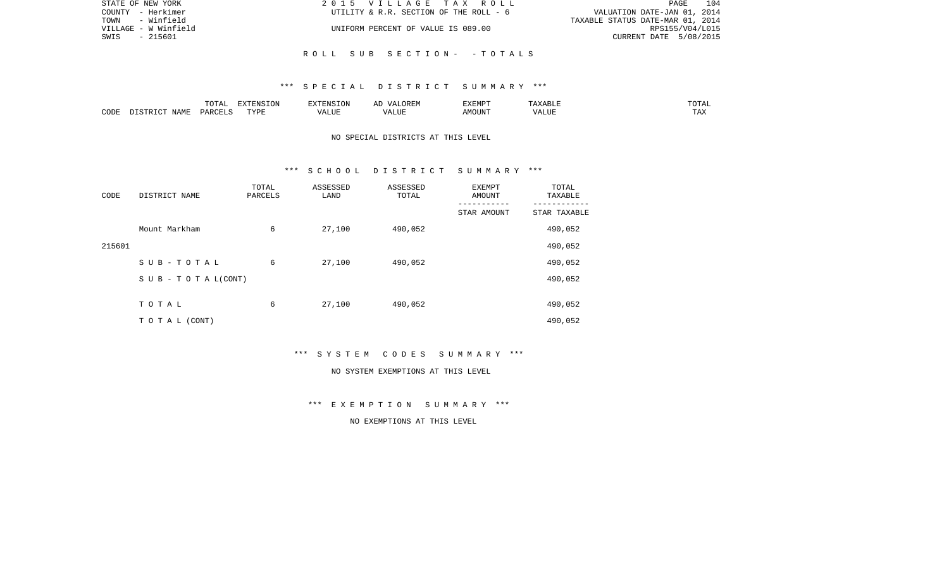| STATE OF NEW YORK    | 2015 VILLAGE TAX ROLL                  | 104<br>PAGE                      |
|----------------------|----------------------------------------|----------------------------------|
| COUNTY - Herkimer    | UTILITY & R.R. SECTION OF THE ROLL - 6 | VALUATION DATE-JAN 01, 2014      |
| TOWN - Winfield      |                                        | TAXABLE STATUS DATE-MAR 01, 2014 |
| VILLAGE - W Winfield | UNIFORM PERCENT OF VALUE IS 089.00     | RPS155/V04/L015                  |
| - 215601<br>SWIS     |                                        | CURRENT DATE 5/08/2015           |
|                      |                                        |                                  |
|                      | ROLL SUB SECTION- -TOTALS              |                                  |

|      |      | $m \wedge m \wedge n$<br>TATAT | <b>DENICE ONT</b><br>LUN | <b>GMC</b>                | 17 D<br>$\overline{a}$ | <b>EXEMPT</b>        | .                          | . סדעה                |
|------|------|--------------------------------|--------------------------|---------------------------|------------------------|----------------------|----------------------------|-----------------------|
| CODE | NAME | ∩ ¤ ∆ ∪                        | TVDI<br>.                | $\sim$ $  -$<br>۳ تا بلد. | ۳ تا سد.               | $0.56$ $0.75$ $0.75$ | ודד ה<br><u>уд</u><br>ALU! | m 7<br>L <i>L</i> 14. |

# NO SPECIAL DISTRICTS AT THIS LEVEL

### \*\*\* S C H O O L D I S T R I C T S U M M A R Y \*\*\*

| CODE   | DISTRICT NAME                    | TOTAL<br>PARCELS | ASSESSED<br>LAND | ASSESSED<br>TOTAL | <b>EXEMPT</b><br><b>AMOUNT</b> | TOTAL<br>TAXABLE |
|--------|----------------------------------|------------------|------------------|-------------------|--------------------------------|------------------|
|        |                                  |                  |                  |                   | STAR AMOUNT                    | STAR TAXABLE     |
|        | Mount Markham                    | 6                | 27,100           | 490,052           |                                | 490,052          |
| 215601 |                                  |                  |                  |                   |                                | 490,052          |
|        | SUB-TOTAL                        | 6                | 27,100           | 490,052           |                                | 490,052          |
|        | $S \cup B - T \cup T A L (CONT)$ |                  |                  |                   |                                | 490,052          |
|        |                                  |                  |                  |                   |                                |                  |
|        | TOTAL                            | 6                | 27,100           | 490,052           |                                | 490,052          |
|        | T O T A L (CONT)                 |                  |                  |                   |                                | 490,052          |

\*\*\* S Y S T E M C O D E S S U M M A R Y \*\*\*

#### NO SYSTEM EXEMPTIONS AT THIS LEVEL

\*\*\* E X E M P T I O N S U M M A R Y \*\*\*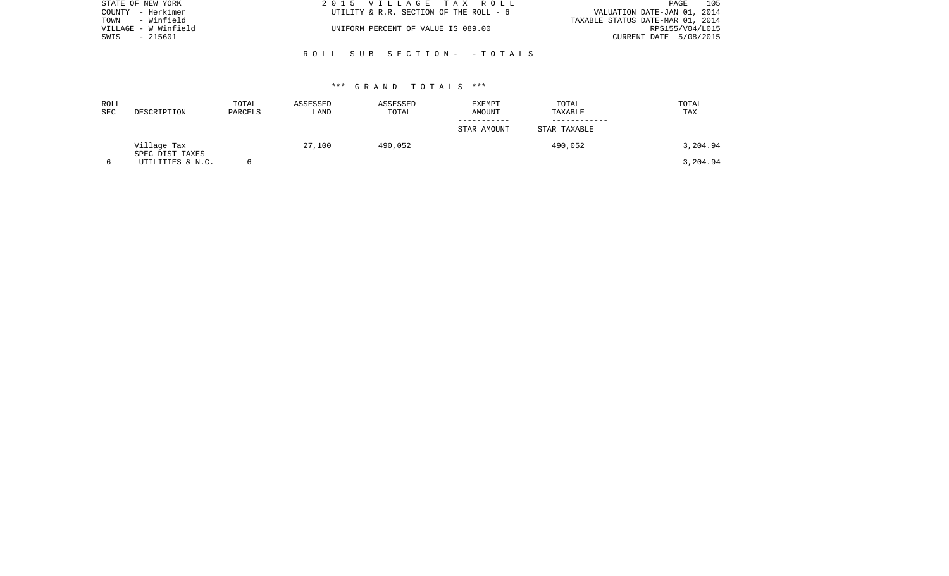| STATE OF NEW YORK    | 2015 VILLAGE TAX ROLL                  | 105<br>PAGE                      |
|----------------------|----------------------------------------|----------------------------------|
| COUNTY - Herkimer    | UTILITY & R.R. SECTION OF THE ROLL - 6 | VALUATION DATE-JAN 01, 2014      |
| - Winfield<br>TOWN   |                                        | TAXABLE STATUS DATE-MAR 01, 2014 |
| VILLAGE - W Winfield | UNIFORM PERCENT OF VALUE IS 089.00     | RPS155/V04/L015                  |
| SWIS<br>- 215601     |                                        | CURRENT DATE 5/08/2015           |
|                      |                                        |                                  |
|                      | ROLL SUB SECTION- -TOTALS              |                                  |

| ROLL<br><b>SEC</b> | DESCRIPTION                    | TOTAL<br>PARCELS | ASSESSED<br>LAND | ASSESSED<br>TOTAL | <b>EXEMPT</b><br>AMOUNT | TOTAL<br>TAXABLE | TOTAL<br>TAX |
|--------------------|--------------------------------|------------------|------------------|-------------------|-------------------------|------------------|--------------|
|                    |                                |                  |                  |                   | STAR AMOUNT             | STAR TAXABLE     |              |
|                    | Village Tax<br>SPEC DIST TAXES |                  | 27,100           | 490,052           |                         | 490,052          | 3,204.94     |
|                    | UTILITIES & N.C.               |                  |                  |                   |                         |                  | 3,204.94     |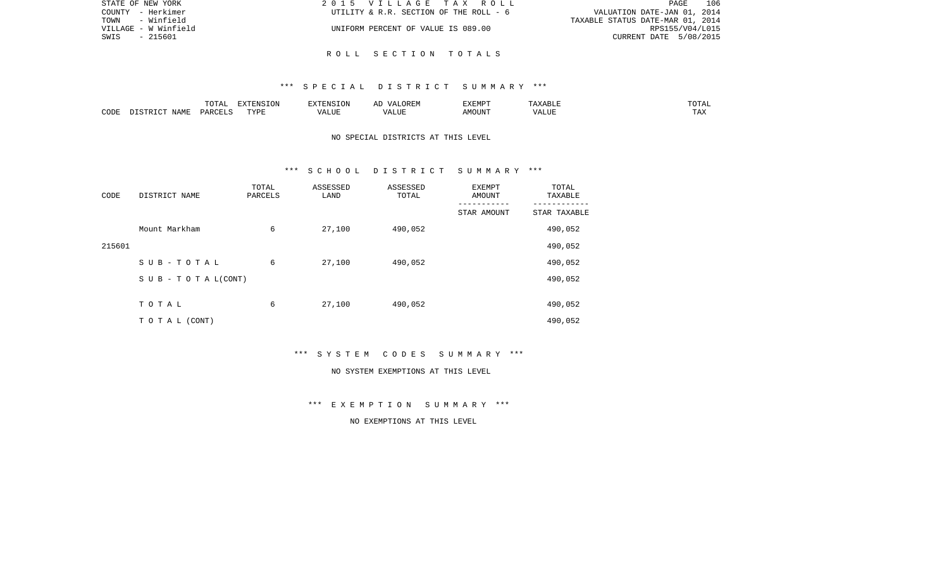| STATE OF NEW YORK    | 2015 VILLAGE TAX ROLL                  | 106<br>PAGE                      |
|----------------------|----------------------------------------|----------------------------------|
| COUNTY - Herkimer    | UTILITY & R.R. SECTION OF THE ROLL - 6 | VALUATION DATE-JAN 01, 2014      |
| TOWN<br>- Winfield   |                                        | TAXABLE STATUS DATE-MAR 01, 2014 |
| VILLAGE - W Winfield | UNIFORM PERCENT OF VALUE IS 089.00     | RPS155/V04/L015                  |
| - 215601<br>SWIS     |                                        | CURRENT DATE 5/08/2015           |
|                      |                                        |                                  |

R O L L S E C T I O N T O T A L S

|      |      | $\cdots$<br><u>UITI</u> | EXTENSION     |                 | $\frac{1}{2}$<br>$\cdots$ | ---------<br>'∽   | $\sim$<br>$\sim$ $\sim$ $\sim$ $\sim$ $\sim$ |
|------|------|-------------------------|---------------|-----------------|---------------------------|-------------------|----------------------------------------------|
| CODI | NAMF | <b>DARCEL</b>           | PVDF<br>+ + + | $\cdots$<br>LUI | .LUI                      | $T$ TRTI<br>1UUN. | $\pi \pi \pi$<br>ŦΨV                         |

# NO SPECIAL DISTRICTS AT THIS LEVEL

### \*\*\* S C H O O L D I S T R I C T S U M M A R Y \*\*\*

| CODE   | DISTRICT NAME                    | TOTAL<br>PARCELS | ASSESSED<br>LAND | ASSESSED<br>TOTAL | EXEMPT<br>AMOUNT | TOTAL<br>TAXABLE |
|--------|----------------------------------|------------------|------------------|-------------------|------------------|------------------|
|        |                                  |                  |                  |                   | STAR AMOUNT      | STAR TAXABLE     |
|        | Mount Markham                    | 6                | 27,100           | 490,052           |                  | 490,052          |
| 215601 |                                  |                  |                  |                   |                  | 490,052          |
|        | SUB-TOTAL                        | 6                | 27,100           | 490,052           |                  | 490,052          |
|        | $S \cup B - T \cup T A L (CONT)$ |                  |                  |                   |                  | 490,052          |
|        |                                  |                  |                  |                   |                  |                  |
|        | TOTAL                            | 6                | 27,100           | 490,052           |                  | 490,052          |
|        | T O T A L (CONT)                 |                  |                  |                   |                  | 490,052          |

\*\*\* S Y S T E M C O D E S S U M M A R Y \*\*\*

#### NO SYSTEM EXEMPTIONS AT THIS LEVEL

\*\*\* E X E M P T I O N S U M M A R Y \*\*\*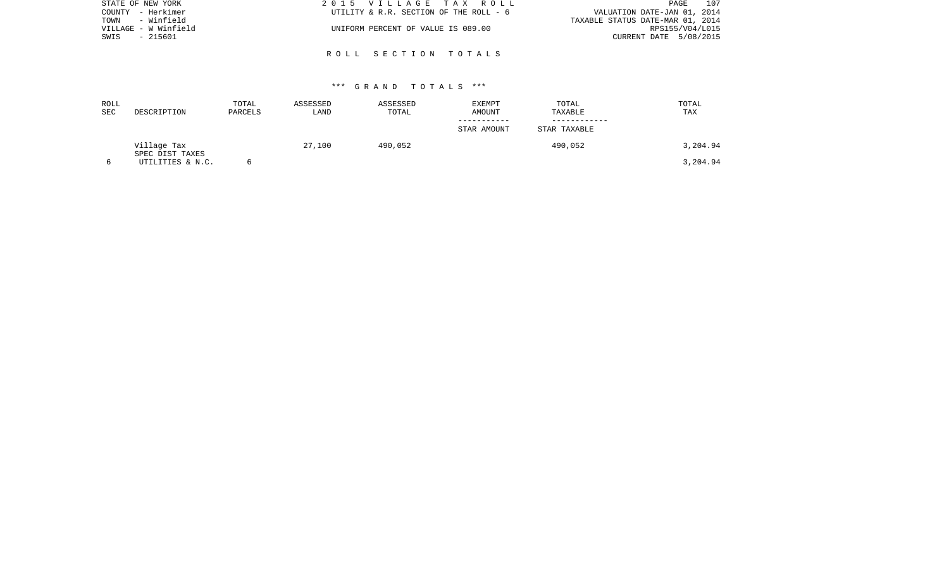| STATE OF NEW YORK    | 2015 VILLAGE TAX ROLL                  | 107<br>PAGE                      |
|----------------------|----------------------------------------|----------------------------------|
| COUNTY - Herkimer    | UTILITY & R.R. SECTION OF THE ROLL - 6 | VALUATION DATE-JAN 01, 2014      |
| - Winfield<br>TOWN   |                                        | TAXABLE STATUS DATE-MAR 01, 2014 |
| VILLAGE - W Winfield | UNIFORM PERCENT OF VALUE IS 089.00     | RPS155/V04/L015                  |
| - 215601<br>SWIS     |                                        | CURRENT DATE 5/08/2015           |
|                      |                                        |                                  |

R O L L S E C T I O N T O T A L S

| ROLL<br>SEC | DESCRIPTION                    | TOTAL<br>PARCELS | ASSESSED<br>LAND | ASSESSED<br>TOTAL | EXEMPT<br>AMOUNT | TOTAL<br>TAXABLE | TOTAL<br>TAX |
|-------------|--------------------------------|------------------|------------------|-------------------|------------------|------------------|--------------|
|             |                                |                  |                  |                   | STAR AMOUNT      | STAR TAXABLE     |              |
|             | Village Tax<br>SPEC DIST TAXES |                  | 27,100           | 490,052           |                  | 490,052          | 3,204.94     |
|             | UTILITIES & N.C.               |                  |                  |                   |                  |                  | 3,204.94     |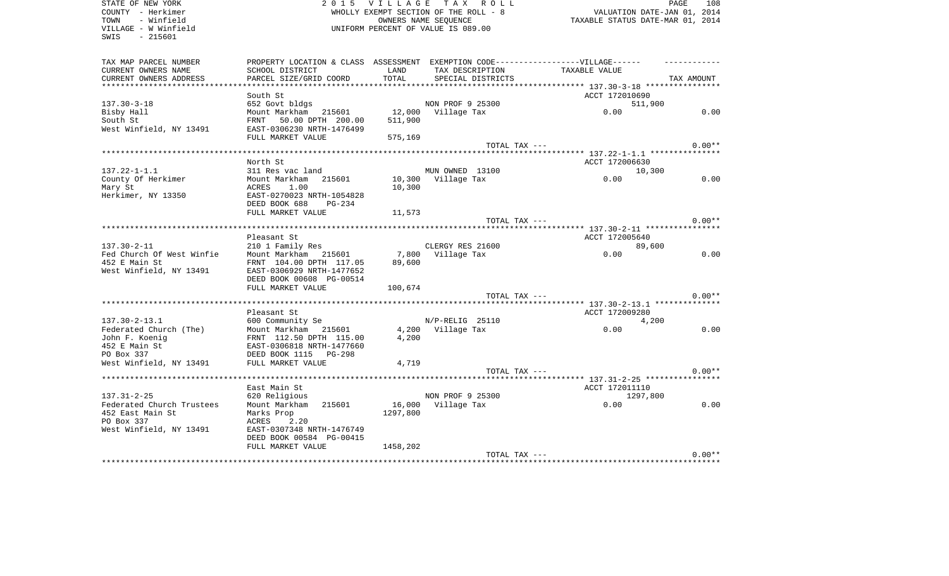| STATE OF NEW YORK<br>COUNTY - Herkimer | 2 0 1 5                                                                           | VILLAGE                            | PAGE<br>108<br>VALUATION DATE-JAN 01, 2014 |                                         |            |
|----------------------------------------|-----------------------------------------------------------------------------------|------------------------------------|--------------------------------------------|-----------------------------------------|------------|
| - Winfield<br>TOWN                     | WHOLLY EXEMPT SECTION OF THE ROLL - 8<br>OWNERS NAME SEOUENCE                     |                                    |                                            | TAXABLE STATUS DATE-MAR 01, 2014        |            |
| VILLAGE - W Winfield                   |                                                                                   | UNIFORM PERCENT OF VALUE IS 089.00 |                                            |                                         |            |
| SWIS<br>$-215601$                      |                                                                                   |                                    |                                            |                                         |            |
|                                        |                                                                                   |                                    |                                            |                                         |            |
| TAX MAP PARCEL NUMBER                  | PROPERTY LOCATION & CLASS ASSESSMENT EXEMPTION CODE-----------------VILLAGE------ |                                    |                                            |                                         |            |
| CURRENT OWNERS NAME                    | SCHOOL DISTRICT                                                                   | LAND                               | TAX DESCRIPTION                            | TAXABLE VALUE                           |            |
| CURRENT OWNERS ADDRESS                 | PARCEL SIZE/GRID COORD                                                            | TOTAL                              | SPECIAL DISTRICTS                          |                                         | TAX AMOUNT |
|                                        |                                                                                   |                                    |                                            |                                         |            |
|                                        | South St                                                                          |                                    |                                            | ACCT 172010690                          |            |
| $137.30 - 3 - 18$                      | 652 Govt bldgs                                                                    |                                    | NON PROF 9 25300                           | 511,900                                 |            |
| Bisby Hall                             | Mount Markham 215601                                                              |                                    | 12,000 Village Tax                         | 0.00                                    | 0.00       |
| South St                               | FRNT 50.00 DPTH 200.00                                                            | 511,900                            |                                            |                                         |            |
| West Winfield, NY 13491                | EAST-0306230 NRTH-1476499                                                         |                                    |                                            |                                         |            |
|                                        | FULL MARKET VALUE                                                                 | 575,169                            |                                            |                                         |            |
|                                        |                                                                                   |                                    | TOTAL TAX ---                              |                                         | $0.00**$   |
|                                        |                                                                                   |                                    |                                            |                                         |            |
|                                        | North St                                                                          |                                    |                                            | ACCT 172006630                          |            |
| $137.22 - 1 - 1.1$                     | 311 Res vac land                                                                  |                                    | MUN OWNED 13100                            | 10,300                                  |            |
| County Of Herkimer                     | Mount Markham<br>215601                                                           | 10,300                             | Village Tax                                | 0.00                                    | 0.00       |
| Mary St                                | ACRES<br>1.00                                                                     | 10,300                             |                                            |                                         |            |
| Herkimer, NY 13350                     | EAST-0270023 NRTH-1054828                                                         |                                    |                                            |                                         |            |
|                                        | DEED BOOK 688<br>$PG-234$                                                         |                                    |                                            |                                         |            |
|                                        | FULL MARKET VALUE                                                                 | 11,573                             |                                            |                                         |            |
|                                        |                                                                                   |                                    | TOTAL TAX ---                              |                                         | $0.00**$   |
|                                        |                                                                                   |                                    |                                            | ********** 137.30-2-11 **************** |            |
|                                        | Pleasant St                                                                       |                                    |                                            | ACCT 172005640                          |            |
| $137.30 - 2 - 11$                      | 210 1 Family Res                                                                  |                                    | CLERGY RES 21600                           | 89,600                                  |            |
| Fed Church Of West Winfie              | Mount Markham 215601                                                              |                                    | 7,800 Village Tax                          | 0.00                                    | 0.00       |
| 452 E Main St                          | FRNT 104.00 DPTH 117.05                                                           | 89,600                             |                                            |                                         |            |
| West Winfield, NY 13491                | EAST-0306929 NRTH-1477652                                                         |                                    |                                            |                                         |            |
|                                        | DEED BOOK 00608 PG-00514                                                          |                                    |                                            |                                         |            |
|                                        | FULL MARKET VALUE                                                                 | 100,674                            |                                            |                                         |            |
|                                        |                                                                                   |                                    | TOTAL TAX ---                              |                                         | $0.00**$   |
|                                        |                                                                                   |                                    |                                            | ********* 137.30-2-13.1 *************** |            |
|                                        | Pleasant St                                                                       |                                    |                                            | ACCT 172009280                          |            |
| $137.30 - 2 - 13.1$                    | 600 Community Se                                                                  |                                    | N/P-RELIG 25110                            | 4,200                                   |            |
| Federated Church (The)                 | Mount Markham 215601                                                              |                                    | 4,200 Village Tax                          | 0.00                                    | 0.00       |
| John F. Koenig                         | FRNT 112.50 DPTH 115.00                                                           | 4,200                              |                                            |                                         |            |
| 452 E Main St                          | EAST-0306818 NRTH-1477660                                                         |                                    |                                            |                                         |            |
| PO Box 337                             | DEED BOOK 1115<br>PG-298                                                          |                                    |                                            |                                         |            |
| West Winfield, NY 13491                | FULL MARKET VALUE                                                                 | 4,719                              |                                            |                                         |            |
|                                        |                                                                                   |                                    | TOTAL TAX ---                              |                                         | $0.00**$   |
|                                        |                                                                                   |                                    |                                            |                                         |            |
|                                        | East Main St                                                                      |                                    |                                            | ACCT 172011110                          |            |
| $137.31 - 2 - 25$                      | 620 Religious                                                                     |                                    | NON PROF 9 25300                           | 1297,800                                |            |
| Federated Church Trustees              | Mount Markham<br>215601                                                           |                                    | 16,000 Village Tax                         | 0.00                                    | 0.00       |
| 452 East Main St                       | Marks Prop                                                                        | 1297,800                           |                                            |                                         |            |
| PO Box 337                             | 2.20<br>ACRES                                                                     |                                    |                                            |                                         |            |
| West Winfield, NY 13491                | EAST-0307348 NRTH-1476749                                                         |                                    |                                            |                                         |            |
|                                        | DEED BOOK 00584 PG-00415                                                          |                                    |                                            |                                         |            |
|                                        | FULL MARKET VALUE                                                                 | 1458,202                           |                                            |                                         | $0.00**$   |
|                                        |                                                                                   |                                    | TOTAL TAX ---                              |                                         |            |
|                                        |                                                                                   |                                    |                                            |                                         |            |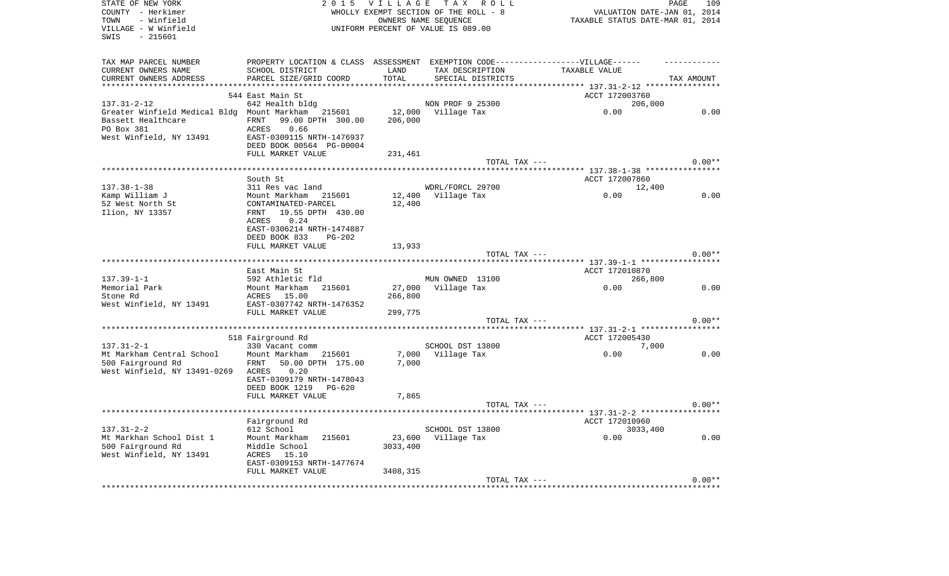| STATE OF NEW YORK<br>COUNTY - Herkimer                         | 2 0 1 5<br><b>VILLAGE</b><br>TAX ROLL<br>WHOLLY EXEMPT SECTION OF THE ROLL - 8    |          |                    | PAGE<br>VALUATION DATE-JAN 01, 2014            | 109        |
|----------------------------------------------------------------|-----------------------------------------------------------------------------------|----------|--------------------|------------------------------------------------|------------|
| - Winfield<br>TOWN<br>VILLAGE - W Winfield<br>- 215601<br>SWIS | OWNERS NAME SEOUENCE<br>UNIFORM PERCENT OF VALUE IS 089.00                        |          |                    | TAXABLE STATUS DATE-MAR 01, 2014               |            |
|                                                                |                                                                                   |          |                    |                                                |            |
| TAX MAP PARCEL NUMBER                                          | PROPERTY LOCATION & CLASS ASSESSMENT EXEMPTION CODE-----------------VILLAGE------ |          |                    |                                                |            |
| CURRENT OWNERS NAME                                            | SCHOOL DISTRICT                                                                   | LAND     | TAX DESCRIPTION    | TAXABLE VALUE                                  |            |
| CURRENT OWNERS ADDRESS                                         | PARCEL SIZE/GRID COORD                                                            | TOTAL    | SPECIAL DISTRICTS  |                                                | TAX AMOUNT |
|                                                                |                                                                                   |          |                    | ******* 137.31-2-12 ****************           |            |
|                                                                | 544 East Main St                                                                  |          |                    | ACCT 172003760                                 |            |
| $137.31 - 2 - 12$                                              | 642 Health bldg                                                                   |          | NON PROF 9 25300   | 206,000                                        |            |
| Greater Winfield Medical Bldg Mount Markham 215601             |                                                                                   | 12,000   | Village Tax        | 0.00                                           | 0.00       |
| Bassett Healthcare                                             | FRNT<br>99.00 DPTH 300.00                                                         | 206,000  |                    |                                                |            |
| PO Box 381                                                     | ACRES<br>0.66                                                                     |          |                    |                                                |            |
| West Winfield, NY 13491                                        | EAST-0309115 NRTH-1476937                                                         |          |                    |                                                |            |
|                                                                | DEED BOOK 00564 PG-00004                                                          |          |                    |                                                |            |
|                                                                | FULL MARKET VALUE                                                                 | 231,461  |                    |                                                |            |
|                                                                |                                                                                   |          | TOTAL TAX ---      |                                                | $0.00**$   |
|                                                                |                                                                                   |          |                    |                                                |            |
|                                                                | South St                                                                          |          |                    | ACCT 172007860                                 |            |
| $137.38 - 1 - 38$                                              | 311 Res vac land                                                                  |          | WDRL/FORCL 29700   | 12,400                                         |            |
| Kamp William J                                                 | Mount Markham 215601                                                              |          | 12,400 Village Tax | 0.00                                           | 0.00       |
| 52 West North St<br>Ilion, NY 13357                            | CONTAMINATED-PARCEL<br>19.55 DPTH 430.00<br>FRNT                                  | 12,400   |                    |                                                |            |
|                                                                | 0.24<br>ACRES                                                                     |          |                    |                                                |            |
|                                                                | EAST-0306214 NRTH-1474887                                                         |          |                    |                                                |            |
|                                                                | DEED BOOK 833<br><b>PG-202</b>                                                    |          |                    |                                                |            |
|                                                                | FULL MARKET VALUE                                                                 | 13,933   |                    |                                                |            |
|                                                                |                                                                                   |          | TOTAL TAX ---      |                                                | $0.00**$   |
|                                                                | *******************                                                               |          |                    | ***** 137.39-1-1 *************                 |            |
|                                                                | East Main St                                                                      |          |                    | ACCT 172010870                                 |            |
| $137.39 - 1 - 1$                                               | 592 Athletic fld                                                                  |          | MUN OWNED 13100    | 266,800                                        |            |
| Memorial Park                                                  | Mount Markham<br>215601                                                           | 27,000   | Village Tax        | 0.00                                           | 0.00       |
| Stone Rd                                                       | ACRES 15.00                                                                       | 266,800  |                    |                                                |            |
| West Winfield, NY 13491                                        | EAST-0307742 NRTH-1476352                                                         |          |                    |                                                |            |
|                                                                | FULL MARKET VALUE                                                                 | 299,775  |                    |                                                |            |
|                                                                |                                                                                   |          | TOTAL TAX ---      |                                                | $0.00**$   |
|                                                                | **************                                                                    |          |                    | ******* 137.31-2-1 ******************          |            |
|                                                                | 518 Fairground Rd                                                                 |          |                    | ACCT 172005430                                 |            |
| $137.31 - 2 - 1$                                               | 330 Vacant comm                                                                   |          | SCHOOL DST 13800   | 7,000                                          |            |
| Mt Markham Central School                                      | Mount Markham<br>215601                                                           | 7,000    | Village Tax        | 0.00                                           | 0.00       |
| 500 Fairground Rd                                              | FRNT<br>50.00 DPTH 175.00                                                         | 7,000    |                    |                                                |            |
| West Winfield, NY 13491-0269                                   | ACRES<br>0.20                                                                     |          |                    |                                                |            |
|                                                                | EAST-0309179 NRTH-1478043                                                         |          |                    |                                                |            |
|                                                                | DEED BOOK 1219<br>PG-620                                                          |          |                    |                                                |            |
|                                                                | FULL MARKET VALUE                                                                 | 7,865    |                    |                                                |            |
|                                                                |                                                                                   |          | TOTAL TAX ---      |                                                | $0.00**$   |
|                                                                |                                                                                   |          |                    | ***************** 137.31-2-2 ***************** |            |
|                                                                | Fairground Rd                                                                     |          |                    | ACCT 172010960                                 |            |
| $137.31 - 2 - 2$                                               | 612 School                                                                        |          | SCHOOL DST 13800   | 3033,400                                       |            |
| Mt Markhan School Dist 1                                       | Mount Markham<br>215601                                                           | 23,600   | Village Tax        | 0.00                                           | 0.00       |
| 500 Fairground Rd                                              | Middle School                                                                     | 3033,400 |                    |                                                |            |
| West Winfield, NY 13491                                        | ACRES 15.10<br>EAST-0309153 NRTH-1477674                                          |          |                    |                                                |            |
|                                                                | FULL MARKET VALUE                                                                 | 3408,315 |                    |                                                |            |
|                                                                |                                                                                   |          | TOTAL TAX ---      |                                                | $0.00**$   |
|                                                                |                                                                                   |          |                    |                                                |            |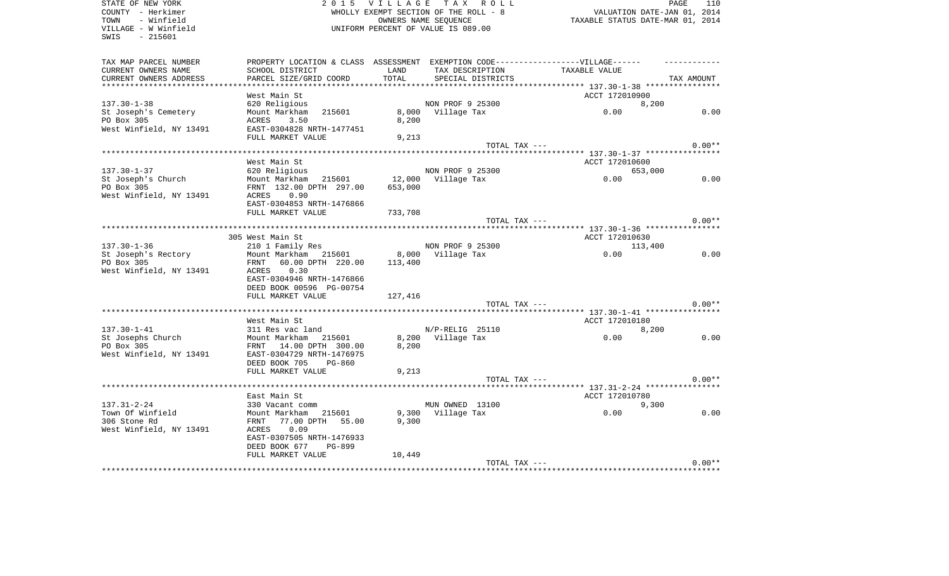| STATE OF NEW YORK       | 2 0 1 5                                                                           | V I L L A G E                  | TAX ROLL          |                                                                 | PAGE<br>110 |
|-------------------------|-----------------------------------------------------------------------------------|--------------------------------|-------------------|-----------------------------------------------------------------|-------------|
| COUNTY - Herkimer       | WHOLLY EXEMPT SECTION OF THE ROLL - 8                                             |                                |                   | VALUATION DATE-JAN 01, 2014                                     |             |
| - Winfield<br>TOWN      | OWNERS NAME SEOUENCE                                                              |                                |                   | TAXABLE STATUS DATE-MAR 01, 2014                                |             |
| VILLAGE - W Winfield    | UNIFORM PERCENT OF VALUE IS 089.00                                                |                                |                   |                                                                 |             |
| SWIS<br>$-215601$       |                                                                                   |                                |                   |                                                                 |             |
|                         |                                                                                   |                                |                   |                                                                 |             |
| TAX MAP PARCEL NUMBER   | PROPERTY LOCATION & CLASS ASSESSMENT EXEMPTION CODE-----------------VILLAGE------ |                                |                   |                                                                 |             |
| CURRENT OWNERS NAME     | SCHOOL DISTRICT                                                                   | LAND                           | TAX DESCRIPTION   | TAXABLE VALUE                                                   |             |
| CURRENT OWNERS ADDRESS  | PARCEL SIZE/GRID COORD                                                            | TOTAL<br>* * * * * * * * * * * | SPECIAL DISTRICTS |                                                                 | TAX AMOUNT  |
|                         | West Main St                                                                      |                                |                   | ACCT 172010900                                                  |             |
| $137.30 - 1 - 38$       | 620 Religious                                                                     |                                | NON PROF 9 25300  | 8,200                                                           |             |
| St Joseph's Cemetery    | Mount Markham<br>215601                                                           | 8,000                          | Village Tax       | 0.00                                                            | 0.00        |
| PO Box 305              | ACRES<br>3.50                                                                     | 8,200                          |                   |                                                                 |             |
| West Winfield, NY 13491 | EAST-0304828 NRTH-1477451                                                         |                                |                   |                                                                 |             |
|                         | FULL MARKET VALUE                                                                 | 9,213                          |                   |                                                                 |             |
|                         |                                                                                   |                                | TOTAL TAX ---     |                                                                 | $0.00**$    |
|                         |                                                                                   |                                |                   |                                                                 |             |
|                         | West Main St                                                                      |                                |                   | ACCT 172010600                                                  |             |
| $137.30 - 1 - 37$       | 620 Religious                                                                     |                                | NON PROF 9 25300  | 653,000                                                         |             |
| St Joseph's Church      | Mount Markham<br>215601                                                           | 12,000                         | Village Tax       | 0.00                                                            | 0.00        |
| PO Box 305              | FRNT 132.00 DPTH 297.00                                                           | 653,000                        |                   |                                                                 |             |
| West Winfield, NY 13491 | 0.90<br>ACRES                                                                     |                                |                   |                                                                 |             |
|                         | EAST-0304853 NRTH-1476866                                                         |                                |                   |                                                                 |             |
|                         | FULL MARKET VALUE                                                                 | 733,708                        |                   |                                                                 |             |
|                         |                                                                                   |                                | TOTAL TAX ---     |                                                                 | $0.00**$    |
|                         |                                                                                   |                                |                   |                                                                 |             |
|                         | 305 West Main St                                                                  |                                |                   | ACCT 172010630                                                  |             |
| $137.30 - 1 - 36$       | 210 1 Family Res                                                                  |                                | NON PROF 9 25300  | 113,400                                                         |             |
| St Joseph's Rectory     | Mount Markham 215601                                                              | 8,000                          | Village Tax       | 0.00                                                            | 0.00        |
| PO Box 305              | 60.00 DPTH 220.00<br>FRNT                                                         | 113,400                        |                   |                                                                 |             |
| West Winfield, NY 13491 | 0.30<br>ACRES                                                                     |                                |                   |                                                                 |             |
|                         | EAST-0304946 NRTH-1476866                                                         |                                |                   |                                                                 |             |
|                         | DEED BOOK 00596 PG-00754                                                          |                                |                   |                                                                 |             |
|                         | FULL MARKET VALUE                                                                 | 127,416                        |                   |                                                                 |             |
|                         |                                                                                   |                                | TOTAL TAX ---     |                                                                 | $0.00**$    |
|                         |                                                                                   |                                |                   |                                                                 |             |
|                         | West Main St                                                                      |                                |                   | ACCT 172010180                                                  |             |
| $137.30 - 1 - 41$       | 311 Res vac land                                                                  |                                | N/P-RELIG 25110   | 8,200                                                           |             |
| St Josephs Church       | Mount Markham<br>215601                                                           | 8,200                          | Village Tax       | 0.00                                                            | 0.00        |
| PO Box 305              | 14.00 DPTH 300.00<br>FRNT                                                         | 8,200                          |                   |                                                                 |             |
| West Winfield, NY 13491 | EAST-0304729 NRTH-1476975                                                         |                                |                   |                                                                 |             |
|                         | DEED BOOK 705<br><b>PG-860</b>                                                    |                                |                   |                                                                 |             |
|                         | FULL MARKET VALUE                                                                 | 9,213                          |                   |                                                                 |             |
|                         |                                                                                   |                                | TOTAL TAX ---     |                                                                 | $0.00**$    |
|                         |                                                                                   |                                |                   | ********************************** 137.31-2-24 **************** |             |
|                         | East Main St                                                                      |                                |                   | ACCT 172010780                                                  |             |
| $137.31 - 2 - 24$       | 330 Vacant comm                                                                   |                                | MUN OWNED 13100   | 9,300                                                           |             |
| Town Of Winfield        | Mount Markham<br>215601                                                           | 9,300                          | Village Tax       | 0.00                                                            | 0.00        |
| 306 Stone Rd            | FRNT<br>77.00 DPTH<br>55.00                                                       | 9,300                          |                   |                                                                 |             |
| West Winfield, NY 13491 | 0.09<br>ACRES                                                                     |                                |                   |                                                                 |             |
|                         | EAST-0307505 NRTH-1476933                                                         |                                |                   |                                                                 |             |
|                         | DEED BOOK 677<br>PG-899                                                           |                                |                   |                                                                 |             |
|                         | FULL MARKET VALUE                                                                 | 10,449                         |                   |                                                                 |             |
|                         |                                                                                   |                                | TOTAL TAX ---     |                                                                 | $0.00**$    |
|                         |                                                                                   |                                |                   |                                                                 |             |
|                         |                                                                                   |                                |                   |                                                                 |             |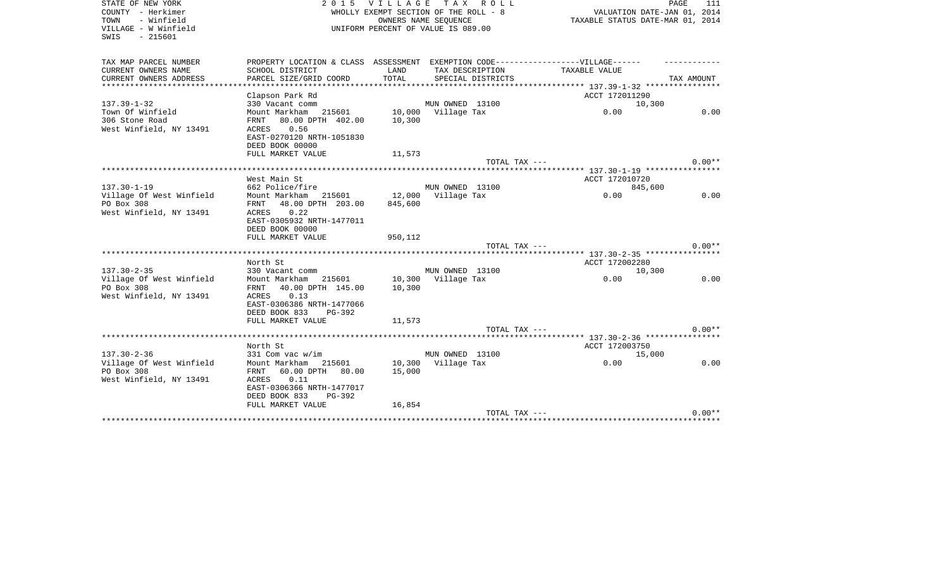| PROPERTY LOCATION & CLASS ASSESSMENT EXEMPTION CODE----------------VILLAGE------<br>CURRENT OWNERS NAME<br>SCHOOL DISTRICT<br>TAX DESCRIPTION<br>LAND<br><b>TAXABLE VALUE</b><br>CURRENT OWNERS ADDRESS<br>PARCEL SIZE/GRID COORD<br>TOTAL<br>SPECIAL DISTRICTS<br>TAX AMOUNT<br>***********************<br>Clapson Park Rd<br>ACCT 172011290<br>$137.39 - 1 - 32$<br>MUN OWNED 13100<br>330 Vacant comm<br>10,300<br>10,000 Village Tax<br>0.00<br>0.00<br>Mount Markham 215601<br>80.00 DPTH 402.00<br>FRNT<br>10,300<br>0.56<br>ACRES<br>EAST-0270120 NRTH-1051830<br>DEED BOOK 00000<br>FULL MARKET VALUE<br>11,573<br>$0.00**$<br>TOTAL TAX ---<br>West Main St<br>ACCT 172010720<br>662 Police/fire<br>MUN OWNED 13100<br>845,600<br>0.00<br>Mount Markham<br>215601<br>12,000<br>Village Tax<br>0.00<br>48.00 DPTH 203.00<br>845,600<br>FRNT<br>0.22<br>West Winfield, NY 13491<br>ACRES<br>EAST-0305932 NRTH-1477011<br>DEED BOOK 00000<br>FULL MARKET VALUE<br>950,112<br>$0.00**$<br>TOTAL TAX ---<br>*********************<br>North St<br>ACCT 172002280<br>MUN OWNED 13100<br>330 Vacant comm<br>10,300<br>Village Of West Winfield<br>Mount Markham 215601<br>10,300<br>Village Tax<br>0.00<br>0.00<br>PO Box 308<br>40.00 DPTH 145.00<br>10,300<br>FRNT<br>0.13<br>West Winfield, NY 13491<br>ACRES<br>EAST-0306386 NRTH-1477066<br>DEED BOOK 833<br>$PG-392$<br>FULL MARKET VALUE<br>11,573<br>$0.00**$<br>TOTAL TAX ---<br>ACCT 172003750<br>North St<br>$137.30 - 2 - 36$<br>MUN OWNED 13100<br>331 Com vac w/im<br>15,000<br>Village Of West Winfield<br>10,300<br>Village Tax<br>0.00<br>0.00<br>Mount Markham<br>215601<br>PO Box 308<br>60.00 DPTH 80.00<br>15,000<br>FRNT<br>West Winfield, NY 13491<br>ACRES<br>0.11<br>EAST-0306366 NRTH-1477017<br>DEED BOOK 833<br>PG-392<br>FULL MARKET VALUE<br>16,854<br>$0.00**$<br>TOTAL TAX --- | STATE OF NEW YORK<br>COUNTY - Herkimer<br>TOWN<br>- Winfield<br>VILLAGE - W Winfield<br>SWIS<br>$-215601$ | 2015 VILLAGE | TAX ROLL<br>WHOLLY EXEMPT SECTION OF THE ROLL - 8<br>OWNERS NAME SEOUENCE<br>UNIFORM PERCENT OF VALUE IS 089.00 | VALUATION DATE-JAN 01, 2014<br>TAXABLE STATUS DATE-MAR 01, 2014 | PAGE<br>111 |
|-----------------------------------------------------------------------------------------------------------------------------------------------------------------------------------------------------------------------------------------------------------------------------------------------------------------------------------------------------------------------------------------------------------------------------------------------------------------------------------------------------------------------------------------------------------------------------------------------------------------------------------------------------------------------------------------------------------------------------------------------------------------------------------------------------------------------------------------------------------------------------------------------------------------------------------------------------------------------------------------------------------------------------------------------------------------------------------------------------------------------------------------------------------------------------------------------------------------------------------------------------------------------------------------------------------------------------------------------------------------------------------------------------------------------------------------------------------------------------------------------------------------------------------------------------------------------------------------------------------------------------------------------------------------------------------------------------------------------------------------------------------------------------------------------------------------------------------------------------------------|-----------------------------------------------------------------------------------------------------------|--------------|-----------------------------------------------------------------------------------------------------------------|-----------------------------------------------------------------|-------------|
|                                                                                                                                                                                                                                                                                                                                                                                                                                                                                                                                                                                                                                                                                                                                                                                                                                                                                                                                                                                                                                                                                                                                                                                                                                                                                                                                                                                                                                                                                                                                                                                                                                                                                                                                                                                                                                                                 | TAX MAP PARCEL NUMBER                                                                                     |              |                                                                                                                 |                                                                 |             |
|                                                                                                                                                                                                                                                                                                                                                                                                                                                                                                                                                                                                                                                                                                                                                                                                                                                                                                                                                                                                                                                                                                                                                                                                                                                                                                                                                                                                                                                                                                                                                                                                                                                                                                                                                                                                                                                                 |                                                                                                           |              |                                                                                                                 |                                                                 |             |
|                                                                                                                                                                                                                                                                                                                                                                                                                                                                                                                                                                                                                                                                                                                                                                                                                                                                                                                                                                                                                                                                                                                                                                                                                                                                                                                                                                                                                                                                                                                                                                                                                                                                                                                                                                                                                                                                 |                                                                                                           |              |                                                                                                                 |                                                                 |             |
|                                                                                                                                                                                                                                                                                                                                                                                                                                                                                                                                                                                                                                                                                                                                                                                                                                                                                                                                                                                                                                                                                                                                                                                                                                                                                                                                                                                                                                                                                                                                                                                                                                                                                                                                                                                                                                                                 |                                                                                                           |              |                                                                                                                 |                                                                 |             |
|                                                                                                                                                                                                                                                                                                                                                                                                                                                                                                                                                                                                                                                                                                                                                                                                                                                                                                                                                                                                                                                                                                                                                                                                                                                                                                                                                                                                                                                                                                                                                                                                                                                                                                                                                                                                                                                                 |                                                                                                           |              |                                                                                                                 |                                                                 |             |
|                                                                                                                                                                                                                                                                                                                                                                                                                                                                                                                                                                                                                                                                                                                                                                                                                                                                                                                                                                                                                                                                                                                                                                                                                                                                                                                                                                                                                                                                                                                                                                                                                                                                                                                                                                                                                                                                 | Town Of Winfield                                                                                          |              |                                                                                                                 |                                                                 |             |
|                                                                                                                                                                                                                                                                                                                                                                                                                                                                                                                                                                                                                                                                                                                                                                                                                                                                                                                                                                                                                                                                                                                                                                                                                                                                                                                                                                                                                                                                                                                                                                                                                                                                                                                                                                                                                                                                 | 306 Stone Road                                                                                            |              |                                                                                                                 |                                                                 |             |
|                                                                                                                                                                                                                                                                                                                                                                                                                                                                                                                                                                                                                                                                                                                                                                                                                                                                                                                                                                                                                                                                                                                                                                                                                                                                                                                                                                                                                                                                                                                                                                                                                                                                                                                                                                                                                                                                 | West Winfield, NY 13491                                                                                   |              |                                                                                                                 |                                                                 |             |
|                                                                                                                                                                                                                                                                                                                                                                                                                                                                                                                                                                                                                                                                                                                                                                                                                                                                                                                                                                                                                                                                                                                                                                                                                                                                                                                                                                                                                                                                                                                                                                                                                                                                                                                                                                                                                                                                 |                                                                                                           |              |                                                                                                                 |                                                                 |             |
|                                                                                                                                                                                                                                                                                                                                                                                                                                                                                                                                                                                                                                                                                                                                                                                                                                                                                                                                                                                                                                                                                                                                                                                                                                                                                                                                                                                                                                                                                                                                                                                                                                                                                                                                                                                                                                                                 |                                                                                                           |              |                                                                                                                 |                                                                 |             |
|                                                                                                                                                                                                                                                                                                                                                                                                                                                                                                                                                                                                                                                                                                                                                                                                                                                                                                                                                                                                                                                                                                                                                                                                                                                                                                                                                                                                                                                                                                                                                                                                                                                                                                                                                                                                                                                                 |                                                                                                           |              |                                                                                                                 |                                                                 |             |
|                                                                                                                                                                                                                                                                                                                                                                                                                                                                                                                                                                                                                                                                                                                                                                                                                                                                                                                                                                                                                                                                                                                                                                                                                                                                                                                                                                                                                                                                                                                                                                                                                                                                                                                                                                                                                                                                 |                                                                                                           |              |                                                                                                                 |                                                                 |             |
|                                                                                                                                                                                                                                                                                                                                                                                                                                                                                                                                                                                                                                                                                                                                                                                                                                                                                                                                                                                                                                                                                                                                                                                                                                                                                                                                                                                                                                                                                                                                                                                                                                                                                                                                                                                                                                                                 |                                                                                                           |              |                                                                                                                 |                                                                 |             |
|                                                                                                                                                                                                                                                                                                                                                                                                                                                                                                                                                                                                                                                                                                                                                                                                                                                                                                                                                                                                                                                                                                                                                                                                                                                                                                                                                                                                                                                                                                                                                                                                                                                                                                                                                                                                                                                                 | $137.30 - 1 - 19$                                                                                         |              |                                                                                                                 |                                                                 |             |
|                                                                                                                                                                                                                                                                                                                                                                                                                                                                                                                                                                                                                                                                                                                                                                                                                                                                                                                                                                                                                                                                                                                                                                                                                                                                                                                                                                                                                                                                                                                                                                                                                                                                                                                                                                                                                                                                 | Village Of West Winfield                                                                                  |              |                                                                                                                 |                                                                 |             |
|                                                                                                                                                                                                                                                                                                                                                                                                                                                                                                                                                                                                                                                                                                                                                                                                                                                                                                                                                                                                                                                                                                                                                                                                                                                                                                                                                                                                                                                                                                                                                                                                                                                                                                                                                                                                                                                                 | PO Box 308                                                                                                |              |                                                                                                                 |                                                                 |             |
|                                                                                                                                                                                                                                                                                                                                                                                                                                                                                                                                                                                                                                                                                                                                                                                                                                                                                                                                                                                                                                                                                                                                                                                                                                                                                                                                                                                                                                                                                                                                                                                                                                                                                                                                                                                                                                                                 |                                                                                                           |              |                                                                                                                 |                                                                 |             |
|                                                                                                                                                                                                                                                                                                                                                                                                                                                                                                                                                                                                                                                                                                                                                                                                                                                                                                                                                                                                                                                                                                                                                                                                                                                                                                                                                                                                                                                                                                                                                                                                                                                                                                                                                                                                                                                                 |                                                                                                           |              |                                                                                                                 |                                                                 |             |
|                                                                                                                                                                                                                                                                                                                                                                                                                                                                                                                                                                                                                                                                                                                                                                                                                                                                                                                                                                                                                                                                                                                                                                                                                                                                                                                                                                                                                                                                                                                                                                                                                                                                                                                                                                                                                                                                 |                                                                                                           |              |                                                                                                                 |                                                                 |             |
|                                                                                                                                                                                                                                                                                                                                                                                                                                                                                                                                                                                                                                                                                                                                                                                                                                                                                                                                                                                                                                                                                                                                                                                                                                                                                                                                                                                                                                                                                                                                                                                                                                                                                                                                                                                                                                                                 |                                                                                                           |              |                                                                                                                 |                                                                 |             |
|                                                                                                                                                                                                                                                                                                                                                                                                                                                                                                                                                                                                                                                                                                                                                                                                                                                                                                                                                                                                                                                                                                                                                                                                                                                                                                                                                                                                                                                                                                                                                                                                                                                                                                                                                                                                                                                                 |                                                                                                           |              |                                                                                                                 |                                                                 |             |
|                                                                                                                                                                                                                                                                                                                                                                                                                                                                                                                                                                                                                                                                                                                                                                                                                                                                                                                                                                                                                                                                                                                                                                                                                                                                                                                                                                                                                                                                                                                                                                                                                                                                                                                                                                                                                                                                 |                                                                                                           |              |                                                                                                                 |                                                                 |             |
|                                                                                                                                                                                                                                                                                                                                                                                                                                                                                                                                                                                                                                                                                                                                                                                                                                                                                                                                                                                                                                                                                                                                                                                                                                                                                                                                                                                                                                                                                                                                                                                                                                                                                                                                                                                                                                                                 | $137.30 - 2 - 35$                                                                                         |              |                                                                                                                 |                                                                 |             |
|                                                                                                                                                                                                                                                                                                                                                                                                                                                                                                                                                                                                                                                                                                                                                                                                                                                                                                                                                                                                                                                                                                                                                                                                                                                                                                                                                                                                                                                                                                                                                                                                                                                                                                                                                                                                                                                                 |                                                                                                           |              |                                                                                                                 |                                                                 |             |
|                                                                                                                                                                                                                                                                                                                                                                                                                                                                                                                                                                                                                                                                                                                                                                                                                                                                                                                                                                                                                                                                                                                                                                                                                                                                                                                                                                                                                                                                                                                                                                                                                                                                                                                                                                                                                                                                 |                                                                                                           |              |                                                                                                                 |                                                                 |             |
|                                                                                                                                                                                                                                                                                                                                                                                                                                                                                                                                                                                                                                                                                                                                                                                                                                                                                                                                                                                                                                                                                                                                                                                                                                                                                                                                                                                                                                                                                                                                                                                                                                                                                                                                                                                                                                                                 |                                                                                                           |              |                                                                                                                 |                                                                 |             |
|                                                                                                                                                                                                                                                                                                                                                                                                                                                                                                                                                                                                                                                                                                                                                                                                                                                                                                                                                                                                                                                                                                                                                                                                                                                                                                                                                                                                                                                                                                                                                                                                                                                                                                                                                                                                                                                                 |                                                                                                           |              |                                                                                                                 |                                                                 |             |
|                                                                                                                                                                                                                                                                                                                                                                                                                                                                                                                                                                                                                                                                                                                                                                                                                                                                                                                                                                                                                                                                                                                                                                                                                                                                                                                                                                                                                                                                                                                                                                                                                                                                                                                                                                                                                                                                 |                                                                                                           |              |                                                                                                                 |                                                                 |             |
|                                                                                                                                                                                                                                                                                                                                                                                                                                                                                                                                                                                                                                                                                                                                                                                                                                                                                                                                                                                                                                                                                                                                                                                                                                                                                                                                                                                                                                                                                                                                                                                                                                                                                                                                                                                                                                                                 |                                                                                                           |              |                                                                                                                 |                                                                 |             |
|                                                                                                                                                                                                                                                                                                                                                                                                                                                                                                                                                                                                                                                                                                                                                                                                                                                                                                                                                                                                                                                                                                                                                                                                                                                                                                                                                                                                                                                                                                                                                                                                                                                                                                                                                                                                                                                                 |                                                                                                           |              |                                                                                                                 |                                                                 |             |
|                                                                                                                                                                                                                                                                                                                                                                                                                                                                                                                                                                                                                                                                                                                                                                                                                                                                                                                                                                                                                                                                                                                                                                                                                                                                                                                                                                                                                                                                                                                                                                                                                                                                                                                                                                                                                                                                 |                                                                                                           |              |                                                                                                                 |                                                                 |             |
|                                                                                                                                                                                                                                                                                                                                                                                                                                                                                                                                                                                                                                                                                                                                                                                                                                                                                                                                                                                                                                                                                                                                                                                                                                                                                                                                                                                                                                                                                                                                                                                                                                                                                                                                                                                                                                                                 |                                                                                                           |              |                                                                                                                 |                                                                 |             |
|                                                                                                                                                                                                                                                                                                                                                                                                                                                                                                                                                                                                                                                                                                                                                                                                                                                                                                                                                                                                                                                                                                                                                                                                                                                                                                                                                                                                                                                                                                                                                                                                                                                                                                                                                                                                                                                                 |                                                                                                           |              |                                                                                                                 |                                                                 |             |
|                                                                                                                                                                                                                                                                                                                                                                                                                                                                                                                                                                                                                                                                                                                                                                                                                                                                                                                                                                                                                                                                                                                                                                                                                                                                                                                                                                                                                                                                                                                                                                                                                                                                                                                                                                                                                                                                 |                                                                                                           |              |                                                                                                                 |                                                                 |             |
|                                                                                                                                                                                                                                                                                                                                                                                                                                                                                                                                                                                                                                                                                                                                                                                                                                                                                                                                                                                                                                                                                                                                                                                                                                                                                                                                                                                                                                                                                                                                                                                                                                                                                                                                                                                                                                                                 |                                                                                                           |              |                                                                                                                 |                                                                 |             |
|                                                                                                                                                                                                                                                                                                                                                                                                                                                                                                                                                                                                                                                                                                                                                                                                                                                                                                                                                                                                                                                                                                                                                                                                                                                                                                                                                                                                                                                                                                                                                                                                                                                                                                                                                                                                                                                                 |                                                                                                           |              |                                                                                                                 |                                                                 |             |
|                                                                                                                                                                                                                                                                                                                                                                                                                                                                                                                                                                                                                                                                                                                                                                                                                                                                                                                                                                                                                                                                                                                                                                                                                                                                                                                                                                                                                                                                                                                                                                                                                                                                                                                                                                                                                                                                 |                                                                                                           |              |                                                                                                                 |                                                                 |             |
|                                                                                                                                                                                                                                                                                                                                                                                                                                                                                                                                                                                                                                                                                                                                                                                                                                                                                                                                                                                                                                                                                                                                                                                                                                                                                                                                                                                                                                                                                                                                                                                                                                                                                                                                                                                                                                                                 |                                                                                                           |              |                                                                                                                 |                                                                 |             |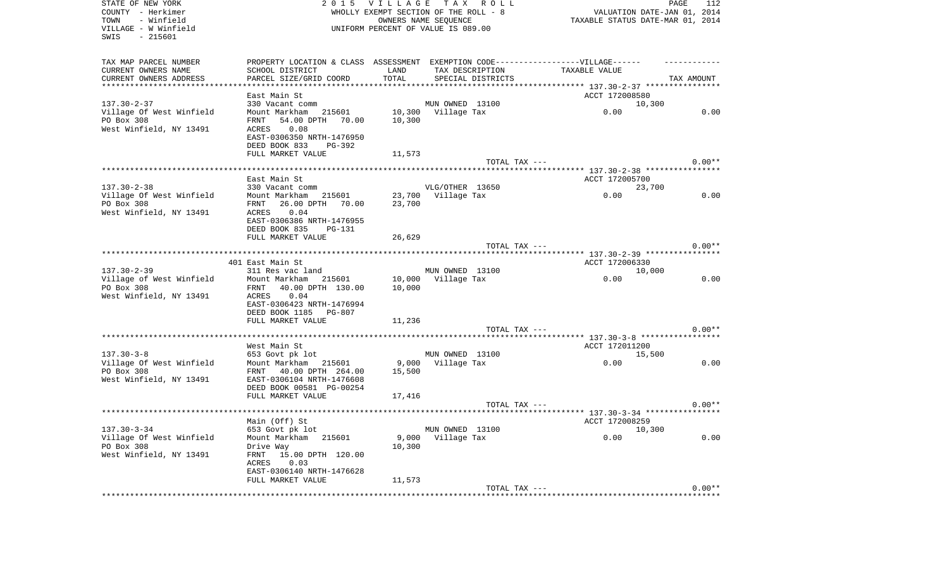| STATE OF NEW YORK<br>COUNTY - Herkimer<br>- Winfield<br>TOWN<br>VILLAGE - W Winfield<br>SWIS<br>$-215601$ | 2 0 1 5                                                                          | <b>VILLAGE</b> | TAX ROLL<br>WHOLLY EXEMPT SECTION OF THE ROLL - 8<br>OWNERS NAME SEQUENCE<br>UNIFORM PERCENT OF VALUE IS 089.00 | TAXABLE STATUS DATE-MAR 01, 2014 | PAGE<br>112<br>VALUATION DATE-JAN 01, 2014 |
|-----------------------------------------------------------------------------------------------------------|----------------------------------------------------------------------------------|----------------|-----------------------------------------------------------------------------------------------------------------|----------------------------------|--------------------------------------------|
| TAX MAP PARCEL NUMBER                                                                                     | PROPERTY LOCATION & CLASS ASSESSMENT EXEMPTION CODE----------------VILLAGE------ |                |                                                                                                                 |                                  |                                            |
| CURRENT OWNERS NAME                                                                                       | SCHOOL DISTRICT                                                                  | LAND           | TAX DESCRIPTION                                                                                                 | TAXABLE VALUE                    |                                            |
| CURRENT OWNERS ADDRESS                                                                                    | PARCEL SIZE/GRID COORD                                                           | TOTAL          | SPECIAL DISTRICTS                                                                                               |                                  | TAX AMOUNT                                 |
| **********************                                                                                    |                                                                                  |                |                                                                                                                 |                                  |                                            |
|                                                                                                           | East Main St                                                                     |                |                                                                                                                 | ACCT 172008580                   |                                            |
| $137.30 - 2 - 37$                                                                                         | 330 Vacant comm                                                                  |                | MUN OWNED 13100                                                                                                 | 10,300                           |                                            |
| Village Of West Winfield                                                                                  | Mount Markham 215601                                                             |                | 10,300 Village Tax                                                                                              | 0.00                             | 0.00                                       |
| PO Box 308                                                                                                | FRNT<br>54.00 DPTH 70.00                                                         | 10,300         |                                                                                                                 |                                  |                                            |
| West Winfield, NY 13491                                                                                   | 0.08<br>ACRES                                                                    |                |                                                                                                                 |                                  |                                            |
|                                                                                                           | EAST-0306350 NRTH-1476950                                                        |                |                                                                                                                 |                                  |                                            |
|                                                                                                           | DEED BOOK 833<br>PG-392<br>FULL MARKET VALUE                                     | 11,573         |                                                                                                                 |                                  |                                            |
|                                                                                                           |                                                                                  |                | TOTAL TAX ---                                                                                                   |                                  | $0.00**$                                   |
|                                                                                                           |                                                                                  |                |                                                                                                                 |                                  |                                            |
|                                                                                                           | East Main St                                                                     |                |                                                                                                                 | ACCT 172005700                   |                                            |
| $137.30 - 2 - 38$                                                                                         | 330 Vacant comm                                                                  |                | VLG/OTHER 13650                                                                                                 | 23,700                           |                                            |
| Village Of West Winfield                                                                                  | 215601<br>Mount Markham                                                          |                | 23,700 Village Tax                                                                                              | 0.00                             | 0.00                                       |
| PO Box 308                                                                                                | FRNT<br>26.00 DPTH 70.00                                                         | 23,700         |                                                                                                                 |                                  |                                            |
| West Winfield, NY 13491                                                                                   | 0.04<br><b>ACRES</b>                                                             |                |                                                                                                                 |                                  |                                            |
|                                                                                                           | EAST-0306386 NRTH-1476955                                                        |                |                                                                                                                 |                                  |                                            |
|                                                                                                           | DEED BOOK 835<br><b>PG-131</b>                                                   |                |                                                                                                                 |                                  |                                            |
|                                                                                                           | FULL MARKET VALUE                                                                | 26,629         |                                                                                                                 |                                  |                                            |
|                                                                                                           |                                                                                  |                | TOTAL TAX ---                                                                                                   |                                  | $0.00**$                                   |
|                                                                                                           | 401 East Main St                                                                 |                |                                                                                                                 | ACCT 172006330                   |                                            |
| $137.30 - 2 - 39$                                                                                         | 311 Res vac land                                                                 |                | MUN OWNED 13100                                                                                                 | 10,000                           |                                            |
| Village of West Winfield                                                                                  | Mount Markham<br>215601                                                          | 10,000         | Village Tax                                                                                                     | 0.00                             | 0.00                                       |
| PO Box 308                                                                                                | 40.00 DPTH 130.00<br>FRNT                                                        | 10,000         |                                                                                                                 |                                  |                                            |
| West Winfield, NY 13491                                                                                   | 0.04<br>ACRES                                                                    |                |                                                                                                                 |                                  |                                            |
|                                                                                                           | EAST-0306423 NRTH-1476994                                                        |                |                                                                                                                 |                                  |                                            |
|                                                                                                           | DEED BOOK 1185<br>PG-807                                                         |                |                                                                                                                 |                                  |                                            |
|                                                                                                           | FULL MARKET VALUE                                                                | 11,236         |                                                                                                                 |                                  |                                            |
|                                                                                                           |                                                                                  |                | TOTAL TAX ---                                                                                                   |                                  | $0.00**$                                   |
|                                                                                                           |                                                                                  |                |                                                                                                                 |                                  |                                            |
| $137.30 - 3 - 8$                                                                                          | West Main St<br>653 Govt pk lot                                                  |                | MUN OWNED 13100                                                                                                 | ACCT 172011200<br>15,500         |                                            |
| Village Of West Winfield                                                                                  | Mount Markham<br>215601                                                          | 9,000          | Village Tax                                                                                                     | 0.00                             | 0.00                                       |
| PO Box 308                                                                                                | FRNT 40.00 DPTH 264.00                                                           | 15,500         |                                                                                                                 |                                  |                                            |
| West Winfield, NY 13491                                                                                   | EAST-0306104 NRTH-1476608                                                        |                |                                                                                                                 |                                  |                                            |
|                                                                                                           | DEED BOOK 00581 PG-00254                                                         |                |                                                                                                                 |                                  |                                            |
|                                                                                                           | FULL MARKET VALUE                                                                | 17,416         |                                                                                                                 |                                  |                                            |
|                                                                                                           |                                                                                  |                | TOTAL TAX ---                                                                                                   |                                  | $0.00**$                                   |
|                                                                                                           |                                                                                  |                |                                                                                                                 |                                  |                                            |
|                                                                                                           | Main (Off) St                                                                    |                |                                                                                                                 | ACCT 172008259                   |                                            |
| $137.30 - 3 - 34$                                                                                         | 653 Govt pk lot                                                                  |                | MUN OWNED 13100                                                                                                 | 10,300                           |                                            |
| Village Of West Winfield                                                                                  | Mount Markham<br>215601                                                          | 9,000          | Village Tax                                                                                                     | 0.00                             | 0.00                                       |
| PO Box 308                                                                                                | Drive Way                                                                        | 10,300         |                                                                                                                 |                                  |                                            |
| West Winfield, NY 13491                                                                                   | 15.00 DPTH 120.00<br>FRNT<br>ACRES<br>0.03                                       |                |                                                                                                                 |                                  |                                            |
|                                                                                                           | EAST-0306140 NRTH-1476628                                                        |                |                                                                                                                 |                                  |                                            |
|                                                                                                           | FULL MARKET VALUE                                                                | 11,573         |                                                                                                                 |                                  |                                            |
|                                                                                                           |                                                                                  |                | TOTAL TAX ---                                                                                                   |                                  | $0.00**$                                   |
|                                                                                                           |                                                                                  |                |                                                                                                                 |                                  |                                            |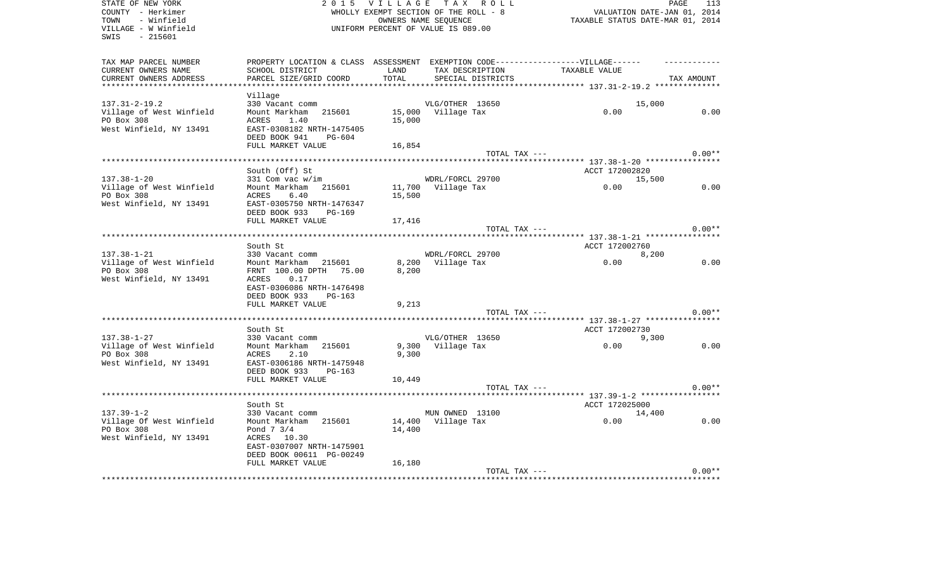| COUNTY - Herkimer<br>WHOLLY EXEMPT SECTION OF THE ROLL - 8<br>- Winfield<br>TAXABLE STATUS DATE-MAR 01, 2014<br>TOWN<br>OWNERS NAME SEOUENCE<br>VILLAGE - W Winfield<br>UNIFORM PERCENT OF VALUE IS 089.00 | VALUATION DATE-JAN 01, 2014 |
|------------------------------------------------------------------------------------------------------------------------------------------------------------------------------------------------------------|-----------------------------|
| SWIS<br>- 215601                                                                                                                                                                                           |                             |
| TAX MAP PARCEL NUMBER<br>PROPERTY LOCATION & CLASS ASSESSMENT EXEMPTION CODE-----------------VILLAGE------                                                                                                 |                             |
| CURRENT OWNERS NAME<br>SCHOOL DISTRICT<br>TAX DESCRIPTION<br>TAXABLE VALUE<br>LAND                                                                                                                         |                             |
| CURRENT OWNERS ADDRESS<br>PARCEL SIZE/GRID COORD<br>TOTAL<br>SPECIAL DISTRICTS                                                                                                                             | TAX AMOUNT                  |
| ***********************                                                                                                                                                                                    |                             |
| Village<br>$137.31 - 2 - 19.2$<br>330 Vacant comm<br>VLG/OTHER 13650<br>15,000                                                                                                                             |                             |
| Village of West Winfield<br>Mount Markham<br>215601<br>15,000 Village Tax<br>0.00                                                                                                                          | 0.00                        |
| PO Box 308<br>1.40<br>15,000<br>ACRES                                                                                                                                                                      |                             |
| West Winfield, NY 13491<br>EAST-0308182 NRTH-1475405<br>DEED BOOK 941<br><b>PG-604</b>                                                                                                                     |                             |
| FULL MARKET VALUE<br>16,854                                                                                                                                                                                |                             |
| TOTAL TAX ---                                                                                                                                                                                              | $0.00**$                    |
|                                                                                                                                                                                                            |                             |
| South (Off) St<br>ACCT 172002820                                                                                                                                                                           |                             |
| $137.38 - 1 - 20$<br>WDRL/FORCL 29700<br>331 Com vac w/im<br>15,500<br>Village of West Winfield<br>Mount Markham 215601<br>11,700 Village Tax<br>0.00                                                      | 0.00                        |
| PO Box 308<br>15,500<br>ACRES<br>6.40                                                                                                                                                                      |                             |
| West Winfield, NY 13491<br>EAST-0305750 NRTH-1476347                                                                                                                                                       |                             |
| DEED BOOK 933<br><b>PG-169</b>                                                                                                                                                                             |                             |
| FULL MARKET VALUE<br>17,416                                                                                                                                                                                |                             |
| TOTAL TAX ---                                                                                                                                                                                              | $0.00**$                    |
| ********** 137.38-1-21 *****************                                                                                                                                                                   |                             |
| South St<br>ACCT 172002760                                                                                                                                                                                 |                             |
| $137.38 - 1 - 21$<br>WDRL/FORCL 29700<br>330 Vacant comm<br>8,200<br>Village of West Winfield<br>215601<br>8,200<br>Village Tax<br>0.00<br>Mount Markham                                                   | 0.00                        |
| PO Box 308<br>FRNT 100.00 DPTH 75.00<br>8,200                                                                                                                                                              |                             |
| West Winfield, NY 13491<br>ACRES<br>0.17                                                                                                                                                                   |                             |
| EAST-0306086 NRTH-1476498                                                                                                                                                                                  |                             |
| DEED BOOK 933<br>PG-163                                                                                                                                                                                    |                             |
| FULL MARKET VALUE<br>9,213                                                                                                                                                                                 |                             |
| TOTAL TAX ---                                                                                                                                                                                              | $0.00**$                    |
| South St<br>ACCT 172002730                                                                                                                                                                                 |                             |
| $137.38 - 1 - 27$<br>330 Vacant comm<br>VLG/OTHER 13650<br>9,300                                                                                                                                           |                             |
| Village of West Winfield<br>0.00<br>Mount Markham<br>9,300<br>Village Tax<br>215601                                                                                                                        | 0.00                        |
| PO Box 308<br>ACRES<br>2.10<br>9,300                                                                                                                                                                       |                             |
| West Winfield, NY 13491<br>EAST-0306186 NRTH-1475948                                                                                                                                                       |                             |
| DEED BOOK 933<br>PG-163                                                                                                                                                                                    |                             |
| FULL MARKET VALUE<br>10,449                                                                                                                                                                                |                             |
| TOTAL TAX ---<br>****************                                                                                                                                                                          | $0.00**$                    |
| **** 137.39-1-2 *****************<br>South St<br>ACCT 172025000                                                                                                                                            |                             |
| $137.39 - 1 - 2$<br>MUN OWNED 13100<br>330 Vacant comm<br>14,400                                                                                                                                           |                             |
| Village Of West Winfield<br>Mount Markham 215601<br>14,400<br>Village Tax<br>0.00                                                                                                                          | 0.00                        |
| PO Box 308<br>Pond 7 3/4<br>14,400                                                                                                                                                                         |                             |
| West Winfield, NY 13491<br>ACRES 10.30                                                                                                                                                                     |                             |
| EAST-0307007 NRTH-1475901                                                                                                                                                                                  |                             |
| DEED BOOK 00611 PG-00249                                                                                                                                                                                   |                             |
| 16,180<br>FULL MARKET VALUE<br>TOTAL TAX ---                                                                                                                                                               | $0.00**$                    |
|                                                                                                                                                                                                            |                             |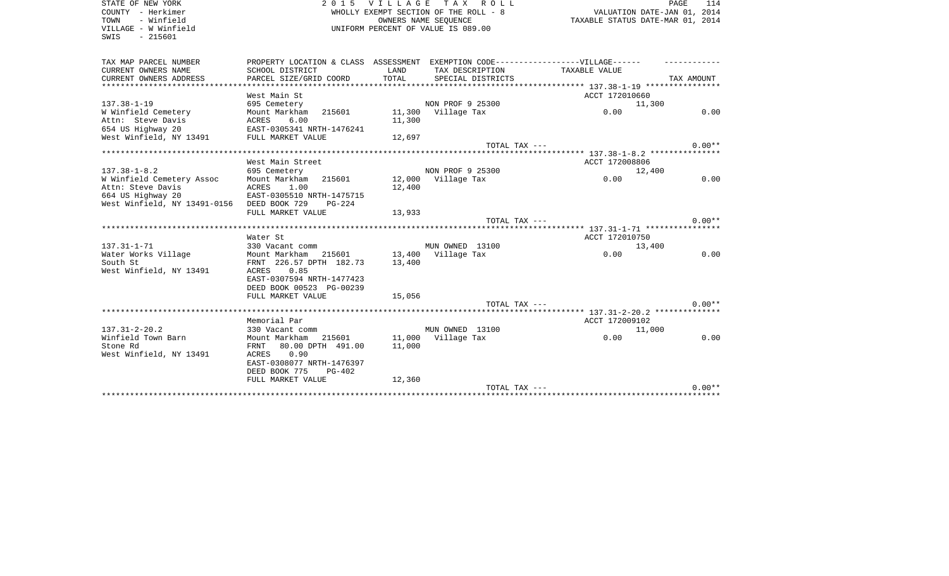| STATE OF NEW YORK<br>COUNTY - Herkimer      | 2015 VILLAGE TAX ROLL<br>WHOLLY EXEMPT SECTION OF THE ROLL - 8                    |        |                                    |                                                                 | PAGE<br>114 |
|---------------------------------------------|-----------------------------------------------------------------------------------|--------|------------------------------------|-----------------------------------------------------------------|-------------|
| TOWN<br>- Winfield                          | OWNERS NAME SEQUENCE                                                              |        |                                    | VALUATION DATE-JAN 01, 2014<br>TAXABLE STATUS DATE-MAR 01, 2014 |             |
| VILLAGE - W Winfield                        |                                                                                   |        | UNIFORM PERCENT OF VALUE IS 089.00 |                                                                 |             |
| $-215601$<br>SWIS                           |                                                                                   |        |                                    |                                                                 |             |
|                                             |                                                                                   |        |                                    |                                                                 |             |
| TAX MAP PARCEL NUMBER                       | PROPERTY LOCATION & CLASS ASSESSMENT EXEMPTION CODE-----------------VILLAGE------ |        |                                    |                                                                 |             |
| CURRENT OWNERS NAME                         | SCHOOL DISTRICT                                                                   | LAND   | TAX DESCRIPTION                    | TAXABLE VALUE                                                   |             |
| CURRENT OWNERS ADDRESS                      | PARCEL SIZE/GRID COORD                                                            | TOTAL  | SPECIAL DISTRICTS                  |                                                                 | TAX AMOUNT  |
| **************************                  |                                                                                   |        |                                    |                                                                 |             |
|                                             | West Main St                                                                      |        |                                    | ACCT 172010660                                                  |             |
| $137.38 - 1 - 19$                           | 695 Cemetery                                                                      |        | NON PROF 9 25300                   | 11,300                                                          |             |
| W Winfield Cemetery                         | Mount Markham<br>215601                                                           |        | 11,300 Village Tax                 | 0.00                                                            | 0.00        |
| Attn: Steve Davis                           | ACRES<br>6.00                                                                     | 11,300 |                                    |                                                                 |             |
| 654 US Highway 20 EAST-0305341 NRTH-1476241 |                                                                                   |        |                                    |                                                                 |             |
| West Winfield, NY 13491                     | FULL MARKET VALUE                                                                 | 12,697 |                                    |                                                                 |             |
|                                             |                                                                                   |        | TOTAL TAX ---                      |                                                                 | $0.00**$    |
|                                             | ******************************                                                    |        |                                    |                                                                 |             |
|                                             | West Main Street                                                                  |        |                                    | ACCT 172008806                                                  |             |
| $137.38 - 1 - 8.2$                          | 695 Cemetery                                                                      |        | NON PROF 9 25300                   | 12,400                                                          |             |
| W Winfield Cemetery Assoc                   | Mount Markham<br>215601                                                           |        | 12,000 Village Tax                 | 0.00                                                            | 0.00        |
| Attn: Steve Davis<br>664 US Highway 20      | ACRES<br>1.00<br>EAST-0305510 NRTH-1475715                                        | 12,400 |                                    |                                                                 |             |
| West Winfield, NY 13491-0156 DEED BOOK 729  | $PG-224$                                                                          |        |                                    |                                                                 |             |
|                                             | FULL MARKET VALUE                                                                 | 13,933 |                                    |                                                                 |             |
|                                             |                                                                                   |        | TOTAL TAX ---                      |                                                                 | $0.00**$    |
|                                             |                                                                                   |        |                                    |                                                                 |             |
|                                             | Water St                                                                          |        |                                    | ACCT 172010750                                                  |             |
| $137.31 - 1 - 71$                           | 330 Vacant comm                                                                   |        | MUN OWNED 13100                    | 13,400                                                          |             |
| Water Works Village                         | Mount Markham 215601                                                              |        | 13,400 Village Tax                 | 0.00                                                            | 0.00        |
| South St                                    | FRNT 226.57 DPTH 182.73                                                           | 13,400 |                                    |                                                                 |             |
| West Winfield, NY 13491                     | ACRES<br>0.85                                                                     |        |                                    |                                                                 |             |
|                                             | EAST-0307594 NRTH-1477423                                                         |        |                                    |                                                                 |             |
|                                             | DEED BOOK 00523 PG-00239                                                          |        |                                    |                                                                 |             |
|                                             | FULL MARKET VALUE                                                                 | 15,056 |                                    |                                                                 |             |
|                                             |                                                                                   |        | TOTAL TAX ---                      |                                                                 | $0.00**$    |
|                                             |                                                                                   |        |                                    |                                                                 |             |
|                                             | Memorial Par                                                                      |        |                                    | ACCT 172009102                                                  |             |
| $137.31 - 2 - 20.2$                         | 330 Vacant comm                                                                   |        | MUN OWNED 13100                    | 11,000                                                          |             |
| Winfield Town Barn                          | Mount Markham 215601                                                              |        | 11,000 Village Tax                 | 0.00                                                            | 0.00        |
| Stone Rd                                    | FRNT<br>80.00 DPTH 491.00                                                         | 11,000 |                                    |                                                                 |             |
| West Winfield, NY 13491                     | 0.90<br>ACRES<br>EAST-0308077 NRTH-1476397                                        |        |                                    |                                                                 |             |
|                                             |                                                                                   |        |                                    |                                                                 |             |
|                                             | DEED BOOK 775<br>PG-402<br>FULL MARKET VALUE                                      | 12,360 |                                    |                                                                 |             |
|                                             |                                                                                   |        | TOTAL TAX ---                      |                                                                 | $0.00**$    |
|                                             |                                                                                   |        |                                    |                                                                 |             |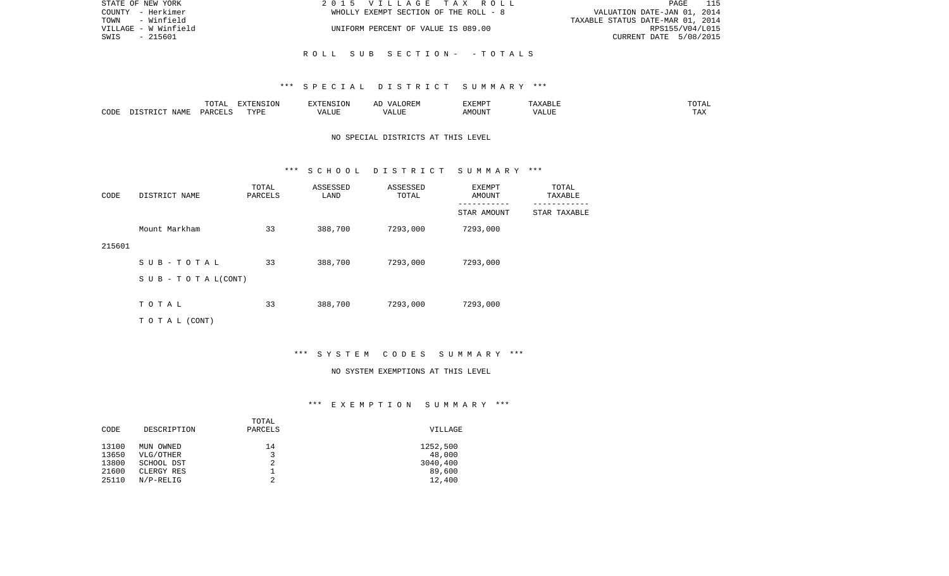| STATE OF NEW YORK    | 2015 VILLAGE TAX ROLL                 | 115<br>PAGE                      |
|----------------------|---------------------------------------|----------------------------------|
| COUNTY - Herkimer    | WHOLLY EXEMPT SECTION OF THE ROLL - 8 | VALUATION DATE-JAN 01, 2014      |
| TOWN<br>- Winfield   |                                       | TAXABLE STATUS DATE-MAR 01, 2014 |
| VILLAGE - W Winfield | UNIFORM PERCENT OF VALUE IS 089.00    | RPS155/V04/L015                  |
| SWIS<br>- 215601     |                                       | CURRENT DATE 5/08/2015           |
|                      |                                       |                                  |
|                      | ROLL SUB SECTION- -TOTALS             |                                  |

#### \*\*\* S P E C I A L D I S T R I C T S U M M A R Y \*\*\*

|      |                            | .∪⊥⊓⊥         | $\blacksquare$<br>11 L<br>LUIN |               |            | EXEMPT       | ABL.                  | $m \wedge m$<br>. |
|------|----------------------------|---------------|--------------------------------|---------------|------------|--------------|-----------------------|-------------------|
| CODE | <b>ABST</b><br>. .<br>NAMP | <b>DARCFT</b> | TVDT                           | $\mathcal{L}$ | ,,,<br>שחד | OUN".<br>۱M۲ | $- - - - - -$<br>ALUI | $- - -$<br>. Ал   |

## NO SPECIAL DISTRICTS AT THIS LEVEL

#### \*\*\* S C H O O L D I S T R I C T S U M M A R Y \*\*\*

| CODE   | DISTRICT NAME                    | TOTAL<br>PARCELS | ASSESSED<br>LAND | ASSESSED<br>TOTAL | EXEMPT<br>AMOUNT | TOTAL<br>TAXABLE |
|--------|----------------------------------|------------------|------------------|-------------------|------------------|------------------|
|        |                                  |                  |                  |                   | STAR AMOUNT      | STAR TAXABLE     |
|        | Mount Markham                    | 33               | 388,700          | 7293,000          | 7293,000         |                  |
| 215601 |                                  |                  |                  |                   |                  |                  |
|        | SUB-TOTAL                        | 33               | 388,700          | 7293,000          | 7293,000         |                  |
|        | $S \cup B - T \cup T A L (CONT)$ |                  |                  |                   |                  |                  |
|        |                                  |                  |                  |                   |                  |                  |
|        | TOTAL                            | 33               | 388,700          | 7293,000          | 7293,000         |                  |
|        | T O T A L (CONT)                 |                  |                  |                   |                  |                  |

# \*\*\* S Y S T E M C O D E S S U M M A R Y \*\*\*

#### NO SYSTEM EXEMPTIONS AT THIS LEVEL

# \*\*\* E X E M P T I O N S U M M A R Y \*\*\*

| CODE  | DESCRIPTION | TOTAL<br>PARCELS | VILLAGE  |
|-------|-------------|------------------|----------|
| 13100 | MUN OWNED   | 14               | 1252,500 |
| 13650 | VLG/OTHER   | 3                | 48,000   |
| 13800 | SCHOOL DST  | 2                | 3040,400 |
| 21600 | CLERGY RES  |                  | 89,600   |
| 25110 | $N/P-RELIG$ | 2                | 12,400   |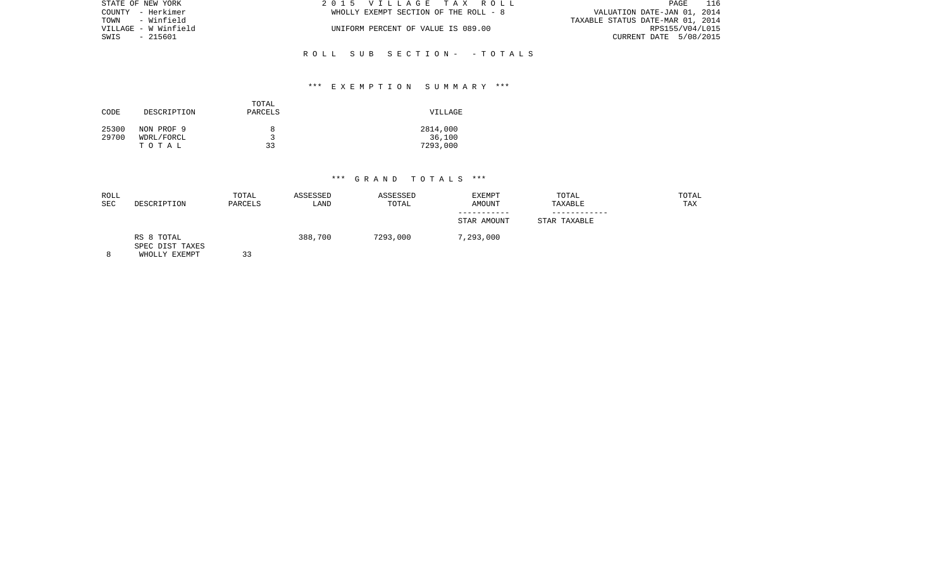| STATE OF NEW YORK    | 2015 VILLAGE TAX ROLL                 | 116<br>PAGE                      |
|----------------------|---------------------------------------|----------------------------------|
| COUNTY - Herkimer    | WHOLLY EXEMPT SECTION OF THE ROLL - 8 | VALUATION DATE-JAN 01, 2014      |
| TOWN - Winfield      |                                       | TAXABLE STATUS DATE-MAR 01, 2014 |
| VILLAGE - W Winfield | UNIFORM PERCENT OF VALUE IS 089.00    | RPS155/V04/L015                  |
| SWIS - 215601        |                                       | CURRENT DATE 5/08/2015           |
|                      |                                       |                                  |

# \*\*\* E X E M P T I O N S U M M A R Y \*\*\*

R O L L S U B S E C T I O N - - T O T A L S

| CODE           | DESCRIPTION              | TOTAL<br>PARCELS | VILLAGE            |
|----------------|--------------------------|------------------|--------------------|
| 25300<br>29700 | NON PROF 9<br>WDRL/FORCL | 8<br>ર           | 2814,000<br>36,100 |
|                | тотаь                    | 33               | 7293,000           |

| ROLL<br><b>SEC</b> | DESCRIPTION                                    | TOTAL<br>PARCELS | ASSESSED<br>LAND | ASSESSED<br>TOTAL | EXEMPT<br><b>AMOUNT</b> | TOTAL<br>TAXABLE | TOTAL<br>TAX |
|--------------------|------------------------------------------------|------------------|------------------|-------------------|-------------------------|------------------|--------------|
|                    |                                                |                  |                  |                   | STAR AMOUNT             | STAR TAXABLE     |              |
| 8                  | RS 8 TOTAL<br>SPEC DIST TAXES<br>WHOLLY EXEMPT | 33               | 388,700          | 7293,000          | 7,293,000               |                  |              |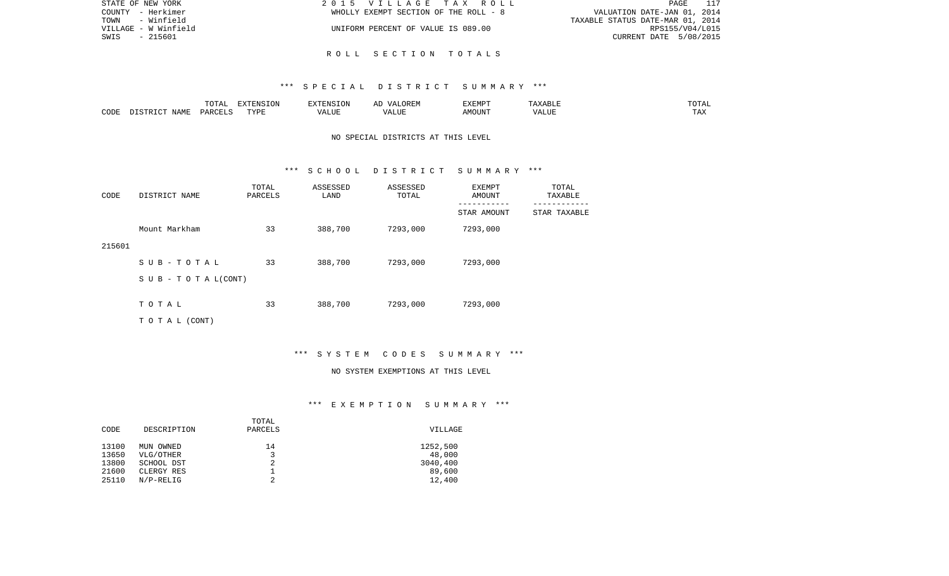| STATE OF NEW YORK    | 2015 VILLAGE TAX ROLL                 | PAGE                             |
|----------------------|---------------------------------------|----------------------------------|
| COUNTY - Herkimer    | WHOLLY EXEMPT SECTION OF THE ROLL - 8 | VALUATION DATE-JAN 01, 2014      |
| TOWN<br>- Winfield   |                                       | TAXABLE STATUS DATE-MAR 01, 2014 |
| VILLAGE - W Winfield | UNIFORM PERCENT OF VALUE IS 089.00    | RPS155/V04/L015                  |
| SWIS<br>- 215601     |                                       | CURRENT DATE 5/08/2015           |
|                      |                                       |                                  |

#### \*\*\* S P E C I A L D I S T R I C T S U M M A R Y \*\*\*

R O L L S E C T I O N T O T A L S

|      |      | $\blacksquare$<br>TOTAL | EXTENSION | $  -$ | $H^{\prime}$ H $^{\prime}$ M $^{\prime}$<br>A | EXEMP' | ABLE                 | ---        |
|------|------|-------------------------|-----------|-------|-----------------------------------------------|--------|----------------------|------------|
| CODE | NAMF | ، جمہوری                | TVDF<br>. |       | .TTT                                          |        | <b>T TTT</b><br>ALUI | max<br>was |

## NO SPECIAL DISTRICTS AT THIS LEVEL

#### \*\*\* S C H O O L D I S T R I C T S U M M A R Y \*\*\*

| CODE   | DISTRICT NAME                    | TOTAL<br>PARCELS | ASSESSED<br>LAND | ASSESSED<br>TOTAL | EXEMPT<br>AMOUNT | TOTAL<br>TAXABLE |
|--------|----------------------------------|------------------|------------------|-------------------|------------------|------------------|
|        |                                  |                  |                  |                   | STAR AMOUNT      | STAR TAXABLE     |
|        | Mount Markham                    | 33               | 388,700          | 7293,000          | 7293,000         |                  |
| 215601 |                                  |                  |                  |                   |                  |                  |
|        | SUB-TOTAL                        | 33               | 388,700          | 7293,000          | 7293,000         |                  |
|        | $S \cup B - T \cup T A L (CONT)$ |                  |                  |                   |                  |                  |
|        | TOTAL                            | 33               | 388,700          | 7293,000          | 7293,000         |                  |
|        |                                  |                  |                  |                   |                  |                  |
|        | T O T A L (CONT)                 |                  |                  |                   |                  |                  |

# \*\*\* S Y S T E M C O D E S S U M M A R Y \*\*\*

#### NO SYSTEM EXEMPTIONS AT THIS LEVEL

# \*\*\* E X E M P T I O N S U M M A R Y \*\*\*

| DESCRIPTION | PARCELS   | VILLAGE     |
|-------------|-----------|-------------|
|             |           |             |
|             |           | 1252,500    |
| VLG/OTHER   | 3         | 48,000      |
| SCHOOL DST  | 2         | 3040,400    |
| CLERGY RES  |           | 89,600      |
| $N/P-RELIG$ | 2         | 12,400      |
|             | MUN OWNED | TOTAL<br>14 |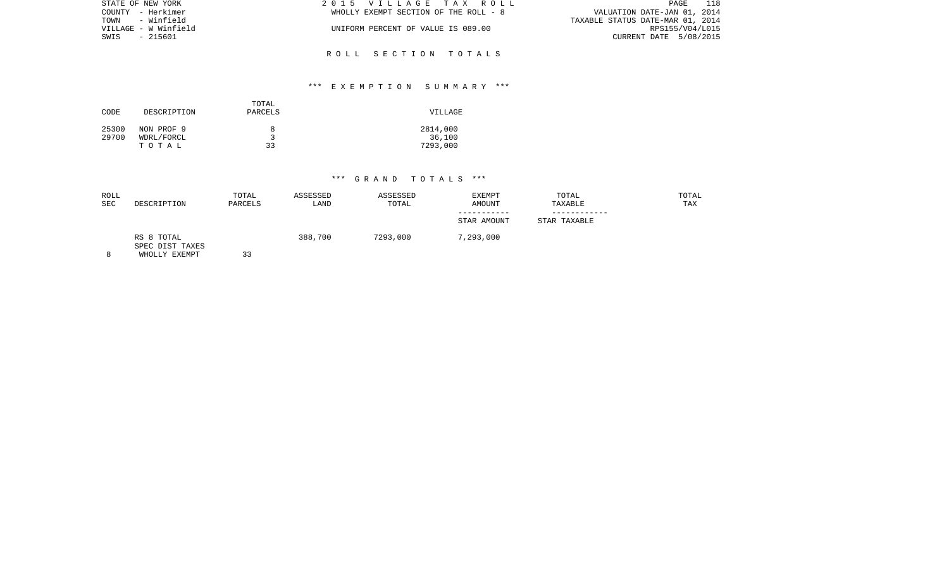| STATE OF NEW YORK    | 2015 VILLAGE TAX ROLL                 | 118<br>PAGE                      |
|----------------------|---------------------------------------|----------------------------------|
| COUNTY - Herkimer    | WHOLLY EXEMPT SECTION OF THE ROLL - 8 | VALUATION DATE-JAN 01, 2014      |
| TOWN - Winfield      |                                       | TAXABLE STATUS DATE-MAR 01, 2014 |
| VILLAGE - W Winfield | UNIFORM PERCENT OF VALUE IS 089.00    | RPS155/V04/L015                  |
| SWIS - 215601        |                                       | CURRENT DATE 5/08/2015           |
|                      |                                       |                                  |

# \*\*\* E X E M P T I O N S U M M A R Y \*\*\*

R O L L S E C T I O N T O T A L S

| CODE           | DESCRIPTION              | TOTAL<br>PARCELS | VILLAGE            |
|----------------|--------------------------|------------------|--------------------|
| 25300<br>29700 | NON PROF 9<br>WDRL/FORCL | 8                | 2814,000<br>36,100 |
|                | TOTAL                    | 33               | 7293,000           |

| <b>ROLL</b><br><b>SEC</b> | DESCRIPTION                                    | TOTAL<br>PARCELS | ASSESSED<br>LAND | ASSESSED<br>TOTAL | EXEMPT<br><b>AMOUNT</b><br>STAR AMOUNT | TOTAL<br>TAXABLE<br>STAR TAXABLE | TOTAL<br>TAX |
|---------------------------|------------------------------------------------|------------------|------------------|-------------------|----------------------------------------|----------------------------------|--------------|
|                           | RS 8 TOTAL<br>SPEC DIST TAXES<br>WHOLLY EXEMPT | 33               | 388,700          | 7293,000          | 7,293,000                              |                                  |              |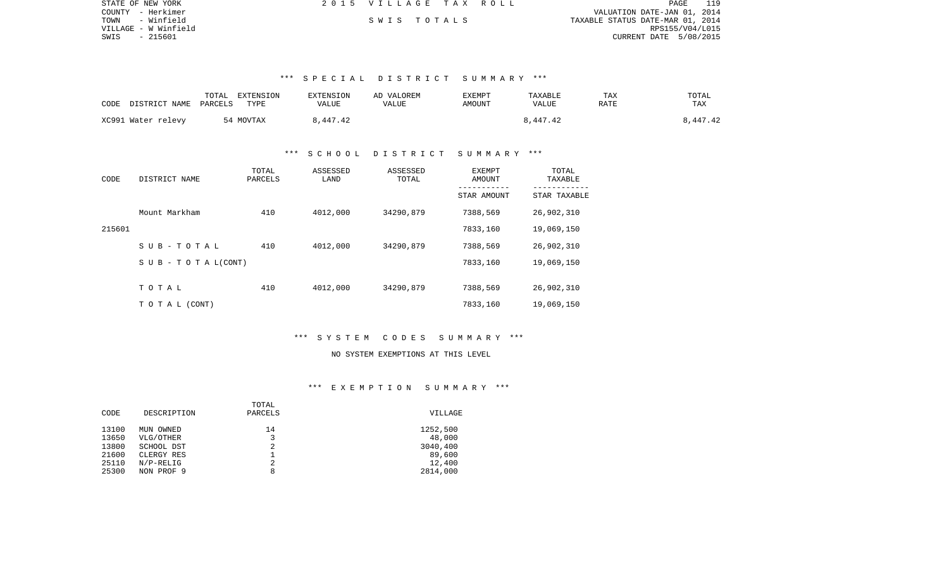| STATE OF NEW YORK    | 2015 VILLAGE TAX ROLL |  |                                  | PAGE |  |
|----------------------|-----------------------|--|----------------------------------|------|--|
| COUNTY - Herkimer    |                       |  | VALUATION DATE-JAN 01, 2014      |      |  |
| - Winfield<br>TOWN   | SWIS TOTALS           |  | TAXABLE STATUS DATE-MAR 01, 2014 |      |  |
| VILLAGE - W Winfield |                       |  | RPS155/V04/L015                  |      |  |
| SWIS<br>- 215601     |                       |  | CURRENT DATE 5/08/2015           |      |  |

#### \*\*\* S P E C I A L D I S T R I C T S U M M A R Y \*\*\*

| CODE | DISTRICT NAME      | TOTAL<br>PARCELS | EXTENSION<br>TYPE | <b>EXTENSION</b><br>VALUE | AD VALOREM<br>VALUE | EXEMPT<br>AMOUNT | TAXABLE<br>VALUE | TAX<br>RATE | TOTAL<br>TAX |
|------|--------------------|------------------|-------------------|---------------------------|---------------------|------------------|------------------|-------------|--------------|
|      | XC991 Water relevy |                  | 54 MOVTAX         | 8,447.42                  |                     |                  | 8,447.42         |             | 8,447.42     |

#### \*\*\* S C H O O L D I S T R I C T S U M M A R Y \*\*\*

| CODE   | DISTRICT NAME      | TOTAL<br>PARCELS | ASSESSED<br>LAND | ASSESSED<br>TOTAL | EXEMPT<br>AMOUNT | TOTAL<br>TAXABLE |
|--------|--------------------|------------------|------------------|-------------------|------------------|------------------|
|        |                    |                  |                  |                   | STAR AMOUNT      | STAR TAXABLE     |
|        | Mount Markham      | 410              | 4012,000         | 34290,879         | 7388,569         | 26,902,310       |
| 215601 |                    |                  |                  |                   | 7833,160         | 19,069,150       |
|        | SUB-TOTAL          | 410              | 4012,000         | 34290,879         | 7388,569         | 26,902,310       |
|        | SUB - TO TAL(CONT) |                  |                  |                   | 7833,160         | 19,069,150       |
|        | TOTAL              | 410              | 4012,000         | 34290,879         | 7388,569         | 26,902,310       |
|        |                    |                  |                  |                   |                  |                  |
|        | TO TAL (CONT)      |                  |                  |                   | 7833,160         | 19,069,150       |

#### \*\*\* S Y S T E M C O D E S S U M M A R Y \*\*\*

# NO SYSTEM EXEMPTIONS AT THIS LEVEL

# \*\*\* E X E M P T I O N S U M M A R Y \*\*\*

|       |             | TOTAL   |          |
|-------|-------------|---------|----------|
| CODE  | DESCRIPTION | PARCELS | VILLAGE  |
| 13100 | MUN OWNED   | 14      | 1252,500 |
| 13650 | VLG/OTHER   | 3       | 48,000   |
| 13800 | SCHOOL DST  | 2       | 3040,400 |
| 21600 | CLERGY RES  |         | 89,600   |
| 25110 | $N/P-RELIG$ | 2       | 12,400   |
| 25300 | NON PROF 9  | 8       | 2814,000 |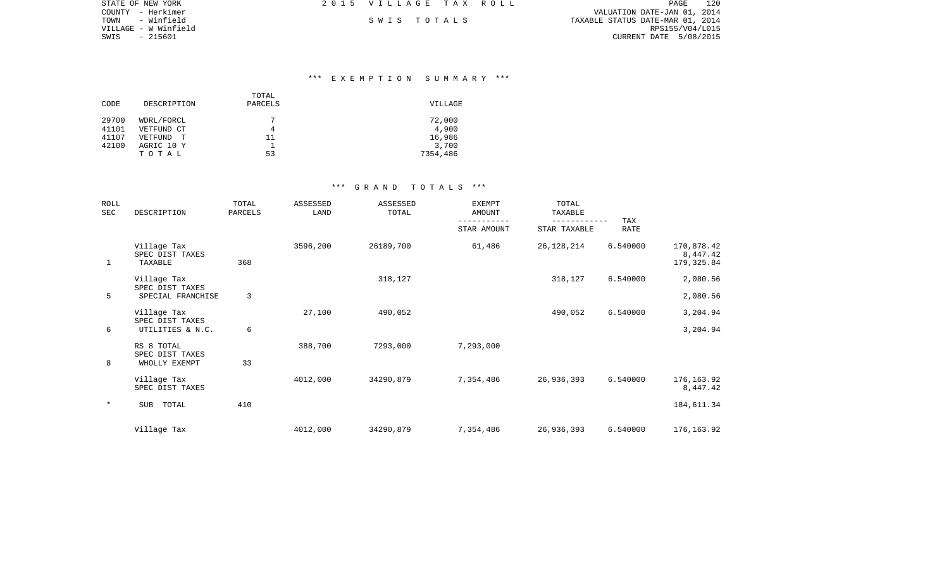| STATE OF NEW YORK    | 2015 VILLAGE TAX ROLL |             |  |                                  | PAGE                   | 120 |
|----------------------|-----------------------|-------------|--|----------------------------------|------------------------|-----|
| COUNTY - Herkimer    |                       |             |  | VALUATION DATE-JAN 01, 2014      |                        |     |
| TOWN<br>- Winfield   |                       | SWIS TOTALS |  | TAXABLE STATUS DATE-MAR 01, 2014 |                        |     |
| VILLAGE - W Winfield |                       |             |  |                                  | RPS155/V04/L015        |     |
| SWIS - 215601        |                       |             |  |                                  | CURRENT DATE 5/08/2015 |     |

#### \*\*\* E X E M P T I O N S U M M A R Y \*\*\*

|       |                     | TOTAL   |          |
|-------|---------------------|---------|----------|
| CODE  | DESCRIPTION         | PARCELS | VILLAGE  |
| 29700 | WDRL/FORCL          | 7       | 72,000   |
| 41101 | VETFUND CT          | 4       | 4,900    |
| 41107 | VETFUND<br><u>т</u> | 11      | 16,986   |
| 42100 | AGRIC 10 Y          |         | 3,700    |
|       | TOTAL               | 53      | 7354,486 |

| <b>ROLL</b><br>SEC | DESCRIPTION                                    | TOTAL<br>PARCELS | ASSESSED<br>LAND | ASSESSED<br>TOTAL | <b>EXEMPT</b><br><b>AMOUNT</b> | TOTAL<br>TAXABLE | <b>TAX</b>  |                                       |
|--------------------|------------------------------------------------|------------------|------------------|-------------------|--------------------------------|------------------|-------------|---------------------------------------|
|                    |                                                |                  |                  |                   | STAR AMOUNT                    | STAR TAXABLE     | <b>RATE</b> |                                       |
| 1                  | Village Tax<br>SPEC DIST TAXES<br>TAXABLE      | 368              | 3596,200         | 26189,700         | 61,486                         | 26, 128, 214     | 6.540000    | 170,878.42<br>8,447.42<br>179, 325.84 |
|                    | Village Tax<br>SPEC DIST TAXES                 |                  |                  | 318,127           |                                | 318,127          | 6.540000    | 2,080.56                              |
| 5                  | SPECIAL FRANCHISE                              | 3                |                  |                   |                                |                  |             | 2,080.56                              |
| 6                  | Village Tax<br>SPEC DIST TAXES                 | 6                | 27,100           | 490,052           |                                | 490,052          | 6.540000    | 3,204.94<br>3,204.94                  |
|                    | UTILITIES & N.C.                               |                  |                  |                   |                                |                  |             |                                       |
| 8                  | RS 8 TOTAL<br>SPEC DIST TAXES<br>WHOLLY EXEMPT | 33               | 388,700          | 7293,000          | 7,293,000                      |                  |             |                                       |
|                    | Village Tax<br>SPEC DIST TAXES                 |                  | 4012,000         | 34290,879         | 7,354,486                      | 26,936,393       | 6.540000    | 176, 163.92<br>8,447.42               |
| $\star$            | <b>SUB</b><br>TOTAL                            | 410              |                  |                   |                                |                  |             | 184,611.34                            |
|                    | Village Tax                                    |                  | 4012,000         | 34290,879         | 7,354,486                      | 26,936,393       | 6.540000    | 176, 163.92                           |